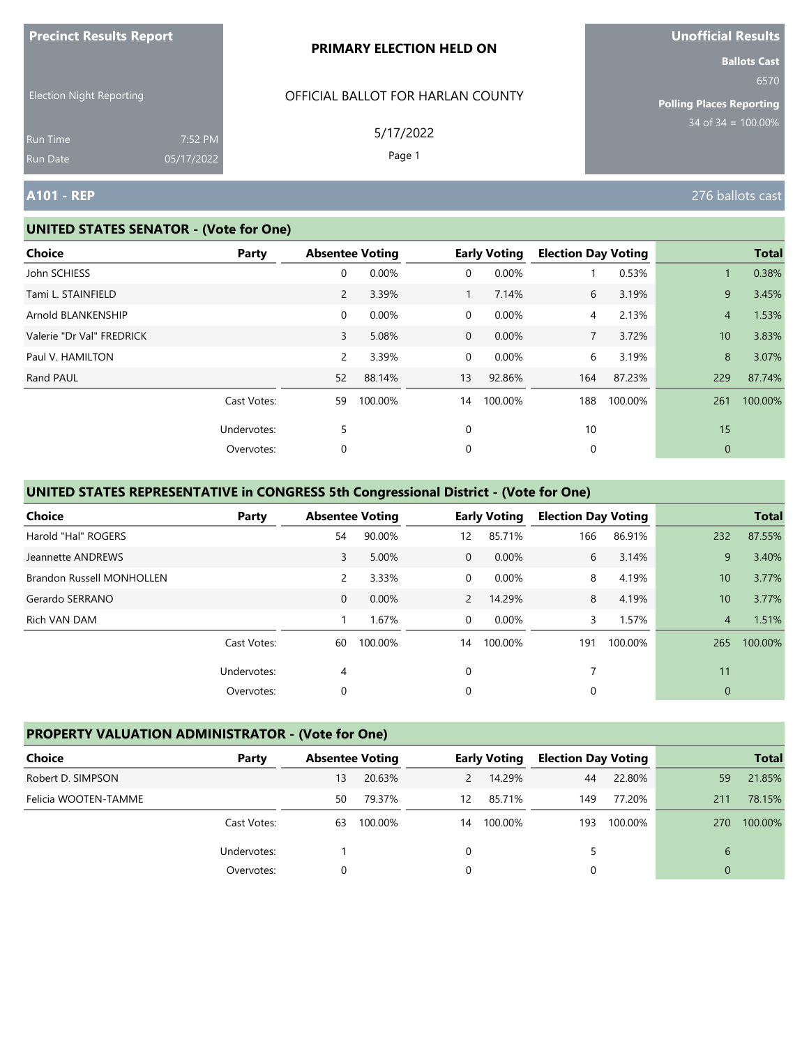| <b>Precinct Results Report</b>  |                       | <b>PRIMARY ELECTION HELD ON</b>   | <b>Unofficial Results</b>                                      |
|---------------------------------|-----------------------|-----------------------------------|----------------------------------------------------------------|
| <b>Election Night Reporting</b> |                       | OFFICIAL BALLOT FOR HARLAN COUNTY | <b>Ballots Cast</b><br>6570<br><b>Polling Places Reporting</b> |
| <b>Run Time</b><br>Run Date     | 7:52 PM<br>05/17/2022 | 5/17/2022<br>Page 1               | $34 \text{ of } 34 = 100.00\%$                                 |
| <b>A101 - REP</b>               |                       |                                   | 276 ballots cast                                               |

**United States Containers** 

#### **UNITED STATES SENATOR - (Vote for One)**

| <b>Choice</b>             | Party       | <b>Absentee Voting</b> |         |              | <b>Early Voting</b> | <b>Election Day Voting</b> |         |                 | <b>Total</b> |
|---------------------------|-------------|------------------------|---------|--------------|---------------------|----------------------------|---------|-----------------|--------------|
| John SCHIESS              |             | 0                      | 0.00%   | 0            | 0.00%               |                            | 0.53%   | 1               | 0.38%        |
| Tami L. STAINFIELD        |             | $\overline{2}$         | 3.39%   | $\mathbf{1}$ | 7.14%               | 6                          | 3.19%   | 9               | 3.45%        |
| Arnold BLANKENSHIP        |             | $\overline{0}$         | 0.00%   | 0            | 0.00%               | 4                          | 2.13%   | $\overline{4}$  | 1.53%        |
| Valerie "Dr Val" FREDRICK |             | 3                      | 5.08%   | $\mathbf 0$  | 0.00%               | $\overline{7}$             | 3.72%   | 10 <sup>°</sup> | 3.83%        |
| Paul V. HAMILTON          |             | $\overline{2}$         | 3.39%   | $\mathbf{0}$ | 0.00%               | 6                          | 3.19%   | 8               | 3.07%        |
| Rand PAUL                 |             | 52                     | 88.14%  | 13           | 92.86%              | 164                        | 87.23%  | 229             | 87.74%       |
|                           | Cast Votes: | 59                     | 100.00% | 14           | 100.00%             | 188                        | 100.00% | 261             | 100.00%      |
|                           | Undervotes: | 5                      |         | 0            |                     | 10                         |         | 15              |              |
|                           | Overvotes:  | 0                      |         | 0            |                     | 0                          |         | $\mathbf{0}$    |              |
|                           |             |                        |         |              |                     |                            |         |                 |              |
|                           |             |                        |         |              |                     |                            |         |                 |              |

#### **UNITED STATES REPRESENTATIVE in CONGRESS 5th Congressional District - (Vote for One)**

| <b>Choice</b>                    | Party       |                | <b>Absentee Voting</b> |                | <b>Early Voting</b> | <b>Election Day Voting</b> |         |                | <b>Total</b> |
|----------------------------------|-------------|----------------|------------------------|----------------|---------------------|----------------------------|---------|----------------|--------------|
| Harold "Hal" ROGERS              |             | 54             | 90.00%                 | 12             | 85.71%              | 166                        | 86.91%  | 232            | 87.55%       |
| Jeannette ANDREWS                |             | 3              | 5.00%                  | $\Omega$       | 0.00%               | 6                          | 3.14%   | 9              | 3.40%        |
| <b>Brandon Russell MONHOLLEN</b> |             | $\overline{2}$ | 3.33%                  | $\Omega$       | $0.00\%$            | 8                          | 4.19%   | 10             | 3.77%        |
| Gerardo SERRANO                  |             | $\mathbf{0}$   | 0.00%                  | $\overline{2}$ | 14.29%              | 8                          | 4.19%   | 10             | 3.77%        |
| Rich VAN DAM                     |             |                | 1.67%                  | $\Omega$       | 0.00%               | 3                          | 1.57%   | $\overline{4}$ | 1.51%        |
|                                  | Cast Votes: | 60             | 100.00%                | 14             | 100.00%             | 191                        | 100.00% | 265            | 100.00%      |
|                                  | Undervotes: | 4              |                        | $\Omega$       |                     |                            |         | 11             |              |
|                                  | Overvotes:  | 0              |                        | 0              |                     | 0                          |         | $\mathbf{0}$   |              |

# **PROPERTY VALUATION ADMINISTRATOR - (Vote for One)**

| <b>Choice</b>        | Party       | <b>Absentee Voting</b> |         |          | <b>Early Voting</b> | <b>Election Day Voting</b> |         |          | <b>Total</b> |
|----------------------|-------------|------------------------|---------|----------|---------------------|----------------------------|---------|----------|--------------|
| Robert D. SIMPSON    |             | 13                     | 20.63%  | 2        | 14.29%              | 44                         | 22.80%  | 59       | 21.85%       |
| Felicia WOOTEN-TAMME |             | 50                     | 79.37%  | 12       | 85.71%              | 149                        | 77.20%  | 211      | 78.15%       |
|                      | Cast Votes: | 63                     | 100.00% | 14       | 100.00%             | 193                        | 100.00% | 270      | 100.00%      |
|                      | Undervotes: |                        |         | $\Omega$ |                     | 5                          |         | 6        |              |
|                      | Overvotes:  |                        |         | 0        |                     |                            |         | $\Omega$ |              |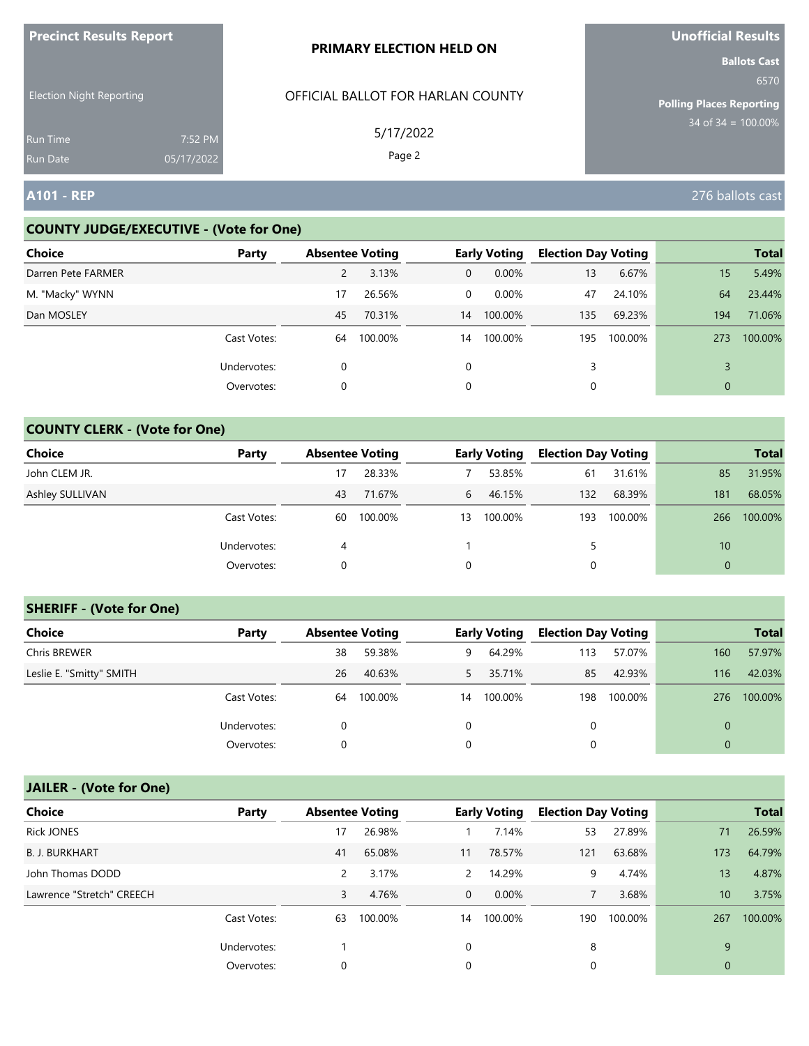| <b>Precinct Results Report</b>     |                       | <b>PRIMARY ELECTION HELD ON</b>   | <b>Unofficial Results</b>                                      |
|------------------------------------|-----------------------|-----------------------------------|----------------------------------------------------------------|
| <b>Election Night Reporting</b>    |                       | OFFICIAL BALLOT FOR HARLAN COUNTY | <b>Ballots Cast</b><br>6570<br><b>Polling Places Reporting</b> |
| <b>Run Time</b><br><b>Run Date</b> | 7:52 PM<br>05/17/2022 | 5/17/2022<br>Page 2               | $34$ of 34 = 100.00%                                           |
| <b>A101 - REP</b>                  |                       |                                   | 276 ballots cast                                               |

### **COUNTY JUDGE/EXECUTIVE - (Vote for One)**

| <b>Choice</b>      | Party       | <b>Absentee Voting</b> |         |              | <b>Early Voting</b> | <b>Election Day Voting</b> |         |              | <b>Total</b> |
|--------------------|-------------|------------------------|---------|--------------|---------------------|----------------------------|---------|--------------|--------------|
| Darren Pete FARMER |             | 2                      | 3.13%   | $\mathbf{0}$ | $0.00\%$            | 13                         | 6.67%   | 15           | 5.49%        |
| M. "Macky" WYNN    |             | 17                     | 26.56%  | 0            | $0.00\%$            | 47                         | 24.10%  | 64           | 23.44%       |
| Dan MOSLEY         |             | 45                     | 70.31%  | 14           | 100.00%             | 135                        | 69.23%  | 194          | 71.06%       |
|                    | Cast Votes: | 64                     | 100.00% | 14           | 100.00%             | 195                        | 100.00% | 273          | 100.00%      |
|                    | Undervotes: | 0                      |         | 0            |                     | 3                          |         |              |              |
|                    | Overvotes:  | 0                      |         | 0            |                     |                            |         | $\mathbf{0}$ |              |

### **COUNTY CLERK - (Vote for One)**

| Choice          | Party       | <b>Absentee Voting</b> |         |             | <b>Early Voting</b> | <b>Election Day Voting</b> |         |          | <b>Total</b> |
|-----------------|-------------|------------------------|---------|-------------|---------------------|----------------------------|---------|----------|--------------|
| John CLEM JR.   |             | 17                     | 28.33%  |             | 53.85%              | 61                         | 31.61%  | 85       | 31.95%       |
| Ashley SULLIVAN |             | 43                     | 71.67%  | 6           | 46.15%              | 132                        | 68.39%  | 181      | 68.05%       |
|                 | Cast Votes: | 60                     | 100.00% | 13          | 100.00%             | 193                        | 100.00% | 266      | 100.00%      |
|                 | Undervotes: | 4                      |         |             |                     | 5                          |         | 10       |              |
|                 | Overvotes:  | 0                      |         | $\mathbf 0$ |                     | 0                          |         | $\Omega$ |              |

#### **SHERIFF - (Vote for One)**

| <b>Choice</b>            | Party       | <b>Absentee Voting</b> |         |    | <b>Early Voting</b> | <b>Election Day Voting</b> |         |     | <b>Total</b> |
|--------------------------|-------------|------------------------|---------|----|---------------------|----------------------------|---------|-----|--------------|
| Chris BREWER             |             | 38                     | 59.38%  | 9  | 64.29%              | 113                        | 57.07%  | 160 | 57.97%       |
| Leslie E. "Smitty" SMITH |             | 26                     | 40.63%  | 5  | 35.71%              | 85                         | 42.93%  | 116 | 42.03%       |
|                          | Cast Votes: | 64                     | 100.00% | 14 | 100.00%             | 198                        | 100.00% | 276 | 100.00%      |
|                          | Undervotes: | 0                      |         | 0  |                     | 0                          |         |     |              |
|                          | Overvotes:  | 0                      |         | 0  |                     | 0                          |         |     |              |

# **JAILER - (Vote for One)**

| <b>Choice</b>             | Party       | <b>Absentee Voting</b> |         |                | <b>Early Voting</b> | <b>Election Day Voting</b> |         |              | <b>Total</b> |
|---------------------------|-------------|------------------------|---------|----------------|---------------------|----------------------------|---------|--------------|--------------|
| <b>Rick JONES</b>         |             | 17                     | 26.98%  |                | 7.14%               | 53                         | 27.89%  | 71           | 26.59%       |
| <b>B. J. BURKHART</b>     |             | 41                     | 65.08%  | 11             | 78.57%              | 121                        | 63.68%  | 173          | 64.79%       |
| John Thomas DODD          |             | 2                      | 3.17%   | $\mathcal{P}$  | 14.29%              | 9                          | 4.74%   | 13           | 4.87%        |
| Lawrence "Stretch" CREECH |             | 3                      | 4.76%   | $\overline{0}$ | $0.00\%$            | $\overline{7}$             | 3.68%   | $10^{\circ}$ | 3.75%        |
|                           | Cast Votes: | 63                     | 100.00% | 14             | 100.00%             | 190                        | 100.00% | 267          | 100.00%      |
|                           | Undervotes: |                        |         | 0              |                     | 8                          |         | 9            |              |
|                           | Overvotes:  | 0                      |         | 0              |                     | 0                          |         | $\mathbf{0}$ |              |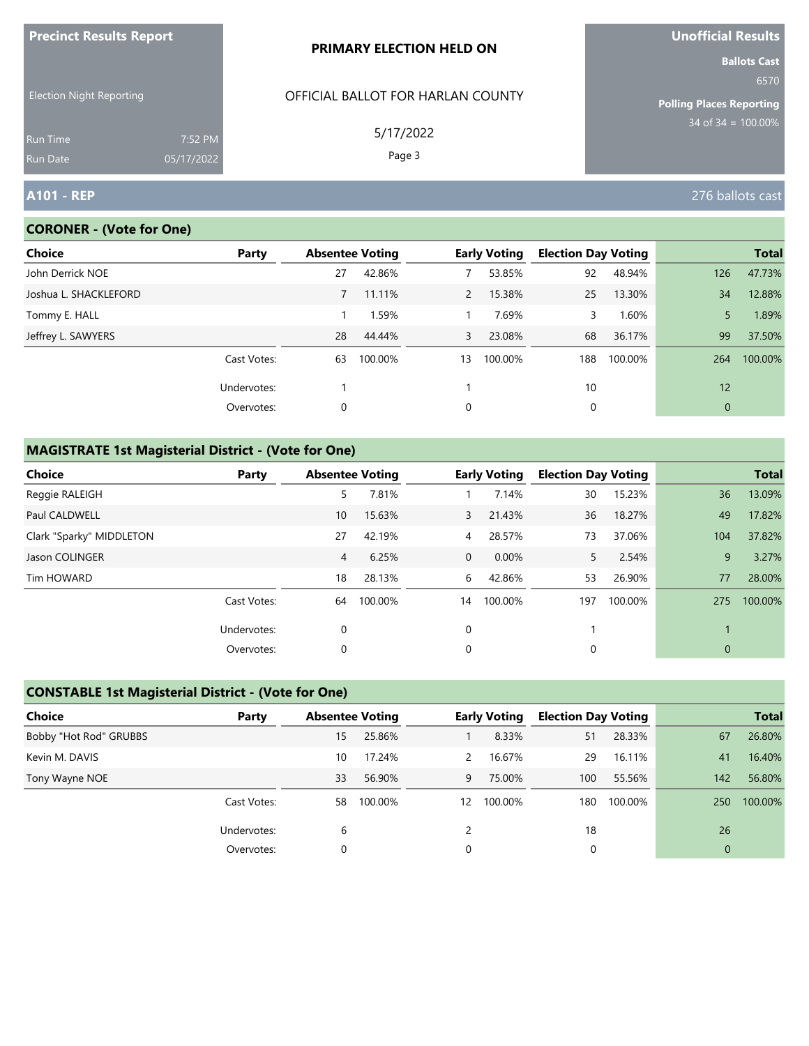| <b>FIGUILL RESULS REPULL</b>       |                       | <b>PRIMARY ELECTION HELD ON</b>   | <b>VIIVIIILIAI NESUILS</b><br><b>Ballots Cast</b> |
|------------------------------------|-----------------------|-----------------------------------|---------------------------------------------------|
| <b>Election Night Reporting</b>    |                       | OFFICIAL BALLOT FOR HARLAN COUNTY | 6570<br><b>Polling Places Reporting</b>           |
| <b>Run Time</b><br><b>Run Date</b> | 7:52 PM<br>05/17/2022 | 5/17/2022<br>Page 3               | $34$ of $34 = 100.00\%$                           |
| <b>A101 - REP</b>                  |                       |                                   | 276 ballots cast                                  |

#### **CORONER - (Vote for One)**

**Precinct Results Report**

| <b>Choice</b>         | Party       | <b>Absentee Voting</b> |         |              | <b>Early Voting</b> | <b>Election Day Voting</b> |         |              | <b>Total</b> |
|-----------------------|-------------|------------------------|---------|--------------|---------------------|----------------------------|---------|--------------|--------------|
| John Derrick NOE      |             | 27                     | 42.86%  |              | 53.85%              | 92                         | 48.94%  | 126          | 47.73%       |
| Joshua L. SHACKLEFORD |             |                        | 11.11%  | $\mathbf{2}$ | 15.38%              | 25                         | 13.30%  | 34           | 12.88%       |
| Tommy E. HALL         |             |                        | 1.59%   |              | 7.69%               | 3                          | 1.60%   | 5.           | 1.89%        |
| Jeffrey L. SAWYERS    |             | 28                     | 44.44%  | $\mathbf{3}$ | 23.08%              | 68                         | 36.17%  | 99           | 37.50%       |
|                       | Cast Votes: | 63                     | 100.00% | 13           | 100.00%             | 188                        | 100.00% | 264          | 100.00%      |
|                       | Undervotes: |                        |         |              |                     | 10                         |         | 12           |              |
|                       | Overvotes:  | 0                      |         | 0            |                     | 0                          |         | $\mathbf{0}$ |              |
|                       |             |                        |         |              |                     |                            |         |              |              |

# **MAGISTRATE 1st Magisterial District - (Vote for One)**

| Choice                   | Party       | <b>Absentee Voting</b> |         |                | <b>Early Voting</b> | <b>Election Day Voting</b> |         |                | <b>Total</b> |
|--------------------------|-------------|------------------------|---------|----------------|---------------------|----------------------------|---------|----------------|--------------|
| Reggie RALEIGH           |             | 5                      | 7.81%   |                | 7.14%               | 30                         | 15.23%  | 36             | 13.09%       |
| <b>Paul CALDWELL</b>     |             | 10 <sup>°</sup>        | 15.63%  | $\mathbf{3}$   | 21.43%              | 36                         | 18.27%  | 49             | 17.82%       |
| Clark "Sparky" MIDDLETON |             | 27                     | 42.19%  | $\overline{4}$ | 28.57%              | 73                         | 37.06%  | 104            | 37.82%       |
| Jason COLINGER           |             | 4                      | 6.25%   | $\mathbf{0}$   | $0.00\%$            | 5                          | 2.54%   | 9              | 3.27%        |
| Tim HOWARD               |             | 18                     | 28.13%  | 6              | 42.86%              | 53                         | 26.90%  | 77             | 28.00%       |
|                          | Cast Votes: | 64                     | 100.00% | 14             | 100.00%             | 197                        | 100.00% | 275            | 100.00%      |
|                          | Undervotes: | 0                      |         | 0              |                     |                            |         |                |              |
|                          | Overvotes:  | 0                      |         | 0              |                     | 0                          |         | $\overline{0}$ |              |

### **CONSTABLE 1st Magisterial District - (Vote for One)**

| Choice                 | Party       | <b>Absentee Voting</b> |         |                   | <b>Early Voting</b> | <b>Election Day Voting</b> |         |              | <b>Total</b> |
|------------------------|-------------|------------------------|---------|-------------------|---------------------|----------------------------|---------|--------------|--------------|
| Bobby "Hot Rod" GRUBBS |             | 15                     | 25.86%  |                   | 8.33%               | 51                         | 28.33%  | 67           | 26.80%       |
| Kevin M. DAVIS         |             | 10                     | 17.24%  | $\mathcal{P}$     | 16.67%              | 29                         | 16.11%  | 41           | 16.40%       |
| Tony Wayne NOE         |             | 33                     | 56.90%  | 9                 | 75.00%              | 100                        | 55.56%  | 142          | 56.80%       |
|                        | Cast Votes: | 58                     | 100.00% | $12 \overline{ }$ | 100.00%             | 180                        | 100.00% | 250          | 100.00%      |
|                        | Undervotes: | 6                      |         |                   |                     | 18                         |         | 26           |              |
|                        | Overvotes:  |                        |         |                   |                     |                            |         | $\mathbf{0}$ |              |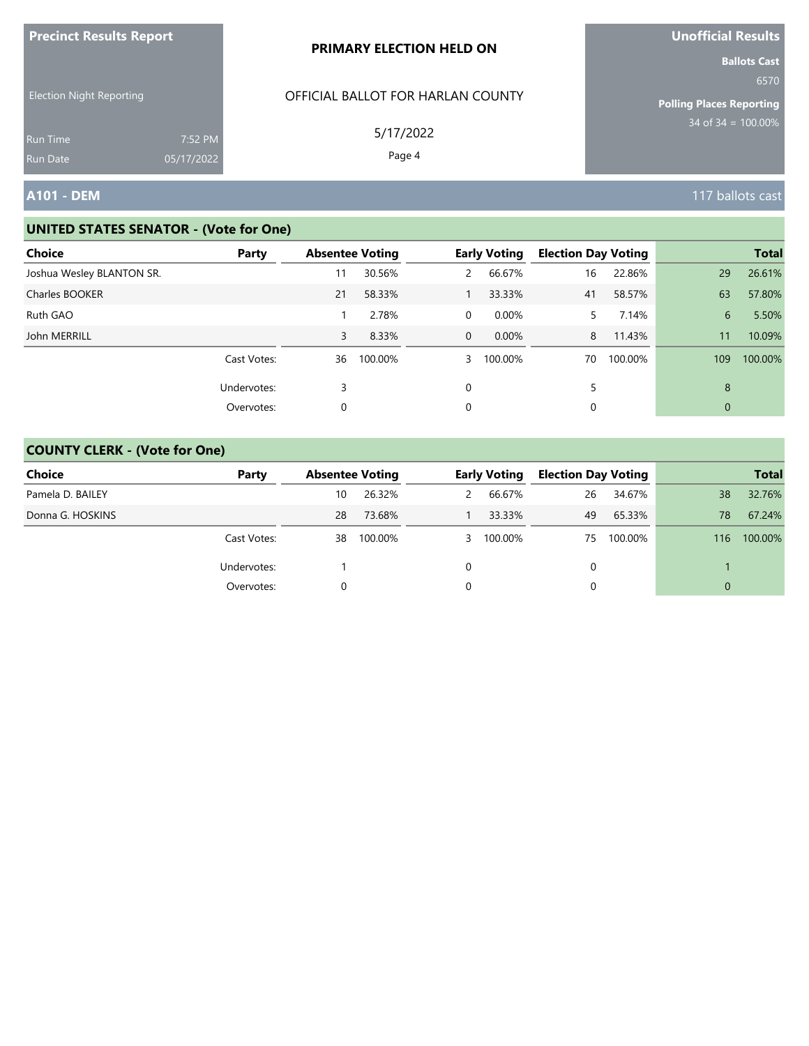| <b>Precinct Results Report</b>                     |            | PRIMARY ELECTION HELD ON                       | <b>Unofficial Results</b>                                                                 |
|----------------------------------------------------|------------|------------------------------------------------|-------------------------------------------------------------------------------------------|
| <b>Election Night Reporting</b><br><b>Run Time</b> | 7:52 PM    | OFFICIAL BALLOT FOR HARLAN COUNTY<br>5/17/2022 | <b>Ballots Cast</b><br>6570<br><b>Polling Places Reporting</b><br>$34$ of $34 = 100.00\%$ |
| <b>Run Date</b>                                    | 05/17/2022 | Page 4                                         |                                                                                           |
| <b>A101 - DEM</b>                                  |            |                                                | 117 ballots cast                                                                          |

| <b>Choice</b>             | Party       | <b>Absentee Voting</b> |         |                | <b>Early Voting</b> | <b>Election Day Voting</b> |         |             | <b>Total</b> |
|---------------------------|-------------|------------------------|---------|----------------|---------------------|----------------------------|---------|-------------|--------------|
| Joshua Wesley BLANTON SR. |             |                        | 30.56%  | $\overline{2}$ | 66.67%              | 16                         | 22.86%  | 29          | 26.61%       |
| Charles BOOKER            |             | 21                     | 58.33%  |                | 33.33%              | 41                         | 58.57%  | 63          | 57.80%       |
| Ruth GAO                  |             |                        | 2.78%   | 0              | 0.00%               | 5.                         | 7.14%   | 6           | 5.50%        |
| John MERRILL              |             | 3                      | 8.33%   | $\Omega$       | $0.00\%$            | 8                          | 11.43%  | 11          | 10.09%       |
|                           | Cast Votes: | 36                     | 100.00% | $\mathbf{3}$   | 100.00%             | 70                         | 100.00% | 109         | 100.00%      |
|                           | Undervotes: | 3                      |         | 0              |                     | 5                          |         | 8           |              |
|                           | Overvotes:  | 0                      |         | 0              |                     | 0                          |         | $\mathbf 0$ |              |

| <b>Choice</b>    | Party       | <b>Absentee Voting</b> |         | <b>Early Voting</b> | <b>Election Day Voting</b> |         |     | <b>Total</b> |
|------------------|-------------|------------------------|---------|---------------------|----------------------------|---------|-----|--------------|
| Pamela D. BAILEY |             | 10                     | 26.32%  | 66.67%              | 26                         | 34.67%  | 38  | 32.76%       |
| Donna G. HOSKINS |             | 28                     | 73.68%  | 33.33%              | 49                         | 65.33%  | 78  | 67.24%       |
|                  | Cast Votes: | 38                     | 100.00% | 3 100.00%           | 75                         | 100.00% | 116 | 100.00%      |
|                  | Undervotes: |                        |         |                     | 0                          |         |     |              |
|                  | Overvotes:  |                        |         |                     | $\Omega$                   |         | 0   |              |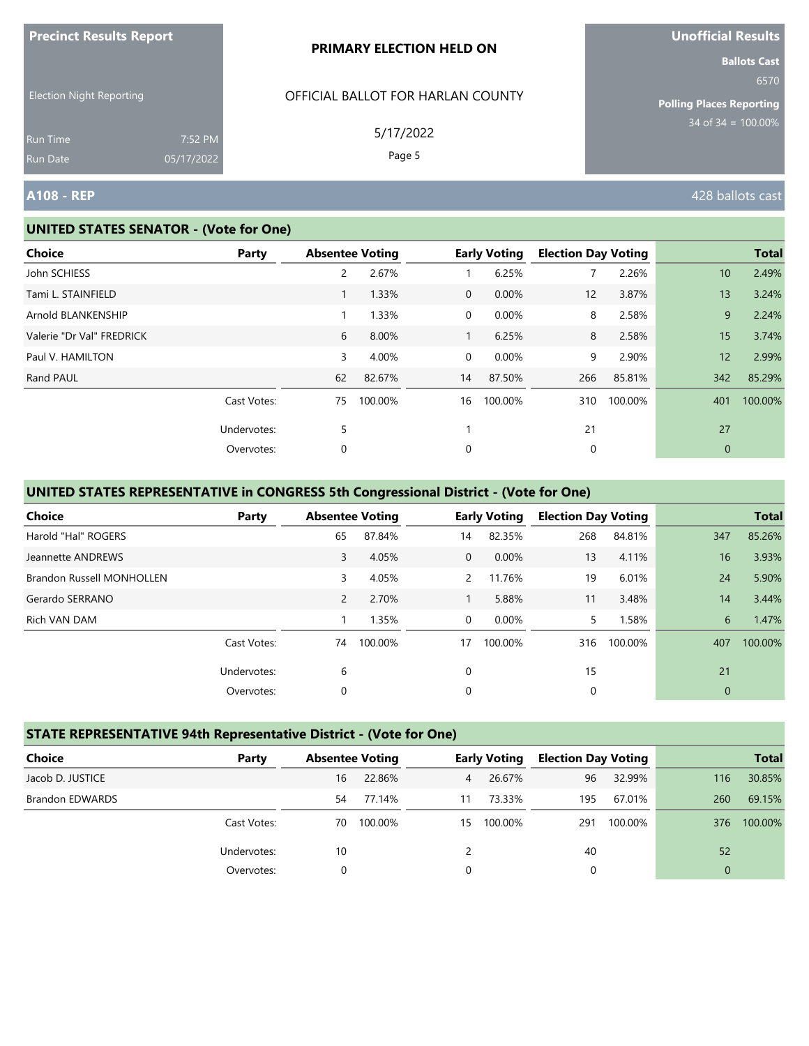|                                 |                       | PRIMARY ELECTION HELD ON          | <b>Ballots Cast</b>              |
|---------------------------------|-----------------------|-----------------------------------|----------------------------------|
| <b>Election Night Reporting</b> |                       | OFFICIAL BALLOT FOR HARLAN COUNTY | 6570<br>Polling Places Reporting |
| <b>Run Time</b><br>Run Date     | 7:52 PM<br>05/17/2022 | 5/17/2022<br>Page 5               | $34$ of 34 = $100.00\%$          |
| A108 - REP                      |                       |                                   | 428 ballots cast                 |

#### **UNITED STATES SENATOR - (Vote for One)**

**Precinct Results Report**

| <b>Choice</b>             | Party       | <b>Absentee Voting</b> |         |                | <b>Early Voting</b> | <b>Election Day Voting</b> |         |                 | <b>Total</b> |
|---------------------------|-------------|------------------------|---------|----------------|---------------------|----------------------------|---------|-----------------|--------------|
| John SCHIESS              |             | $\overline{2}$         | 2.67%   |                | 6.25%               | 7                          | 2.26%   | 10              | 2.49%        |
| Tami L. STAINFIELD        |             | $\mathbf{1}$           | 1.33%   | $\overline{0}$ | 0.00%               | 12                         | 3.87%   | 13              | 3.24%        |
| Arnold BLANKENSHIP        |             | $\mathbf{1}$           | 1.33%   | 0              | 0.00%               | 8                          | 2.58%   | 9               | 2.24%        |
| Valerie "Dr Val" FREDRICK |             | 6                      | 8.00%   | 1              | 6.25%               | 8                          | 2.58%   | 15              | 3.74%        |
| Paul V. HAMILTON          |             | 3                      | 4.00%   | 0              | 0.00%               | 9                          | 2.90%   | 12 <sup>1</sup> | 2.99%        |
| Rand PAUL                 |             | 62                     | 82.67%  | 14             | 87.50%              | 266                        | 85.81%  | 342             | 85.29%       |
|                           | Cast Votes: | 75                     | 100.00% | 16             | 100.00%             | 310                        | 100.00% | 401             | 100.00%      |
|                           | Undervotes: | 5                      |         |                |                     | 21                         |         | 27              |              |
|                           | Overvotes:  | 0                      |         | 0              |                     | 0                          |         | $\mathbf 0$     |              |
|                           |             |                        |         |                |                     |                            |         |                 |              |

# **UNITED STATES REPRESENTATIVE in CONGRESS 5th Congressional District - (Vote for One)**

| <b>Choice</b>                    | Party       | <b>Absentee Voting</b> |         |                | <b>Early Voting</b> | <b>Election Day Voting</b> |         |              | <b>Total</b> |
|----------------------------------|-------------|------------------------|---------|----------------|---------------------|----------------------------|---------|--------------|--------------|
| Harold "Hal" ROGERS              |             | 65                     | 87.84%  | 14             | 82.35%              | 268                        | 84.81%  | 347          | 85.26%       |
| Jeannette ANDREWS                |             | 3                      | 4.05%   | $\Omega$       | 0.00%               | 13                         | 4.11%   | 16           | 3.93%        |
| <b>Brandon Russell MONHOLLEN</b> |             | 3                      | 4.05%   | $\mathcal{P}$  | 11.76%              | 19                         | 6.01%   | 24           | 5.90%        |
| Gerardo SERRANO                  |             | $\overline{2}$         | 2.70%   |                | 5.88%               | 11                         | 3.48%   | 14           | 3.44%        |
| Rich VAN DAM                     |             |                        | 1.35%   | $\overline{0}$ | 0.00%               | 5.                         | 1.58%   | 6            | 1.47%        |
|                                  | Cast Votes: | 74                     | 100.00% | 17             | 100.00%             | 316                        | 100.00% | 407          | 100.00%      |
|                                  | Undervotes: | 6                      |         | 0              |                     | 15                         |         | 21           |              |
|                                  | Overvotes:  | 0                      |         | 0              |                     | 0                          |         | $\mathbf{0}$ |              |

# **STATE REPRESENTATIVE 94th Representative District - (Vote for One)**

| Choice                 | Party       | <b>Absentee Voting</b> |         |                | <b>Early Voting</b> | <b>Election Day Voting</b> |         |          | <b>Total</b> |
|------------------------|-------------|------------------------|---------|----------------|---------------------|----------------------------|---------|----------|--------------|
| Jacob D. JUSTICE       |             | 16                     | 22.86%  | $\overline{4}$ | 26.67%              | 96                         | 32.99%  | 116      | 30.85%       |
| <b>Brandon EDWARDS</b> |             | 54                     | 77.14%  | 11             | 73.33%              | 195                        | 67.01%  | 260      | 69.15%       |
|                        | Cast Votes: | 70                     | 100.00% | 15             | 100.00%             | 291                        | 100.00% | 376      | 100.00%      |
|                        | Undervotes: | 10                     |         |                |                     | 40                         |         | 52       |              |
|                        | Overvotes:  |                        |         | $\Omega$       |                     |                            |         | $\Omega$ |              |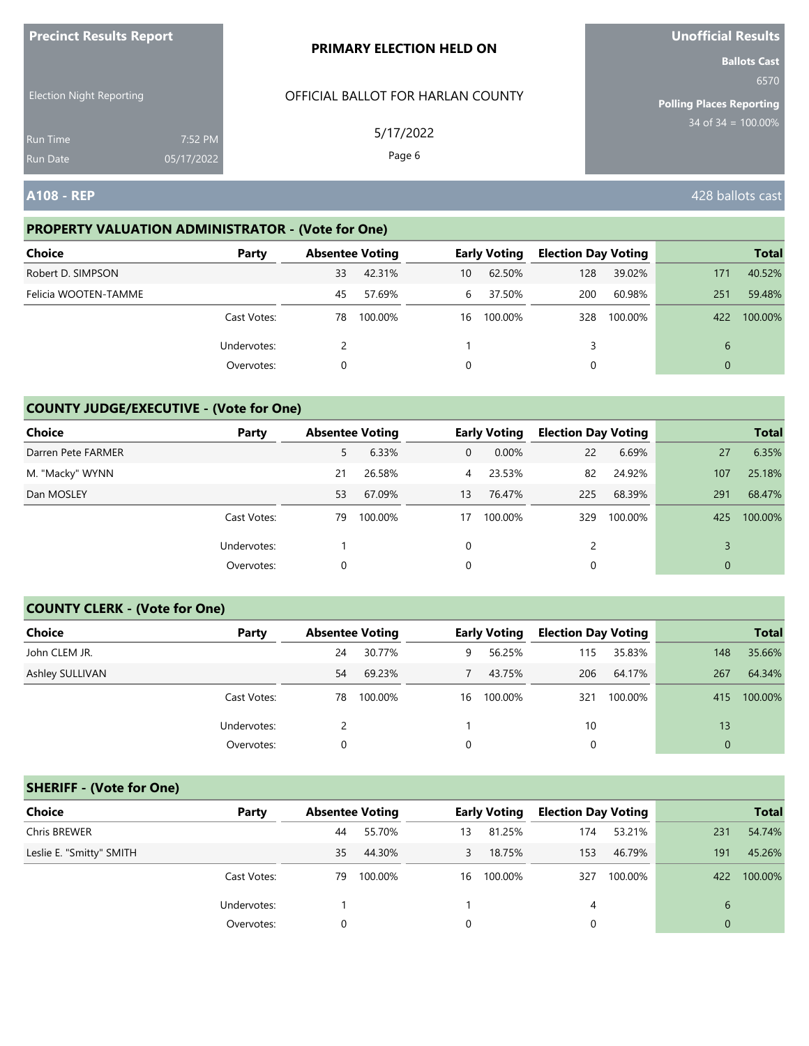| <b>Precinct Results Report</b>     |                       | <b>PRIMARY ELECTION HELD ON</b>   | <b>Unofficial Results</b>       |
|------------------------------------|-----------------------|-----------------------------------|---------------------------------|
|                                    |                       |                                   | <b>Ballots Cast</b><br>6570     |
| <b>Election Night Reporting</b>    |                       | OFFICIAL BALLOT FOR HARLAN COUNTY | <b>Polling Places Reporting</b> |
| <b>Run Time</b><br><b>Run Date</b> | 7:52 PM<br>05/17/2022 | 5/17/2022<br>Page 6               | $34$ of $34 = 100.00\%$         |
| <b>A108 - REP</b>                  |                       |                                   | 428 ballots cast                |

#### **PROPERTY VALUATION ADMINISTRATOR - (Vote for One)**

| <b>Choice</b>        | Party       | <b>Absentee Voting</b> |         |    | <b>Early Voting</b> | <b>Election Day Voting</b> |         |          | <b>Total</b> |
|----------------------|-------------|------------------------|---------|----|---------------------|----------------------------|---------|----------|--------------|
| Robert D. SIMPSON    |             | 33                     | 42.31%  | 10 | 62.50%              | 128                        | 39.02%  | 171      | 40.52%       |
| Felicia WOOTEN-TAMME |             | 45                     | 57.69%  | 6  | 37.50%              | 200                        | 60.98%  | 251      | 59.48%       |
|                      | Cast Votes: | 78                     | 100.00% | 16 | 100.00%             | 328                        | 100.00% | 422      | 100.00%      |
|                      | Undervotes: |                        |         |    |                     |                            |         | 6        |              |
|                      | Overvotes:  |                        |         | 0  |                     |                            |         | $\Omega$ |              |

# **COUNTY JUDGE/EXECUTIVE - (Vote for One)**

| <b>Choice</b>      | Party       | <b>Absentee Voting</b> |         |                | <b>Early Voting</b> | <b>Election Day Voting</b> |         |                | <b>Total</b> |
|--------------------|-------------|------------------------|---------|----------------|---------------------|----------------------------|---------|----------------|--------------|
| Darren Pete FARMER |             | 5                      | 6.33%   | $\overline{0}$ | 0.00%               | 22                         | 6.69%   | 27             | 6.35%        |
| M. "Macky" WYNN    |             | 21                     | 26.58%  | $\overline{4}$ | 23.53%              | 82                         | 24.92%  | 107            | 25.18%       |
| Dan MOSLEY         |             | 53                     | 67.09%  | 13             | 76.47%              | 225                        | 68.39%  | 291            | 68.47%       |
|                    | Cast Votes: | 79                     | 100.00% | 17             | 100.00%             | 329                        | 100.00% | 425            | 100.00%      |
|                    | Undervotes: |                        |         | 0              |                     |                            |         |                |              |
|                    | Overvotes:  | 0                      |         | 0              |                     |                            |         | $\overline{0}$ |              |

#### **COUNTY CLERK - (Vote for One)**

| Choice          | Party       | <b>Absentee Voting</b> |         |    | <b>Early Voting</b> | <b>Election Day Voting</b> |         |              | <b>Total</b> |
|-----------------|-------------|------------------------|---------|----|---------------------|----------------------------|---------|--------------|--------------|
| John CLEM JR.   |             | 24                     | 30.77%  | 9  | 56.25%              | 115                        | 35.83%  | 148          | 35.66%       |
| Ashley SULLIVAN |             | 54                     | 69.23%  |    | 43.75%              | 206                        | 64.17%  | 267          | 64.34%       |
|                 | Cast Votes: | 78                     | 100.00% | 16 | 100.00%             | 321                        | 100.00% | 415          | 100.00%      |
|                 | Undervotes: |                        |         |    |                     | 10                         |         | 13           |              |
|                 | Overvotes:  | 0                      |         | 0  |                     | 0                          |         | $\mathbf{0}$ |              |

### **SHERIFF - (Vote for One)**

| <b>Choice</b>            | Party       | <b>Absentee Voting</b> |         |    | <b>Early Voting</b> | <b>Election Day Voting</b> |         |          | <b>Total</b> |
|--------------------------|-------------|------------------------|---------|----|---------------------|----------------------------|---------|----------|--------------|
| Chris BREWER             |             | 44                     | 55.70%  | 13 | 81.25%              | 174                        | 53.21%  | 231      | 54.74%       |
| Leslie E. "Smitty" SMITH |             | 35                     | 44.30%  | 3  | 18.75%              | 153                        | 46.79%  | 191      | 45.26%       |
|                          | Cast Votes: | 79                     | 100.00% | 16 | 100.00%             | 327                        | 100.00% | 422      | 100.00%      |
|                          | Undervotes: |                        |         |    |                     | 4                          |         | 6        |              |
|                          | Overvotes:  | 0                      |         |    |                     | 0                          |         | $\Omega$ |              |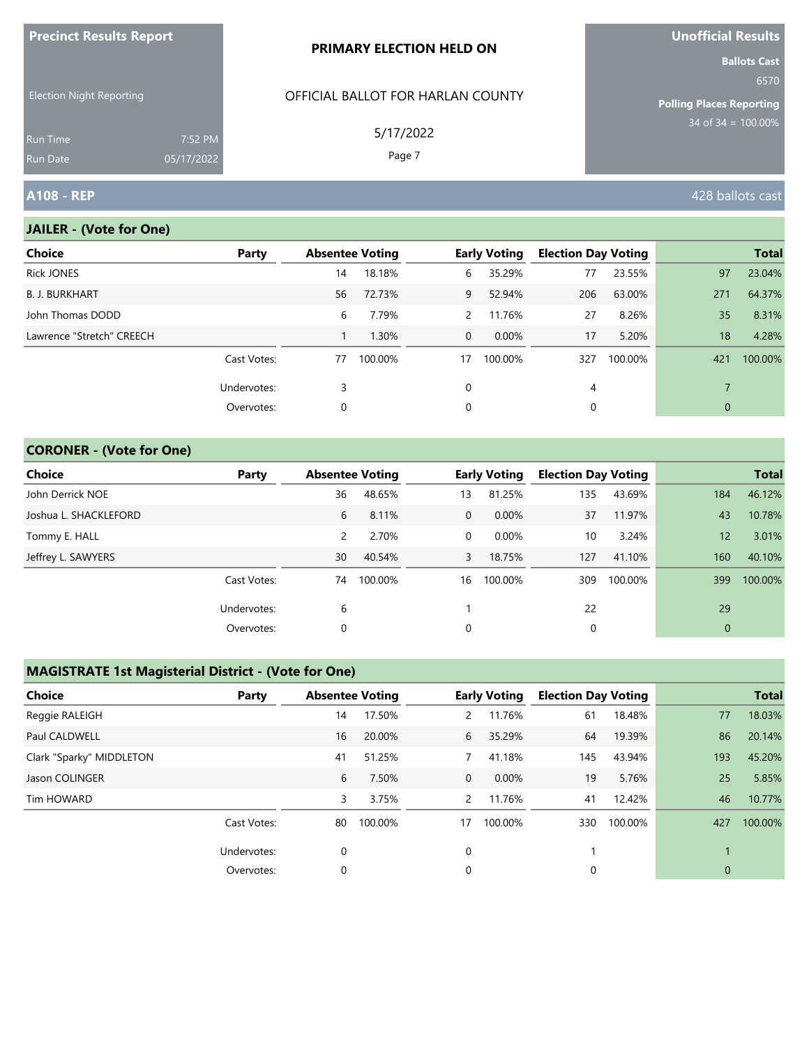| <b>ILLEGATION INCONTRATION INCORPORATION</b> |                       | <b>PRIMARY ELECTION HELD ON</b>   | <b>VIIVIIILIAI INESUILS</b><br><b>Ballots Cast</b> |
|----------------------------------------------|-----------------------|-----------------------------------|----------------------------------------------------|
| <b>Election Night Reporting</b>              |                       | OFFICIAL BALLOT FOR HARLAN COUNTY | 6570<br><b>Polling Places Reporting</b>            |
| <b>Run Time</b><br><b>Run Date</b>           | 7:52 PM<br>05/17/2022 | 5/17/2022<br>Page 7               | $34$ of 34 = 100.00%                               |
| <b>A108 - REP</b>                            |                       |                                   | 428 ballots cast                                   |

## **JAILER - (Vote for One)**

**Precinct Results Report**

| <b>Choice</b>             | Party       | <b>Absentee Voting</b> |         |                | <b>Early Voting</b> | <b>Election Day Voting</b> |         |              | <b>Total</b> |
|---------------------------|-------------|------------------------|---------|----------------|---------------------|----------------------------|---------|--------------|--------------|
| <b>Rick JONES</b>         |             | 14                     | 18.18%  | 6              | 35.29%              | 77                         | 23.55%  | 97           | 23.04%       |
| <b>B. J. BURKHART</b>     |             | 56                     | 72.73%  | 9              | 52.94%              | 206                        | 63.00%  | 271          | 64.37%       |
| John Thomas DODD          |             | 6                      | 7.79%   | $\mathbf{2}$   | 11.76%              | 27                         | 8.26%   | 35           | 8.31%        |
| Lawrence "Stretch" CREECH |             |                        | 1.30%   | $\overline{0}$ | $0.00\%$            | 17                         | 5.20%   | 18           | 4.28%        |
|                           | Cast Votes: | 77                     | 100.00% | 17             | 100.00%             | 327                        | 100.00% | 421          | 100.00%      |
|                           | Undervotes: | 3                      |         | 0              |                     | 4                          |         |              |              |
|                           | Overvotes:  | 0                      |         | 0              |                     | 0                          |         | $\mathbf{0}$ |              |

## **CORONER - (Vote for One)**

| Choice                | Party       | <b>Absentee Voting</b> |         |              | <b>Early Voting</b> |     | <b>Election Day Voting</b> |                | <b>Total</b> |
|-----------------------|-------------|------------------------|---------|--------------|---------------------|-----|----------------------------|----------------|--------------|
| John Derrick NOE      |             | 36                     | 48.65%  | 13           | 81.25%              | 135 | 43.69%                     | 184            | 46.12%       |
| Joshua L. SHACKLEFORD |             | 6                      | 8.11%   | $\mathbf{0}$ | $0.00\%$            | 37  | 11.97%                     | 43             | 10.78%       |
| Tommy E. HALL         |             | 2                      | 2.70%   | 0            | $0.00\%$            | 10  | 3.24%                      | 12             | 3.01%        |
| Jeffrey L. SAWYERS    |             | 30                     | 40.54%  | 3            | 18.75%              | 127 | 41.10%                     | 160            | 40.10%       |
|                       | Cast Votes: | 74                     | 100.00% | 16           | 100.00%             | 309 | 100.00%                    | 399            | 100.00%      |
|                       | Undervotes: | 6                      |         |              |                     | 22  |                            | 29             |              |
|                       | Overvotes:  | 0                      |         | 0            |                     | 0   |                            | $\overline{0}$ |              |

### **MAGISTRATE 1st Magisterial District - (Vote for One)**

| <b>Choice</b>            | Party       | <b>Absentee Voting</b> |         |                | <b>Early Voting</b> | <b>Election Day Voting</b> |         |              | <b>Total</b> |
|--------------------------|-------------|------------------------|---------|----------------|---------------------|----------------------------|---------|--------------|--------------|
| Reggie RALEIGH           |             | 14                     | 17.50%  | $\overline{2}$ | 11.76%              | 61                         | 18.48%  | 77           | 18.03%       |
| Paul CALDWELL            |             | 16                     | 20.00%  | 6              | 35.29%              | 64                         | 19.39%  | 86           | 20.14%       |
| Clark "Sparky" MIDDLETON |             | 41                     | 51.25%  |                | 41.18%              | 145                        | 43.94%  | 193          | 45.20%       |
| Jason COLINGER           |             | 6                      | 7.50%   | $\mathbf 0$    | 0.00%               | 19                         | 5.76%   | 25           | 5.85%        |
| Tim HOWARD               |             | 3                      | 3.75%   | $\overline{2}$ | 11.76%              | 41                         | 12.42%  | 46           | 10.77%       |
|                          | Cast Votes: | 80                     | 100.00% | 17             | 100.00%             | 330                        | 100.00% | 427          | 100.00%      |
|                          | Undervotes: | 0                      |         | 0              |                     |                            |         |              |              |
|                          | Overvotes:  | 0                      |         | 0              |                     | 0                          |         | $\mathbf{0}$ |              |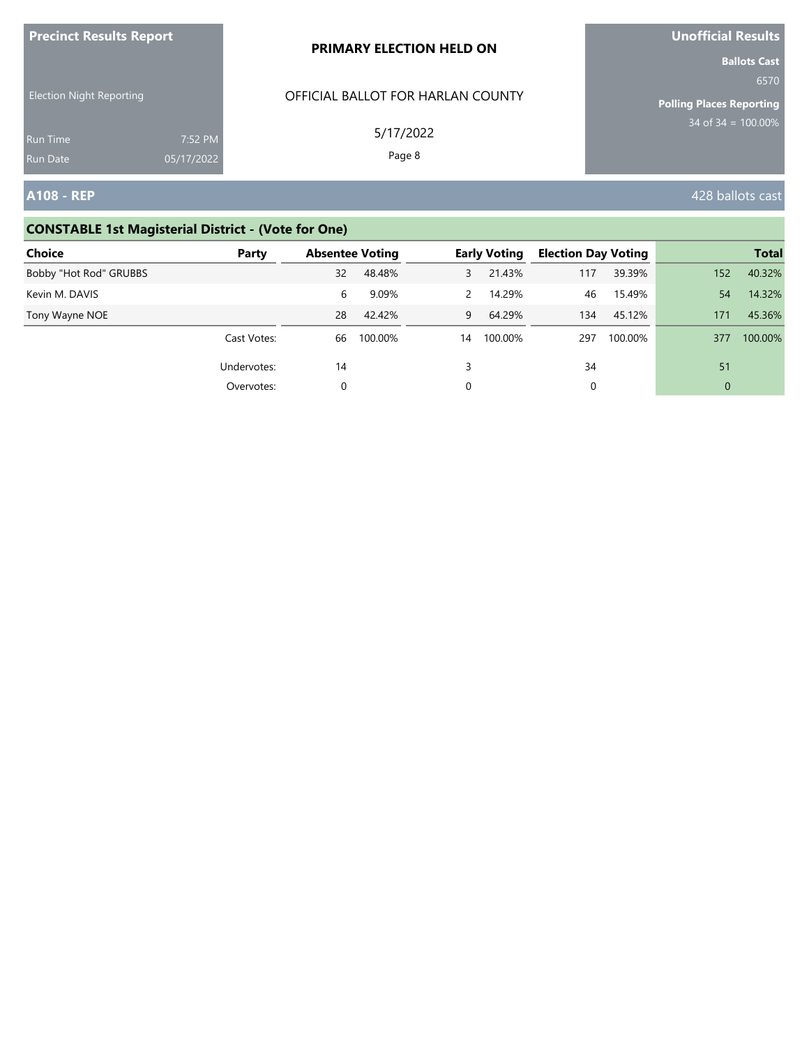| <b>Precinct Results Report</b>     |                       | <b>PRIMARY ELECTION HELD ON</b>   | Unofficial Results                                             |
|------------------------------------|-----------------------|-----------------------------------|----------------------------------------------------------------|
| <b>Election Night Reporting</b>    |                       | OFFICIAL BALLOT FOR HARLAN COUNTY | <b>Ballots Cast</b><br>6570<br><b>Polling Places Reporting</b> |
| <b>Run Time</b><br><b>Run Date</b> | 7:52 PM<br>05/17/2022 | 5/17/2022<br>Page 8               | $34 \text{ of } 34 = 100.00\%$                                 |
| <b>A108 - REP</b>                  |                       |                                   | 428 ballots cast                                               |

# **CONSTABLE 1st Magisterial District - (Vote for One)**

| <b>Choice</b>          | Party       | <b>Absentee Voting</b> |         |               | <b>Early Voting</b> |     | <b>Election Day Voting</b> |                | <b>Total</b> |
|------------------------|-------------|------------------------|---------|---------------|---------------------|-----|----------------------------|----------------|--------------|
| Bobby "Hot Rod" GRUBBS |             | 32                     | 48.48%  | 3             | 21.43%              | 117 | 39.39%                     | 152            | 40.32%       |
| Kevin M. DAVIS         |             | 6                      | 9.09%   | $\mathcal{P}$ | 14.29%              | 46  | 15.49%                     | 54             | 14.32%       |
| Tony Wayne NOE         |             | 28                     | 42.42%  | 9             | 64.29%              | 134 | 45.12%                     | 171            | 45.36%       |
|                        | Cast Votes: | 66                     | 100.00% | 14            | 100.00%             | 297 | 100.00%                    | 377            | 100.00%      |
|                        | Undervotes: | 14                     |         | 3             |                     | 34  |                            | 51             |              |
|                        | Overvotes:  | 0                      |         | 0             |                     | 0   |                            | $\overline{0}$ |              |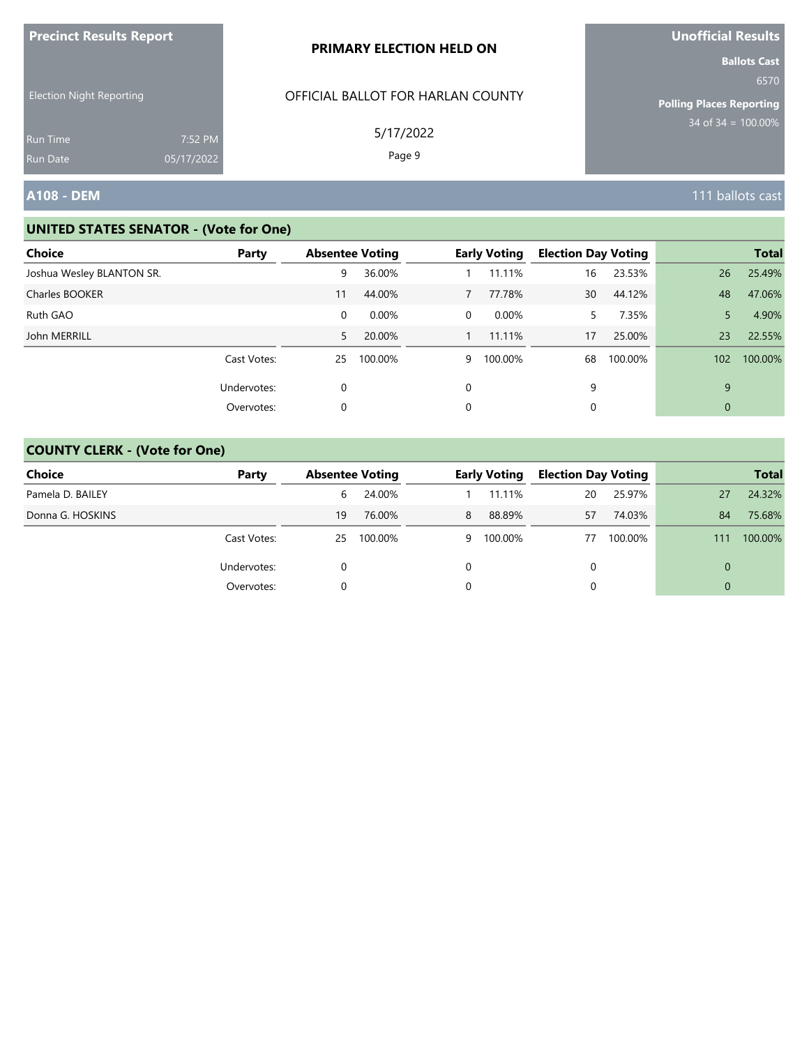| <b>Precinct Results Report</b>  |            | PRIMARY ELECTION HELD ON                       | Unofficial Results                                                                        |
|---------------------------------|------------|------------------------------------------------|-------------------------------------------------------------------------------------------|
| <b>Election Night Reporting</b> |            | OFFICIAL BALLOT FOR HARLAN COUNTY<br>5/17/2022 | <b>Ballots Cast</b><br>6570<br><b>Polling Places Reporting</b><br>$34$ of $34 = 100.00\%$ |
| <b>Run Time</b>                 | 7:52 PM    |                                                |                                                                                           |
| <b>Run Date</b>                 | 05/17/2022 | Page 9                                         |                                                                                           |
| <b>A108 - DEM</b>               |            |                                                | 111 ballots cast                                                                          |

| <b>Choice</b>             | Party       |    | <b>Absentee Voting</b> |          | <b>Early Voting</b> | <b>Election Day Voting</b> |         |             | <b>Total</b> |
|---------------------------|-------------|----|------------------------|----------|---------------------|----------------------------|---------|-------------|--------------|
|                           |             |    |                        |          |                     |                            |         |             |              |
| Joshua Wesley BLANTON SR. |             | 9  | 36.00%                 |          | 11.11%              | 16                         | 23.53%  | 26          | 25.49%       |
| Charles BOOKER            |             | 11 | 44.00%                 |          | 77.78%              | 30                         | 44.12%  | 48          | 47.06%       |
| Ruth GAO                  |             | 0  | $0.00\%$               | 0        | $0.00\%$            | 5.                         | 7.35%   | 5           | 4.90%        |
| John MERRILL              |             | 5  | 20.00%                 |          | 11.11%              | 17                         | 25.00%  | 23          | 22.55%       |
|                           | Cast Votes: | 25 | 100.00%                | 9        | 100.00%             | 68                         | 100.00% | 102         | 100.00%      |
|                           | Undervotes: | 0  |                        | $\Omega$ |                     | 9                          |         | 9           |              |
|                           | Overvotes:  | 0  |                        | 0        |                     | 0                          |         | $\mathbf 0$ |              |
|                           |             |    |                        |          |                     |                            |         |             |              |

| Choice           | Party       |    | <b>Absentee Voting</b> |   | <b>Early Voting</b> |    | <b>Election Day Voting</b> |     | <b>Total</b> |
|------------------|-------------|----|------------------------|---|---------------------|----|----------------------------|-----|--------------|
| Pamela D. BAILEY |             | 6  | 24.00%                 |   | 11.11%              | 20 | 25.97%                     | 27  | 24.32%       |
| Donna G. HOSKINS |             | 19 | 76.00%                 | 8 | 88.89%              | 57 | 74.03%                     | 84  | 75.68%       |
|                  | Cast Votes: | 25 | 100.00%                | 9 | 100.00%             | 77 | 100.00%                    | 111 | 100.00%      |
|                  | Undervotes: |    |                        | 0 |                     |    |                            | 0   |              |
|                  | Overvotes:  |    |                        | 0 |                     |    |                            | 0   |              |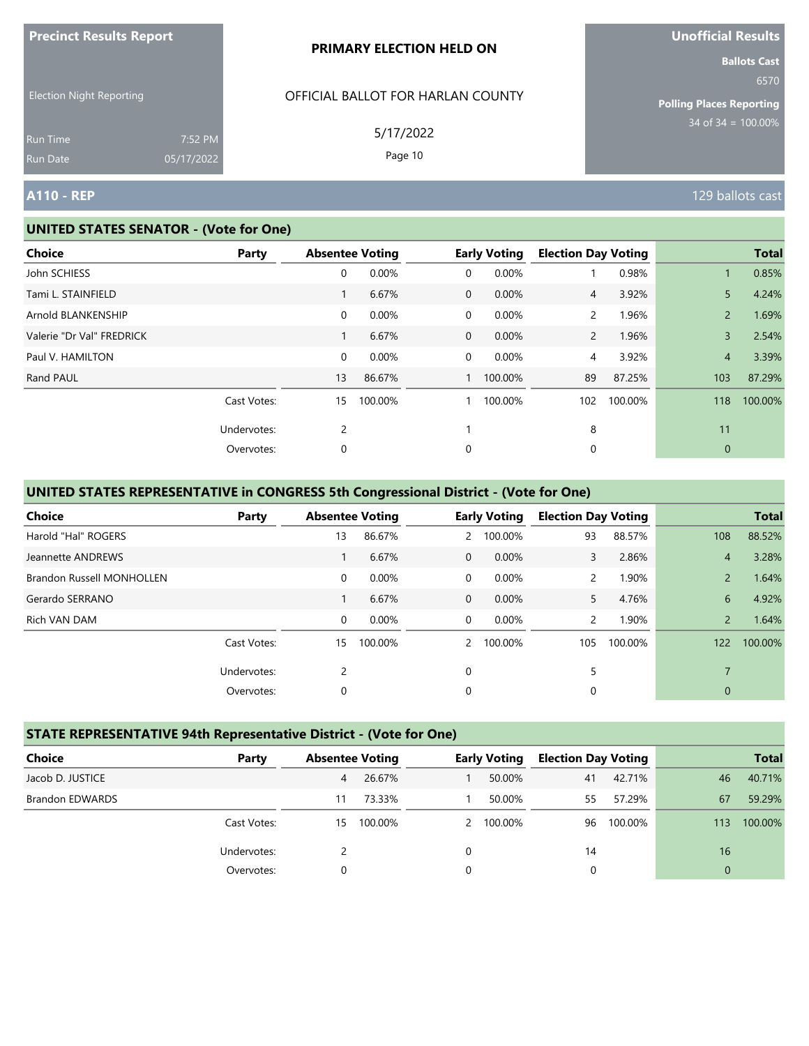| <b>Precinct Results Report</b>  |                       | <b>PRIMARY ELECTION HELD ON</b>   | <b>Unofficial Results</b>                                      |
|---------------------------------|-----------------------|-----------------------------------|----------------------------------------------------------------|
| <b>Election Night Reporting</b> |                       | OFFICIAL BALLOT FOR HARLAN COUNTY | <b>Ballots Cast</b><br>6570<br><b>Polling Places Reporting</b> |
| <b>Run Time</b><br>Run Date     | 7:52 PM<br>05/17/2022 | 5/17/2022<br>Page 10              | 34 of $34 = 100.00\%$                                          |
| <b>A110 - REP</b>               |                       |                                   | 129 ballots cast                                               |

| <b>Choice</b>             | <b>Party</b> | <b>Absentee Voting</b> |         |   | <b>Early Voting</b> | <b>Election Day Voting</b> |         |                | <b>Total</b> |
|---------------------------|--------------|------------------------|---------|---|---------------------|----------------------------|---------|----------------|--------------|
| John SCHIESS              |              | 0                      | 0.00%   | 0 | 0.00%               |                            | 0.98%   |                | 0.85%        |
| Tami L. STAINFIELD        |              |                        | 6.67%   | 0 | 0.00%               | 4                          | 3.92%   | 5              | 4.24%        |
| Arnold BLANKENSHIP        |              | $\overline{0}$         | 0.00%   | 0 | 0.00%               | $\mathbf{2}$               | 1.96%   | $\overline{2}$ | 1.69%        |
| Valerie "Dr Val" FREDRICK |              |                        | 6.67%   | 0 | 0.00%               | $\overline{2}$             | 1.96%   | $\overline{3}$ | 2.54%        |
| Paul V. HAMILTON          |              | $\overline{0}$         | 0.00%   | 0 | 0.00%               | 4                          | 3.92%   | $\overline{4}$ | 3.39%        |
| Rand PAUL                 |              | 13                     | 86.67%  |   | 100.00%             | 89                         | 87.25%  | 103            | 87.29%       |
|                           | Cast Votes:  | 15                     | 100.00% |   | 100.00%             | 102                        | 100.00% | 118            | 100.00%      |
|                           | Undervotes:  | $\overline{2}$         |         |   |                     | 8                          |         | 11             |              |
|                           | Overvotes:   | 0                      |         | 0 |                     | 0                          |         | $\mathbf{0}$   |              |

# **UNITED STATES REPRESENTATIVE in CONGRESS 5th Congressional District - (Vote for One)**

| <b>Choice</b>                    | Party       | <b>Absentee Voting</b> |         |                | <b>Early Voting</b> | <b>Election Day Voting</b> |         |                | <b>Total</b> |
|----------------------------------|-------------|------------------------|---------|----------------|---------------------|----------------------------|---------|----------------|--------------|
| Harold "Hal" ROGERS              |             | 13                     | 86.67%  | $\mathbf{2}$   | 100.00%             | 93                         | 88.57%  | 108            | 88.52%       |
| Jeannette ANDREWS                |             |                        | 6.67%   | $\Omega$       | $0.00\%$            | 3                          | 2.86%   | $\overline{4}$ | 3.28%        |
| <b>Brandon Russell MONHOLLEN</b> |             | $\mathbf 0$            | 0.00%   | $\Omega$       | 0.00%               | $\overline{2}$             | 1.90%   | $\overline{2}$ | 1.64%        |
| Gerardo SERRANO                  |             |                        | 6.67%   | $\overline{0}$ | 0.00%               | 5.                         | 4.76%   | 6              | 4.92%        |
| Rich VAN DAM                     |             | $\mathbf 0$            | 0.00%   | $\overline{0}$ | 0.00%               | $\overline{2}$             | 1.90%   | $\overline{2}$ | 1.64%        |
|                                  | Cast Votes: | 15                     | 100.00% | $\mathcal{P}$  | 100.00%             | 105                        | 100.00% | 122            | 100.00%      |
|                                  | Undervotes: | 2                      |         | $\Omega$       |                     | 5                          |         | $\overline{7}$ |              |
|                                  | Overvotes:  | 0                      |         | 0              |                     | 0                          |         | $\mathbf{0}$   |              |

# **STATE REPRESENTATIVE 94th Representative District - (Vote for One)**

| <b>Choice</b>          | Party       |    | <b>Absentee Voting</b> |          | <b>Early Voting</b> | <b>Election Day Voting</b> |         |          | <b>Total</b> |
|------------------------|-------------|----|------------------------|----------|---------------------|----------------------------|---------|----------|--------------|
| Jacob D. JUSTICE       |             | 4  | 26.67%                 |          | 50.00%              | 41                         | 42.71%  | 46       | 40.71%       |
| <b>Brandon EDWARDS</b> |             | 11 | 73.33%                 |          | 50.00%              | 55                         | 57.29%  | 67       | 59.29%       |
|                        | Cast Votes: | 15 | 100.00%                |          | 2 100.00%           | 96                         | 100.00% | 113      | 100.00%      |
|                        | Undervotes: |    |                        | $\Omega$ |                     | 14                         |         | 16       |              |
|                        | Overvotes:  | 0  |                        | 0        |                     | 0                          |         | $\Omega$ |              |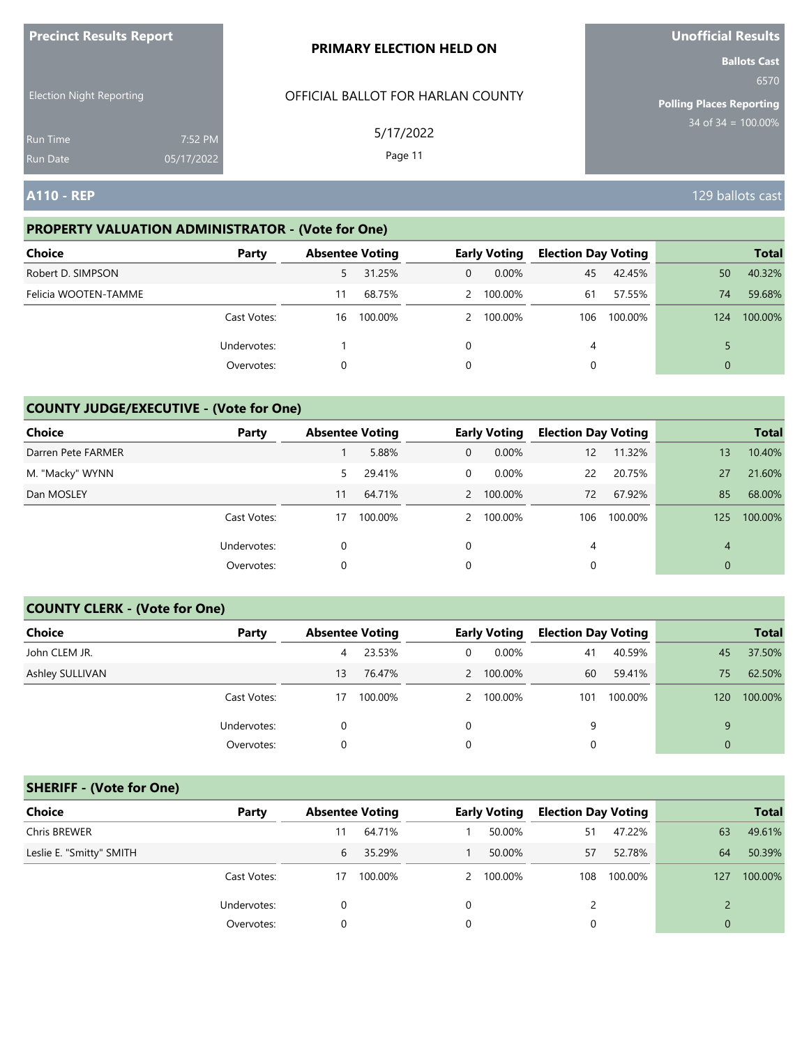| <b>Precinct Results Report</b>     |                       | <b>PRIMARY ELECTION HELD ON</b>   | <b>Unofficial Results</b>                                      |
|------------------------------------|-----------------------|-----------------------------------|----------------------------------------------------------------|
| <b>Election Night Reporting</b>    |                       | OFFICIAL BALLOT FOR HARLAN COUNTY | <b>Ballots Cast</b><br>6570<br><b>Polling Places Reporting</b> |
| <b>Run Time</b><br><b>Run Date</b> | 7:52 PM<br>05/17/2022 | 5/17/2022<br>Page 11              | $34$ of $34 = 100.00\%$                                        |
| <b>A110 - REP</b>                  |                       |                                   | 129 ballots cast                                               |

# **PROPERTY VALUATION ADMINISTRATOR - (Vote for One)**

| <b>Choice</b>        | Party       |    | <b>Absentee Voting</b> |              | <b>Early Voting</b> | <b>Election Day Voting</b> |         |          | <b>Total</b> |
|----------------------|-------------|----|------------------------|--------------|---------------------|----------------------------|---------|----------|--------------|
| Robert D. SIMPSON    |             | 5. | 31.25%                 | $\mathbf{0}$ | $0.00\%$            | 45                         | 42.45%  | 50       | 40.32%       |
| Felicia WOOTEN-TAMME |             | 11 | 68.75%                 |              | 2 100.00%           | 61                         | 57.55%  | 74       | 59.68%       |
|                      | Cast Votes: | 16 | 100.00%                |              | 2 100.00%           | 106                        | 100.00% | 124      | 100.00%      |
|                      | Undervotes: |    |                        | 0            |                     | 4                          |         |          |              |
|                      | Overvotes:  | 0  |                        | 0            |                     | 0                          |         | $\Omega$ |              |

# **COUNTY JUDGE/EXECUTIVE - (Vote for One)**

| Choice             | Party       | <b>Absentee Voting</b> |         |   | <b>Early Voting</b> | <b>Election Day Voting</b> |         |                | <b>Total</b> |
|--------------------|-------------|------------------------|---------|---|---------------------|----------------------------|---------|----------------|--------------|
| Darren Pete FARMER |             |                        | 5.88%   | 0 | $0.00\%$            | 12                         | 11.32%  | 13             | 10.40%       |
| M. "Macky" WYNN    |             | 5                      | 29.41%  | 0 | $0.00\%$            | 22                         | 20.75%  | 27             | 21.60%       |
| Dan MOSLEY         |             | 11                     | 64.71%  |   | 2 100.00%           | 72                         | 67.92%  | 85             | 68.00%       |
|                    | Cast Votes: | 17                     | 100.00% |   | 2 100.00%           | 106                        | 100.00% | 125            | 100.00%      |
|                    | Undervotes: |                        |         | 0 |                     | 4                          |         | $\overline{4}$ |              |
|                    | Overvotes:  | 0                      |         | 0 |                     |                            |         | $\overline{0}$ |              |

#### **COUNTY CLERK - (Vote for One)**

| Choice          | Party       |    | <b>Absentee Voting</b> |   | <b>Early Voting</b> | <b>Election Day Voting</b> |         |              | <b>Total</b> |
|-----------------|-------------|----|------------------------|---|---------------------|----------------------------|---------|--------------|--------------|
| John CLEM JR.   |             | 4  | 23.53%                 | 0 | $0.00\%$            | 41                         | 40.59%  | 45           | 37.50%       |
| Ashley SULLIVAN |             | 13 | 76.47%                 |   | 2 100.00%           | 60                         | 59.41%  | 75           | 62.50%       |
|                 | Cast Votes: | 17 | 100.00%                |   | 2 100.00%           | 101                        | 100.00% | 120          | 100.00%      |
|                 | Undervotes: | 0  |                        | 0 |                     | 9                          |         | 9            |              |
|                 | Overvotes:  | 0  |                        | 0 |                     | 0                          |         | $\mathbf{0}$ |              |

### **SHERIFF - (Vote for One)**

| <b>Choice</b>            | Party       | <b>Absentee Voting</b> |         |          | <b>Early Voting</b> | <b>Election Day Voting</b> |         |          | <b>Total</b> |
|--------------------------|-------------|------------------------|---------|----------|---------------------|----------------------------|---------|----------|--------------|
| Chris BREWER             |             |                        | 64.71%  |          | 50.00%              | 51                         | 47.22%  | 63       | 49.61%       |
| Leslie E. "Smitty" SMITH |             | 6                      | 35.29%  |          | 50.00%              | 57                         | 52.78%  | 64       | 50.39%       |
|                          | Cast Votes: | 17                     | 100.00% |          | 2 100.00%           | 108                        | 100.00% | 127      | 100.00%      |
|                          | Undervotes: | 0                      |         | $\Omega$ |                     |                            |         |          |              |
|                          | Overvotes:  |                        |         |          |                     | 0                          |         | $\Omega$ |              |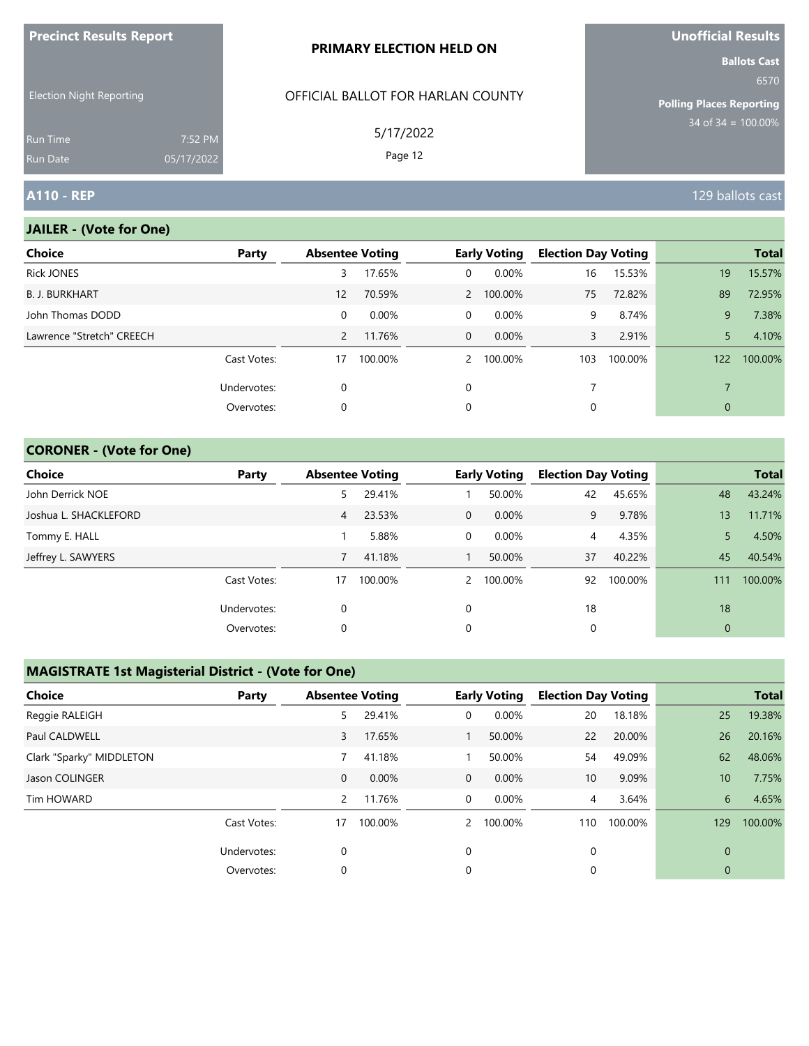| <b>Precinct Results Report</b>  |            | PRIMARY ELECTION HELD ON          | Unofficial Results                                              |
|---------------------------------|------------|-----------------------------------|-----------------------------------------------------------------|
|                                 |            |                                   | <b>Ballots Cast</b>                                             |
| <b>Election Night Reporting</b> |            | OFFICIAL BALLOT FOR HARLAN COUNTY | 6570<br><b>Polling Places Reporting</b><br>$34$ of 34 = 100.00% |
| <b>Run Time</b>                 | 7:52 PM    | 5/17/2022                         |                                                                 |
| <b>Run Date</b>                 | 05/17/2022 | Page 12                           |                                                                 |
| <b>A110 - REP</b>               |            |                                   | 129 ballots cast                                                |

#### **JAILER - (Vote for One)**

| Party       |                |          |                        |          |                                                   |         |                            | <b>Total</b> |
|-------------|----------------|----------|------------------------|----------|---------------------------------------------------|---------|----------------------------|--------------|
|             | 3              | 17.65%   | $\Omega$               | 0.00%    | 16                                                | 15.53%  | 19                         | 15.57%       |
|             | 12             | 70.59%   |                        |          | 75                                                | 72.82%  | 89                         | 72.95%       |
|             | 0              | $0.00\%$ | $\overline{0}$         | $0.00\%$ | 9                                                 | 8.74%   | 9                          | 7.38%        |
|             | $\overline{2}$ | 11.76%   |                        | $0.00\%$ | 3                                                 | 2.91%   | 5                          | 4.10%        |
| Cast Votes: | 17             | 100.00%  |                        | 100.00%  | 103                                               | 100.00% | 122                        | 100.00%      |
| Undervotes: | $\Omega$       |          | $\Omega$               |          | 7                                                 |         | $\overline{7}$             |              |
| Overvotes:  | 0              |          | 0                      |          | 0                                                 |         | 0                          |              |
|             |                |          | <b>Absentee Voting</b> |          | <b>Early Voting</b><br>2 100.00%<br>$\Omega$<br>2 |         | <b>Election Day Voting</b> |              |

### **CORONER - (Vote for One)**

| <b>Choice</b>         | Party       |    | <b>Absentee Voting</b> |                | <b>Early Voting</b> | <b>Election Day Voting</b> |         |                | <b>Total</b> |
|-----------------------|-------------|----|------------------------|----------------|---------------------|----------------------------|---------|----------------|--------------|
| John Derrick NOE      |             | 5  | 29.41%                 |                | 50.00%              | 42                         | 45.65%  | 48             | 43.24%       |
| Joshua L. SHACKLEFORD |             | 4  | 23.53%                 | $\overline{0}$ | $0.00\%$            | 9                          | 9.78%   | 13             | 11.71%       |
| Tommy E. HALL         |             |    | 5.88%                  | 0              | $0.00\%$            | 4                          | 4.35%   |                | 4.50%        |
| Jeffrey L. SAWYERS    |             |    | 41.18%                 |                | 50.00%              | 37                         | 40.22%  | 45             | 40.54%       |
|                       | Cast Votes: | 17 | 100.00%                | $\mathcal{P}$  | 100.00%             | 92                         | 100.00% | 111            | 100.00%      |
|                       | Undervotes: | 0  |                        | $\Omega$       |                     | 18                         |         | 18             |              |
|                       | Overvotes:  | 0  |                        | 0              |                     | 0                          |         | $\overline{0}$ |              |

### **MAGISTRATE 1st Magisterial District - (Vote for One)**

| <b>Choice</b>            | Party       | <b>Absentee Voting</b> |          |              | <b>Early Voting</b> | <b>Election Day Voting</b> |         |                 | <b>Total</b> |
|--------------------------|-------------|------------------------|----------|--------------|---------------------|----------------------------|---------|-----------------|--------------|
| Reggie RALEIGH           |             | 5                      | 29.41%   | 0            | 0.00%               | 20                         | 18.18%  | 25              | 19.38%       |
| Paul CALDWELL            |             | 3                      | 17.65%   |              | 50.00%              | 22                         | 20.00%  | 26              | 20.16%       |
| Clark "Sparky" MIDDLETON |             |                        | 41.18%   |              | 50.00%              | 54                         | 49.09%  | 62              | 48.06%       |
| Jason COLINGER           |             | $\mathbf{0}$           | $0.00\%$ | $\mathbf{0}$ | 0.00%               | 10                         | 9.09%   | 10 <sup>°</sup> | 7.75%        |
| Tim HOWARD               |             | $\overline{2}$         | 11.76%   | 0            | 0.00%               | $\overline{4}$             | 3.64%   | 6               | 4.65%        |
|                          | Cast Votes: | 17                     | 100.00%  |              | 2 100.00%           | 110                        | 100.00% | 129             | 100.00%      |
|                          | Undervotes: | $\mathbf 0$            |          | 0            |                     | $\mathbf 0$                |         | $\mathbf{0}$    |              |
|                          | Overvotes:  | 0                      |          | 0            |                     | 0                          |         | $\mathbf{0}$    |              |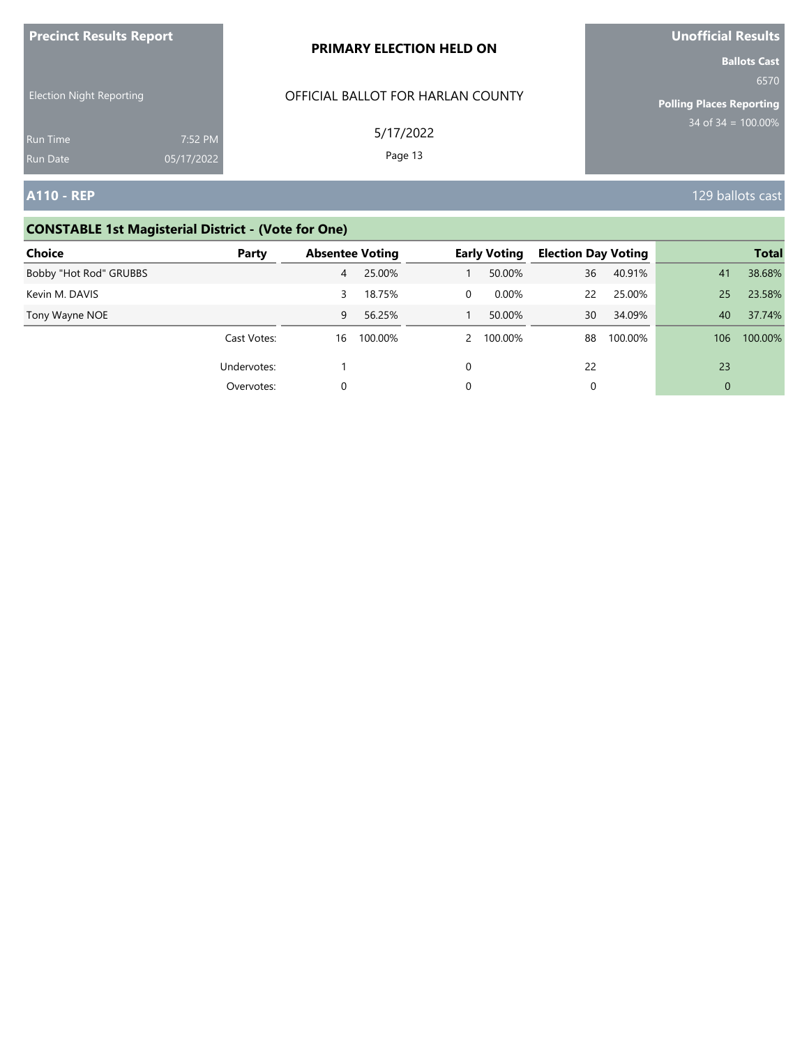| <b>Precinct Results Report</b>     |                       | PRIMARY ELECTION HELD ON          | Unofficial Results                                             |
|------------------------------------|-----------------------|-----------------------------------|----------------------------------------------------------------|
| <b>Election Night Reporting</b>    |                       | OFFICIAL BALLOT FOR HARLAN COUNTY | <b>Ballots Cast</b><br>6570<br><b>Polling Places Reporting</b> |
| <b>Run Time</b><br><b>Run Date</b> | 7:52 PM<br>05/17/2022 | 5/17/2022<br>Page 13              | $34$ of 34 = 100.00%                                           |
| <b>A110 - REP</b>                  |                       |                                   | 129 ballots cast                                               |

# **CONSTABLE 1st Magisterial District - (Vote for One)**

| Choice                 | Party       | <b>Absentee Voting</b> |         |          | <b>Early Voting</b> | <b>Election Day Voting</b> |         |                | <b>Total</b> |
|------------------------|-------------|------------------------|---------|----------|---------------------|----------------------------|---------|----------------|--------------|
| Bobby "Hot Rod" GRUBBS |             | 4                      | 25.00%  |          | 50.00%              | 36                         | 40.91%  | 41             | 38.68%       |
| Kevin M. DAVIS         |             | 3                      | 18.75%  | 0        | 0.00%               | 22                         | 25.00%  | 25             | 23.58%       |
| Tony Wayne NOE         |             | 9                      | 56.25%  |          | 50.00%              | 30                         | 34.09%  | 40             | 37.74%       |
|                        | Cast Votes: | 16                     | 100.00% |          | 100.00%             | 88                         | 100.00% | 106            | 100.00%      |
|                        | Undervotes: |                        |         | $\Omega$ |                     | 22                         |         | 23             |              |
|                        | Overvotes:  | $\Omega$               |         |          |                     | 0                          |         | $\overline{0}$ |              |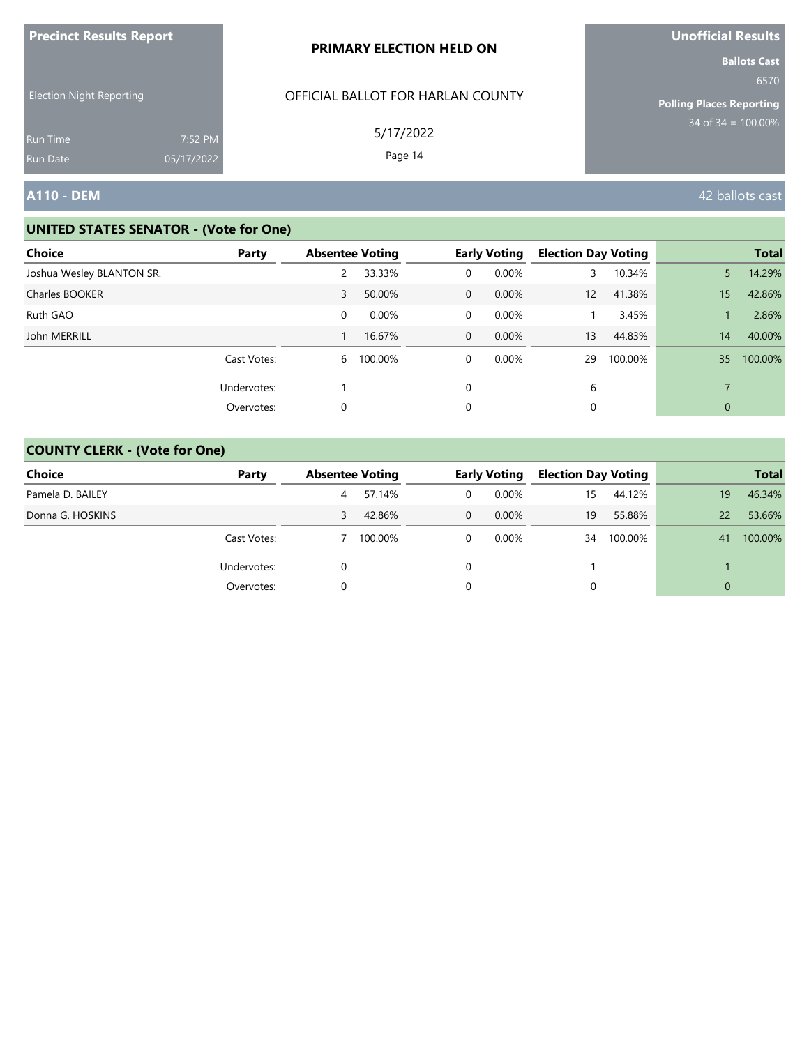| <b>Precinct Results Report</b>       |            | PRIMARY ELECTION HELD ON                       | Unofficial Results                                                                        |
|--------------------------------------|------------|------------------------------------------------|-------------------------------------------------------------------------------------------|
| <b>Election Night Reporting</b>      |            | OFFICIAL BALLOT FOR HARLAN COUNTY<br>5/17/2022 | <b>Ballots Cast</b><br>6570<br><b>Polling Places Reporting</b><br>$34$ of $34 = 100.00\%$ |
| <b>Run Time</b>                      | 7:52 PM    |                                                |                                                                                           |
| <b>Run Date</b><br><b>A110 - DEM</b> | 05/17/2022 | Page 14                                        | 42 ballots cast                                                                           |

| Choice<br>Party           | <b>Absentee Voting</b> |          |                | <b>Early Voting</b> | <b>Election Day Voting</b> |         |             | <b>Total</b> |
|---------------------------|------------------------|----------|----------------|---------------------|----------------------------|---------|-------------|--------------|
|                           |                        |          |                |                     |                            |         |             |              |
| Joshua Wesley BLANTON SR. |                        | 33.33%   | 0              | 0.00%               | 3                          | 10.34%  | 5           | 14.29%       |
| Charles BOOKER            | 3                      | 50.00%   | $\Omega$       | 0.00%               | 12                         | 41.38%  | 15          | 42.86%       |
| Ruth GAO                  | 0                      | $0.00\%$ | 0              | $0.00\%$            |                            | 3.45%   |             | 2.86%        |
| John MERRILL              |                        | 16.67%   | $\overline{0}$ | 0.00%               | 13                         | 44.83%  | 14          | 40.00%       |
| Cast Votes:               | 6                      | 100.00%  | 0              | $0.00\%$            | 29                         | 100.00% | 35          | 100.00%      |
| Undervotes:               |                        |          | 0              |                     | 6                          |         | 7           |              |
| Overvotes:                | 0                      |          | 0              |                     | 0                          |         | $\mathbf 0$ |              |

| <b>Choice</b>    | Party       | <b>Absentee Voting</b> |         |          | <b>Early Voting</b> | <b>Election Day Voting</b> |         |    | <b>Total</b> |
|------------------|-------------|------------------------|---------|----------|---------------------|----------------------------|---------|----|--------------|
| Pamela D. BAILEY |             | 4                      | 57.14%  | 0        | $0.00\%$            | 15                         | 44.12%  | 19 | 46.34%       |
| Donna G. HOSKINS |             | 3                      | 42.86%  | $\Omega$ | $0.00\%$            | 19                         | 55.88%  | 22 | 53.66%       |
|                  | Cast Votes: |                        | 100.00% | 0        | $0.00\%$            | 34                         | 100.00% | 41 | 100.00%      |
|                  | Undervotes: | 0                      |         |          |                     |                            |         |    |              |
|                  | Overvotes:  |                        |         |          |                     |                            |         | 0  |              |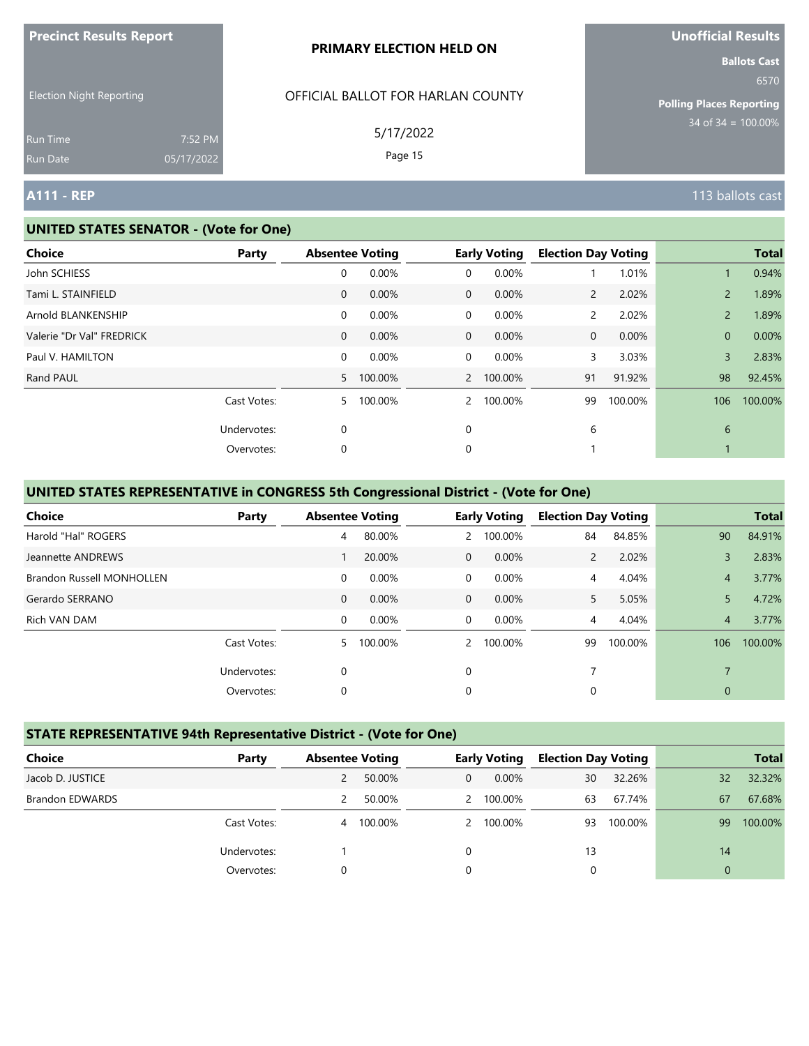|                                                                |                       | PRIMARY ELECTION HELD ON                                  | <b>Ballots Cast</b>                                             |
|----------------------------------------------------------------|-----------------------|-----------------------------------------------------------|-----------------------------------------------------------------|
| <b>Election Night Reporting</b><br><b>Run Time</b><br>Run Date | 7:52 PM<br>05/17/2022 | OFFICIAL BALLOT FOR HARLAN COUNTY<br>5/17/2022<br>Page 15 | 6570<br><b>Polling Places Reporting</b><br>$34$ of 34 = 100.00% |
| <b>A111 - REP</b>                                              |                       |                                                           | 113 ballots cast                                                |

#### **UNITED STATES SENATOR - (Vote for One)**

**Precinct Results Report**

| Choice                    | Party       |                | <b>Absentee Voting</b> |                | <b>Early Voting</b> | <b>Election Day Voting</b> |         |                | <b>Total</b> |
|---------------------------|-------------|----------------|------------------------|----------------|---------------------|----------------------------|---------|----------------|--------------|
| John SCHIESS              |             | 0              | 0.00%                  | 0              | 0.00%               |                            | 1.01%   |                | 0.94%        |
| Tami L. STAINFIELD        |             | $\mathbf{0}$   | 0.00%                  | $\overline{0}$ | 0.00%               | $\mathbf{2}^{\prime}$      | 2.02%   | $\overline{2}$ | 1.89%        |
| Arnold BLANKENSHIP        |             | 0              | 0.00%                  | $\overline{0}$ | 0.00%               | $\mathsf{2}$               | 2.02%   | $\overline{2}$ | 1.89%        |
| Valerie "Dr Val" FREDRICK |             | $\mathbf{0}$   | 0.00%                  | $\overline{0}$ | 0.00%               | $\mathbf{0}$               | 0.00%   | $\mathbf{0}$   | 0.00%        |
| Paul V. HAMILTON          |             | 0              | 0.00%                  | $\Omega$       | 0.00%               | 3                          | 3.03%   | $\overline{3}$ | 2.83%        |
| Rand PAUL                 |             | 5 <sup>7</sup> | 100.00%                |                | 2 100.00%           | 91                         | 91.92%  | 98             | 92.45%       |
|                           | Cast Votes: | 5              | 100.00%                | $\mathbf{2}$   | 100.00%             | 99                         | 100.00% | 106            | 100.00%      |
|                           | Undervotes: | $\mathbf 0$    |                        | $\mathbf 0$    |                     | 6                          |         | 6              |              |
|                           | Overvotes:  | 0              |                        | 0              |                     |                            |         |                |              |
|                           |             |                |                        |                |                     |                            |         |                |              |

# **UNITED STATES REPRESENTATIVE in CONGRESS 5th Congressional District - (Vote for One)**

| Choice                           | Party       | <b>Absentee Voting</b> |          |                | <b>Early Voting</b> | <b>Election Day Voting</b> |         |                | <b>Total</b> |
|----------------------------------|-------------|------------------------|----------|----------------|---------------------|----------------------------|---------|----------------|--------------|
| Harold "Hal" ROGERS              |             | 4                      | 80.00%   | $\mathbf{2}$   | 100.00%             | 84                         | 84.85%  | 90             | 84.91%       |
| Jeannette ANDREWS                |             |                        | 20.00%   | $\Omega$       | 0.00%               | $\overline{2}$             | 2.02%   | 3              | 2.83%        |
| <b>Brandon Russell MONHOLLEN</b> |             | $\mathbf 0$            | $0.00\%$ | $\Omega$       | 0.00%               | 4                          | 4.04%   | $\overline{4}$ | 3.77%        |
| Gerardo SERRANO                  |             | $\mathbf{0}$           | 0.00%    | $\mathbf 0$    | 0.00%               | 5.                         | 5.05%   | 5              | 4.72%        |
| Rich VAN DAM                     |             | $\mathbf 0$            | 0.00%    | $\overline{0}$ | 0.00%               | 4                          | 4.04%   | $\overline{4}$ | 3.77%        |
|                                  | Cast Votes: | 5.                     | 100.00%  | $\mathcal{P}$  | 100.00%             | 99                         | 100.00% | 106            | 100.00%      |
|                                  | Undervotes: | 0                      |          | $\Omega$       |                     | 7                          |         |                |              |
|                                  | Overvotes:  | 0                      |          | 0              |                     | 0                          |         | $\mathbf{0}$   |              |

## **STATE REPRESENTATIVE 94th Representative District - (Vote for One)**

| Choice                 | Party       | <b>Absentee Voting</b> |         |                | <b>Early Voting</b> | <b>Election Day Voting</b> |         |          | <b>Total</b> |
|------------------------|-------------|------------------------|---------|----------------|---------------------|----------------------------|---------|----------|--------------|
| Jacob D. JUSTICE       |             |                        | 50.00%  | $\overline{0}$ | $0.00\%$            | 30                         | 32.26%  | 32       | 32.32%       |
| <b>Brandon EDWARDS</b> |             |                        | 50.00%  |                | 2 100.00%           | 63                         | 67.74%  | 67       | 67.68%       |
|                        | Cast Votes: | 4                      | 100.00% |                | 2 100.00%           | 93                         | 100.00% | 99       | 100.00%      |
|                        | Undervotes: |                        |         | $\Omega$       |                     | 13                         |         | 14       |              |
|                        | Overvotes:  |                        |         | 0              |                     |                            |         | $\Omega$ |              |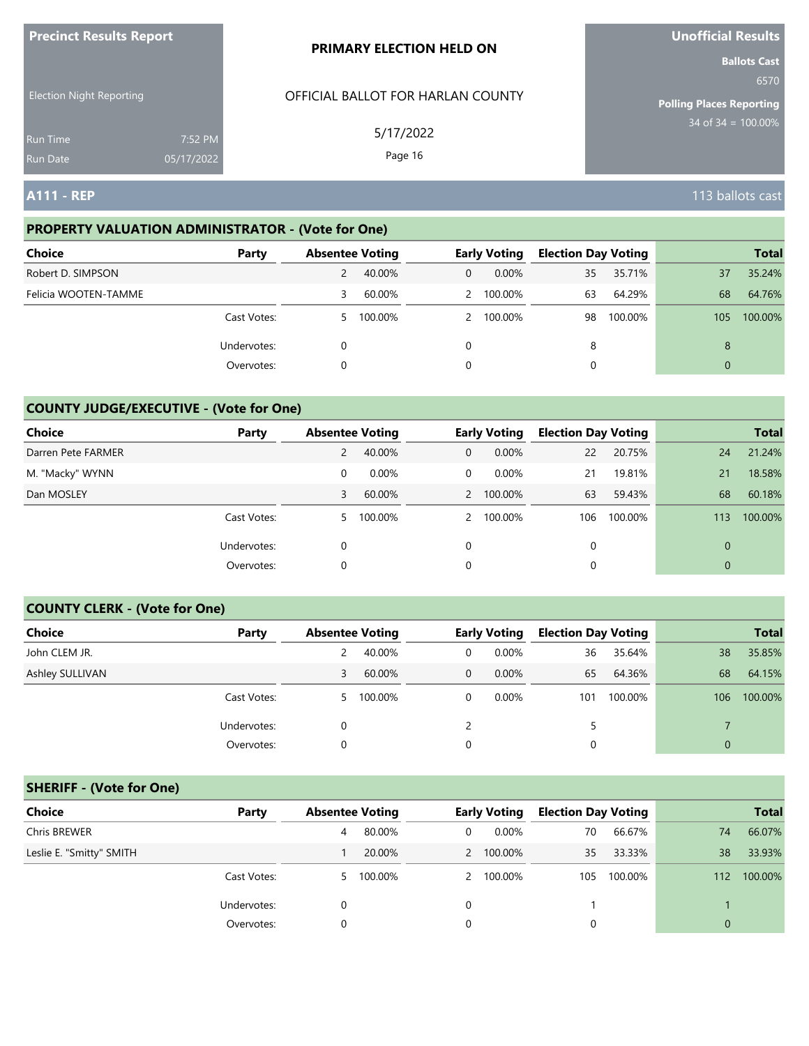| <b>Precinct Results Report</b>     |                       | <b>PRIMARY ELECTION HELD ON</b>   | <b>Unofficial Results</b>                                      |
|------------------------------------|-----------------------|-----------------------------------|----------------------------------------------------------------|
| <b>Election Night Reporting</b>    |                       | OFFICIAL BALLOT FOR HARLAN COUNTY | <b>Ballots Cast</b><br>6570<br><b>Polling Places Reporting</b> |
| <b>Run Time</b><br><b>Run Date</b> | 7:52 PM<br>05/17/2022 | 5/17/2022<br>Page 16              | $34$ of $34 = 100.00\%$                                        |
| <b>A111 - REP</b>                  |                       |                                   | 113 ballots cast                                               |

# **PROPERTY VALUATION ADMINISTRATOR - (Vote for One)**

| Choice               | Party       | <b>Absentee Voting</b> |           |              | <b>Early Voting</b> | <b>Election Day Voting</b> |         |                | <b>Total</b> |
|----------------------|-------------|------------------------|-----------|--------------|---------------------|----------------------------|---------|----------------|--------------|
| Robert D. SIMPSON    |             |                        | 40.00%    | $\mathbf{0}$ | $0.00\%$            | 35                         | 35.71%  | 37             | 35.24%       |
| Felicia WOOTEN-TAMME |             | 3                      | 60.00%    |              | 2 100.00%           | 63                         | 64.29%  | 68             | 64.76%       |
|                      | Cast Votes: |                        | 5 100.00% |              | 2 100.00%           | 98                         | 100.00% | 105            | 100.00%      |
|                      | Undervotes: | 0                      |           | 0            |                     | 8                          |         | 8              |              |
|                      | Overvotes:  | 0                      |           | 0            |                     |                            |         | $\overline{0}$ |              |

# **COUNTY JUDGE/EXECUTIVE - (Vote for One)**

| Choice             | Party       | <b>Absentee Voting</b> |          |                | <b>Early Voting</b> | <b>Election Day Voting</b> |         |                | <b>Total</b> |
|--------------------|-------------|------------------------|----------|----------------|---------------------|----------------------------|---------|----------------|--------------|
| Darren Pete FARMER |             | $\mathbf{2}^{\prime}$  | 40.00%   | $\overline{0}$ | $0.00\%$            | 22                         | 20.75%  | 24             | 21.24%       |
| M. "Macky" WYNN    |             | 0                      | $0.00\%$ | $\mathbf{0}$   | $0.00\%$            | 21                         | 19.81%  | 21             | 18.58%       |
| Dan MOSLEY         |             | 3                      | 60.00%   |                | 2 100.00%           | 63                         | 59.43%  | 68             | 60.18%       |
|                    | Cast Votes: | 5                      | 100.00%  |                | 2 100.00%           | 106                        | 100.00% | 113            | 100.00%      |
|                    | Undervotes: | 0                      |          | $\Omega$       |                     |                            |         | $\Omega$       |              |
|                    | Overvotes:  | 0                      |          | 0              |                     |                            |         | $\overline{0}$ |              |

#### **COUNTY CLERK - (Vote for One)**

| Choice          | Party       | <b>Absentee Voting</b> |         |              | <b>Early Voting</b> | <b>Election Day Voting</b> |         |              | <b>Total</b> |
|-----------------|-------------|------------------------|---------|--------------|---------------------|----------------------------|---------|--------------|--------------|
| John CLEM JR.   |             | 2                      | 40.00%  | 0            | 0.00%               | 36                         | 35.64%  | 38           | 35.85%       |
| Ashley SULLIVAN |             | 3                      | 60.00%  | $\mathbf{0}$ | 0.00%               | 65                         | 64.36%  | 68           | 64.15%       |
|                 | Cast Votes: | 5.                     | 100.00% | 0            | $0.00\%$            | 101                        | 100.00% | 106          | 100.00%      |
|                 | Undervotes: |                        |         |              |                     | 5                          |         |              |              |
|                 | Overvotes:  | 0                      |         | 0            |                     | 0                          |         | $\mathbf{0}$ |              |

### **SHERIFF - (Vote for One)**

| <b>Choice</b>            | Party       | <b>Absentee Voting</b> |         |          | <b>Early Voting</b> | <b>Election Day Voting</b> |         |              | <b>Total</b> |
|--------------------------|-------------|------------------------|---------|----------|---------------------|----------------------------|---------|--------------|--------------|
| Chris BREWER             |             | 4                      | 80.00%  | $\Omega$ | $0.00\%$            | 70                         | 66.67%  | 74           | 66.07%       |
| Leslie E. "Smitty" SMITH |             |                        | 20.00%  |          | 2 100.00%           | 35                         | 33.33%  | 38           | 33.93%       |
|                          | Cast Votes: | 5.                     | 100.00% |          | 2 100.00%           | 105                        | 100.00% | 112          | 100.00%      |
|                          | Undervotes: | $\Omega$               |         | 0        |                     |                            |         |              |              |
|                          | Overvotes:  | 0                      |         |          |                     | 0                          |         | $\mathbf{0}$ |              |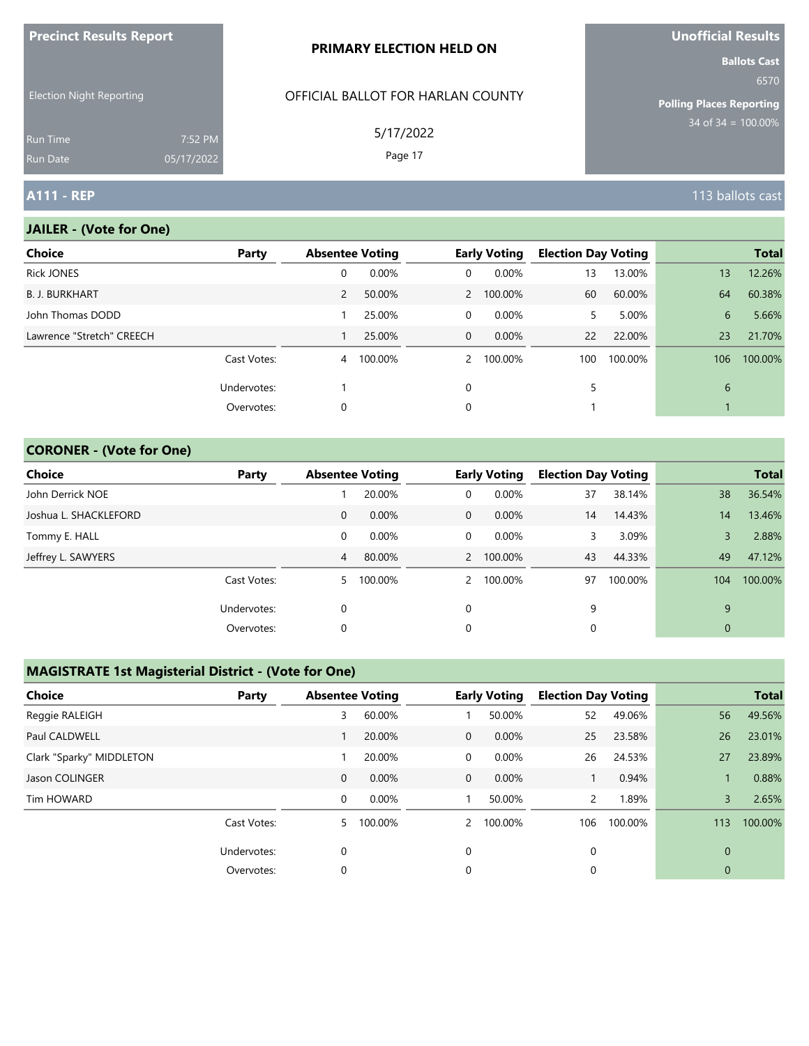| <b>LIECHICLIZESAIRS IZENAIL</b>    |                       | <b>PRIMARY ELECTION HELD ON</b>   | <b>UIIUIIILIAI INGUILD</b><br><b>Ballots Cast</b> |
|------------------------------------|-----------------------|-----------------------------------|---------------------------------------------------|
| <b>Election Night Reporting</b>    |                       | OFFICIAL BALLOT FOR HARLAN COUNTY | 6570<br><b>Polling Places Reporting</b>           |
| <b>Run Time</b><br><b>Run Date</b> | 7:52 PM<br>05/17/2022 | 5/17/2022<br>Page 17              | $34$ of 34 = $100.00\%$                           |
| <b>A111 - REP</b>                  |                       |                                   | 113 ballots cast                                  |

### **JAILER - (Vote for One)**

**Precinct Results Report**

| <b>Choice</b>             | Party       | <b>Absentee Voting</b> |         |                | <b>Early Voting</b> | <b>Election Day Voting</b> |         |     | <b>Total</b> |
|---------------------------|-------------|------------------------|---------|----------------|---------------------|----------------------------|---------|-----|--------------|
| <b>Rick JONES</b>         |             | 0                      | 0.00%   | $\overline{0}$ | 0.00%               | 13                         | 13.00%  | 13  | 12.26%       |
| <b>B. J. BURKHART</b>     |             | 2                      | 50.00%  |                | 2 100.00%           | 60                         | 60.00%  | 64  | 60.38%       |
| John Thomas DODD          |             |                        | 25.00%  | $\overline{0}$ | 0.00%               | 5.                         | 5.00%   | 6   | 5.66%        |
| Lawrence "Stretch" CREECH |             |                        | 25.00%  | $\overline{0}$ | $0.00\%$            | 22                         | 22.00%  | 23  | 21.70%       |
|                           | Cast Votes: | $\overline{4}$         | 100.00% | $\overline{2}$ | 100.00%             | 100                        | 100.00% | 106 | 100.00%      |
|                           | Undervotes: |                        |         | 0              |                     | 5                          |         | 6   |              |
|                           | Overvotes:  | 0                      |         | 0              |                     |                            |         |     |              |

### **CORONER - (Vote for One)**

| <b>Choice</b>         | Party       | <b>Absentee Voting</b> |          |                | <b>Early Voting</b> | <b>Election Day Voting</b> |         |     | <b>Total</b> |
|-----------------------|-------------|------------------------|----------|----------------|---------------------|----------------------------|---------|-----|--------------|
| John Derrick NOE      |             |                        | 20.00%   | 0              | 0.00%               | 37                         | 38.14%  | 38  | 36.54%       |
| Joshua L. SHACKLEFORD |             | 0                      | $0.00\%$ | $\overline{0}$ | $0.00\%$            | 14                         | 14.43%  | 14  | 13.46%       |
| Tommy E. HALL         |             | 0                      | 0.00%    | 0              | 0.00%               | 3                          | 3.09%   | 3   | 2.88%        |
| Jeffrey L. SAWYERS    |             | 4                      | 80.00%   |                | 2 100.00%           | 43                         | 44.33%  | 49  | 47.12%       |
|                       | Cast Votes: | 5                      | 100.00%  | $\mathcal{P}$  | 100.00%             | 97                         | 100.00% | 104 | 100.00%      |
|                       | Undervotes: | 0                      |          | $\Omega$       |                     | 9                          |         | 9   |              |
|                       | Overvotes:  | 0                      |          | 0              |                     |                            |         | 0   |              |

# **MAGISTRATE 1st Magisterial District - (Vote for One)**

| <b>Choice</b>            | Party       | <b>Absentee Voting</b> |         |              | <b>Early Voting</b> | <b>Election Day Voting</b> |         |                | <b>Total</b> |
|--------------------------|-------------|------------------------|---------|--------------|---------------------|----------------------------|---------|----------------|--------------|
| Reggie RALEIGH           |             | 3                      | 60.00%  |              | 50.00%              | 52                         | 49.06%  | 56             | 49.56%       |
| Paul CALDWELL            |             |                        | 20.00%  | $\mathbf{0}$ | 0.00%               | 25                         | 23.58%  | 26             | 23.01%       |
| Clark "Sparky" MIDDLETON |             |                        | 20.00%  | 0            | 0.00%               | 26                         | 24.53%  | 27             | 23.89%       |
| Jason COLINGER           |             | 0                      | 0.00%   | $\mathbf{0}$ | 0.00%               |                            | 0.94%   |                | 0.88%        |
| <b>Tim HOWARD</b>        |             | 0                      | 0.00%   |              | 50.00%              | $\mathbf{2}$               | 1.89%   | $\overline{3}$ | 2.65%        |
|                          | Cast Votes: | 5.                     | 100.00% | $\mathbf{2}$ | 100.00%             | 106                        | 100.00% | 113            | 100.00%      |
|                          | Undervotes: | 0                      |         | $\Omega$     |                     | $\mathbf 0$                |         | 0              |              |
|                          | Overvotes:  | C                      |         | 0            |                     | 0                          |         | 0              |              |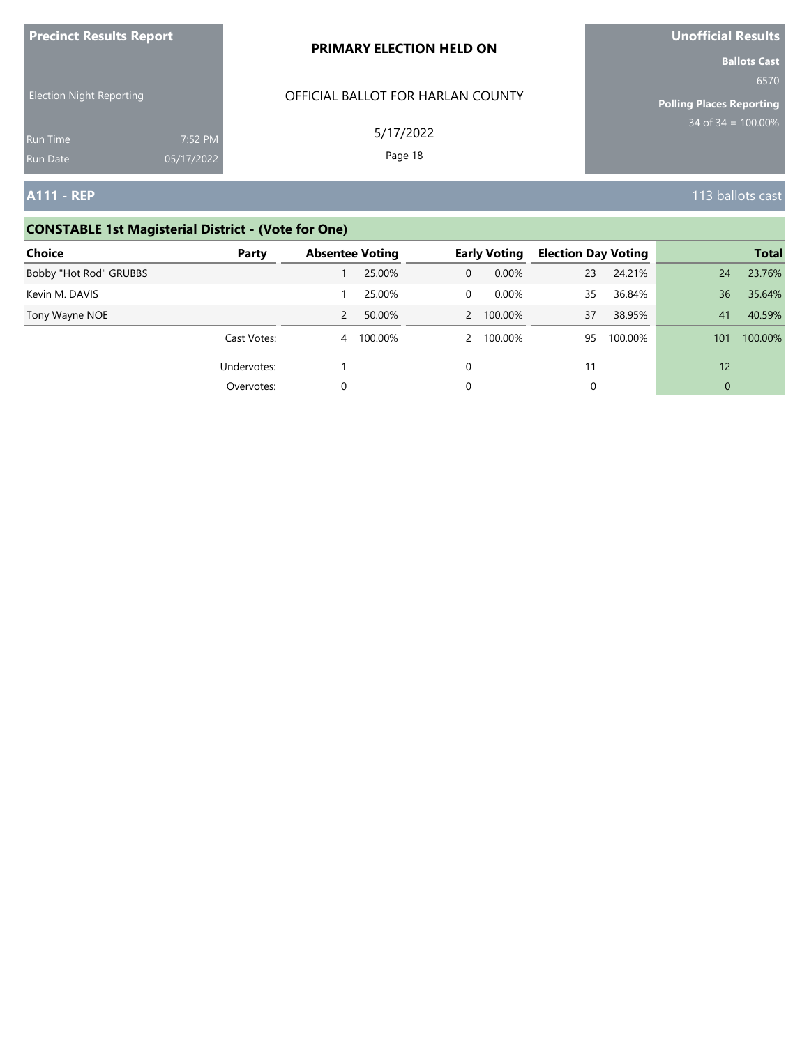| <b>Precinct Results Report</b>     |                       | <b>PRIMARY ELECTION HELD ON</b>   | Unofficial Results                                             |  |  |  |
|------------------------------------|-----------------------|-----------------------------------|----------------------------------------------------------------|--|--|--|
| <b>Election Night Reporting</b>    |                       | OFFICIAL BALLOT FOR HARLAN COUNTY | <b>Ballots Cast</b><br>6570<br><b>Polling Places Reporting</b> |  |  |  |
| <b>Run Time</b><br><b>Run Date</b> | 7:52 PM<br>05/17/2022 | 5/17/2022<br>Page 18              | $34 \text{ of } 34 = 100.00\%$                                 |  |  |  |
| <b>A111 - REP</b>                  |                       |                                   | 113 ballots cast                                               |  |  |  |

# **CONSTABLE 1st Magisterial District - (Vote for One)**

| <b>Choice</b>          | Party       | <b>Absentee Voting</b> |         |               | <b>Early Voting</b> | <b>Election Day Voting</b> |         |          | <b>Total</b> |
|------------------------|-------------|------------------------|---------|---------------|---------------------|----------------------------|---------|----------|--------------|
| Bobby "Hot Rod" GRUBBS |             |                        | 25.00%  | $\Omega$      | 0.00%               | 23                         | 24.21%  | 24       | 23.76%       |
| Kevin M. DAVIS         |             |                        | 25.00%  | $\Omega$      | $0.00\%$            | 35                         | 36.84%  | 36       | 35.64%       |
| Tony Wayne NOE         |             |                        | 50.00%  |               | 2 100.00%           | 37                         | 38.95%  | 41       | 40.59%       |
|                        | Cast Votes: | $\overline{4}$         | 100.00% | $\mathcal{P}$ | 100.00%             | 95                         | 100.00% | 101      | 100.00%      |
|                        | Undervotes: |                        |         | 0             |                     | 11                         |         | 12       |              |
|                        | Overvotes:  | 0                      |         | 0             |                     | 0                          |         | $\Omega$ |              |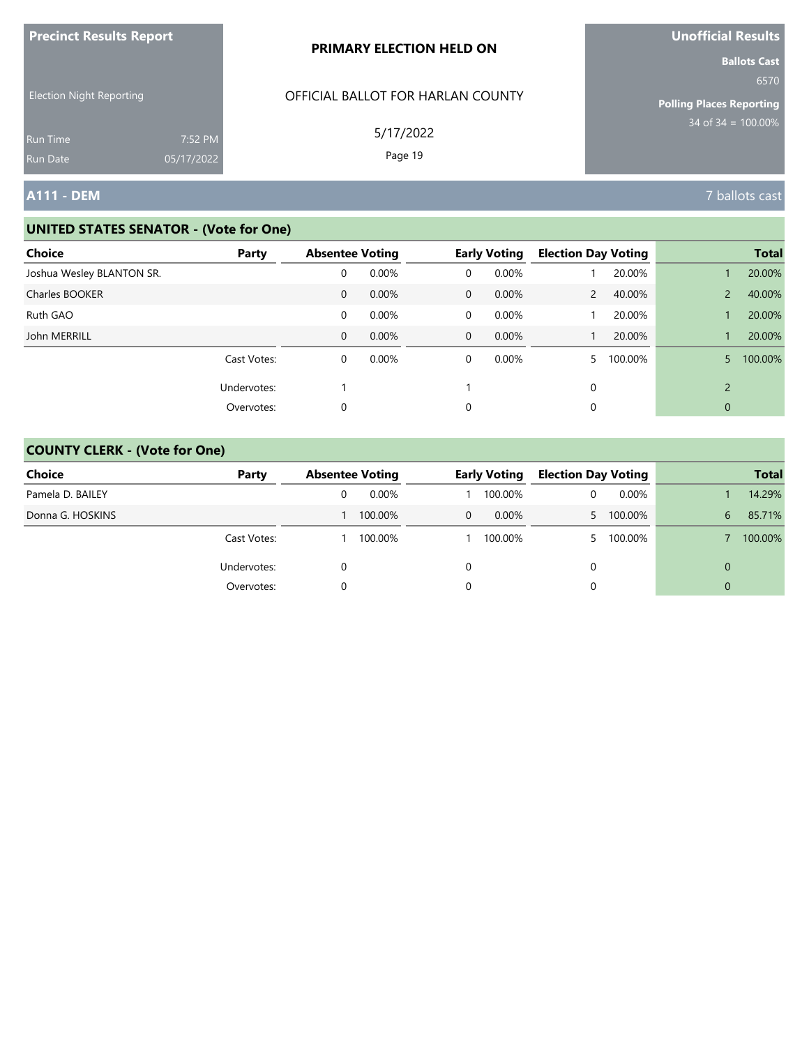| <b>Precinct Results Report</b>                                        |                       | PRIMARY ELECTION HELD ON                                  | <b>Unofficial Results</b>                                                              |
|-----------------------------------------------------------------------|-----------------------|-----------------------------------------------------------|----------------------------------------------------------------------------------------|
| <b>Election Night Reporting</b><br><b>Run Time</b><br><b>Run Date</b> | 7:52 PM<br>05/17/2022 | OFFICIAL BALLOT FOR HARLAN COUNTY<br>5/17/2022<br>Page 19 | <b>Ballots Cast</b><br>6570<br><b>Polling Places Reporting</b><br>$34$ of 34 = 100.00% |
| <b>A111 - DEM</b>                                                     |                       |                                                           | 7 ballots cast                                                                         |

| Choice                    | Party       | <b>Absentee Voting</b> |       |             | <b>Early Voting</b> | <b>Election Day Voting</b> |         |                | <b>Total</b> |
|---------------------------|-------------|------------------------|-------|-------------|---------------------|----------------------------|---------|----------------|--------------|
| Joshua Wesley BLANTON SR. |             | 0                      | 0.00% | 0           | 0.00%               |                            | 20.00%  |                | 20.00%       |
| Charles BOOKER            |             | 0                      | 0.00% | $\mathbf 0$ | $0.00\%$            | 2                          | 40.00%  |                | 40.00%       |
| Ruth GAO                  |             | 0                      | 0.00% | 0           | 0.00%               |                            | 20.00%  |                | 20.00%       |
| John MERRILL              |             | $\mathbf 0$            | 0.00% | $\mathbf 0$ | $0.00\%$            |                            | 20.00%  |                | 20.00%       |
|                           | Cast Votes: | 0                      | 0.00% | 0           | 0.00%               |                            | 100.00% | 5.             | 100.00%      |
|                           | Undervotes: |                        |       |             |                     | 0                          |         | $\overline{2}$ |              |
|                           | Overvotes:  | 0                      |       | 0           |                     | 0                          |         | 0              |              |

| Choice           | Party       | <b>Absentee Voting</b> |  | <b>Early Voting</b> |    | <b>Election Day Voting</b> |          | <b>Total</b> |
|------------------|-------------|------------------------|--|---------------------|----|----------------------------|----------|--------------|
| Pamela D. BAILEY |             | 0.00%                  |  | 100.00%             |    | $0.00\%$                   |          | 14.29%       |
| Donna G. HOSKINS |             | 100.00%                |  | 0.00%               | 5. | 100.00%                    | 6        | 85.71%       |
|                  | Cast Votes: | 100.00%                |  | 100.00%             | 5. | 100.00%                    |          | 100.00%      |
|                  | Undervotes: |                        |  |                     | 0  |                            | $\Omega$ |              |
|                  | Overvotes:  |                        |  |                     |    |                            | $\Omega$ |              |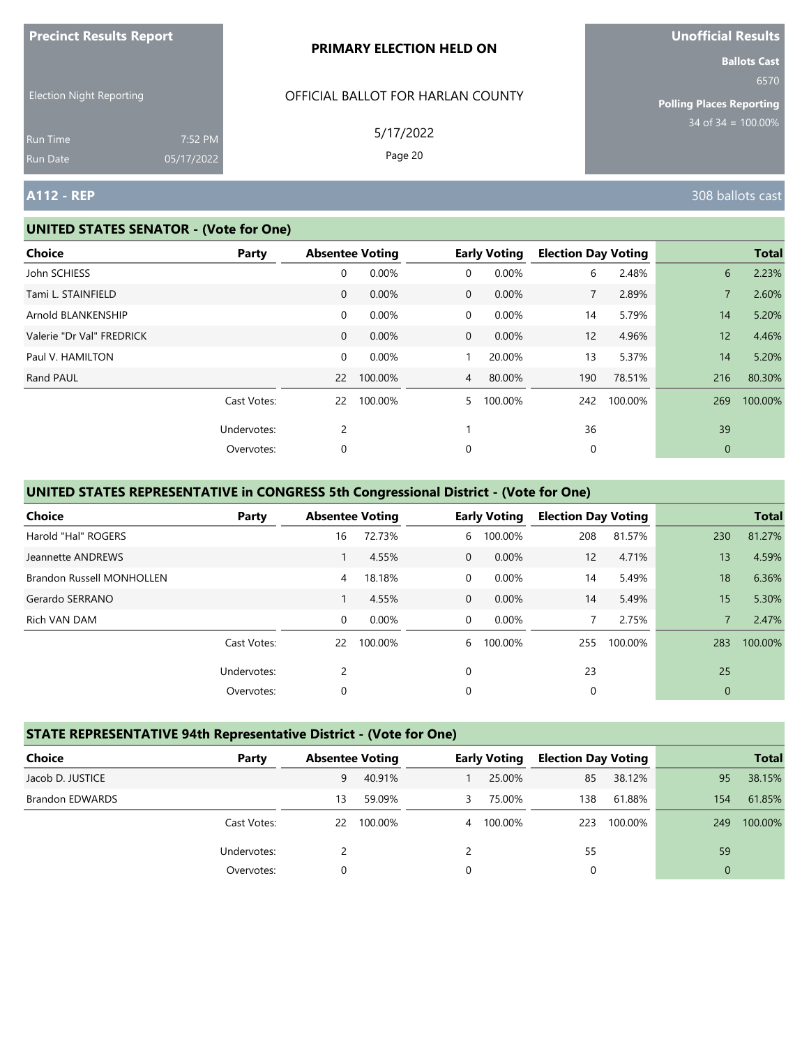|                                                                |                       | PRIMARY ELECTION HELD ON                                  | <b>Ballots Cast</b>                                      |
|----------------------------------------------------------------|-----------------------|-----------------------------------------------------------|----------------------------------------------------------|
| <b>Election Night Reporting</b><br><b>Run Time</b><br>Run Date | 7:52 PM<br>05/17/2022 | OFFICIAL BALLOT FOR HARLAN COUNTY<br>5/17/2022<br>Page 20 | 6570<br>Polling Places Reporting<br>$34$ of 34 = 100.00% |
| <b>A112 - REP</b>                                              |                       |                                                           | 308 ballots cast                                         |

#### **UNITED STATES SENATOR - (Vote for One)**

**Precinct Results Report**

| <b>Choice</b>             | Party       |                   | <b>Absentee Voting</b> |                | <b>Early Voting</b> | <b>Election Day Voting</b> |         |                 | <b>Total</b> |
|---------------------------|-------------|-------------------|------------------------|----------------|---------------------|----------------------------|---------|-----------------|--------------|
| John SCHIESS              |             | 0                 | 0.00%                  | 0              | 0.00%               | 6                          | 2.48%   | 6               | 2.23%        |
| Tami L. STAINFIELD        |             | $\mathbf{0}$      | 0.00%                  | $\mathbf{0}$   | 0.00%               | $\overline{7}$             | 2.89%   |                 | 2.60%        |
| Arnold BLANKENSHIP        |             | 0                 | 0.00%                  | 0              | 0.00%               | 14                         | 5.79%   | 14              | 5.20%        |
| Valerie "Dr Val" FREDRICK |             | $\mathbf 0$       | 0.00%                  | $\mathbf{0}$   | 0.00%               | 12                         | 4.96%   | 12 <sup>°</sup> | 4.46%        |
| Paul V. HAMILTON          |             | 0                 | 0.00%                  |                | 20.00%              | 13                         | 5.37%   | 14              | 5.20%        |
| Rand PAUL                 |             | $22 \overline{ }$ | 100.00%                | $\overline{4}$ | 80.00%              | 190                        | 78.51%  | 216             | 80.30%       |
|                           | Cast Votes: | 22                | 100.00%                | 5.             | 100.00%             | 242                        | 100.00% | 269             | 100.00%      |
|                           | Undervotes: | $\overline{2}$    |                        |                |                     | 36                         |         | 39              |              |
|                           | Overvotes:  | 0                 |                        | 0              |                     | 0                          |         | $\mathbf{0}$    |              |
|                           |             |                   |                        |                |                     |                            |         |                 |              |

# **UNITED STATES REPRESENTATIVE in CONGRESS 5th Congressional District - (Vote for One)**

| <b>Choice</b>                    | Party       |          | <b>Absentee Voting</b> |          | <b>Early Voting</b> | <b>Election Day Voting</b> |         |              | <b>Total</b> |
|----------------------------------|-------------|----------|------------------------|----------|---------------------|----------------------------|---------|--------------|--------------|
| Harold "Hal" ROGERS              |             | 16       | 72.73%                 | 6        | 100.00%             | 208                        | 81.57%  | 230          | 81.27%       |
| Jeannette ANDREWS                |             |          | 4.55%                  | $\Omega$ | 0.00%               | 12                         | 4.71%   | 13           | 4.59%        |
| <b>Brandon Russell MONHOLLEN</b> |             | 4        | 18.18%                 | $\Omega$ | 0.00%               | 14                         | 5.49%   | 18           | 6.36%        |
| Gerardo SERRANO                  |             |          | 4.55%                  | $\Omega$ | 0.00%               | 14                         | 5.49%   | 15           | 5.30%        |
| Rich VAN DAM                     |             | $\Omega$ | 0.00%                  | $\Omega$ | 0.00%               |                            | 2.75%   | 7            | 2.47%        |
|                                  | Cast Votes: | 22       | 100.00%                | 6        | 100.00%             | 255                        | 100.00% | 283          | 100.00%      |
|                                  | Undervotes: | 2        |                        | $\Omega$ |                     | 23                         |         | 25           |              |
|                                  | Overvotes:  | 0        |                        | 0        |                     | 0                          |         | $\mathbf{0}$ |              |

# **STATE REPRESENTATIVE 94th Representative District - (Vote for One)**

| Choice                 | Party       | <b>Absentee Voting</b> |         |   | <b>Early Voting</b> | <b>Election Day Voting</b> |         |                | <b>Total</b> |
|------------------------|-------------|------------------------|---------|---|---------------------|----------------------------|---------|----------------|--------------|
| Jacob D. JUSTICE       |             | 9                      | 40.91%  |   | 25.00%              | 85                         | 38.12%  | 95             | 38.15%       |
| <b>Brandon EDWARDS</b> |             | 13                     | 59.09%  | 3 | 75.00%              | 138                        | 61.88%  | 154            | 61.85%       |
|                        | Cast Votes: | 22                     | 100.00% |   | 4 100.00%           | 223                        | 100.00% | 249            | 100.00%      |
|                        | Undervotes: |                        |         |   |                     | 55                         |         | 59             |              |
|                        | Overvotes:  |                        |         | 0 |                     | 0                          |         | $\overline{0}$ |              |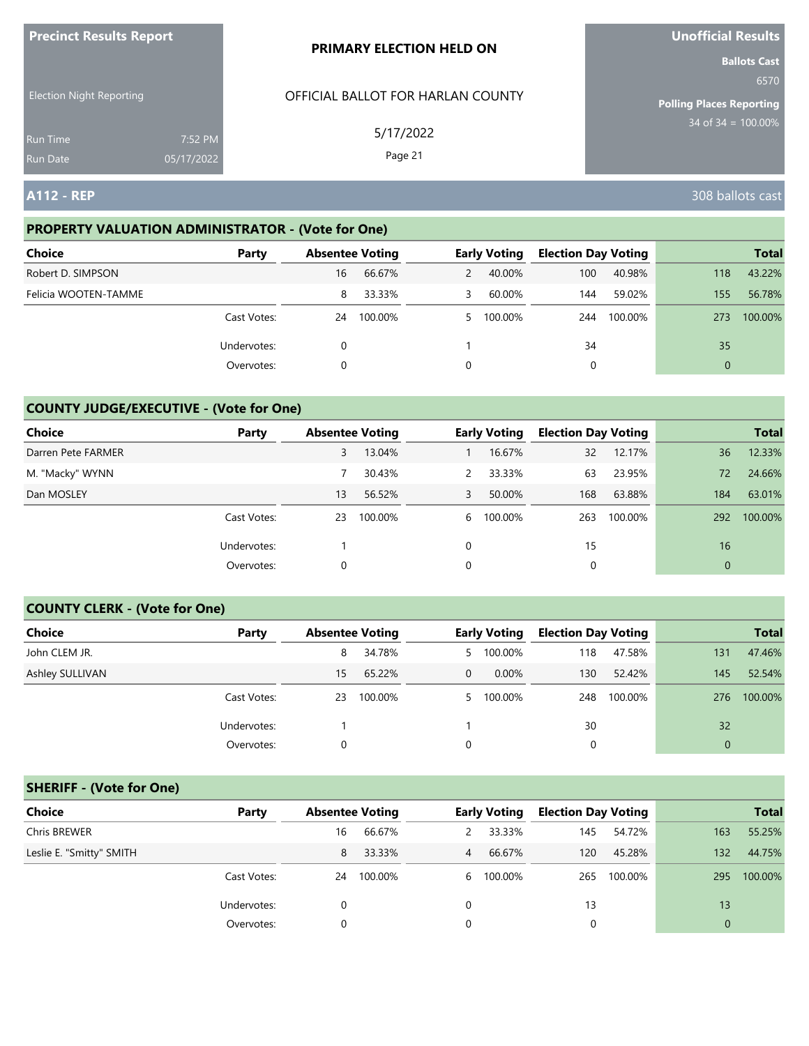| <b>Precinct Results Report</b>  |            | <b>PRIMARY ELECTION HELD ON</b>   | <b>Unofficial Results</b>       |
|---------------------------------|------------|-----------------------------------|---------------------------------|
|                                 |            |                                   | <b>Ballots Cast</b><br>6570     |
| <b>Election Night Reporting</b> |            | OFFICIAL BALLOT FOR HARLAN COUNTY | <b>Polling Places Reporting</b> |
| <b>Run Time</b>                 | 7:52 PM    | 5/17/2022                         | $34$ of $34 = 100.00\%$         |
| <b>Run Date</b>                 | 05/17/2022 | Page 21                           |                                 |
| <b>A112 - REP</b>               |            |                                   | 308 ballots cast                |

### **PROPERTY VALUATION ADMINISTRATOR - (Vote for One)**

| <b>Choice</b>        | Party       | <b>Absentee Voting</b> |         |                | <b>Early Voting</b> | <b>Election Day Voting</b> |         |          | <b>Total</b> |
|----------------------|-------------|------------------------|---------|----------------|---------------------|----------------------------|---------|----------|--------------|
| Robert D. SIMPSON    |             | 16                     | 66.67%  | $\overline{2}$ | 40.00%              | 100                        | 40.98%  | 118      | 43.22%       |
| Felicia WOOTEN-TAMME |             | 8                      | 33.33%  | 3              | 60.00%              | 144                        | 59.02%  | 155      | 56.78%       |
|                      | Cast Votes: | 24                     | 100.00% |                | 5 100.00%           | 244                        | 100.00% | 273      | 100.00%      |
|                      | Undervotes: | 0                      |         |                |                     | 34                         |         | 35       |              |
|                      | Overvotes:  | 0                      |         | 0              |                     |                            |         | $\Omega$ |              |

#### **COUNTY JUDGE/EXECUTIVE - (Vote for One)**

| <b>Choice</b>      | Party       | <b>Absentee Voting</b> |         |               | <b>Early Voting</b> | <b>Election Day Voting</b> |         |                | <b>Total</b> |
|--------------------|-------------|------------------------|---------|---------------|---------------------|----------------------------|---------|----------------|--------------|
| Darren Pete FARMER |             | 3                      | 13.04%  |               | 16.67%              | 32                         | 12.17%  | 36             | 12.33%       |
| M. "Macky" WYNN    |             |                        | 30.43%  | $\mathcal{P}$ | 33.33%              | 63                         | 23.95%  | 72             | 24.66%       |
| Dan MOSLEY         |             | 13                     | 56.52%  | 3             | 50.00%              | 168                        | 63.88%  | 184            | 63.01%       |
|                    | Cast Votes: | 23                     | 100.00% | 6             | 100.00%             | 263                        | 100.00% | 292            | 100.00%      |
|                    | Undervotes: |                        |         | $\Omega$      |                     | 15                         |         | 16             |              |
|                    | Overvotes:  | 0                      |         | 0             |                     |                            |         | $\overline{0}$ |              |

#### **COUNTY CLERK - (Vote for One)**

| Choice          | Party       |    | <b>Absentee Voting</b> |          | <b>Early Voting</b> | <b>Election Day Voting</b> |         |              | <b>Total</b> |
|-----------------|-------------|----|------------------------|----------|---------------------|----------------------------|---------|--------------|--------------|
|                 |             |    |                        |          |                     |                            |         |              |              |
| John CLEM JR.   |             | 8  | 34.78%                 |          | 5 100.00%           | 118                        | 47.58%  | 131          | 47.46%       |
| Ashley SULLIVAN |             | 15 | 65.22%                 | $\Omega$ | 0.00%               | 130                        | 52.42%  | 145          | 52.54%       |
|                 | Cast Votes: | 23 | 100.00%                |          | 5 100.00%           | 248                        | 100.00% | 276          | 100.00%      |
|                 | Undervotes: |    |                        |          |                     | 30                         |         | 32           |              |
|                 | Overvotes:  | 0  |                        |          |                     | 0                          |         | $\mathbf{0}$ |              |

### **SHERIFF - (Vote for One)**

| <b>Choice</b>            | Party       | <b>Absentee Voting</b> |         |                | <b>Early Voting</b> | <b>Election Day Voting</b> |         |              | <b>Total</b> |
|--------------------------|-------------|------------------------|---------|----------------|---------------------|----------------------------|---------|--------------|--------------|
| Chris BREWER             |             | 16                     | 66.67%  | 2              | 33.33%              | 145                        | 54.72%  | 163          | 55.25%       |
| Leslie E. "Smitty" SMITH |             | 8                      | 33.33%  | $\overline{4}$ | 66.67%              | 120                        | 45.28%  | 132          | 44.75%       |
|                          | Cast Votes: | 24                     | 100.00% |                | 6 100.00%           | 265                        | 100.00% | 295          | 100.00%      |
|                          | Undervotes: | 0                      |         | 0              |                     | 13                         |         | 13           |              |
|                          | Overvotes:  | 0                      |         |                |                     | 0                          |         | $\mathbf{0}$ |              |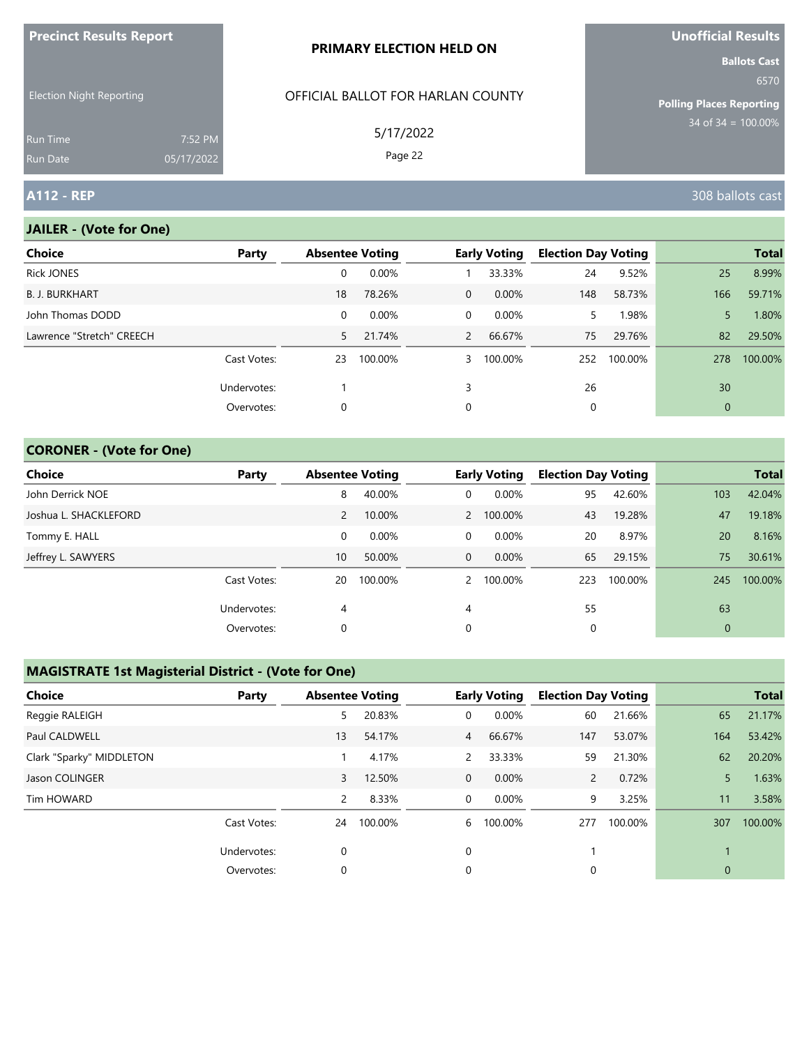| <b>Precinct Results Report</b>     |                       | <b>PRIMARY ELECTION HELD ON</b>   | Unofficial Results                                             |
|------------------------------------|-----------------------|-----------------------------------|----------------------------------------------------------------|
| <b>Election Night Reporting</b>    |                       | OFFICIAL BALLOT FOR HARLAN COUNTY | <b>Ballots Cast</b><br>6570<br><b>Polling Places Reporting</b> |
| <b>Run Time</b><br><b>Run Date</b> | 7:52 PM<br>05/17/2022 | 5/17/2022<br>Page 22              | $34 \text{ of } 34 = 100.00\%$                                 |
| <b>A112 - REP</b>                  |                       |                                   | 308 ballots cast                                               |

# **JAILER - (Vote for One)**

| <b>Choice</b>             | Party       |    | <b>Absentee Voting</b> |                | <b>Early Voting</b> | <b>Election Day Voting</b> |         |                | <b>Total</b> |
|---------------------------|-------------|----|------------------------|----------------|---------------------|----------------------------|---------|----------------|--------------|
| <b>Rick JONES</b>         |             | 0  | 0.00%                  |                | 33.33%              | 24                         | 9.52%   | 25             | 8.99%        |
| <b>B. J. BURKHART</b>     |             | 18 | 78.26%                 | $\overline{0}$ | $0.00\%$            | 148                        | 58.73%  | 166            | 59.71%       |
| John Thomas DODD          |             | 0  | $0.00\%$               | $\overline{0}$ | $0.00\%$            | 5.                         | 1.98%   | 5              | 1.80%        |
| Lawrence "Stretch" CREECH |             | 5. | 21.74%                 | $2^{\circ}$    | 66.67%              | 75                         | 29.76%  | 82             | 29.50%       |
|                           | Cast Votes: | 23 | 100.00%                | 3              | 100.00%             | 252                        | 100.00% | 278            | 100.00%      |
|                           | Undervotes: |    |                        | 3              |                     | 26                         |         | 30             |              |
|                           | Overvotes:  | 0  |                        | 0              |                     | 0                          |         | $\overline{0}$ |              |
|                           |             |    |                        |                |                     |                            |         |                |              |

### **CORONER - (Vote for One)**

| Choice                | Party       | <b>Absentee Voting</b> |         |               | <b>Early Voting</b> | <b>Election Day Voting</b> |         |                | <b>Total</b> |
|-----------------------|-------------|------------------------|---------|---------------|---------------------|----------------------------|---------|----------------|--------------|
| John Derrick NOE      |             | 8                      | 40.00%  | 0             | 0.00%               | 95                         | 42.60%  | 103            | 42.04%       |
| Joshua L. SHACKLEFORD |             | 2                      | 10.00%  |               | 2 100.00%           | 43                         | 19.28%  | 47             | 19.18%       |
| Tommy E. HALL         |             | 0                      | 0.00%   | 0             | $0.00\%$            | 20                         | 8.97%   | 20             | 8.16%        |
| Jeffrey L. SAWYERS    |             | 10                     | 50.00%  | $\mathbf 0$   | $0.00\%$            | 65                         | 29.15%  | 75             | 30.61%       |
|                       | Cast Votes: | 20                     | 100.00% | $\mathcal{P}$ | 100.00%             | 223                        | 100.00% | 245            | 100.00%      |
|                       | Undervotes: | 4                      |         | 4             |                     | 55                         |         | 63             |              |
|                       | Overvotes:  | 0                      |         | 0             |                     | 0                          |         | $\overline{0}$ |              |

### **MAGISTRATE 1st Magisterial District - (Vote for One)**

| <b>Choice</b>            | Party       | <b>Absentee Voting</b> |         |                | <b>Early Voting</b> | <b>Election Day Voting</b> |         |              | <b>Total</b> |
|--------------------------|-------------|------------------------|---------|----------------|---------------------|----------------------------|---------|--------------|--------------|
| Reggie RALEIGH           |             | 5                      | 20.83%  | 0              | 0.00%               | 60                         | 21.66%  | 65           | 21.17%       |
| Paul CALDWELL            |             | 13                     | 54.17%  | $\overline{4}$ | 66.67%              | 147                        | 53.07%  | 164          | 53.42%       |
| Clark "Sparky" MIDDLETON |             |                        | 4.17%   | 2              | 33.33%              | 59                         | 21.30%  | 62           | 20.20%       |
| Jason COLINGER           |             | 3                      | 12.50%  | $\mathbf 0$    | $0.00\%$            | $\overline{2}$             | 0.72%   | 5.           | 1.63%        |
| Tim HOWARD               |             | 2                      | 8.33%   | 0              | 0.00%               | 9                          | 3.25%   | 11           | 3.58%        |
|                          | Cast Votes: | 24                     | 100.00% | 6              | 100.00%             | 277                        | 100.00% | 307          | 100.00%      |
|                          | Undervotes: | 0                      |         | 0              |                     |                            |         |              |              |
|                          | Overvotes:  | 0                      |         | 0              |                     | 0                          |         | $\mathbf{0}$ |              |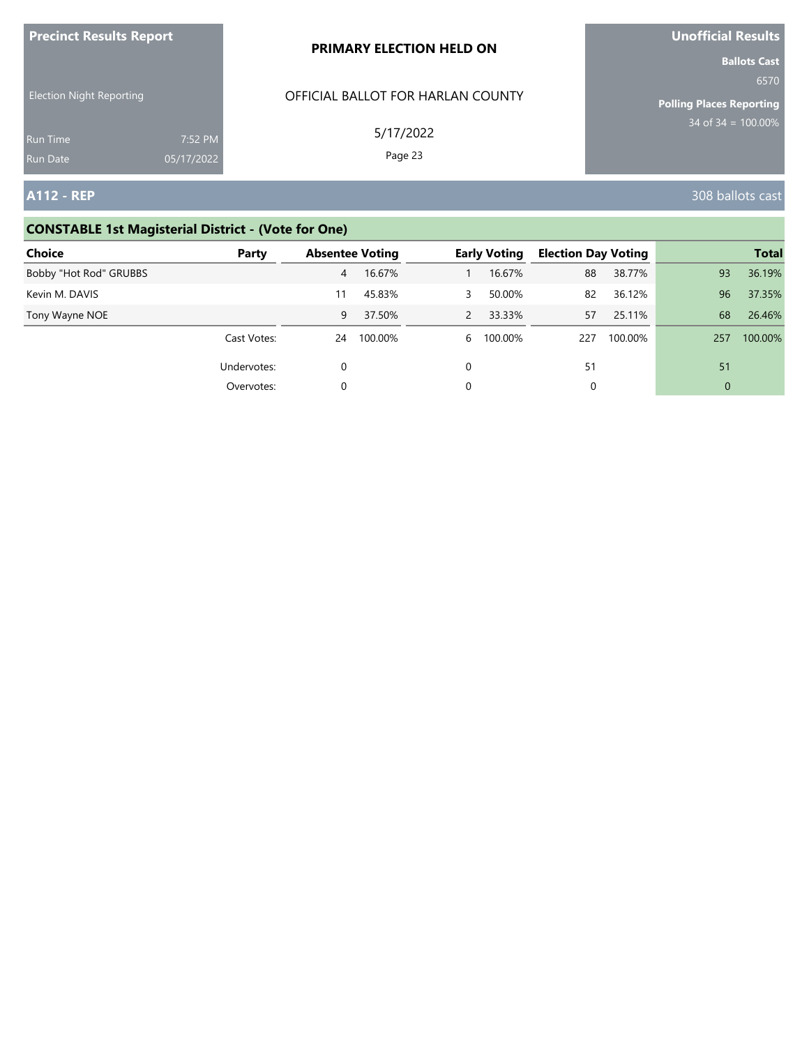| <b>Precinct Results Report</b>     |                       | <b>PRIMARY ELECTION HELD ON</b>   | Unofficial Results                                             |
|------------------------------------|-----------------------|-----------------------------------|----------------------------------------------------------------|
| <b>Election Night Reporting</b>    |                       | OFFICIAL BALLOT FOR HARLAN COUNTY | <b>Ballots Cast</b><br>6570<br><b>Polling Places Reporting</b> |
| <b>Run Time</b><br><b>Run Date</b> | 7:52 PM<br>05/17/2022 | 5/17/2022<br>Page 23              | $34$ of 34 = 100.00%                                           |
| <b>A112 - REP</b>                  |                       |                                   | 308 ballots cast                                               |

# **CONSTABLE 1st Magisterial District - (Vote for One)**

| Choice                 | Party       | <b>Absentee Voting</b> |         |               | <b>Early Voting</b> | <b>Election Day Voting</b> |         |                | <b>Total</b> |
|------------------------|-------------|------------------------|---------|---------------|---------------------|----------------------------|---------|----------------|--------------|
| Bobby "Hot Rod" GRUBBS |             | 4                      | 16.67%  |               | 16.67%              | 88                         | 38.77%  | 93             | 36.19%       |
| Kevin M. DAVIS         |             | 11                     | 45.83%  | 3             | 50.00%              | 82                         | 36.12%  | 96             | 37.35%       |
| Tony Wayne NOE         |             | 9                      | 37.50%  | $\mathcal{P}$ | 33.33%              | 57                         | 25.11%  | 68             | 26.46%       |
|                        | Cast Votes: | 24                     | 100.00% | 6             | 100.00%             | 227                        | 100.00% | 257            | 100.00%      |
|                        | Undervotes: | 0                      |         | $\Omega$      |                     | 51                         |         | 51             |              |
|                        | Overvotes:  | 0                      |         |               |                     | 0                          |         | $\overline{0}$ |              |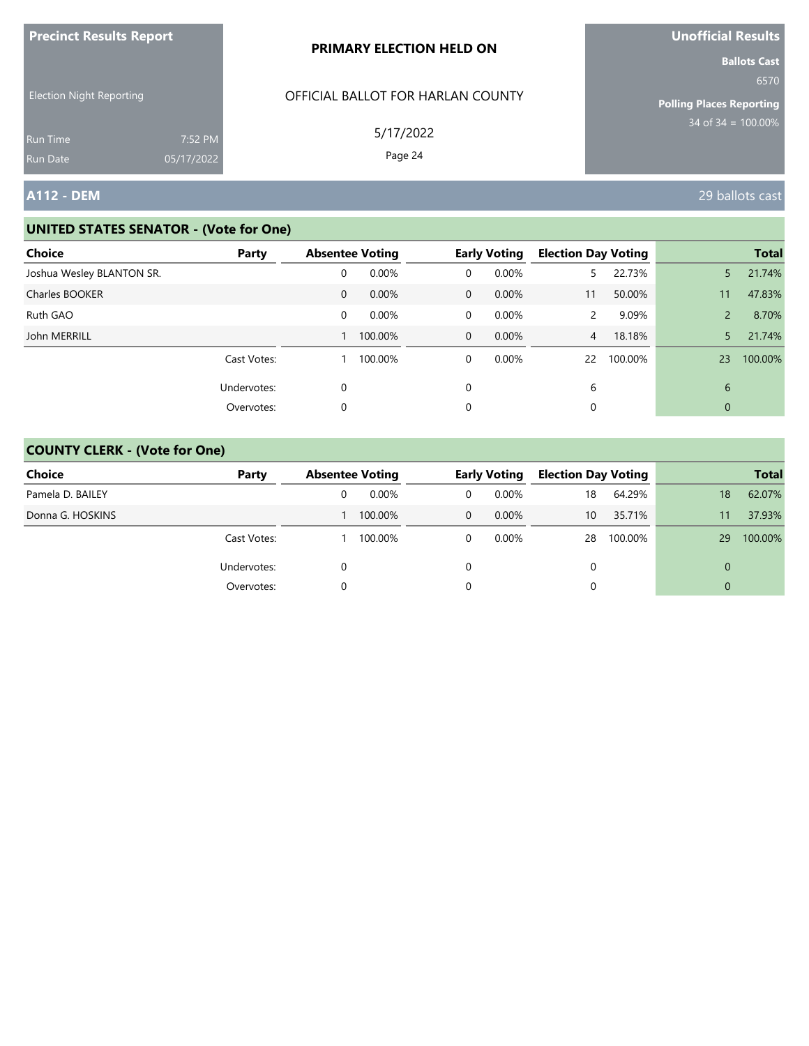| <b>Precinct Results Report</b>                     |            | PRIMARY ELECTION HELD ON                       | <b>Unofficial Results</b>                                                                 |
|----------------------------------------------------|------------|------------------------------------------------|-------------------------------------------------------------------------------------------|
| <b>Election Night Reporting</b><br><b>Run Time</b> | 7:52 PM    | OFFICIAL BALLOT FOR HARLAN COUNTY<br>5/17/2022 | <b>Ballots Cast</b><br>6570<br><b>Polling Places Reporting</b><br>$34$ of $34 = 100.00\%$ |
| <b>Run Date</b>                                    | 05/17/2022 | Page 24                                        |                                                                                           |
| <b>A112 - DEM</b>                                  |            |                                                | 29 ballots cast                                                                           |

| <b>Choice</b>             | Party       | <b>Absentee Voting</b> |         |              | <b>Early Voting</b> | <b>Election Day Voting</b> |         |                | <b>Total</b> |
|---------------------------|-------------|------------------------|---------|--------------|---------------------|----------------------------|---------|----------------|--------------|
| Joshua Wesley BLANTON SR. |             | 0                      | 0.00%   | 0            | 0.00%               | 5.                         | 22.73%  | 5              | 21.74%       |
| Charles BOOKER            |             | $\mathbf{0}$           | 0.00%   | $\mathbf{0}$ | $0.00\%$            | 11                         | 50.00%  | 11             | 47.83%       |
| Ruth GAO                  |             | 0                      | 0.00%   | 0            | 0.00%               | $\mathbf{2}$               | 9.09%   | $\overline{2}$ | 8.70%        |
| John MERRILL              |             |                        | 100.00% | $\mathbf{0}$ | $0.00\%$            | $\overline{4}$             | 18.18%  | 5              | 21.74%       |
|                           | Cast Votes: |                        | 100.00% | 0            | 0.00%               | 22                         | 100.00% | 23             | 100.00%      |
|                           | Undervotes: | 0                      |         | $\Omega$     |                     | 6                          |         | 6              |              |
|                           | Overvotes:  | 0                      |         | 0            |                     |                            |         | 0              |              |

| <b>Choice</b>    | Party       | <b>Absentee Voting</b> |   | <b>Early Voting</b> | <b>Election Day Voting</b> |         |          | <b>Total</b> |
|------------------|-------------|------------------------|---|---------------------|----------------------------|---------|----------|--------------|
| Pamela D. BAILEY |             | $0.00\%$               | 0 | $0.00\%$            | 18                         | 64.29%  | 18       | 62.07%       |
| Donna G. HOSKINS |             | 100.00%                | 0 | 0.00%               | 10                         | 35.71%  | 11       | 37.93%       |
|                  | Cast Votes: | 100.00%                | 0 | $0.00\%$            | 28                         | 100.00% | 29       | 100.00%      |
|                  | Undervotes: |                        |   |                     |                            |         | $\Omega$ |              |
|                  | Overvotes:  |                        |   |                     |                            |         | $\Omega$ |              |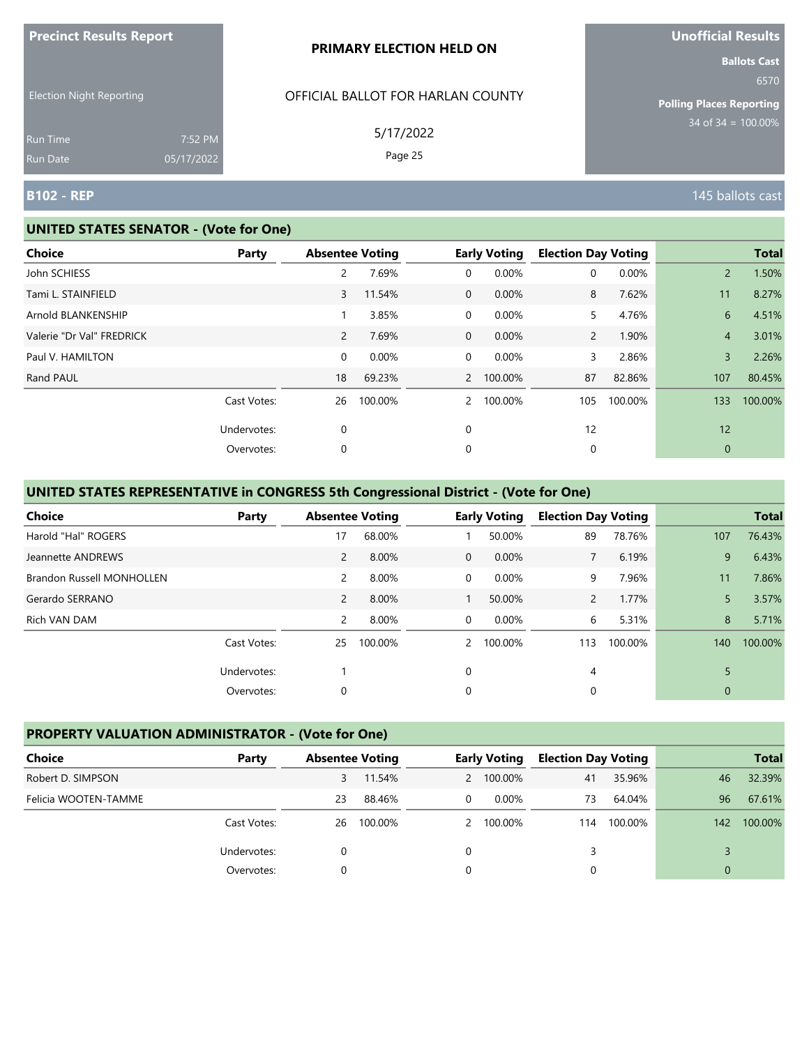| <b>Precinct Results Report</b>  |            | PRIMARY ELECTION HELD ON          | <b>Unofficial Results</b>       |
|---------------------------------|------------|-----------------------------------|---------------------------------|
|                                 |            |                                   | <b>Ballots Cast</b><br>6570     |
| <b>Election Night Reporting</b> |            | OFFICIAL BALLOT FOR HARLAN COUNTY | <b>Polling Places Reporting</b> |
| Run Time                        | 7:52 PM    | 5/17/2022                         | $34 \text{ of } 34 = 100.00\%$  |
| Run Date                        | 05/17/2022 | Page 25                           |                                 |
| <b>B102 - REP</b>               |            |                                   | 145 ballots cast                |

#### **UNITED STATES SENATOR - (Vote for One)**

| Choice                    | Party       | <b>Absentee Voting</b> |         |              | <b>Early Voting</b> | <b>Election Day Voting</b> |         |                | <b>Total</b> |
|---------------------------|-------------|------------------------|---------|--------------|---------------------|----------------------------|---------|----------------|--------------|
| John SCHIESS              |             | $\overline{2}$         | 7.69%   | 0            | 0.00%               | 0                          | 0.00%   | $\overline{2}$ | 1.50%        |
| Tami L. STAINFIELD        |             | 3                      | 11.54%  | $\mathbf{0}$ | 0.00%               | 8                          | 7.62%   | 11             | 8.27%        |
| Arnold BLANKENSHIP        |             |                        | 3.85%   | 0            | 0.00%               | 5                          | 4.76%   | 6              | 4.51%        |
| Valerie "Dr Val" FREDRICK |             | $\overline{2}$         | 7.69%   | $\mathbf{0}$ | 0.00%               | $\overline{2}$             | 1.90%   | $\overline{4}$ | 3.01%        |
| Paul V. HAMILTON          |             | 0                      | 0.00%   | 0            | 0.00%               | 3                          | 2.86%   | 3              | 2.26%        |
| Rand PAUL                 |             | 18                     | 69.23%  | $2^{\circ}$  | 100.00%             | 87                         | 82.86%  | 107            | 80.45%       |
|                           | Cast Votes: | 26                     | 100.00% | $2^{\circ}$  | 100.00%             | 105                        | 100.00% | 133            | 100.00%      |
|                           | Undervotes: | 0                      |         | 0            |                     | 12                         |         | 12             |              |
|                           | Overvotes:  | 0                      |         | 0            |                     | 0                          |         | $\mathbf{0}$   |              |
|                           |             |                        |         |              |                     |                            |         |                |              |

# **UNITED STATES REPRESENTATIVE in CONGRESS 5th Congressional District - (Vote for One)**

| Choice                           | Party       | <b>Absentee Voting</b> |         |               | <b>Early Voting</b> | <b>Election Day Voting</b> |         |             | <b>Total</b> |
|----------------------------------|-------------|------------------------|---------|---------------|---------------------|----------------------------|---------|-------------|--------------|
| Harold "Hal" ROGERS              |             | 17                     | 68.00%  |               | 50.00%              | 89                         | 78.76%  | 107         | 76.43%       |
| Jeannette ANDREWS                |             | $\overline{2}$         | 8.00%   | $\mathbf{0}$  | 0.00%               | $7^{\circ}$                | 6.19%   | 9           | 6.43%        |
| <b>Brandon Russell MONHOLLEN</b> |             | 2                      | 8.00%   | 0             | 0.00%               | 9                          | 7.96%   | 11          | 7.86%        |
| Gerardo SERRANO                  |             | $\overline{2}$         | 8.00%   |               | 50.00%              | $\overline{2}$             | 1.77%   | 5           | 3.57%        |
| Rich VAN DAM                     |             | 2                      | 8.00%   | $\Omega$      | $0.00\%$            | 6                          | 5.31%   | 8           | 5.71%        |
|                                  | Cast Votes: | 25                     | 100.00% | $\mathcal{P}$ | 100.00%             | 113                        | 100.00% | 140         | 100.00%      |
|                                  | Undervotes: |                        |         | $\Omega$      |                     | 4                          |         | 5           |              |
|                                  | Overvotes:  | 0                      |         | 0             |                     | 0                          |         | $\mathbf 0$ |              |

# **PROPERTY VALUATION ADMINISTRATOR - (Vote for One)**

| Choice               | Party       | <b>Absentee Voting</b> |         |   | <b>Early Voting</b> | <b>Election Day Voting</b> |         |          | <b>Total</b> |
|----------------------|-------------|------------------------|---------|---|---------------------|----------------------------|---------|----------|--------------|
| Robert D. SIMPSON    |             | 3                      | 11.54%  |   | 2 100.00%           | 41                         | 35.96%  | 46       | 32.39%       |
| Felicia WOOTEN-TAMME |             | 23                     | 88.46%  | 0 | $0.00\%$            | 73                         | 64.04%  | 96       | 67.61%       |
|                      | Cast Votes: | 26                     | 100.00% |   | 2 100.00%           | 114                        | 100.00% | 142      | 100.00%      |
|                      | Undervotes: |                        |         |   |                     |                            |         |          |              |
|                      | Overvotes:  |                        |         |   |                     |                            |         | $\Omega$ |              |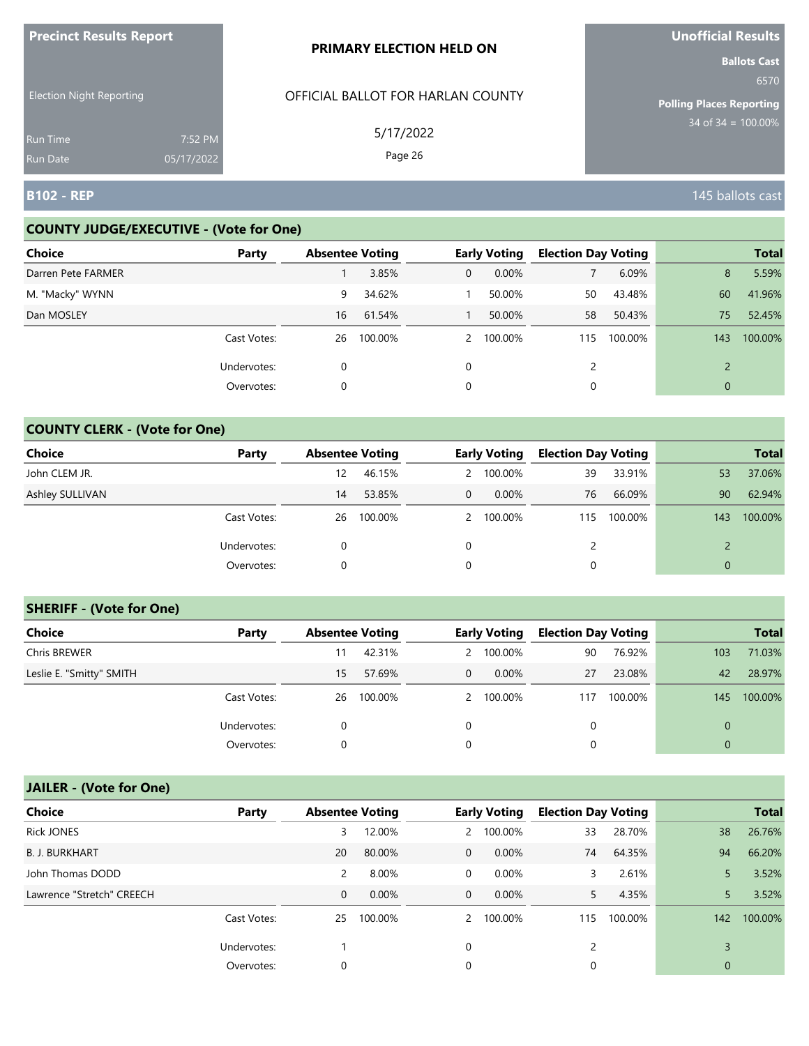| <b>FIGUILLE RESULTS REPUIL</b>     |                       | <b>PRIMARY ELECTION HELD ON</b>   | <u>UNUMURI NESURSI</u><br><b>Ballots Cast</b> |
|------------------------------------|-----------------------|-----------------------------------|-----------------------------------------------|
| <b>Election Night Reporting</b>    |                       | OFFICIAL BALLOT FOR HARLAN COUNTY | 6570<br><b>Polling Places Reporting</b>       |
| <b>Run Time</b><br><b>Run Date</b> | 7:52 PM<br>05/17/2022 | 5/17/2022<br>Page 26              | 34 of $34 = 100.00\%$                         |
| <b>B102 - REP</b>                  |                       |                                   | 145 ballots cast                              |

#### **COUNTY JUDGE/EXECUTIVE - (Vote for One)**

**Precinct Results Report**

| <b>Choice</b>      | Party       | <b>Absentee Voting</b> |         |          | <b>Early Voting</b> | <b>Election Day Voting</b> |         |     | <b>Total</b> |
|--------------------|-------------|------------------------|---------|----------|---------------------|----------------------------|---------|-----|--------------|
| Darren Pete FARMER |             |                        | 3.85%   | 0        | $0.00\%$            |                            | 6.09%   | 8   | 5.59%        |
| M. "Macky" WYNN    |             | 9                      | 34.62%  |          | 50.00%              | 50                         | 43.48%  | 60  | 41.96%       |
| Dan MOSLEY         |             | 16                     | 61.54%  |          | 50.00%              | 58                         | 50.43%  | 75  | 52.45%       |
|                    | Cast Votes: | 26                     | 100.00% |          | 2 100.00%           | 115                        | 100.00% | 143 | 100.00%      |
|                    | Undervotes: | 0                      |         | $\Omega$ |                     |                            |         |     |              |
|                    | Overvotes:  | 0                      |         | 0        |                     |                            |         | 0   |              |

### **COUNTY CLERK - (Vote for One)**

| Choice          | Party       | <b>Absentee Voting</b> |         |              | <b>Early Voting</b> | <b>Election Day Voting</b> |         |          | <b>Total</b> |
|-----------------|-------------|------------------------|---------|--------------|---------------------|----------------------------|---------|----------|--------------|
| John CLEM JR.   |             | 12                     | 46.15%  |              | 2 100.00%           | 39                         | 33.91%  | 53       | 37.06%       |
| Ashley SULLIVAN |             | 14                     | 53.85%  | $\mathbf{0}$ | $0.00\%$            | 76                         | 66.09%  | 90       | 62.94%       |
|                 | Cast Votes: | 26                     | 100.00% |              | 2 100.00%           | 115                        | 100.00% | 143      | 100.00%      |
|                 | Undervotes: |                        |         | 0            |                     | 2                          |         |          |              |
|                 | Overvotes:  | 0                      |         | 0            |                     | 0                          |         | $\Omega$ |              |

#### **SHERIFF - (Vote for One)**

| <b>Choice</b>            | Party       | <b>Absentee Voting</b> |         |   | <b>Early Voting</b> | <b>Election Day Voting</b> |         |     | <b>Total</b> |
|--------------------------|-------------|------------------------|---------|---|---------------------|----------------------------|---------|-----|--------------|
| Chris BREWER             |             | 11                     | 42.31%  |   | 2 100.00%           | 90                         | 76.92%  | 103 | 71.03%       |
| Leslie E. "Smitty" SMITH |             | 15                     | 57.69%  | 0 | $0.00\%$            | 27                         | 23.08%  | 42  | 28.97%       |
|                          | Cast Votes: | 26                     | 100.00% |   | 2 100.00%           | 117                        | 100.00% | 145 | 100.00%      |
|                          | Undervotes: | 0                      |         | 0 |                     | 0                          |         |     |              |
|                          | Overvotes:  | 0                      |         | 0 |                     | 0                          |         |     |              |

# **JAILER - (Vote for One)**

| <b>Choice</b>             | Party       | <b>Absentee Voting</b> |          |              | <b>Early Voting</b> | <b>Election Day Voting</b> |         |             | <b>Total</b> |
|---------------------------|-------------|------------------------|----------|--------------|---------------------|----------------------------|---------|-------------|--------------|
| <b>Rick JONES</b>         |             | 3                      | 12.00%   |              | 2 100.00%           | 33                         | 28.70%  | 38          | 26.76%       |
| <b>B. J. BURKHART</b>     |             | 20                     | 80.00%   | $\mathbf{0}$ | $0.00\%$            | 74                         | 64.35%  | 94          | 66.20%       |
| John Thomas DODD          |             | 2                      | 8.00%    | 0            | 0.00%               | 3                          | 2.61%   |             | 3.52%        |
| Lawrence "Stretch" CREECH |             | $\mathbf 0$            | $0.00\%$ | $\mathbf{0}$ | $0.00\%$            | 5.                         | 4.35%   |             | 3.52%        |
|                           | Cast Votes: | 25                     | 100.00%  |              | 2 100.00%           | 115                        | 100.00% | 142         | 100.00%      |
|                           | Undervotes: |                        |          | $\Omega$     |                     |                            |         | 3           |              |
|                           | Overvotes:  | 0                      |          | 0            |                     | 0                          |         | $\mathbf 0$ |              |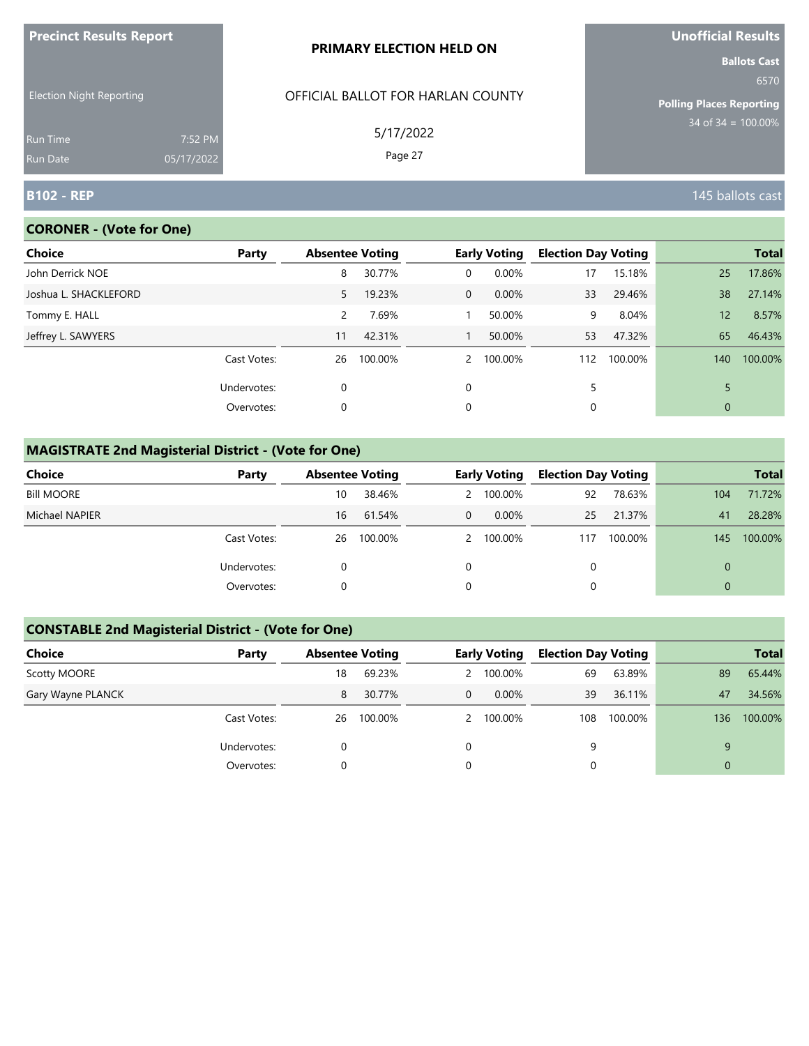| <b>FIGURAL RESULTS REPUIL</b>      |                       | <b>PRIMARY ELECTION HELD ON</b>   | <b>UNUINTERNITY</b><br><b>Ballots Cast</b> |
|------------------------------------|-----------------------|-----------------------------------|--------------------------------------------|
| <b>Election Night Reporting</b>    |                       | OFFICIAL BALLOT FOR HARLAN COUNTY | 6570<br><b>Polling Places Reporting</b>    |
| <b>Run Time</b><br><b>Run Date</b> | 7:52 PM<br>05/17/2022 | 5/17/2022<br>Page 27              | $34$ of 34 = 100.00%                       |
| <b>B102 - REP</b>                  |                       |                                   | 145 ballots cast                           |

# **CORONER - (Vote for One)**

**Precinct Results Report**

| <b>Choice</b>         | Party       | <b>Absentee Voting</b> |         |                | <b>Early Voting</b> | <b>Election Day Voting</b> |         |                 | <b>Total</b> |
|-----------------------|-------------|------------------------|---------|----------------|---------------------|----------------------------|---------|-----------------|--------------|
| John Derrick NOE      |             | 8                      | 30.77%  | 0              | 0.00%               | 17                         | 15.18%  | 25              | 17.86%       |
| Joshua L. SHACKLEFORD |             | 5                      | 19.23%  | $\overline{0}$ | 0.00%               | 33                         | 29.46%  | 38              | 27.14%       |
| Tommy E. HALL         |             | 2                      | 7.69%   |                | 50.00%              | 9                          | 8.04%   | 12 <sup>1</sup> | 8.57%        |
| Jeffrey L. SAWYERS    |             | 11                     | 42.31%  |                | 50.00%              | 53                         | 47.32%  | 65              | 46.43%       |
|                       | Cast Votes: | 26                     | 100.00% | $\mathcal{P}$  | 100.00%             | 112                        | 100.00% | 140             | 100.00%      |
|                       | Undervotes: | 0                      |         | $\Omega$       |                     |                            |         | 5               |              |
|                       | Overvotes:  | 0                      |         | 0              |                     | 0                          |         | $\mathbf{0}$    |              |
|                       |             |                        |         |                |                     |                            |         |                 |              |

# **MAGISTRATE 2nd Magisterial District - (Vote for One)**

| Choice            | Party       |    | <b>Absentee Voting</b> |                | <b>Early Voting</b> | <b>Election Day Voting</b> |         |          | <b>Total</b> |
|-------------------|-------------|----|------------------------|----------------|---------------------|----------------------------|---------|----------|--------------|
| <b>Bill MOORE</b> |             | 10 | 38.46%                 |                | 2 100.00%           | 92                         | 78.63%  | 104      | 71.72%       |
| Michael NAPIER    |             | 16 | 61.54%                 | $\overline{0}$ | $0.00\%$            | 25                         | 21.37%  | 41       | 28.28%       |
|                   | Cast Votes: | 26 | 100.00%                |                | 2 100.00%           | 117                        | 100.00% | 145      | 100.00%      |
|                   | Undervotes: | 0  |                        | 0              |                     |                            |         | $\Omega$ |              |
|                   | Overvotes:  |    |                        | 0              |                     |                            |         | $\Omega$ |              |

# **CONSTABLE 2nd Magisterial District - (Vote for One)**

| Choice            | Party       | <b>Absentee Voting</b> |         |                | <b>Early Voting</b> | <b>Election Day Voting</b> |         |                | <b>Total</b> |
|-------------------|-------------|------------------------|---------|----------------|---------------------|----------------------------|---------|----------------|--------------|
| Scotty MOORE      |             | 18                     | 69.23%  |                | 2 100.00%           | 69                         | 63.89%  | 89             | 65.44%       |
| Gary Wayne PLANCK |             | 8                      | 30.77%  | $\overline{0}$ | $0.00\%$            | 39                         | 36.11%  | 47             | 34.56%       |
|                   | Cast Votes: | 26                     | 100.00% |                | 2 100.00%           | 108                        | 100.00% | 136            | 100.00%      |
|                   | Undervotes: | 0                      |         | 0              |                     | 9                          |         | 9              |              |
|                   | Overvotes:  | 0                      |         | 0              |                     |                            |         | $\overline{0}$ |              |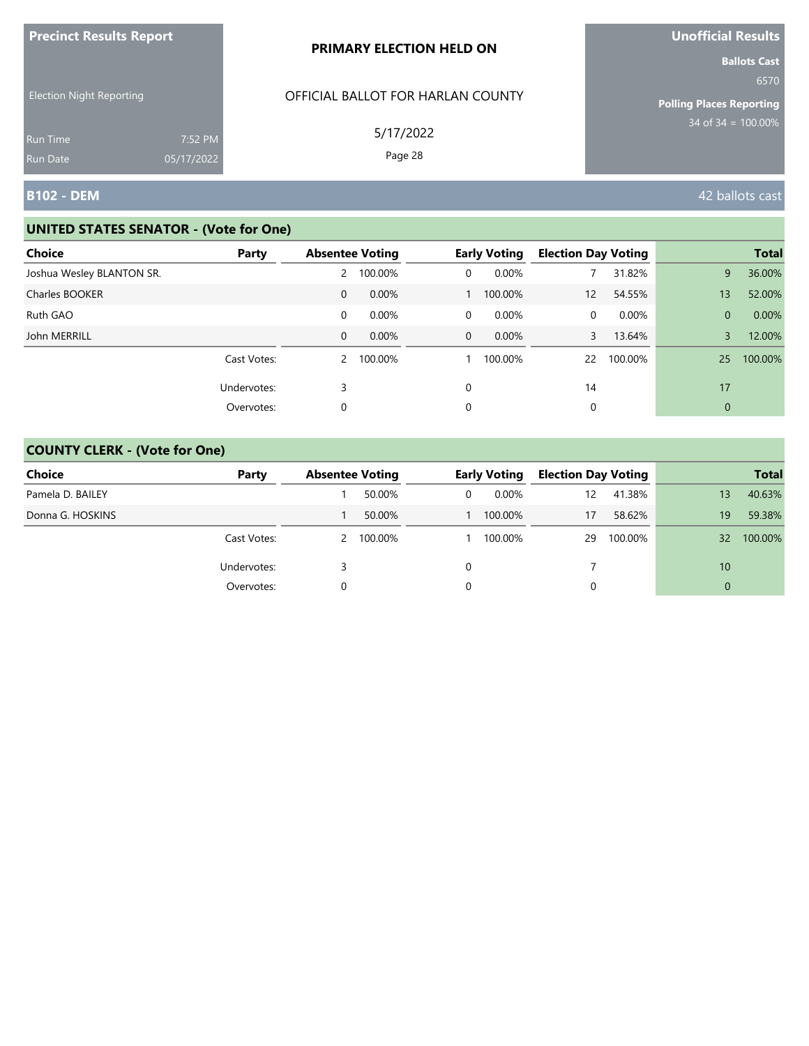| <b>Precinct Results Report</b>  |            | PRIMARY ELECTION HELD ON          | <b>Unofficial Results</b>                                                                 |
|---------------------------------|------------|-----------------------------------|-------------------------------------------------------------------------------------------|
| <b>Election Night Reporting</b> |            | OFFICIAL BALLOT FOR HARLAN COUNTY | <b>Ballots Cast</b><br>6570<br><b>Polling Places Reporting</b><br>$34$ of $34 = 100.00\%$ |
| <b>Run Time</b>                 | 7:52 PM    | 5/17/2022                         |                                                                                           |
| <b>Run Date</b>                 | 05/17/2022 | Page 28                           |                                                                                           |
| B102 - DEM                      |            |                                   | 42 ballots cast                                                                           |

| <b>Choice</b>             | Party       | <b>Absentee Voting</b> |          |             | <b>Early Voting</b> | <b>Election Day Voting</b> |          |                | <b>Total</b> |
|---------------------------|-------------|------------------------|----------|-------------|---------------------|----------------------------|----------|----------------|--------------|
| Joshua Wesley BLANTON SR. |             | 2                      | 100.00%  | 0           | 0.00%               |                            | 31.82%   | 9              | 36.00%       |
| Charles BOOKER            |             | 0                      | 0.00%    |             | 100.00%             | 12                         | 54.55%   | 13             | 52.00%       |
| Ruth GAO                  |             | 0                      | 0.00%    | 0           | 0.00%               | 0                          | $0.00\%$ | $\overline{0}$ | 0.00%        |
| John MERRILL              |             | 0                      | $0.00\%$ | $\mathbf 0$ | $0.00\%$            | 3                          | 13.64%   | 3              | 12.00%       |
|                           | Cast Votes: | 2                      | 100.00%  |             | 100.00%             | 22                         | 100.00%  | 25             | 100.00%      |
|                           | Undervotes: | 3                      |          | $\Omega$    |                     | 14                         |          | 17             |              |
|                           | Overvotes:  | 0                      |          | 0           |                     |                            |          | $\mathbf{0}$   |              |

| <b>Choice</b>    | Party       | <b>Absentee Voting</b> |           |   | <b>Early Voting</b> | <b>Election Day Voting</b> |         |          | <b>Total</b> |
|------------------|-------------|------------------------|-----------|---|---------------------|----------------------------|---------|----------|--------------|
| Pamela D. BAILEY |             |                        | 50.00%    | 0 | $0.00\%$            | 12                         | 41.38%  | 13       | 40.63%       |
| Donna G. HOSKINS |             |                        | 50.00%    |   | 100.00%             | 17                         | 58.62%  | 19       | 59.38%       |
|                  | Cast Votes: |                        | 2 100.00% |   | 100.00%             | 29                         | 100.00% | 32       | 100.00%      |
|                  | Undervotes: |                        |           |   |                     |                            |         | 10       |              |
|                  | Overvotes:  |                        |           |   |                     |                            |         | $\Omega$ |              |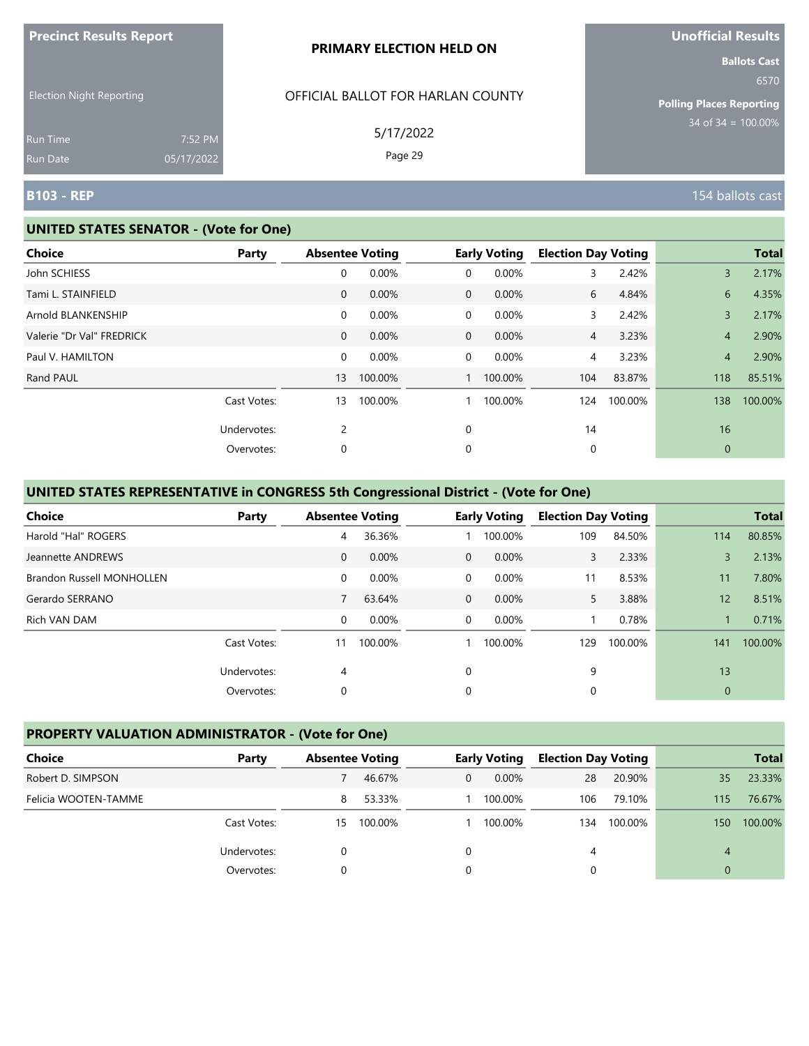|                                 |            | PRIMARY ELECTION HELD ON          |                                                         |
|---------------------------------|------------|-----------------------------------|---------------------------------------------------------|
| <b>Election Night Reporting</b> |            | OFFICIAL BALLOT FOR HARLAN COUNTY | <b>Ballots Cast</b><br>6570                             |
|                                 |            |                                   | <b>Polling Places Reporting</b><br>$34$ of 34 = 100.00% |
| <b>Run Time</b>                 | 7:52 PM    | 5/17/2022<br>Page 29              |                                                         |
| Run Date                        | 05/17/2022 |                                   |                                                         |
| <b>B103 - REP</b>               |            |                                   | 154 ballots cast                                        |

#### **UNITED STATES SENATOR - (Vote for One)**

**Precinct Results Report**

| Party |                                          | <b>Absentee Voting</b> |             | <b>Early Voting</b>                           | <b>Election Day Voting</b> |         |                | <b>Total</b> |
|-------|------------------------------------------|------------------------|-------------|-----------------------------------------------|----------------------------|---------|----------------|--------------|
|       | 0                                        | 0.00%                  | 0           | 0.00%                                         | 3                          | 2.42%   | $\overline{3}$ | 2.17%        |
|       | 0                                        | 0.00%                  |             | 0.00%                                         | 6                          | 4.84%   | 6              | 4.35%        |
|       | 0                                        | 0.00%                  | $\mathbf 0$ | 0.00%                                         | 3                          | 2.42%   | 3              | 2.17%        |
|       | $\mathbf 0$                              | 0.00%                  |             | 0.00%                                         | $\overline{4}$             | 3.23%   | $\overline{4}$ | 2.90%        |
|       | 0                                        | 0.00%                  | $\mathbf 0$ | 0.00%                                         | 4                          | 3.23%   | $\overline{4}$ | 2.90%        |
|       |                                          | 100.00%                |             |                                               | 104                        | 83.87%  | 118            | 85.51%       |
|       |                                          | 100.00%                |             |                                               | 124                        | 100.00% | 138            | 100.00%      |
|       | $\overline{2}$                           |                        | $\mathbf 0$ |                                               | 14                         |         | 16             |              |
|       | 0                                        |                        | 0           |                                               | 0                          |         | $\mathbf 0$    |              |
|       | Cast Votes:<br>Undervotes:<br>Overvotes: | 13<br>13               |             | $\overline{0}$<br>$\overline{0}$<br>$1 \quad$ | 100.00%<br>100.00%         |         |                |              |

# **UNITED STATES REPRESENTATIVE in CONGRESS 5th Congressional District - (Vote for One)**

| Choice                           | Party       | <b>Absentee Voting</b> |         |                | <b>Early Voting</b> | <b>Election Day Voting</b> |         |             | <b>Total</b> |
|----------------------------------|-------------|------------------------|---------|----------------|---------------------|----------------------------|---------|-------------|--------------|
| Harold "Hal" ROGERS              |             | 4                      | 36.36%  |                | 100.00%             | 109                        | 84.50%  | 114         | 80.85%       |
| Jeannette ANDREWS                |             | $\mathbf{0}$           | 0.00%   | $\overline{0}$ | 0.00%               | 3                          | 2.33%   | 3           | 2.13%        |
| <b>Brandon Russell MONHOLLEN</b> |             | 0                      | 0.00%   | 0              | $0.00\%$            | 11                         | 8.53%   | 11          | 7.80%        |
| Gerardo SERRANO                  |             | 7                      | 63.64%  | $\overline{0}$ | $0.00\%$            | 5.                         | 3.88%   | 12          | 8.51%        |
| Rich VAN DAM                     |             | 0                      | 0.00%   | $\Omega$       | 0.00%               |                            | 0.78%   |             | 0.71%        |
|                                  | Cast Votes: | 11                     | 100.00% |                | 100.00%             | 129                        | 100.00% | 141         | 100.00%      |
|                                  | Undervotes: | 4                      |         | $\mathbf 0$    |                     | 9                          |         | 13          |              |
|                                  | Overvotes:  | 0                      |         | 0              |                     | 0                          |         | $\mathbf 0$ |              |

## **PROPERTY VALUATION ADMINISTRATOR - (Vote for One)**

| <b>Choice</b>        | Party       |    | <b>Absentee Voting</b> |   | <b>Early Voting</b> | <b>Election Day Voting</b> |         |          | <b>Total</b> |
|----------------------|-------------|----|------------------------|---|---------------------|----------------------------|---------|----------|--------------|
| Robert D. SIMPSON    |             |    | 46.67%                 | 0 | $0.00\%$            | 28                         | 20.90%  | 35       | 23.33%       |
| Felicia WOOTEN-TAMME |             | 8  | 53.33%                 |   | 100.00%             | 106                        | 79.10%  | 115      | 76.67%       |
|                      | Cast Votes: | 15 | 100.00%                |   | 100.00%             | 134                        | 100.00% | 150      | 100.00%      |
|                      | Undervotes: |    |                        |   |                     | 4                          |         | 4        |              |
|                      | Overvotes:  |    |                        |   |                     | 0                          |         | $\Omega$ |              |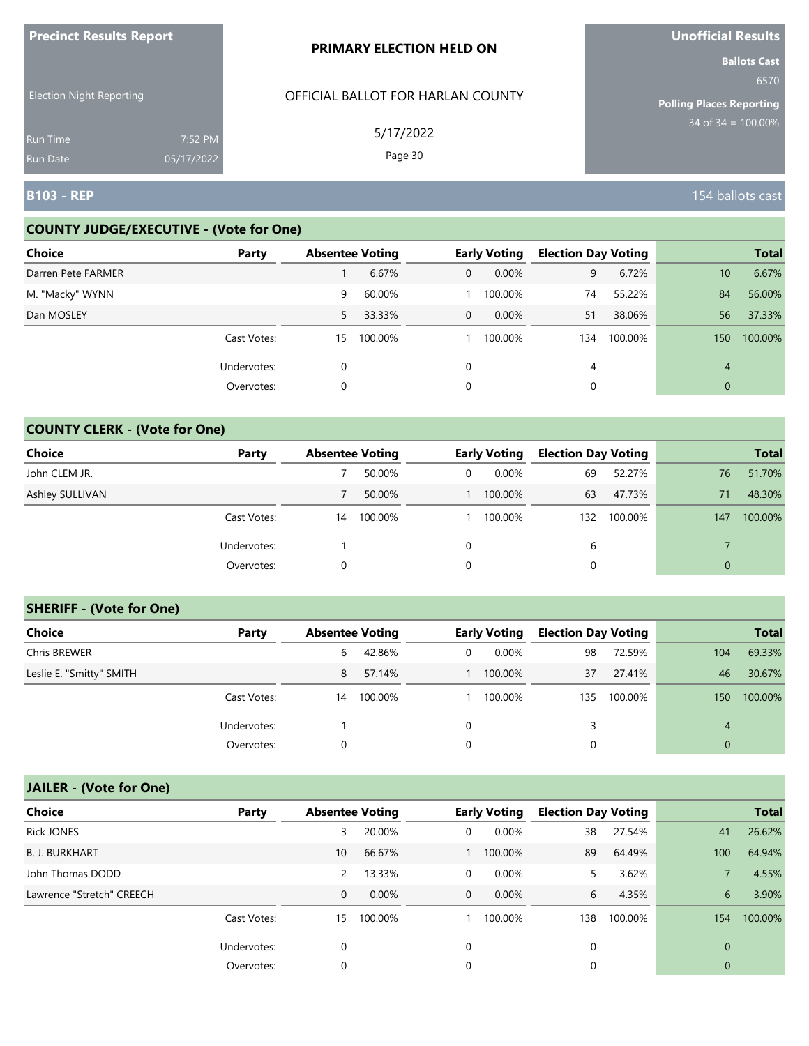| <b>FIGUILL RESULS REPULL</b>       |                       | <b>PRIMARY ELECTION HELD ON</b>   | <b>VIIVIIILIAI NESUILS</b><br><b>Ballots Cast</b> |
|------------------------------------|-----------------------|-----------------------------------|---------------------------------------------------|
| <b>Election Night Reporting</b>    |                       | OFFICIAL BALLOT FOR HARLAN COUNTY | 6570<br><b>Polling Places Reporting</b>           |
| <b>Run Time</b><br><b>Run Date</b> | 7:52 PM<br>05/17/2022 | 5/17/2022<br>Page 30              | $34$ of $34 = 100.00\%$                           |
| <b>B103 - REP</b>                  |                       |                                   | 154 ballots cast                                  |

### **COUNTY JUDGE/EXECUTIVE - (Vote for One)**

**Precinct Results Report**

| <b>Choice</b>      | Party       | <b>Absentee Voting</b> |         |              | <b>Early Voting</b> | <b>Election Day Voting</b> |         |     | <b>Total</b> |
|--------------------|-------------|------------------------|---------|--------------|---------------------|----------------------------|---------|-----|--------------|
| Darren Pete FARMER |             |                        | 6.67%   | 0            | $0.00\%$            | 9                          | 6.72%   | 10  | 6.67%        |
| M. "Macky" WYNN    |             | 9                      | 60.00%  |              | 100.00%             | 74                         | 55.22%  | 84  | 56.00%       |
| Dan MOSLEY         |             | 5                      | 33.33%  | $\mathbf{0}$ | 0.00%               | 51                         | 38.06%  | 56  | 37.33%       |
|                    | Cast Votes: | 15                     | 100.00% |              | 100.00%             | 134                        | 100.00% | 150 | 100.00%      |
|                    | Undervotes: | 0                      |         | $\Omega$     |                     | 4                          |         | 4   |              |
|                    | Overvotes:  | 0                      |         | 0            |                     |                            |         | 0   |              |

### **COUNTY CLERK - (Vote for One)**

| Choice          | Party       | <b>Absentee Voting</b> |         |   | <b>Early Voting</b> | <b>Election Day Voting</b> |         |          | <b>Total</b> |
|-----------------|-------------|------------------------|---------|---|---------------------|----------------------------|---------|----------|--------------|
| John CLEM JR.   |             |                        | 50.00%  | 0 | $0.00\%$            | 69                         | 52.27%  | 76       | 51.70%       |
| Ashley SULLIVAN |             |                        | 50.00%  |   | 100.00%             | 63                         | 47.73%  | 71       | 48.30%       |
|                 | Cast Votes: | 14                     | 100.00% |   | 100.00%             | 132                        | 100.00% | 147      | 100.00%      |
|                 | Undervotes: |                        |         | 0 |                     | b                          |         |          |              |
|                 | Overvotes:  | 0                      |         | 0 |                     | 0                          |         | $\Omega$ |              |

#### **SHERIFF - (Vote for One)**

| <b>Choice</b>            | Party       | <b>Absentee Voting</b> |         |   | <b>Early Voting</b> | <b>Election Day Voting</b> |         |          | <b>Total</b> |
|--------------------------|-------------|------------------------|---------|---|---------------------|----------------------------|---------|----------|--------------|
| Chris BREWER             |             | 6                      | 42.86%  | 0 | $0.00\%$            | 98                         | 72.59%  | 104      | 69.33%       |
| Leslie E. "Smitty" SMITH |             | 8                      | 57.14%  |   | 100.00%             | 37                         | 27.41%  | 46       | 30.67%       |
|                          | Cast Votes: | 14                     | 100.00% |   | 100.00%             | 135                        | 100.00% | 150      | 100.00%      |
|                          | Undervotes: |                        |         | 0 |                     | 3                          |         | 4        |              |
|                          | Overvotes:  | 0                      |         | 0 |                     | 0                          |         | $\Omega$ |              |

# **JAILER - (Vote for One)**

| <b>Choice</b>             | Party       | <b>Absentee Voting</b> |          |              | <b>Early Voting</b> | <b>Election Day Voting</b> |         |             | <b>Total</b> |
|---------------------------|-------------|------------------------|----------|--------------|---------------------|----------------------------|---------|-------------|--------------|
| <b>Rick JONES</b>         |             | 3                      | 20.00%   | 0            | 0.00%               | 38                         | 27.54%  | 41          | 26.62%       |
| <b>B. J. BURKHART</b>     |             | 10                     | 66.67%   |              | 100.00%             | 89                         | 64.49%  | 100         | 64.94%       |
| John Thomas DODD          |             | 2                      | 13.33%   | 0            | 0.00%               | 5.                         | 3.62%   |             | 4.55%        |
| Lawrence "Stretch" CREECH |             | 0                      | $0.00\%$ | $\mathbf{0}$ | $0.00\%$            | 6                          | 4.35%   | 6           | 3.90%        |
|                           | Cast Votes: | 15                     | 100.00%  |              | 100.00%             | 138                        | 100.00% | 154         | 100.00%      |
|                           | Undervotes: | 0                      |          | 0            |                     | 0                          |         | $\Omega$    |              |
|                           | Overvotes:  | 0                      |          | 0            |                     | 0                          |         | $\mathbf 0$ |              |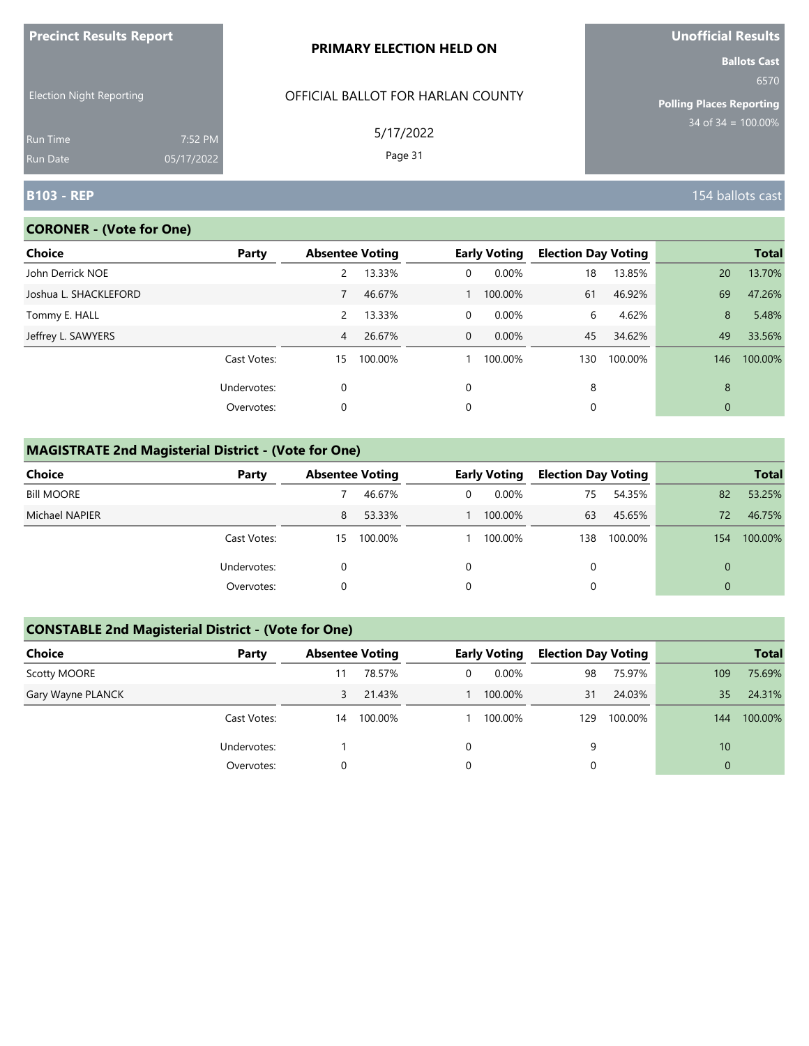| <u>FIECINCLAESURS AEPORT</u>       |                       | <b>PRIMARY ELECTION HELD ON</b>   | <b>UIIUIIILIAI NESUILS</b><br><b>Ballots Cast</b> |
|------------------------------------|-----------------------|-----------------------------------|---------------------------------------------------|
| <b>Election Night Reporting</b>    |                       | OFFICIAL BALLOT FOR HARLAN COUNTY | 6570<br><b>Polling Places Reporting</b>           |
| <b>Run Time</b><br><b>Run Date</b> | 7:52 PM<br>05/17/2022 | 5/17/2022<br>Page 31              | $34$ of 34 = 100.00%                              |
| <b>B103 - REP</b>                  |                       |                                   | 154 ballots cast                                  |

# **CORONER - (Vote for One)**

**Precinct Results Report**

| <b>Choice</b>         | Party       |                | <b>Absentee Voting</b> |                | <b>Early Voting</b> | <b>Election Day Voting</b> |         |              | <b>Total</b> |
|-----------------------|-------------|----------------|------------------------|----------------|---------------------|----------------------------|---------|--------------|--------------|
| John Derrick NOE      |             |                | 13.33%                 | 0              | 0.00%               | 18                         | 13.85%  | 20           | 13.70%       |
| Joshua L. SHACKLEFORD |             |                | 46.67%                 |                | 100.00%             | 61                         | 46.92%  | 69           | 47.26%       |
| Tommy E. HALL         |             | $\overline{2}$ | 13.33%                 | $\overline{0}$ | 0.00%               | 6                          | 4.62%   | 8            | 5.48%        |
| Jeffrey L. SAWYERS    |             | $\overline{4}$ | 26.67%                 | $\overline{0}$ | 0.00%               | 45                         | 34.62%  | 49           | 33.56%       |
|                       | Cast Votes: | 15             | 100.00%                |                | 100.00%             | 130                        | 100.00% | 146          | 100.00%      |
|                       | Undervotes: | 0              |                        | 0              |                     | 8                          |         | 8            |              |
|                       | Overvotes:  | 0              |                        | 0              |                     | 0                          |         | $\mathbf{0}$ |              |
|                       |             |                |                        |                |                     |                            |         |              |              |

# **MAGISTRATE 2nd Magisterial District - (Vote for One)**

| Choice            | Party       | <b>Absentee Voting</b> |         | <b>Early Voting</b> | <b>Election Day Voting</b> |         |          | <b>Total</b> |
|-------------------|-------------|------------------------|---------|---------------------|----------------------------|---------|----------|--------------|
| <b>Bill MOORE</b> |             |                        | 46.67%  | $0.00\%$            | 75                         | 54.35%  | 82       | 53.25%       |
| Michael NAPIER    |             | 8                      | 53.33%  | 100.00%             | 63                         | 45.65%  | 72       | 46.75%       |
|                   | Cast Votes: | 15                     | 100.00% | 100.00%             | 138                        | 100.00% | 154      | 100.00%      |
|                   | Undervotes: |                        |         |                     | $\Omega$                   |         | $\Omega$ |              |
|                   | Overvotes:  |                        |         |                     | 0                          |         | $\Omega$ |              |

### **CONSTABLE 2nd Magisterial District - (Vote for One)**

| Choice            | Party       | <b>Absentee Voting</b> |         |   | <b>Early Voting</b> | <b>Election Day Voting</b> |         |          | <b>Total</b> |
|-------------------|-------------|------------------------|---------|---|---------------------|----------------------------|---------|----------|--------------|
| Scotty MOORE      |             |                        | 78.57%  | 0 | $0.00\%$            | 98                         | 75.97%  | 109      | 75.69%       |
| Gary Wayne PLANCK |             | 3                      | 21.43%  |   | 100.00%             | 31                         | 24.03%  | 35       | 24.31%       |
|                   | Cast Votes: | 14                     | 100.00% |   | 100.00%             | 129                        | 100.00% | 144      | 100.00%      |
|                   | Undervotes: |                        |         | 0 |                     | 9                          |         | 10       |              |
|                   | Overvotes:  |                        |         | 0 |                     |                            |         | $\Omega$ |              |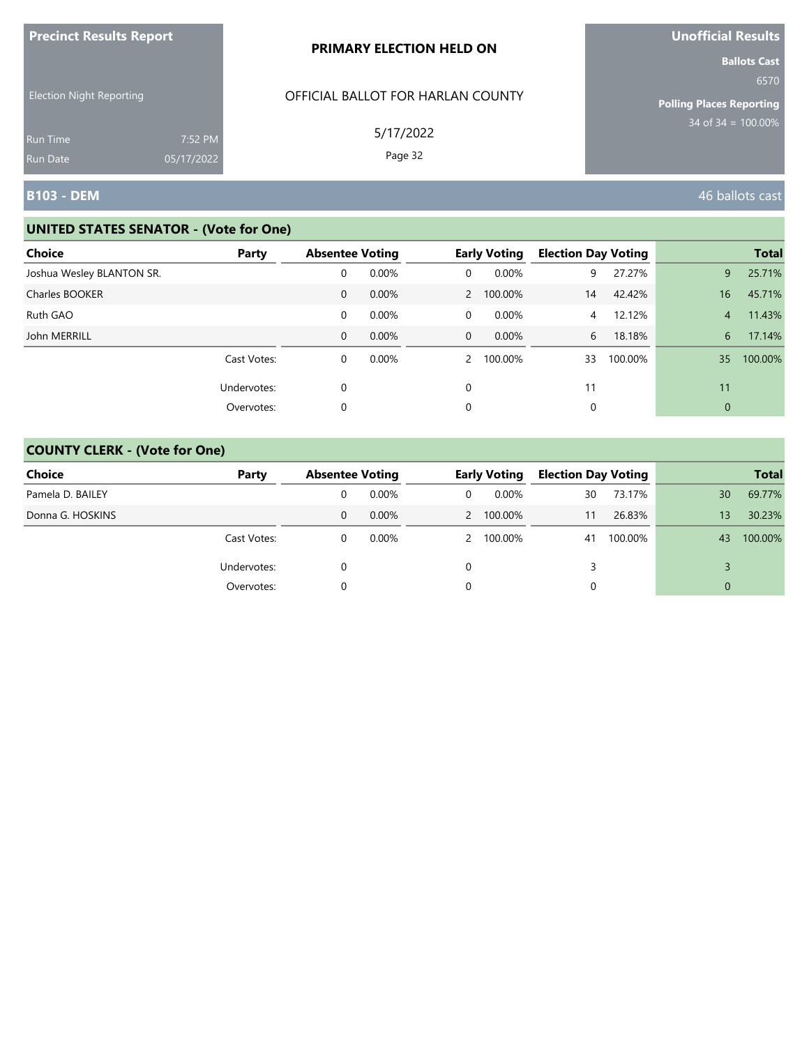| <b>Precinct Results Report</b>  |            | PRIMARY ELECTION HELD ON          | <b>Unofficial Results</b>                                                                 |
|---------------------------------|------------|-----------------------------------|-------------------------------------------------------------------------------------------|
| <b>Election Night Reporting</b> |            | OFFICIAL BALLOT FOR HARLAN COUNTY | <b>Ballots Cast</b><br>6570<br><b>Polling Places Reporting</b><br>$34$ of $34 = 100.00\%$ |
| <b>Run Time</b>                 | 7:52 PM    | 5/17/2022                         |                                                                                           |
| <b>Run Date</b>                 | 05/17/2022 | Page 32                           |                                                                                           |
| B103 - DEM                      |            |                                   | 46 ballots cast                                                                           |

| <b>Choice</b>             | Party       | <b>Absentee Voting</b> |       |             | <b>Early Voting</b> | <b>Election Day Voting</b> |         |                | <b>Total</b> |
|---------------------------|-------------|------------------------|-------|-------------|---------------------|----------------------------|---------|----------------|--------------|
| Joshua Wesley BLANTON SR. |             | 0                      | 0.00% | 0           | 0.00%               | 9                          | 27.27%  | 9              | 25.71%       |
| Charles BOOKER            |             | $\mathbf{0}$           | 0.00% |             | 2 100.00%           | 14                         | 42.42%  | 16             | 45.71%       |
| Ruth GAO                  |             | 0                      | 0.00% | 0           | 0.00%               | 4                          | 12.12%  | $\overline{4}$ | 11.43%       |
| John MERRILL              |             | $\mathbf{0}$           | 0.00% | $\mathbf 0$ | 0.00%               | 6                          | 18.18%  | 6              | 17.14%       |
|                           | Cast Votes: | 0                      | 0.00% |             | 2 100.00%           | 33                         | 100.00% | 35             | 100.00%      |
|                           | Undervotes: | $\mathbf 0$            |       | $\Omega$    |                     | 11                         |         | 11             |              |
|                           | Overvotes:  | 0                      |       | 0           |                     |                            |         | $\mathbf{0}$   |              |

| <b>Choice</b>    | Party       | <b>Absentee Voting</b> |          |              | <b>Early Voting</b> | <b>Election Day Voting</b> |         |    | <b>Total</b> |
|------------------|-------------|------------------------|----------|--------------|---------------------|----------------------------|---------|----|--------------|
| Pamela D. BAILEY |             |                        | $0.00\%$ | $\mathbf{0}$ | $0.00\%$            | 30                         | 73.17%  | 30 | 69.77%       |
| Donna G. HOSKINS |             | 0                      | 0.00%    |              | 2 100.00%           | 11                         | 26.83%  | 13 | 30.23%       |
|                  | Cast Votes: |                        | $0.00\%$ |              | 2 100.00%           | 41                         | 100.00% | 43 | 100.00%      |
|                  | Undervotes: |                        |          | 0            |                     | 3                          |         |    |              |
|                  | Overvotes:  |                        |          | 0            |                     |                            |         | 0  |              |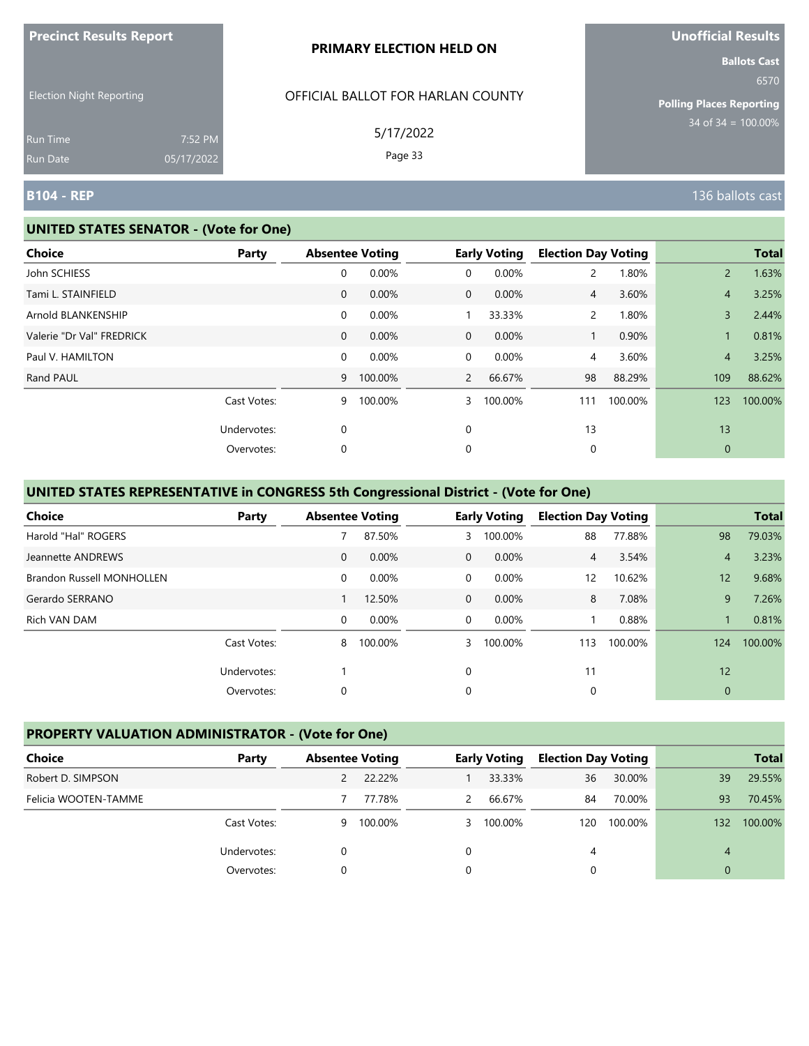| <b>Precinct Results Report</b>  |            | <b>PRIMARY ELECTION HELD ON</b>   | <b>Unofficial Results</b>       |
|---------------------------------|------------|-----------------------------------|---------------------------------|
|                                 |            |                                   | <b>Ballots Cast</b><br>6570     |
| <b>Election Night Reporting</b> |            | OFFICIAL BALLOT FOR HARLAN COUNTY | <b>Polling Places Reporting</b> |
| Run Time                        | 7:52 PM    | 5/17/2022                         | $34$ of 34 = 100.00%            |
| Run Date                        | 05/17/2022 | Page 33                           |                                 |
| <b>B104 - REP</b>               |            |                                   | 136 ballots cast                |

#### **UNITED STATES SENATOR - (Vote for One)**

| Choice                    | Party       |              | <b>Absentee Voting</b> |                | <b>Early Voting</b> | <b>Election Day Voting</b> |         |                | <b>Total</b> |
|---------------------------|-------------|--------------|------------------------|----------------|---------------------|----------------------------|---------|----------------|--------------|
| John SCHIESS              |             | 0            | 0.00%                  | 0              | 0.00%               | $\mathbf{2}^{\prime}$      | 1.80%   | $\overline{2}$ | 1.63%        |
| Tami L. STAINFIELD        |             | $\mathbf 0$  | 0.00%                  | $\overline{0}$ | 0.00%               | $\overline{4}$             | 3.60%   | $\overline{4}$ | 3.25%        |
| Arnold BLANKENSHIP        |             | 0            | 0.00%                  |                | 33.33%              | $\mathbf{2}$               | 1.80%   | 3              | 2.44%        |
| Valerie "Dr Val" FREDRICK |             | $\mathbf{0}$ | 0.00%                  | $\overline{0}$ | 0.00%               |                            | 0.90%   |                | 0.81%        |
| Paul V. HAMILTON          |             | 0            | 0.00%                  | $\mathbf 0$    | 0.00%               | 4                          | 3.60%   | $\overline{4}$ | 3.25%        |
| Rand PAUL                 |             | 9            | 100.00%                | $\overline{2}$ | 66.67%              | 98                         | 88.29%  | 109            | 88.62%       |
|                           | Cast Votes: | 9            | 100.00%                | 3              | 100.00%             | 111                        | 100.00% | 123            | 100.00%      |
|                           | Undervotes: | 0            |                        | 0              |                     | 13                         |         | 13             |              |
|                           | Overvotes:  | 0            |                        | 0              |                     | 0                          |         | $\mathbf{0}$   |              |

# **UNITED STATES REPRESENTATIVE in CONGRESS 5th Congressional District - (Vote for One)**

| <b>Choice</b>             | Party       | <b>Absentee Voting</b> |         |                | <b>Early Voting</b> | <b>Election Day Voting</b> |         |             | <b>Total</b> |
|---------------------------|-------------|------------------------|---------|----------------|---------------------|----------------------------|---------|-------------|--------------|
| Harold "Hal" ROGERS       |             |                        | 87.50%  | 3              | 100.00%             | 88                         | 77.88%  | 98          | 79.03%       |
| Jeannette ANDREWS         |             | $\mathbf{0}$           | 0.00%   | $\overline{0}$ | 0.00%               | $\overline{4}$             | 3.54%   | 4           | 3.23%        |
| Brandon Russell MONHOLLEN |             | 0                      | 0.00%   | 0              | $0.00\%$            | 12                         | 10.62%  | 12          | 9.68%        |
| Gerardo SERRANO           |             |                        | 12.50%  | $\overline{0}$ | 0.00%               | 8                          | 7.08%   | 9           | 7.26%        |
| Rich VAN DAM              |             | 0                      | 0.00%   | $\overline{0}$ | 0.00%               |                            | 0.88%   |             | 0.81%        |
|                           | Cast Votes: | 8                      | 100.00% | 3              | 100.00%             | 113                        | 100.00% | 124         | 100.00%      |
|                           | Undervotes: |                        |         | $\mathbf 0$    |                     | 11                         |         | 12          |              |
|                           | Overvotes:  | 0                      |         | 0              |                     | 0                          |         | $\mathbf 0$ |              |

# **PROPERTY VALUATION ADMINISTRATOR - (Vote for One)**

| Choice               | Party       | <b>Absentee Voting</b> |         |               | <b>Early Voting</b> | <b>Election Day Voting</b> |         |          | <b>Total</b> |
|----------------------|-------------|------------------------|---------|---------------|---------------------|----------------------------|---------|----------|--------------|
| Robert D. SIMPSON    |             |                        | 22.22%  |               | 33.33%              | 36                         | 30.00%  | 39       | 29.55%       |
| Felicia WOOTEN-TAMME |             |                        | 77.78%  | $\mathcal{P}$ | 66.67%              | 84                         | 70.00%  | 93       | 70.45%       |
|                      | Cast Votes: | 9                      | 100.00% | 3             | 100.00%             | 120                        | 100.00% | 132      | 100.00%      |
|                      | Undervotes: |                        |         | $\Omega$      |                     | 4                          |         | 4        |              |
|                      | Overvotes:  |                        |         | 0             |                     |                            |         | $\Omega$ |              |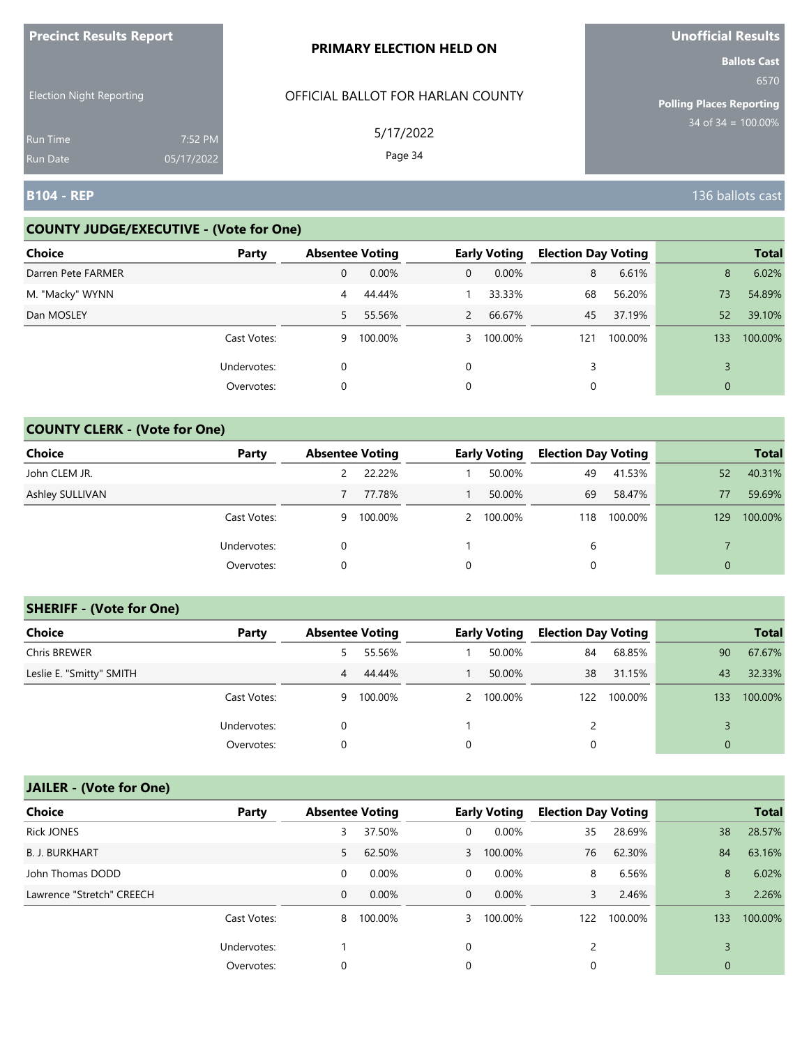| <b>Precinct Results Report</b>  |            | <b>PRIMARY ELECTION HELD ON</b>   | <b>Unofficial Results</b>                               |
|---------------------------------|------------|-----------------------------------|---------------------------------------------------------|
| <b>Election Night Reporting</b> |            | OFFICIAL BALLOT FOR HARLAN COUNTY | <b>Ballots Cast</b><br>6570                             |
|                                 |            | 5/17/2022                         | <b>Polling Places Reporting</b><br>$34$ of 34 = 100.00% |
| <b>Run Time</b>                 | 7:52 PM    |                                   |                                                         |
| <b>Run Date</b>                 | 05/17/2022 | Page 34                           |                                                         |
| <b>B104 - REP</b>               |            |                                   | 136 ballots cast                                        |

### **COUNTY JUDGE/EXECUTIVE - (Vote for One)**

| <b>Choice</b>      | Party       | <b>Absentee Voting</b> |         |                | <b>Early Voting</b> | <b>Election Day Voting</b> |         |     | <b>Total</b> |
|--------------------|-------------|------------------------|---------|----------------|---------------------|----------------------------|---------|-----|--------------|
| Darren Pete FARMER |             | 0                      | 0.00%   | 0              | 0.00%               | 8                          | 6.61%   | 8   | 6.02%        |
| M. "Macky" WYNN    |             | 4                      | 44.44%  |                | 33.33%              | 68                         | 56.20%  | 73  | 54.89%       |
| Dan MOSLEY         |             | 5                      | 55.56%  | $\overline{2}$ | 66.67%              | 45                         | 37.19%  | 52  | 39.10%       |
|                    | Cast Votes: | 9                      | 100.00% |                | 3 100.00%           | 121                        | 100.00% | 133 | 100.00%      |
|                    | Undervotes: | 0                      |         | $\Omega$       |                     | 3                          |         |     |              |
|                    | Overvotes:  | 0                      |         | 0              |                     |                            |         | 0   |              |

## **COUNTY CLERK - (Vote for One)**

| <b>Choice</b>          | Party       | <b>Absentee Voting</b> |         |   | <b>Early Voting</b> | <b>Election Day Voting</b> |         |                | <b>Total</b> |
|------------------------|-------------|------------------------|---------|---|---------------------|----------------------------|---------|----------------|--------------|
| John CLEM JR.          |             |                        | 22.22%  |   | 50.00%              | 49                         | 41.53%  | 52             | 40.31%       |
| <b>Ashley SULLIVAN</b> |             |                        | 77.78%  |   | 50.00%              | 69                         | 58.47%  | 77             | 59.69%       |
|                        | Cast Votes: | 9                      | 100.00% |   | 2 100.00%           | 118                        | 100.00% | 129            | 100.00%      |
|                        | Undervotes: | 0                      |         |   |                     | 6                          |         |                |              |
|                        | Overvotes:  | $\Omega$               |         | 0 |                     | 0                          |         | $\overline{0}$ |              |

# **SHERIFF - (Vote for One)**

| <b>Choice</b>            | Party       | <b>Absentee Voting</b> |           | <b>Early Voting</b> | <b>Election Day Voting</b> |         |                | <b>Total</b> |
|--------------------------|-------------|------------------------|-----------|---------------------|----------------------------|---------|----------------|--------------|
| <b>Chris BREWER</b>      |             | 5.                     | 55.56%    | 50.00%              | 84                         | 68.85%  | 90             | 67.67%       |
| Leslie E. "Smitty" SMITH |             | 4                      | 44.44%    | 50.00%              | 38                         | 31.15%  | 43             | 32.33%       |
|                          | Cast Votes: |                        | 9 100.00% | 2 100.00%           | 122                        | 100.00% | 133            | 100.00%      |
|                          | Undervotes: | 0                      |           |                     |                            |         |                |              |
|                          | Overvotes:  | 0                      |           |                     | 0                          |         | $\overline{0}$ |              |

# **JAILER - (Vote for One)**

| <b>Choice</b>             | Party       | <b>Absentee Voting</b> |          |                | <b>Early Voting</b> | <b>Election Day Voting</b> |         |              | <b>Total</b> |
|---------------------------|-------------|------------------------|----------|----------------|---------------------|----------------------------|---------|--------------|--------------|
| <b>Rick JONES</b>         |             | 3                      | 37.50%   | $\mathbf 0$    | 0.00%               | 35                         | 28.69%  | 38           | 28.57%       |
| <b>B. J. BURKHART</b>     |             | 5.                     | 62.50%   |                | 3 100.00%           | 76                         | 62.30%  | 84           | 63.16%       |
| John Thomas DODD          |             | 0                      | 0.00%    | $\overline{0}$ | 0.00%               | 8                          | 6.56%   | 8            | 6.02%        |
| Lawrence "Stretch" CREECH |             | 0                      | $0.00\%$ | $\overline{0}$ | $0.00\%$            | 3                          | 2.46%   | 3            | 2.26%        |
|                           | Cast Votes: | 8                      | 100.00%  | 3              | 100.00%             | 122                        | 100.00% | 133          | 100.00%      |
|                           | Undervotes: |                        |          | $\Omega$       |                     |                            |         |              |              |
|                           | Overvotes:  | 0                      |          | 0              |                     | 0                          |         | $\mathbf{0}$ |              |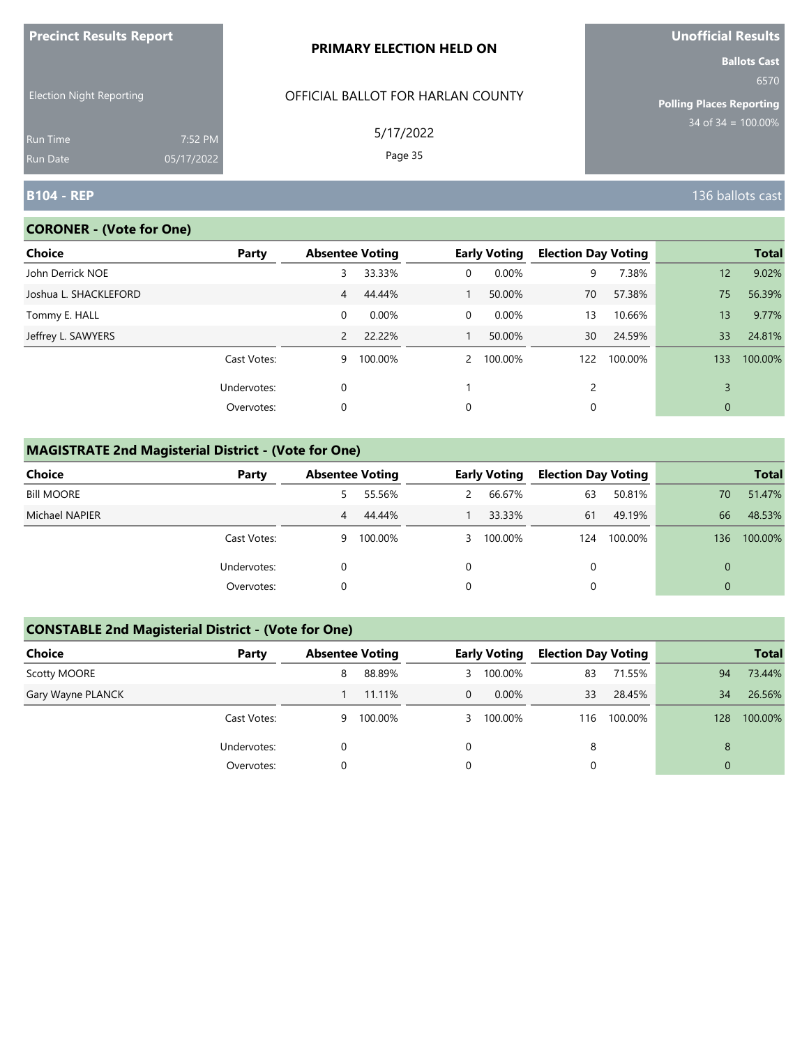| <b>FIGUILLE RESULTS REPUIL</b>     |                       | PRIMARY ELECTION HELD ON          | <u>UNUMBER NESULS</u><br><b>Ballots Cast</b> |
|------------------------------------|-----------------------|-----------------------------------|----------------------------------------------|
| <b>Election Night Reporting</b>    |                       | OFFICIAL BALLOT FOR HARLAN COUNTY | 6570<br><b>Polling Places Reporting</b>      |
| <b>Run Time</b><br><b>Run Date</b> | 7:52 PM<br>05/17/2022 | 5/17/2022<br>Page 35              | 34 of $34 = 100.00\%$                        |
| <b>B104 - REP</b>                  |                       |                                   | 136 ballots cast                             |

## **CORONER - (Vote for One)**

**Precinct Results Report**

| Choice                | Party       | <b>Absentee Voting</b> |          |              | <b>Early Voting</b> | <b>Election Day Voting</b> |         |             | <b>Total</b> |
|-----------------------|-------------|------------------------|----------|--------------|---------------------|----------------------------|---------|-------------|--------------|
| John Derrick NOE      |             | 3                      | 33.33%   | 0            | 0.00%               | 9                          | 7.38%   | 12          | 9.02%        |
| Joshua L. SHACKLEFORD |             | 4                      | 44.44%   |              | 50.00%              | 70                         | 57.38%  | 75          | 56.39%       |
| Tommy E. HALL         |             | 0                      | $0.00\%$ | $\Omega$     | 0.00%               | 13                         | 10.66%  | 13          | 9.77%        |
| Jeffrey L. SAWYERS    |             | $\mathcal{P}$          | 22.22%   |              | 50.00%              | 30                         | 24.59%  | 33          | 24.81%       |
|                       | Cast Votes: | 9                      | 100.00%  | $\mathbf{2}$ | 100.00%             | 122                        | 100.00% | 133         | 100.00%      |
|                       | Undervotes: | 0                      |          |              |                     | 2                          |         | 3           |              |
|                       | Overvotes:  | 0                      |          | 0            |                     | 0                          |         | $\mathbf 0$ |              |

# **MAGISTRATE 2nd Magisterial District - (Vote for One)**

| Choice            | Party       | <b>Absentee Voting</b> |         | <b>Early Voting</b> | <b>Election Day Voting</b> |         |          | <b>Total</b> |
|-------------------|-------------|------------------------|---------|---------------------|----------------------------|---------|----------|--------------|
| <b>Bill MOORE</b> |             | 5.                     | 55.56%  | 66.67%              | 63                         | 50.81%  | 70       | 51.47%       |
| Michael NAPIER    |             | 4                      | 44.44%  | 33.33%              | 61                         | 49.19%  | 66       | 48.53%       |
|                   | Cast Votes: | 9                      | 100.00% | 3 100.00%           | 124                        | 100.00% | 136      | 100.00%      |
|                   | Undervotes: |                        |         |                     | 0                          |         | $\Omega$ |              |
|                   | Overvotes:  |                        |         |                     | 0                          |         | 0        |              |

# **CONSTABLE 2nd Magisterial District - (Vote for One)**

| Choice            | Party       | <b>Absentee Voting</b> |         |                | <b>Early Voting</b> | <b>Election Day Voting</b> |         |                | <b>Total</b> |
|-------------------|-------------|------------------------|---------|----------------|---------------------|----------------------------|---------|----------------|--------------|
| Scotty MOORE      |             | 8                      | 88.89%  |                | 3 100.00%           | 83                         | 71.55%  | 94             | 73.44%       |
| Gary Wayne PLANCK |             |                        | 11.11%  | $\overline{0}$ | $0.00\%$            | 33                         | 28.45%  | 34             | 26.56%       |
|                   | Cast Votes: | 9                      | 100.00% |                | 3 100.00%           | 116                        | 100.00% | 128            | 100.00%      |
|                   | Undervotes: | 0                      |         | 0              |                     | 8                          |         | 8              |              |
|                   | Overvotes:  | 0                      |         | 0              |                     |                            |         | $\overline{0}$ |              |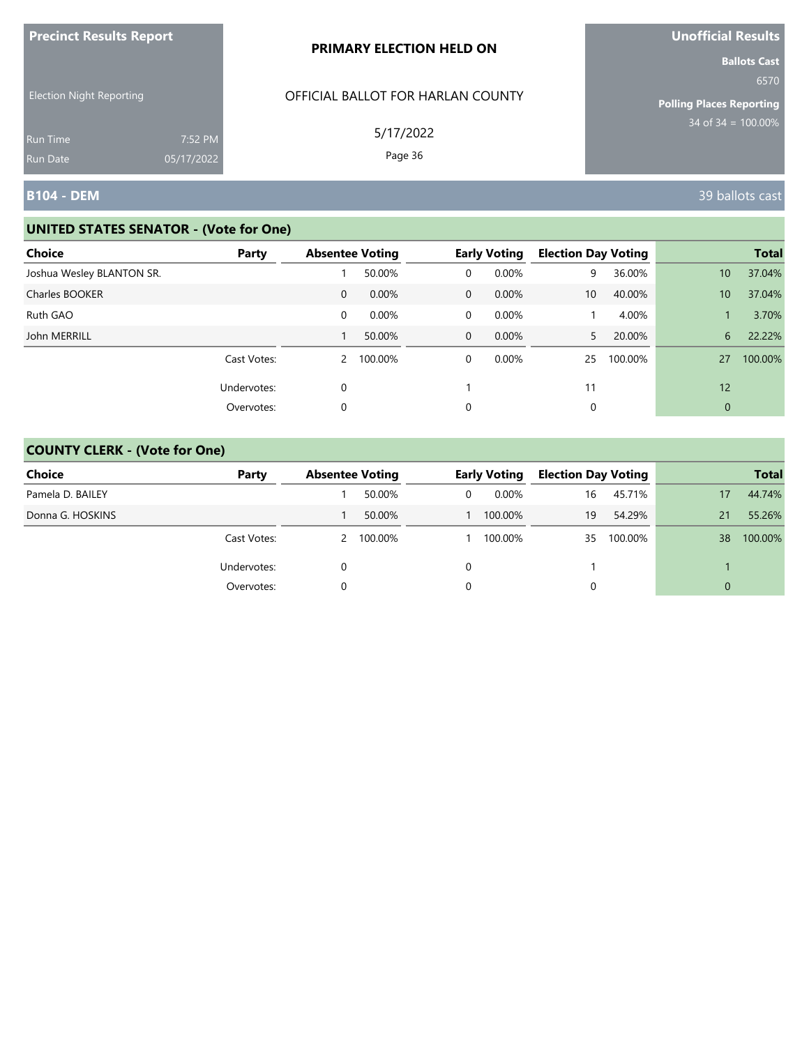| <b>Precinct Results Report</b>                     |            | PRIMARY ELECTION HELD ON                       | <b>Unofficial Results</b>                                                                 |  |  |
|----------------------------------------------------|------------|------------------------------------------------|-------------------------------------------------------------------------------------------|--|--|
| <b>Election Night Reporting</b><br><b>Run Time</b> | 7:52 PM    | OFFICIAL BALLOT FOR HARLAN COUNTY<br>5/17/2022 | <b>Ballots Cast</b><br>6570<br><b>Polling Places Reporting</b><br>$34$ of $34 = 100.00\%$ |  |  |
| <b>Run Date</b><br><b>B104 - DEM</b>               | 05/17/2022 | Page 36                                        | 39 ballots cast                                                                           |  |  |

| Choice                    | Party       | <b>Absentee Voting</b> |           |                | <b>Early Voting</b> | <b>Election Day Voting</b> |         |                 | <b>Total</b> |
|---------------------------|-------------|------------------------|-----------|----------------|---------------------|----------------------------|---------|-----------------|--------------|
| Joshua Wesley BLANTON SR. |             |                        | 50.00%    | $\overline{0}$ | 0.00%               | 9                          | 36.00%  | 10 <sup>°</sup> | 37.04%       |
| Charles BOOKER            |             | $\mathbf{0}$           | 0.00%     | $\overline{0}$ | $0.00\%$            | 10                         | 40.00%  | 10              | 37.04%       |
| Ruth GAO                  |             | 0                      | 0.00%     | $\overline{0}$ | 0.00%               |                            | 4.00%   |                 | 3.70%        |
| John MERRILL              |             |                        | 50.00%    | $\overline{0}$ | $0.00\%$            | 5.                         | 20.00%  | 6               | 22.22%       |
|                           | Cast Votes: |                        | 2 100.00% | 0              | $0.00\%$            | 25                         | 100.00% | 27              | 100.00%      |
|                           | Undervotes: | 0                      |           |                |                     | 11                         |         | 12              |              |
|                           | Overvotes:  | 0                      |           | 0              |                     | 0                          |         | $\mathbf{0}$    |              |

| <b>Choice</b>    | Party       | <b>Absentee Voting</b> |           |   | <b>Early Voting</b> | <b>Election Day Voting</b> |         |          | <b>Total</b> |
|------------------|-------------|------------------------|-----------|---|---------------------|----------------------------|---------|----------|--------------|
| Pamela D. BAILEY |             |                        | 50.00%    | 0 | $0.00\%$            | 16                         | 45.71%  | 17       | 44.74%       |
| Donna G. HOSKINS |             |                        | 50.00%    |   | 100.00%             | 19                         | 54.29%  | 21       | 55.26%       |
|                  | Cast Votes: |                        | 2 100.00% |   | 100.00%             | 35                         | 100.00% | 38       | 100.00%      |
|                  | Undervotes: | 0                      |           |   |                     |                            |         |          |              |
|                  | Overvotes:  |                        |           |   |                     |                            |         | $\Omega$ |              |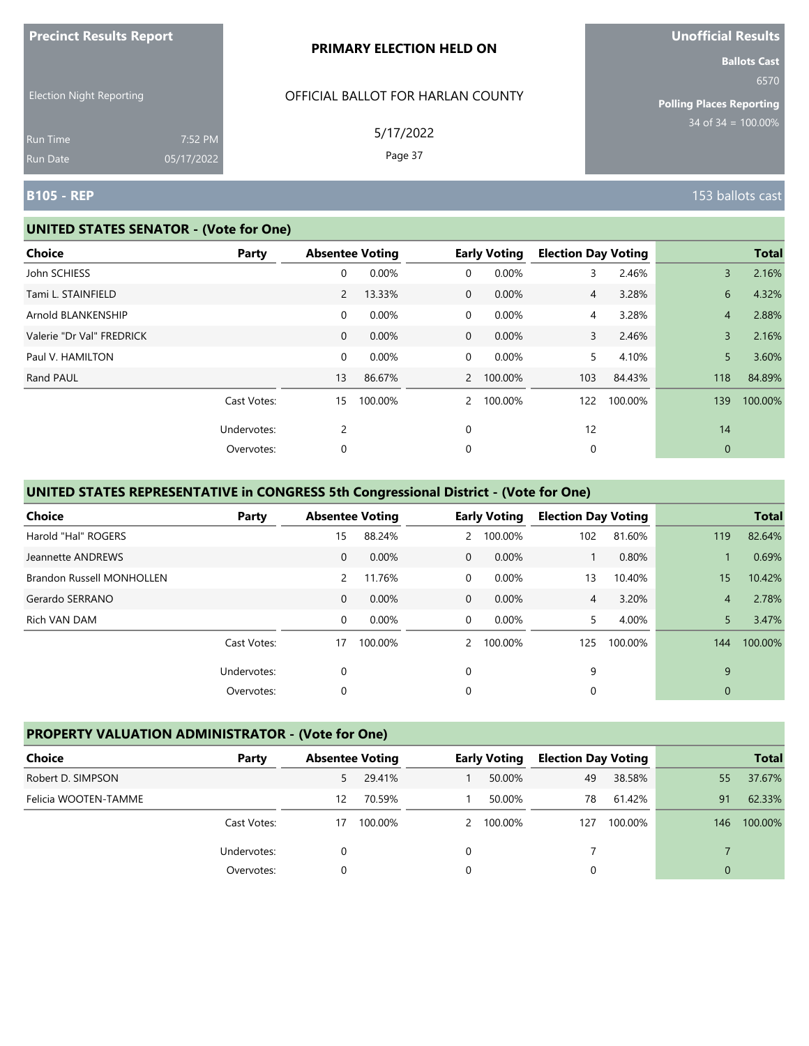|                                 |                       | PRIMARY ELECTION HELD ON          |                                                                |
|---------------------------------|-----------------------|-----------------------------------|----------------------------------------------------------------|
| <b>Election Night Reporting</b> |                       | OFFICIAL BALLOT FOR HARLAN COUNTY | <b>Ballots Cast</b><br>6570<br><b>Polling Places Reporting</b> |
| <b>Run Time</b><br>Run Date     | 7:52 PM<br>05/17/2022 | 5/17/2022<br>Page 37              | $34$ of 34 = 100.00%                                           |
| <b>B105 - REP</b>               |                       |                                   | 153 ballots cast                                               |

#### **UNITED STATES SENATOR - (Vote for One)**

**Precinct Results Report**

| <b>Choice</b>             | Party       | <b>Absentee Voting</b> |         |              | <b>Early Voting</b> | <b>Election Day Voting</b> |         |                | <b>Total</b> |
|---------------------------|-------------|------------------------|---------|--------------|---------------------|----------------------------|---------|----------------|--------------|
| John SCHIESS              |             | 0                      | 0.00%   | 0            | 0.00%               | 3                          | 2.46%   | 3              | 2.16%        |
| Tami L. STAINFIELD        |             | 2                      | 13.33%  | $\mathbf{0}$ | 0.00%               | $\overline{4}$             | 3.28%   | 6              | 4.32%        |
| Arnold BLANKENSHIP        |             | 0                      | 0.00%   | 0            | 0.00%               | 4                          | 3.28%   | $\overline{4}$ | 2.88%        |
| Valerie "Dr Val" FREDRICK |             | $\mathbf{0}$           | 0.00%   | $\mathbf{0}$ | 0.00%               | 3                          | 2.46%   | 3              | 2.16%        |
| Paul V. HAMILTON          |             | 0                      | 0.00%   | 0            | 0.00%               | 5                          | 4.10%   | 5              | 3.60%        |
| Rand PAUL                 |             | 13                     | 86.67%  |              | 2 100.00%           | 103                        | 84.43%  | 118            | 84.89%       |
|                           | Cast Votes: | 15                     | 100.00% | $\mathbf{2}$ | 100.00%             | 122                        | 100.00% | 139            | 100.00%      |
|                           | Undervotes: | 2                      |         | 0            |                     | 12                         |         | 14             |              |
|                           | Overvotes:  | 0                      |         | 0            |                     | 0                          |         | $\mathbf 0$    |              |

# **UNITED STATES REPRESENTATIVE in CONGRESS 5th Congressional District - (Vote for One)**

| <b>Choice</b>             | Party       |              | <b>Absentee Voting</b> |                | <b>Early Voting</b> | <b>Election Day Voting</b> |         |                | <b>Total</b> |
|---------------------------|-------------|--------------|------------------------|----------------|---------------------|----------------------------|---------|----------------|--------------|
| Harold "Hal" ROGERS       |             | 15           | 88.24%                 | $\mathbf{2}$   | 100.00%             | 102                        | 81.60%  | 119            | 82.64%       |
| Jeannette ANDREWS         |             | $\mathbf{0}$ | 0.00%                  | $\Omega$       | 0.00%               |                            | 0.80%   |                | 0.69%        |
| Brandon Russell MONHOLLEN |             | 2            | 11.76%                 | $\Omega$       | 0.00%               | 13                         | 10.40%  | 15             | 10.42%       |
| Gerardo SERRANO           |             | $\mathbf{0}$ | 0.00%                  | $\overline{0}$ | 0.00%               | 4                          | 3.20%   | $\overline{4}$ | 2.78%        |
| Rich VAN DAM              |             | $\Omega$     | 0.00%                  | $\Omega$       | $0.00\%$            | 5.                         | 4.00%   | 5              | 3.47%        |
|                           | Cast Votes: | 17           | 100.00%                | $\mathcal{P}$  | 100.00%             | 125                        | 100.00% | 144            | 100.00%      |
|                           | Undervotes: | 0            |                        | 0              |                     | 9                          |         | 9              |              |
|                           | Overvotes:  | 0            |                        | 0              |                     | 0                          |         | $\mathbf{0}$   |              |

#### **PROPERTY VALUATION ADMINISTRATOR - (Vote for One)**

| Choice               | Party       | <b>Absentee Voting</b> |         | <b>Early Voting</b> | <b>Election Day Voting</b> |         |     | <b>Total</b> |
|----------------------|-------------|------------------------|---------|---------------------|----------------------------|---------|-----|--------------|
| Robert D. SIMPSON    |             | 5.                     | 29.41%  | 50.00%              | 49                         | 38.58%  | 55  | 37.67%       |
| Felicia WOOTEN-TAMME |             | 12                     | 70.59%  | 50.00%              | 78                         | 61.42%  | 91  | 62.33%       |
|                      | Cast Votes: | 17                     | 100.00% | 2 100.00%           | 127                        | 100.00% | 146 | 100.00%      |
|                      | Undervotes: |                        |         |                     |                            |         |     |              |
|                      | Overvotes:  |                        |         |                     |                            |         | 0   |              |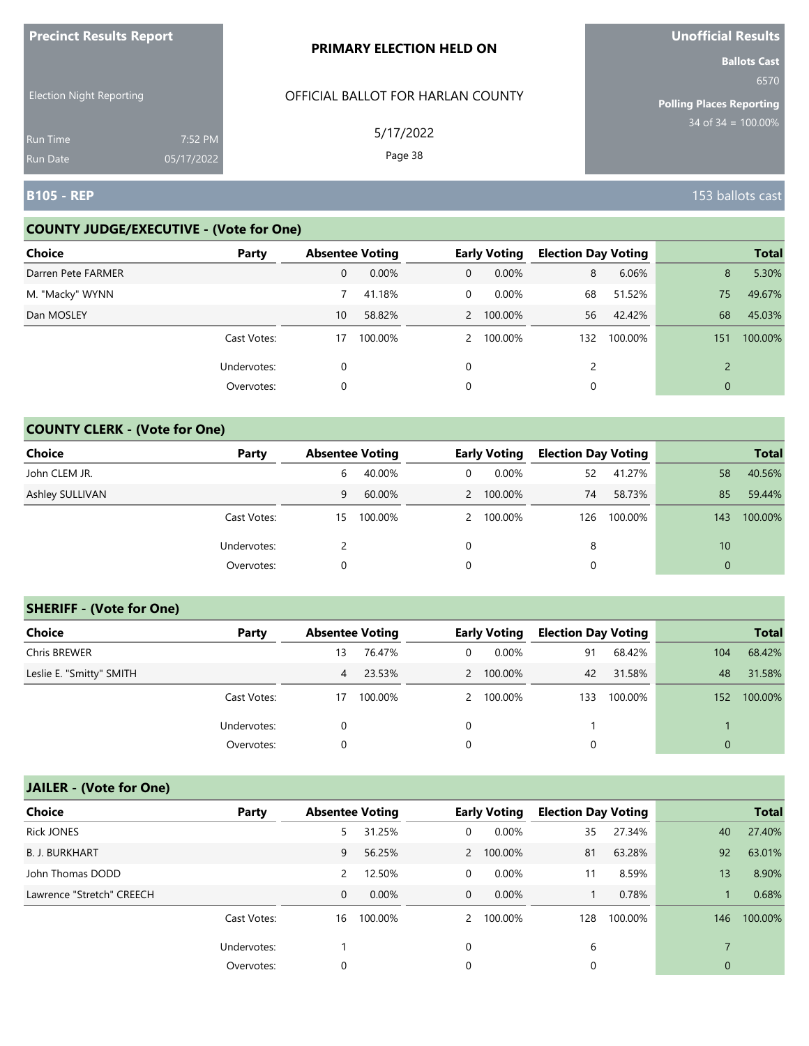| <b>Precinct Results Report</b>     |                       | <b>PRIMARY ELECTION HELD ON</b>   | <b>Unofficial Results</b>                               |
|------------------------------------|-----------------------|-----------------------------------|---------------------------------------------------------|
| <b>Election Night Reporting</b>    |                       | OFFICIAL BALLOT FOR HARLAN COUNTY | <b>Ballots Cast</b><br>6570                             |
| <b>Run Time</b><br><b>Run Date</b> | 7:52 PM<br>05/17/2022 | 5/17/2022<br>Page 38              | <b>Polling Places Reporting</b><br>$34$ of 34 = 100.00% |
| B105 - REP                         |                       |                                   | 153 ballots cast                                        |

### **COUNTY JUDGE/EXECUTIVE - (Vote for One)**

| <b>Choice</b>      | Party       | <b>Absentee Voting</b> |         |               | <b>Early Voting</b> | <b>Election Day Voting</b> |         |              | <b>Total</b> |
|--------------------|-------------|------------------------|---------|---------------|---------------------|----------------------------|---------|--------------|--------------|
| Darren Pete FARMER |             | 0                      | 0.00%   | $\mathbf{0}$  | $0.00\%$            | 8                          | 6.06%   | 8            | 5.30%        |
| M. "Macky" WYNN    |             |                        | 41.18%  | 0             | $0.00\%$            | 68                         | 51.52%  | 75           | 49.67%       |
| Dan MOSLEY         |             | 10 <sup>1</sup>        | 58.82%  |               | 2 100.00%           | 56                         | 42.42%  | 68           | 45.03%       |
|                    | Cast Votes: | 17                     | 100.00% | $\mathcal{P}$ | 100.00%             | 132                        | 100.00% | 151          | 100.00%      |
|                    | Undervotes: | 0                      |         | $\mathbf 0$   |                     |                            |         |              |              |
|                    | Overvotes:  | 0                      |         | 0             |                     | 0                          |         | $\mathbf{0}$ |              |

### **COUNTY CLERK - (Vote for One)**

| Choice          | Party       | <b>Absentee Voting</b> |         |   | <b>Early Voting</b> | <b>Election Day Voting</b> |         |              | <b>Total</b> |
|-----------------|-------------|------------------------|---------|---|---------------------|----------------------------|---------|--------------|--------------|
| John CLEM JR.   |             | b                      | 40.00%  | 0 | $0.00\%$            | 52                         | 41.27%  | 58           | 40.56%       |
| Ashley SULLIVAN |             | 9                      | 60.00%  |   | 2 100.00%           | 74                         | 58.73%  | 85           | 59.44%       |
|                 | Cast Votes: | 15                     | 100.00% |   | 2 100.00%           | 126                        | 100.00% | 143          | 100.00%      |
|                 | Undervotes: |                        |         | 0 |                     | 8                          |         | 10           |              |
|                 | Overvotes:  | 0                      |         | 0 |                     | 0                          |         | $\mathbf{0}$ |              |

#### **SHERIFF - (Vote for One)**

| <b>Choice</b>            | Party       | <b>Absentee Voting</b> |         |          | <b>Early Voting</b> | <b>Election Day Voting</b> |         |              | <b>Total</b> |
|--------------------------|-------------|------------------------|---------|----------|---------------------|----------------------------|---------|--------------|--------------|
| Chris BREWER             |             | 13                     | 76.47%  | 0        | $0.00\%$            | 91                         | 68.42%  | 104          | 68.42%       |
| Leslie E. "Smitty" SMITH |             | 4                      | 23.53%  |          | 2 100.00%           | 42                         | 31.58%  | 48           | 31.58%       |
|                          | Cast Votes: | 17                     | 100.00% |          | 2 100.00%           | 133                        | 100.00% | 152          | 100.00%      |
|                          | Undervotes: | 0                      |         | $\Omega$ |                     |                            |         |              |              |
|                          | Overvotes:  | 0                      |         |          |                     | 0                          |         | $\mathbf{0}$ |              |

# **JAILER - (Vote for One)**

| <b>Choice</b>             | Party       | <b>Absentee Voting</b> |          |              | <b>Early Voting</b> | <b>Election Day Voting</b> |         |             | <b>Total</b> |
|---------------------------|-------------|------------------------|----------|--------------|---------------------|----------------------------|---------|-------------|--------------|
| <b>Rick JONES</b>         |             | 5                      | 31.25%   | 0            | 0.00%               | 35                         | 27.34%  | 40          | 27.40%       |
| <b>B. J. BURKHART</b>     |             | 9                      | 56.25%   |              | 2 100.00%           | 81                         | 63.28%  | 92          | 63.01%       |
| John Thomas DODD          |             | 2                      | 12.50%   | 0            | 0.00%               | 11                         | 8.59%   | 13          | 8.90%        |
| Lawrence "Stretch" CREECH |             | 0                      | $0.00\%$ | $\mathbf{0}$ | $0.00\%$            |                            | 0.78%   |             | 0.68%        |
|                           | Cast Votes: | 16                     | 100.00%  |              | 2 100.00%           | 128                        | 100.00% | 146         | 100.00%      |
|                           | Undervotes: |                        |          | $\Omega$     |                     | 6                          |         |             |              |
|                           | Overvotes:  | 0                      |          | 0            |                     | 0                          |         | $\mathbf 0$ |              |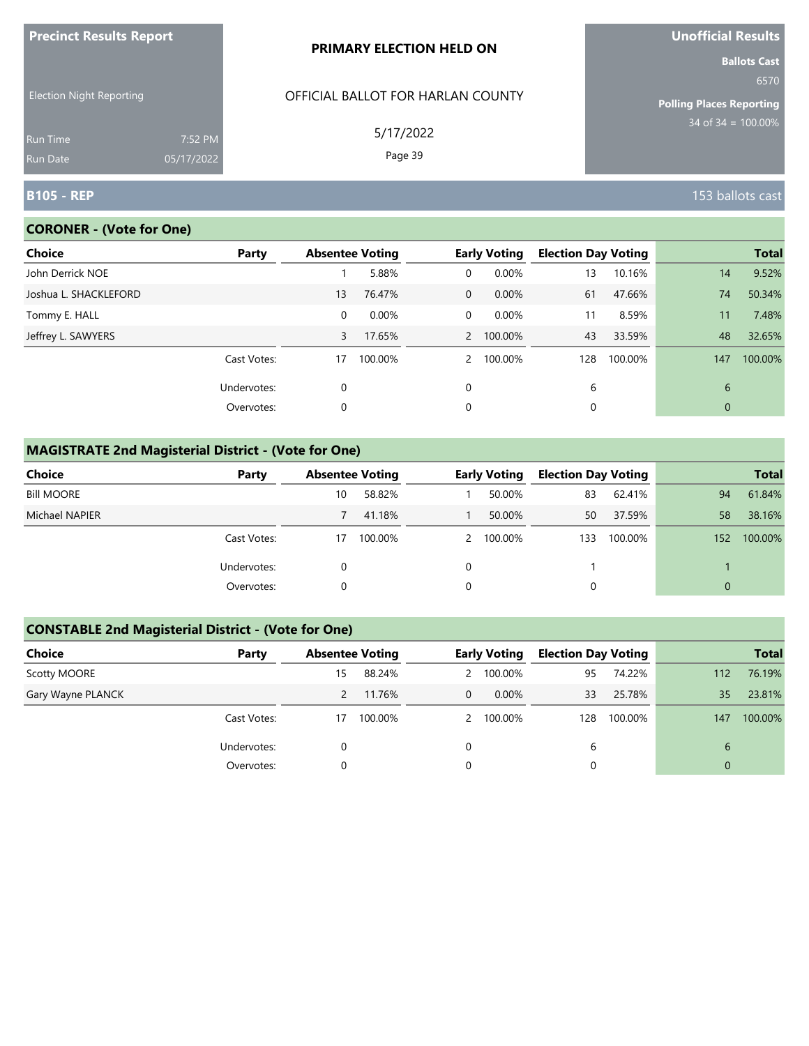| <b>FIGUILL RESULS REPULL</b>       |                       | <b>PRIMARY ELECTION HELD ON</b>   | <b>VIIVIIILIAI NESUILS</b><br><b>Ballots Cast</b> |
|------------------------------------|-----------------------|-----------------------------------|---------------------------------------------------|
| <b>Election Night Reporting</b>    |                       | OFFICIAL BALLOT FOR HARLAN COUNTY | 6570<br><b>Polling Places Reporting</b>           |
| <b>Run Time</b><br><b>Run Date</b> | 7:52 PM<br>05/17/2022 | 5/17/2022<br>Page 39              | $34$ of 34 = 100.00%                              |
| <b>B105 - REP</b>                  |                       |                                   | 153 ballots cast                                  |

# **CORONER - (Vote for One)**

**Precinct Results Report**

| Choice                | Party       |    | <b>Absentee Voting</b> |                | <b>Early Voting</b> | <b>Election Day Voting</b> |         |             | <b>Total</b> |
|-----------------------|-------------|----|------------------------|----------------|---------------------|----------------------------|---------|-------------|--------------|
| John Derrick NOE      |             |    | 5.88%                  | 0              | 0.00%               | 13                         | 10.16%  | 14          | 9.52%        |
| Joshua L. SHACKLEFORD |             | 13 | 76.47%                 | $\overline{0}$ | $0.00\%$            | 61                         | 47.66%  | 74          | 50.34%       |
| Tommy E. HALL         |             | 0  | 0.00%                  | $\Omega$       | 0.00%               | 11                         | 8.59%   | 11          | 7.48%        |
| Jeffrey L. SAWYERS    |             | 3  | 17.65%                 |                | 2 100.00%           | 43                         | 33.59%  | 48          | 32.65%       |
|                       | Cast Votes: | 17 | 100.00%                | $\mathcal{P}$  | 100.00%             | 128                        | 100.00% | 147         | 100.00%      |
|                       | Undervotes: | 0  |                        | 0              |                     | 6                          |         | 6           |              |
|                       | Overvotes:  | 0  |                        | 0              |                     | 0                          |         | $\mathbf 0$ |              |

# **MAGISTRATE 2nd Magisterial District - (Vote for One)**

| <b>Choice</b>     | Party       | <b>Absentee Voting</b> |         | <b>Early Voting</b> | <b>Election Day Voting</b> |         |     | <b>Total</b> |
|-------------------|-------------|------------------------|---------|---------------------|----------------------------|---------|-----|--------------|
| <b>Bill MOORE</b> |             | 10                     | 58.82%  | 50.00%              | 83                         | 62.41%  | 94  | 61.84%       |
| Michael NAPIER    |             |                        | 41.18%  | 50.00%              | 50                         | 37.59%  | 58  | 38.16%       |
|                   | Cast Votes: | 17                     | 100.00% | 2 100.00%           | 133                        | 100.00% | 152 | 100.00%      |
|                   | Undervotes: |                        |         |                     |                            |         |     |              |
|                   | Overvotes:  |                        |         |                     | $\Omega$                   |         | 0   |              |

### **CONSTABLE 2nd Magisterial District - (Vote for One)**

| Choice            | Party       | <b>Absentee Voting</b> |         |                | <b>Early Voting</b> | <b>Election Day Voting</b> |         |          | <b>Total</b> |
|-------------------|-------------|------------------------|---------|----------------|---------------------|----------------------------|---------|----------|--------------|
| Scotty MOORE      |             | 15                     | 88.24%  |                | 2 100.00%           | 95                         | 74.22%  | 112      | 76.19%       |
| Gary Wayne PLANCK |             |                        | 11.76%  | $\overline{0}$ | $0.00\%$            | 33                         | 25.78%  | 35       | 23.81%       |
|                   | Cast Votes: | 17                     | 100.00% |                | 2 100.00%           | 128                        | 100.00% | 147      | 100.00%      |
|                   | Undervotes: |                        |         | 0              |                     | 6                          |         | 6        |              |
|                   | Overvotes:  |                        |         | 0              |                     |                            |         | $\Omega$ |              |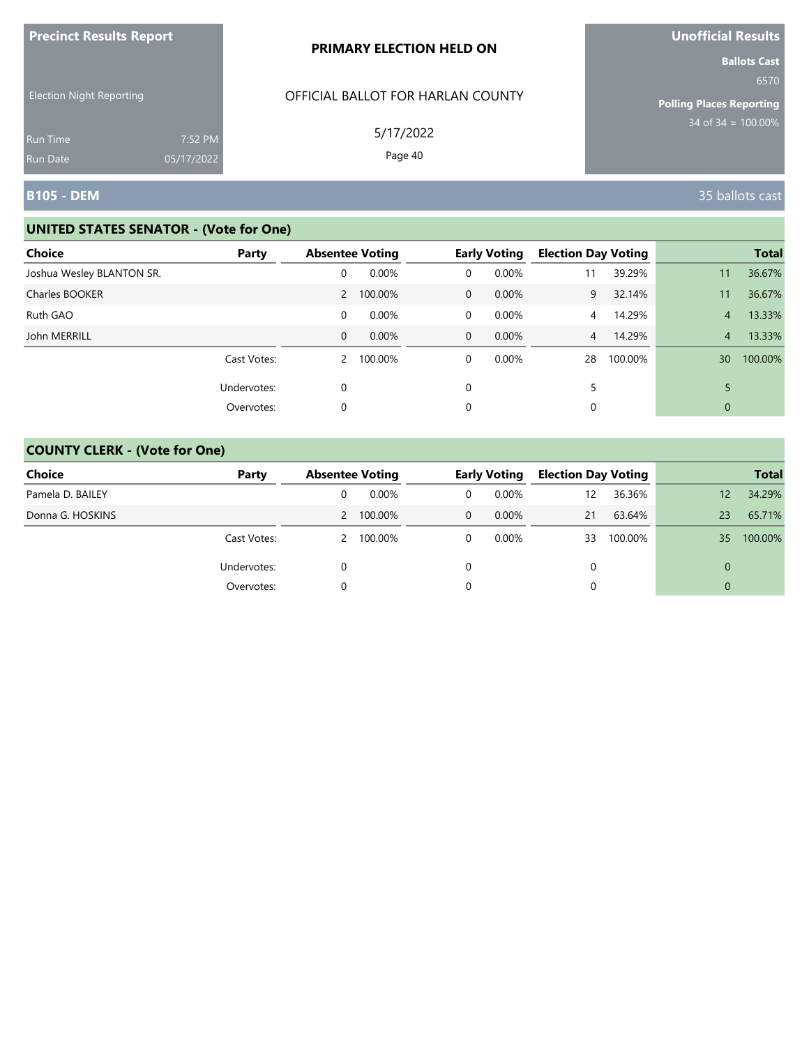| <b>Precinct Results Report</b>  |            | PRIMARY ELECTION HELD ON          | Unofficial Results                                                                        |
|---------------------------------|------------|-----------------------------------|-------------------------------------------------------------------------------------------|
| <b>Election Night Reporting</b> |            | OFFICIAL BALLOT FOR HARLAN COUNTY | <b>Ballots Cast</b><br>6570<br><b>Polling Places Reporting</b><br>$34$ of $34 = 100.00\%$ |
| <b>Run Time</b>                 | 7:52 PM    | 5/17/2022                         |                                                                                           |
| <b>Run Date</b>                 | 05/17/2022 | Page 40                           |                                                                                           |
| <b>B105 - DEM</b>               |            |                                   | 35 ballots cast                                                                           |

| <b>Choice</b>             | Party       | <b>Absentee Voting</b> |           |              | <b>Early Voting</b> | <b>Election Day Voting</b> |         |                | <b>Total</b> |
|---------------------------|-------------|------------------------|-----------|--------------|---------------------|----------------------------|---------|----------------|--------------|
| Joshua Wesley BLANTON SR. |             | 0                      | 0.00%     | 0            | 0.00%               | 11                         | 39.29%  | 11             | 36.67%       |
| Charles BOOKER            |             |                        | 2 100.00% | $\mathbf{0}$ | $0.00\%$            | 9                          | 32.14%  | 11             | 36.67%       |
| Ruth GAO                  |             | 0                      | 0.00%     | 0            | $0.00\%$            | 4                          | 14.29%  | 4 <sup>7</sup> | 13.33%       |
| John MERRILL              |             | 0                      | $0.00\%$  | $\mathbf 0$  | $0.00\%$            | $\overline{4}$             | 14.29%  | $\overline{4}$ | 13.33%       |
|                           | Cast Votes: | 2                      | 100.00%   | 0            | $0.00\%$            | 28                         | 100.00% | 30             | 100.00%      |
|                           | Undervotes: | 0                      |           | $\Omega$     |                     | 5                          |         |                |              |
|                           | Overvotes:  | 0                      |           | 0            |                     |                            |         | $\Omega$       |              |

| <b>Choice</b>    | Party       | <b>Absentee Voting</b> |           |              | <b>Early Voting</b> | <b>Election Day Voting</b> |         |    | <b>Total</b> |
|------------------|-------------|------------------------|-----------|--------------|---------------------|----------------------------|---------|----|--------------|
| Pamela D. BAILEY |             |                        | $0.00\%$  | $\mathbf{0}$ | 0.00%               | 12                         | 36.36%  | 12 | 34.29%       |
| Donna G. HOSKINS |             |                        | 2 100.00% | $\mathbf{0}$ | $0.00\%$            | 21                         | 63.64%  | 23 | 65.71%       |
|                  | Cast Votes: |                        | 2 100.00% | 0            | $0.00\%$            | 33                         | 100.00% | 35 | 100.00%      |
|                  | Undervotes: |                        |           | 0            |                     | $\Omega$                   |         | 0  |              |
|                  | Overvotes:  |                        |           | 0            |                     |                            |         | 0  |              |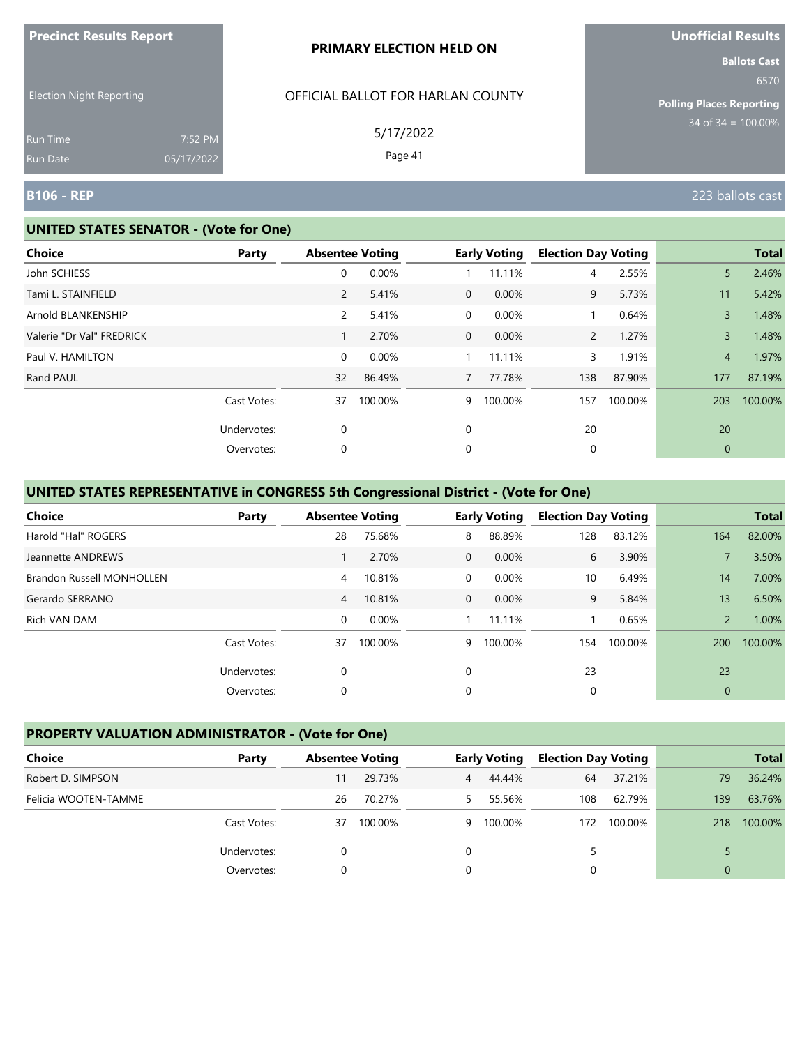|                                 |                       | <b>PRIMARY ELECTION HELD ON</b>   | <b>Ballots Cast</b>                     |
|---------------------------------|-----------------------|-----------------------------------|-----------------------------------------|
| <b>Election Night Reporting</b> |                       | OFFICIAL BALLOT FOR HARLAN COUNTY | 6570<br><b>Polling Places Reporting</b> |
| Run Time<br>Run Date            | 7:52 PM<br>05/17/2022 | 5/17/2022<br>Page 41              | $34$ of $34 = 100.00\%$                 |
| <b>B106 - REP</b>               |                       |                                   | 223 ballots cast                        |

#### **UNITED STATES SENATOR - (Vote for One)**

**Precinct Results Report**

| <b>Choice</b>             | Party       | <b>Absentee Voting</b> |          |                | <b>Early Voting</b> | <b>Election Day Voting</b> |         |                | <b>Total</b> |
|---------------------------|-------------|------------------------|----------|----------------|---------------------|----------------------------|---------|----------------|--------------|
| John SCHIESS              |             | 0                      | 0.00%    |                | 11.11%              | 4                          | 2.55%   | 5              | 2.46%        |
| Tami L. STAINFIELD        |             | $\overline{2}$         | 5.41%    | $\overline{0}$ | 0.00%               | 9                          | 5.73%   | 11             | 5.42%        |
| Arnold BLANKENSHIP        |             | $\mathbf{2}^{\prime}$  | 5.41%    | 0              | 0.00%               |                            | 0.64%   | 3              | 1.48%        |
| Valerie "Dr Val" FREDRICK |             |                        | 2.70%    | $\mathbf 0$    | 0.00%               | $\mathbf{2}$               | 1.27%   | $\overline{3}$ | 1.48%        |
| Paul V. HAMILTON          |             | 0                      | $0.00\%$ |                | 11.11%              | 3                          | 1.91%   | $\overline{4}$ | 1.97%        |
| Rand PAUL                 |             | 32                     | 86.49%   | $7^{\circ}$    | 77.78%              | 138                        | 87.90%  | 177            | 87.19%       |
|                           | Cast Votes: | 37                     | 100.00%  | 9              | 100.00%             | 157                        | 100.00% | 203            | 100.00%      |
|                           | Undervotes: | $\mathbf 0$            |          | 0              |                     | 20                         |         | 20             |              |
|                           | Overvotes:  | 0                      |          | 0              |                     | 0                          |         | $\mathbf{0}$   |              |

# **UNITED STATES REPRESENTATIVE in CONGRESS 5th Congressional District - (Vote for One)**

| <b>Choice</b>                    | Party       | <b>Absentee Voting</b> |         |                | <b>Early Voting</b> | <b>Election Day Voting</b> |         |                | <b>Total</b> |
|----------------------------------|-------------|------------------------|---------|----------------|---------------------|----------------------------|---------|----------------|--------------|
| Harold "Hal" ROGERS              |             | 28                     | 75.68%  | 8              | 88.89%              | 128                        | 83.12%  | 164            | 82.00%       |
| Jeannette ANDREWS                |             |                        | 2.70%   | $\Omega$       | $0.00\%$            | 6                          | 3.90%   |                | 3.50%        |
| <b>Brandon Russell MONHOLLEN</b> |             | 4                      | 10.81%  | $\Omega$       | 0.00%               | 10                         | 6.49%   | 14             | 7.00%        |
| Gerardo SERRANO                  |             | $\overline{4}$         | 10.81%  | $\overline{0}$ | 0.00%               | 9                          | 5.84%   | 13             | 6.50%        |
| Rich VAN DAM                     |             | 0                      | 0.00%   |                | 11.11%              |                            | 0.65%   | $\overline{2}$ | 1.00%        |
|                                  | Cast Votes: | 37                     | 100.00% | 9              | 100.00%             | 154                        | 100.00% | 200            | 100.00%      |
|                                  | Undervotes: | 0                      |         | $\Omega$       |                     | 23                         |         | 23             |              |
|                                  | Overvotes:  | 0                      |         | 0              |                     | 0                          |         | $\mathbf{0}$   |              |

### **PROPERTY VALUATION ADMINISTRATOR - (Vote for One)**

| Choice               | Party       | <b>Absentee Voting</b> |         |    | <b>Early Voting</b> | <b>Election Day Voting</b> |             |          | <b>Total</b> |
|----------------------|-------------|------------------------|---------|----|---------------------|----------------------------|-------------|----------|--------------|
| Robert D. SIMPSON    |             | 11                     | 29.73%  | 4  | 44.44%              | 64                         | 37.21%      | 79       | 36.24%       |
| Felicia WOOTEN-TAMME |             | 26                     | 70.27%  |    | 55.56%              | 108                        | 62.79%      | 139      | 63.76%       |
|                      | Cast Votes: | 37                     | 100.00% | 9. | 100.00%             |                            | 172 100.00% | 218      | 100.00%      |
|                      | Undervotes: |                        |         |    |                     |                            |             |          |              |
|                      | Overvotes:  |                        |         |    |                     |                            |             | $\Omega$ |              |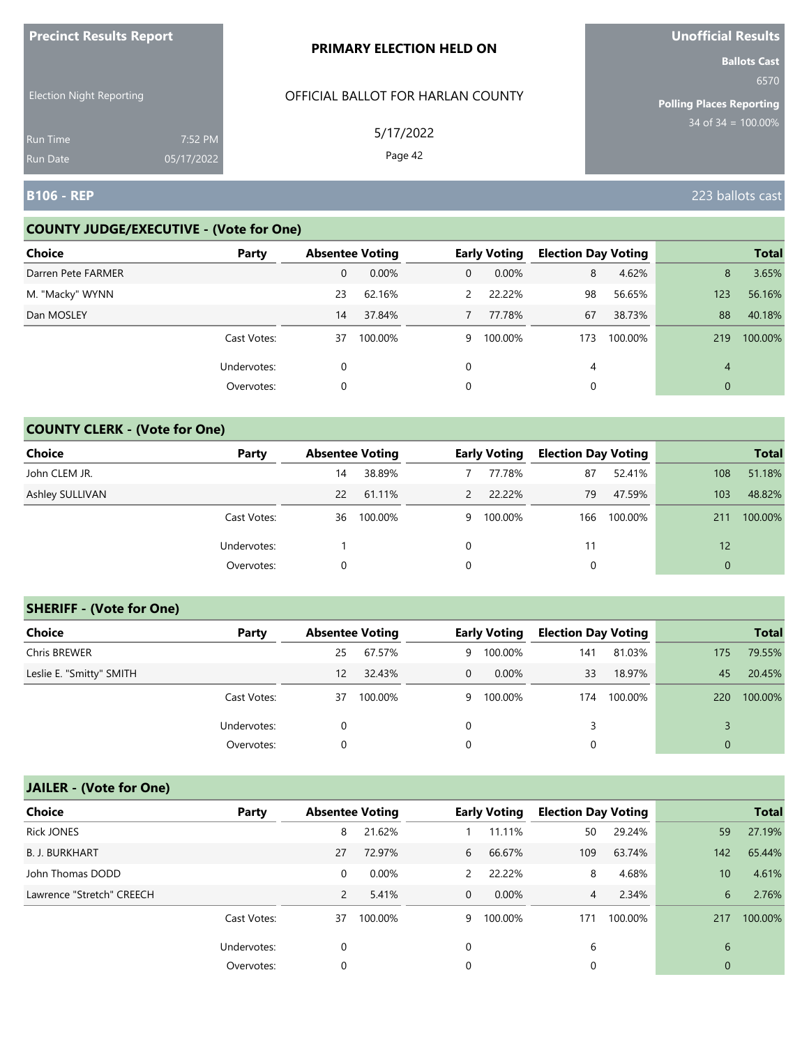| <b>Precinct Results Report</b>     |                       | <b>PRIMARY ELECTION HELD ON</b>   | <b>Unofficial Results</b>                                      |
|------------------------------------|-----------------------|-----------------------------------|----------------------------------------------------------------|
| <b>Election Night Reporting</b>    |                       | OFFICIAL BALLOT FOR HARLAN COUNTY | <b>Ballots Cast</b><br>6570<br><b>Polling Places Reporting</b> |
| <b>Run Time</b><br><b>Run Date</b> | 7:52 PM<br>05/17/2022 | 5/17/2022<br>Page 42              | $34$ of 34 = 100.00%                                           |
| <b>B106 - REP</b>                  |                       |                                   | 223 ballots cast                                               |

# **COUNTY JUDGE/EXECUTIVE - (Vote for One)**

| <b>Choice</b>      | Party       | <b>Absentee Voting</b> |         |               | <b>Early Voting</b> | <b>Election Day Voting</b> |         |     | <b>Total</b> |
|--------------------|-------------|------------------------|---------|---------------|---------------------|----------------------------|---------|-----|--------------|
| Darren Pete FARMER |             | 0                      | 0.00%   | 0             | $0.00\%$            | 8                          | 4.62%   | 8   | 3.65%        |
| M. "Macky" WYNN    |             | 23                     | 62.16%  | $\mathcal{P}$ | 22.22%              | 98                         | 56.65%  | 123 | 56.16%       |
| Dan MOSLEY         |             | 14                     | 37.84%  |               | 77.78%              | 67                         | 38.73%  | 88  | 40.18%       |
|                    | Cast Votes: | 37                     | 100.00% | 9             | 100.00%             | 173                        | 100.00% | 219 | 100.00%      |
|                    | Undervotes: | 0                      |         | 0             |                     | 4                          |         | 4   |              |
|                    | Overvotes:  | 0                      |         | 0             |                     |                            |         | 0   |              |

### **COUNTY CLERK - (Vote for One)**

| Choice          | Party       | <b>Absentee Voting</b> |         |   | <b>Early Voting</b> | <b>Election Day Voting</b> |         |             | <b>Total</b> |
|-----------------|-------------|------------------------|---------|---|---------------------|----------------------------|---------|-------------|--------------|
| John CLEM JR.   |             | 14                     | 38.89%  |   | 77.78%              | 87                         | 52.41%  | 108         | 51.18%       |
| Ashley SULLIVAN |             | 22                     | 61.11%  |   | 22.22%              | 79                         | 47.59%  | 103         | 48.82%       |
|                 | Cast Votes: | 36                     | 100.00% | 9 | 100.00%             | 166                        | 100.00% | 211         | 100.00%      |
|                 | Undervotes: |                        |         | 0 |                     |                            |         | 12          |              |
|                 | Overvotes:  | 0                      |         | 0 |                     | 0                          |         | $\mathbf 0$ |              |

#### **SHERIFF - (Vote for One)**

| <b>Choice</b>            | Party       | <b>Absentee Voting</b> |         |          | <b>Early Voting</b> | <b>Election Day Voting</b> |         |             | <b>Total</b> |
|--------------------------|-------------|------------------------|---------|----------|---------------------|----------------------------|---------|-------------|--------------|
| Chris BREWER             |             | 25                     | 67.57%  | 9        | 100.00%             | 141                        | 81.03%  | 175         | 79.55%       |
| Leslie E. "Smitty" SMITH |             | $12 \overline{ }$      | 32.43%  | $\Omega$ | $0.00\%$            | 33                         | 18.97%  | 45          | 20.45%       |
|                          | Cast Votes: | 37                     | 100.00% | 9        | 100.00%             | 174                        | 100.00% | 220         | 100.00%      |
|                          | Undervotes: | 0                      |         | 0        |                     | 3                          |         |             |              |
|                          | Overvotes:  | 0                      |         | 0        |                     | 0                          |         | $\mathbf 0$ |              |

# **JAILER - (Vote for One)**

| <b>Choice</b>             | Party       | <b>Absentee Voting</b> |         |               | <b>Early Voting</b> | <b>Election Day Voting</b> |         |              | <b>Total</b> |
|---------------------------|-------------|------------------------|---------|---------------|---------------------|----------------------------|---------|--------------|--------------|
| <b>Rick JONES</b>         |             | 8                      | 21.62%  |               | 11.11%              | 50                         | 29.24%  | 59           | 27.19%       |
| <b>B. J. BURKHART</b>     |             | 27                     | 72.97%  | 6             | 66.67%              | 109                        | 63.74%  | 142          | 65.44%       |
| John Thomas DODD          |             | 0                      | 0.00%   | $\mathcal{P}$ | 22.22%              | 8                          | 4.68%   | 10           | 4.61%        |
| Lawrence "Stretch" CREECH |             | 2                      | 5.41%   | $\Omega$      | $0.00\%$            | 4                          | 2.34%   | 6            | 2.76%        |
|                           | Cast Votes: | 37                     | 100.00% | 9             | 100.00%             | 171                        | 100.00% | 217          | 100.00%      |
|                           | Undervotes: | 0                      |         | 0             |                     | 6                          |         | 6            |              |
|                           | Overvotes:  | 0                      |         | 0             |                     | 0                          |         | $\mathbf{0}$ |              |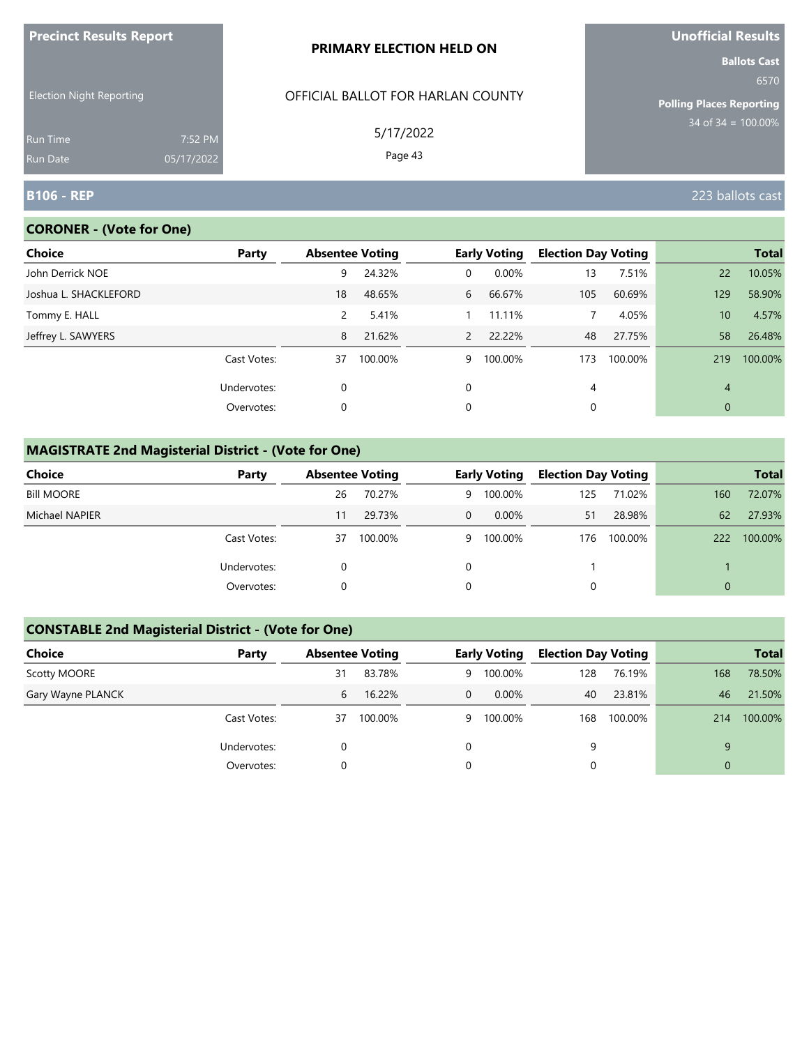| <u>FIECINCLAESURS AEPORT</u>       |                       | <b>PRIMARY ELECTION HELD ON</b>   | <b>UNUNICIAL RESULS</b><br><b>Ballots Cast</b> |
|------------------------------------|-----------------------|-----------------------------------|------------------------------------------------|
| <b>Election Night Reporting</b>    |                       | OFFICIAL BALLOT FOR HARLAN COUNTY | 6570<br><b>Polling Places Reporting</b>        |
| <b>Run Time</b><br><b>Run Date</b> | 7:52 PM<br>05/17/2022 | 5/17/2022<br>Page 43              | $34$ of 34 = $\overline{100.00\%}$             |
| <b>B106 - REP</b>                  |                       |                                   | 223 ballots cast                               |

# **CORONER - (Vote for One)**

**Precinct Results Report**

| <b>Choice</b>         | Party       |             | <b>Absentee Voting</b> |               | <b>Early Voting</b> | <b>Election Day Voting</b> |         |                | <b>Total</b> |
|-----------------------|-------------|-------------|------------------------|---------------|---------------------|----------------------------|---------|----------------|--------------|
| John Derrick NOE      |             | 9           | 24.32%                 | $\mathbf{0}$  | 0.00%               | 13                         | 7.51%   | 22             | 10.05%       |
| Joshua L. SHACKLEFORD |             | 18          | 48.65%                 | 6             | 66.67%              | 105                        | 60.69%  | 129            | 58.90%       |
| Tommy E. HALL         |             | 2           | 5.41%                  |               | 11.11%              |                            | 4.05%   | 10             | 4.57%        |
| Jeffrey L. SAWYERS    |             | 8           | 21.62%                 | $\mathcal{P}$ | 22.22%              | 48                         | 27.75%  | 58             | 26.48%       |
|                       | Cast Votes: | 37          | 100.00%                | 9             | 100.00%             | 173                        | 100.00% | 219            | 100.00%      |
|                       | Undervotes: | $\mathbf 0$ |                        | $\Omega$      |                     | 4                          |         | $\overline{4}$ |              |
|                       | Overvotes:  | 0           |                        | 0             |                     | 0                          |         | $\mathbf{0}$   |              |

# **MAGISTRATE 2nd Magisterial District - (Vote for One)**

| Choice            | Party       |    | <b>Absentee Voting</b> |    | <b>Early Voting</b> |     | <b>Election Day Voting</b> |          | <b>Total</b> |
|-------------------|-------------|----|------------------------|----|---------------------|-----|----------------------------|----------|--------------|
| <b>Bill MOORE</b> |             | 26 | 70.27%                 | 9. | 100.00%             | 125 | 71.02%                     | 160      | 72.07%       |
| Michael NAPIER    |             | 11 | 29.73%                 | 0  | $0.00\%$            | 51  | 28.98%                     | 62       | 27.93%       |
|                   | Cast Votes: | 37 | 100.00%                | 9. | 100.00%             | 176 | 100.00%                    | 222      | 100.00%      |
|                   | Undervotes: |    |                        |    |                     |     |                            |          |              |
|                   | Overvotes:  |    |                        |    |                     |     |                            | $\Omega$ |              |

# **CONSTABLE 2nd Magisterial District - (Vote for One)**

| Choice            | Party       | <b>Absentee Voting</b> |         |                | <b>Early Voting</b> | <b>Election Day Voting</b> |         |                | <b>Total</b> |
|-------------------|-------------|------------------------|---------|----------------|---------------------|----------------------------|---------|----------------|--------------|
| Scotty MOORE      |             | 31                     | 83.78%  | 9              | 100.00%             | 128                        | 76.19%  | 168            | 78.50%       |
| Gary Wayne PLANCK |             | 6                      | 16.22%  | $\overline{0}$ | $0.00\%$            | 40                         | 23.81%  | 46             | 21.50%       |
|                   | Cast Votes: | 37                     | 100.00% | 9              | 100.00%             | 168                        | 100.00% | 214            | 100.00%      |
|                   | Undervotes: | 0                      |         | 0              |                     | 9                          |         | 9              |              |
|                   | Overvotes:  | 0                      |         | 0              |                     |                            |         | $\overline{0}$ |              |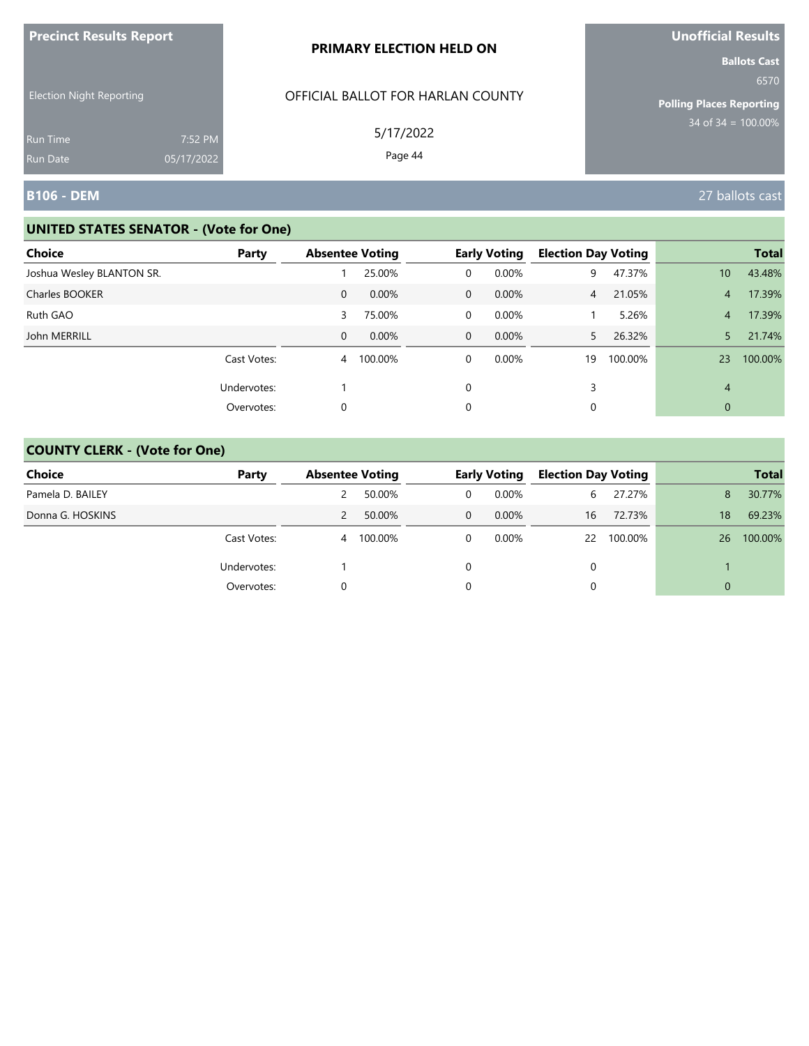| <b>Precinct Results Report</b>  |            | PRIMARY ELECTION HELD ON                       | Unofficial Results                                                                        |
|---------------------------------|------------|------------------------------------------------|-------------------------------------------------------------------------------------------|
| <b>Election Night Reporting</b> |            | OFFICIAL BALLOT FOR HARLAN COUNTY<br>5/17/2022 | <b>Ballots Cast</b><br>6570<br><b>Polling Places Reporting</b><br>$34$ of $34 = 100.00\%$ |
| <b>Run Time</b>                 | 7:52 PM    |                                                |                                                                                           |
| <b>Run Date</b>                 | 05/17/2022 | Page 44                                        |                                                                                           |
| B106 - DEM                      |            |                                                | 27 ballots cast                                                                           |

| <b>Choice</b>             | Party       | <b>Absentee Voting</b> |           |                | <b>Early Voting</b> | <b>Election Day Voting</b> |         |                 | <b>Total</b> |
|---------------------------|-------------|------------------------|-----------|----------------|---------------------|----------------------------|---------|-----------------|--------------|
| Joshua Wesley BLANTON SR. |             |                        | 25.00%    | 0              | 0.00%               | 9                          | 47.37%  | 10 <sup>°</sup> | 43.48%       |
| Charles BOOKER            |             | $\mathbf{0}$           | 0.00%     | $\mathbf{0}$   | $0.00\%$            | $\sqrt{4}$                 | 21.05%  | 4               | 17.39%       |
| Ruth GAO                  |             | 3                      | 75.00%    | $\overline{0}$ | $0.00\%$            |                            | 5.26%   | $\overline{4}$  | 17.39%       |
| John MERRILL              |             | $\mathbf{0}$           | $0.00\%$  | $\overline{0}$ | $0.00\%$            | 5.                         | 26.32%  | 5               | 21.74%       |
|                           | Cast Votes: |                        | 4 100.00% | 0              | $0.00\%$            | 19                         | 100.00% | 23              | 100.00%      |
|                           | Undervotes: |                        |           | 0              |                     | 3                          |         | 4               |              |
|                           | Overvotes:  | 0                      |           | 0              |                     | 0                          |         | $\mathbf{0}$    |              |

| <b>Choice</b>    | Party       |   | <b>Absentee Voting</b> |          | <b>Early Voting</b> | <b>Election Day Voting</b> |            | <b>Total</b> |         |
|------------------|-------------|---|------------------------|----------|---------------------|----------------------------|------------|--------------|---------|
| Pamela D. BAILEY |             |   | 50.00%                 | 0        | $0.00\%$            | 6                          | 27.27%     | 8            | 30.77%  |
| Donna G. HOSKINS |             | 2 | 50.00%                 | $\Omega$ | $0.00\%$            | 16                         | 72.73%     | 18           | 69.23%  |
|                  | Cast Votes: | 4 | 100.00%                | 0        | $0.00\%$            |                            | 22 100.00% | 26           | 100.00% |
|                  | Undervotes: |   |                        |          |                     |                            |            |              |         |
|                  | Overvotes:  |   |                        |          |                     |                            |            | $\Omega$     |         |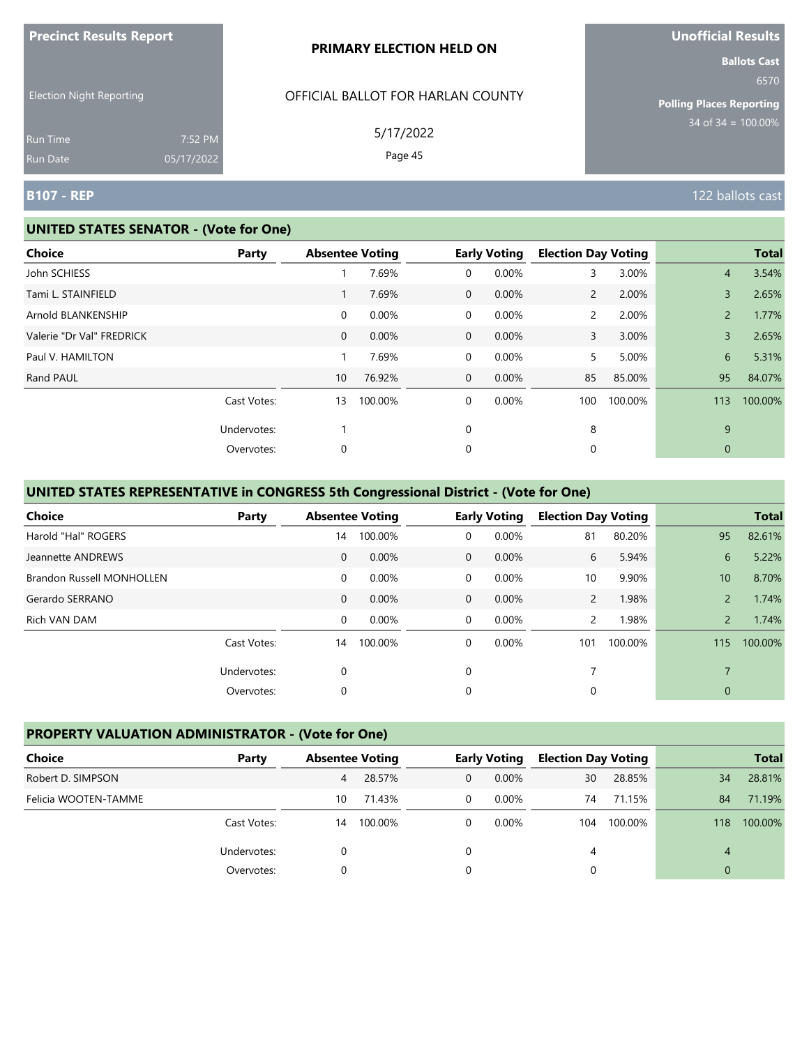| <b>THE RESPONSIVE PROPERTY</b>  |                       | <b>PRIMARY ELECTION HELD ON</b>   | <u>Chomera Results</u><br><b>Ballots Cast</b> |
|---------------------------------|-----------------------|-----------------------------------|-----------------------------------------------|
| <b>Election Night Reporting</b> |                       | OFFICIAL BALLOT FOR HARLAN COUNTY | 6570<br><b>Polling Places Reporting</b>       |
| <b>Run Time</b><br>Run Date     | 7:52 PM<br>05/17/2022 | 5/17/2022<br>Page 45              | $34$ of 34 = $100.00\%$                       |
| <b>B107 - REP</b>               |                       |                                   | 122 ballots cast                              |

#### **UNITED STATES SENATOR - (Vote for One)**

**Precinct Results Report**

| <b>Choice</b>             | Party       | <b>Absentee Voting</b> |         |                | <b>Early Voting</b> | <b>Election Day Voting</b> |         |                | <b>Total</b> |
|---------------------------|-------------|------------------------|---------|----------------|---------------------|----------------------------|---------|----------------|--------------|
| John SCHIESS              |             |                        | 7.69%   | 0              | 0.00%               | 3                          | 3.00%   | $\overline{4}$ | 3.54%        |
| Tami L. STAINFIELD        |             |                        | 7.69%   | $\overline{0}$ | 0.00%               | $\overline{2}$             | 2.00%   | 3              | 2.65%        |
| Arnold BLANKENSHIP        |             | $\overline{0}$         | 0.00%   | 0              | 0.00%               | $\overline{2}$             | 2.00%   | $\overline{2}$ | 1.77%        |
| Valerie "Dr Val" FREDRICK |             | $\overline{0}$         | 0.00%   | $\mathbf{0}$   | 0.00%               | 3                          | 3.00%   | 3              | 2.65%        |
| Paul V. HAMILTON          |             |                        | 7.69%   | 0              | 0.00%               | 5                          | 5.00%   | 6              | 5.31%        |
| Rand PAUL                 |             | 10                     | 76.92%  | $\mathbf{0}$   | 0.00%               | 85                         | 85.00%  | 95             | 84.07%       |
|                           | Cast Votes: | 13                     | 100.00% | 0              | 0.00%               | 100                        | 100.00% | 113            | 100.00%      |
|                           | Undervotes: |                        |         | 0              |                     | 8                          |         | 9              |              |
|                           | Overvotes:  | 0                      |         | 0              |                     | 0                          |         | $\mathbf{0}$   |              |

# **UNITED STATES REPRESENTATIVE in CONGRESS 5th Congressional District - (Vote for One)**

| <b>Choice</b>             | Party       | <b>Absentee Voting</b> |          |              | <b>Early Voting</b> | <b>Election Day Voting</b> |         |                | <b>Total</b> |
|---------------------------|-------------|------------------------|----------|--------------|---------------------|----------------------------|---------|----------------|--------------|
| Harold "Hal" ROGERS       |             | 14                     | 100.00%  | 0            | 0.00%               | 81                         | 80.20%  | 95             | 82.61%       |
| Jeannette ANDREWS         |             | 0                      | $0.00\%$ | $\mathbf{0}$ | $0.00\%$            | 6                          | 5.94%   | 6              | 5.22%        |
| Brandon Russell MONHOLLEN |             | 0                      | $0.00\%$ | 0            | 0.00%               | 10                         | 9.90%   | 10             | 8.70%        |
| Gerardo SERRANO           |             | $\mathbf{0}$           | $0.00\%$ | $\mathbf 0$  | $0.00\%$            | $\overline{2}$             | 1.98%   | $\overline{2}$ | 1.74%        |
| Rich VAN DAM              |             | 0                      | $0.00\%$ | $\Omega$     | $0.00\%$            | $\overline{2}$             | 1.98%   | $\overline{2}$ | 1.74%        |
|                           | Cast Votes: | 14                     | 100.00%  | 0            | $0.00\%$            | 101                        | 100.00% | 115            | 100.00%      |
|                           | Undervotes: | 0                      |          | 0            |                     |                            |         |                |              |
|                           | Overvotes:  | 0                      |          | 0            |                     | 0                          |         | 0              |              |

## **PROPERTY VALUATION ADMINISTRATOR - (Vote for One)**

| Choice               | Party       |    | <b>Absentee Voting</b> |          | <b>Early Voting</b> | <b>Election Day Voting</b> |         | <b>Total</b> |         |
|----------------------|-------------|----|------------------------|----------|---------------------|----------------------------|---------|--------------|---------|
| Robert D. SIMPSON    |             | 4  | 28.57%                 | 0        | $0.00\%$            | 30                         | 28.85%  | 34           | 28.81%  |
| Felicia WOOTEN-TAMME |             | 10 | 71.43%                 | $\Omega$ | $0.00\%$            | 74                         | 71.15%  | 84           | 71.19%  |
|                      | Cast Votes: | 14 | 100.00%                | 0        | $0.00\%$            | 104                        | 100.00% | 118          | 100.00% |
|                      | Undervotes: |    |                        |          |                     | 4                          |         | 4            |         |
|                      | Overvotes:  |    |                        | 0        |                     |                            |         | 0            |         |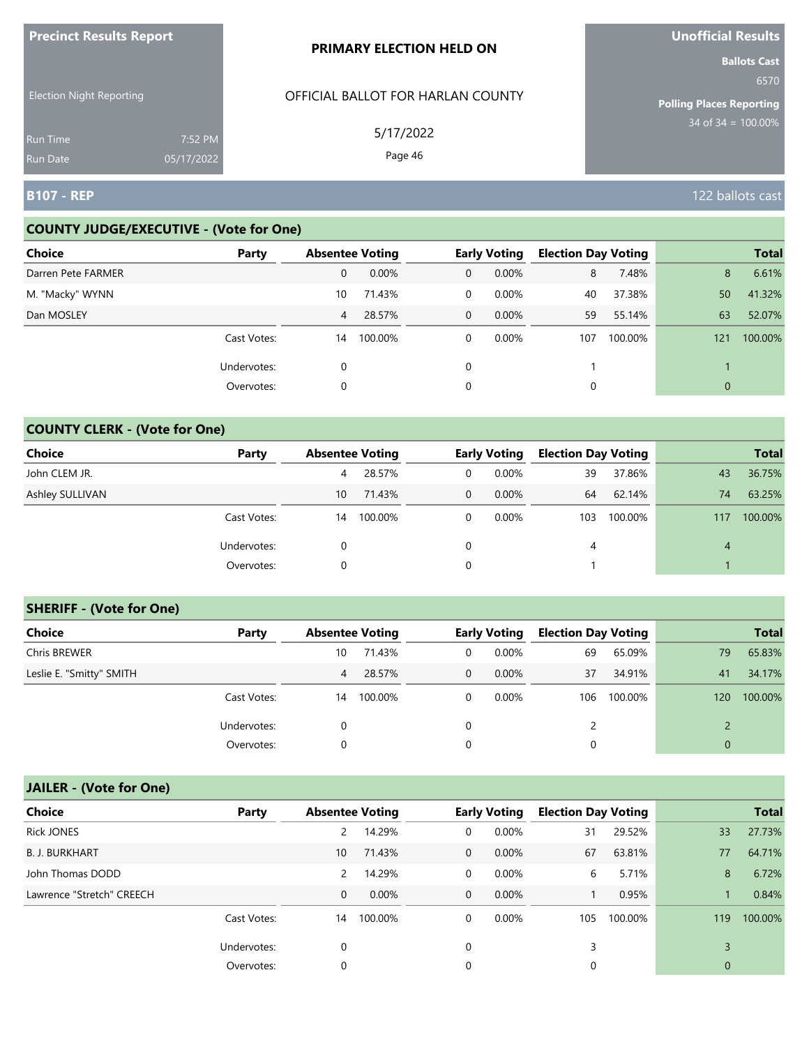| <b>THE RESPONSIVE PROPERTY</b>     |                       | <b>PRIMARY ELECTION HELD ON</b>   | <b>PHOTICIAL INCONITY</b><br><b>Ballots Cast</b> |
|------------------------------------|-----------------------|-----------------------------------|--------------------------------------------------|
| <b>Election Night Reporting</b>    |                       | OFFICIAL BALLOT FOR HARLAN COUNTY | 6570<br><b>Polling Places Reporting</b>          |
| <b>Run Time</b><br><b>Run Date</b> | 7:52 PM<br>05/17/2022 | 5/17/2022<br>Page 46              | $34$ of $34 = 100.00\%$                          |
| <b>B107 - REP</b>                  |                       |                                   | 122 ballots cast                                 |

#### **COUNTY JUDGE/EXECUTIVE - (Vote for One)**

**Precinct Results Report**

| <b>Choice</b>      | Party       | <b>Absentee Voting</b> |         |              | <b>Early Voting</b> | <b>Election Day Voting</b> |         |     | <b>Total</b> |
|--------------------|-------------|------------------------|---------|--------------|---------------------|----------------------------|---------|-----|--------------|
| Darren Pete FARMER |             | 0                      | 0.00%   | 0            | $0.00\%$            | 8                          | 7.48%   | 8   | 6.61%        |
| M. "Macky" WYNN    |             | 10                     | 71.43%  | 0            | $0.00\%$            | 40                         | 37.38%  | 50  | 41.32%       |
| Dan MOSLEY         |             | 4                      | 28.57%  | $\mathbf{0}$ | $0.00\%$            | 59                         | 55.14%  | 63  | 52.07%       |
|                    | Cast Votes: | 14                     | 100.00% | 0            | $0.00\%$            | 107                        | 100.00% | 121 | 100.00%      |
|                    | Undervotes: | 0                      |         |              |                     |                            |         |     |              |
|                    | Overvotes:  | 0                      |         | 0            |                     | $\Omega$                   |         | 0   |              |

### **COUNTY CLERK - (Vote for One)**

| Choice          | Party       | <b>Absentee Voting</b> |         |             | <b>Early Voting</b> | <b>Election Day Voting</b> |         |     | <b>Total</b> |
|-----------------|-------------|------------------------|---------|-------------|---------------------|----------------------------|---------|-----|--------------|
| John CLEM JR.   |             | 4                      | 28.57%  | 0           | $0.00\%$            | 39                         | 37.86%  | 43  | 36.75%       |
| Ashley SULLIVAN |             | 10                     | 71.43%  | $\mathbf 0$ | $0.00\%$            | 64                         | 62.14%  | 74  | 63.25%       |
|                 | Cast Votes: | 14                     | 100.00% | 0           | 0.00%               | 103                        | 100.00% | 117 | 100.00%      |
|                 | Undervotes: | $\Omega$               |         | $\Omega$    |                     | 4                          |         | 4   |              |
|                 | Overvotes:  | 0                      |         | 0           |                     |                            |         |     |              |

#### **SHERIFF - (Vote for One)**

| <b>Choice</b>            | Party       | <b>Absentee Voting</b> |         |   | <b>Early Voting</b> | <b>Election Day Voting</b> |         |     | <b>Total</b> |
|--------------------------|-------------|------------------------|---------|---|---------------------|----------------------------|---------|-----|--------------|
| Chris BREWER             |             | 10                     | 71.43%  | 0 | $0.00\%$            | 69                         | 65.09%  | 79  | 65.83%       |
| Leslie E. "Smitty" SMITH |             | 4                      | 28.57%  | 0 | $0.00\%$            | 37                         | 34.91%  | 41  | 34.17%       |
|                          | Cast Votes: | 14                     | 100.00% | 0 | $0.00\%$            | 106                        | 100.00% | 120 | 100.00%      |
|                          | Undervotes: | 0                      |         | 0 |                     |                            |         |     |              |
|                          | Overvotes:  | 0                      |         | 0 |                     | 0                          |         |     |              |

# **JAILER - (Vote for One)**

| <b>Choice</b>             | Party       | <b>Absentee Voting</b> |         |                | <b>Early Voting</b> | <b>Election Day Voting</b> |         |              | <b>Total</b> |
|---------------------------|-------------|------------------------|---------|----------------|---------------------|----------------------------|---------|--------------|--------------|
| <b>Rick JONES</b>         |             | 2                      | 14.29%  | 0              | 0.00%               | 31                         | 29.52%  | 33           | 27.73%       |
| <b>B. J. BURKHART</b>     |             | 10                     | 71.43%  | $\overline{0}$ | $0.00\%$            | 67                         | 63.81%  | 77           | 64.71%       |
| John Thomas DODD          |             | 2                      | 14.29%  | $\mathbf{0}$   | 0.00%               | 6                          | 5.71%   | 8            | 6.72%        |
| Lawrence "Stretch" CREECH |             | $\mathbf{0}$           | 0.00%   | $\overline{0}$ | $0.00\%$            |                            | 0.95%   |              | 0.84%        |
|                           | Cast Votes: | 14                     | 100.00% | 0              | $0.00\%$            | 105                        | 100.00% | 119          | 100.00%      |
|                           | Undervotes: | 0                      |         | 0              |                     | 3                          |         |              |              |
|                           | Overvotes:  | 0                      |         | 0              |                     | 0                          |         | $\mathbf{0}$ |              |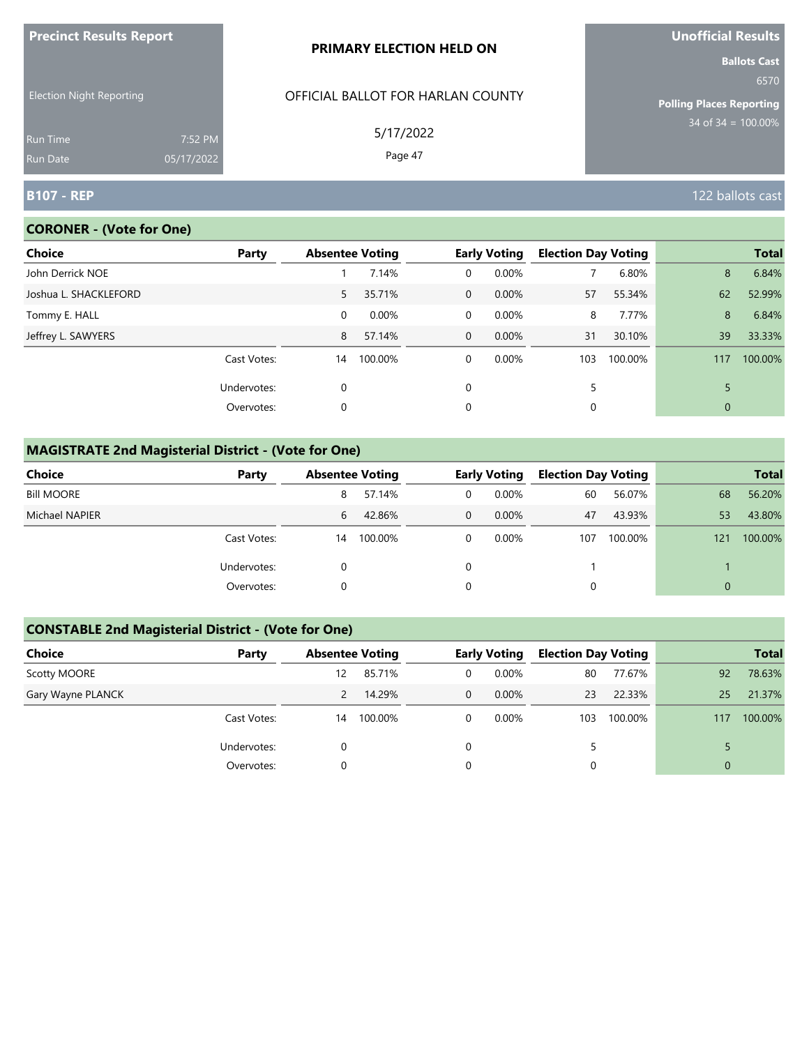| <b>FIGUILL RESULS REPULL</b>       |                       | <b>PRIMARY ELECTION HELD ON</b>   | <b>VIIVIIILIAI NESUILS</b><br><b>Ballots Cast</b> |
|------------------------------------|-----------------------|-----------------------------------|---------------------------------------------------|
| <b>Election Night Reporting</b>    |                       | OFFICIAL BALLOT FOR HARLAN COUNTY | 6570<br><b>Polling Places Reporting</b>           |
| <b>Run Time</b><br><b>Run Date</b> | 7:52 PM<br>05/17/2022 | 5/17/2022<br>Page 47              | $34$ of $34 = 100.00\%$                           |
| <b>B107 - REP</b>                  |                       |                                   | 122 ballots cast                                  |

#### **CORONER - (Vote for One)**

**Precinct Results Report**

| Choice                | Party       |          | <b>Absentee Voting</b> |                | <b>Early Voting</b> | <b>Election Day Voting</b> |         |             | <b>Total</b> |
|-----------------------|-------------|----------|------------------------|----------------|---------------------|----------------------------|---------|-------------|--------------|
| John Derrick NOE      |             |          | 7.14%                  | 0              | 0.00%               |                            | 6.80%   | 8           | 6.84%        |
| Joshua L. SHACKLEFORD |             | 5        | 35.71%                 | $\overline{0}$ | 0.00%               | 57                         | 55.34%  | 62          | 52.99%       |
| Tommy E. HALL         |             | $\Omega$ | 0.00%                  | $\Omega$       | 0.00%               | 8                          | 7.77%   | 8           | 6.84%        |
| Jeffrey L. SAWYERS    |             | 8        | 57.14%                 | $\overline{0}$ | $0.00\%$            | 31                         | 30.10%  | 39          | 33.33%       |
|                       | Cast Votes: | 14       | 100.00%                | $\Omega$       | 0.00%               | 103                        | 100.00% | 117         | 100.00%      |
|                       | Undervotes: | $\Omega$ |                        | $\Omega$       |                     | 5                          |         |             |              |
|                       | Overvotes:  | 0        |                        | 0              |                     | 0                          |         | $\mathbf 0$ |              |

# **MAGISTRATE 2nd Magisterial District - (Vote for One)**

| Choice            | Party       | <b>Absentee Voting</b> |         |   | <b>Early Voting</b> | <b>Election Day Voting</b> |         |          | <b>Total</b> |
|-------------------|-------------|------------------------|---------|---|---------------------|----------------------------|---------|----------|--------------|
| <b>Bill MOORE</b> |             | 8                      | 57.14%  | 0 | $0.00\%$            | 60                         | 56.07%  | 68       | 56.20%       |
| Michael NAPIER    |             | 6                      | 42.86%  | 0 | $0.00\%$            | 47                         | 43.93%  | 53       | 43.80%       |
|                   | Cast Votes: | 14                     | 100.00% |   | $0.00\%$            | 107                        | 100.00% | 121      | 100.00%      |
|                   | Undervotes: |                        |         |   |                     |                            |         |          |              |
|                   | Overvotes:  |                        |         |   |                     |                            |         | $\Omega$ |              |

# **CONSTABLE 2nd Magisterial District - (Vote for One)**

| Choice            | Party       | <b>Absentee Voting</b> |         |                | <b>Early Voting</b> | <b>Election Day Voting</b> |         |          | <b>Total</b> |
|-------------------|-------------|------------------------|---------|----------------|---------------------|----------------------------|---------|----------|--------------|
| Scotty MOORE      |             | 12                     | 85.71%  | 0              | $0.00\%$            | 80                         | 77.67%  | 92       | 78.63%       |
| Gary Wayne PLANCK |             |                        | 14.29%  | $\overline{0}$ | $0.00\%$            | 23                         | 22.33%  | 25       | 21.37%       |
|                   | Cast Votes: | 14                     | 100.00% | 0              | $0.00\%$            | 103                        | 100.00% | 117      | 100.00%      |
|                   | Undervotes: |                        |         | 0              |                     | 5                          |         |          |              |
|                   | Overvotes:  |                        |         | 0              |                     |                            |         | $\Omega$ |              |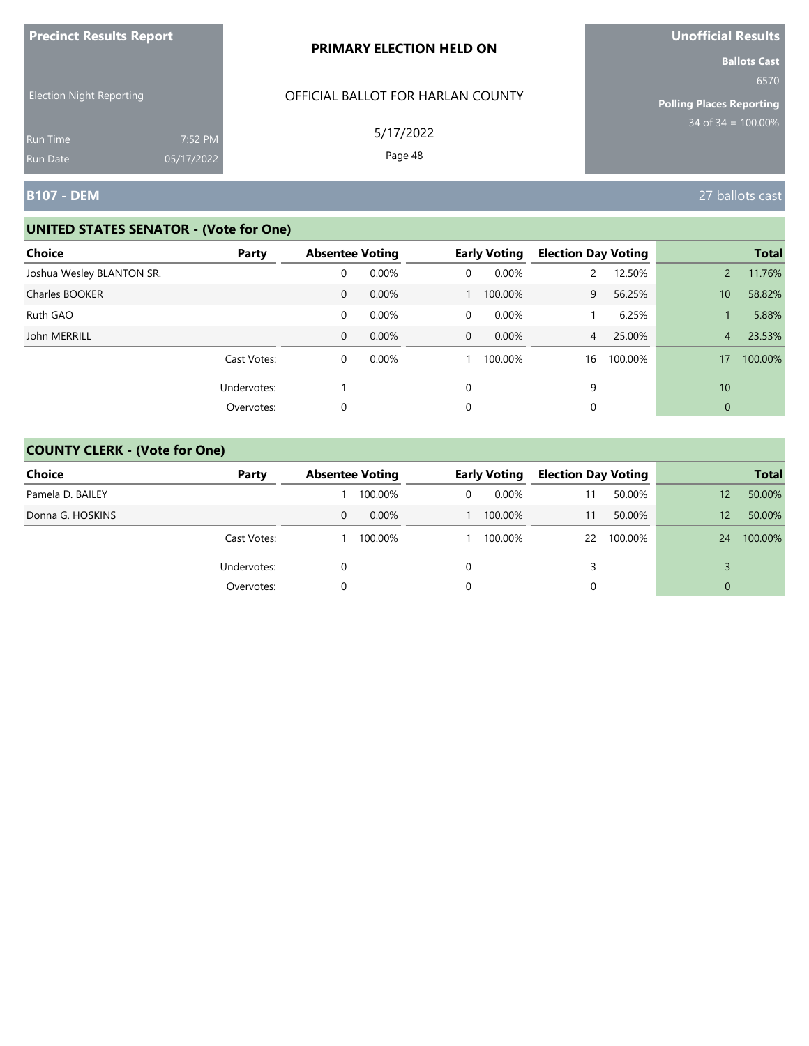| <b>Precinct Results Report</b>                     |            | PRIMARY ELECTION HELD ON                       | Unofficial Results                                                                        |
|----------------------------------------------------|------------|------------------------------------------------|-------------------------------------------------------------------------------------------|
| <b>Election Night Reporting</b><br><b>Run Time</b> | 7:52 PM    | OFFICIAL BALLOT FOR HARLAN COUNTY<br>5/17/2022 | <b>Ballots Cast</b><br>6570<br><b>Polling Places Reporting</b><br>$34$ of $34 = 100.00\%$ |
| <b>Run Date</b>                                    | 05/17/2022 | Page 48                                        |                                                                                           |
| B107 - DEM                                         |            |                                                | 27 ballots cast                                                                           |

| <b>Choice</b>             | Party       | <b>Absentee Voting</b> |          |              | <b>Early Voting</b> | <b>Election Day Voting</b> |         |                 | <b>Total</b> |
|---------------------------|-------------|------------------------|----------|--------------|---------------------|----------------------------|---------|-----------------|--------------|
| Joshua Wesley BLANTON SR. |             | 0                      | $0.00\%$ | 0            | 0.00%               |                            | 12.50%  |                 | 11.76%       |
| Charles BOOKER            |             | $\mathbf{0}$           | 0.00%    |              | 100.00%             | 9                          | 56.25%  | 10 <sup>°</sup> | 58.82%       |
| Ruth GAO                  |             | 0                      | 0.00%    | 0            | 0.00%               |                            | 6.25%   |                 | 5.88%        |
| John MERRILL              |             | 0                      | 0.00%    | $\mathbf{0}$ | $0.00\%$            | $\overline{4}$             | 25.00%  | $\overline{4}$  | 23.53%       |
|                           | Cast Votes: | 0                      | 0.00%    |              | 100.00%             | 16                         | 100.00% | 17              | 100.00%      |
|                           | Undervotes: |                        |          | $\Omega$     |                     | 9                          |         | 10              |              |
|                           | Overvotes:  | 0                      |          | 0            |                     | 0                          |         | $\mathbf{0}$    |              |

| <b>Choice</b>    | Party       | <b>Absentee Voting</b> |          |   | <b>Early Voting</b> | <b>Election Day Voting</b> |            |    | <b>Total</b> |
|------------------|-------------|------------------------|----------|---|---------------------|----------------------------|------------|----|--------------|
| Pamela D. BAILEY |             |                        | 100.00%  | 0 | 0.00%               | 11                         | 50.00%     | 12 | 50.00%       |
| Donna G. HOSKINS |             | 0                      | $0.00\%$ |   | 100.00%             | 11                         | 50.00%     | 12 | 50.00%       |
|                  | Cast Votes: |                        | 100.00%  |   | 100.00%             |                            | 22 100.00% | 24 | 100.00%      |
|                  | Undervotes: |                        |          | 0 |                     |                            |            |    |              |
|                  | Overvotes:  |                        |          | 0 |                     |                            |            | 0  |              |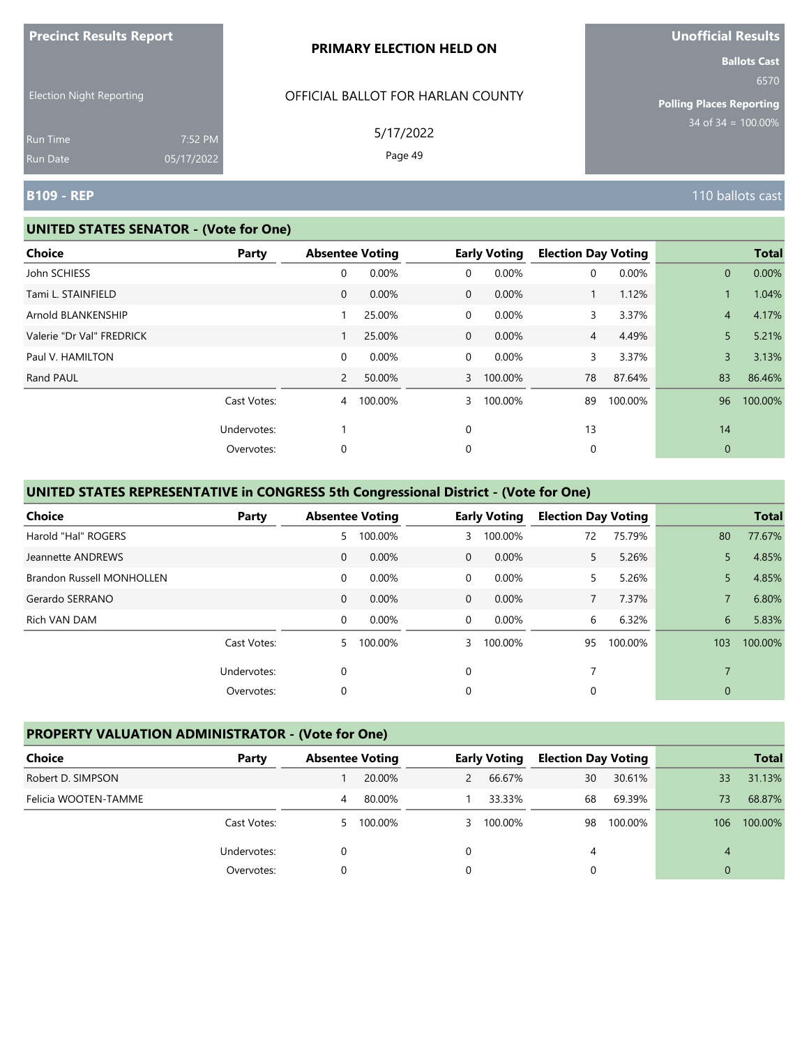| <b>Precinct Results Report</b>  |                       | <b>PRIMARY ELECTION HELD ON</b>   | <b>Unofficial Results</b>                                      |
|---------------------------------|-----------------------|-----------------------------------|----------------------------------------------------------------|
| <b>Election Night Reporting</b> |                       | OFFICIAL BALLOT FOR HARLAN COUNTY | <b>Ballots Cast</b><br>6570<br><b>Polling Places Reporting</b> |
| <b>Run Time</b><br>Run Date     | 7:52 PM<br>05/17/2022 | 5/17/2022<br>Page 49              | 34 of $34 = 100.00\%$                                          |
| <b>B109 - REP</b>               |                       |                                   | 110 ballots cast                                               |

lts

#### **UNITED STATES SENATOR - (Vote for One)**

| <b>Choice</b>             | Party       | <b>Absentee Voting</b> |         |                | <b>Early Voting</b> | <b>Election Day Voting</b> |         |                | <b>Total</b> |
|---------------------------|-------------|------------------------|---------|----------------|---------------------|----------------------------|---------|----------------|--------------|
| John SCHIESS              |             | 0                      | 0.00%   | 0              | 0.00%               | 0                          | 0.00%   | $\mathbf{0}$   | 0.00%        |
| Tami L. STAINFIELD        |             | 0                      | 0.00%   | $\overline{0}$ | 0.00%               | $\mathbf{1}$               | 1.12%   |                | 1.04%        |
| Arnold BLANKENSHIP        |             |                        | 25.00%  | $\mathbf 0$    | 0.00%               | 3                          | 3.37%   | $\overline{4}$ | 4.17%        |
| Valerie "Dr Val" FREDRICK |             |                        | 25.00%  | $\overline{0}$ | 0.00%               | 4                          | 4.49%   | 5              | 5.21%        |
| Paul V. HAMILTON          |             | 0                      | 0.00%   | $\overline{0}$ | 0.00%               | 3                          | 3.37%   | $\overline{3}$ | 3.13%        |
| Rand PAUL                 |             | $\overline{2}$         | 50.00%  | $\overline{3}$ | 100.00%             | 78                         | 87.64%  | 83             | 86.46%       |
|                           | Cast Votes: | 4                      | 100.00% | 3              | 100.00%             | 89                         | 100.00% | 96             | 100.00%      |
|                           | Undervotes: |                        |         | $\mathbf 0$    |                     | 13                         |         | 14             |              |
|                           | Overvotes:  | 0                      |         | 0              |                     | 0                          |         | $\theta$       |              |
|                           |             |                        |         |                |                     |                            |         |                |              |

# **UNITED STATES REPRESENTATIVE in CONGRESS 5th Congressional District - (Vote for One)**

| <b>Choice</b>                    | Party       | <b>Absentee Voting</b> |         |                | <b>Early Voting</b> | <b>Election Day Voting</b> |         |                | <b>Total</b> |
|----------------------------------|-------------|------------------------|---------|----------------|---------------------|----------------------------|---------|----------------|--------------|
| Harold "Hal" ROGERS              |             | 5                      | 100.00% | 3              | 100.00%             | 72                         | 75.79%  | 80             | 77.67%       |
| Jeannette ANDREWS                |             | $\mathbf{0}$           | 0.00%   | $\mathbf{0}$   | 0.00%               | 5.                         | 5.26%   | 5              | 4.85%        |
| <b>Brandon Russell MONHOLLEN</b> |             | $\mathbf 0$            | 0.00%   | $\overline{0}$ | 0.00%               | 5.                         | 5.26%   | 5.             | 4.85%        |
| Gerardo SERRANO                  |             | $\mathbf{0}$           | 0.00%   | $\overline{0}$ | $0.00\%$            | 7                          | 7.37%   |                | 6.80%        |
| Rich VAN DAM                     |             | $\mathbf 0$            | 0.00%   | $\Omega$       | 0.00%               | 6                          | 6.32%   | 6              | 5.83%        |
|                                  | Cast Votes: | 5.                     | 100.00% | 3              | 100.00%             | 95                         | 100.00% | 103            | 100.00%      |
|                                  | Undervotes: | 0                      |         | $\Omega$       |                     | 7                          |         | $\overline{7}$ |              |
|                                  | Overvotes:  | 0                      |         | 0              |                     | 0                          |         | $\mathbf{0}$   |              |

#### **PROPERTY VALUATION ADMINISTRATOR - (Vote for One)**

| Choice               | Party       | <b>Absentee Voting</b> |         |   | <b>Early Voting</b> | <b>Election Day Voting</b> |         |     | <b>Total</b> |
|----------------------|-------------|------------------------|---------|---|---------------------|----------------------------|---------|-----|--------------|
| Robert D. SIMPSON    |             |                        | 20.00%  | 2 | 66.67%              | 30                         | 30.61%  | 33  | 31.13%       |
| Felicia WOOTEN-TAMME |             | 4                      | 80.00%  |   | 33.33%              | 68                         | 69.39%  | 73  | 68.87%       |
|                      | Cast Votes: | 5.                     | 100.00% |   | 3 100.00%           | 98                         | 100.00% | 106 | 100.00%      |
|                      | Undervotes: |                        |         |   |                     | 4                          |         | 4   |              |
|                      | Overvotes:  |                        |         |   |                     |                            |         | 0   |              |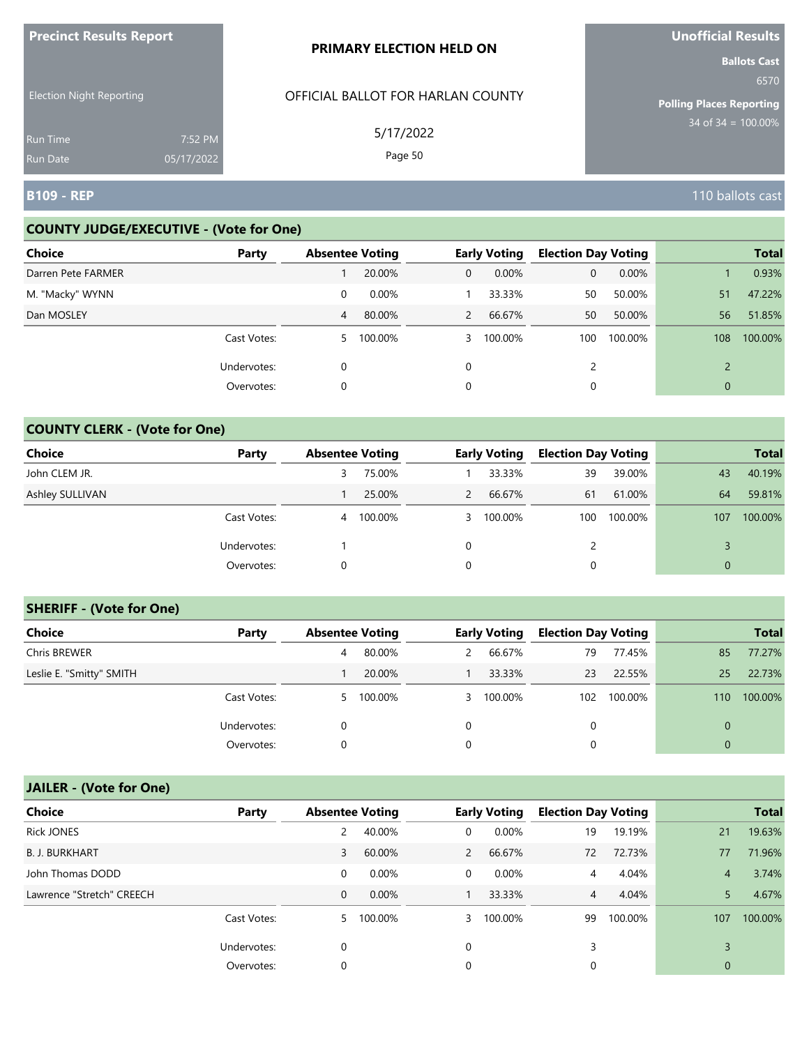| <b>FIGUILLE RESULTS REPUIL</b>     |                       | <b>PRIMARY ELECTION HELD ON</b>   | <b>VIIVIIILIAI NESUILS</b><br><b>Ballots Cast</b> |
|------------------------------------|-----------------------|-----------------------------------|---------------------------------------------------|
| <b>Election Night Reporting</b>    |                       | OFFICIAL BALLOT FOR HARLAN COUNTY | 6570<br><b>Polling Places Reporting</b>           |
| <b>Run Time</b><br><b>Run Date</b> | 7:52 PM<br>05/17/2022 | 5/17/2022<br>Page 50              | 34 of $34 = 100.00\%$                             |
| <b>B109 - REP</b>                  |                       |                                   | 110 ballots cast                                  |

#### **COUNTY JUDGE/EXECUTIVE - (Vote for One)**

**Precinct Results Report**

| <b>Choice</b>      | Party       | <b>Absentee Voting</b> |         |              | <b>Early Voting</b> | <b>Election Day Voting</b> |         |              | <b>Total</b> |
|--------------------|-------------|------------------------|---------|--------------|---------------------|----------------------------|---------|--------------|--------------|
| Darren Pete FARMER |             |                        | 20.00%  | $\mathbf{0}$ | 0.00%               | 0                          | 0.00%   |              | 0.93%        |
| M. "Macky" WYNN    |             | 0                      | 0.00%   |              | 33.33%              | 50                         | 50.00%  | 51           | 47.22%       |
| Dan MOSLEY         |             | 4                      | 80.00%  | 2            | 66.67%              | 50                         | 50.00%  | 56           | 51.85%       |
|                    | Cast Votes: | 5.                     | 100.00% | 3            | 100.00%             | 100                        | 100.00% | 108          | 100.00%      |
|                    | Undervotes: | 0                      |         | $\Omega$     |                     | $\mathcal{D}$              |         |              |              |
|                    | Overvotes:  | 0                      |         | 0            |                     | 0                          |         | $\mathbf{0}$ |              |

# **COUNTY CLERK - (Vote for One)**

| Choice          | Party       | <b>Absentee Voting</b> |         |               | <b>Early Voting</b> | <b>Election Day Voting</b> |         |     | <b>Total</b> |
|-----------------|-------------|------------------------|---------|---------------|---------------------|----------------------------|---------|-----|--------------|
| John CLEM JR.   |             | 3                      | 75.00%  |               | 33.33%              | 39                         | 39.00%  | 43  | 40.19%       |
| Ashley SULLIVAN |             |                        | 25.00%  | $\mathcal{L}$ | 66.67%              | 61                         | 61.00%  | 64  | 59.81%       |
|                 | Cast Votes: | 4                      | 100.00% | $\mathbf{3}$  | 100.00%             | 100                        | 100.00% | 107 | 100.00%      |
|                 | Undervotes: |                        |         | $\Omega$      |                     | 2                          |         |     |              |
|                 | Overvotes:  | 0                      |         | 0             |                     | 0                          |         |     |              |

#### **SHERIFF - (Vote for One)**

| <b>Choice</b>            | Party       | <b>Absentee Voting</b> |           |   | <b>Early Voting</b> | <b>Election Day Voting</b> |         |          | <b>Total</b> |
|--------------------------|-------------|------------------------|-----------|---|---------------------|----------------------------|---------|----------|--------------|
| Chris BREWER             |             | 4                      | 80.00%    | 2 | 66.67%              | 79                         | 77.45%  | 85       | 77.27%       |
| Leslie E. "Smitty" SMITH |             |                        | 20.00%    |   | 33.33%              | 23                         | 22.55%  | 25       | 22.73%       |
|                          | Cast Votes: |                        | 5 100.00% |   | 3 100.00%           | 102                        | 100.00% | 110      | 100.00%      |
|                          | Undervotes: | 0                      |           | 0 |                     | 0                          |         |          |              |
|                          | Overvotes:  | 0                      |           | 0 |                     | 0                          |         | $\Omega$ |              |

# **JAILER - (Vote for One)**

| <b>Choice</b>             | Party       | <b>Absentee Voting</b> |           |              | <b>Early Voting</b> | <b>Election Day Voting</b> |         |                | <b>Total</b> |
|---------------------------|-------------|------------------------|-----------|--------------|---------------------|----------------------------|---------|----------------|--------------|
| <b>Rick JONES</b>         |             |                        | 40.00%    | 0            | 0.00%               | 19                         | 19.19%  | 21             | 19.63%       |
| <b>B. J. BURKHART</b>     |             | 3                      | 60.00%    | $\mathbf{2}$ | 66.67%              | 72                         | 72.73%  | 77             | 71.96%       |
| John Thomas DODD          |             | 0                      | $0.00\%$  | $\Omega$     | 0.00%               | 4                          | 4.04%   | $\overline{4}$ | 3.74%        |
| Lawrence "Stretch" CREECH |             | 0                      | $0.00\%$  |              | 33.33%              | $\overline{4}$             | 4.04%   | 5              | 4.67%        |
|                           | Cast Votes: |                        | 5 100.00% | 3            | 100.00%             | 99                         | 100.00% | 107            | 100.00%      |
|                           | Undervotes: | 0                      |           | $\Omega$     |                     | 3                          |         |                |              |
|                           | Overvotes:  | 0                      |           | $\Omega$     |                     | 0                          |         | $\mathbf 0$    |              |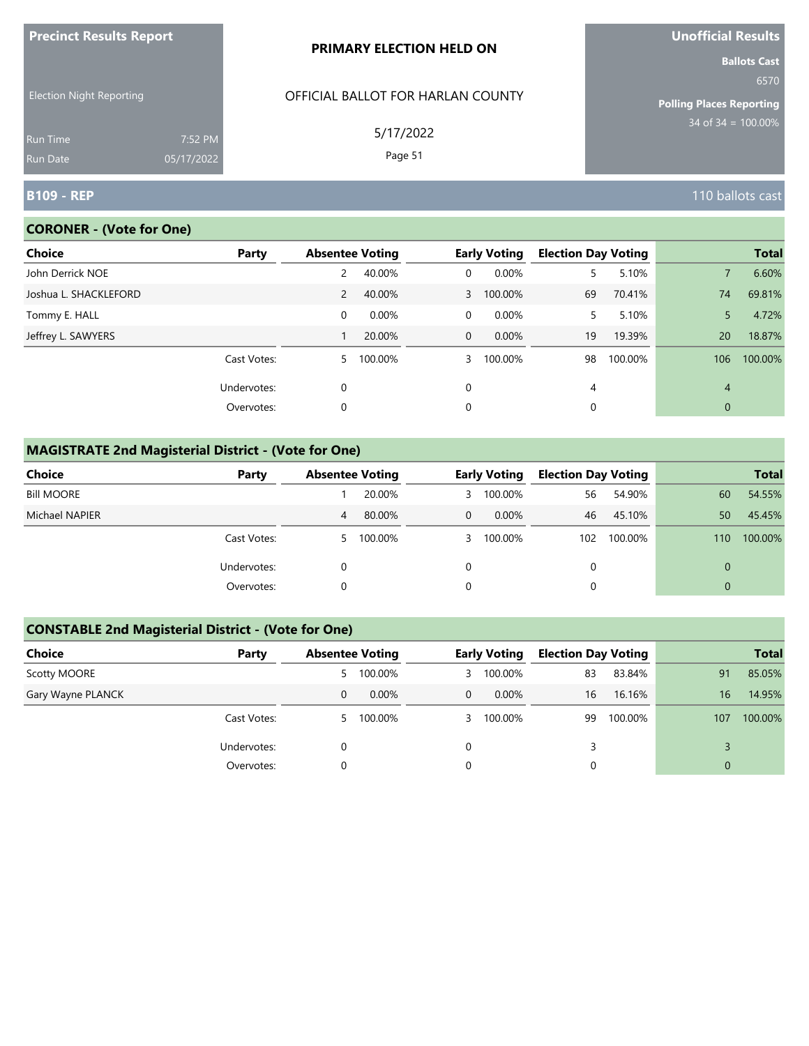| <u>Fredinci Results Report</u>     |                       | PRIMARY ELECTION HELD ON          | <b>UNDINICIAL RESULS</b><br><b>Ballots Cast</b> |
|------------------------------------|-----------------------|-----------------------------------|-------------------------------------------------|
| <b>Election Night Reporting</b>    |                       | OFFICIAL BALLOT FOR HARLAN COUNTY | 6570<br><b>Polling Places Reporting</b>         |
| <b>Run Time</b><br><b>Run Date</b> | 7:52 PM<br>05/17/2022 | 5/17/2022<br>Page 51              | $34 \text{ of } 34 = 100.00\%$                  |
| <b>B109 - REP</b>                  |                       |                                   | 110 ballots cast                                |

# **CORONER - (Vote for One)**

**Precinct Results Report**

| Choice                | Party       | <b>Absentee Voting</b> |         |                | <b>Early Voting</b> | <b>Election Day Voting</b> |         |                | <b>Total</b> |
|-----------------------|-------------|------------------------|---------|----------------|---------------------|----------------------------|---------|----------------|--------------|
| John Derrick NOE      |             | 2                      | 40.00%  | $\mathbf{0}$   | 0.00%               | 5.                         | 5.10%   |                | 6.60%        |
| Joshua L. SHACKLEFORD |             | $\overline{2}$         | 40.00%  |                | 3 100.00%           | 69                         | 70.41%  | 74             | 69.81%       |
| Tommy E. HALL         |             | 0                      | 0.00%   | 0              | 0.00%               | 5.                         | 5.10%   | 5              | 4.72%        |
| Jeffrey L. SAWYERS    |             |                        | 20.00%  | $\overline{0}$ | $0.00\%$            | 19                         | 19.39%  | <b>20</b>      | 18.87%       |
|                       | Cast Votes: | 5                      | 100.00% | 3              | 100.00%             | 98                         | 100.00% | 106            | 100.00%      |
|                       | Undervotes: | 0                      |         | 0              |                     | 4                          |         | $\overline{4}$ |              |
|                       | Overvotes:  | 0                      |         | 0              |                     | $\mathbf 0$                |         | $\overline{0}$ |              |

### **MAGISTRATE 2nd Magisterial District - (Vote for One)**

| Choice            | Party       | <b>Absentee Voting</b> |           |   | <b>Early Voting</b> | <b>Election Day Voting</b> |             |          | <b>Total</b> |
|-------------------|-------------|------------------------|-----------|---|---------------------|----------------------------|-------------|----------|--------------|
| <b>Bill MOORE</b> |             |                        | 20.00%    |   | 3 100.00%           | 56                         | 54.90%      | 60       | 54.55%       |
| Michael NAPIER    |             | 4                      | 80.00%    | 0 | $0.00\%$            | 46                         | 45.10%      | 50       | 45.45%       |
|                   | Cast Votes: |                        | 5 100.00% |   | 3 100.00%           |                            | 102 100.00% | 110      | 100.00%      |
|                   | Undervotes: |                        |           |   |                     | 0                          |             | $\Omega$ |              |
|                   | Overvotes:  |                        |           |   |                     |                            |             | $\Omega$ |              |

# **CONSTABLE 2nd Magisterial District - (Vote for One)**

| Choice            | Party       |    | <b>Absentee Voting</b> |                | <b>Early Voting</b> | <b>Election Day Voting</b> |         |                | <b>Total</b> |
|-------------------|-------------|----|------------------------|----------------|---------------------|----------------------------|---------|----------------|--------------|
| Scotty MOORE      |             | 5  | 100.00%                |                | 3 100.00%           | 83                         | 83.84%  | 91             | 85.05%       |
| Gary Wayne PLANCK |             | 0  | $0.00\%$               | $\overline{0}$ | $0.00\%$            | 16                         | 16.16%  | 16             | 14.95%       |
|                   | Cast Votes: | 5. | 100.00%                |                | 3 100.00%           | 99                         | 100.00% | 107            | 100.00%      |
|                   | Undervotes: | 0  |                        | 0              |                     |                            |         |                |              |
|                   | Overvotes:  | 0  |                        | 0              |                     |                            |         | $\overline{0}$ |              |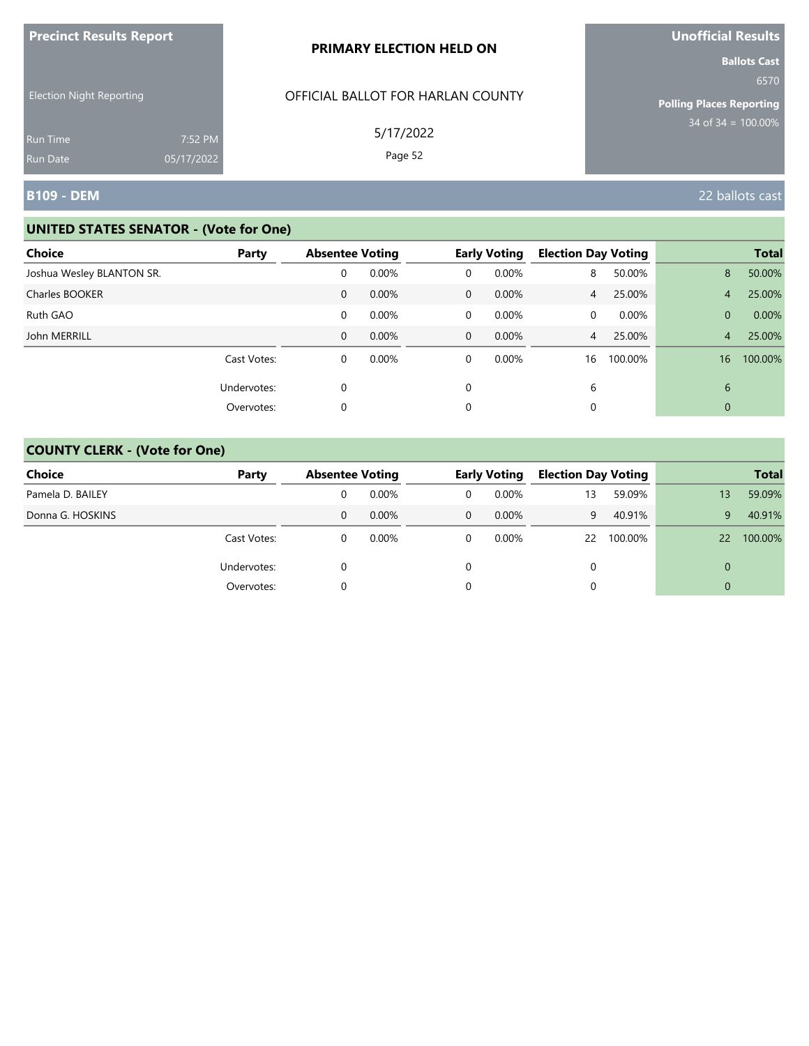| <b>Precinct Results Report</b>                     |            | PRIMARY ELECTION HELD ON                       | <b>Unofficial Results</b>                                                                 |
|----------------------------------------------------|------------|------------------------------------------------|-------------------------------------------------------------------------------------------|
| <b>Election Night Reporting</b><br><b>Run Time</b> | 7:52 PM    | OFFICIAL BALLOT FOR HARLAN COUNTY<br>5/17/2022 | <b>Ballots Cast</b><br>6570<br><b>Polling Places Reporting</b><br>$34$ of $34 = 100.00\%$ |
| <b>Run Date</b>                                    | 05/17/2022 | Page 52                                        |                                                                                           |
| B109 - DEM                                         |            |                                                | 22 ballots cast                                                                           |

| <b>Choice</b>             | Party       | <b>Absentee Voting</b> |       |              | <b>Early Voting</b> | <b>Election Day Voting</b> |         |                | <b>Total</b> |
|---------------------------|-------------|------------------------|-------|--------------|---------------------|----------------------------|---------|----------------|--------------|
| Joshua Wesley BLANTON SR. |             | 0                      | 0.00% | 0            | 0.00%               | 8                          | 50.00%  | 8              | 50.00%       |
| Charles BOOKER            |             | 0                      | 0.00% | $\mathbf{0}$ | 0.00%               | $\overline{4}$             | 25.00%  | $\overline{4}$ | 25.00%       |
| Ruth GAO                  |             | 0                      | 0.00% | 0            | 0.00%               | 0                          | 0.00%   | $\overline{0}$ | 0.00%        |
| John MERRILL              |             | $\mathbf{0}$           | 0.00% | $\mathbf{0}$ | 0.00%               | $\overline{4}$             | 25.00%  | 4 <sup>7</sup> | 25.00%       |
|                           | Cast Votes: | 0                      | 0.00% | 0            | 0.00%               | 16                         | 100.00% | 16             | 100.00%      |
|                           | Undervotes: | $\mathbf 0$            |       | 0            |                     | 6                          |         | 6              |              |
|                           | Overvotes:  | 0                      |       | 0            |                     | 0                          |         | 0              |              |

| <b>Choice</b>    | Party       |   | <b>Absentee Voting</b> |          | <b>Early Voting</b> |    | <b>Election Day Voting</b> |          | <b>Total</b> |
|------------------|-------------|---|------------------------|----------|---------------------|----|----------------------------|----------|--------------|
| Pamela D. BAILEY |             |   | 0.00%                  | 0        | $0.00\%$            | 13 | 59.09%                     | 13       | 59.09%       |
| Donna G. HOSKINS |             | 0 | $0.00\%$               | $\Omega$ | $0.00\%$            | 9  | 40.91%                     | 9        | 40.91%       |
|                  | Cast Votes: | 0 | $0.00\%$               | 0        | $0.00\%$            |    | 22 100.00%                 | 22       | 100.00%      |
|                  | Undervotes: | 0 |                        |          |                     |    |                            | $\Omega$ |              |
|                  | Overvotes:  |   |                        |          |                     |    |                            | $\Omega$ |              |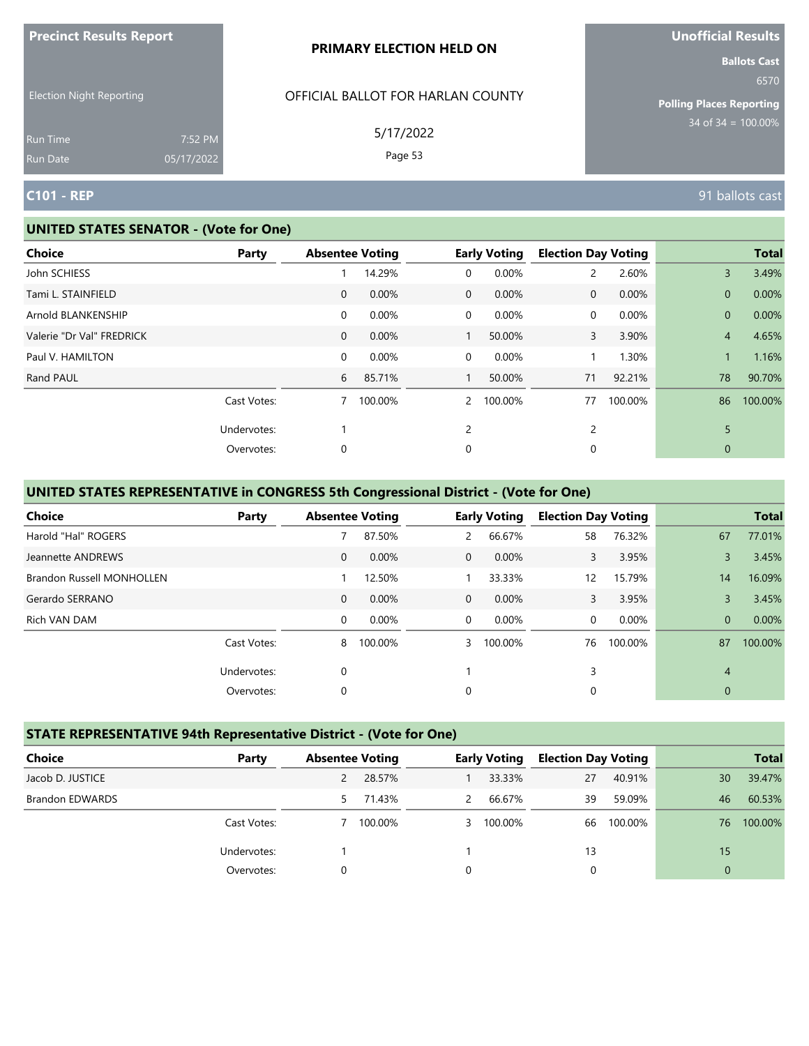| <b>THE RESOLUTION IS A POINT OF A SET OF A PARTIES</b> |                       | PRIMARY ELECTION HELD ON          | <u>UNUMERICITIO</u><br><b>Ballots Cast</b> |
|--------------------------------------------------------|-----------------------|-----------------------------------|--------------------------------------------|
| <b>Election Night Reporting</b>                        |                       | OFFICIAL BALLOT FOR HARLAN COUNTY | 6570<br><b>Polling Places Reporting</b>    |
| <b>Run Time</b><br>Run Date                            | 7:52 PM<br>05/17/2022 | 5/17/2022<br>Page 53              | $34$ of $34 = 100.00\%$                    |
| <b>C101 - REP</b>                                      |                       |                                   | 91 ballots cast                            |

#### **UNITED STATES SENATOR - (Vote for One)**

**Precinct Results Report**

| <b>Choice</b>             | Party       | <b>Absentee Voting</b> |         |              | <b>Early Voting</b> | <b>Election Day Voting</b> |          |                | <b>Total</b> |
|---------------------------|-------------|------------------------|---------|--------------|---------------------|----------------------------|----------|----------------|--------------|
| John SCHIESS              |             |                        | 14.29%  | 0            | 0.00%               | 2                          | 2.60%    | 3              | 3.49%        |
| Tami L. STAINFIELD        |             | $\mathbf{0}$           | 0.00%   | $\mathbf{0}$ | 0.00%               | $\mathbf{0}$               | 0.00%    | $\overline{0}$ | 0.00%        |
| Arnold BLANKENSHIP        |             | 0                      | 0.00%   | 0            | 0.00%               | 0                          | $0.00\%$ | $\overline{0}$ | 0.00%        |
| Valerie "Dr Val" FREDRICK |             | $\mathbf{0}$           | 0.00%   |              | 50.00%              | 3                          | 3.90%    | $\overline{4}$ | 4.65%        |
| Paul V. HAMILTON          |             | 0                      | 0.00%   | 0            | 0.00%               | $\mathbf{1}$               | 1.30%    | $\mathbf{1}$   | 1.16%        |
| Rand PAUL                 |             | 6                      | 85.71%  |              | 50.00%              | 71                         | 92.21%   | 78             | 90.70%       |
|                           | Cast Votes: |                        | 100.00% | $\mathbf{2}$ | 100.00%             | 77                         | 100.00%  | 86             | 100.00%      |
|                           | Undervotes: |                        |         | 2            |                     | 2                          |          | 5              |              |
|                           | Overvotes:  | 0                      |         | 0            |                     | 0                          |          | $\mathbf{0}$   |              |
|                           |             |                        |         |              |                     |                            |          |                |              |

# **UNITED STATES REPRESENTATIVE in CONGRESS 5th Congressional District - (Vote for One)**

| <b>Choice</b>                    | Party       | <b>Absentee Voting</b> |         |              | <b>Early Voting</b> | <b>Election Day Voting</b> |         |                | <b>Total</b> |
|----------------------------------|-------------|------------------------|---------|--------------|---------------------|----------------------------|---------|----------------|--------------|
| Harold "Hal" ROGERS              |             |                        | 87.50%  | 2            | 66.67%              | 58                         | 76.32%  | 67             | 77.01%       |
| Jeannette ANDREWS                |             | $\mathbf{0}$           | 0.00%   | $\Omega$     | 0.00%               | 3                          | 3.95%   | 3              | 3.45%        |
| <b>Brandon Russell MONHOLLEN</b> |             |                        | 12.50%  |              | 33.33%              | $12 \overline{ }$          | 15.79%  | 14             | 16.09%       |
| Gerardo SERRANO                  |             | $\mathbf{0}$           | 0.00%   | $\mathbf{0}$ | 0.00%               | 3                          | 3.95%   | 3              | 3.45%        |
| Rich VAN DAM                     |             | $\mathbf 0$            | 0.00%   | $\Omega$     | $0.00\%$            | 0                          | 0.00%   | $\overline{0}$ | 0.00%        |
|                                  | Cast Votes: | 8                      | 100.00% | 3            | 100.00%             | 76                         | 100.00% | 87             | 100.00%      |
|                                  | Undervotes: | 0                      |         |              |                     | 3                          |         | $\overline{4}$ |              |
|                                  | Overvotes:  | 0                      |         | $\Omega$     |                     | 0                          |         | $\mathbf{0}$   |              |

#### **STATE REPRESENTATIVE 94th Representative District - (Vote for One)**

| Choice                 | Party       | <b>Absentee Voting</b> |         |   | <b>Early Voting</b> | <b>Election Day Voting</b> |         |                | <b>Total</b> |
|------------------------|-------------|------------------------|---------|---|---------------------|----------------------------|---------|----------------|--------------|
| Jacob D. JUSTICE       |             |                        | 28.57%  |   | 33.33%              | 27                         | 40.91%  | 30             | 39.47%       |
| <b>Brandon EDWARDS</b> |             | 5.                     | 71.43%  | 2 | 66.67%              | 39                         | 59.09%  | 46             | 60.53%       |
|                        | Cast Votes: |                        | 100.00% |   | 3 100.00%           | 66                         | 100.00% | 76             | 100.00%      |
|                        | Undervotes: |                        |         |   |                     | 13                         |         | 15             |              |
|                        | Overvotes:  | 0                      |         | 0 |                     |                            |         | $\overline{0}$ |              |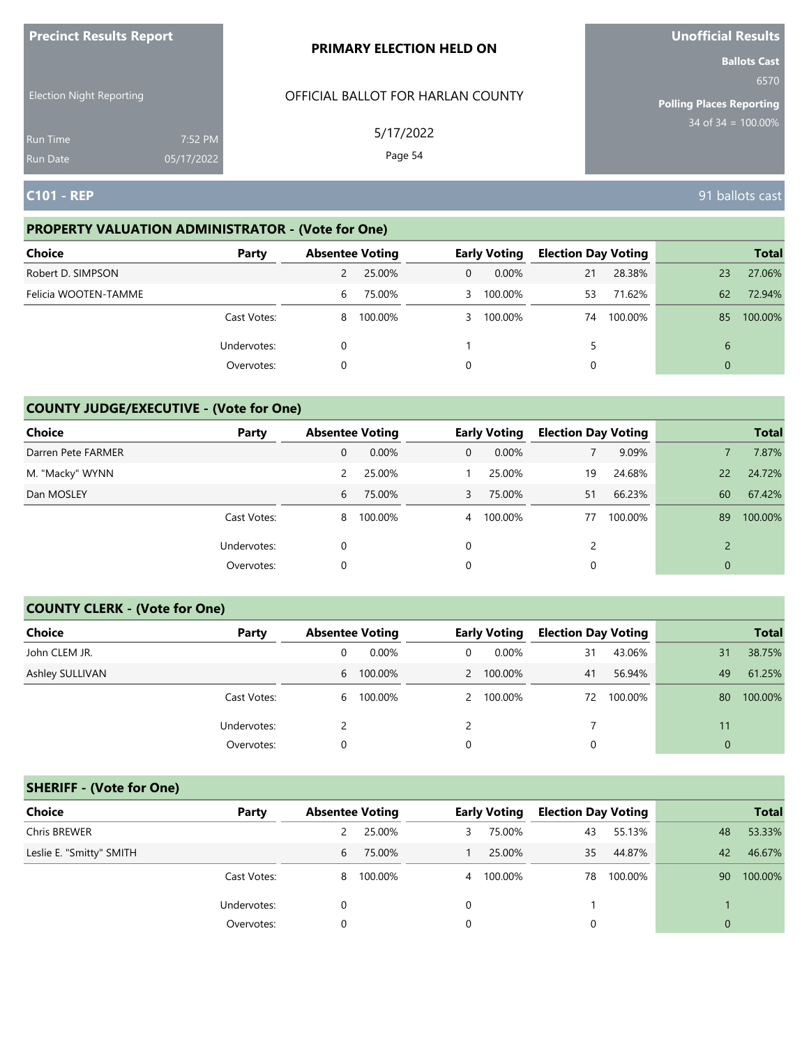| <b>Precinct Results Report</b>     |                       | <b>PRIMARY ELECTION HELD ON</b>   | <b>Unofficial Results</b>                                      |
|------------------------------------|-----------------------|-----------------------------------|----------------------------------------------------------------|
| <b>Election Night Reporting</b>    |                       | OFFICIAL BALLOT FOR HARLAN COUNTY | <b>Ballots Cast</b><br>6570<br><b>Polling Places Reporting</b> |
| <b>Run Time</b><br><b>Run Date</b> | 7:52 PM<br>05/17/2022 | 5/17/2022<br>Page 54              | $34 \text{ of } 34 = 100.00\%$                                 |
| <b>C101 - REP</b>                  |                       |                                   | 91 ballots cast                                                |

# **PROPERTY VALUATION ADMINISTRATOR - (Vote for One)**

| <b>Choice</b>        | Party       | <b>Absentee Voting</b> |         |                | <b>Early Voting</b> | <b>Election Day Voting</b> |         |                | <b>Total</b> |
|----------------------|-------------|------------------------|---------|----------------|---------------------|----------------------------|---------|----------------|--------------|
| Robert D. SIMPSON    |             |                        | 25.00%  | $\overline{0}$ | $0.00\%$            | 21                         | 28.38%  | 23             | 27.06%       |
| Felicia WOOTEN-TAMME |             | 6                      | 75.00%  |                | 3 100.00%           | 53                         | 71.62%  | 62             | 72.94%       |
|                      | Cast Votes: | 8                      | 100.00% |                | 3 100.00%           | 74                         | 100.00% | 85             | 100.00%      |
|                      | Undervotes: | 0                      |         |                |                     | 5.                         |         | 6              |              |
|                      | Overvotes:  | 0                      |         | 0              |                     |                            |         | $\overline{0}$ |              |

### **COUNTY JUDGE/EXECUTIVE - (Vote for One)**

| Choice             | Party       | <b>Absentee Voting</b> |         |                | <b>Early Voting</b> | <b>Election Day Voting</b> |         |                | <b>Total</b> |
|--------------------|-------------|------------------------|---------|----------------|---------------------|----------------------------|---------|----------------|--------------|
| Darren Pete FARMER |             | 0                      | 0.00%   | 0              | $0.00\%$            |                            | 9.09%   |                | 7.87%        |
| M. "Macky" WYNN    |             | 2                      | 25.00%  |                | 25.00%              | 19                         | 24.68%  | 22             | 24.72%       |
| Dan MOSLEY         |             | 6                      | 75.00%  | 3              | 75.00%              | 51                         | 66.23%  | 60             | 67.42%       |
|                    | Cast Votes: | 8                      | 100.00% | $\overline{4}$ | 100.00%             | 77                         | 100.00% | 89             | 100.00%      |
|                    | Undervotes: |                        |         | $\Omega$       |                     |                            |         |                |              |
|                    | Overvotes:  | 0                      |         | 0              |                     |                            |         | $\overline{0}$ |              |

#### **COUNTY CLERK - (Vote for One)**

| Choice          | Party       | <b>Absentee Voting</b> |         |   | <b>Early Voting</b> | <b>Election Day Voting</b> |         |             | <b>Total</b> |
|-----------------|-------------|------------------------|---------|---|---------------------|----------------------------|---------|-------------|--------------|
| John CLEM JR.   |             | 0                      | 0.00%   | 0 | $0.00\%$            | 31                         | 43.06%  | 31          | 38.75%       |
| Ashley SULLIVAN |             | 6                      | 100.00% |   | 2 100.00%           | 41                         | 56.94%  | 49          | 61.25%       |
|                 | Cast Votes: | 6                      | 100.00% |   | 2 100.00%           | 72                         | 100.00% | 80          | 100.00%      |
|                 | Undervotes: |                        |         |   |                     |                            |         | 11          |              |
|                 | Overvotes:  | 0                      |         | 0 |                     | 0                          |         | $\mathbf 0$ |              |

### **SHERIFF - (Vote for One)**

| <b>Choice</b>            | Party       | <b>Absentee Voting</b> | <b>Early Voting</b> | <b>Election Day Voting</b> | <b>Total</b>  |
|--------------------------|-------------|------------------------|---------------------|----------------------------|---------------|
| Chris BREWER             |             | 25.00%                 | 75.00%<br>3         | 55.13%<br>43               | 53.33%<br>48  |
| Leslie E. "Smitty" SMITH |             | 75.00%<br>6            | 25.00%              | 35<br>44.87%               | 46.67%<br>42  |
|                          | Cast Votes: | 100.00%<br>8           | 4 100.00%           | 100.00%<br>78              | 100.00%<br>90 |
|                          | Undervotes: | 0                      | 0                   |                            |               |
|                          | Overvotes:  |                        |                     | 0                          | $\Omega$      |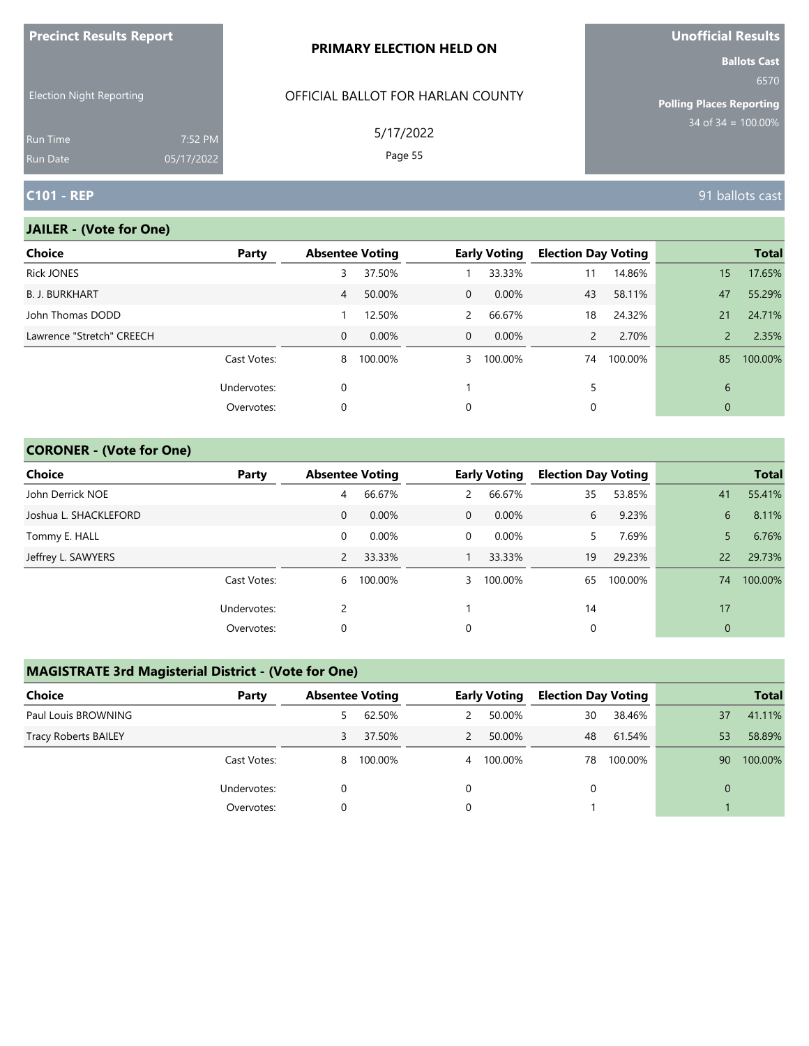| <b>Precinct Results Report</b>     |                       | <b>PRIMARY ELECTION HELD ON</b>   | <b>Unofficial Results</b>                                      |
|------------------------------------|-----------------------|-----------------------------------|----------------------------------------------------------------|
| <b>Election Night Reporting</b>    |                       | OFFICIAL BALLOT FOR HARLAN COUNTY | <b>Ballots Cast</b><br>6570<br><b>Polling Places Reporting</b> |
| <b>Run Time</b><br><b>Run Date</b> | 7:52 PM<br>05/17/2022 | 5/17/2022<br>Page 55              | 34 of $34 = 100.00\%$                                          |
| <b>C101 - REP</b>                  |                       |                                   | 91 ballots cast                                                |

#### **JAILER - (Vote for One)**

| <b>Choice</b>             | Party       | <b>Absentee Voting</b> |         |              | <b>Early Voting</b> | <b>Election Day Voting</b> |         |                | <b>Total</b> |
|---------------------------|-------------|------------------------|---------|--------------|---------------------|----------------------------|---------|----------------|--------------|
| <b>Rick JONES</b>         |             | 3                      | 37.50%  |              | 33.33%              | 11                         | 14.86%  | 15             | 17.65%       |
| <b>B. J. BURKHART</b>     |             | 4                      | 50.00%  | $\mathbf{0}$ | $0.00\%$            | 43                         | 58.11%  | 47             | 55.29%       |
| John Thomas DODD          |             |                        | 12.50%  | 2            | 66.67%              | 18                         | 24.32%  | 21             | 24.71%       |
| Lawrence "Stretch" CREECH |             | $\mathbf{0}$           | 0.00%   | $\Omega$     | $0.00\%$            | $\mathbf{2}$               | 2.70%   | $\overline{2}$ | 2.35%        |
|                           | Cast Votes: | 8                      | 100.00% | 3            | 100.00%             | 74                         | 100.00% | 85             | 100.00%      |
|                           | Undervotes: | 0                      |         |              |                     |                            |         | 6              |              |
|                           | Overvotes:  | 0                      |         | 0            |                     | 0                          |         | $\mathbf{0}$   |              |
|                           |             |                        |         |              |                     |                            |         |                |              |

### **CORONER - (Vote for One)**

| Choice                | Party       | <b>Absentee Voting</b> |          |             | <b>Early Voting</b> | <b>Election Day Voting</b> |         |                | <b>Total</b> |
|-----------------------|-------------|------------------------|----------|-------------|---------------------|----------------------------|---------|----------------|--------------|
| John Derrick NOE      |             | 4                      | 66.67%   | 2           | 66.67%              | 35                         | 53.85%  | 41             | 55.41%       |
| Joshua L. SHACKLEFORD |             | $\mathbf{0}$           | $0.00\%$ | $\mathbf 0$ | $0.00\%$            | 6                          | 9.23%   | 6              | 8.11%        |
| Tommy E. HALL         |             | 0                      | 0.00%    | 0           | $0.00\%$            | 5.                         | 7.69%   |                | 6.76%        |
| Jeffrey L. SAWYERS    |             | $\overline{2}$         | 33.33%   |             | 33.33%              | 19                         | 29.23%  | 22             | 29.73%       |
|                       | Cast Votes: | 6                      | 100.00%  | 3           | 100.00%             | 65                         | 100.00% | 74             | 100.00%      |
|                       | Undervotes: | 2                      |          |             |                     | 14                         |         | 17             |              |
|                       | Overvotes:  | 0                      |          | 0           |                     | 0                          |         | $\overline{0}$ |              |

# **MAGISTRATE 3rd Magisterial District - (Vote for One)**

| <b>Choice</b>               | Party       | <b>Absentee Voting</b> |         |   | <b>Early Voting</b> | <b>Election Day Voting</b> |         |    | <b>Total</b> |
|-----------------------------|-------------|------------------------|---------|---|---------------------|----------------------------|---------|----|--------------|
| Paul Louis BROWNING         |             |                        | 62.50%  |   | 50.00%              | 30                         | 38.46%  | 37 | 41.11%       |
| <b>Tracy Roberts BAILEY</b> |             | 3                      | 37.50%  | 2 | 50.00%              | 48                         | 61.54%  | 53 | 58.89%       |
|                             | Cast Votes: | 8                      | 100.00% | 4 | 100.00%             | 78                         | 100.00% | 90 | 100.00%      |
|                             | Undervotes: |                        |         |   |                     | $\Omega$                   |         | 0  |              |
|                             | Overvotes:  |                        |         |   |                     |                            |         |    |              |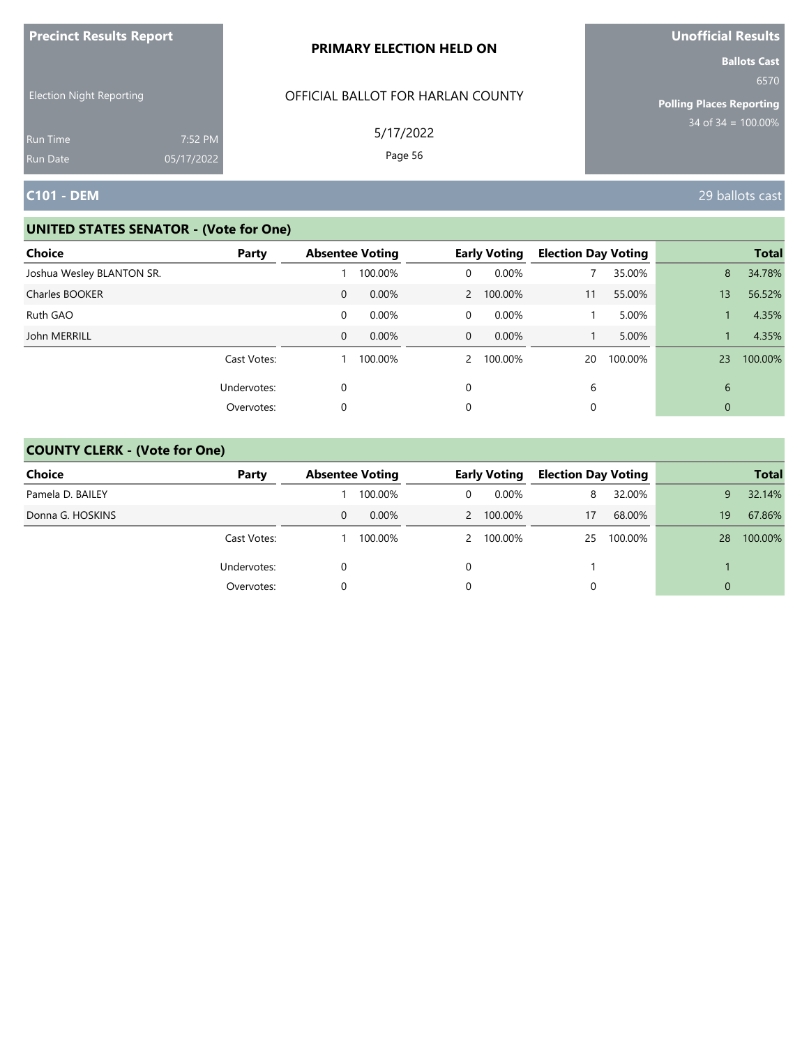| <b>Precinct Results Report</b>     |                       | PRIMARY ELECTION HELD ON          | Unofficial Results                                             |
|------------------------------------|-----------------------|-----------------------------------|----------------------------------------------------------------|
| <b>Election Night Reporting</b>    |                       | OFFICIAL BALLOT FOR HARLAN COUNTY | <b>Ballots Cast</b><br>6570<br><b>Polling Places Reporting</b> |
| <b>Run Time</b><br><b>Run Date</b> | 7:52 PM<br>05/17/2022 | 5/17/2022<br>Page 56              | $34$ of $34 = 100.00\%$                                        |
| <b>C101 - DEM</b>                  |                       |                                   | 29 ballots cast                                                |

| <b>Choice</b>             | Party       |              | <b>Absentee Voting</b> |              | <b>Early Voting</b> | <b>Election Day Voting</b> |         |    | <b>Total</b> |
|---------------------------|-------------|--------------|------------------------|--------------|---------------------|----------------------------|---------|----|--------------|
| Joshua Wesley BLANTON SR. |             |              | 100.00%                | 0            | 0.00%               |                            | 35.00%  | 8  | 34.78%       |
| Charles BOOKER            |             | $\mathbf{0}$ | 0.00%                  |              | 2 100.00%           | 11                         | 55.00%  | 13 | 56.52%       |
| Ruth GAO                  |             | 0            | 0.00%                  | 0            | $0.00\%$            |                            | 5.00%   |    | 4.35%        |
| John MERRILL              |             | $\mathbf{0}$ | 0.00%                  | $\mathbf{0}$ | 0.00%               |                            | 5.00%   |    | 4.35%        |
|                           | Cast Votes: |              | 100.00%                |              | 2 100.00%           | 20                         | 100.00% | 23 | 100.00%      |
|                           | Undervotes: | 0            |                        | 0            |                     | 6                          |         | 6  |              |
|                           | Overvotes:  | 0            |                        | 0            |                     | 0                          |         | 0  |              |

| Choice           | Party       | <b>Absentee Voting</b> |          | <b>Early Voting</b> |           | <b>Election Day Voting</b> |            |          | <b>Total</b> |
|------------------|-------------|------------------------|----------|---------------------|-----------|----------------------------|------------|----------|--------------|
| Pamela D. BAILEY |             |                        | 100.00%  |                     | $0.00\%$  | 8                          | 32.00%     | 9        | 32.14%       |
| Donna G. HOSKINS |             | 0                      | $0.00\%$ |                     | 2 100.00% | 17                         | 68.00%     | 19       | 67.86%       |
|                  | Cast Votes: |                        | 100.00%  |                     | 2 100.00% |                            | 25 100.00% | 28       | 100.00%      |
|                  | Undervotes: |                        |          |                     |           |                            |            |          |              |
|                  | Overvotes:  |                        |          |                     |           | 0                          |            | $\Omega$ |              |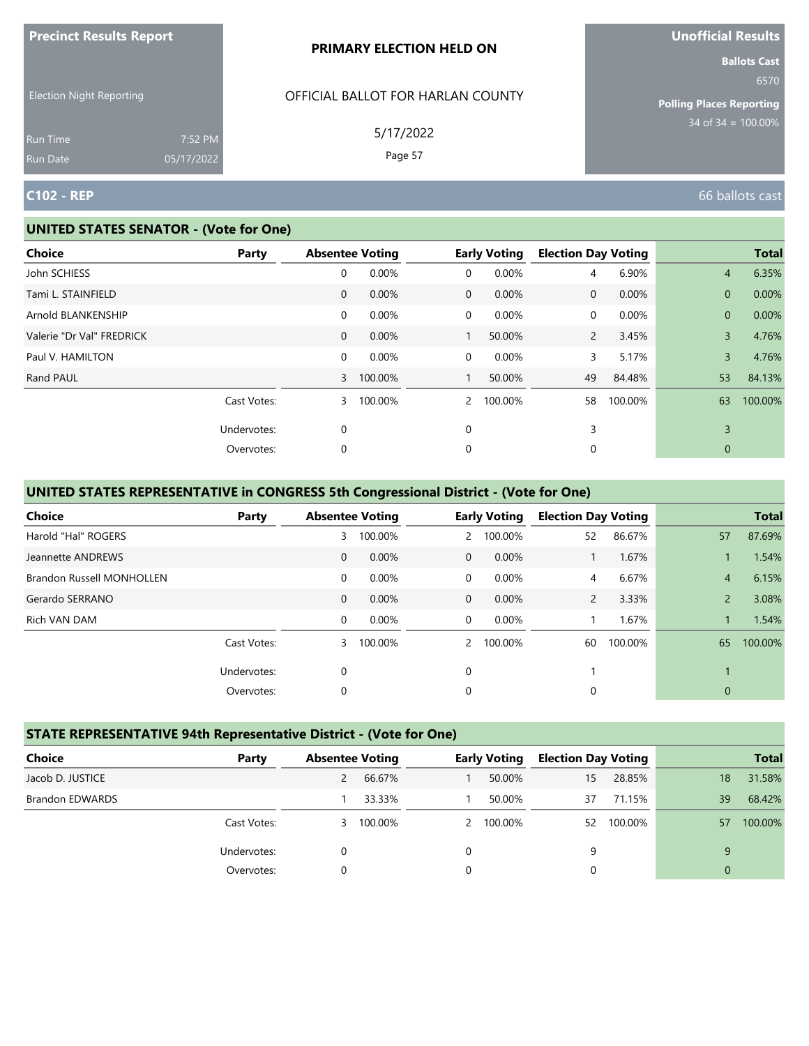| <b>Precinct Results Report</b>  |                       | <b>PRIMARY ELECTION HELD ON</b>   | <b>Unofficial Results</b>                                      |
|---------------------------------|-----------------------|-----------------------------------|----------------------------------------------------------------|
| <b>Election Night Reporting</b> |                       | OFFICIAL BALLOT FOR HARLAN COUNTY | <b>Ballots Cast</b><br>6570<br><b>Polling Places Reporting</b> |
| Run Time<br>Run Date            | 7:52 PM<br>05/17/2022 | 5/17/2022<br>Page 57              | $34 \text{ of } 34 = 100.00\%$                                 |
| <b>C102 - REP</b>               |                       |                                   | 66 ballots cast                                                |

#### **UNITED STATES SENATOR - (Vote for One)**

| Choice                    | Party       |              | <b>Absentee Voting</b> |                | <b>Early Voting</b> | <b>Election Day Voting</b> |          |                | <b>Total</b> |
|---------------------------|-------------|--------------|------------------------|----------------|---------------------|----------------------------|----------|----------------|--------------|
| John SCHIESS              |             | 0            | 0.00%                  | 0              | 0.00%               | $\overline{4}$             | 6.90%    | $\overline{4}$ | 6.35%        |
| Tami L. STAINFIELD        |             | $\mathbf{0}$ | 0.00%                  | $\overline{0}$ | 0.00%               | $\mathbf 0$                | 0.00%    | $\mathbf{0}$   | 0.00%        |
| Arnold BLANKENSHIP        |             | 0            | 0.00%                  | $\mathbf 0$    | 0.00%               | 0                          | $0.00\%$ | $\mathbf{0}$   | 0.00%        |
| Valerie "Dr Val" FREDRICK |             | $\mathbf{0}$ | 0.00%                  |                | 50.00%              | $\overline{2}$             | 3.45%    | $\overline{3}$ | 4.76%        |
| Paul V. HAMILTON          |             | 0            | 0.00%                  | $\mathbf 0$    | 0.00%               | 3                          | 5.17%    | $\overline{3}$ | 4.76%        |
| Rand PAUL                 |             | $\mathbf{3}$ | 100.00%                |                | 50.00%              | 49                         | 84.48%   | 53             | 84.13%       |
|                           | Cast Votes: | 3            | 100.00%                | $\mathcal{P}$  | 100.00%             | 58                         | 100.00%  | 63             | 100.00%      |
|                           | Undervotes: | 0            |                        | 0              |                     | 3                          |          | 3              |              |
|                           | Overvotes:  | 0            |                        | 0              |                     | 0                          |          | 0              |              |

# **UNITED STATES REPRESENTATIVE in CONGRESS 5th Congressional District - (Vote for One)**

| Choice                           | Party       |              | <b>Absentee Voting</b> |               | <b>Early Voting</b> | <b>Election Day Voting</b> |         |                | <b>Total</b> |
|----------------------------------|-------------|--------------|------------------------|---------------|---------------------|----------------------------|---------|----------------|--------------|
| Harold "Hal" ROGERS              |             | 3            | 100.00%                | $\mathbf{2}$  | 100.00%             | 52                         | 86.67%  | 57             | 87.69%       |
| Jeannette ANDREWS                |             | $\mathbf{0}$ | 0.00%                  | $\Omega$      | 0.00%               |                            | 1.67%   |                | 1.54%        |
| <b>Brandon Russell MONHOLLEN</b> |             | $\mathbf 0$  | 0.00%                  | 0             | 0.00%               | 4                          | 6.67%   | $\overline{4}$ | 6.15%        |
| Gerardo SERRANO                  |             | $\mathbf{0}$ | 0.00%                  | $\mathbf 0$   | 0.00%               | $\mathsf{2}^-$             | 3.33%   | $\overline{2}$ | 3.08%        |
| Rich VAN DAM                     |             | $\mathbf 0$  | 0.00%                  | $\Omega$      | 0.00%               |                            | 1.67%   |                | 1.54%        |
|                                  | Cast Votes: | 3            | 100.00%                | $\mathcal{P}$ | 100.00%             | 60                         | 100.00% | 65             | 100.00%      |
|                                  | Undervotes: | 0            |                        | $\Omega$      |                     |                            |         |                |              |
|                                  | Overvotes:  | 0            |                        | 0             |                     | 0                          |         | $\mathbf{0}$   |              |

# **STATE REPRESENTATIVE 94th Representative District - (Vote for One)**

| Choice                 | Party       | <b>Absentee Voting</b> |         |          | <b>Early Voting</b> | <b>Election Day Voting</b> |            |          | <b>Total</b> |
|------------------------|-------------|------------------------|---------|----------|---------------------|----------------------------|------------|----------|--------------|
| Jacob D. JUSTICE       |             | 2                      | 66.67%  |          | 50.00%              | 15                         | 28.85%     | 18       | 31.58%       |
| <b>Brandon EDWARDS</b> |             |                        | 33.33%  |          | 50.00%              | 37                         | 71.15%     | 39       | 68.42%       |
|                        | Cast Votes: | 3                      | 100.00% |          | 2 100.00%           |                            | 52 100.00% | 57       | 100.00%      |
|                        | Undervotes: | 0                      |         | $\Omega$ |                     | 9                          |            | 9        |              |
|                        | Overvotes:  |                        |         | 0        |                     |                            |            | $\Omega$ |              |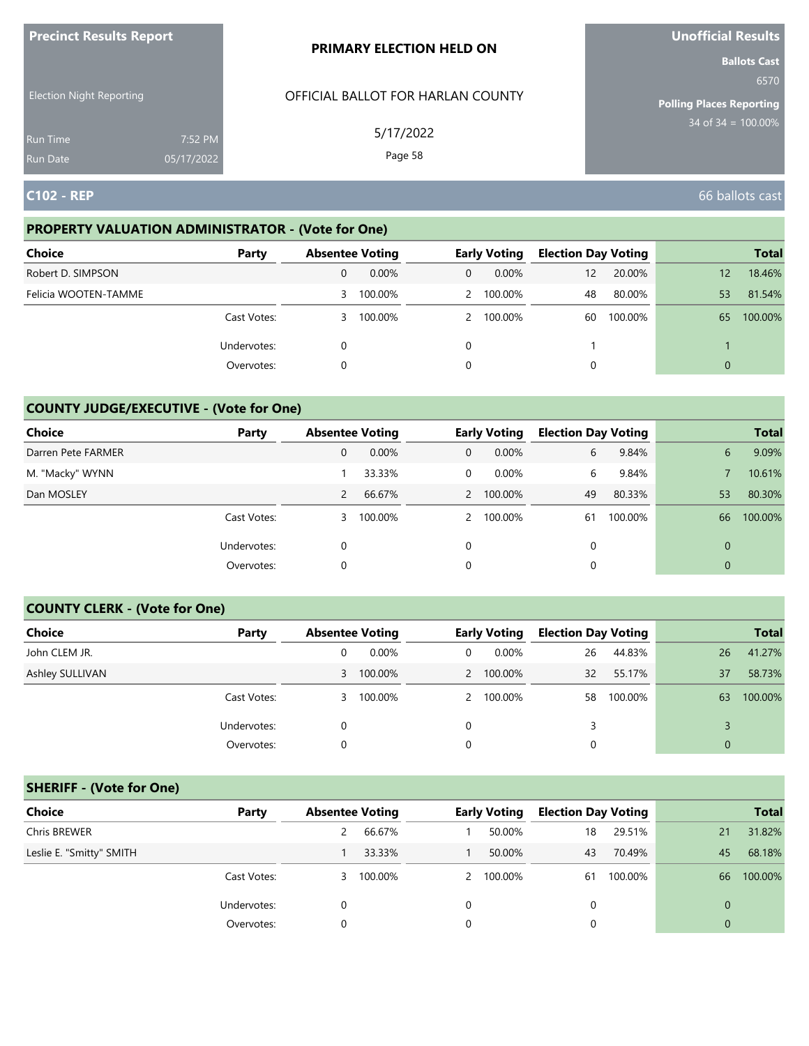| <b>Precinct Results Report</b>     |                       | <b>PRIMARY ELECTION HELD ON</b>   | <b>Unofficial Results</b>                                      |
|------------------------------------|-----------------------|-----------------------------------|----------------------------------------------------------------|
| <b>Election Night Reporting</b>    |                       | OFFICIAL BALLOT FOR HARLAN COUNTY | <b>Ballots Cast</b><br>6570<br><b>Polling Places Reporting</b> |
| <b>Run Time</b><br><b>Run Date</b> | 7:52 PM<br>05/17/2022 | 5/17/2022<br>Page 58              | $34$ of $34 = 100.00\%$                                        |
| <b>C102 - REP</b>                  |                       |                                   | 66 ballots cast                                                |

# **PROPERTY VALUATION ADMINISTRATOR - (Vote for One)**

| <b>Choice</b>        | Party       | <b>Absentee Voting</b> |         |   | <b>Early Voting</b> | <b>Election Day Voting</b> |         |    | <b>Total</b> |
|----------------------|-------------|------------------------|---------|---|---------------------|----------------------------|---------|----|--------------|
| Robert D. SIMPSON    |             | 0                      | 0.00%   | 0 | $0.00\%$            | 12                         | 20.00%  | 12 | 18.46%       |
| Felicia WOOTEN-TAMME |             | 3                      | 100.00% |   | 2 100.00%           | 48                         | 80.00%  | 53 | 81.54%       |
|                      | Cast Votes: | 3                      | 100.00% |   | 2 100.00%           | 60                         | 100.00% | 65 | 100.00%      |
|                      | Undervotes: | 0                      |         | 0 |                     |                            |         |    |              |
|                      | Overvotes:  | 0                      |         | 0 |                     |                            |         | 0  |              |

# **COUNTY JUDGE/EXECUTIVE - (Vote for One)**

| Choice             | Party       | <b>Absentee Voting</b> |         |   | <b>Early Voting</b> | <b>Election Day Voting</b> |         |                | <b>Total</b> |
|--------------------|-------------|------------------------|---------|---|---------------------|----------------------------|---------|----------------|--------------|
| Darren Pete FARMER |             | 0                      | 0.00%   | 0 | $0.00\%$            | 6                          | 9.84%   | 6              | 9.09%        |
| M. "Macky" WYNN    |             |                        | 33.33%  | 0 | $0.00\%$            | 6                          | 9.84%   |                | 10.61%       |
| Dan MOSLEY         |             | 2                      | 66.67%  |   | 2 100.00%           | 49                         | 80.33%  | 53             | 80.30%       |
|                    | Cast Votes: | 3                      | 100.00% |   | 2 100.00%           | 61                         | 100.00% | 66             | 100.00%      |
|                    | Undervotes: |                        |         | 0 |                     | $\Omega$                   |         | $\overline{0}$ |              |
|                    | Overvotes:  | 0                      |         | 0 |                     | 0                          |         | $\overline{0}$ |              |

### **COUNTY CLERK - (Vote for One)**

| Choice          | Party       | <b>Absentee Voting</b> |          |   | <b>Early Voting</b> | <b>Election Day Voting</b> |         |    | <b>Total</b> |
|-----------------|-------------|------------------------|----------|---|---------------------|----------------------------|---------|----|--------------|
| John CLEM JR.   |             | 0                      | $0.00\%$ | 0 | $0.00\%$            | 26                         | 44.83%  | 26 | 41.27%       |
| Ashley SULLIVAN |             | 3                      | 100.00%  |   | 2 100.00%           | 32                         | 55.17%  | 37 | 58.73%       |
|                 | Cast Votes: | 3.                     | 100.00%  |   | 2 100.00%           | 58                         | 100.00% | 63 | 100.00%      |
|                 | Undervotes: |                        |          | 0 |                     | 3                          |         |    |              |
|                 | Overvotes:  | 0                      |          | 0 |                     | 0                          |         |    |              |

# **SHERIFF - (Vote for One)**

| <b>Choice</b>            | Party       | <b>Absentee Voting</b> |         |   | <b>Early Voting</b> | <b>Election Day Voting</b> |         |                | <b>Total</b> |
|--------------------------|-------------|------------------------|---------|---|---------------------|----------------------------|---------|----------------|--------------|
| Chris BREWER             |             |                        | 66.67%  |   | 50.00%              | 18                         | 29.51%  | 21             | 31.82%       |
| Leslie E. "Smitty" SMITH |             |                        | 33.33%  |   | 50.00%              | 43                         | 70.49%  | 45             | 68.18%       |
|                          | Cast Votes: | 3                      | 100.00% |   | 2 100.00%           | 61                         | 100.00% | 66             | 100.00%      |
|                          | Undervotes: | $\Omega$               |         | 0 |                     | 0                          |         | $\overline{0}$ |              |
|                          | Overvotes:  |                        |         |   |                     | 0                          |         | $\Omega$       |              |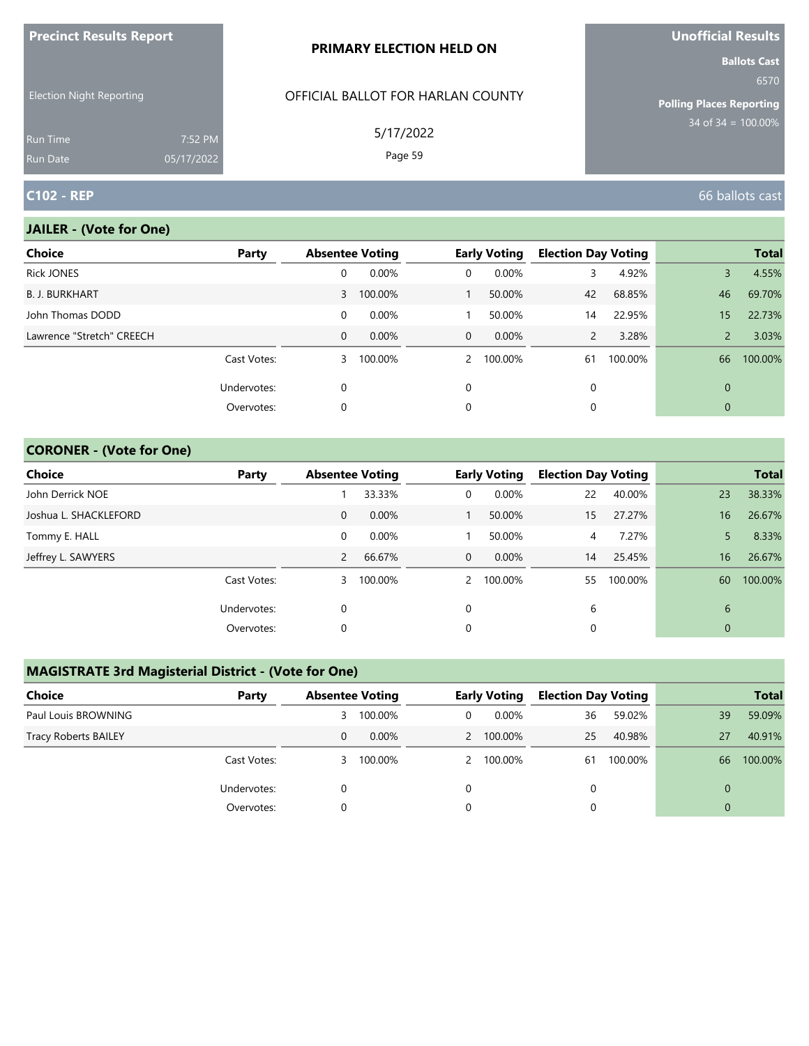| $\blacksquare$                     |                       | <b>PRIMARY ELECTION HELD ON</b>   | <b>VIIVIIILIMI INCOMILO</b><br><b>Ballots Cast</b> |
|------------------------------------|-----------------------|-----------------------------------|----------------------------------------------------|
| <b>Election Night Reporting</b>    |                       | OFFICIAL BALLOT FOR HARLAN COUNTY | 6570<br>Polling Places Reporting                   |
| <b>Run Time</b><br><b>Run Date</b> | 7:52 PM<br>05/17/2022 | 5/17/2022<br>Page 59              | $34$ of 34 = 100.00%                               |
| <b>C102 - REP</b>                  |                       |                                   | 66 ballots cast                                    |

### **JAILER - (Vote for One)**

**Precinct Results Report**

| <b>Choice</b>             | Party       | <b>Absentee Voting</b> |           |                | <b>Early Voting</b> | <b>Election Day Voting</b> |         |                 | <b>Total</b> |
|---------------------------|-------------|------------------------|-----------|----------------|---------------------|----------------------------|---------|-----------------|--------------|
| <b>Rick JONES</b>         |             | 0                      | 0.00%     | 0              | 0.00%               | 3                          | 4.92%   | 3               | 4.55%        |
| <b>B. J. BURKHART</b>     |             |                        | 3 100.00% |                | 50.00%              | 42                         | 68.85%  | 46              | 69.70%       |
| John Thomas DODD          |             | 0                      | $0.00\%$  |                | 50.00%              | 14                         | 22.95%  | 15 <sup>1</sup> | 22.73%       |
| Lawrence "Stretch" CREECH |             | 0                      | 0.00%     | $\overline{0}$ | $0.00\%$            | $\overline{2}$             | 3.28%   | $\overline{2}$  | 3.03%        |
|                           | Cast Votes: | 3                      | 100.00%   |                | 2 100.00%           | 61                         | 100.00% | 66              | 100.00%      |
|                           | Undervotes: | 0                      |           | $\Omega$       |                     | 0                          |         | $\Omega$        |              |
|                           | Overvotes:  | 0                      |           | 0              |                     | 0                          |         | $\mathbf 0$     |              |

### **CORONER - (Vote for One)**

| <b>Choice</b>         | Party       | <b>Absentee Voting</b> |         |              | <b>Early Voting</b> | <b>Election Day Voting</b> |         |                | <b>Total</b> |
|-----------------------|-------------|------------------------|---------|--------------|---------------------|----------------------------|---------|----------------|--------------|
| John Derrick NOE      |             |                        | 33.33%  | 0            | 0.00%               | 22                         | 40.00%  | 23             | 38.33%       |
| Joshua L. SHACKLEFORD |             | 0                      | 0.00%   |              | 50.00%              | 15                         | 27.27%  | 16             | 26.67%       |
| Tommy E. HALL         |             | 0                      | 0.00%   |              | 50.00%              | 4                          | 7.27%   |                | 8.33%        |
| Jeffrey L. SAWYERS    |             | $\overline{2}$         | 66.67%  | $\mathbf{0}$ | $0.00\%$            | 14                         | 25.45%  | 16             | 26.67%       |
|                       | Cast Votes: | 3                      | 100.00% |              | 2 100.00%           | 55                         | 100.00% | 60             | 100.00%      |
|                       | Undervotes: | $\Omega$               |         | $\Omega$     |                     | 6                          |         | 6              |              |
|                       | Overvotes:  | 0                      |         | 0            |                     |                            |         | $\overline{0}$ |              |

# **MAGISTRATE 3rd Magisterial District - (Vote for One)**

| Choice                      | Party       | <b>Absentee Voting</b> |          | <b>Early Voting</b> | <b>Election Day Voting</b> |         |    | <b>Total</b> |
|-----------------------------|-------------|------------------------|----------|---------------------|----------------------------|---------|----|--------------|
| Paul Louis BROWNING         |             | 3                      | 100.00%  | $0.00\%$            | 36                         | 59.02%  | 39 | 59.09%       |
| <b>Tracy Roberts BAILEY</b> |             | 0                      | $0.00\%$ | 2 100.00%           | 25                         | 40.98%  | 27 | 40.91%       |
|                             | Cast Votes: | 3.                     | 100.00%  | 2 100.00%           | 61                         | 100.00% | 66 | 100.00%      |
|                             | Undervotes: |                        |          |                     |                            |         | 0  |              |
|                             | Overvotes:  |                        |          |                     |                            |         |    |              |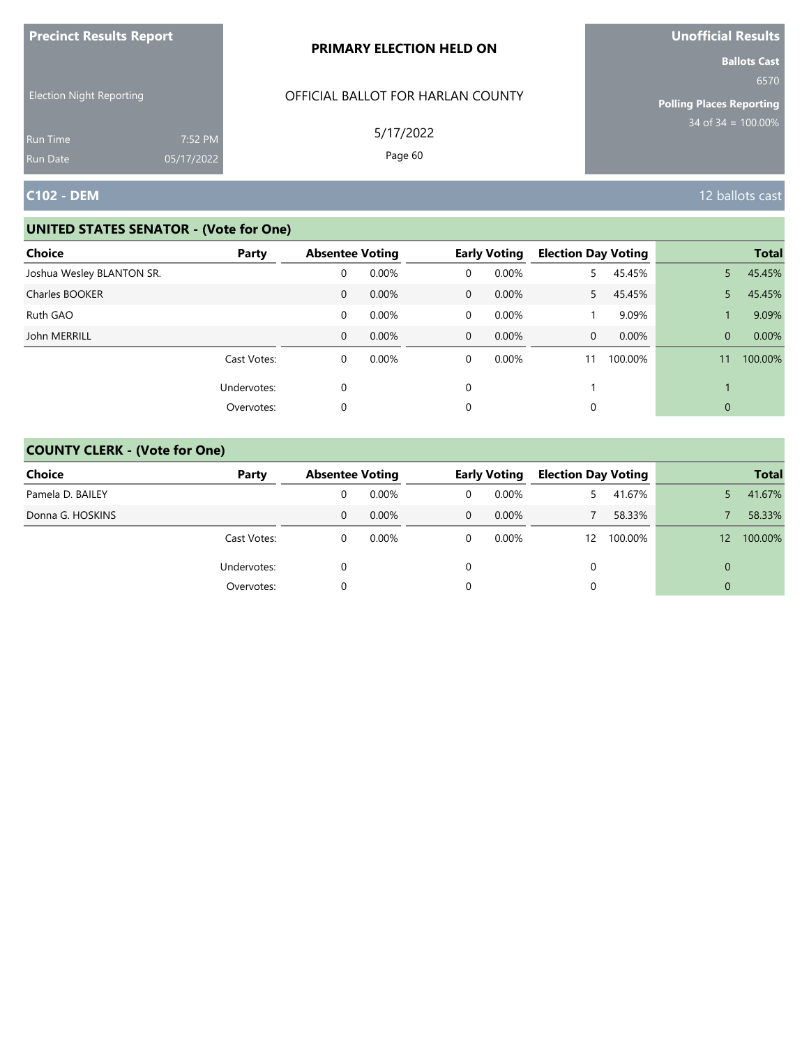| <b>Precinct Results Report</b>  |            | PRIMARY ELECTION HELD ON                       | Unofficial Results                                                                        |
|---------------------------------|------------|------------------------------------------------|-------------------------------------------------------------------------------------------|
| <b>Election Night Reporting</b> |            | OFFICIAL BALLOT FOR HARLAN COUNTY<br>5/17/2022 | <b>Ballots Cast</b><br>6570<br><b>Polling Places Reporting</b><br>$34$ of $34 = 100.00\%$ |
| <b>Run Time</b>                 | 7:52 PM    |                                                |                                                                                           |
| <b>Run Date</b>                 | 05/17/2022 | Page 60                                        |                                                                                           |
| <b>C102 - DEM</b>               |            |                                                | 12 ballots cast                                                                           |

| <b>Choice</b>             | Party       | <b>Absentee Voting</b> |       |              | <b>Early Voting</b> | <b>Election Day Voting</b> |         |              | <b>Total</b> |
|---------------------------|-------------|------------------------|-------|--------------|---------------------|----------------------------|---------|--------------|--------------|
| Joshua Wesley BLANTON SR. |             | 0                      | 0.00% | 0            | 0.00%               | 5.                         | 45.45%  | 5.           | 45.45%       |
| Charles BOOKER            |             | 0                      | 0.00% | $\mathbf{0}$ | $0.00\%$            | $5 -$                      | 45.45%  | 5.           | 45.45%       |
| Ruth GAO                  |             | 0                      | 0.00% | 0            | 0.00%               |                            | 9.09%   |              | 9.09%        |
| John MERRILL              |             | $\mathbf{0}$           | 0.00% | $\mathbf{0}$ | $0.00\%$            | $\Omega$                   | 0.00%   | $\Omega$     | 0.00%        |
|                           | Cast Votes: | 0                      | 0.00% | 0            | $0.00\%$            | 11                         | 100.00% | 11           | 100.00%      |
|                           | Undervotes: | $\mathbf 0$            |       | 0            |                     |                            |         |              |              |
|                           | Overvotes:  | 0                      |       | 0            |                     |                            |         | $\mathbf{0}$ |              |

| <b>Choice</b>    | Party       | <b>Absentee Voting</b> |          |              | <b>Early Voting</b> | <b>Election Day Voting</b> |         |                 | <b>Total</b> |
|------------------|-------------|------------------------|----------|--------------|---------------------|----------------------------|---------|-----------------|--------------|
| Pamela D. BAILEY |             |                        | $0.00\%$ | 0            | 0.00%               |                            | 41.67%  |                 | 41.67%       |
| Donna G. HOSKINS |             | 0                      | $0.00\%$ | $\mathbf{0}$ | $0.00\%$            |                            | 58.33%  |                 | 58.33%       |
|                  | Cast Votes: | 0                      | $0.00\%$ | 0            | 0.00%               | $12 \overline{ }$          | 100.00% | 12 <sup>2</sup> | 100.00%      |
|                  | Undervotes: |                        |          | 0            |                     | $\Omega$                   |         | 0               |              |
|                  | Overvotes:  |                        |          |              |                     |                            |         | 0               |              |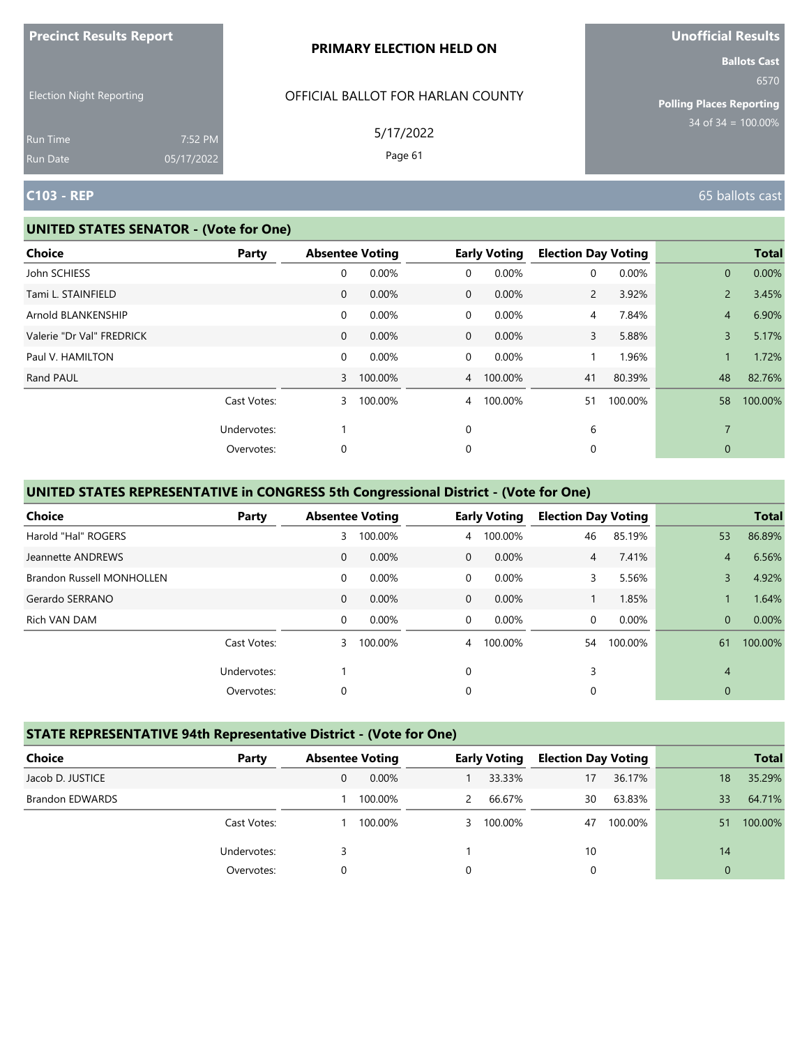|                                                                |                       | PRIMARY ELECTION HELD ON                                  | <b>Ballots Cast</b>                                             |
|----------------------------------------------------------------|-----------------------|-----------------------------------------------------------|-----------------------------------------------------------------|
| <b>Election Night Reporting</b><br><b>Run Time</b><br>Run Date | 7:52 PM<br>05/17/2022 | OFFICIAL BALLOT FOR HARLAN COUNTY<br>5/17/2022<br>Page 61 | 6570<br><b>Polling Places Reporting</b><br>$34$ of 34 = 100.00% |
| <b>C103 - REP</b>                                              |                       |                                                           | 65 ballots cast                                                 |

#### **UNITED STATES SENATOR - (Vote for One)**

**Precinct Results Report**

| <b>Choice</b>             | Party       |              | <b>Absentee Voting</b> |                | <b>Early Voting</b> | <b>Election Day Voting</b> |         |                | <b>Total</b> |
|---------------------------|-------------|--------------|------------------------|----------------|---------------------|----------------------------|---------|----------------|--------------|
| John SCHIESS              |             | 0            | 0.00%                  | $\overline{0}$ | 0.00%               | 0                          | 0.00%   | $\mathbf{0}$   | 0.00%        |
| Tami L. STAINFIELD        |             | $\mathbf{0}$ | 0.00%                  | $\overline{0}$ | 0.00%               | $\mathsf{2}$               | 3.92%   | $\overline{2}$ | 3.45%        |
| Arnold BLANKENSHIP        |             | 0            | 0.00%                  | $\overline{0}$ | 0.00%               | 4                          | 7.84%   | $\overline{4}$ | 6.90%        |
| Valerie "Dr Val" FREDRICK |             | $\mathbf{0}$ | 0.00%                  | $\overline{0}$ | 0.00%               | 3                          | 5.88%   | $\overline{3}$ | 5.17%        |
| Paul V. HAMILTON          |             | 0            | 0.00%                  | $\mathbf 0$    | 0.00%               |                            | 1.96%   |                | 1.72%        |
| Rand PAUL                 |             | 3            | 100.00%                |                | 4 100.00%           | 41                         | 80.39%  | 48             | 82.76%       |
|                           | Cast Votes: | 3            | 100.00%                |                | 4 100.00%           | 51                         | 100.00% | 58             | 100.00%      |
|                           | Undervotes: |              |                        | 0              |                     | 6                          |         |                |              |
|                           | Overvotes:  | 0            |                        | 0              |                     | 0                          |         | $\mathbf 0$    |              |

# **UNITED STATES REPRESENTATIVE in CONGRESS 5th Congressional District - (Vote for One)**

| <b>Choice</b>                    | Party       |              | <b>Absentee Voting</b> |                | <b>Early Voting</b> | <b>Election Day Voting</b> |         |          | <b>Total</b> |
|----------------------------------|-------------|--------------|------------------------|----------------|---------------------|----------------------------|---------|----------|--------------|
| Harold "Hal" ROGERS              |             | 3            | 100.00%                | $\overline{4}$ | 100.00%             | 46                         | 85.19%  | 53       | 86.89%       |
| Jeannette ANDREWS                |             | $\mathbf{0}$ | 0.00%                  | $\Omega$       | $0.00\%$            | 4                          | 7.41%   | 4        | 6.56%        |
| <b>Brandon Russell MONHOLLEN</b> |             | 0            | 0.00%                  | 0              | 0.00%               | 3                          | 5.56%   | 3        | 4.92%        |
| Gerardo SERRANO                  |             | $\mathbf{0}$ | 0.00%                  | $\overline{0}$ | 0.00%               |                            | 1.85%   |          | 1.64%        |
| Rich VAN DAM                     |             | 0            | 0.00%                  | $\overline{0}$ | 0.00%               | 0                          | 0.00%   | $\Omega$ | 0.00%        |
|                                  | Cast Votes: | 3            | 100.00%                | $\overline{A}$ | 100.00%             | 54                         | 100.00% | 61       | 100.00%      |
|                                  | Undervotes: |              |                        | $\Omega$       |                     | 3                          |         | 4        |              |
|                                  | Overvotes:  | 0            |                        | 0              |                     | 0                          |         | 0        |              |

#### **STATE REPRESENTATIVE 94th Representative District - (Vote for One)**

| <b>Choice</b>          | Party       | <b>Absentee Voting</b> |         |   | <b>Early Voting</b> | <b>Election Day Voting</b> |         |                | <b>Total</b> |
|------------------------|-------------|------------------------|---------|---|---------------------|----------------------------|---------|----------------|--------------|
| Jacob D. JUSTICE       |             | 0                      | 0.00%   |   | 33.33%              | 17                         | 36.17%  | 18             | 35.29%       |
| <b>Brandon EDWARDS</b> |             |                        | 100.00% | 2 | 66.67%              | 30                         | 63.83%  | 33             | 64.71%       |
|                        | Cast Votes: |                        | 100.00% |   | 3 100.00%           | 47                         | 100.00% | 51             | 100.00%      |
|                        | Undervotes: |                        |         |   |                     | 10                         |         | 14             |              |
|                        | Overvotes:  | 0                      |         | 0 |                     |                            |         | $\overline{0}$ |              |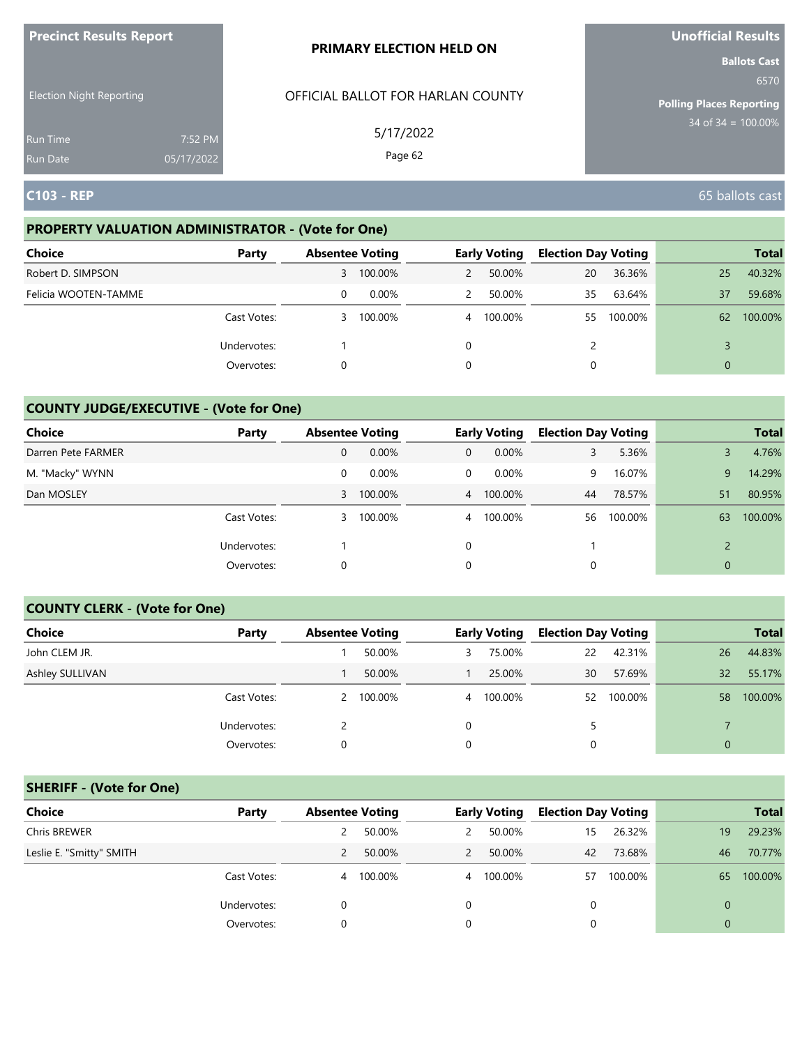| <b>Precinct Results Report</b>     |                       | <b>PRIMARY ELECTION HELD ON</b>   | <b>Unofficial Results</b>                                      |
|------------------------------------|-----------------------|-----------------------------------|----------------------------------------------------------------|
| <b>Election Night Reporting</b>    |                       | OFFICIAL BALLOT FOR HARLAN COUNTY | <b>Ballots Cast</b><br>6570<br><b>Polling Places Reporting</b> |
| <b>Run Time</b><br><b>Run Date</b> | 7:52 PM<br>05/17/2022 | 5/17/2022<br>Page 62              | $34$ of $34 = 100.00\%$                                        |
| <b>C103 - REP</b>                  |                       |                                   | 65 ballots cast                                                |

### **PROPERTY VALUATION ADMINISTRATOR - (Vote for One)**

| <b>Choice</b>        | Party       | <b>Absentee Voting</b> |         |   | <b>Early Voting</b> | <b>Election Day Voting</b> |         |    | <b>Total</b> |
|----------------------|-------------|------------------------|---------|---|---------------------|----------------------------|---------|----|--------------|
| Robert D. SIMPSON    |             | 3                      | 100.00% | 2 | 50.00%              | 20                         | 36.36%  | 25 | 40.32%       |
| Felicia WOOTEN-TAMME |             | 0                      | 0.00%   | 2 | 50.00%              | 35                         | 63.64%  | 37 | 59.68%       |
|                      | Cast Votes: | 3                      | 100.00% |   | 4 100.00%           | 55                         | 100.00% | 62 | 100.00%      |
|                      | Undervotes: |                        |         | 0 |                     |                            |         |    |              |
|                      | Overvotes:  | 0                      |         | 0 |                     |                            |         | 0  |              |

# **COUNTY JUDGE/EXECUTIVE - (Vote for One)**

| Choice             | Party       | <b>Absentee Voting</b> |           |                | <b>Early Voting</b> | <b>Election Day Voting</b> |         |                | <b>Total</b> |
|--------------------|-------------|------------------------|-----------|----------------|---------------------|----------------------------|---------|----------------|--------------|
| Darren Pete FARMER |             | 0                      | 0.00%     | $\overline{0}$ | $0.00\%$            | 3                          | 5.36%   |                | 4.76%        |
| M. "Macky" WYNN    |             | 0                      | 0.00%     | $\mathbf{0}$   | $0.00\%$            | 9                          | 16.07%  | 9              | 14.29%       |
| Dan MOSLEY         |             |                        | 3 100.00% |                | 4 100.00%           | 44                         | 78.57%  | 51             | 80.95%       |
|                    | Cast Votes: | 3                      | 100.00%   |                | 4 100.00%           | 56                         | 100.00% | 63             | 100.00%      |
|                    | Undervotes: |                        |           | $\Omega$       |                     |                            |         |                |              |
|                    | Overvotes:  | 0                      |           | 0              |                     |                            |         | $\overline{0}$ |              |

### **COUNTY CLERK - (Vote for One)**

| <b>Choice</b>          | Party       | <b>Absentee Voting</b> |           |                | <b>Early Voting</b> | <b>Election Day Voting</b> |         |          | <b>Total</b> |
|------------------------|-------------|------------------------|-----------|----------------|---------------------|----------------------------|---------|----------|--------------|
| John CLEM JR.          |             |                        | 50.00%    | 3.             | 75.00%              | 22                         | 42.31%  | 26       | 44.83%       |
| <b>Ashley SULLIVAN</b> |             |                        | 50.00%    |                | 25.00%              | 30                         | 57.69%  | 32       | 55.17%       |
|                        | Cast Votes: |                        | 2 100.00% | $\overline{4}$ | 100.00%             | 52                         | 100.00% | 58       | 100.00%      |
|                        | Undervotes: |                        |           | 0              |                     | 5                          |         |          |              |
|                        | Overvotes:  | 0                      |           | 0              |                     | 0                          |         | $\Omega$ |              |

# **SHERIFF - (Vote for One)**

| <b>Choice</b>            | Party       | <b>Absentee Voting</b> |         |   | <b>Early Voting</b> | <b>Election Day Voting</b> |         |                | <b>Total</b> |
|--------------------------|-------------|------------------------|---------|---|---------------------|----------------------------|---------|----------------|--------------|
| Chris BREWER             |             |                        | 50.00%  | 2 | 50.00%              | 15                         | 26.32%  | 19             | 29.23%       |
| Leslie E. "Smitty" SMITH |             |                        | 50.00%  | 2 | 50.00%              | 42                         | 73.68%  | 46             | 70.77%       |
|                          | Cast Votes: | 4                      | 100.00% |   | 4 100.00%           | 57                         | 100.00% | 65             | 100.00%      |
|                          | Undervotes: | $\Omega$               |         | 0 |                     | 0                          |         | $\overline{0}$ |              |
|                          | Overvotes:  | 0                      |         |   |                     | 0                          |         | $\Omega$       |              |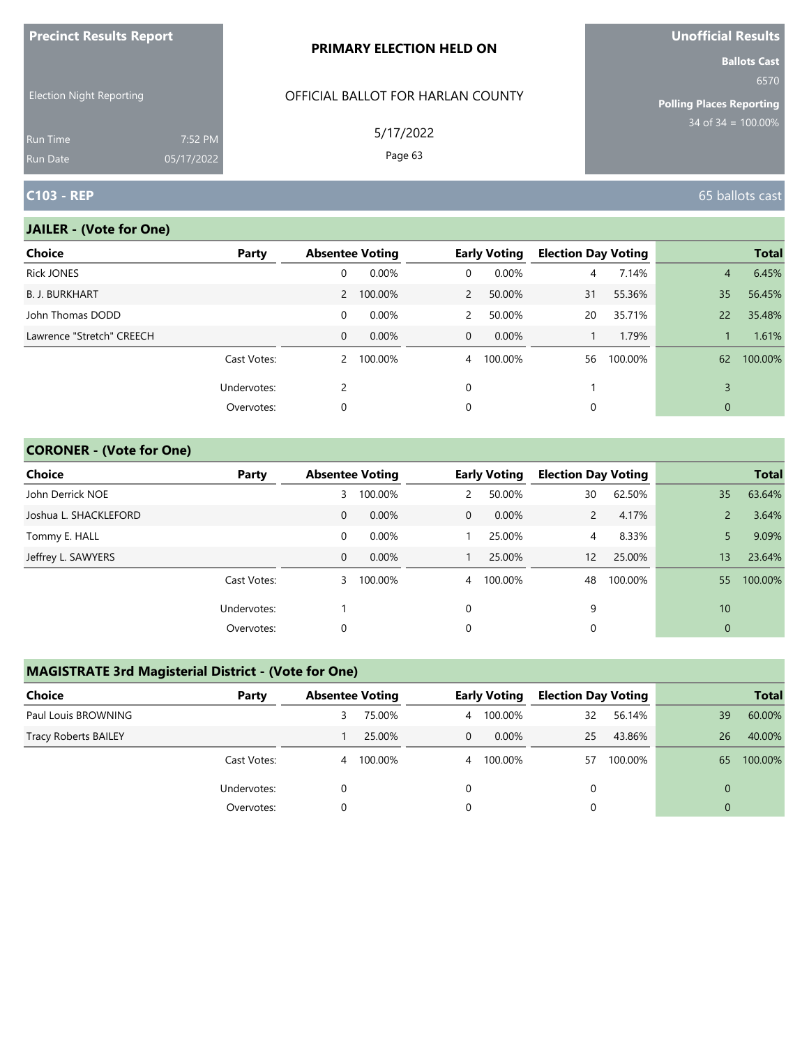| <b>ILLEGATION DESCRIPS DEMAND</b>  |                       | <b>PRIMARY ELECTION HELD ON</b>   | <b>VIIVIIILIAI INESUILS</b><br><b>Ballots Cast</b> |
|------------------------------------|-----------------------|-----------------------------------|----------------------------------------------------|
| <b>Election Night Reporting</b>    |                       | OFFICIAL BALLOT FOR HARLAN COUNTY | 6570<br>Polling Places Reporting                   |
| <b>Run Time</b><br><b>Run Date</b> | 7:52 PM<br>05/17/2022 | 5/17/2022<br>Page 63              | $34$ of $34 = 100.00\%$                            |
| <b>C103 - REP</b>                  |                       |                                   | 65 ballots cast                                    |

n.

### **JAILER - (Vote for One)**

**Precinct Results Report**

| <b>Choice</b>             | Party       | <b>Absentee Voting</b> |           |                | <b>Early Voting</b> | <b>Election Day Voting</b> |         |                | <b>Total</b> |
|---------------------------|-------------|------------------------|-----------|----------------|---------------------|----------------------------|---------|----------------|--------------|
| <b>Rick JONES</b>         |             | 0                      | 0.00%     | 0              | 0.00%               | $\overline{4}$             | 7.14%   | $\overline{4}$ | 6.45%        |
| <b>B. J. BURKHART</b>     |             |                        | 2 100.00% | $\overline{2}$ | 50.00%              | 31                         | 55.36%  | 35             | 56.45%       |
| John Thomas DODD          |             | 0                      | 0.00%     | $\mathsf{2}$   | 50.00%              | 20                         | 35.71%  | 22             | 35.48%       |
| Lawrence "Stretch" CREECH |             | 0                      | 0.00%     | $\overline{0}$ | $0.00\%$            |                            | 1.79%   |                | 1.61%        |
|                           | Cast Votes: |                        | 2 100.00% | $\overline{4}$ | 100.00%             | 56                         | 100.00% | 62             | 100.00%      |
|                           | Undervotes: | 2                      |           | $\Omega$       |                     |                            |         | 3              |              |
|                           | Overvotes:  | 0                      |           | 0              |                     | 0                          |         | 0              |              |

### **CORONER - (Vote for One)**

| <b>Choice</b>         | Party       | <b>Absentee Voting</b> |         |                | <b>Early Voting</b> | <b>Election Day Voting</b> |         |                | <b>Total</b> |
|-----------------------|-------------|------------------------|---------|----------------|---------------------|----------------------------|---------|----------------|--------------|
| John Derrick NOE      |             | 3                      | 100.00% | 2              | 50.00%              | 30                         | 62.50%  | 35             | 63.64%       |
| Joshua L. SHACKLEFORD |             | 0                      | 0.00%   | $\overline{0}$ | $0.00\%$            | $\mathcal{P}$              | 4.17%   |                | 3.64%        |
| Tommy E. HALL         |             | 0                      | 0.00%   |                | 25.00%              | 4                          | 8.33%   |                | 9.09%        |
| Jeffrey L. SAWYERS    |             | 0                      | 0.00%   |                | 25.00%              | 12                         | 25.00%  | 13             | 23.64%       |
|                       | Cast Votes: | 3                      | 100.00% | $\overline{4}$ | 100.00%             | 48                         | 100.00% | 55             | 100.00%      |
|                       | Undervotes: |                        |         | $\Omega$       |                     | 9                          |         | 10             |              |
|                       | Overvotes:  | 0                      |         | 0              |                     |                            |         | $\overline{0}$ |              |

# **MAGISTRATE 3rd Magisterial District - (Vote for One)**

| Choice                      | Party       | <b>Absentee Voting</b> |         |   | <b>Early Voting</b> | <b>Election Day Voting</b> |         |          | <b>Total</b> |
|-----------------------------|-------------|------------------------|---------|---|---------------------|----------------------------|---------|----------|--------------|
| Paul Louis BROWNING         |             | 3                      | 75.00%  | 4 | 100.00%             | 32                         | 56.14%  | 39       | 60.00%       |
| <b>Tracy Roberts BAILEY</b> |             |                        | 25.00%  | 0 | $0.00\%$            | 25                         | 43.86%  | 26       | 40.00%       |
|                             | Cast Votes: | 4                      | 100.00% | 4 | 100.00%             | 57                         | 100.00% | 65       | 100.00%      |
|                             | Undervotes: |                        |         |   |                     | 0                          |         | $\Omega$ |              |
|                             | Overvotes:  |                        |         |   |                     |                            |         | $\Omega$ |              |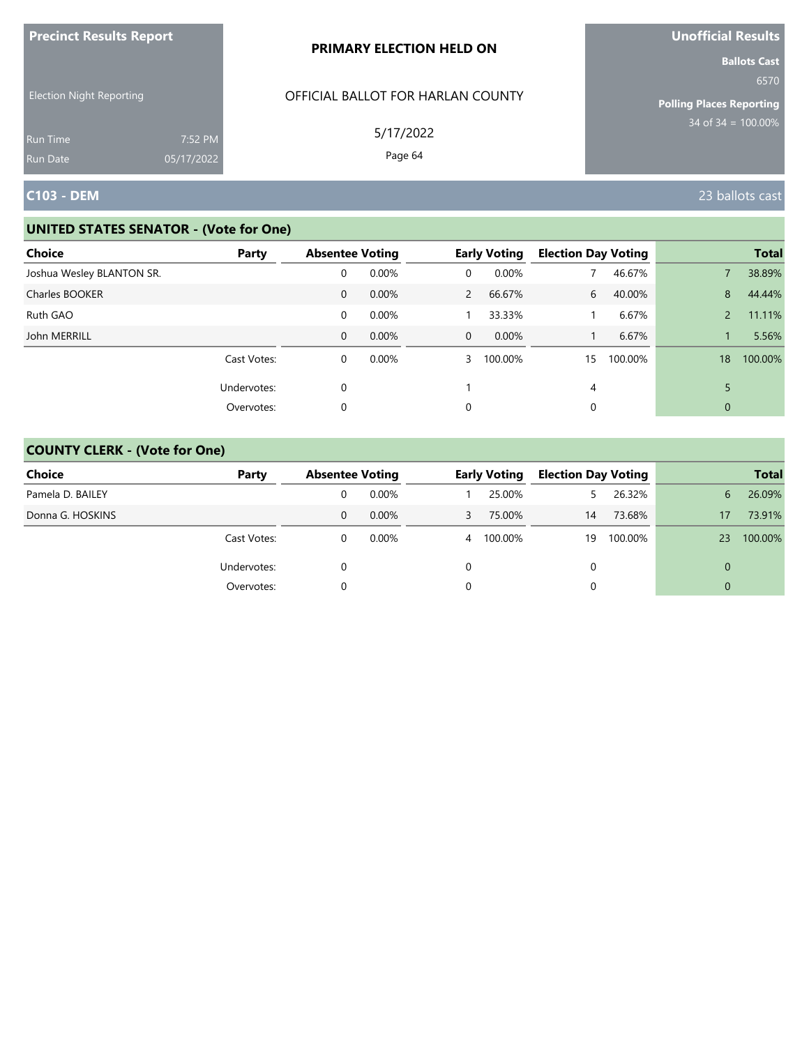| <b>Precinct Results Report</b>  |            | PRIMARY ELECTION HELD ON                       | <b>Unofficial Results</b>                                                                 |
|---------------------------------|------------|------------------------------------------------|-------------------------------------------------------------------------------------------|
| <b>Election Night Reporting</b> |            | OFFICIAL BALLOT FOR HARLAN COUNTY<br>5/17/2022 | <b>Ballots Cast</b><br>6570<br><b>Polling Places Reporting</b><br>$34$ of $34 = 100.00\%$ |
| <b>Run Time</b>                 | 7:52 PM    |                                                |                                                                                           |
| <b>Run Date</b>                 | 05/17/2022 | Page 64                                        |                                                                                           |
| <b>C103 - DEM</b>               |            |                                                | 23 ballots cast                                                                           |

| <b>Choice</b>             | Party       | <b>Absentee Voting</b> |          |                | <b>Early Voting</b> | <b>Election Day Voting</b> |         |              | <b>Total</b> |
|---------------------------|-------------|------------------------|----------|----------------|---------------------|----------------------------|---------|--------------|--------------|
| Joshua Wesley BLANTON SR. |             | 0                      | 0.00%    | 0              | 0.00%               |                            | 46.67%  |              | 38.89%       |
| Charles BOOKER            |             | $\mathbf{0}$           | 0.00%    | $\overline{2}$ | 66.67%              | 6                          | 40.00%  | 8            | 44.44%       |
| Ruth GAO                  |             | 0                      | 0.00%    |                | 33.33%              |                            | 6.67%   |              | 11.11%       |
| John MERRILL              |             | $\Omega$               | 0.00%    | $\overline{0}$ | 0.00%               |                            | 6.67%   |              | 5.56%        |
|                           | Cast Votes: | 0                      | $0.00\%$ | 3              | 100.00%             | 15                         | 100.00% | 18           | 100.00%      |
|                           | Undervotes: | 0                      |          |                |                     | 4                          |         |              |              |
|                           | Overvotes:  | 0                      |          | 0              |                     | 0                          |         | $\mathbf{0}$ |              |

| <b>Choice</b>    | Party       |   | <b>Absentee Voting</b> |   | <b>Early Voting</b> |    | <b>Election Day Voting</b> |    | <b>Total</b> |
|------------------|-------------|---|------------------------|---|---------------------|----|----------------------------|----|--------------|
| Pamela D. BAILEY |             |   | $0.00\%$               |   | 25.00%              |    | 26.32%                     | 6. | 26.09%       |
| Donna G. HOSKINS |             | 0 | 0.00%                  | 3 | 75.00%              | 14 | 73.68%                     | 17 | 73.91%       |
|                  | Cast Votes: |   | $0.00\%$               | 4 | 100.00%             | 19 | 100.00%                    | 23 | 100.00%      |
|                  | Undervotes: |   |                        | 0 |                     | 0  |                            |    |              |
|                  | Overvotes:  |   |                        |   |                     | 0  |                            |    |              |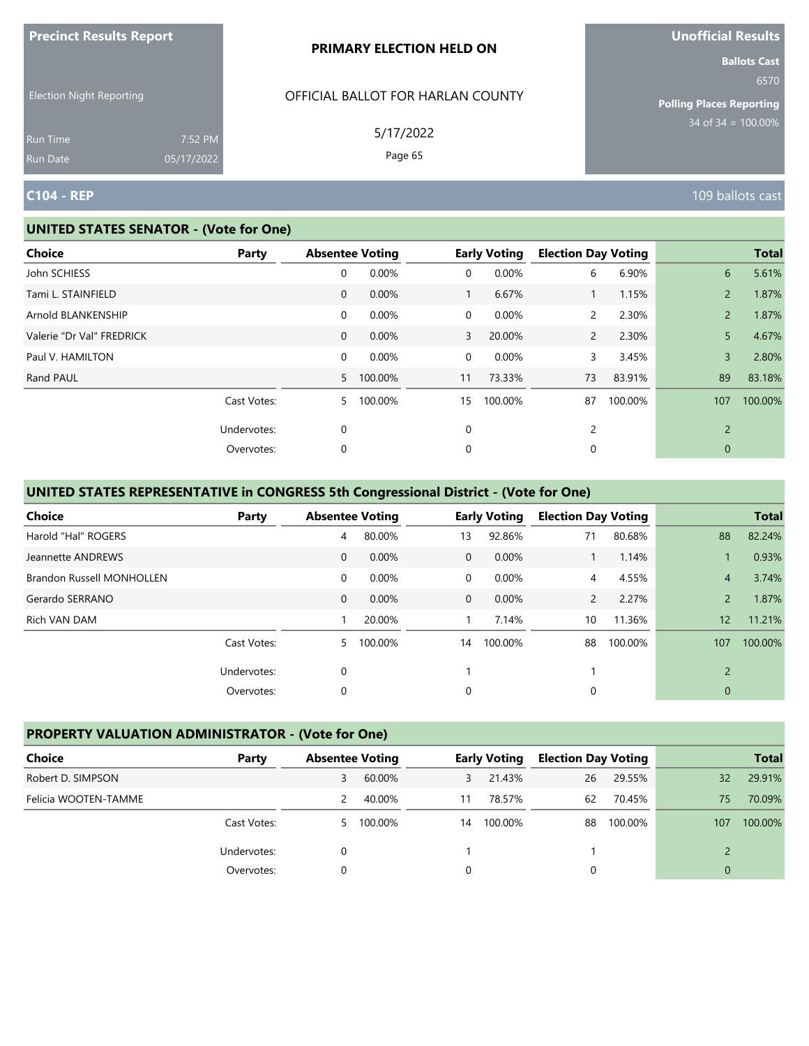|                                                    |            | PRIMARY ELECTION HELD ON                       | <b>Ballots Cast</b>                                             |
|----------------------------------------------------|------------|------------------------------------------------|-----------------------------------------------------------------|
| <b>Election Night Reporting</b><br><b>Run Time</b> | 7:52 PM    | OFFICIAL BALLOT FOR HARLAN COUNTY<br>5/17/2022 | 6570<br><b>Polling Places Reporting</b><br>$34$ of 34 = 100.00% |
| Run Date                                           | 05/17/2022 | Page 65                                        |                                                                 |
| <b>C104 - REP</b>                                  |            |                                                | 109 ballots cast                                                |

#### **UNITED STATES SENATOR - (Vote for One)**

**Precinct Results Report**

| <b>Choice</b>             | Party       | <b>Absentee Voting</b> |           |                | <b>Early Voting</b> | <b>Election Day Voting</b> |         |                | <b>Total</b> |
|---------------------------|-------------|------------------------|-----------|----------------|---------------------|----------------------------|---------|----------------|--------------|
| John SCHIESS              |             | $\mathbf 0$            | 0.00%     | $\mathbf 0$    | 0.00%               | 6                          | 6.90%   | 6              | 5.61%        |
| Tami L. STAINFIELD        |             | $\mathbf{0}$           | 0.00%     | $\mathbf{1}$   | 6.67%               | $\mathbf{1}$               | 1.15%   | $\overline{2}$ | 1.87%        |
| Arnold BLANKENSHIP        |             | 0                      | 0.00%     | $\mathbf 0$    | 0.00%               | $\mathsf{2}$               | 2.30%   | $\overline{2}$ | 1.87%        |
| Valerie "Dr Val" FREDRICK |             | $\mathbf{0}$           | 0.00%     | $\overline{3}$ | 20.00%              | $\overline{2}$             | 2.30%   | 5              | 4.67%        |
| Paul V. HAMILTON          |             | 0                      | 0.00%     | $\mathbf 0$    | 0.00%               | 3                          | 3.45%   | $\overline{3}$ | 2.80%        |
| Rand PAUL                 |             |                        | 5 100.00% | 11             | 73.33%              | 73                         | 83.91%  | 89             | 83.18%       |
|                           | Cast Votes: | 5.                     | 100.00%   | 15             | 100.00%             | 87                         | 100.00% | 107            | 100.00%      |
|                           | Undervotes: | $\mathbf 0$            |           | $\mathbf 0$    |                     | 2                          |         | $\overline{2}$ |              |
|                           | Overvotes:  | 0                      |           | 0              |                     | 0                          |         | $\mathbf 0$    |              |
|                           |             |                        |           |                |                     |                            |         |                |              |

# **UNITED STATES REPRESENTATIVE in CONGRESS 5th Congressional District - (Vote for One)**

| <b>Choice</b>                    | Party       | <b>Absentee Voting</b> |          |                | <b>Early Voting</b> | <b>Election Day Voting</b> |         |                | <b>Total</b> |
|----------------------------------|-------------|------------------------|----------|----------------|---------------------|----------------------------|---------|----------------|--------------|
| Harold "Hal" ROGERS              |             | 4                      | 80.00%   | 13             | 92.86%              | 71                         | 80.68%  | 88             | 82.24%       |
| Jeannette ANDREWS                |             | $\mathbf{0}$           | 0.00%    | $\Omega$       | 0.00%               |                            | 1.14%   |                | 0.93%        |
| <b>Brandon Russell MONHOLLEN</b> |             | $\mathbf 0$            | $0.00\%$ | $\overline{0}$ | 0.00%               | 4                          | 4.55%   | $\overline{4}$ | 3.74%        |
| Gerardo SERRANO                  |             | $\mathbf{0}$           | $0.00\%$ | $\overline{0}$ | $0.00\%$            | $\mathbf{2}$               | 2.27%   | $\overline{2}$ | 1.87%        |
| Rich VAN DAM                     |             |                        | 20.00%   |                | 7.14%               | 10                         | 11.36%  | 12             | 11.21%       |
|                                  | Cast Votes: | 5                      | 100.00%  | 14             | 100.00%             | 88                         | 100.00% | 107            | 100.00%      |
|                                  | Undervotes: | 0                      |          |                |                     |                            |         | $\overline{2}$ |              |
|                                  | Overvotes:  | 0                      |          | 0              |                     | 0                          |         | $\mathbf{0}$   |              |

## **PROPERTY VALUATION ADMINISTRATOR - (Vote for One)**

| Choice               | Party       | <b>Absentee Voting</b> |         |    | <b>Early Voting</b> | <b>Election Day Voting</b> |         |          | <b>Total</b> |
|----------------------|-------------|------------------------|---------|----|---------------------|----------------------------|---------|----------|--------------|
| Robert D. SIMPSON    |             | 3                      | 60.00%  | 3  | 21.43%              | 26                         | 29.55%  | 32       | 29.91%       |
| Felicia WOOTEN-TAMME |             |                        | 40.00%  | 11 | 78.57%              | 62                         | 70.45%  | 75       | 70.09%       |
|                      | Cast Votes: | 5.                     | 100.00% | 14 | 100.00%             | 88                         | 100.00% | 107      | 100.00%      |
|                      | Undervotes: |                        |         |    |                     |                            |         |          |              |
|                      | Overvotes:  |                        |         |    |                     |                            |         | $\Omega$ |              |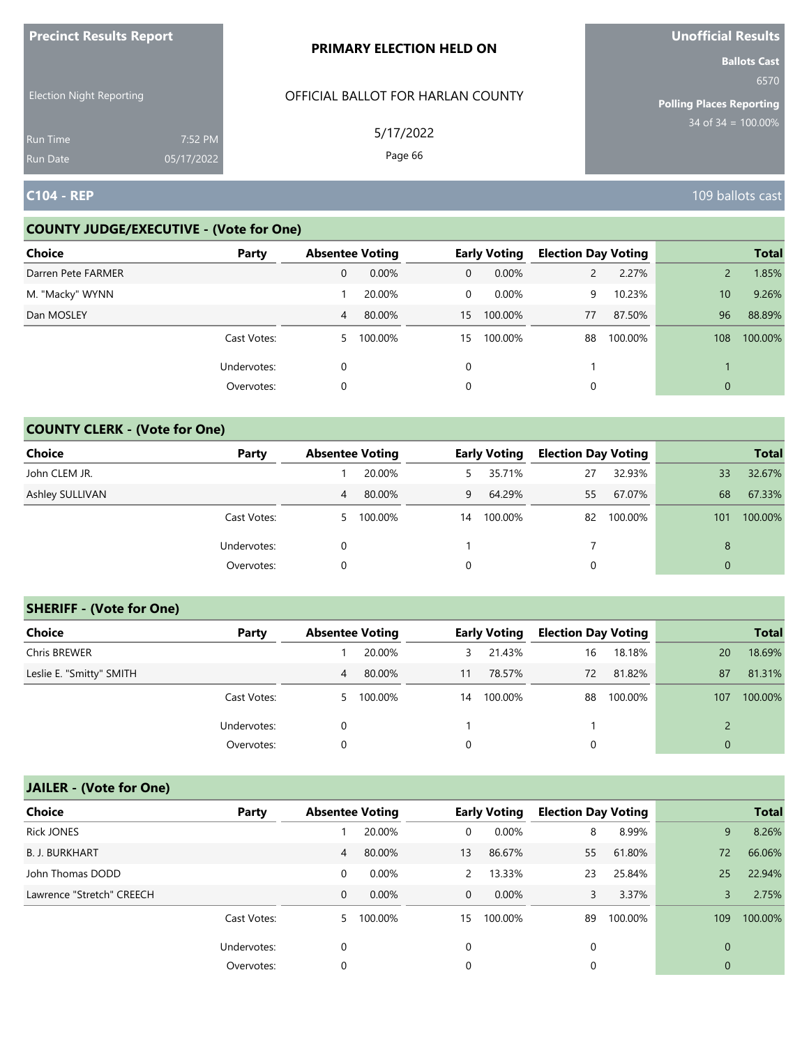| <b>ILLEGATION INCONTRATION INCORPORATION</b> |                       | <b>PRIMARY ELECTION HELD ON</b>   | <b>UIIUIIILIAI RESUILS</b><br><b>Ballots Cast</b> |
|----------------------------------------------|-----------------------|-----------------------------------|---------------------------------------------------|
| <b>Election Night Reporting</b>              |                       | OFFICIAL BALLOT FOR HARLAN COUNTY | 6570<br><b>Polling Places Reporting</b>           |
| <b>Run Time</b><br><b>Run Date</b>           | 7:52 PM<br>05/17/2022 | 5/17/2022<br>Page 66              | 34 of $34 = 100.00\%$                             |
| <b>C104 - REP</b>                            |                       |                                   | 109 ballots cast                                  |

### **COUNTY JUDGE/EXECUTIVE - (Vote for One)**

**Precinct Results Report**

| <b>Choice</b>      | Party       | <b>Absentee Voting</b> |         |              | <b>Early Voting</b> | <b>Election Day Voting</b> |         |     | <b>Total</b> |
|--------------------|-------------|------------------------|---------|--------------|---------------------|----------------------------|---------|-----|--------------|
| Darren Pete FARMER |             | 0                      | 0.00%   | $\mathbf{0}$ | $0.00\%$            | $\mathsf{2}$               | 2.27%   |     | 1.85%        |
| M. "Macky" WYNN    |             |                        | 20.00%  | 0            | $0.00\%$            | 9                          | 10.23%  | 10  | 9.26%        |
| Dan MOSLEY         |             | 4                      | 80.00%  | 15           | 100.00%             | 77                         | 87.50%  | 96  | 88.89%       |
|                    | Cast Votes: | 5.                     | 100.00% | 15           | 100.00%             | 88                         | 100.00% | 108 | 100.00%      |
|                    | Undervotes: | 0                      |         | $\Omega$     |                     |                            |         |     |              |
|                    | Overvotes:  | 0                      |         | 0            |                     |                            |         | 0   |              |

### **COUNTY CLERK - (Vote for One)**

| Choice          | Party       | <b>Absentee Voting</b> |         |             | <b>Early Voting</b> | <b>Election Day Voting</b> |         |          | <b>Total</b> |
|-----------------|-------------|------------------------|---------|-------------|---------------------|----------------------------|---------|----------|--------------|
| John CLEM JR.   |             |                        | 20.00%  | 5.          | 35.71%              | 27                         | 32.93%  | 33       | 32.67%       |
| Ashley SULLIVAN |             | 4                      | 80.00%  | 9           | 64.29%              | 55                         | 67.07%  | 68       | 67.33%       |
|                 | Cast Votes: | 5.                     | 100.00% | 14          | 100.00%             | 82                         | 100.00% | 101      | 100.00%      |
|                 | Undervotes: | $\Omega$               |         |             |                     |                            |         | 8        |              |
|                 | Overvotes:  | 0                      |         | $\mathbf 0$ |                     | 0                          |         | $\Omega$ |              |

#### **SHERIFF - (Vote for One)**

| <b>Choice</b>            | Party       | <b>Absentee Voting</b> |           |    | <b>Early Voting</b> | <b>Election Day Voting</b> |         |              | <b>Total</b> |
|--------------------------|-------------|------------------------|-----------|----|---------------------|----------------------------|---------|--------------|--------------|
| Chris BREWER             |             |                        | 20.00%    | 3  | 21.43%              | 16                         | 18.18%  | 20           | 18.69%       |
| Leslie E. "Smitty" SMITH |             | 4                      | 80.00%    | 11 | 78.57%              | 72                         | 81.82%  | 87           | 81.31%       |
|                          | Cast Votes: |                        | 5 100.00% | 14 | 100.00%             | 88                         | 100.00% | 107          | 100.00%      |
|                          | Undervotes: | 0                      |           |    |                     |                            |         |              |              |
|                          | Overvotes:  | 0                      |           |    |                     | 0                          |         | $\mathbf{0}$ |              |

# **JAILER - (Vote for One)**

| <b>Choice</b>             | Party       | <b>Absentee Voting</b> |          |                | <b>Early Voting</b> | <b>Election Day Voting</b> |         |              | <b>Total</b> |
|---------------------------|-------------|------------------------|----------|----------------|---------------------|----------------------------|---------|--------------|--------------|
| <b>Rick JONES</b>         |             |                        | 20.00%   | 0              | 0.00%               | 8                          | 8.99%   | 9            | 8.26%        |
| <b>B. J. BURKHART</b>     |             | 4                      | 80.00%   | 13             | 86.67%              | 55                         | 61.80%  | 72           | 66.06%       |
| John Thomas DODD          |             | 0                      | 0.00%    | $\mathcal{P}$  | 13.33%              | 23                         | 25.84%  | 25           | 22.94%       |
| Lawrence "Stretch" CREECH |             | 0                      | $0.00\%$ | $\overline{0}$ | $0.00\%$            | 3                          | 3.37%   |              | 2.75%        |
|                           | Cast Votes: | 5 <sup>1</sup>         | 100.00%  | 15             | 100.00%             | 89                         | 100.00% | 109          | 100.00%      |
|                           | Undervotes: | 0                      |          | 0              |                     | 0                          |         | $\Omega$     |              |
|                           | Overvotes:  | 0                      |          | 0              |                     | 0                          |         | $\mathbf{0}$ |              |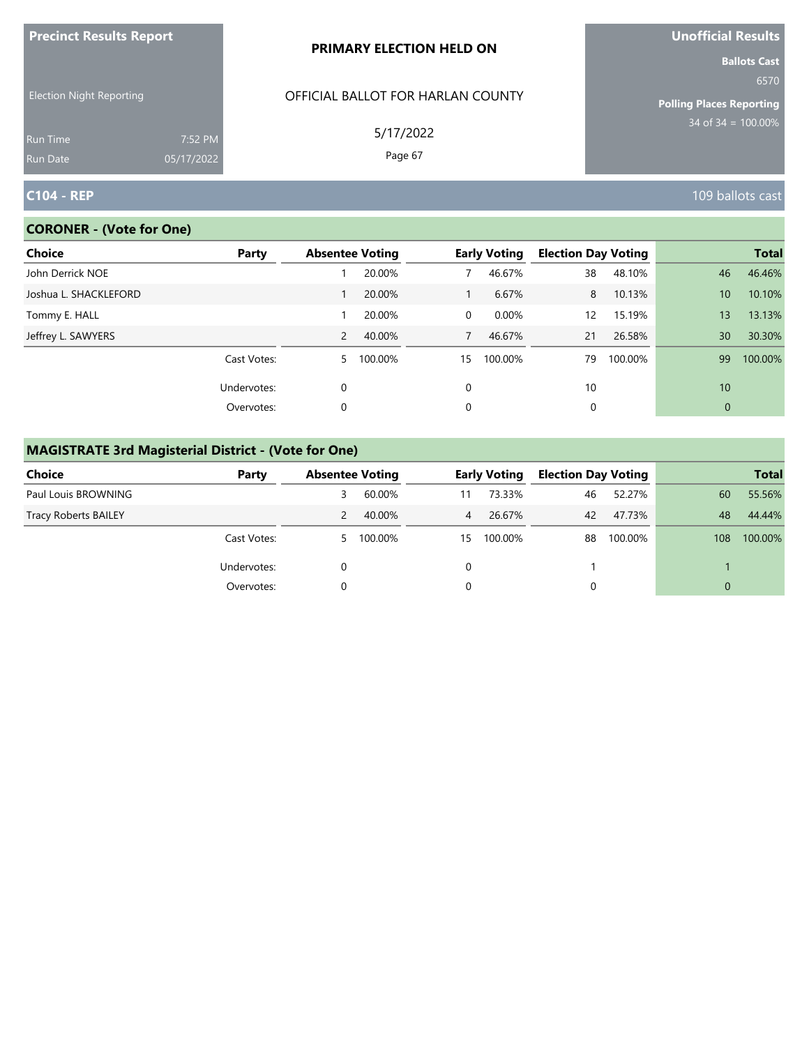| <b>Precinct Results Report</b>     |                       | PRIMARY ELECTION HELD ON          | Unofficial Results                                             |
|------------------------------------|-----------------------|-----------------------------------|----------------------------------------------------------------|
| <b>Election Night Reporting</b>    |                       | OFFICIAL BALLOT FOR HARLAN COUNTY | <b>Ballots Cast</b><br>6570<br><b>Polling Places Reporting</b> |
| <b>Run Time</b><br><b>Run Date</b> | 7:52 PM<br>05/17/2022 | 5/17/2022<br>Page 67              | $34$ of $34 = 100.00\%$                                        |
| <b>C104 - REP</b>                  |                       |                                   | 109 ballots cast                                               |

# **CORONER - (Vote for One)**

| Choice                | Party       | <b>Absentee Voting</b> |         |          | <b>Early Voting</b> | <b>Election Day Voting</b> |         |                 | <b>Total</b> |
|-----------------------|-------------|------------------------|---------|----------|---------------------|----------------------------|---------|-----------------|--------------|
| John Derrick NOE      |             |                        | 20.00%  |          | 46.67%              | 38                         | 48.10%  | 46              | 46.46%       |
| Joshua L. SHACKLEFORD |             |                        | 20.00%  |          | 6.67%               | 8                          | 10.13%  | 10 <sup>°</sup> | 10.10%       |
| Tommy E. HALL         |             |                        | 20.00%  | $\Omega$ | 0.00%               | $12 \overline{ }$          | 15.19%  | 13 <sup>°</sup> | 13.13%       |
| Jeffrey L. SAWYERS    |             | $\overline{2}$         | 40.00%  | 7        | 46.67%              | 21                         | 26.58%  | 30              | 30.30%       |
|                       | Cast Votes: | 5.                     | 100.00% | 15       | 100.00%             | 79                         | 100.00% | 99              | 100.00%      |
|                       | Undervotes: | $\Omega$               |         | $\Omega$ |                     | 10                         |         | 10              |              |
|                       | Overvotes:  | 0                      |         | 0        |                     | 0                          |         | $\mathbf{0}$    |              |

# **MAGISTRATE 3rd Magisterial District - (Vote for One)**

| <b>Choice</b>               | Party       | <b>Absentee Voting</b> |         |    | <b>Early Voting</b> | <b>Election Day Voting</b> |         |          | <b>Total</b> |
|-----------------------------|-------------|------------------------|---------|----|---------------------|----------------------------|---------|----------|--------------|
| Paul Louis BROWNING         |             | 3                      | 60.00%  | 11 | 73.33%              | 46                         | 52.27%  | 60       | 55.56%       |
| <b>Tracy Roberts BAILEY</b> |             |                        | 40.00%  | 4  | 26.67%              | 42                         | 47.73%  | 48       | 44.44%       |
|                             | Cast Votes: | 5                      | 100.00% | 15 | 100.00%             | 88                         | 100.00% | 108      | 100.00%      |
|                             | Undervotes: |                        |         |    |                     |                            |         |          |              |
|                             | Overvotes:  |                        |         |    |                     |                            |         | $\Omega$ |              |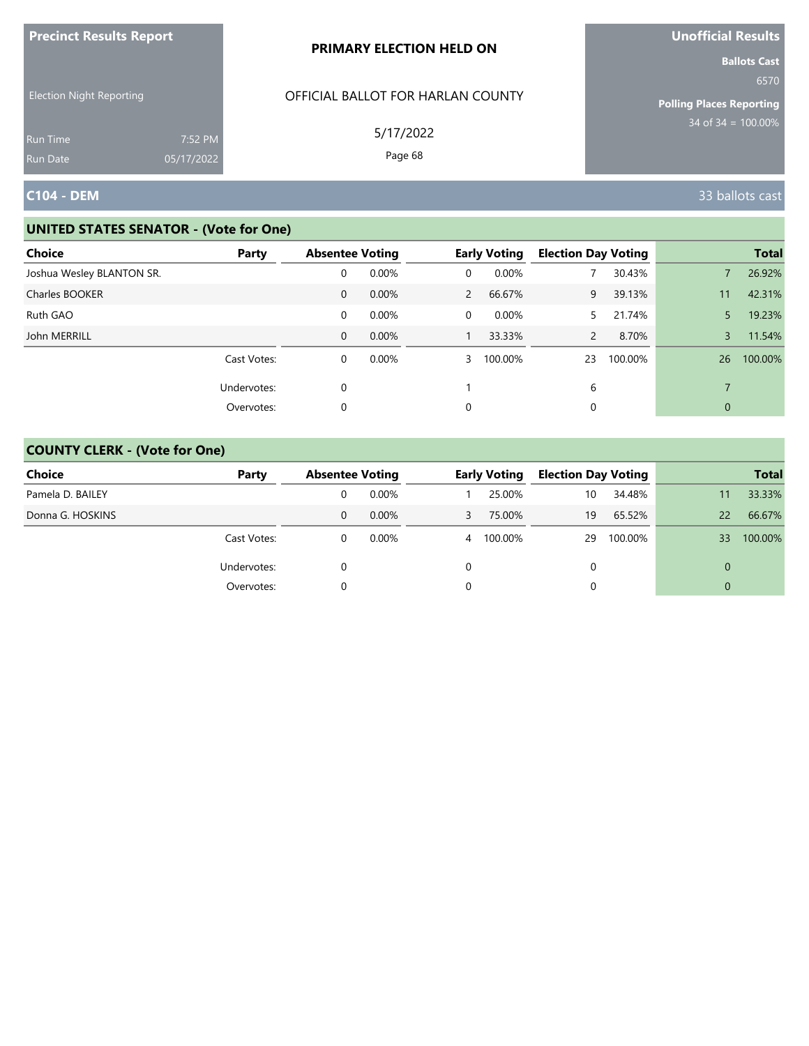| <b>Precinct Results Report</b>                     |            | PRIMARY ELECTION HELD ON                       | Unofficial Results                                                                        |
|----------------------------------------------------|------------|------------------------------------------------|-------------------------------------------------------------------------------------------|
| <b>Election Night Reporting</b><br><b>Run Time</b> | 7:52 PM    | OFFICIAL BALLOT FOR HARLAN COUNTY<br>5/17/2022 | <b>Ballots Cast</b><br>6570<br><b>Polling Places Reporting</b><br>$34$ of $34 = 100.00\%$ |
| <b>Run Date</b>                                    | 05/17/2022 | Page 68                                        |                                                                                           |
| <b>C104 - DEM</b>                                  |            |                                                | 33 ballots cast                                                                           |

| Choice                    | Party       | <b>Absentee Voting</b> |       |                | <b>Early Voting</b> | <b>Election Day Voting</b> |         |                | <b>Total</b> |
|---------------------------|-------------|------------------------|-------|----------------|---------------------|----------------------------|---------|----------------|--------------|
| Joshua Wesley BLANTON SR. |             | 0                      | 0.00% | 0              | 0.00%               |                            | 30.43%  |                | 26.92%       |
| <b>Charles BOOKER</b>     |             | 0                      | 0.00% | $\overline{2}$ | 66.67%              | 9                          | 39.13%  | 11             | 42.31%       |
| Ruth GAO                  |             | 0                      | 0.00% | 0              | 0.00%               | 5.                         | 21.74%  | 5              | 19.23%       |
| John MERRILL              |             | $\mathbf{0}$           | 0.00% |                | 33.33%              | $\overline{2}$             | 8.70%   | 3              | 11.54%       |
|                           | Cast Votes: | 0                      | 0.00% | $\overline{3}$ | 100.00%             | 23                         | 100.00% | 26             | 100.00%      |
|                           | Undervotes: | 0                      |       |                |                     | 6                          |         | $\overline{ }$ |              |
|                           | Overvotes:  | 0                      |       | 0              |                     | 0                          |         | $\mathbf{0}$   |              |

| <b>Choice</b>    | Party       | <b>Absentee Voting</b> |          |   | <b>Early Voting</b> | <b>Election Day Voting</b> |         |          | <b>Total</b> |
|------------------|-------------|------------------------|----------|---|---------------------|----------------------------|---------|----------|--------------|
| Pamela D. BAILEY |             |                        | $0.00\%$ |   | 25.00%              | 10                         | 34.48%  | 11       | 33.33%       |
| Donna G. HOSKINS |             | 0                      | $0.00\%$ |   | 75.00%              | 19                         | 65.52%  | 22       | 66.67%       |
|                  | Cast Votes: |                        | $0.00\%$ | 4 | 100.00%             | 29                         | 100.00% | 33       | 100.00%      |
|                  | Undervotes: |                        |          |   |                     |                            |         | $\Omega$ |              |
|                  | Overvotes:  |                        |          |   |                     |                            |         | $\Omega$ |              |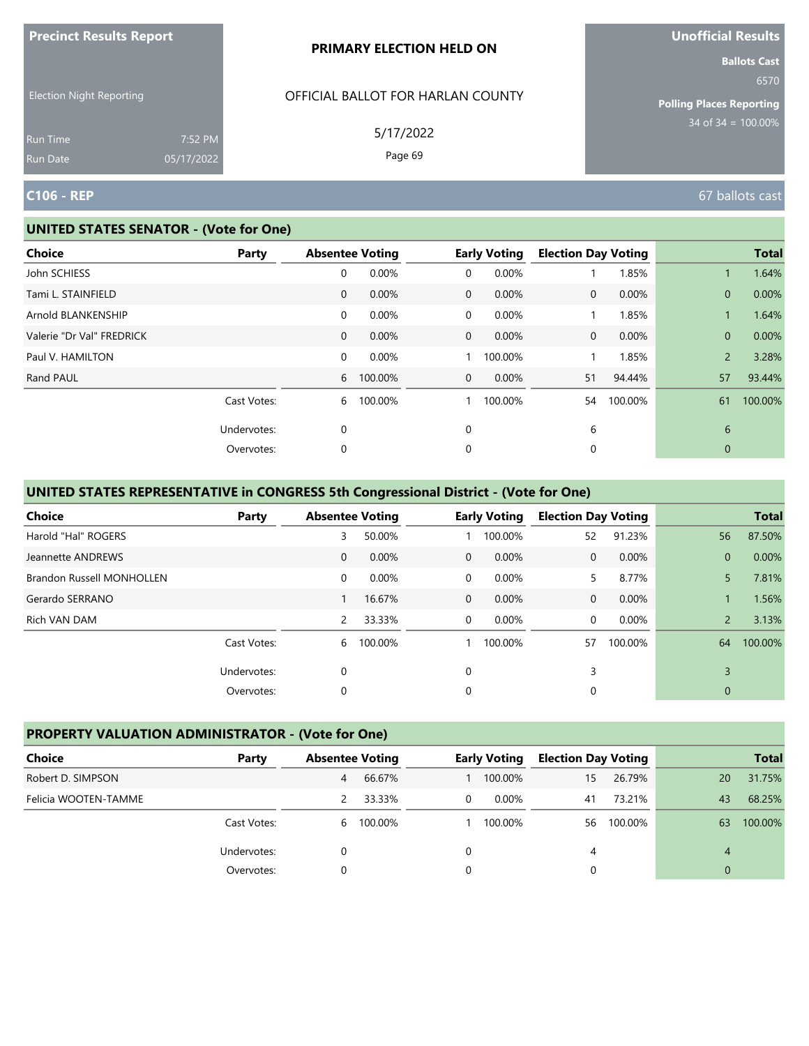| <b>Precinct Results Report</b>  |                       | <b>PRIMARY ELECTION HELD ON</b>   | <b>Unofficial Results</b>       |
|---------------------------------|-----------------------|-----------------------------------|---------------------------------|
| <b>Election Night Reporting</b> |                       | OFFICIAL BALLOT FOR HARLAN COUNTY | <b>Ballots Cast</b><br>6570     |
|                                 |                       |                                   | <b>Polling Places Reporting</b> |
| <b>Run Time</b><br>Run Date     | 7:52 PM<br>05/17/2022 | 5/17/2022<br>Page 69              | $34 \text{ of } 34 = 100.00\%$  |
| <b>C106 - REP</b>               |                       |                                   | 67 ballots cast                 |

| <b>Choice</b>             | Party       |              | <b>Absentee Voting</b> |                | <b>Early Voting</b> | <b>Election Day Voting</b> |         |                | <b>Total</b> |
|---------------------------|-------------|--------------|------------------------|----------------|---------------------|----------------------------|---------|----------------|--------------|
| John SCHIESS              |             | 0            | 0.00%                  | 0              | 0.00%               |                            | 1.85%   |                | 1.64%        |
| Tami L. STAINFIELD        |             | $\mathbf{0}$ | 0.00%                  | $\mathbf{0}$   | 0.00%               | 0                          | 0.00%   | $\mathbf{0}$   | 0.00%        |
| Arnold BLANKENSHIP        |             | $\mathbf 0$  | 0.00%                  | 0              | 0.00%               |                            | 1.85%   |                | 1.64%        |
| Valerie "Dr Val" FREDRICK |             | $\mathbf{0}$ | 0.00%                  | $\mathbf{0}$   | 0.00%               | 0                          | 0.00%   | $\mathbf{0}$   | 0.00%        |
| Paul V. HAMILTON          |             | $\mathbf 0$  | 0.00%                  |                | 100.00%             |                            | 1.85%   | $\overline{2}$ | 3.28%        |
| Rand PAUL                 |             | 6            | 100.00%                | $\overline{0}$ | $0.00\%$            | 51                         | 94.44%  | 57             | 93.44%       |
|                           | Cast Votes: | 6            | 100.00%                |                | 100.00%             | 54                         | 100.00% | 61             | 100.00%      |
|                           | Undervotes: | 0            |                        | 0              |                     | 6                          |         | 6              |              |
|                           | Overvotes:  | 0            |                        | 0              |                     | 0                          |         | $\mathbf{0}$   |              |
|                           |             |              |                        |                |                     |                            |         |                |              |

# **UNITED STATES REPRESENTATIVE in CONGRESS 5th Congressional District - (Vote for One)**

| <b>Choice</b>                    | Party       | <b>Absentee Voting</b> |         |                | <b>Early Voting</b> | <b>Election Day Voting</b> |         |                | <b>Total</b> |
|----------------------------------|-------------|------------------------|---------|----------------|---------------------|----------------------------|---------|----------------|--------------|
| Harold "Hal" ROGERS              |             | 3                      | 50.00%  |                | 100.00%             | 52                         | 91.23%  | 56             | 87.50%       |
| Jeannette ANDREWS                |             | $\mathbf{0}$           | 0.00%   | $\Omega$       | $0.00\%$            | $\Omega$                   | 0.00%   | $\overline{0}$ | 0.00%        |
| <b>Brandon Russell MONHOLLEN</b> |             | $\mathbf 0$            | 0.00%   | $\overline{0}$ | 0.00%               | 5.                         | 8.77%   | 5.             | 7.81%        |
| Gerardo SERRANO                  |             |                        | 16.67%  | $\overline{0}$ | 0.00%               | $\mathbf{0}$               | 0.00%   |                | 1.56%        |
| Rich VAN DAM                     |             | 2                      | 33.33%  | $\Omega$       | 0.00%               | $\Omega$                   | 0.00%   | $\overline{2}$ | 3.13%        |
|                                  | Cast Votes: | 6                      | 100.00% |                | 100.00%             | 57                         | 100.00% | 64             | 100.00%      |
|                                  | Undervotes: | 0                      |         | 0              |                     | 3                          |         | 3              |              |
|                                  | Overvotes:  | 0                      |         | 0              |                     | 0                          |         | $\mathbf{0}$   |              |

# **PROPERTY VALUATION ADMINISTRATOR - (Vote for One)**

| Choice               | Party       | <b>Absentee Voting</b> |           |              | <b>Early Voting</b> | <b>Election Day Voting</b> |         |          | <b>Total</b> |
|----------------------|-------------|------------------------|-----------|--------------|---------------------|----------------------------|---------|----------|--------------|
| Robert D. SIMPSON    |             | 4                      | 66.67%    |              | 100.00%             | 15                         | 26.79%  | 20       | 31.75%       |
| Felicia WOOTEN-TAMME |             |                        | 33.33%    | $\mathbf{0}$ | $0.00\%$            | 41                         | 73.21%  | 43       | 68.25%       |
|                      | Cast Votes: |                        | 6 100.00% |              | 100.00%             | 56                         | 100.00% | 63       | 100.00%      |
|                      | Undervotes: | 0                      |           | 0            |                     | 4                          |         | 4        |              |
|                      | Overvotes:  |                        |           | 0            |                     |                            |         | $\Omega$ |              |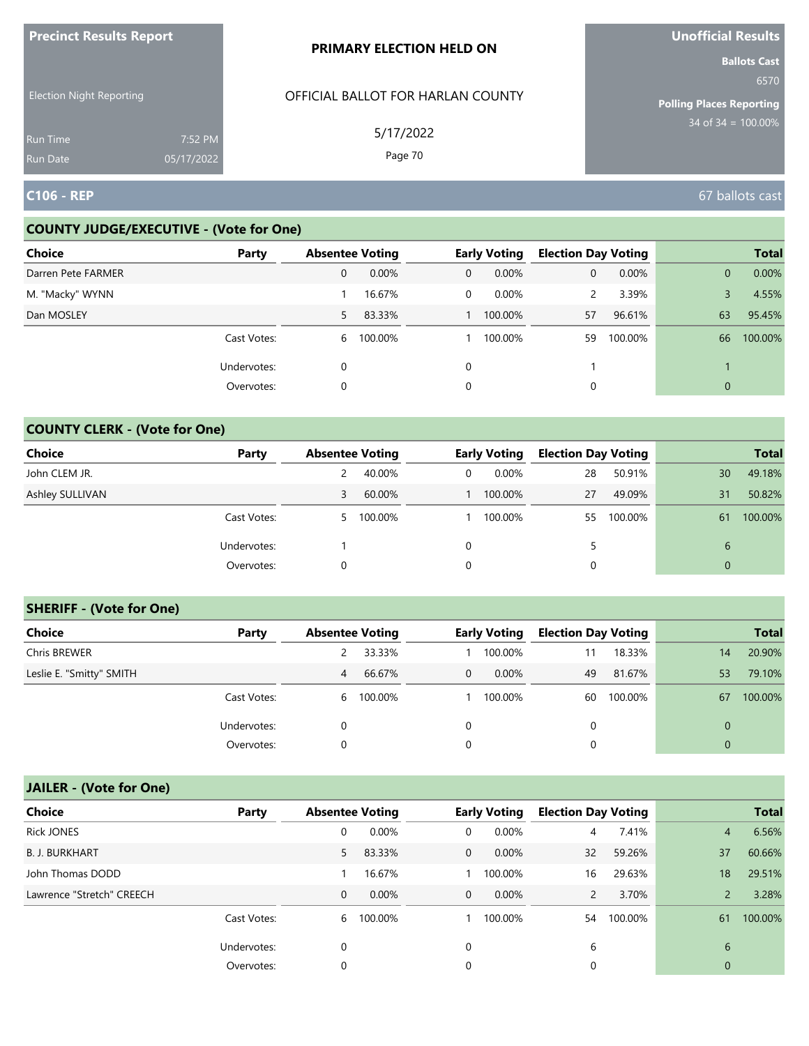| <b>FIGUILL RESULS REPULL</b>       |                       | <b>PRIMARY ELECTION HELD ON</b>   | <b>VIIVIIILIAI NESUILS</b><br><b>Ballots Cast</b> |
|------------------------------------|-----------------------|-----------------------------------|---------------------------------------------------|
| <b>Election Night Reporting</b>    |                       | OFFICIAL BALLOT FOR HARLAN COUNTY | 6570<br><b>Polling Places Reporting</b>           |
| <b>Run Time</b><br><b>Run Date</b> | 7:52 PM<br>05/17/2022 | 5/17/2022<br>Page 70              | $34$ of $34 = 100.00\%$                           |
| <b>C106 - REP</b>                  |                       |                                   | 67 ballots cast                                   |

### **COUNTY JUDGE/EXECUTIVE - (Vote for One)**

**Precinct Results Report**

| <b>Choice</b>      | Party       | <b>Absentee Voting</b> |         |              | <b>Early Voting</b> | <b>Election Day Voting</b> |          |              | <b>Total</b> |
|--------------------|-------------|------------------------|---------|--------------|---------------------|----------------------------|----------|--------------|--------------|
| Darren Pete FARMER |             | 0                      | 0.00%   | $\mathbf{0}$ | $0.00\%$            | 0                          | $0.00\%$ | $\mathbf{0}$ | 0.00%        |
| M. "Macky" WYNN    |             |                        | 16.67%  | 0            | $0.00\%$            | 2                          | 3.39%    |              | 4.55%        |
| Dan MOSLEY         |             | 5                      | 83.33%  |              | 100.00%             | 57                         | 96.61%   | 63           | 95.45%       |
|                    | Cast Votes: | 6                      | 100.00% |              | 100.00%             | 59                         | 100.00%  | 66           | 100.00%      |
|                    | Undervotes: | 0                      |         | $\mathbf 0$  |                     |                            |          |              |              |
|                    | Overvotes:  | 0                      |         | 0            |                     |                            |          | $\mathbf{0}$ |              |

### **COUNTY CLERK - (Vote for One)**

| Choice          | Party       | <b>Absentee Voting</b> |         |                | <b>Early Voting</b> | <b>Election Day Voting</b> |         |          | <b>Total</b> |
|-----------------|-------------|------------------------|---------|----------------|---------------------|----------------------------|---------|----------|--------------|
| John CLEM JR.   |             |                        | 40.00%  | $\overline{0}$ | 0.00%               | 28                         | 50.91%  | 30       | 49.18%       |
| Ashley SULLIVAN |             | 3                      | 60.00%  |                | 100.00%             | 27                         | 49.09%  | 31       | 50.82%       |
|                 | Cast Votes: | 5                      | 100.00% |                | 100.00%             | 55                         | 100.00% | 61       | 100.00%      |
|                 | Undervotes: |                        |         | 0              |                     |                            |         | 6        |              |
|                 | Overvotes:  | 0                      |         | 0              |                     |                            |         | $\Omega$ |              |

#### **SHERIFF - (Vote for One)**

| <b>Choice</b>            | Party       | <b>Absentee Voting</b> |           |   | <b>Early Voting</b> | <b>Election Day Voting</b> |         |    | <b>Total</b> |
|--------------------------|-------------|------------------------|-----------|---|---------------------|----------------------------|---------|----|--------------|
| Chris BREWER             |             |                        | 33.33%    |   | 100.00%             | 11                         | 18.33%  | 14 | 20.90%       |
| Leslie E. "Smitty" SMITH |             | 4                      | 66.67%    | 0 | $0.00\%$            | 49                         | 81.67%  | 53 | 79.10%       |
|                          | Cast Votes: |                        | 6 100.00% |   | 100.00%             | 60                         | 100.00% | 67 | 100.00%      |
|                          | Undervotes: | 0                      |           | 0 |                     | 0                          |         |    |              |
|                          | Overvotes:  | 0                      |           | 0 |                     | 0                          |         |    |              |

# **JAILER - (Vote for One)**

| <b>Choice</b>             | Party       | <b>Absentee Voting</b> |         |              | <b>Early Voting</b> | <b>Election Day Voting</b> |         |                | <b>Total</b> |
|---------------------------|-------------|------------------------|---------|--------------|---------------------|----------------------------|---------|----------------|--------------|
| <b>Rick JONES</b>         |             | 0                      | 0.00%   | 0            | 0.00%               | $\overline{4}$             | 7.41%   | 4              | 6.56%        |
| <b>B. J. BURKHART</b>     |             | 5.                     | 83.33%  | $\mathbf{0}$ | $0.00\%$            | 32                         | 59.26%  | 37             | 60.66%       |
| John Thomas DODD          |             |                        | 16.67%  |              | 100.00%             | 16                         | 29.63%  | 18             | 29.51%       |
| Lawrence "Stretch" CREECH |             | $\mathbf{0}$           | 0.00%   | $\mathbf 0$  | $0.00\%$            | $\overline{2}$             | 3.70%   |                | 3.28%        |
|                           | Cast Votes: | 6                      | 100.00% |              | 100.00%             | 54                         | 100.00% | 61             | 100.00%      |
|                           | Undervotes: | 0                      |         | 0            |                     | 6                          |         | 6              |              |
|                           | Overvotes:  | 0                      |         | 0            |                     | 0                          |         | $\overline{0}$ |              |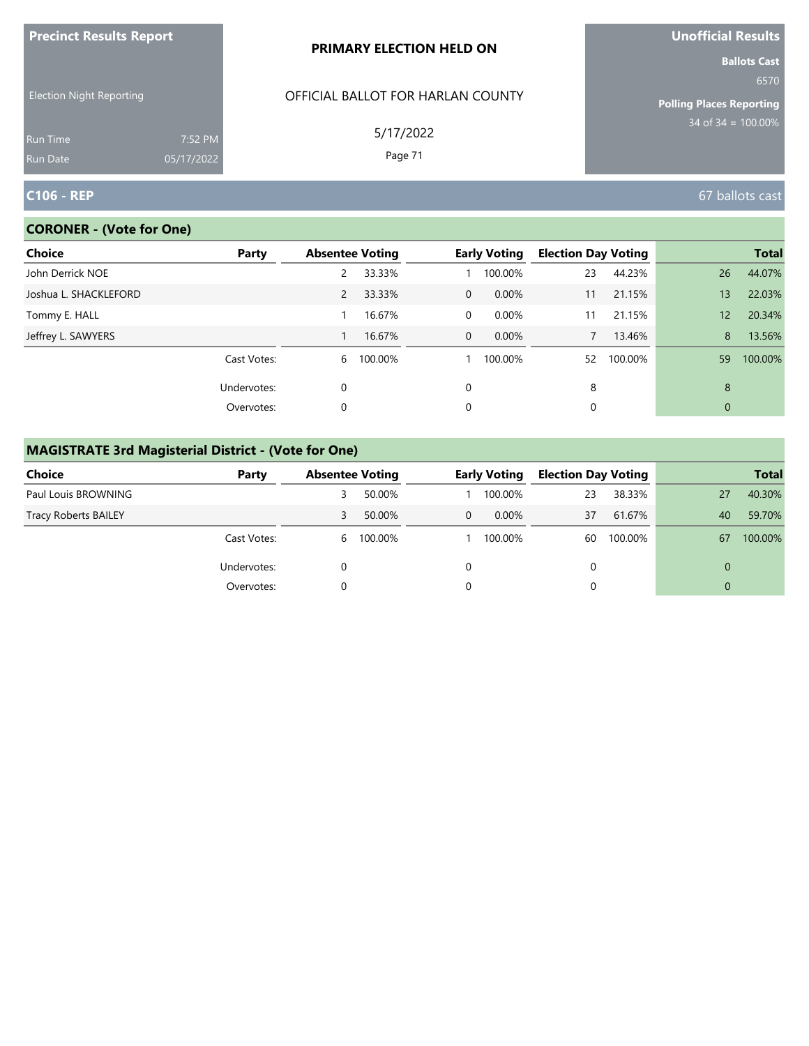| <b>Precinct Results Report</b>     |                       | <b>PRIMARY ELECTION HELD ON</b>   | <b>Unofficial Results</b>                                      |  |  |
|------------------------------------|-----------------------|-----------------------------------|----------------------------------------------------------------|--|--|
| <b>Election Night Reporting</b>    |                       | OFFICIAL BALLOT FOR HARLAN COUNTY | <b>Ballots Cast</b><br>6570<br><b>Polling Places Reporting</b> |  |  |
| <b>Run Time</b><br><b>Run Date</b> | 7:52 PM<br>05/17/2022 | 5/17/2022<br>Page 71              | 34 of $34 = 100.00\%$                                          |  |  |
| <b>C106 - REP</b>                  |                       |                                   | 67 ballots cast                                                |  |  |

### **CORONER - (Vote for One)**

| Choice                | Party       | <b>Absentee Voting</b> |         |                | <b>Early Voting</b> | <b>Election Day Voting</b> |         |              | <b>Total</b> |
|-----------------------|-------------|------------------------|---------|----------------|---------------------|----------------------------|---------|--------------|--------------|
| John Derrick NOE      |             | 2                      | 33.33%  |                | 100.00%             | 23                         | 44.23%  | 26           | 44.07%       |
| Joshua L. SHACKLEFORD |             | $\overline{2}$         | 33.33%  | $\Omega$       | 0.00%               | 11                         | 21.15%  | 13           | 22.03%       |
| Tommy E. HALL         |             |                        | 16.67%  | $\Omega$       | $0.00\%$            | 11                         | 21.15%  | 12           | 20.34%       |
| Jeffrey L. SAWYERS    |             |                        | 16.67%  | $\overline{0}$ | $0.00\%$            |                            | 13.46%  | 8            | 13.56%       |
|                       | Cast Votes: | 6                      | 100.00% |                | 100.00%             | 52                         | 100.00% | 59           | 100.00%      |
|                       | Undervotes: | $\mathbf 0$            |         | $\Omega$       |                     | 8                          |         | 8            |              |
|                       | Overvotes:  | 0                      |         | 0              |                     | 0                          |         | $\mathbf{0}$ |              |
|                       |             |                        |         |                |                     |                            |         |              |              |

# **MAGISTRATE 3rd Magisterial District - (Vote for One)**

| Choice                      | Party       | <b>Absentee Voting</b> |         |   | <b>Early Voting</b> |    | <b>Election Day Voting</b> |          | <b>Total</b> |
|-----------------------------|-------------|------------------------|---------|---|---------------------|----|----------------------------|----------|--------------|
| Paul Louis BROWNING         |             |                        | 50.00%  |   | 100.00%             | 23 | 38.33%                     | 27       | 40.30%       |
| <b>Tracy Roberts BAILEY</b> |             | 3                      | 50.00%  | 0 | $0.00\%$            | 37 | 61.67%                     | 40       | 59.70%       |
|                             | Cast Votes: | 6                      | 100.00% |   | 100.00%             | 60 | 100.00%                    | 67       | 100.00%      |
|                             | Undervotes: |                        |         |   |                     | 0  |                            | $\Omega$ |              |
|                             | Overvotes:  |                        |         |   |                     |    |                            | $\Omega$ |              |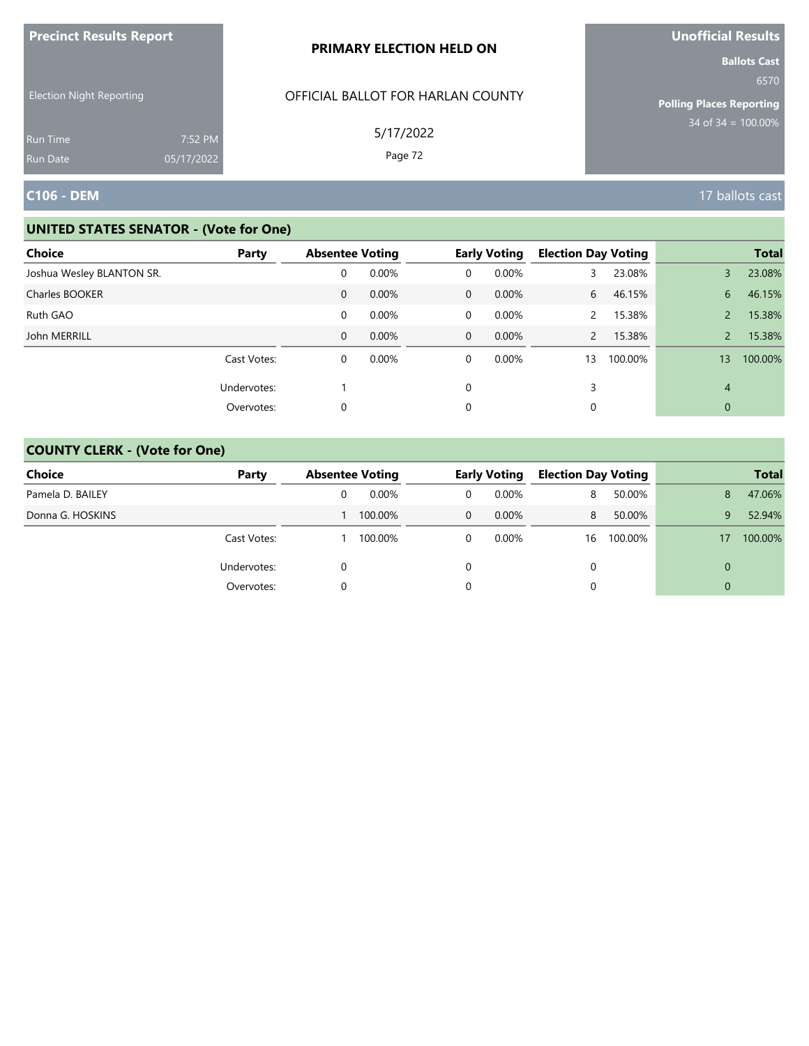| <b>Precinct Results Report</b>                                        |                       | PRIMARY ELECTION HELD ON                                  | Unofficial Results<br><b>Ballots Cast</b>                       |
|-----------------------------------------------------------------------|-----------------------|-----------------------------------------------------------|-----------------------------------------------------------------|
| <b>Election Night Reporting</b><br><b>Run Time</b><br><b>Run Date</b> | 7:52 PM<br>05/17/2022 | OFFICIAL BALLOT FOR HARLAN COUNTY<br>5/17/2022<br>Page 72 | 6570<br><b>Polling Places Reporting</b><br>$34$ of 34 = 100.00% |
| C106 - DEM                                                            |                       |                                                           | 17 ballots cast                                                 |

| <b>Choice</b>             | Party       | <b>Absentee Voting</b> |          |             | <b>Early Voting</b> | <b>Election Day Voting</b> |         |               | <b>Total</b> |
|---------------------------|-------------|------------------------|----------|-------------|---------------------|----------------------------|---------|---------------|--------------|
| Joshua Wesley BLANTON SR. |             | 0                      | 0.00%    | 0           | 0.00%               | 3.                         | 23.08%  | 3             | 23.08%       |
| Charles BOOKER            |             | 0                      | 0.00%    | $\mathbf 0$ | $0.00\%$            | 6                          | 46.15%  | 6             | 46.15%       |
| Ruth GAO                  |             | 0                      | 0.00%    | 0           | $0.00\%$            | $\mathcal{P}$              | 15.38%  |               | 15.38%       |
| John MERRILL              |             | $\mathbf{0}$           | 0.00%    | $\mathbf 0$ | $0.00\%$            | $\mathcal{P}$              | 15.38%  | $\mathcal{P}$ | 15.38%       |
|                           | Cast Votes: | 0                      | $0.00\%$ | 0           | $0.00\%$            | 13                         | 100.00% | 13            | 100.00%      |
|                           | Undervotes: |                        |          | 0           |                     | 3                          |         | 4             |              |
|                           | Overvotes:  | 0                      |          | 0           |                     | 0                          |         | 0             |              |

| <b>Choice</b>    | Party       | <b>Absentee Voting</b> |          |   | <b>Early Voting</b> |    | <b>Election Day Voting</b> |          | <b>Total</b> |
|------------------|-------------|------------------------|----------|---|---------------------|----|----------------------------|----------|--------------|
| Pamela D. BAILEY |             |                        | $0.00\%$ | 0 | $0.00\%$            | 8  | 50.00%                     | 8        | 47.06%       |
| Donna G. HOSKINS |             |                        | 100.00%  | 0 | $0.00\%$            | 8  | 50.00%                     | q        | 52.94%       |
|                  | Cast Votes: |                        | 100.00%  | 0 | $0.00\%$            | 16 | 100.00%                    | 17       | 100.00%      |
|                  | Undervotes: |                        |          |   |                     |    |                            | $\Omega$ |              |
|                  | Overvotes:  |                        |          |   |                     |    |                            | $\Omega$ |              |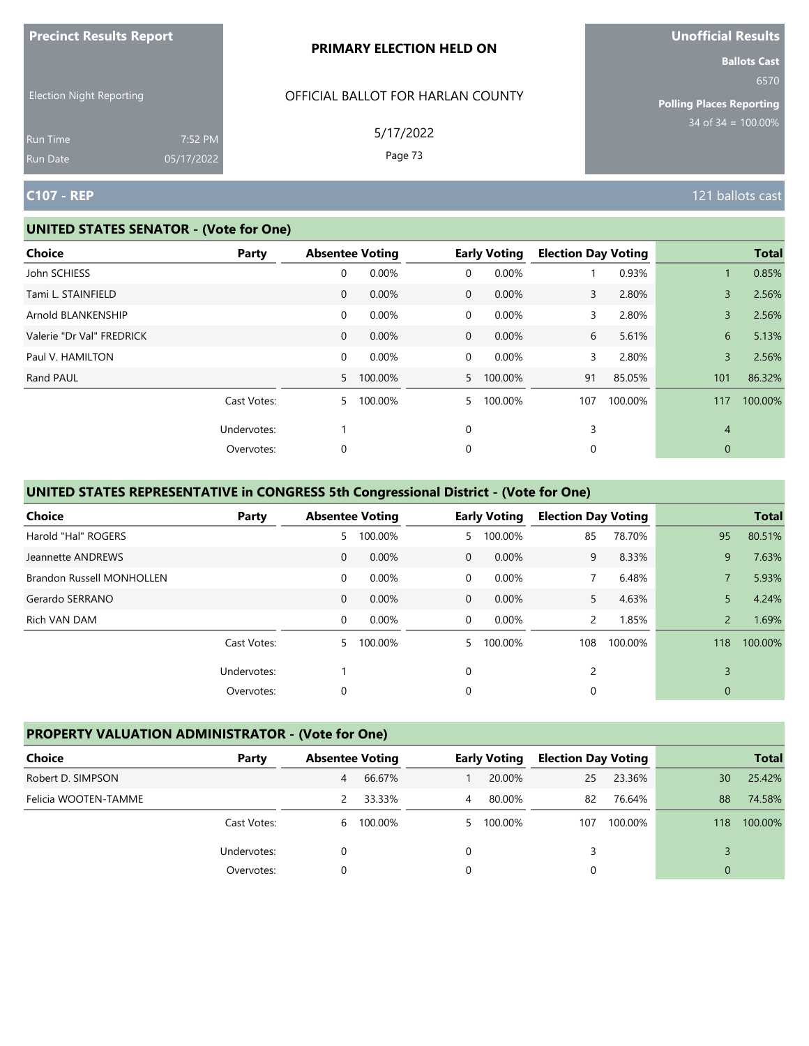| <b>Precinct Results Report</b>  |            | <b>PRIMARY ELECTION HELD ON</b>   | <b>Unofficial Results</b>       |
|---------------------------------|------------|-----------------------------------|---------------------------------|
|                                 |            |                                   | <b>Ballots Cast</b><br>6570     |
| <b>Election Night Reporting</b> |            | OFFICIAL BALLOT FOR HARLAN COUNTY | <b>Polling Places Reporting</b> |
| Run Time                        | 7:52 PM    | 5/17/2022                         | $34$ of $34 = 100.00\%$         |
| Run Date                        | 05/17/2022 | Page 73                           |                                 |
| <b>C107 - REP</b>               |            |                                   | 121 ballots cast                |

#### **UNITED STATES SENATOR - (Vote for One)**

| <b>Choice</b>             | Party       | <b>Absentee Voting</b> |           |                | <b>Early Voting</b> | <b>Election Day Voting</b> |         |                | <b>Total</b> |
|---------------------------|-------------|------------------------|-----------|----------------|---------------------|----------------------------|---------|----------------|--------------|
| John SCHIESS              |             | 0                      | 0.00%     | 0              | 0.00%               |                            | 0.93%   |                | 0.85%        |
| Tami L. STAINFIELD        |             | $\mathbf 0$            | 0.00%     | $\overline{0}$ | 0.00%               | 3                          | 2.80%   | 3              | 2.56%        |
| Arnold BLANKENSHIP        |             | 0                      | 0.00%     | $\mathbf 0$    | 0.00%               | 3                          | 2.80%   | 3              | 2.56%        |
| Valerie "Dr Val" FREDRICK |             | $\mathbf 0$            | 0.00%     | $\overline{0}$ | 0.00%               | 6                          | 5.61%   | 6              | 5.13%        |
| Paul V. HAMILTON          |             | 0                      | 0.00%     | $\overline{0}$ | 0.00%               | 3                          | 2.80%   | 3              | 2.56%        |
| Rand PAUL                 |             |                        | 5 100.00% |                | 5 100.00%           | 91                         | 85.05%  | 101            | 86.32%       |
|                           | Cast Votes: | 5                      | 100.00%   | 5.             | 100.00%             | 107                        | 100.00% | 117            | 100.00%      |
|                           | Undervotes: |                        |           | 0              |                     | 3                          |         | $\overline{4}$ |              |
|                           | Overvotes:  | 0                      |           | 0              |                     | 0                          |         | 0              |              |

# **UNITED STATES REPRESENTATIVE in CONGRESS 5th Congressional District - (Vote for One)**

| <b>Choice</b>                    | Party       |              | <b>Absentee Voting</b> |             | <b>Early Voting</b> | <b>Election Day Voting</b> |         |                | <b>Total</b> |
|----------------------------------|-------------|--------------|------------------------|-------------|---------------------|----------------------------|---------|----------------|--------------|
| Harold "Hal" ROGERS              |             | 5            | 100.00%                | 5.          | 100.00%             | 85                         | 78.70%  | 95             | 80.51%       |
| Jeannette ANDREWS                |             | $\mathbf{0}$ | $0.00\%$               | $\Omega$    | $0.00\%$            | 9                          | 8.33%   | 9              | 7.63%        |
| <b>Brandon Russell MONHOLLEN</b> |             | $\mathbf 0$  | 0.00%                  | $\Omega$    | 0.00%               |                            | 6.48%   |                | 5.93%        |
| Gerardo SERRANO                  |             | $\mathbf{0}$ | 0.00%                  | $\mathbf 0$ | 0.00%               | 5.                         | 4.63%   | 5              | 4.24%        |
| Rich VAN DAM                     |             | 0            | 0.00%                  | $\Omega$    | $0.00\%$            | $\overline{2}$             | 1.85%   | $\overline{2}$ | 1.69%        |
|                                  | Cast Votes: | 5.           | 100.00%                | 5.          | 100.00%             | 108                        | 100.00% | 118            | 100.00%      |
|                                  | Undervotes: |              |                        | $\Omega$    |                     | 2                          |         | $\overline{3}$ |              |
|                                  | Overvotes:  | 0            |                        | 0           |                     | 0                          |         | $\mathbf 0$    |              |

# **PROPERTY VALUATION ADMINISTRATOR - (Vote for One)**

| Choice               | Party       | <b>Absentee Voting</b> |         |   | <b>Early Voting</b> | <b>Election Day Voting</b> |         |     | <b>Total</b> |
|----------------------|-------------|------------------------|---------|---|---------------------|----------------------------|---------|-----|--------------|
| Robert D. SIMPSON    |             | 4                      | 66.67%  |   | 20.00%              | 25                         | 23.36%  | 30  | 25.42%       |
| Felicia WOOTEN-TAMME |             |                        | 33.33%  | 4 | 80.00%              | 82                         | 76.64%  | 88  | 74.58%       |
|                      | Cast Votes: | 6                      | 100.00% |   | 5 100.00%           | 107                        | 100.00% | 118 | 100.00%      |
|                      | Undervotes: |                        |         |   |                     |                            |         |     |              |
|                      | Overvotes:  |                        |         |   |                     |                            |         | 0   |              |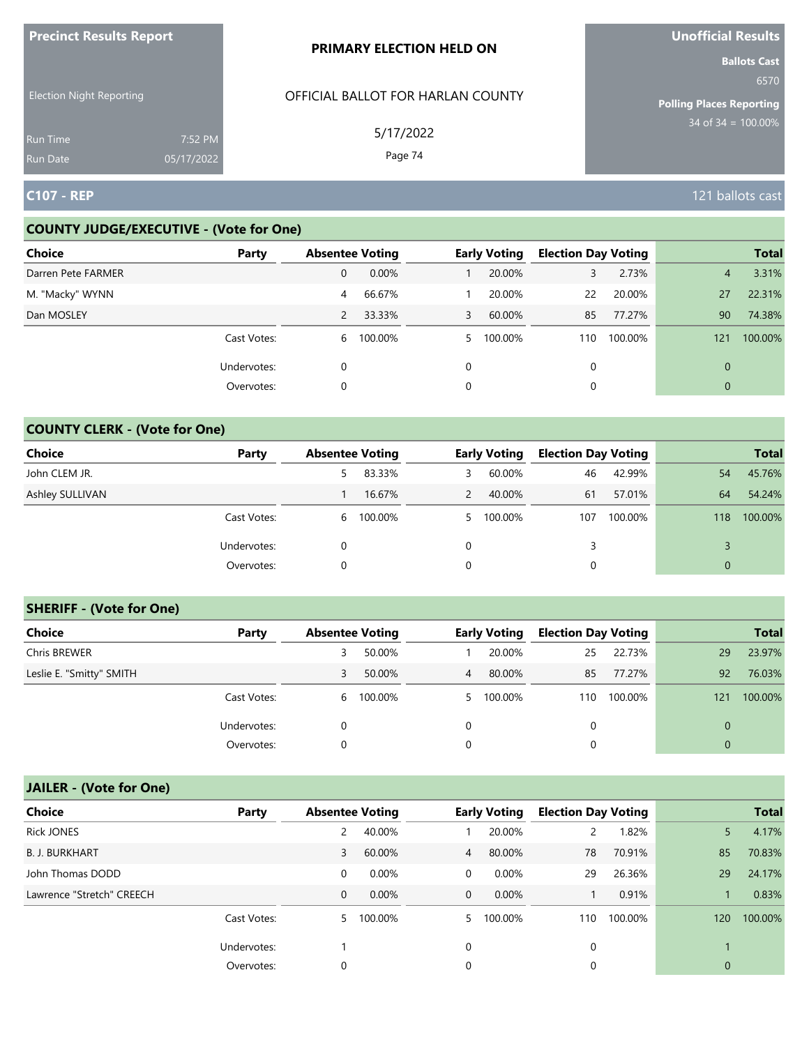| <b>Precinct Results Report</b>     |                       | <b>PRIMARY ELECTION HELD ON</b>   | Unofficial Results                                             |
|------------------------------------|-----------------------|-----------------------------------|----------------------------------------------------------------|
| <b>Election Night Reporting</b>    |                       | OFFICIAL BALLOT FOR HARLAN COUNTY | <b>Ballots Cast</b><br>6570<br><b>Polling Places Reporting</b> |
| <b>Run Time</b><br><b>Run Date</b> | 7:52 PM<br>05/17/2022 | 5/17/2022<br>Page 74              | $34$ of $34 = 100.00\%$                                        |
| <b>C107 - REP</b>                  |                       |                                   | 121 ballots cast                                               |

# **COUNTY JUDGE/EXECUTIVE - (Vote for One)**

| Choice             | Party       | <b>Absentee Voting</b> |         |          | <b>Early Voting</b> | <b>Election Day Voting</b> |         |                | <b>Total</b> |
|--------------------|-------------|------------------------|---------|----------|---------------------|----------------------------|---------|----------------|--------------|
| Darren Pete FARMER |             | 0                      | 0.00%   |          | 20.00%              | 3                          | 2.73%   | 4              | 3.31%        |
| M. "Macky" WYNN    |             | 4                      | 66.67%  |          | 20.00%              | 22                         | 20.00%  | 27             | 22.31%       |
| Dan MOSLEY         |             | $\overline{2}$         | 33.33%  | 3        | 60.00%              | 85                         | 77.27%  | 90             | 74.38%       |
|                    | Cast Votes: | 6                      | 100.00% | 5.       | 100.00%             | 110                        | 100.00% | 121            | 100.00%      |
|                    | Undervotes: | 0                      |         | $\Omega$ |                     | $\Omega$                   |         | $\overline{0}$ |              |
|                    | Overvotes:  | 0                      |         | 0        |                     |                            |         | 0              |              |

# **COUNTY CLERK - (Vote for One)**

| <b>Choice</b>   | Party       | <b>Absentee Voting</b> |         |    | <b>Early Voting</b> | <b>Election Day Voting</b> |         |                | <b>Total</b> |
|-----------------|-------------|------------------------|---------|----|---------------------|----------------------------|---------|----------------|--------------|
| John CLEM JR.   |             |                        | 83.33%  | 3  | 60.00%              | 46                         | 42.99%  | 54             | 45.76%       |
| Ashley SULLIVAN |             |                        | 16.67%  |    | 40.00%              | 61                         | 57.01%  | 64             | 54.24%       |
|                 | Cast Votes: | 6                      | 100.00% | 5. | 100.00%             | 107                        | 100.00% | 118            | 100.00%      |
|                 | Undervotes: | 0                      |         | 0  |                     |                            |         |                |              |
|                 | Overvotes:  | 0                      |         | 0  |                     |                            |         | $\overline{0}$ |              |

# **SHERIFF - (Vote for One)**

| <b>Choice</b>            | Party       | <b>Absentee Voting</b> |         |                | <b>Early Voting</b> | <b>Election Day Voting</b> |         |          | <b>Total</b> |
|--------------------------|-------------|------------------------|---------|----------------|---------------------|----------------------------|---------|----------|--------------|
| <b>Chris BREWER</b>      |             |                        | 50.00%  |                | 20.00%              | 25                         | 22.73%  | 29       | 23.97%       |
| Leslie E. "Smitty" SMITH |             | 3                      | 50.00%  | $\overline{4}$ | 80.00%              | 85                         | 77.27%  | 92       | 76.03%       |
|                          | Cast Votes: | 6                      | 100.00% |                | 5 100.00%           | 110                        | 100.00% | 121      | 100.00%      |
|                          | Undervotes: | 0                      |         | 0              |                     | 0                          |         | 0        |              |
|                          | Overvotes:  | 0                      |         |                |                     | 0                          |         | $\Omega$ |              |

| <b>Choice</b>             | Party       | <b>Absentee Voting</b> |          |                | <b>Early Voting</b> | <b>Election Day Voting</b> |         |              | <b>Total</b> |
|---------------------------|-------------|------------------------|----------|----------------|---------------------|----------------------------|---------|--------------|--------------|
| <b>Rick JONES</b>         |             |                        | 40.00%   |                | 20.00%              | $\mathsf{2}$               | 1.82%   | 5            | 4.17%        |
| <b>B. J. BURKHART</b>     |             | 3                      | 60.00%   | $\overline{4}$ | 80.00%              | 78                         | 70.91%  | 85           | 70.83%       |
| John Thomas DODD          |             | 0                      | 0.00%    | $\overline{0}$ | 0.00%               | 29                         | 26.36%  | 29           | 24.17%       |
| Lawrence "Stretch" CREECH |             | 0                      | $0.00\%$ | $\overline{0}$ | $0.00\%$            |                            | 0.91%   |              | 0.83%        |
|                           | Cast Votes: | 5                      | 100.00%  | 5.             | 100.00%             | 110                        | 100.00% | 120          | 100.00%      |
|                           | Undervotes: |                        |          | 0              |                     | 0                          |         |              |              |
|                           | Overvotes:  | 0                      |          | 0              |                     | 0                          |         | $\mathbf{0}$ |              |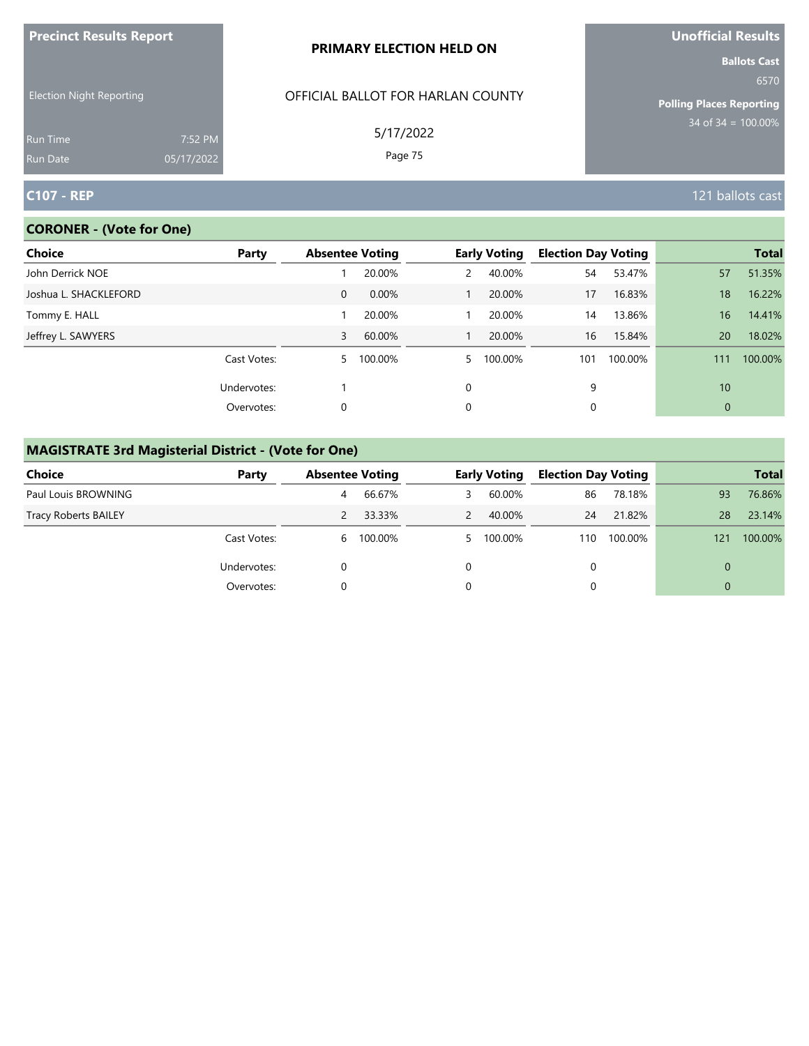| <b>Precinct Results Report</b>     |                       | <b>PRIMARY ELECTION HELD ON</b>   | Unofficial Results                                             |
|------------------------------------|-----------------------|-----------------------------------|----------------------------------------------------------------|
| <b>Election Night Reporting</b>    |                       | OFFICIAL BALLOT FOR HARLAN COUNTY | <b>Ballots Cast</b><br>6570<br><b>Polling Places Reporting</b> |
| <b>Run Time</b><br><b>Run Date</b> | 7:52 PM<br>05/17/2022 | 5/17/2022<br>Page 75              | $34$ of $34 = 100.00\%$                                        |
| <b>C107 - REP</b>                  |                       |                                   | 121 ballots cast                                               |

# **CORONER - (Vote for One)**

| Choice                | Party       | <b>Absentee Voting</b> |         |          | <b>Early Voting</b> | <b>Election Day Voting</b> |         |              | <b>Total</b> |
|-----------------------|-------------|------------------------|---------|----------|---------------------|----------------------------|---------|--------------|--------------|
| John Derrick NOE      |             |                        | 20.00%  | 2        | 40.00%              | 54                         | 53.47%  | 57           | 51.35%       |
| Joshua L. SHACKLEFORD |             | 0                      | 0.00%   |          | 20.00%              | 17                         | 16.83%  | 18           | 16.22%       |
| Tommy E. HALL         |             |                        | 20.00%  |          | 20.00%              | 14                         | 13.86%  | 16           | 14.41%       |
| Jeffrey L. SAWYERS    |             | 3                      | 60.00%  |          | 20.00%              | 16                         | 15.84%  | 20           | 18.02%       |
|                       | Cast Votes: | 5                      | 100.00% | 5.       | 100.00%             | 101                        | 100.00% | 111          | 100.00%      |
|                       | Undervotes: |                        |         | $\Omega$ |                     | 9                          |         | 10           |              |
|                       | Overvotes:  | 0                      |         | 0        |                     | 0                          |         | $\mathbf{0}$ |              |

# **MAGISTRATE 3rd Magisterial District - (Vote for One)**

| <b>Choice</b>               | Party       | <b>Absentee Voting</b> |           |               | <b>Early Voting</b> | <b>Election Day Voting</b> |         |     | <b>Total</b> |
|-----------------------------|-------------|------------------------|-----------|---------------|---------------------|----------------------------|---------|-----|--------------|
| Paul Louis BROWNING         |             | 4                      | 66.67%    | 3             | 60.00%              | 86                         | 78.18%  | 93  | 76.86%       |
| <b>Tracy Roberts BAILEY</b> |             |                        | 33.33%    | $\mathcal{P}$ | 40.00%              | 24                         | 21.82%  | 28  | 23.14%       |
|                             | Cast Votes: |                        | 6 100.00% |               | 5 100.00%           | 110                        | 100.00% | 121 | 100.00%      |
|                             | Undervotes: |                        |           |               |                     | 0                          |         | 0   |              |
|                             | Overvotes:  |                        |           |               |                     |                            |         | 0   |              |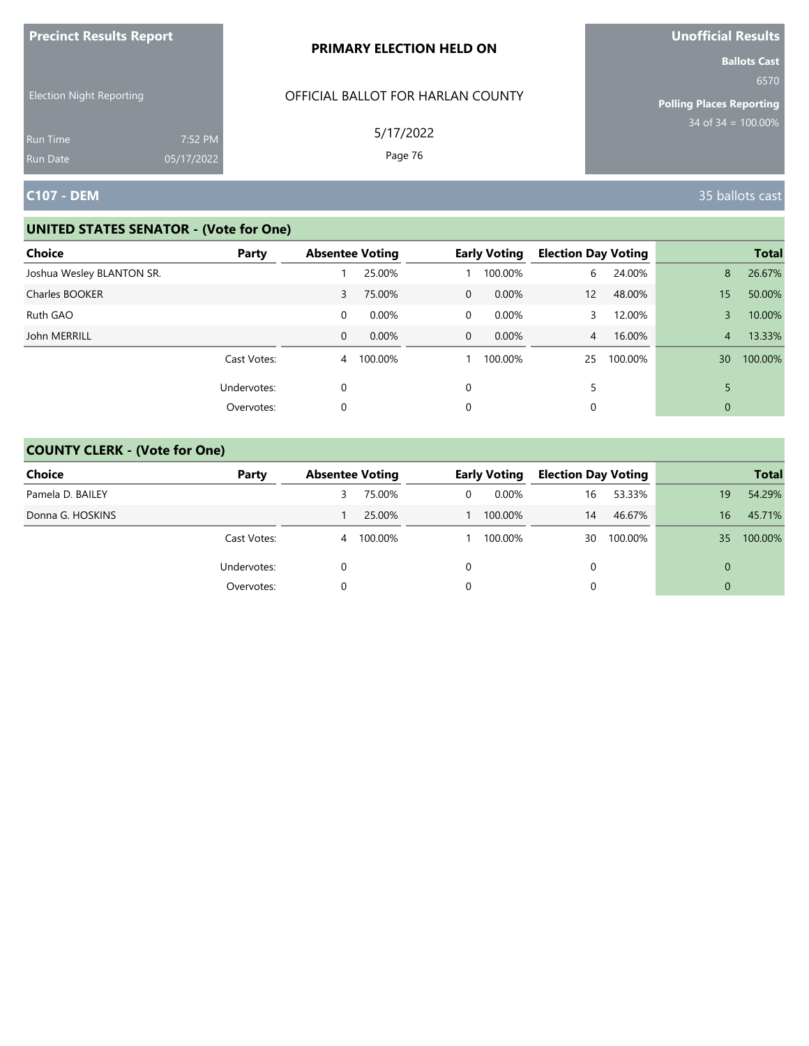| <b>Precinct Results Report</b>                     |            | PRIMARY ELECTION HELD ON                       | <b>Unofficial Results</b>                                                              |
|----------------------------------------------------|------------|------------------------------------------------|----------------------------------------------------------------------------------------|
| <b>Election Night Reporting</b><br><b>Run Time</b> | 7:52 PM    | OFFICIAL BALLOT FOR HARLAN COUNTY<br>5/17/2022 | <b>Ballots Cast</b><br>6570<br><b>Polling Places Reporting</b><br>$34$ of 34 = 100.00% |
| <b>Run Date</b>                                    | 05/17/2022 | Page 76                                        |                                                                                        |
| <b>C107 - DEM</b>                                  |            |                                                | 35 ballots cast                                                                        |

| <b>Choice</b>             | Party       | <b>Absentee Voting</b> |          |                | <b>Early Voting</b> | <b>Election Day Voting</b> |         |                | <b>Total</b> |
|---------------------------|-------------|------------------------|----------|----------------|---------------------|----------------------------|---------|----------------|--------------|
| Joshua Wesley BLANTON SR. |             |                        | 25.00%   |                | 100.00%             | 6                          | 24.00%  | 8              | 26.67%       |
| Charles BOOKER            |             | 3                      | 75.00%   | $\overline{0}$ | $0.00\%$            | 12 <sup>2</sup>            | 48.00%  | 15             | 50.00%       |
| Ruth GAO                  |             | 0                      | $0.00\%$ | 0              | $0.00\%$            | 3                          | 12.00%  | 3              | 10.00%       |
| John MERRILL              |             | $\Omega$               | 0.00%    | $\overline{0}$ | $0.00\%$            | $\overline{4}$             | 16.00%  | $\overline{4}$ | 13.33%       |
|                           | Cast Votes: | 4                      | 100.00%  |                | 100.00%             | 25                         | 100.00% | 30             | 100.00%      |
|                           | Undervotes: | 0                      |          | $\Omega$       |                     | 5                          |         |                |              |
|                           | Overvotes:  | 0                      |          | 0              |                     | 0                          |         | $\mathbf{0}$   |              |

| <b>Choice</b>    | Party       | <b>Absentee Voting</b> |         |   | <b>Early Voting</b> | <b>Election Day Voting</b> |         |          | <b>Total</b> |
|------------------|-------------|------------------------|---------|---|---------------------|----------------------------|---------|----------|--------------|
| Pamela D. BAILEY |             |                        | 75.00%  | 0 | $0.00\%$            | 16                         | 53.33%  | 19       | 54.29%       |
| Donna G. HOSKINS |             |                        | 25.00%  |   | 100.00%             | 14                         | 46.67%  | 16       | 45.71%       |
|                  | Cast Votes: | 4                      | 100.00% |   | 100.00%             | 30                         | 100.00% | 35       | 100.00%      |
|                  | Undervotes: | 0                      |         |   |                     |                            |         | $\Omega$ |              |
|                  | Overvotes:  |                        |         |   |                     |                            |         | $\Omega$ |              |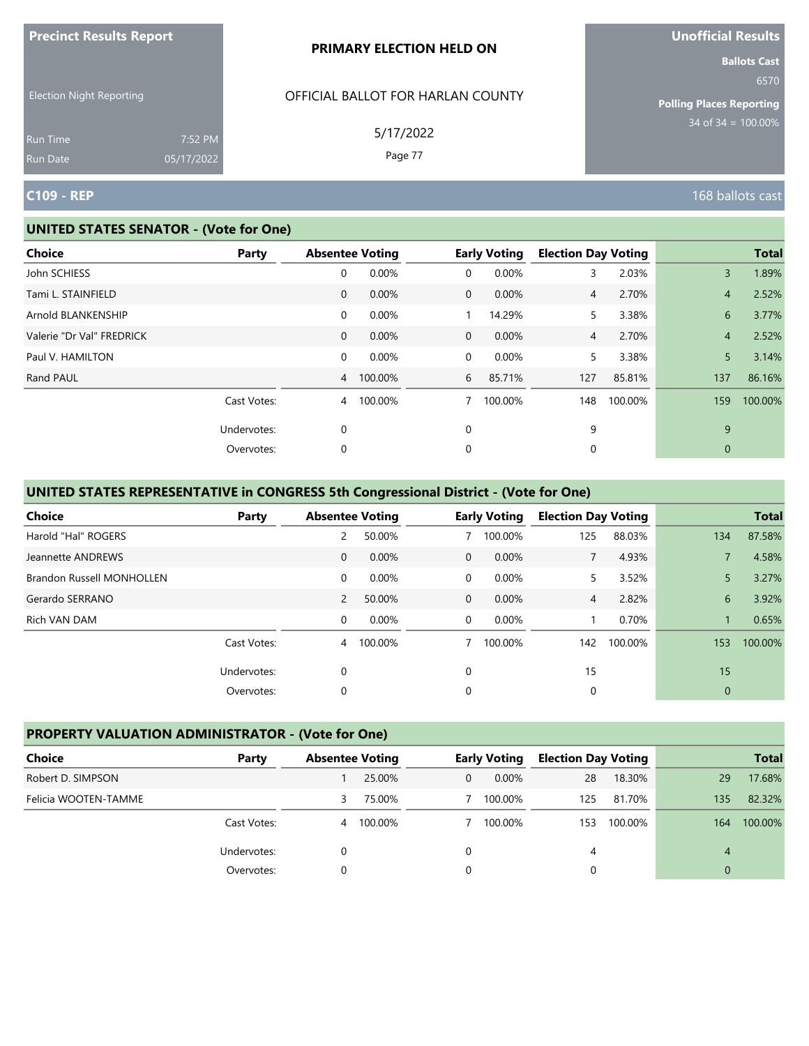|                                                                |                       | PRIMARY ELECTION HELD ON                                  | <b>Ballots Cast</b>                                             |
|----------------------------------------------------------------|-----------------------|-----------------------------------------------------------|-----------------------------------------------------------------|
| <b>Election Night Reporting</b><br><b>Run Time</b><br>Run Date | 7:52 PM<br>05/17/2022 | OFFICIAL BALLOT FOR HARLAN COUNTY<br>5/17/2022<br>Page 77 | 6570<br><b>Polling Places Reporting</b><br>$34$ of 34 = 100.00% |
| <b>C109 - REP</b>                                              |                       |                                                           | 168 ballots cast                                                |

#### **UNITED STATES SENATOR - (Vote for One)**

**Precinct Results Report**

| Choice                    | Party       |                | <b>Absentee Voting</b> |                | <b>Early Voting</b> | <b>Election Day Voting</b> |         |                | <b>Total</b> |
|---------------------------|-------------|----------------|------------------------|----------------|---------------------|----------------------------|---------|----------------|--------------|
| John SCHIESS              |             | 0              | 0.00%                  | 0              | 0.00%               | 3                          | 2.03%   | $\overline{3}$ | 1.89%        |
| Tami L. STAINFIELD        |             | $\mathbf{0}$   | 0.00%                  | $\overline{0}$ | 0.00%               | $\overline{4}$             | 2.70%   | 4              | 2.52%        |
| Arnold BLANKENSHIP        |             | $\mathbf 0$    | 0.00%                  |                | 14.29%              | 5                          | 3.38%   | 6              | 3.77%        |
| Valerie "Dr Val" FREDRICK |             | $\mathbf{0}$   | 0.00%                  | $\overline{0}$ | 0.00%               | $\overline{4}$             | 2.70%   | $\overline{4}$ | 2.52%        |
| Paul V. HAMILTON          |             | $\mathsf{O}$   | 0.00%                  | $\mathbf 0$    | 0.00%               | 5                          | 3.38%   | 5              | 3.14%        |
| Rand PAUL                 |             | $\overline{4}$ | 100.00%                | 6              | 85.71%              | 127                        | 85.81%  | 137            | 86.16%       |
|                           | Cast Votes: | $\overline{4}$ | 100.00%                | 7              | 100.00%             | 148                        | 100.00% | 159            | 100.00%      |
|                           | Undervotes: | 0              |                        | 0              |                     | 9                          |         | 9              |              |
|                           | Overvotes:  | 0              |                        | 0              |                     | 0                          |         | 0              |              |

# **UNITED STATES REPRESENTATIVE in CONGRESS 5th Congressional District - (Vote for One)**

| <b>Choice</b>             | Party       | <b>Absentee Voting</b> |         |                | <b>Early Voting</b> | <b>Election Day Voting</b> |         |              | <b>Total</b> |
|---------------------------|-------------|------------------------|---------|----------------|---------------------|----------------------------|---------|--------------|--------------|
| Harold "Hal" ROGERS       |             | 2                      | 50.00%  |                | 100.00%             | 125                        | 88.03%  | 134          | 87.58%       |
| Jeannette ANDREWS         |             | $\mathbf 0$            | 0.00%   | $\Omega$       | 0.00%               |                            | 4.93%   |              | 4.58%        |
| Brandon Russell MONHOLLEN |             | $\mathbf 0$            | 0.00%   | $\overline{0}$ | 0.00%               | 5.                         | 3.52%   | 5            | 3.27%        |
| Gerardo SERRANO           |             | 2                      | 50.00%  | $\overline{0}$ | $0.00\%$            | $\overline{4}$             | 2.82%   | 6            | 3.92%        |
| Rich VAN DAM              |             | $\Omega$               | 0.00%   | $\Omega$       | 0.00%               |                            | 0.70%   |              | 0.65%        |
|                           | Cast Votes: | $\overline{4}$         | 100.00% |                | 100.00%             | 142                        | 100.00% | 153          | 100.00%      |
|                           | Undervotes: | 0                      |         | $\Omega$       |                     | 15                         |         | 15           |              |
|                           | Overvotes:  | 0                      |         | 0              |                     | 0                          |         | $\mathbf{0}$ |              |

## **PROPERTY VALUATION ADMINISTRATOR - (Vote for One)**

| Choice               | Party       |   | <b>Absentee Voting</b> |   | <b>Early Voting</b> | <b>Election Day Voting</b> |         |     | <b>Total</b> |
|----------------------|-------------|---|------------------------|---|---------------------|----------------------------|---------|-----|--------------|
| Robert D. SIMPSON    |             |   | 25.00%                 | 0 | $0.00\%$            | 28                         | 18.30%  | 29  | 17.68%       |
| Felicia WOOTEN-TAMME |             | 3 | 75.00%                 |   | 100.00%             | 125                        | 81.70%  | 135 | 82.32%       |
|                      | Cast Votes: | 4 | 100.00%                |   | 100.00%             | 153                        | 100.00% | 164 | 100.00%      |
|                      | Undervotes: |   |                        |   |                     | 4                          |         | 4   |              |
|                      | Overvotes:  |   |                        |   |                     |                            |         | 0   |              |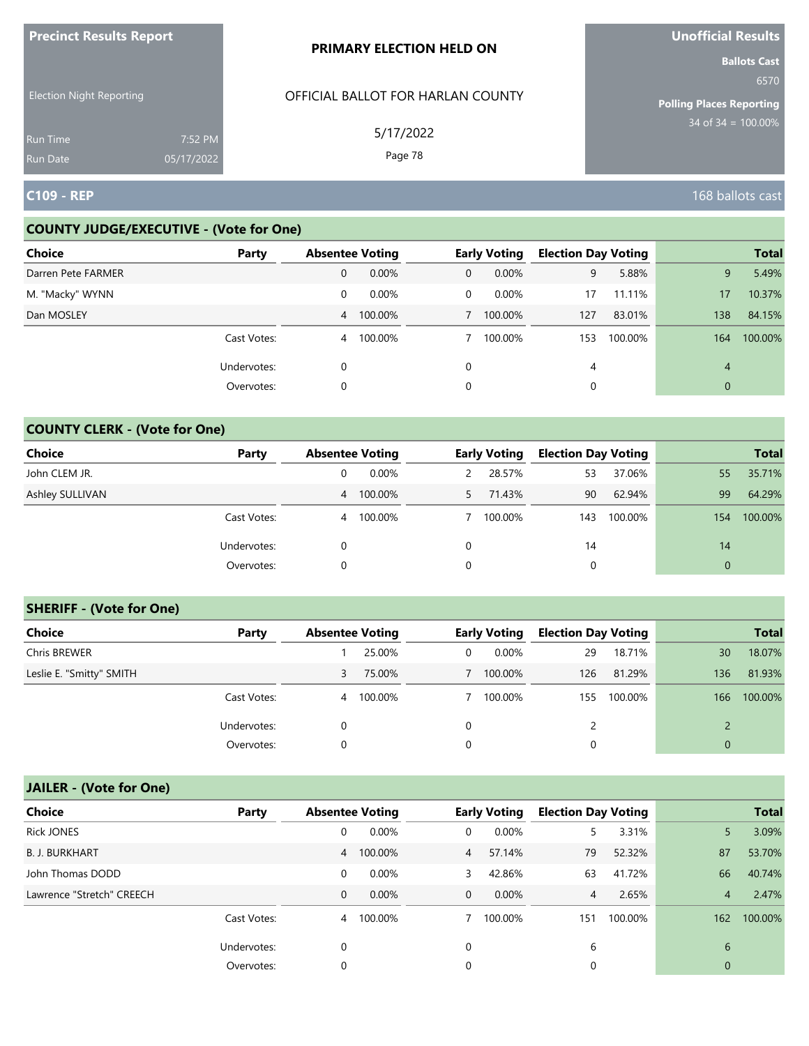| <b>FIGUILL RESULS REPULL</b>       |                       | <b>PRIMARY ELECTION HELD ON</b>   | <b>VIIVIIILIAI NESUILS</b><br><b>Ballots Cast</b> |
|------------------------------------|-----------------------|-----------------------------------|---------------------------------------------------|
| <b>Election Night Reporting</b>    |                       | OFFICIAL BALLOT FOR HARLAN COUNTY | 6570<br><b>Polling Places Reporting</b>           |
| <b>Run Time</b><br><b>Run Date</b> | 7:52 PM<br>05/17/2022 | 5/17/2022<br>Page 78              | $34$ of 34 = 100.00%                              |
| <b>C109 - REP</b>                  |                       |                                   | 168 ballots cast                                  |

## **COUNTY JUDGE/EXECUTIVE - (Vote for One)**

**Precinct Results Report**

| <b>Choice</b>      | Party       | <b>Absentee Voting</b> |           |              | <b>Early Voting</b> | <b>Election Day Voting</b> |         |                | <b>Total</b> |
|--------------------|-------------|------------------------|-----------|--------------|---------------------|----------------------------|---------|----------------|--------------|
| Darren Pete FARMER |             | 0                      | 0.00%     | $\mathbf{0}$ | 0.00%               | 9                          | 5.88%   | 9              | 5.49%        |
| M. "Macky" WYNN    |             | 0                      | 0.00%     | 0            | $0.00\%$            | 17                         | 11.11%  | 17             | 10.37%       |
| Dan MOSLEY         |             |                        | 4 100.00% |              | 100.00%             | 127                        | 83.01%  | 138            | 84.15%       |
|                    | Cast Votes: | $\overline{4}$         | 100.00%   |              | 100.00%             | 153                        | 100.00% | 164            | 100.00%      |
|                    | Undervotes: | 0                      |           | $\Omega$     |                     | 4                          |         | 4              |              |
|                    | Overvotes:  | 0                      |           | 0            |                     |                            |         | $\overline{0}$ |              |

# **COUNTY CLERK - (Vote for One)**

| Choice          | Party       | <b>Absentee Voting</b> |         |    | <b>Early Voting</b> | <b>Election Day Voting</b> |         |                | <b>Total</b> |
|-----------------|-------------|------------------------|---------|----|---------------------|----------------------------|---------|----------------|--------------|
| John CLEM JR.   |             | 0                      | 0.00%   |    | 28.57%              | 53                         | 37.06%  | 55             | 35.71%       |
| Ashley SULLIVAN |             | 4                      | 100.00% | 5. | 71.43%              | 90                         | 62.94%  | 99             | 64.29%       |
|                 | Cast Votes: | 4                      | 100.00% |    | 100.00%             | 143                        | 100.00% | 154            | 100.00%      |
|                 | Undervotes: | $\Omega$               |         | 0  |                     | 14                         |         | 14             |              |
|                 | Overvotes:  | 0                      |         | 0  |                     | 0                          |         | $\overline{0}$ |              |

## **SHERIFF - (Vote for One)**

| <b>Choice</b>            | Party       | <b>Absentee Voting</b> |         |   | <b>Early Voting</b> | <b>Election Day Voting</b> |         |     | <b>Total</b> |
|--------------------------|-------------|------------------------|---------|---|---------------------|----------------------------|---------|-----|--------------|
| Chris BREWER             |             |                        | 25.00%  | 0 | $0.00\%$            | 29                         | 18.71%  | 30  | 18.07%       |
| Leslie E. "Smitty" SMITH |             | 3                      | 75.00%  |   | 100.00%             | 126                        | 81.29%  | 136 | 81.93%       |
|                          | Cast Votes: | 4                      | 100.00% |   | 100.00%             | 155                        | 100.00% | 166 | 100.00%      |
|                          | Undervotes: | 0                      |         | 0 |                     |                            |         |     |              |
|                          | Overvotes:  | 0                      |         | 0 |                     | 0                          |         |     |              |

| <b>Choice</b>             | Party       | <b>Absentee Voting</b> |           |                | <b>Early Voting</b> | <b>Election Day Voting</b> |         |                | <b>Total</b> |
|---------------------------|-------------|------------------------|-----------|----------------|---------------------|----------------------------|---------|----------------|--------------|
| <b>Rick JONES</b>         |             | 0                      | 0.00%     | 0              | 0.00%               | 5.                         | 3.31%   | 5              | 3.09%        |
| <b>B. J. BURKHART</b>     |             |                        | 4 100.00% | $\sqrt{4}$     | 57.14%              | 79                         | 52.32%  | 87             | 53.70%       |
| John Thomas DODD          |             | 0                      | 0.00%     | 3              | 42.86%              | 63                         | 41.72%  | 66             | 40.74%       |
| Lawrence "Stretch" CREECH |             | 0                      | $0.00\%$  | $\overline{0}$ | $0.00\%$            | $\overline{4}$             | 2.65%   | $\overline{4}$ | 2.47%        |
|                           | Cast Votes: | $\overline{4}$         | 100.00%   |                | 100.00%             | 151                        | 100.00% | 162            | 100.00%      |
|                           | Undervotes: | 0                      |           | $\Omega$       |                     | 6                          |         | 6              |              |
|                           | Overvotes:  | 0                      |           | 0              |                     | 0                          |         | $\mathbf{0}$   |              |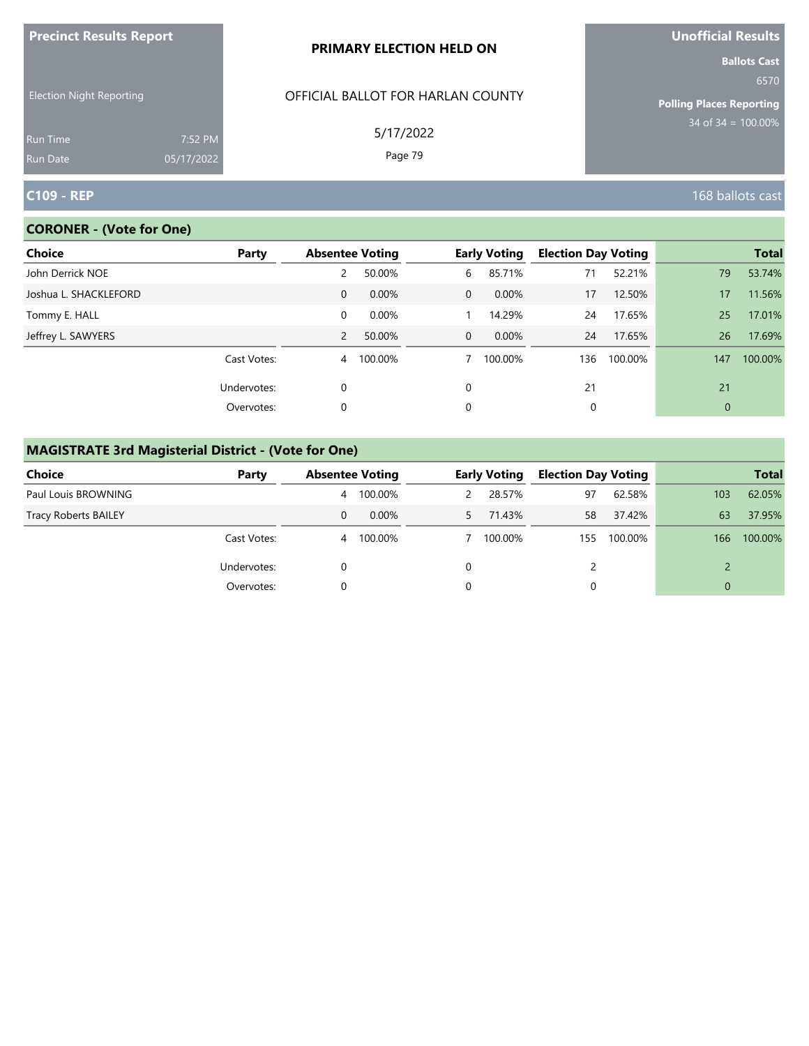| <b>Precinct Results Report</b>     |                       | <b>PRIMARY ELECTION HELD ON</b>   | <b>Unofficial Results</b>                                      |
|------------------------------------|-----------------------|-----------------------------------|----------------------------------------------------------------|
| <b>Election Night Reporting</b>    |                       | OFFICIAL BALLOT FOR HARLAN COUNTY | <b>Ballots Cast</b><br>6570<br><b>Polling Places Reporting</b> |
| <b>Run Time</b><br><b>Run Date</b> | 7:52 PM<br>05/17/2022 | 5/17/2022<br>Page 79              | 34 of $34 = 100.00\%$                                          |
| <b>C109 - REP</b>                  |                       |                                   | 168 ballots cast                                               |

# **CORONER - (Vote for One)**

| <b>Choice</b>         | Party       | <b>Absentee Voting</b> |           |                | <b>Early Voting</b> | <b>Election Day Voting</b> |         |     | <b>Total</b> |
|-----------------------|-------------|------------------------|-----------|----------------|---------------------|----------------------------|---------|-----|--------------|
| John Derrick NOE      |             | 2                      | 50.00%    | 6              | 85.71%              | 71                         | 52.21%  | 79  | 53.74%       |
| Joshua L. SHACKLEFORD |             | $\mathbf{0}$           | 0.00%     | $\overline{0}$ | 0.00%               | 17                         | 12.50%  | 17  | 11.56%       |
| Tommy E. HALL         |             | 0                      | $0.00\%$  |                | 14.29%              | 24                         | 17.65%  | 25  | 17.01%       |
| Jeffrey L. SAWYERS    |             | 2                      | 50.00%    | $\overline{0}$ | $0.00\%$            | 24                         | 17.65%  | 26  | 17.69%       |
|                       | Cast Votes: |                        | 4 100.00% |                | 100.00%             | 136                        | 100.00% | 147 | 100.00%      |
|                       | Undervotes: | 0                      |           | 0              |                     | 21                         |         | 21  |              |
|                       | Overvotes:  | 0                      |           | 0              |                     | 0                          |         | 0   |              |

# **MAGISTRATE 3rd Magisterial District - (Vote for One)**

| <b>Choice</b>               | Party       |   | <b>Absentee Voting</b> |    | <b>Early Voting</b> | <b>Election Day Voting</b> |         |     | <b>Total</b> |
|-----------------------------|-------------|---|------------------------|----|---------------------|----------------------------|---------|-----|--------------|
| Paul Louis BROWNING         |             | 4 | 100.00%                |    | 28.57%              | 97                         | 62.58%  | 103 | 62.05%       |
| <b>Tracy Roberts BAILEY</b> |             | 0 | $0.00\%$               | 5. | 71.43%              | 58                         | 37.42%  | 63  | 37.95%       |
|                             | Cast Votes: | 4 | 100.00%                |    | 100.00%             | 155                        | 100.00% | 166 | 100.00%      |
|                             | Undervotes: |   |                        | 0  |                     |                            |         |     |              |
|                             | Overvotes:  |   |                        | 0  |                     |                            |         |     |              |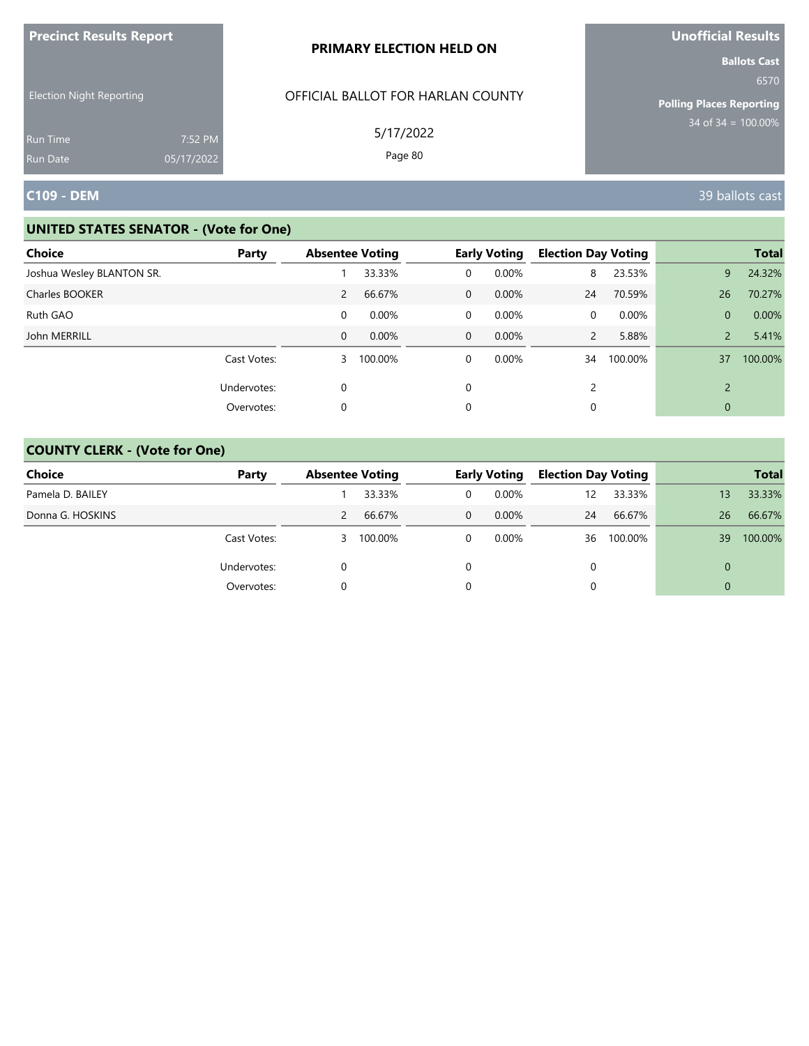| <b>Precinct Results Report</b>                     |            | PRIMARY ELECTION HELD ON                       | Unofficial Results                                                                        |
|----------------------------------------------------|------------|------------------------------------------------|-------------------------------------------------------------------------------------------|
| <b>Election Night Reporting</b><br><b>Run Time</b> | 7:52 PM    | OFFICIAL BALLOT FOR HARLAN COUNTY<br>5/17/2022 | <b>Ballots Cast</b><br>6570<br><b>Polling Places Reporting</b><br>$34$ of $34 = 100.00\%$ |
| <b>Run Date</b>                                    | 05/17/2022 | Page 80                                        |                                                                                           |
| <b>C109 - DEM</b>                                  |            |                                                | 39 ballots cast                                                                           |

| Choice<br>Party           | <b>Absentee Voting</b> |         |              | <b>Early Voting</b> | <b>Election Day Voting</b> |          |                | <b>Total</b> |
|---------------------------|------------------------|---------|--------------|---------------------|----------------------------|----------|----------------|--------------|
| Joshua Wesley BLANTON SR. |                        | 33.33%  | $\Omega$     | 0.00%               | 8                          | 23.53%   | 9              | 24.32%       |
| Charles BOOKER            | $\mathbf{2}$           | 66.67%  | $\mathbf{0}$ | $0.00\%$            | 24                         | 70.59%   | 26             | 70.27%       |
| Ruth GAO                  | 0                      | 0.00%   | $\mathbf 0$  | $0.00\%$            | 0                          | $0.00\%$ | $\overline{0}$ | 0.00%        |
| John MERRILL              | $\mathbf{0}$           | 0.00%   | $\mathbf 0$  | 0.00%               | $\overline{2}$             | 5.88%    | $\overline{2}$ | 5.41%        |
| Cast Votes:               | 3                      | 100.00% | 0            | $0.00\%$            | 34                         | 100.00%  | 37             | 100.00%      |
| Undervotes:               | 0                      |         | $\Omega$     |                     | 2                          |          | $\mathcal{D}$  |              |
| Overvotes:                | 0                      |         | 0            |                     | 0                          |          | 0              |              |

| <b>Choice</b>    | Party       | <b>Absentee Voting</b> |         | <b>Early Voting</b> |          | <b>Election Day Voting</b> |         |    | <b>Total</b> |
|------------------|-------------|------------------------|---------|---------------------|----------|----------------------------|---------|----|--------------|
| Pamela D. BAILEY |             |                        | 33.33%  |                     | 0.00%    | 12                         | 33.33%  | 13 | 33.33%       |
| Donna G. HOSKINS |             | 2                      | 66.67%  | 0                   | 0.00%    | 24                         | 66.67%  | 26 | 66.67%       |
|                  | Cast Votes: | 3.                     | 100.00% |                     | $0.00\%$ | 36                         | 100.00% | 39 | 100.00%      |
|                  | Undervotes: |                        |         |                     |          | $\Omega$                   |         | 0  |              |
|                  | Overvotes:  |                        |         |                     |          |                            |         |    |              |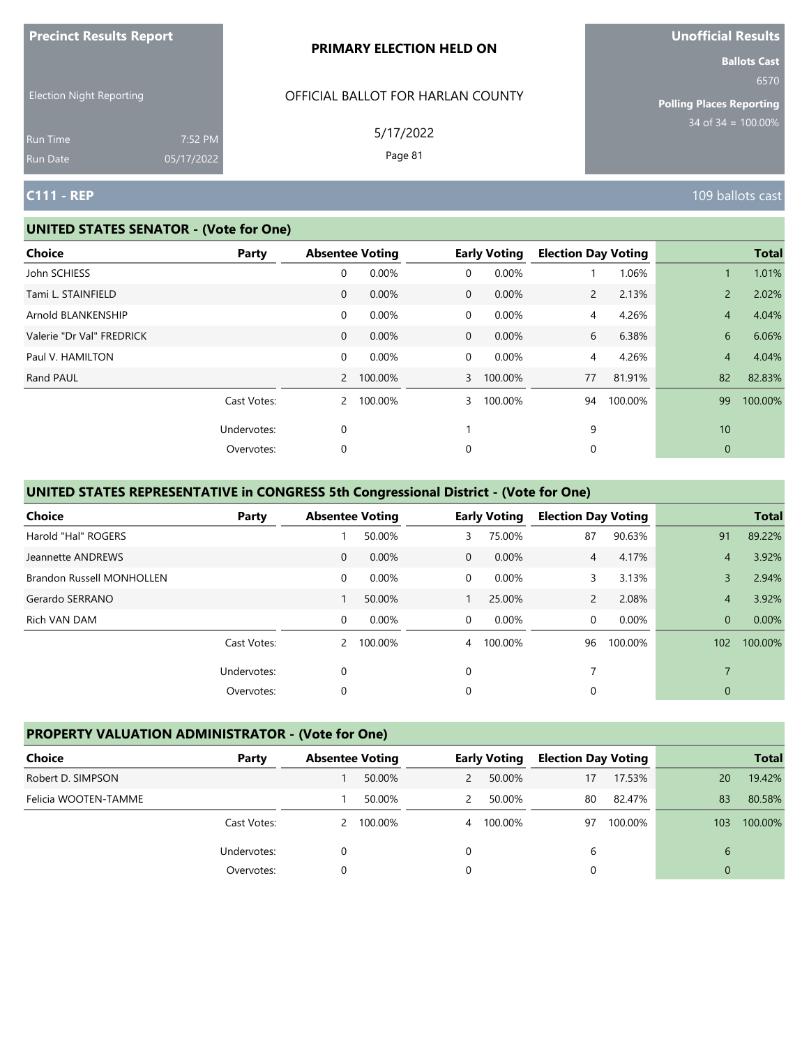|                                 |                       | PRIMARY ELECTION HELD ON          | <b>Ballots Cast</b>                                             |
|---------------------------------|-----------------------|-----------------------------------|-----------------------------------------------------------------|
| <b>Election Night Reporting</b> |                       | OFFICIAL BALLOT FOR HARLAN COUNTY | 6570<br><b>Polling Places Reporting</b><br>$34$ of 34 = 100.00% |
| <b>Run Time</b><br>Run Date     | 7:52 PM<br>05/17/2022 | 5/17/2022<br>Page 81              |                                                                 |
| <b>C111 - REP</b>               |                       |                                   | 109 ballots cast                                                |

#### **UNITED STATES SENATOR - (Vote for One)**

**Precinct Results Report**

| <b>Choice</b>             | Party       | <b>Absentee Voting</b> |           |                | <b>Early Voting</b> | <b>Election Day Voting</b> |         |                | <b>Total</b> |
|---------------------------|-------------|------------------------|-----------|----------------|---------------------|----------------------------|---------|----------------|--------------|
| John SCHIESS              |             | 0                      | 0.00%     | $\mathbf 0$    | 0.00%               |                            | 1.06%   |                | 1.01%        |
| Tami L. STAINFIELD        |             | $\mathbf 0$            | 0.00%     | $\Omega$       | 0.00%               | $\overline{2}$             | 2.13%   | $\overline{2}$ | 2.02%        |
| Arnold BLANKENSHIP        |             | 0                      | 0.00%     | $\mathbf 0$    | 0.00%               | 4                          | 4.26%   | $\overline{4}$ | 4.04%        |
| Valerie "Dr Val" FREDRICK |             | $\mathbf{0}$           | 0.00%     | $\Omega$       | 0.00%               | 6                          | 6.38%   | 6              | 6.06%        |
| Paul V. HAMILTON          |             | 0                      | 0.00%     | $\mathbf 0$    | 0.00%               | 4                          | 4.26%   | $\overline{4}$ | 4.04%        |
| Rand PAUL                 |             |                        | 2 100.00% | $\overline{3}$ | 100.00%             | 77                         | 81.91%  | 82             | 82.83%       |
|                           | Cast Votes: | $2^{\circ}$            | 100.00%   | 3              | 100.00%             | 94                         | 100.00% | 99             | 100.00%      |
|                           | Undervotes: | $\mathbf 0$            |           |                |                     | 9                          |         | 10             |              |
|                           | Overvotes:  | 0                      |           | 0              |                     | 0                          |         | 0              |              |
|                           |             |                        |           |                |                     |                            |         |                |              |

# **UNITED STATES REPRESENTATIVE in CONGRESS 5th Congressional District - (Vote for One)**

| <b>Choice</b>             | Party       | <b>Absentee Voting</b> |         |                | <b>Early Voting</b> | <b>Election Day Voting</b> |         |                | <b>Total</b> |
|---------------------------|-------------|------------------------|---------|----------------|---------------------|----------------------------|---------|----------------|--------------|
| Harold "Hal" ROGERS       |             |                        | 50.00%  | 3              | 75.00%              | 87                         | 90.63%  | 91             | 89.22%       |
| Jeannette ANDREWS         |             | $\mathbf{0}$           | 0.00%   | $\mathbf 0$    | 0.00%               | $\overline{4}$             | 4.17%   | $\overline{4}$ | 3.92%        |
| Brandon Russell MONHOLLEN |             | $\mathbf 0$            | 0.00%   | $\overline{0}$ | 0.00%               | 3                          | 3.13%   | 3              | 2.94%        |
| Gerardo SERRANO           |             |                        | 50.00%  |                | 25.00%              | $\overline{2}$             | 2.08%   | $\overline{4}$ | 3.92%        |
| Rich VAN DAM              |             | $\Omega$               | 0.00%   | $\Omega$       | 0.00%               | $\Omega$                   | 0.00%   | $\Omega$       | $0.00\%$     |
|                           | Cast Votes: | $\mathcal{P}$          | 100.00% | $\overline{4}$ | 100.00%             | 96                         | 100.00% | 102            | 100.00%      |
|                           | Undervotes: | 0                      |         | $\Omega$       |                     |                            |         |                |              |
|                           | Overvotes:  | 0                      |         | 0              |                     | 0                          |         | $\mathbf{0}$   |              |

# **PROPERTY VALUATION ADMINISTRATOR - (Vote for One)**

| Choice               | Party       | <b>Absentee Voting</b> |         |   | <b>Early Voting</b> | <b>Election Day Voting</b> |         |     | <b>Total</b> |
|----------------------|-------------|------------------------|---------|---|---------------------|----------------------------|---------|-----|--------------|
| Robert D. SIMPSON    |             |                        | 50.00%  | 2 | 50.00%              | 17                         | 17.53%  | 20  | 19.42%       |
| Felicia WOOTEN-TAMME |             |                        | 50.00%  |   | 50.00%              | 80                         | 82.47%  | 83  | 80.58%       |
|                      | Cast Votes: | 2                      | 100.00% | 4 | 100.00%             | 97                         | 100.00% | 103 | 100.00%      |
|                      | Undervotes: |                        |         |   |                     | 6                          |         | 6   |              |
|                      | Overvotes:  |                        |         |   |                     |                            |         | 0   |              |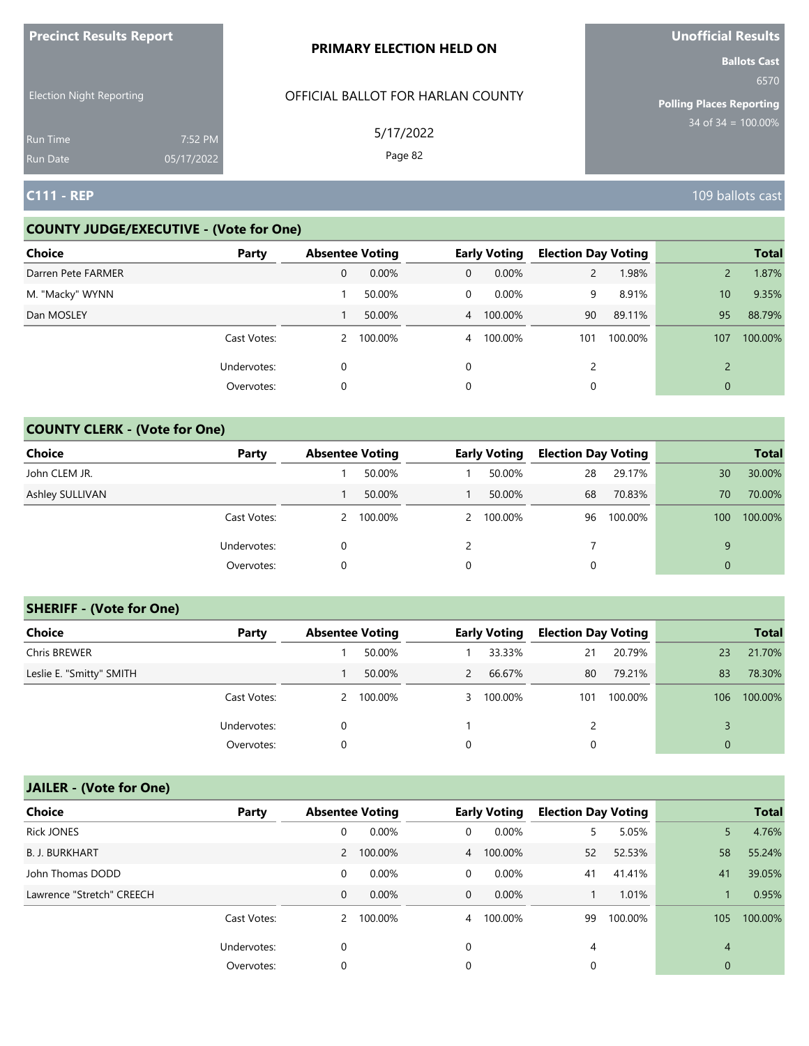| $\blacksquare$                     |                       | <b>PRIMARY ELECTION HELD ON</b>   | <b>PHOTICIAL INCOULD</b><br><b>Ballots Cast</b> |
|------------------------------------|-----------------------|-----------------------------------|-------------------------------------------------|
| <b>Election Night Reporting</b>    |                       | OFFICIAL BALLOT FOR HARLAN COUNTY | 6570<br><b>Polling Places Reporting</b>         |
| <b>Run Time</b><br><b>Run Date</b> | 7:52 PM<br>05/17/2022 | 5/17/2022<br>Page 82              | $34$ of 34 = $100.00\%$                         |
| $C111 - REP$                       |                       |                                   | 109 ballots cast                                |

## **COUNTY JUDGE/EXECUTIVE - (Vote for One)**

**Precinct Results Report**

| <b>Choice</b>      | Party       | <b>Absentee Voting</b> |         |                | <b>Early Voting</b> | <b>Election Day Voting</b> |         |               | <b>Total</b> |
|--------------------|-------------|------------------------|---------|----------------|---------------------|----------------------------|---------|---------------|--------------|
| Darren Pete FARMER |             | 0                      | 0.00%   | $\mathbf{0}$   | 0.00%               | $\overline{2}$             | 1.98%   |               | 1.87%        |
| M. "Macky" WYNN    |             |                        | 50.00%  | 0              | $0.00\%$            | 9                          | 8.91%   | 10            | 9.35%        |
| Dan MOSLEY         |             |                        | 50.00%  |                | 4 100.00%           | 90                         | 89.11%  | 95            | 88.79%       |
|                    | Cast Votes: | $\mathbf{2}$           | 100.00% | $\overline{4}$ | 100.00%             | 101                        | 100.00% | 107           | 100.00%      |
|                    | Undervotes: | 0                      |         | $\Omega$       |                     | C                          |         | $\mathcal{D}$ |              |
|                    | Overvotes:  | 0                      |         | 0              |                     |                            |         | $\mathbf{0}$  |              |

# **COUNTY CLERK - (Vote for One)**

| Choice          | Party       | <b>Absentee Voting</b> |         |   | <b>Early Voting</b> | <b>Election Day Voting</b> |         |          | <b>Total</b> |
|-----------------|-------------|------------------------|---------|---|---------------------|----------------------------|---------|----------|--------------|
| John CLEM JR.   |             |                        | 50.00%  |   | 50.00%              | 28                         | 29.17%  | 30       | 30.00%       |
| Ashley SULLIVAN |             |                        | 50.00%  |   | 50.00%              | 68                         | 70.83%  | 70       | 70.00%       |
|                 | Cast Votes: | 2                      | 100.00% |   | 2 100.00%           | 96                         | 100.00% | 100      | 100.00%      |
|                 | Undervotes: |                        |         | ົ |                     |                            |         | 9        |              |
|                 | Overvotes:  | 0                      |         | 0 |                     |                            |         | $\Omega$ |              |

## **SHERIFF - (Vote for One)**

| <b>Choice</b>            | Party       | <b>Absentee Voting</b> |           |               | <b>Early Voting</b> | <b>Election Day Voting</b> |         |              | <b>Total</b> |
|--------------------------|-------------|------------------------|-----------|---------------|---------------------|----------------------------|---------|--------------|--------------|
| Chris BREWER             |             |                        | 50.00%    |               | 33.33%              | 21                         | 20.79%  | 23           | 21.70%       |
| Leslie E. "Smitty" SMITH |             |                        | 50.00%    | $\mathcal{P}$ | 66.67%              | 80                         | 79.21%  | 83           | 78.30%       |
|                          | Cast Votes: |                        | 2 100.00% |               | 3 100.00%           | 101                        | 100.00% | 106          | 100.00%      |
|                          | Undervotes: | $\Omega$               |           |               |                     |                            |         |              |              |
|                          | Overvotes:  | 0                      |           |               |                     | 0                          |         | $\mathbf{0}$ |              |

| <b>Choice</b>             | Party       | <b>Absentee Voting</b> |           |                | <b>Early Voting</b> | <b>Election Day Voting</b> |         |             | <b>Total</b> |
|---------------------------|-------------|------------------------|-----------|----------------|---------------------|----------------------------|---------|-------------|--------------|
| <b>Rick JONES</b>         |             | 0                      | 0.00%     | 0              | 0.00%               | 5.                         | 5.05%   | 5.          | 4.76%        |
| <b>B. J. BURKHART</b>     |             |                        | 2 100.00% |                | 4 100.00%           | 52                         | 52.53%  | 58          | 55.24%       |
| John Thomas DODD          |             | 0                      | 0.00%     | 0              | 0.00%               | 41                         | 41.41%  | 41          | 39.05%       |
| Lawrence "Stretch" CREECH |             | $\mathbf 0$            | $0.00\%$  | $\mathbf{0}$   | $0.00\%$            |                            | 1.01%   |             | 0.95%        |
|                           | Cast Votes: | 2                      | 100.00%   | $\overline{4}$ | 100.00%             | 99                         | 100.00% | 105         | 100.00%      |
|                           | Undervotes: | 0                      |           | 0              |                     | 4                          |         | 4           |              |
|                           | Overvotes:  | 0                      |           | 0              |                     | 0                          |         | $\mathbf 0$ |              |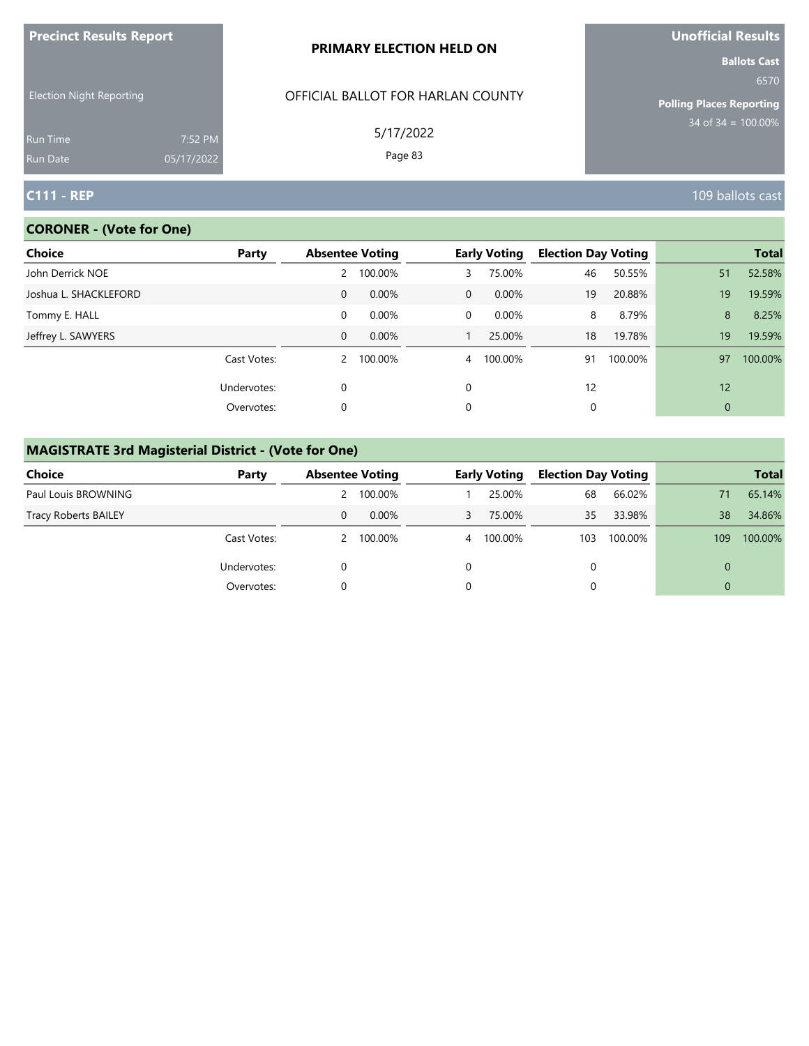| <b>Precinct Results Report</b>     |                       | <b>PRIMARY ELECTION HELD ON</b>   | Unofficial Results                                             |
|------------------------------------|-----------------------|-----------------------------------|----------------------------------------------------------------|
| <b>Election Night Reporting</b>    |                       | OFFICIAL BALLOT FOR HARLAN COUNTY | <b>Ballots Cast</b><br>6570<br><b>Polling Places Reporting</b> |
| <b>Run Time</b><br><b>Run Date</b> | 7:52 PM<br>05/17/2022 | 5/17/2022<br>Page 83              | $34$ of $34 = 100.00\%$                                        |
| <b>C111 - REP</b>                  |                       |                                   | 109 ballots cast                                               |

# **CORONER - (Vote for One)**

| Choice<br>Party       |              | <b>Absentee Voting</b> |                | <b>Early Voting</b> | <b>Election Day Voting</b> |         |    | <b>Total</b> |
|-----------------------|--------------|------------------------|----------------|---------------------|----------------------------|---------|----|--------------|
| John Derrick NOE      | 2            | 100.00%                | 3.             | 75.00%              | 46                         | 50.55%  | 51 | 52.58%       |
| Joshua L. SHACKLEFORD | $\mathbf{0}$ | 0.00%                  | $\mathbf 0$    | 0.00%               | 19                         | 20.88%  | 19 | 19.59%       |
| Tommy E. HALL         | 0            | 0.00%                  | 0              | 0.00%               | 8                          | 8.79%   | 8  | 8.25%        |
| Jeffrey L. SAWYERS    | $\mathbf{0}$ | 0.00%                  |                | 25.00%              | 18                         | 19.78%  | 19 | 19.59%       |
| Cast Votes:           |              | 2 100.00%              | $\overline{4}$ | 100.00%             | 91                         | 100.00% | 97 | 100.00%      |
| Undervotes:           | $\Omega$     |                        | $\Omega$       |                     | 12                         |         | 12 |              |
| Overvotes:            | 0            |                        | 0              |                     | 0                          |         | 0  |              |

# **MAGISTRATE 3rd Magisterial District - (Vote for One)**

| <b>Choice</b>               | Party       |   | <b>Absentee Voting</b> |   | <b>Early Voting</b> | <b>Election Day Voting</b> |         |          | <b>Total</b> |
|-----------------------------|-------------|---|------------------------|---|---------------------|----------------------------|---------|----------|--------------|
| Paul Louis BROWNING         |             |   | 2 100.00%              |   | 25.00%              | 68                         | 66.02%  | 71       | 65.14%       |
| <b>Tracy Roberts BAILEY</b> |             | 0 | $0.00\%$               | 3 | 75.00%              | 35                         | 33.98%  | 38       | 34.86%       |
|                             | Cast Votes: |   | 2 100.00%              | 4 | 100.00%             | 103                        | 100.00% | 109      | 100.00%      |
|                             | Undervotes: |   |                        |   |                     |                            |         | $\Omega$ |              |
|                             | Overvotes:  |   |                        |   |                     |                            |         | $\Omega$ |              |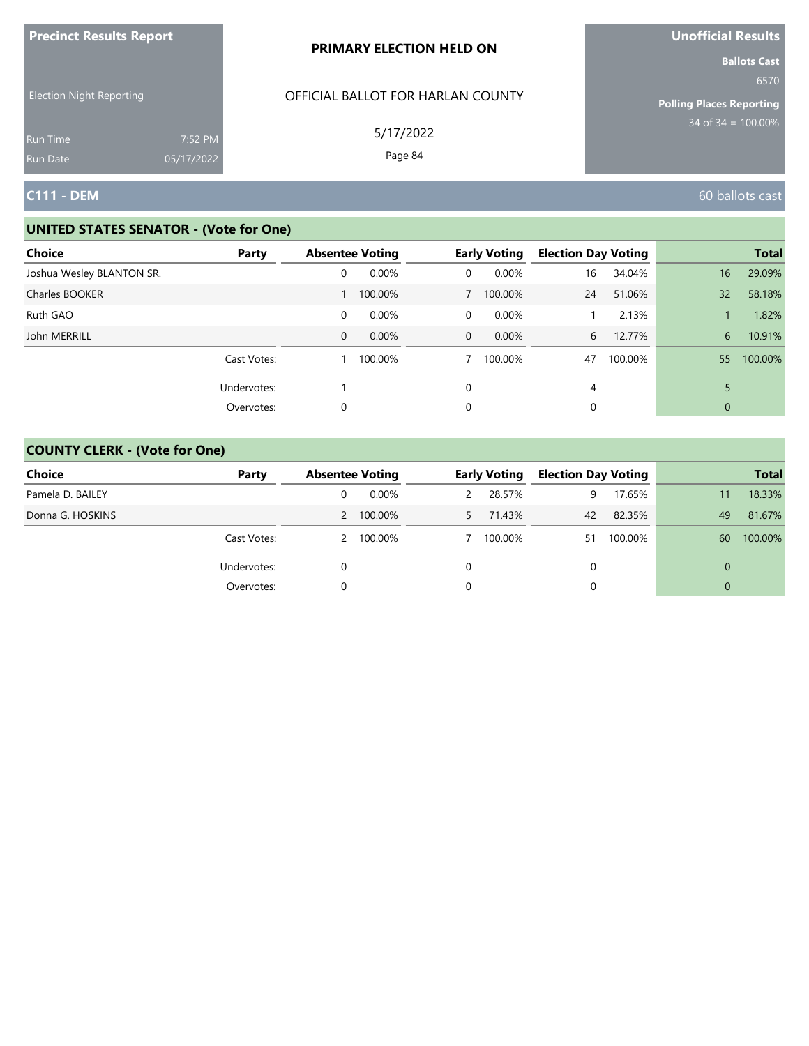| <b>Precinct Results Report</b>                     |            | PRIMARY ELECTION HELD ON                       | <b>Unofficial Results</b>                                                                 |
|----------------------------------------------------|------------|------------------------------------------------|-------------------------------------------------------------------------------------------|
| <b>Election Night Reporting</b><br><b>Run Time</b> | 7:52 PM    | OFFICIAL BALLOT FOR HARLAN COUNTY<br>5/17/2022 | <b>Ballots Cast</b><br>6570<br><b>Polling Places Reporting</b><br>$34$ of $34 = 100.00\%$ |
| <b>Run Date</b>                                    | 05/17/2022 | Page 84                                        |                                                                                           |
| <b>C111 - DEM</b>                                  |            |                                                | 60 ballots cast                                                                           |

| <b>Choice</b>             | Party       | <b>Absentee Voting</b> |          |             | <b>Early Voting</b> | <b>Election Day Voting</b> |         |    | <b>Total</b> |
|---------------------------|-------------|------------------------|----------|-------------|---------------------|----------------------------|---------|----|--------------|
| Joshua Wesley BLANTON SR. |             | 0                      | $0.00\%$ | 0           | 0.00%               | 16                         | 34.04%  | 16 | 29.09%       |
| Charles BOOKER            |             |                        | 100.00%  |             | 100.00%             | 24                         | 51.06%  | 32 | 58.18%       |
| Ruth GAO                  |             | 0                      | 0.00%    | 0           | 0.00%               |                            | 2.13%   |    | 1.82%        |
| John MERRILL              |             | 0                      | 0.00%    | $\mathbf 0$ | $0.00\%$            | 6                          | 12.77%  | 6  | 10.91%       |
|                           | Cast Votes: |                        | 100.00%  |             | 100.00%             | 47                         | 100.00% | 55 | 100.00%      |
|                           | Undervotes: |                        |          | 0           |                     | 4                          |         | 5  |              |
|                           | Overvotes:  | 0                      |          | 0           |                     |                            |         | 0  |              |

| <b>Choice</b>    | Party       | <b>Absentee Voting</b> |           |    | <b>Early Voting</b> | <b>Election Day Voting</b> |         |          | <b>Total</b> |
|------------------|-------------|------------------------|-----------|----|---------------------|----------------------------|---------|----------|--------------|
| Pamela D. BAILEY |             |                        | $0.00\%$  |    | 28.57%              | 9                          | 17.65%  | 11       | 18.33%       |
| Donna G. HOSKINS |             |                        | 2 100.00% | 5. | 71.43%              | 42                         | 82.35%  | 49       | 81.67%       |
|                  | Cast Votes: |                        | 2 100.00% |    | 100.00%             | 51                         | 100.00% | 60       | 100.00%      |
|                  | Undervotes: |                        |           |    |                     |                            |         | $\Omega$ |              |
|                  | Overvotes:  |                        |           |    |                     |                            |         | $\Omega$ |              |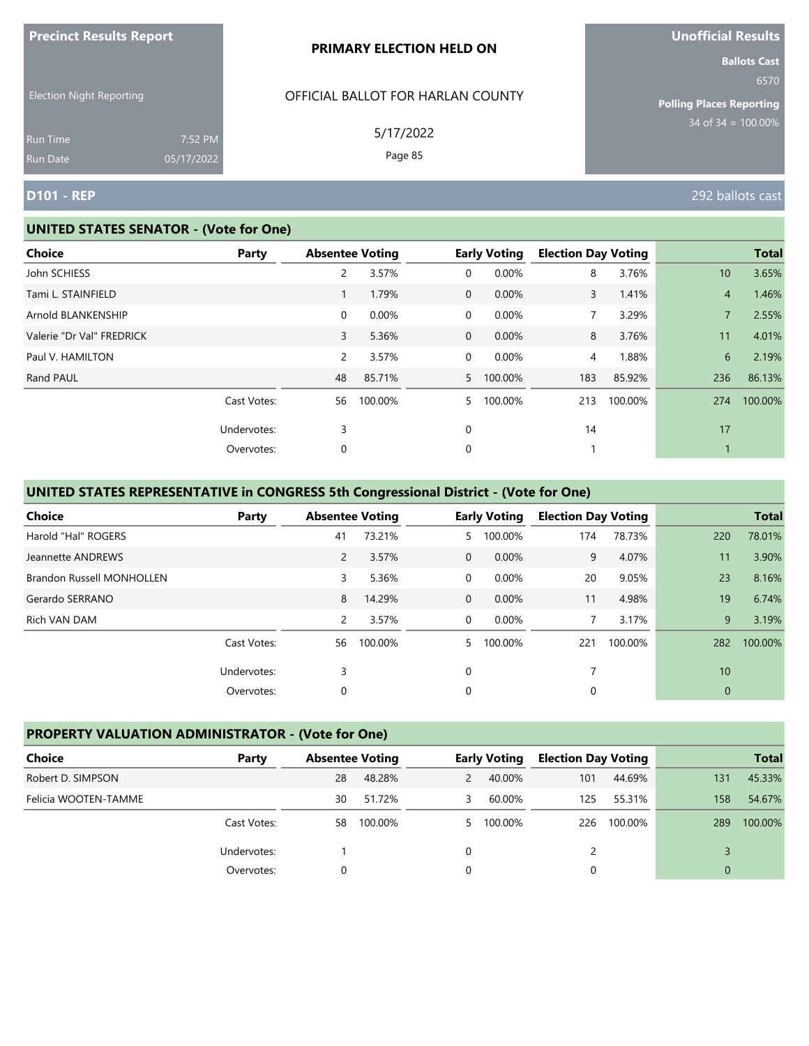|                                 |                       | PRIMARY ELECTION HELD ON          | <b>Ballots Cast</b>                     |
|---------------------------------|-----------------------|-----------------------------------|-----------------------------------------|
| <b>Election Night Reporting</b> |                       | OFFICIAL BALLOT FOR HARLAN COUNTY | 6570<br><b>Polling Places Reporting</b> |
| Run Time<br>Run Date            | 7:52 PM<br>05/17/2022 | 5/17/2022<br>Page 85              | $34$ of $34 = 100.00\%$                 |
| <b>D101 - REP</b>               |                       |                                   | 292 ballots cast                        |

#### **UNITED STATES SENATOR - (Vote for One)**

**Precinct Results Report**

| <b>Choice</b>             | <b>Party</b> | <b>Absentee Voting</b> |         |                | <b>Early Voting</b> | <b>Election Day Voting</b> |         |                | <b>Total</b> |
|---------------------------|--------------|------------------------|---------|----------------|---------------------|----------------------------|---------|----------------|--------------|
| John SCHIESS              |              | 2                      | 3.57%   | 0              | 0.00%               | 8                          | 3.76%   | 10             | 3.65%        |
| Tami L. STAINFIELD        |              |                        | 1.79%   | $\overline{0}$ | 0.00%               | 3                          | 1.41%   | $\overline{4}$ | 1.46%        |
| Arnold BLANKENSHIP        |              | $\overline{0}$         | 0.00%   | 0              | 0.00%               | $\overline{7}$             | 3.29%   |                | 2.55%        |
| Valerie "Dr Val" FREDRICK |              | 3                      | 5.36%   | $\overline{0}$ | 0.00%               | 8                          | 3.76%   | 11             | 4.01%        |
| Paul V. HAMILTON          |              | $\overline{2}$         | 3.57%   | $\mathbf 0$    | 0.00%               | 4                          | 1.88%   | 6              | 2.19%        |
| Rand PAUL                 |              | 48                     | 85.71%  | 5              | 100.00%             | 183                        | 85.92%  | 236            | 86.13%       |
|                           | Cast Votes:  | 56                     | 100.00% | 5.             | 100.00%             | 213                        | 100.00% | 274            | 100.00%      |
|                           | Undervotes:  | 3                      |         | 0              |                     | 14                         |         | 17             |              |
|                           | Overvotes:   | 0                      |         | 0              |                     |                            |         |                |              |

# **UNITED STATES REPRESENTATIVE in CONGRESS 5th Congressional District - (Vote for One)**

| <b>Choice</b>                    | Party       | <b>Absentee Voting</b> |         |                | <b>Early Voting</b> | <b>Election Day Voting</b> |         |             | <b>Total</b> |
|----------------------------------|-------------|------------------------|---------|----------------|---------------------|----------------------------|---------|-------------|--------------|
| Harold "Hal" ROGERS              |             | 41                     | 73.21%  | 5.             | 100.00%             | 174                        | 78.73%  | 220         | 78.01%       |
| Jeannette ANDREWS                |             | 2                      | 3.57%   | $\overline{0}$ | 0.00%               | 9                          | 4.07%   | 11          | 3.90%        |
| <b>Brandon Russell MONHOLLEN</b> |             | 3                      | 5.36%   | 0              | 0.00%               | 20                         | 9.05%   | 23          | 8.16%        |
| Gerardo SERRANO                  |             | 8                      | 14.29%  | $\mathbf 0$    | 0.00%               | 11                         | 4.98%   | 19          | 6.74%        |
| Rich VAN DAM                     |             | 2                      | 3.57%   | $\mathbf 0$    | $0.00\%$            |                            | 3.17%   | 9           | 3.19%        |
|                                  | Cast Votes: | 56                     | 100.00% | 5.             | 100.00%             | 221                        | 100.00% | 282         | 100.00%      |
|                                  | Undervotes: | 3                      |         | $\Omega$       |                     |                            |         | 10          |              |
|                                  | Overvotes:  | 0                      |         | 0              |                     | 0                          |         | $\mathbf 0$ |              |

# **PROPERTY VALUATION ADMINISTRATOR - (Vote for One)**

| Choice               | Party       |    | <b>Absentee Voting</b> |               | <b>Early Voting</b> |     | <b>Election Day Voting</b> |          | <b>Total</b> |
|----------------------|-------------|----|------------------------|---------------|---------------------|-----|----------------------------|----------|--------------|
| Robert D. SIMPSON    |             | 28 | 48.28%                 | $\mathcal{P}$ | 40.00%              | 101 | 44.69%                     | 131      | 45.33%       |
| Felicia WOOTEN-TAMME |             | 30 | 51.72%                 | 3             | 60.00%              | 125 | 55.31%                     | 158      | 54.67%       |
|                      | Cast Votes: | 58 | 100.00%                |               | 5 100.00%           | 226 | 100.00%                    | 289      | 100.00%      |
|                      | Undervotes: |    |                        |               |                     |     |                            |          |              |
|                      | Overvotes:  |    |                        |               |                     |     |                            | $\Omega$ |              |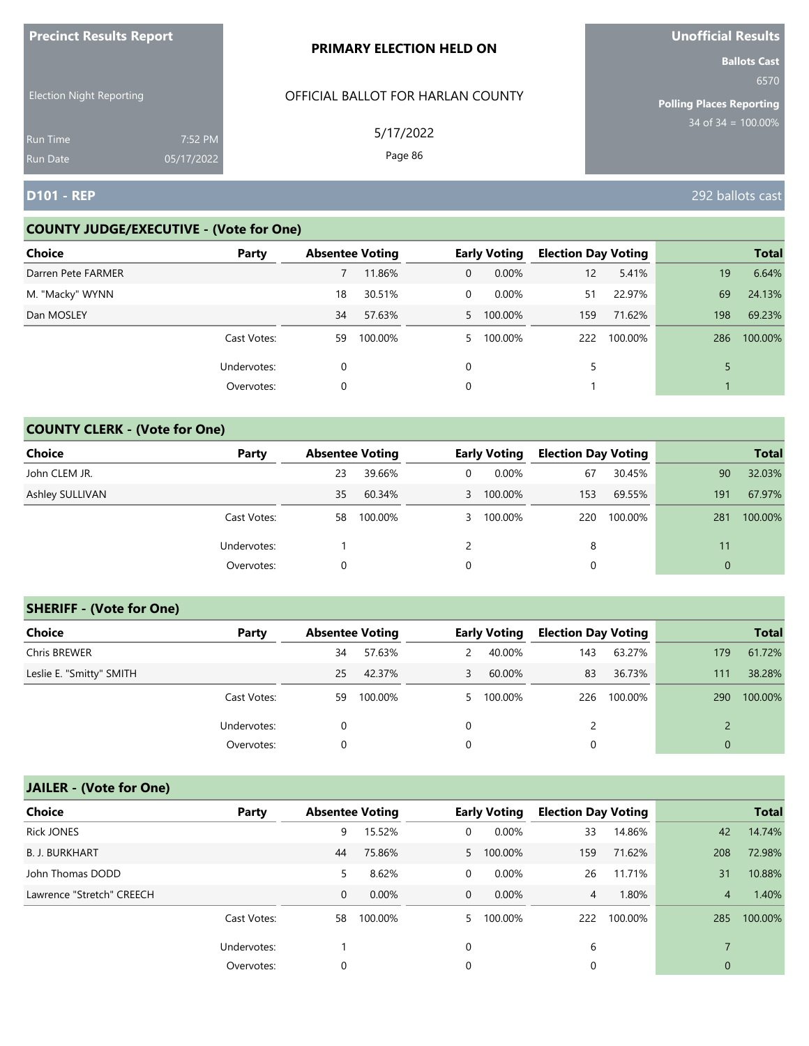| <b>FIGUILLE RESULTS REPUIL</b>     |                       | <b>PRIMARY ELECTION HELD ON</b>   | <b>VIIVIIILIAI NESUILS</b><br><b>Ballots Cast</b> |
|------------------------------------|-----------------------|-----------------------------------|---------------------------------------------------|
| <b>Election Night Reporting</b>    |                       | OFFICIAL BALLOT FOR HARLAN COUNTY | 6570<br><b>Polling Places Reporting</b>           |
| <b>Run Time</b><br><b>Run Date</b> | 7:52 PM<br>05/17/2022 | 5/17/2022<br>Page 86              | $34$ of 34 = $100.00\%$                           |
| <b>D101 - REP</b>                  |                       |                                   | 292 ballots cast                                  |

## **COUNTY JUDGE/EXECUTIVE - (Vote for One)**

**Precinct Results Report**

| <b>Choice</b>      | Party       | <b>Absentee Voting</b> |         |              | <b>Early Voting</b> | <b>Election Day Voting</b> |         |     | <b>Total</b> |
|--------------------|-------------|------------------------|---------|--------------|---------------------|----------------------------|---------|-----|--------------|
| Darren Pete FARMER |             |                        | 11.86%  | $\mathbf{0}$ | $0.00\%$            | 12                         | 5.41%   | 19  | 6.64%        |
| M. "Macky" WYNN    |             | 18                     | 30.51%  | $\Omega$     | 0.00%               | 51                         | 22.97%  | 69  | 24.13%       |
| Dan MOSLEY         |             | 34                     | 57.63%  |              | 5 100.00%           | 159                        | 71.62%  | 198 | 69.23%       |
|                    | Cast Votes: | 59                     | 100.00% |              | 5 100.00%           | 222                        | 100.00% | 286 | 100.00%      |
|                    | Undervotes: | 0                      |         | $\Omega$     |                     | 5                          |         |     |              |
|                    | Overvotes:  | 0                      |         | 0            |                     |                            |         |     |              |

# **COUNTY CLERK - (Vote for One)**

| Choice          | Party       | <b>Absentee Voting</b> |         |   | <b>Early Voting</b> | <b>Election Day Voting</b> |         |          | <b>Total</b> |
|-----------------|-------------|------------------------|---------|---|---------------------|----------------------------|---------|----------|--------------|
| John CLEM JR.   |             | 23                     | 39.66%  | 0 | $0.00\%$            | 67                         | 30.45%  | 90       | 32.03%       |
| Ashley SULLIVAN |             | 35                     | 60.34%  |   | 3 100.00%           | 153                        | 69.55%  | 191      | 67.97%       |
|                 | Cast Votes: | 58                     | 100.00% | 3 | 100.00%             | 220                        | 100.00% | 281      | 100.00%      |
|                 | Undervotes: |                        |         |   |                     | 8                          |         | 11       |              |
|                 | Overvotes:  | 0                      |         | 0 |                     | 0                          |         | $\Omega$ |              |

## **SHERIFF - (Vote for One)**

| <b>Choice</b>            | Party       |    | <b>Absentee Voting</b> |               | <b>Early Voting</b> | <b>Election Day Voting</b> |         |              | <b>Total</b> |
|--------------------------|-------------|----|------------------------|---------------|---------------------|----------------------------|---------|--------------|--------------|
| Chris BREWER             |             | 34 | 57.63%                 | $\mathcal{P}$ | 40.00%              | 143                        | 63.27%  | 179          | 61.72%       |
| Leslie E. "Smitty" SMITH |             | 25 | 42.37%                 | 3             | 60.00%              | 83                         | 36.73%  | 111          | 38.28%       |
|                          | Cast Votes: | 59 | 100.00%                |               | 5 100.00%           | 226                        | 100.00% | 290          | 100.00%      |
|                          | Undervotes: | 0  |                        | $\Omega$      |                     |                            |         |              |              |
|                          | Overvotes:  | 0  |                        |               |                     | 0                          |         | $\mathbf{0}$ |              |

| <b>Choice</b>             | Party       | <b>Absentee Voting</b> |          |              | <b>Early Voting</b> | <b>Election Day Voting</b> |         |             | <b>Total</b> |
|---------------------------|-------------|------------------------|----------|--------------|---------------------|----------------------------|---------|-------------|--------------|
| <b>Rick JONES</b>         |             | 9                      | 15.52%   | 0            | 0.00%               | 33                         | 14.86%  | 42          | 14.74%       |
| <b>B. J. BURKHART</b>     |             | 44                     | 75.86%   |              | 5 100.00%           | 159                        | 71.62%  | 208         | 72.98%       |
| John Thomas DODD          |             | 5                      | 8.62%    | 0            | 0.00%               | 26                         | 11.71%  | 31          | 10.88%       |
| Lawrence "Stretch" CREECH |             | $\mathbf 0$            | $0.00\%$ | $\mathbf{0}$ | $0.00\%$            | 4                          | 1.80%   | 4           | 1.40%        |
|                           | Cast Votes: | 58                     | 100.00%  | 5.           | 100.00%             | 222                        | 100.00% | 285         | 100.00%      |
|                           | Undervotes: |                        |          | 0            |                     | 6                          |         |             |              |
|                           | Overvotes:  | 0                      |          | 0            |                     | 0                          |         | $\mathbf 0$ |              |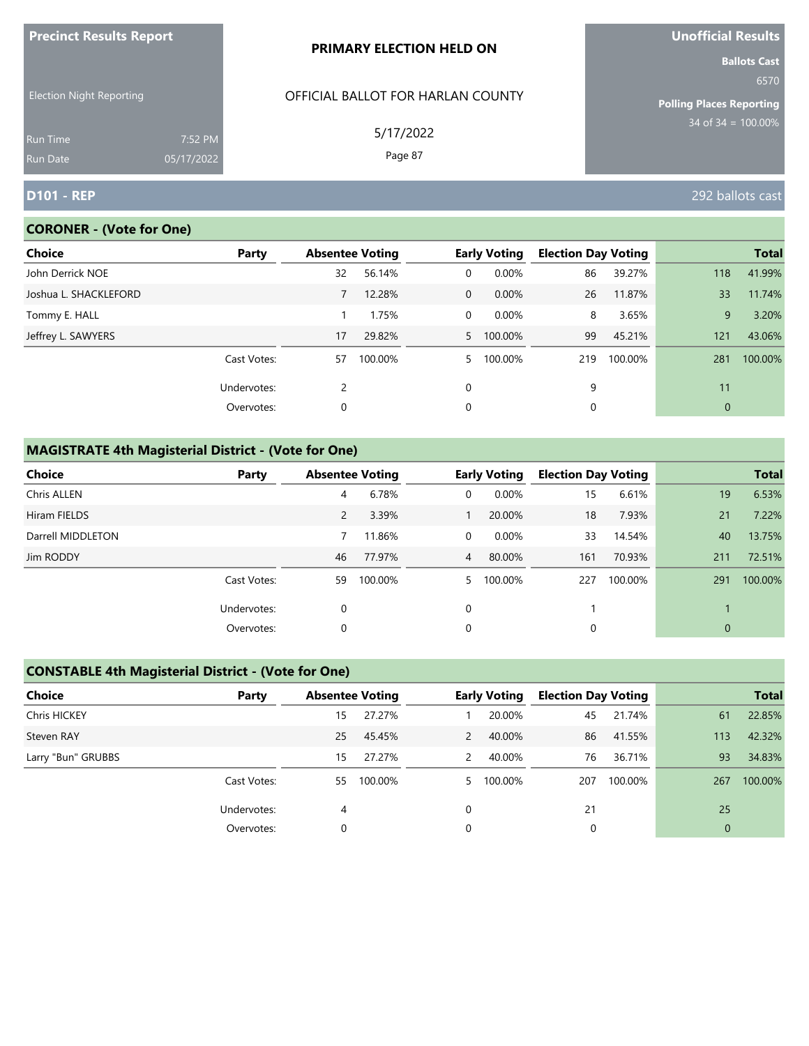| <b>FIGUILL RESULS REPULL</b>       |                       | <b>PRIMARY ELECTION HELD ON</b>   | <u>UNUMBER NESULS</u><br><b>Ballots Cast</b> |
|------------------------------------|-----------------------|-----------------------------------|----------------------------------------------|
| <b>Election Night Reporting</b>    |                       | OFFICIAL BALLOT FOR HARLAN COUNTY | 6570<br><b>Polling Places Reporting</b>      |
| <b>Run Time</b><br><b>Run Date</b> | 7:52 PM<br>05/17/2022 | 5/17/2022<br>Page 87              | $34$ of 34 = 100.00%                         |
| <b>D101 - REP</b>                  |                       |                                   | 292 ballots cast                             |

# **CORONER - (Vote for One)**

**Precinct Results Report**

| Choice                | Party       | <b>Absentee Voting</b> |         |                | <b>Early Voting</b> | <b>Election Day Voting</b> |         |     | <b>Total</b> |
|-----------------------|-------------|------------------------|---------|----------------|---------------------|----------------------------|---------|-----|--------------|
| John Derrick NOE      |             | 32                     | 56.14%  | 0              | 0.00%               | 86                         | 39.27%  | 118 | 41.99%       |
| Joshua L. SHACKLEFORD |             |                        | 12.28%  | $\overline{0}$ | 0.00%               | 26                         | 11.87%  | 33  | 11.74%       |
| Tommy E. HALL         |             |                        | 1.75%   | $\Omega$       | 0.00%               | 8                          | 3.65%   | 9   | 3.20%        |
| Jeffrey L. SAWYERS    |             | 17                     | 29.82%  |                | 5 100.00%           | 99                         | 45.21%  | 121 | 43.06%       |
|                       | Cast Votes: | 57                     | 100.00% | 5.             | 100.00%             | 219                        | 100.00% | 281 | 100.00%      |
|                       | Undervotes: | 2                      |         | $\Omega$       |                     | 9                          |         | 11  |              |
|                       | Overvotes:  | 0                      |         | 0              |                     | 0                          |         | 0   |              |

# **MAGISTRATE 4th Magisterial District - (Vote for One)**

| <b>Choice</b>     | Party       |    | <b>Absentee Voting</b> |                | <b>Early Voting</b> | <b>Election Day Voting</b> |         |                | <b>Total</b> |
|-------------------|-------------|----|------------------------|----------------|---------------------|----------------------------|---------|----------------|--------------|
| Chris ALLEN       |             | 4  | 6.78%                  | 0              | $0.00\%$            | 15                         | 6.61%   | 19             | 6.53%        |
| Hiram FIELDS      |             | 2  | 3.39%                  |                | 20.00%              | 18                         | 7.93%   | 21             | 7.22%        |
| Darrell MIDDLETON |             |    | 11.86%                 | $\Omega$       | $0.00\%$            | 33                         | 14.54%  | 40             | 13.75%       |
| Jim RODDY         |             | 46 | 77.97%                 | $\overline{4}$ | 80.00%              | 161                        | 70.93%  | 211            | 72.51%       |
|                   | Cast Votes: | 59 | 100.00%                | 5              | 100.00%             | 227                        | 100.00% | 291            | 100.00%      |
|                   | Undervotes: | 0  |                        | 0              |                     |                            |         |                |              |
|                   | Overvotes:  | 0  |                        | 0              |                     | 0                          |         | $\overline{0}$ |              |

# **CONSTABLE 4th Magisterial District - (Vote for One)**

| Choice              | Party       | <b>Absentee Voting</b> |         |   | <b>Early Voting</b> | <b>Election Day Voting</b> |         |              | <b>Total</b> |
|---------------------|-------------|------------------------|---------|---|---------------------|----------------------------|---------|--------------|--------------|
| <b>Chris HICKEY</b> |             | 15                     | 27.27%  |   | 20.00%              | 45                         | 21.74%  | 61           | 22.85%       |
| Steven RAY          |             | 25                     | 45.45%  | 2 | 40.00%              | 86                         | 41.55%  | 113          | 42.32%       |
| Larry "Bun" GRUBBS  |             | 15                     | 27.27%  | 2 | 40.00%              | 76                         | 36.71%  | 93           | 34.83%       |
|                     | Cast Votes: | 55                     | 100.00% |   | 5 100.00%           | 207                        | 100.00% | 267          | 100.00%      |
|                     | Undervotes: | 4                      |         |   |                     | 21                         |         | 25           |              |
|                     | Overvotes:  |                        |         |   |                     |                            |         | $\mathbf{0}$ |              |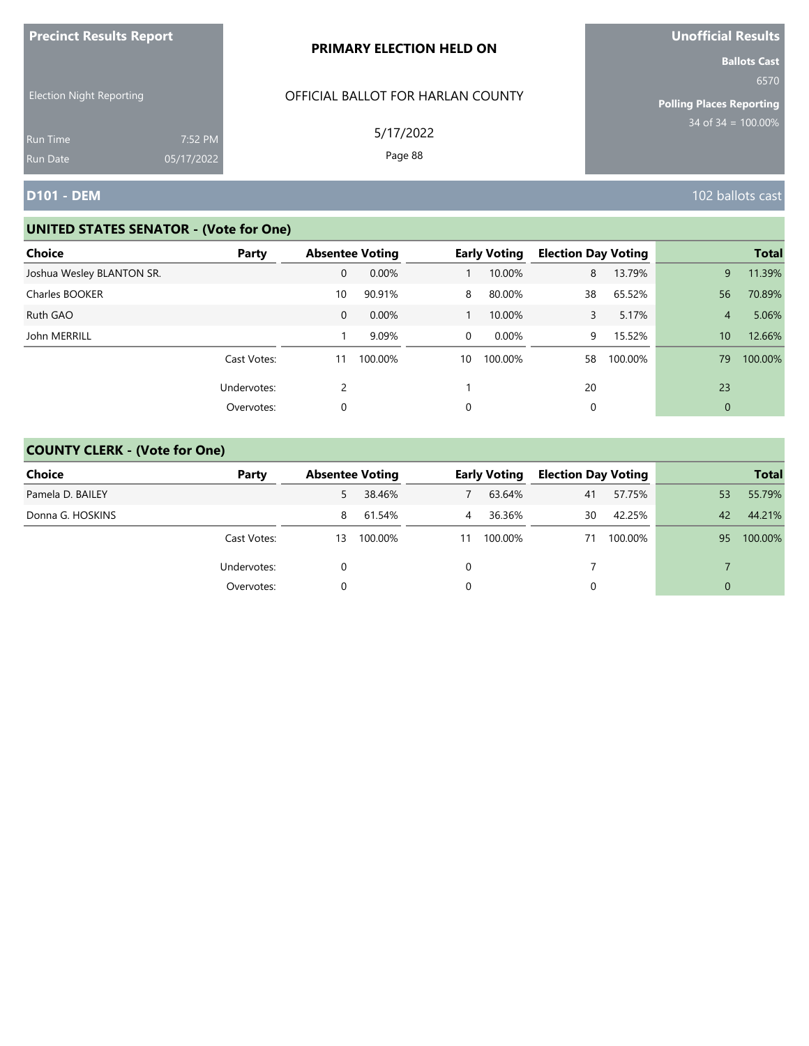| <b>Precinct Results Report</b>                     |            | PRIMARY ELECTION HELD ON                       | <b>Unofficial Results</b>                                                                 |
|----------------------------------------------------|------------|------------------------------------------------|-------------------------------------------------------------------------------------------|
| <b>Election Night Reporting</b><br><b>Run Time</b> | 7:52 PM    | OFFICIAL BALLOT FOR HARLAN COUNTY<br>5/17/2022 | <b>Ballots Cast</b><br>6570<br><b>Polling Places Reporting</b><br>$34$ of $34 = 100.00\%$ |
| <b>Run Date</b>                                    | 05/17/2022 | Page 88                                        |                                                                                           |
| <b>D101 - DEM</b>                                  |            |                                                | 102 ballots cast                                                                          |

| <b>Choice</b>             | Party       | <b>Absentee Voting</b> |         |    | <b>Early Voting</b> | <b>Election Day Voting</b> |         |                | <b>Total</b> |
|---------------------------|-------------|------------------------|---------|----|---------------------|----------------------------|---------|----------------|--------------|
| Joshua Wesley BLANTON SR. |             | 0                      | 0.00%   |    | 10.00%              | 8                          | 13.79%  | 9              | 11.39%       |
| Charles BOOKER            |             | 10                     | 90.91%  | 8  | 80.00%              | 38                         | 65.52%  | 56             | 70.89%       |
| Ruth GAO                  |             | $\mathbf 0$            | 0.00%   |    | 10.00%              | $\mathbf{3}$               | 5.17%   | $\overline{4}$ | 5.06%        |
| John MERRILL              |             |                        | 9.09%   | 0  | 0.00%               | 9                          | 15.52%  | 10             | 12.66%       |
|                           | Cast Votes: | 11                     | 100.00% | 10 | 100.00%             | 58                         | 100.00% | 79             | 100.00%      |
|                           | Undervotes: | 2                      |         |    |                     | 20                         |         | 23             |              |
|                           | Overvotes:  | 0                      |         | 0  |                     |                            |         | $\mathbf{0}$   |              |

| Choice           | Party       | <b>Absentee Voting</b> |         |    | <b>Early Voting</b> | <b>Election Day Voting</b> |         |          | <b>Total</b> |
|------------------|-------------|------------------------|---------|----|---------------------|----------------------------|---------|----------|--------------|
| Pamela D. BAILEY |             | 5                      | 38.46%  |    | 63.64%              | 41                         | 57.75%  | 53       | 55.79%       |
| Donna G. HOSKINS |             | 8                      | 61.54%  | 4  | 36.36%              | 30                         | 42.25%  | 42       | 44.21%       |
|                  | Cast Votes: | 13                     | 100.00% | 11 | 100.00%             | 71                         | 100.00% | 95       | 100.00%      |
|                  | Undervotes: |                        |         |    |                     |                            |         |          |              |
|                  | Overvotes:  |                        |         |    |                     | 0                          |         | $\Omega$ |              |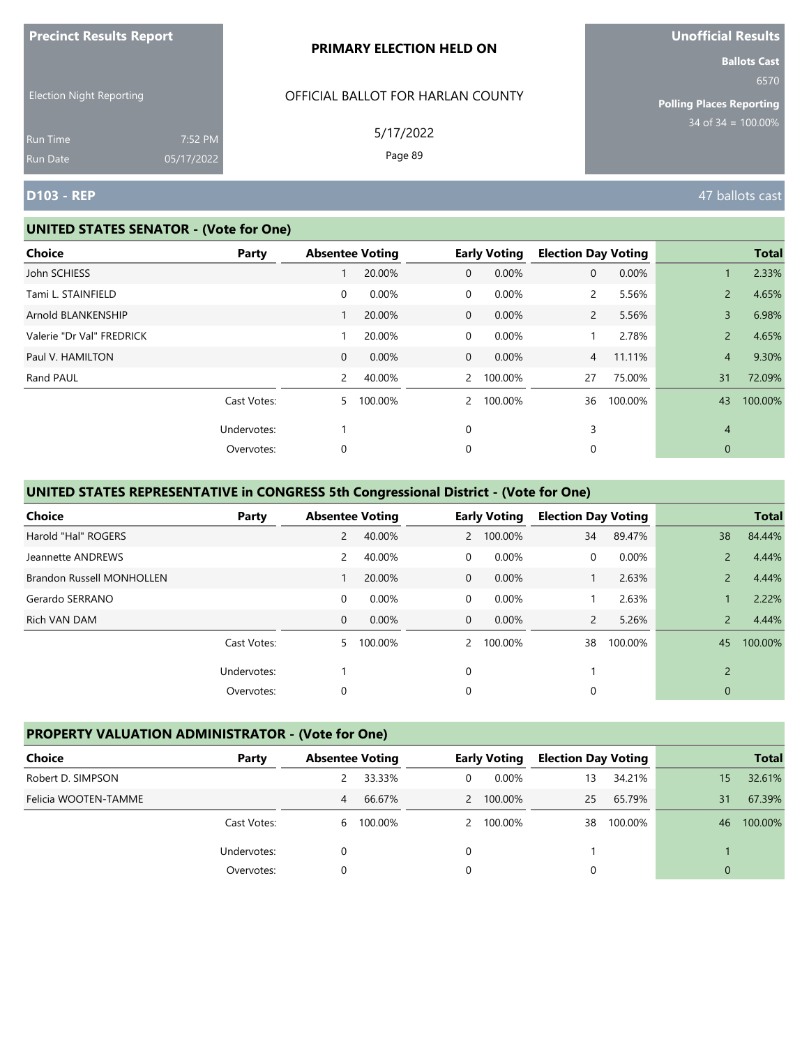| <b>Precinct Results Report</b>  |                       | PRIMARY ELECTION HELD ON          | <b>Unofficial Results</b>                                      |
|---------------------------------|-----------------------|-----------------------------------|----------------------------------------------------------------|
| <b>Election Night Reporting</b> |                       | OFFICIAL BALLOT FOR HARLAN COUNTY | <b>Ballots Cast</b><br>6570<br><b>Polling Places Reporting</b> |
| <b>Run Time</b><br>Run Date     | 7:52 PM<br>05/17/2022 | 5/17/2022<br>Page 89              | $34 \text{ of } 34 = 100.00\%$                                 |
| <b>D103 - REP</b>               |                       |                                   | 47 ballots cast                                                |

#### **UNITED STATES SENATOR - (Vote for One)**

| Choice                    | Party       | <b>Absentee Voting</b> |         |                | <b>Early Voting</b> | <b>Election Day Voting</b> |         |                | <b>Total</b> |
|---------------------------|-------------|------------------------|---------|----------------|---------------------|----------------------------|---------|----------------|--------------|
| John SCHIESS              |             |                        | 20.00%  | $\mathbf 0$    | 0.00%               | $\mathbf{0}$               | 0.00%   |                | 2.33%        |
| Tami L. STAINFIELD        |             | 0                      | 0.00%   | $\mathbf 0$    | 0.00%               | $\overline{2}$             | 5.56%   | 2              | 4.65%        |
| Arnold BLANKENSHIP        |             |                        | 20.00%  | $\overline{0}$ | 0.00%               | $\overline{2}$             | 5.56%   | 3              | 6.98%        |
| Valerie "Dr Val" FREDRICK |             | 1                      | 20.00%  | $\mathbf 0$    | 0.00%               |                            | 2.78%   | $\overline{2}$ | 4.65%        |
| Paul V. HAMILTON          |             | $\mathbf{0}$           | 0.00%   | $\overline{0}$ | 0.00%               | $\overline{4}$             | 11.11%  | $\overline{4}$ | 9.30%        |
| Rand PAUL                 |             | 2                      | 40.00%  | $\mathbf{2}$   | 100.00%             | 27                         | 75.00%  | 31             | 72.09%       |
|                           | Cast Votes: | 5.                     | 100.00% | $\overline{2}$ | 100.00%             | 36                         | 100.00% | 43             | 100.00%      |
|                           | Undervotes: |                        |         | 0              |                     | 3                          |         | 4              |              |
|                           | Overvotes:  | 0                      |         | 0              |                     | 0                          |         | 0              |              |

# **UNITED STATES REPRESENTATIVE in CONGRESS 5th Congressional District - (Vote for One)**

| <b>Choice</b>                    | Party       | <b>Absentee Voting</b> |         |                | <b>Early Voting</b> | <b>Election Day Voting</b> |         |                | <b>Total</b> |
|----------------------------------|-------------|------------------------|---------|----------------|---------------------|----------------------------|---------|----------------|--------------|
| Harold "Hal" ROGERS              |             | $\overline{2}$         | 40.00%  | $2^{\circ}$    | 100.00%             | 34                         | 89.47%  | 38             | 84.44%       |
| Jeannette ANDREWS                |             | $\overline{2}$         | 40.00%  | $\Omega$       | 0.00%               | 0                          | 0.00%   |                | 4.44%        |
| <b>Brandon Russell MONHOLLEN</b> |             |                        | 20.00%  | $\mathbf 0$    | 0.00%               |                            | 2.63%   | $\overline{2}$ | 4.44%        |
| Gerardo SERRANO                  |             | $\mathbf 0$            | 0.00%   | $\overline{0}$ | $0.00\%$            |                            | 2.63%   |                | 2.22%        |
| Rich VAN DAM                     |             | $\mathbf{0}$           | 0.00%   | $\overline{0}$ | $0.00\%$            | $\overline{2}$             | 5.26%   | $\overline{2}$ | 4.44%        |
|                                  | Cast Votes: | 5.                     | 100.00% | $\mathcal{P}$  | 100.00%             | 38                         | 100.00% | 45             | 100.00%      |
|                                  | Undervotes: |                        |         | 0              |                     |                            |         | 2              |              |
|                                  | Overvotes:  | 0                      |         | 0              |                     | 0                          |         | $\mathbf{0}$   |              |

## **PROPERTY VALUATION ADMINISTRATOR - (Vote for One)**

| Choice               | Party       | <b>Absentee Voting</b> |         |   | <b>Early Voting</b> | <b>Election Day Voting</b> |         |          | <b>Total</b> |
|----------------------|-------------|------------------------|---------|---|---------------------|----------------------------|---------|----------|--------------|
| Robert D. SIMPSON    |             |                        | 33.33%  | 0 | $0.00\%$            | 13                         | 34.21%  | 15       | 32.61%       |
| Felicia WOOTEN-TAMME |             | 4                      | 66.67%  |   | 2 100.00%           | 25                         | 65.79%  | 31       | 67.39%       |
|                      | Cast Votes: | 6                      | 100.00% |   | 2 100.00%           | 38                         | 100.00% | 46       | 100.00%      |
|                      | Undervotes: |                        |         | 0 |                     |                            |         |          |              |
|                      | Overvotes:  |                        |         | 0 |                     |                            |         | $\Omega$ |              |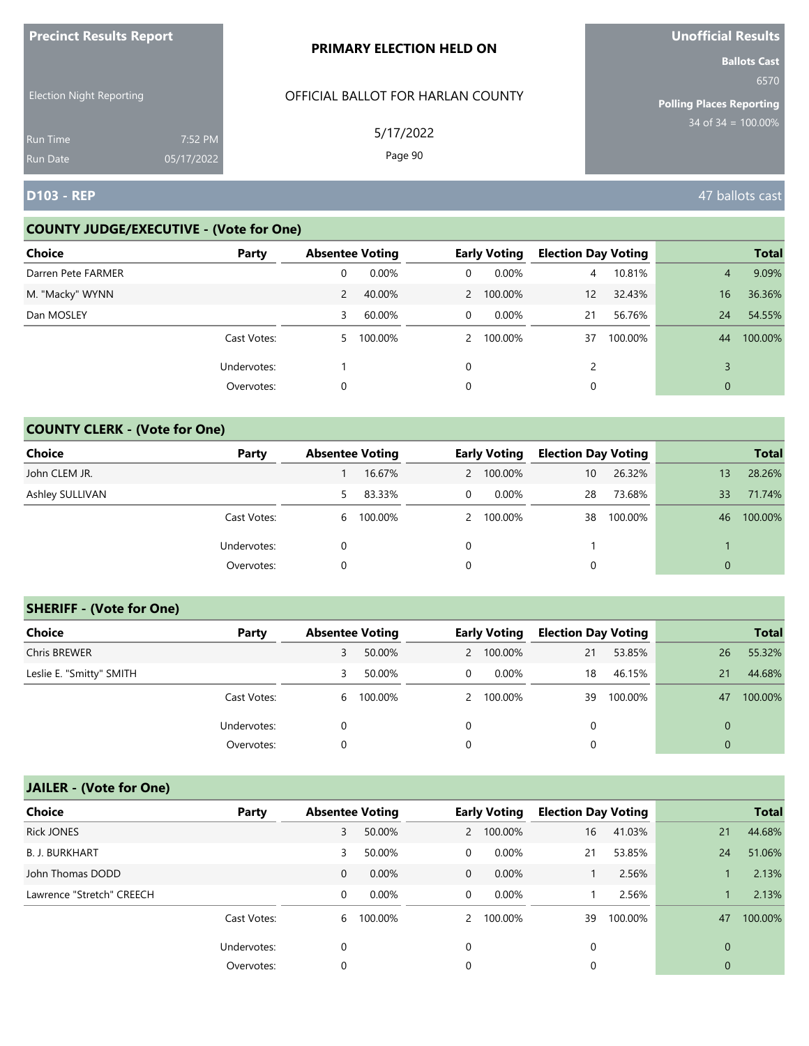| <b>Precinct Results Report</b>     |                       | <b>PRIMARY ELECTION HELD ON</b>   | <b>Unofficial Results</b>                                      |
|------------------------------------|-----------------------|-----------------------------------|----------------------------------------------------------------|
| <b>Election Night Reporting</b>    |                       | OFFICIAL BALLOT FOR HARLAN COUNTY | <b>Ballots Cast</b><br>6570<br><b>Polling Places Reporting</b> |
| <b>Run Time</b><br><b>Run Date</b> | 7:52 PM<br>05/17/2022 | 5/17/2022<br>Page 90              | $34$ of 34 = 100.00%                                           |
| D103 - REP                         |                       |                                   | 47 ballots cast                                                |

# **COUNTY JUDGE/EXECUTIVE - (Vote for One)**

| <b>Choice</b>      | Party       | <b>Absentee Voting</b> |         |   | <b>Early Voting</b> | <b>Election Day Voting</b> |         |                | <b>Total</b> |
|--------------------|-------------|------------------------|---------|---|---------------------|----------------------------|---------|----------------|--------------|
| Darren Pete FARMER |             | 0                      | 0.00%   | 0 | $0.00\%$            | 4                          | 10.81%  | $\overline{4}$ | 9.09%        |
| M. "Macky" WYNN    |             | 2                      | 40.00%  |   | 2 100.00%           | 12                         | 32.43%  | 16             | 36.36%       |
| Dan MOSLEY         |             | 3                      | 60.00%  | 0 | 0.00%               | 21                         | 56.76%  | 24             | 54.55%       |
|                    | Cast Votes: | 5.                     | 100.00% |   | 2 100.00%           | 37                         | 100.00% | 44             | 100.00%      |
|                    | Undervotes: |                        |         | 0 |                     |                            |         |                |              |
|                    | Overvotes:  | 0                      |         | 0 |                     |                            |         | 0              |              |

# **COUNTY CLERK - (Vote for One)**

| <b>Choice</b>   | Party       | <b>Absentee Voting</b> |           |   | <b>Early Voting</b> | <b>Election Day Voting</b> |         |          | <b>Total</b> |
|-----------------|-------------|------------------------|-----------|---|---------------------|----------------------------|---------|----------|--------------|
| John CLEM JR.   |             |                        | 16.67%    |   | 2 100.00%           | 10                         | 26.32%  | 13       | 28.26%       |
| Ashley SULLIVAN |             | 5.                     | 83.33%    | 0 | $0.00\%$            | 28                         | 73.68%  | 33       | 71.74%       |
|                 | Cast Votes: |                        | 6 100.00% |   | 2 100.00%           | 38                         | 100.00% | 46       | 100.00%      |
|                 | Undervotes: |                        |           | 0 |                     |                            |         |          |              |
|                 | Overvotes:  | 0                      |           | 0 |                     | 0                          |         | $\Omega$ |              |

## **SHERIFF - (Vote for One)**

| <b>Choice</b>            | Party       | <b>Absentee Voting</b> |         |   | <b>Early Voting</b> | <b>Election Day Voting</b> |         |    | <b>Total</b> |
|--------------------------|-------------|------------------------|---------|---|---------------------|----------------------------|---------|----|--------------|
| <b>Chris BREWER</b>      |             | 3                      | 50.00%  |   | 2 100.00%           | 21                         | 53.85%  | 26 | 55.32%       |
| Leslie E. "Smitty" SMITH |             | 3                      | 50.00%  | 0 | $0.00\%$            | 18                         | 46.15%  | 21 | 44.68%       |
|                          | Cast Votes: | 6                      | 100.00% |   | 2 100.00%           | 39                         | 100.00% | 47 | 100.00%      |
|                          | Undervotes: | 0                      |         |   |                     | 0                          |         |    |              |
|                          | Overvotes:  | 0                      |         |   |                     | 0                          |         |    |              |

| <b>Choice</b>             | Party       | <b>Absentee Voting</b> |          |              | <b>Early Voting</b> | <b>Election Day Voting</b> |         |             | <b>Total</b> |
|---------------------------|-------------|------------------------|----------|--------------|---------------------|----------------------------|---------|-------------|--------------|
| <b>Rick JONES</b>         |             | 3                      | 50.00%   |              | 2 100.00%           | 16                         | 41.03%  | 21          | 44.68%       |
| <b>B. J. BURKHART</b>     |             | 3                      | 50.00%   | 0            | 0.00%               | 21                         | 53.85%  | 24          | 51.06%       |
| John Thomas DODD          |             | $\mathbf 0$            | 0.00%    | $\mathbf{0}$ | $0.00\%$            |                            | 2.56%   |             | 2.13%        |
| Lawrence "Stretch" CREECH |             | 0                      | $0.00\%$ | 0            | $0.00\%$            |                            | 2.56%   |             | 2.13%        |
|                           | Cast Votes: | 6                      | 100.00%  |              | 2 100.00%           | 39                         | 100.00% | 47          | 100.00%      |
|                           | Undervotes: | $\mathbf 0$            |          | 0            |                     | 0                          |         | $\Omega$    |              |
|                           | Overvotes:  | 0                      |          | 0            |                     | 0                          |         | $\mathbf 0$ |              |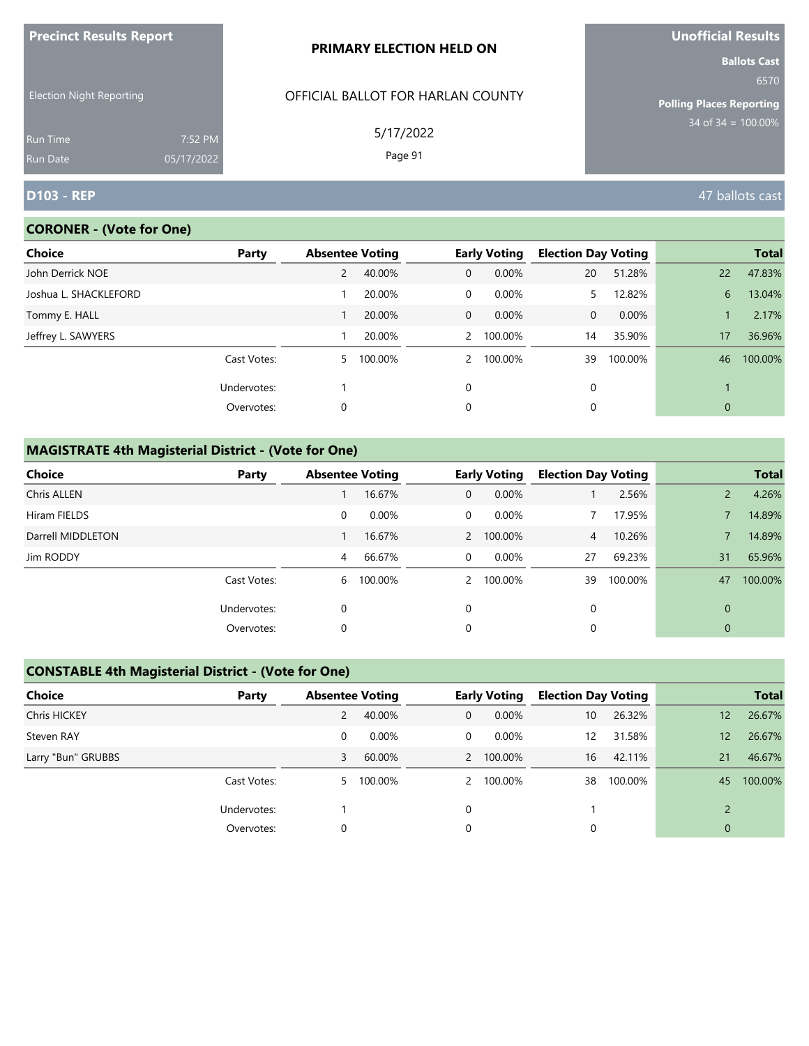| <u>FIECINCLAESURS REPORT</u>       |                       | <b>PRIMARY ELECTION HELD ON</b>   | <b>UNUNICIAL NESULS</b>                                        |
|------------------------------------|-----------------------|-----------------------------------|----------------------------------------------------------------|
| <b>Election Night Reporting</b>    |                       | OFFICIAL BALLOT FOR HARLAN COUNTY | <b>Ballots Cast</b><br>6570<br><b>Polling Places Reporting</b> |
| <b>Run Time</b><br><b>Run Date</b> | 7:52 PM<br>05/17/2022 | 5/17/2022<br>Page 91              | $34$ of 34 = 100.00%                                           |
| <b>D103 - REP</b>                  |                       |                                   | 47 ballots cast                                                |

# **CORONER - (Vote for One)**

**Precinct Results Report**

| Choice                | Party       | <b>Absentee Voting</b> |         |                | <b>Early Voting</b> | <b>Election Day Voting</b> |         |              | <b>Total</b> |
|-----------------------|-------------|------------------------|---------|----------------|---------------------|----------------------------|---------|--------------|--------------|
| John Derrick NOE      |             | 2                      | 40.00%  | $\mathbf{0}$   | 0.00%               | 20                         | 51.28%  | 22           | 47.83%       |
| Joshua L. SHACKLEFORD |             |                        | 20.00%  | $\overline{0}$ | $0.00\%$            | 5.                         | 12.82%  | 6            | 13.04%       |
| Tommy E. HALL         |             |                        | 20.00%  | $\overline{0}$ | $0.00\%$            | 0                          | 0.00%   |              | 2.17%        |
| Jeffrey L. SAWYERS    |             |                        | 20.00%  |                | 2 100.00%           | 14                         | 35.90%  | 17           | 36.96%       |
|                       | Cast Votes: | 5.                     | 100.00% | $2^{\circ}$    | 100.00%             | 39                         | 100.00% | 46           | 100.00%      |
|                       | Undervotes: |                        |         | 0              |                     | 0                          |         |              |              |
|                       | Overvotes:  | 0                      |         | 0              |                     | 0                          |         | $\mathbf{0}$ |              |

# **MAGISTRATE 4th Magisterial District - (Vote for One)**

| <b>Choice</b>      | Party       | <b>Absentee Voting</b> |         |                | <b>Early Voting</b> | <b>Election Day Voting</b> |         |          | <b>Total</b> |
|--------------------|-------------|------------------------|---------|----------------|---------------------|----------------------------|---------|----------|--------------|
| <b>Chris ALLEN</b> |             |                        | 16.67%  | $\mathbf{0}$   | 0.00%               |                            | 2.56%   |          | 4.26%        |
| Hiram FIELDS       |             | 0                      | 0.00%   | 0              | 0.00%               |                            | 17.95%  |          | 14.89%       |
| Darrell MIDDLETON  |             |                        | 16.67%  |                | 2 100.00%           | $\overline{4}$             | 10.26%  |          | 14.89%       |
| Jim RODDY          |             | 4                      | 66.67%  | $\overline{0}$ | 0.00%               | 27                         | 69.23%  | 31       | 65.96%       |
|                    | Cast Votes: | 6                      | 100.00% | $\mathcal{P}$  | 100.00%             | 39                         | 100.00% | 47       | 100.00%      |
|                    | Undervotes: | 0                      |         | $\Omega$       |                     | 0                          |         | $\Omega$ |              |
|                    | Overvotes:  | 0                      |         | 0              |                     | 0                          |         | 0        |              |

# **CONSTABLE 4th Magisterial District - (Vote for One)**

| Choice              | Party       | <b>Absentee Voting</b> |           |   | <b>Early Voting</b> | <b>Election Day Voting</b> |         |              | <b>Total</b> |
|---------------------|-------------|------------------------|-----------|---|---------------------|----------------------------|---------|--------------|--------------|
| <b>Chris HICKEY</b> |             | $\overline{2}$         | 40.00%    | 0 | 0.00%               | 10                         | 26.32%  | 12           | 26.67%       |
| Steven RAY          |             | 0                      | $0.00\%$  | 0 | $0.00\%$            | 12                         | 31.58%  | 12           | 26.67%       |
| Larry "Bun" GRUBBS  |             | 3                      | 60.00%    |   | 2 100.00%           | 16                         | 42.11%  | 21           | 46.67%       |
|                     | Cast Votes: |                        | 5 100.00% |   | 2 100.00%           | 38                         | 100.00% | 45           | 100.00%      |
|                     | Undervotes: |                        |           |   |                     |                            |         |              |              |
|                     | Overvotes:  |                        |           |   |                     | $\Omega$                   |         | $\mathbf{0}$ |              |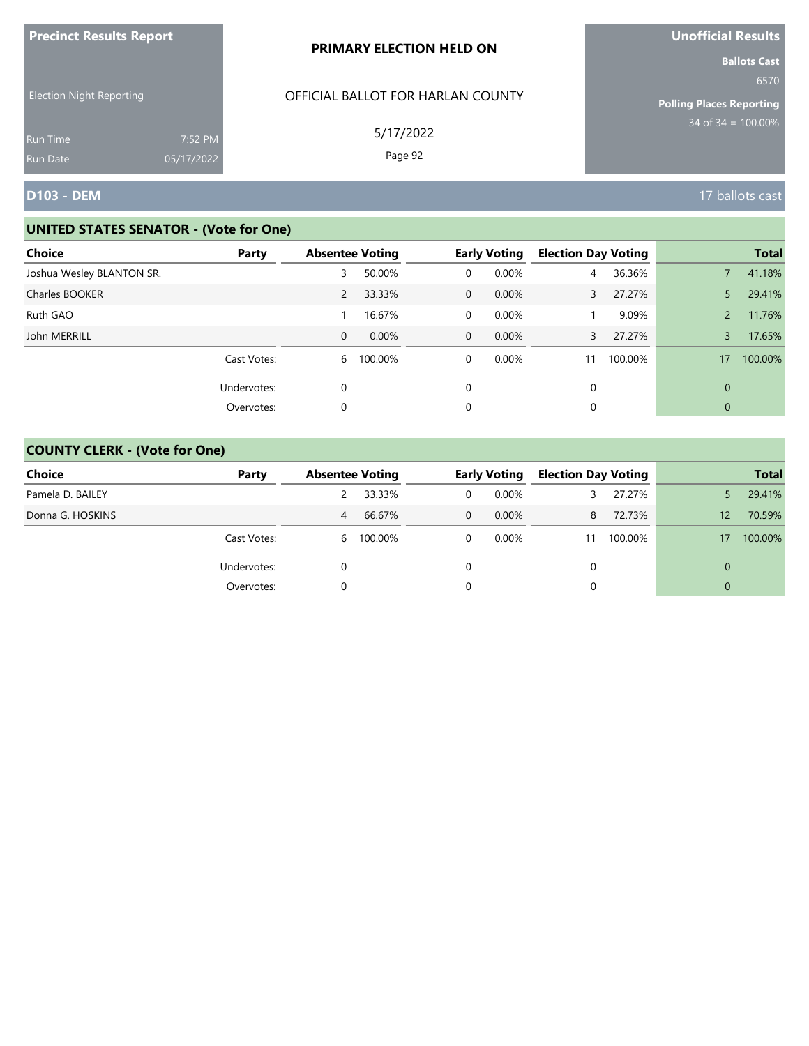| <b>Precinct Results Report</b>                     |            | PRIMARY ELECTION HELD ON                       | <b>Unofficial Results</b>                                                              |
|----------------------------------------------------|------------|------------------------------------------------|----------------------------------------------------------------------------------------|
| <b>Election Night Reporting</b><br><b>Run Time</b> | 7:52 PM    | OFFICIAL BALLOT FOR HARLAN COUNTY<br>5/17/2022 | <b>Ballots Cast</b><br>6570<br><b>Polling Places Reporting</b><br>$34$ of 34 = 100.00% |
| <b>Run Date</b>                                    | 05/17/2022 | Page 92                                        |                                                                                        |
| <b>D103 - DEM</b>                                  |            |                                                | 17 ballots cast                                                                        |

| Choice                    | Party       | <b>Absentee Voting</b> |         |                | <b>Early Voting</b> | <b>Election Day Voting</b> |         |              | <b>Total</b> |
|---------------------------|-------------|------------------------|---------|----------------|---------------------|----------------------------|---------|--------------|--------------|
| Joshua Wesley BLANTON SR. |             | 3                      | 50.00%  | 0              | 0.00%               | $\overline{4}$             | 36.36%  |              | 41.18%       |
| Charles BOOKER            |             | $\overline{2}$         | 33.33%  | $\overline{0}$ | $0.00\%$            | 3                          | 27.27%  | 5            | 29.41%       |
| Ruth GAO                  |             |                        | 16.67%  | $\mathbf 0$    | $0.00\%$            |                            | 9.09%   |              | 11.76%       |
| John MERRILL              |             | $\mathbf{0}$           | 0.00%   | $\Omega$       | $0.00\%$            | 3                          | 27.27%  | 3            | 17.65%       |
|                           | Cast Votes: | 6                      | 100.00% | 0              | 0.00%               |                            | 100.00% | 17           | 100.00%      |
|                           | Undervotes: | 0                      |         | $\Omega$       |                     | 0                          |         | $\Omega$     |              |
|                           | Overvotes:  | 0                      |         | 0              |                     | 0                          |         | $\mathbf{0}$ |              |

| <b>Choice</b>    | Party       | <b>Absentee Voting</b> |           |   | <b>Early Voting</b> | <b>Election Day Voting</b> |         |          | <b>Total</b> |
|------------------|-------------|------------------------|-----------|---|---------------------|----------------------------|---------|----------|--------------|
| Pamela D. BAILEY |             |                        | 33.33%    | 0 | $0.00\%$            |                            | 27.27%  |          | 29.41%       |
| Donna G. HOSKINS |             | 4                      | 66.67%    | 0 | $0.00\%$            | 8                          | 72.73%  | 12       | 70.59%       |
|                  | Cast Votes: |                        | 6 100.00% |   | $0.00\%$            | 11                         | 100.00% | 17       | 100.00%      |
|                  | Undervotes: |                        |           |   |                     | $\Omega$                   |         | 0        |              |
|                  | Overvotes:  |                        |           |   |                     | 0                          |         | $\Omega$ |              |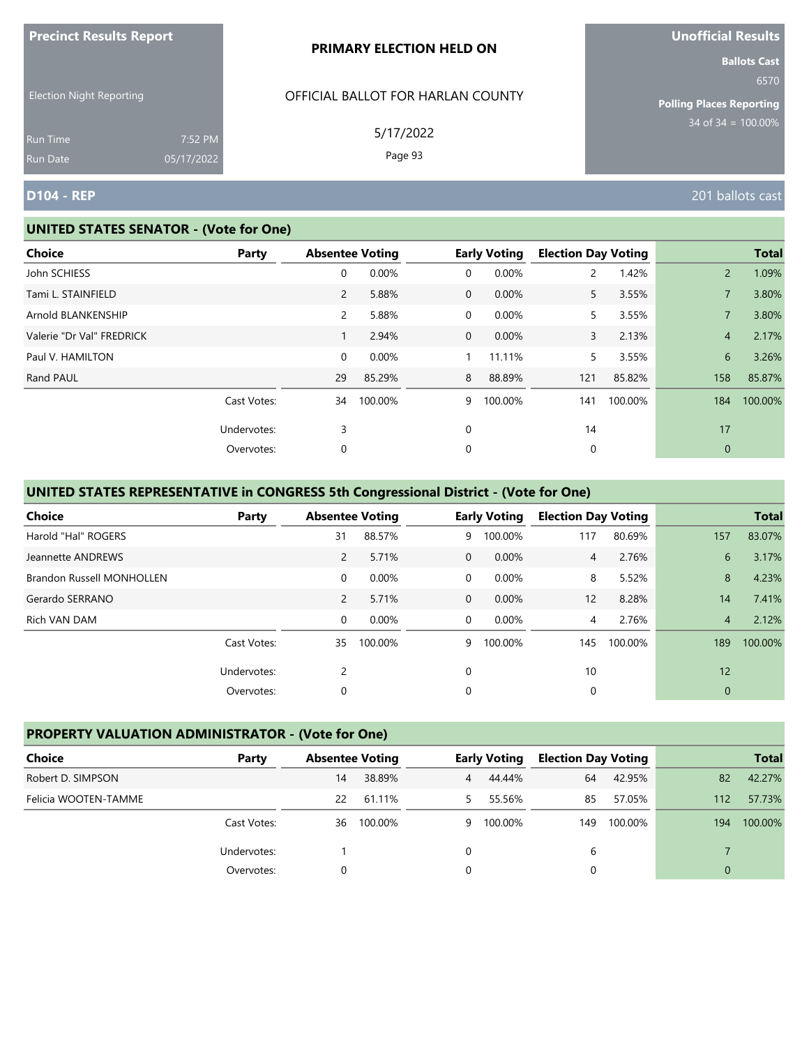| <b>Precinct Results Report</b>  |            | <b>PRIMARY ELECTION HELD ON</b>   | <b>Unofficial Results</b>       |  |  |
|---------------------------------|------------|-----------------------------------|---------------------------------|--|--|
|                                 |            |                                   | <b>Ballots Cast</b><br>6570     |  |  |
| <b>Election Night Reporting</b> |            | OFFICIAL BALLOT FOR HARLAN COUNTY | <b>Polling Places Reporting</b> |  |  |
| Run Time                        | 7:52 PM    | 5/17/2022                         | $34$ of 34 = 100.00%            |  |  |
| Run Date                        | 05/17/2022 | Page 93                           |                                 |  |  |
| <b>D104 - REP</b>               |            |                                   | 201 ballots cast                |  |  |

#### **UNITED STATES SENATOR - (Vote for One)**

| <b>Choice</b>             | Party       | <b>Absentee Voting</b> |         |              | <b>Early Voting</b> | <b>Election Day Voting</b> |         |                | <b>Total</b> |
|---------------------------|-------------|------------------------|---------|--------------|---------------------|----------------------------|---------|----------------|--------------|
| John SCHIESS              |             | 0                      | 0.00%   | 0            | 0.00%               | 2                          | 1.42%   | $\overline{2}$ | 1.09%        |
| Tami L. STAINFIELD        |             | $\mathbf{2}^{\prime}$  | 5.88%   | $\mathbf{0}$ | 0.00%               | 5                          | 3.55%   |                | 3.80%        |
| Arnold BLANKENSHIP        |             | $\overline{2}$         | 5.88%   | 0            | 0.00%               | 5                          | 3.55%   |                | 3.80%        |
| Valerie "Dr Val" FREDRICK |             |                        | 2.94%   | $\mathbf{0}$ | 0.00%               | 3                          | 2.13%   | $\overline{4}$ | 2.17%        |
| Paul V. HAMILTON          |             | 0                      | 0.00%   |              | 11.11%              | 5                          | 3.55%   | 6              | 3.26%        |
| Rand PAUL                 |             | 29                     | 85.29%  | 8            | 88.89%              | 121                        | 85.82%  | 158            | 85.87%       |
|                           | Cast Votes: | 34                     | 100.00% | 9            | 100.00%             | 141                        | 100.00% | 184            | 100.00%      |
|                           | Undervotes: | 3                      |         | 0            |                     | 14                         |         | 17             |              |
|                           | Overvotes:  | 0                      |         | 0            |                     | 0                          |         | $\mathbf 0$    |              |
|                           |             |                        |         |              |                     |                            |         |                |              |

# **UNITED STATES REPRESENTATIVE in CONGRESS 5th Congressional District - (Vote for One)**

| <b>Choice</b>                    | Party       | <b>Absentee Voting</b> |          |                | <b>Early Voting</b> | <b>Election Day Voting</b> |         |                | <b>Total</b> |
|----------------------------------|-------------|------------------------|----------|----------------|---------------------|----------------------------|---------|----------------|--------------|
| Harold "Hal" ROGERS              |             | 31                     | 88.57%   | 9              | 100.00%             | 117                        | 80.69%  | 157            | 83.07%       |
| Jeannette ANDREWS                |             | $\overline{2}$         | 5.71%    | $\Omega$       | 0.00%               | 4                          | 2.76%   | 6              | 3.17%        |
| <b>Brandon Russell MONHOLLEN</b> |             | $\mathbf 0$            | $0.00\%$ | $\overline{0}$ | $0.00\%$            | 8                          | 5.52%   | 8              | 4.23%        |
| Gerardo SERRANO                  |             | $\overline{2}$         | 5.71%    | $\overline{0}$ | $0.00\%$            | 12                         | 8.28%   | 14             | 7.41%        |
| Rich VAN DAM                     |             | $\mathbf 0$            | 0.00%    | $\Omega$       | $0.00\%$            | $\overline{4}$             | 2.76%   | $\overline{4}$ | 2.12%        |
|                                  | Cast Votes: | 35                     | 100.00%  | 9              | 100.00%             | 145                        | 100.00% | 189            | 100.00%      |
|                                  | Undervotes: | $\overline{2}$         |          | $\mathbf 0$    |                     | 10                         |         | 12             |              |
|                                  | Overvotes:  | 0                      |          | 0              |                     | 0                          |         | $\mathbf{0}$   |              |

# **PROPERTY VALUATION ADMINISTRATOR - (Vote for One)**

| Choice               | Party       | <b>Absentee Voting</b> |         |          | <b>Early Voting</b> | <b>Election Day Voting</b> |         |          | <b>Total</b> |
|----------------------|-------------|------------------------|---------|----------|---------------------|----------------------------|---------|----------|--------------|
| Robert D. SIMPSON    |             | 14                     | 38.89%  | 4        | 44.44%              | 64                         | 42.95%  | 82       | 42.27%       |
| Felicia WOOTEN-TAMME |             | 22                     | 61.11%  | 5.       | 55.56%              | 85                         | 57.05%  | 112      | 57.73%       |
|                      | Cast Votes: | 36                     | 100.00% | 9        | 100.00%             | 149                        | 100.00% | 194      | 100.00%      |
|                      | Undervotes: |                        |         | $\Omega$ |                     | 6                          |         |          |              |
|                      | Overvotes:  |                        |         | 0        |                     |                            |         | $\Omega$ |              |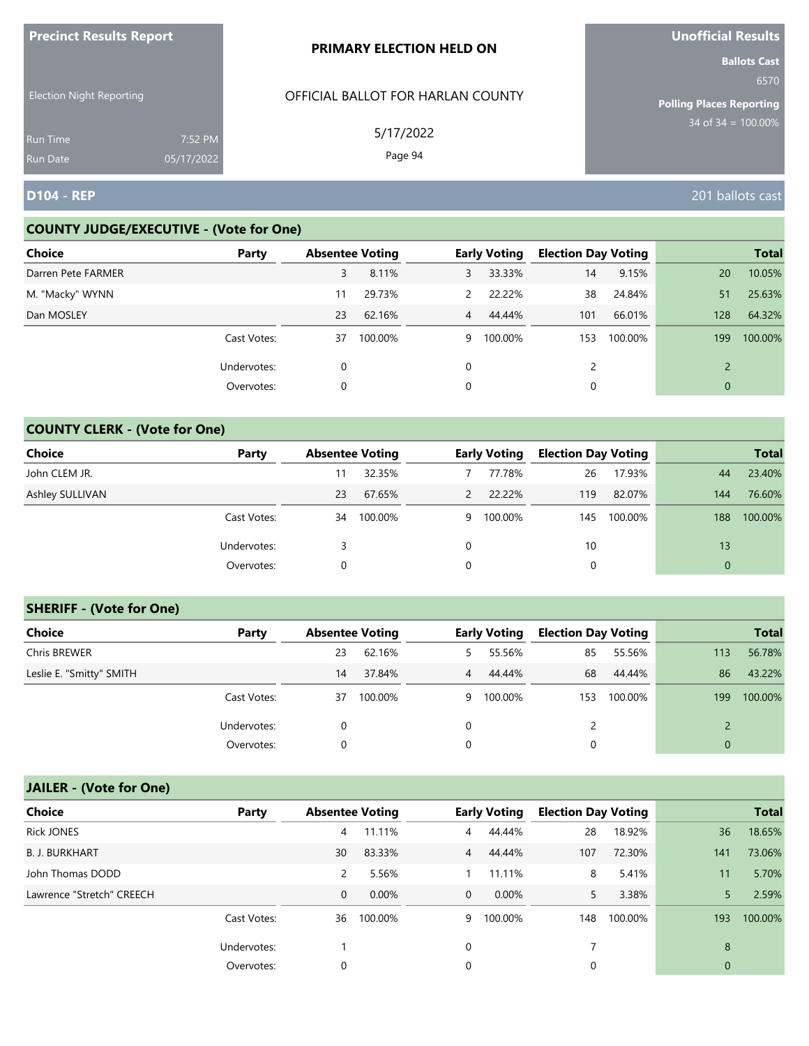| <b>Precinct Results Report</b>     |                       | <b>PRIMARY ELECTION HELD ON</b>   | <b>Unofficial Results</b>                                      |
|------------------------------------|-----------------------|-----------------------------------|----------------------------------------------------------------|
| <b>Election Night Reporting</b>    |                       | OFFICIAL BALLOT FOR HARLAN COUNTY | <b>Ballots Cast</b><br>6570<br><b>Polling Places Reporting</b> |
| <b>Run Time</b><br><b>Run Date</b> | 7:52 PM<br>05/17/2022 | 5/17/2022<br>Page 94              | $34$ of $34 = 100.00\%$                                        |
| <b>D104 - REP</b>                  |                       |                                   | 201 ballots cast                                               |

# **COUNTY JUDGE/EXECUTIVE - (Vote for One)**

| <b>Choice</b>      | Party       | <b>Absentee Voting</b> |         |               | <b>Early Voting</b> | <b>Election Day Voting</b> |         |                | <b>Total</b> |
|--------------------|-------------|------------------------|---------|---------------|---------------------|----------------------------|---------|----------------|--------------|
| Darren Pete FARMER |             | 3                      | 8.11%   | 3             | 33.33%              | 14                         | 9.15%   | 20             | 10.05%       |
| M. "Macky" WYNN    |             | 11                     | 29.73%  | $\mathcal{P}$ | 22.22%              | 38                         | 24.84%  | 51             | 25.63%       |
| Dan MOSLEY         |             | 23                     | 62.16%  |               | 4 44.44%            | 101                        | 66.01%  | 128            | 64.32%       |
|                    | Cast Votes: | 37                     | 100.00% | 9             | 100.00%             | 153                        | 100.00% | 199            | 100.00%      |
|                    | Undervotes: | 0                      |         | $\Omega$      |                     | 2                          |         | $\mathcal{D}$  |              |
|                    | Overvotes:  | 0                      |         | 0             |                     | 0                          |         | $\overline{0}$ |              |

# **COUNTY CLERK - (Vote for One)**

| Choice          | Party       | <b>Absentee Voting</b> |         |               | <b>Early Voting</b> | <b>Election Day Voting</b> |         |          | <b>Total</b> |
|-----------------|-------------|------------------------|---------|---------------|---------------------|----------------------------|---------|----------|--------------|
| John CLEM JR.   |             |                        | 32.35%  |               | 77.78%              | 26                         | 17.93%  | 44       | 23.40%       |
| Ashley SULLIVAN |             | 23                     | 67.65%  | $\mathcal{P}$ | 22.22%              | 119                        | 82.07%  | 144      | 76.60%       |
|                 | Cast Votes: | 34                     | 100.00% | 9             | 100.00%             | 145                        | 100.00% | 188      | 100.00%      |
|                 | Undervotes: |                        |         | $\Omega$      |                     | 10                         |         | 13       |              |
|                 | Overvotes:  | 0                      |         | 0             |                     | 0                          |         | $\Omega$ |              |

## **SHERIFF - (Vote for One)**

| <b>Choice</b>            | Party       | <b>Absentee Voting</b> |         |            | <b>Early Voting</b> | <b>Election Day Voting</b> |         |     | <b>Total</b> |
|--------------------------|-------------|------------------------|---------|------------|---------------------|----------------------------|---------|-----|--------------|
| Chris BREWER             |             | 23                     | 62.16%  | 5.         | 55.56%              | 85                         | 55.56%  | 113 | 56.78%       |
| Leslie E. "Smitty" SMITH |             | 14                     | 37.84%  | $\sqrt{4}$ | 44.44%              | 68                         | 44.44%  | 86  | 43.22%       |
|                          | Cast Votes: | 37                     | 100.00% |            | 9 100.00%           | 153                        | 100.00% | 199 | 100.00%      |
|                          | Undervotes: | 0                      |         | 0          |                     |                            |         |     |              |
|                          | Overvotes:  | 0                      |         | 0          |                     | 0                          |         |     |              |

| <b>Choice</b>             | Party       | <b>Absentee Voting</b> |          |                | <b>Early Voting</b> | <b>Election Day Voting</b> |         |              | <b>Total</b> |
|---------------------------|-------------|------------------------|----------|----------------|---------------------|----------------------------|---------|--------------|--------------|
| <b>Rick JONES</b>         |             | 4                      | 11.11%   | $\overline{4}$ | 44.44%              | 28                         | 18.92%  | 36           | 18.65%       |
| <b>B. J. BURKHART</b>     |             | 30                     | 83.33%   | $\overline{4}$ | 44.44%              | 107                        | 72.30%  | 141          | 73.06%       |
| John Thomas DODD          |             | 2                      | 5.56%    |                | 11.11%              | 8                          | 5.41%   | 11           | 5.70%        |
| Lawrence "Stretch" CREECH |             | $\mathbf{0}$           | $0.00\%$ | $\overline{0}$ | $0.00\%$            | 5.                         | 3.38%   | 5            | 2.59%        |
|                           | Cast Votes: | 36                     | 100.00%  | 9              | 100.00%             | 148                        | 100.00% | 193          | 100.00%      |
|                           | Undervotes: |                        |          | 0              |                     |                            |         | 8            |              |
|                           | Overvotes:  | 0                      |          | 0              |                     | 0                          |         | $\mathbf{0}$ |              |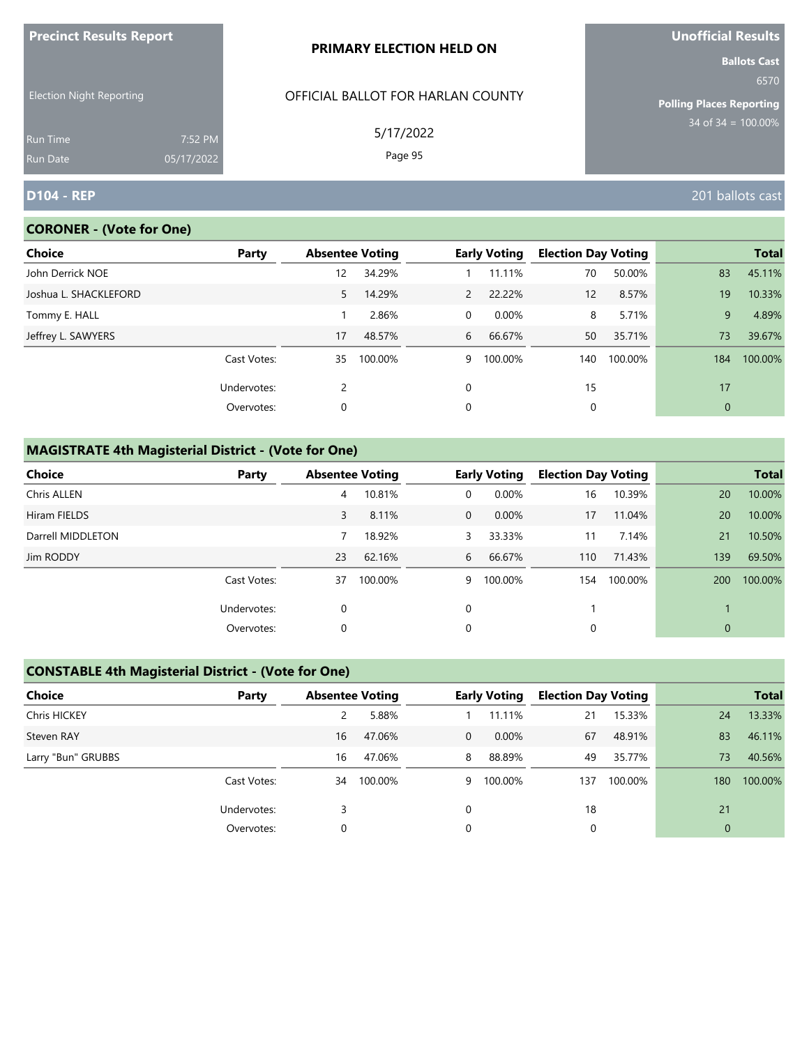| <u>FIECINCLAESURS REPORT</u>       |                       | <b>PRIMARY ELECTION HELD ON</b>   | <b>UIIUIIILIAI NESUILS</b><br><b>Ballots Cast</b> |
|------------------------------------|-----------------------|-----------------------------------|---------------------------------------------------|
| <b>Election Night Reporting</b>    |                       | OFFICIAL BALLOT FOR HARLAN COUNTY | 6570<br><b>Polling Places Reporting</b>           |
| <b>Run Time</b><br><b>Run Date</b> | 7:52 PM<br>05/17/2022 | 5/17/2022<br>Page 95              | $34$ of 34 = 100.00%                              |
| <b>D104 - REP</b>                  |                       |                                   | 201 ballots cast                                  |

# **CORONER - (Vote for One)**

**Precinct Results Report**

| Choice                | Party       | <b>Absentee Voting</b> |         |              | <b>Early Voting</b> | <b>Election Day Voting</b> |         |             | <b>Total</b> |
|-----------------------|-------------|------------------------|---------|--------------|---------------------|----------------------------|---------|-------------|--------------|
| John Derrick NOE      |             | 12                     | 34.29%  |              | 11.11%              | 70                         | 50.00%  | 83          | 45.11%       |
| Joshua L. SHACKLEFORD |             | 5                      | 14.29%  | $\mathbf{2}$ | 22.22%              | 12                         | 8.57%   | 19          | 10.33%       |
| Tommy E. HALL         |             |                        | 2.86%   | $\Omega$     | $0.00\%$            | 8                          | 5.71%   | 9           | 4.89%        |
| Jeffrey L. SAWYERS    |             | 17                     | 48.57%  | 6            | 66.67%              | 50                         | 35.71%  | 73          | 39.67%       |
|                       | Cast Votes: | 35                     | 100.00% | 9            | 100.00%             | 140                        | 100.00% | 184         | 100.00%      |
|                       | Undervotes: | 2                      |         | $\Omega$     |                     | 15                         |         | 17          |              |
|                       | Overvotes:  | 0                      |         | 0            |                     | 0                          |         | $\mathbf 0$ |              |

# **MAGISTRATE 4th Magisterial District - (Vote for One)**

| <b>Choice</b>      | Party       | <b>Absentee Voting</b> |         |              | <b>Early Voting</b> | <b>Election Day Voting</b> |         |     | <b>Total</b> |
|--------------------|-------------|------------------------|---------|--------------|---------------------|----------------------------|---------|-----|--------------|
| <b>Chris ALLEN</b> |             | 4                      | 10.81%  | 0            | 0.00%               | 16                         | 10.39%  | 20  | 10.00%       |
| Hiram FIELDS       |             | 3                      | 8.11%   | $\mathbf{0}$ | $0.00\%$            | 17                         | 11.04%  | 20  | 10.00%       |
| Darrell MIDDLETON  |             |                        | 18.92%  | 3            | 33.33%              | 11                         | 7.14%   | 21  | 10.50%       |
| Jim RODDY          |             | 23                     | 62.16%  | 6            | 66.67%              | 110                        | 71.43%  | 139 | 69.50%       |
|                    | Cast Votes: | 37                     | 100.00% | 9            | 100.00%             | 154                        | 100.00% | 200 | 100.00%      |
|                    | Undervotes: | 0                      |         | 0            |                     |                            |         |     |              |
|                    | Overvotes:  | 0                      |         | 0            |                     | 0                          |         | 0   |              |

# **CONSTABLE 4th Magisterial District - (Vote for One)**

| <b>Choice</b>      | Party       | <b>Absentee Voting</b> |         |                | <b>Early Voting</b> | <b>Election Day Voting</b> |         |                | <b>Total</b> |
|--------------------|-------------|------------------------|---------|----------------|---------------------|----------------------------|---------|----------------|--------------|
| Chris HICKEY       |             |                        | 5.88%   |                | 11.11%              | 21                         | 15.33%  | 24             | 13.33%       |
| Steven RAY         |             | 16                     | 47.06%  | $\overline{0}$ | $0.00\%$            | 67                         | 48.91%  | 83             | 46.11%       |
| Larry "Bun" GRUBBS |             | 16                     | 47.06%  | 8              | 88.89%              | 49                         | 35.77%  | 73             | 40.56%       |
|                    | Cast Votes: | 34                     | 100.00% | 9              | 100.00%             | 137                        | 100.00% | 180            | 100.00%      |
|                    | Undervotes: |                        |         | $\Omega$       |                     | 18                         |         | 21             |              |
|                    | Overvotes:  | 0                      |         | 0              |                     | 0                          |         | $\overline{0}$ |              |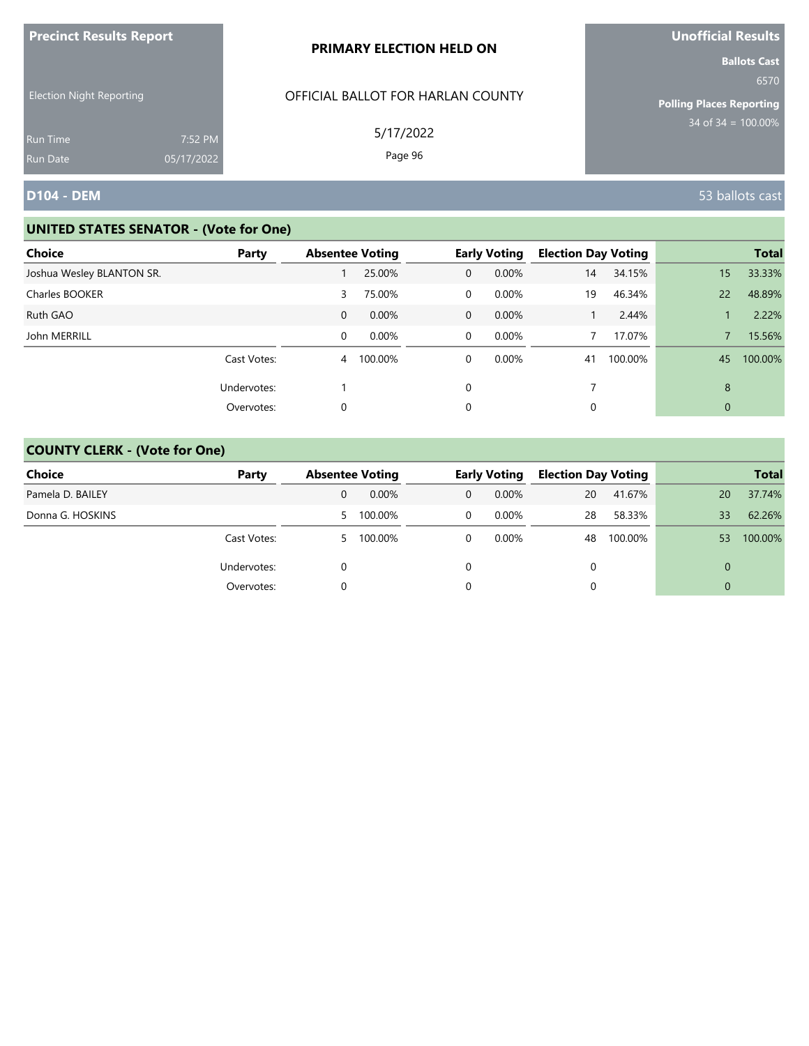| <b>Precinct Results Report</b>                     |            | PRIMARY ELECTION HELD ON                       | <b>Unofficial Results</b>                                                              |
|----------------------------------------------------|------------|------------------------------------------------|----------------------------------------------------------------------------------------|
| <b>Election Night Reporting</b><br><b>Run Time</b> | 7:52 PM    | OFFICIAL BALLOT FOR HARLAN COUNTY<br>5/17/2022 | <b>Ballots Cast</b><br>6570<br><b>Polling Places Reporting</b><br>$34$ of 34 = 100.00% |
| <b>Run Date</b>                                    | 05/17/2022 | Page 96                                        |                                                                                        |
| <b>D104 - DEM</b>                                  |            |                                                | 53 ballots cast                                                                        |

| Choice                    | Party       | <b>Absentee Voting</b> |          |                | <b>Early Voting</b> | <b>Election Day Voting</b> |         |              | <b>Total</b> |
|---------------------------|-------------|------------------------|----------|----------------|---------------------|----------------------------|---------|--------------|--------------|
| Joshua Wesley BLANTON SR. |             |                        | 25.00%   | $\mathbf{0}$   | 0.00%               | 14                         | 34.15%  | 15           | 33.33%       |
| Charles BOOKER            |             | 3                      | 75.00%   | 0              | $0.00\%$            | 19                         | 46.34%  | 22           | 48.89%       |
| Ruth GAO                  |             | $\mathbf{0}$           | $0.00\%$ | $\overline{0}$ | $0.00\%$            |                            | 2.44%   |              | 2.22%        |
| John MERRILL              |             | 0                      | 0.00%    | $\overline{0}$ | 0.00%               |                            | 17.07%  |              | 15.56%       |
|                           | Cast Votes: | $\overline{4}$         | 100.00%  | $\mathbf 0$    | $0.00\%$            | 41                         | 100.00% | 45           | 100.00%      |
|                           | Undervotes: |                        |          | 0              |                     |                            |         | 8            |              |
|                           | Overvotes:  | 0                      |          | 0              |                     | 0                          |         | $\mathbf{0}$ |              |

| Choice           | Party       |              | <b>Absentee Voting</b> |   | <b>Early Voting</b> | <b>Election Day Voting</b> |         |          | <b>Total</b> |
|------------------|-------------|--------------|------------------------|---|---------------------|----------------------------|---------|----------|--------------|
| Pamela D. BAILEY |             | 0            | $0.00\%$               | 0 | $0.00\%$            | 20                         | 41.67%  | 20       | 37.74%       |
| Donna G. HOSKINS |             | $\mathbf{P}$ | 100.00%                | 0 | $0.00\%$            | 28                         | 58.33%  | 33       | 62.26%       |
|                  | Cast Votes: |              | 5 100.00%              |   | $0.00\%$            | 48                         | 100.00% | 53       | 100.00%      |
|                  | Undervotes: |              |                        |   |                     | $\Omega$                   |         | $\Omega$ |              |
|                  | Overvotes:  |              |                        |   |                     |                            |         | $\Omega$ |              |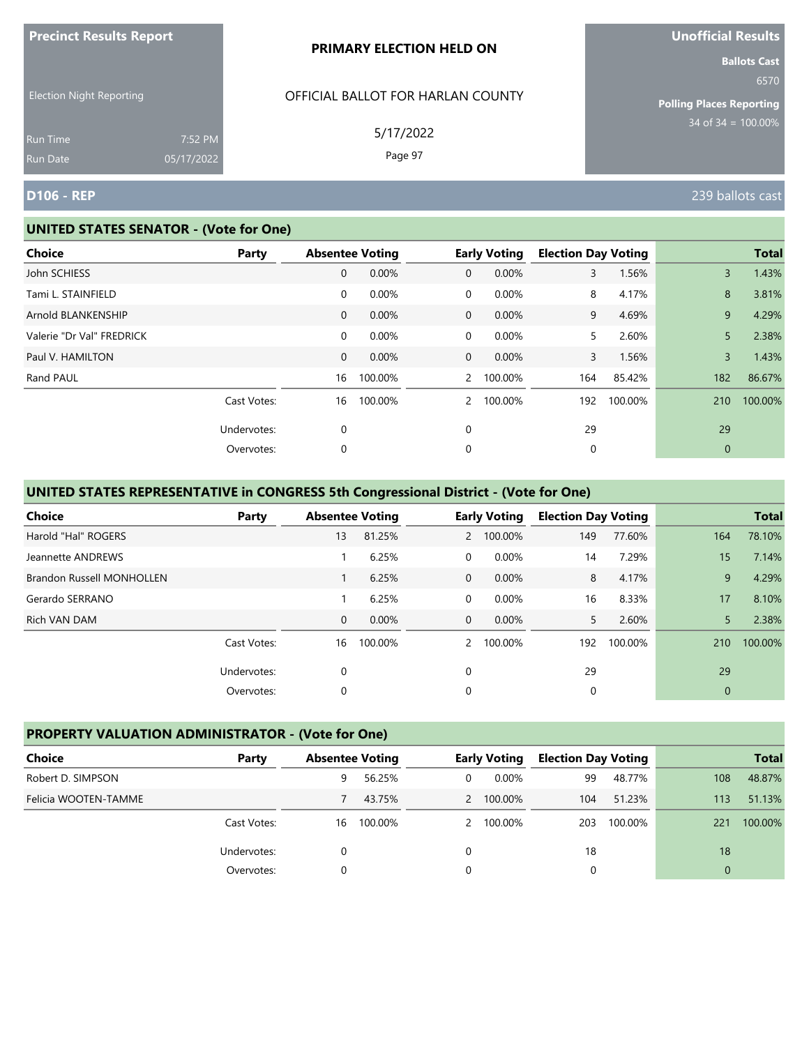|                                 |                       | PRIMARY ELECTION HELD ON          | <b>Ballots Cast</b>                                                |
|---------------------------------|-----------------------|-----------------------------------|--------------------------------------------------------------------|
| <b>Election Night Reporting</b> |                       | OFFICIAL BALLOT FOR HARLAN COUNTY | 6570<br><b>Polling Places Reporting</b><br>$34$ of $34 = 100.00\%$ |
| <b>Run Time</b><br>Run Date     | 7:52 PM<br>05/17/2022 | 5/17/2022<br>Page 97              |                                                                    |
| <b>D106 - REP</b>               |                       |                                   | 239 ballots cast                                                   |

#### **UNITED STATES SENATOR - (Vote for One)**

**Precinct Results Report**

| <b>Choice</b>             | Party       | <b>Absentee Voting</b> |         |                | <b>Early Voting</b> | <b>Election Day Voting</b> |         |             | <b>Total</b> |
|---------------------------|-------------|------------------------|---------|----------------|---------------------|----------------------------|---------|-------------|--------------|
| John SCHIESS              |             | 0                      | 0.00%   | $\overline{0}$ | 0.00%               | 3                          | 1.56%   | 3           | 1.43%        |
| Tami L. STAINFIELD        |             | 0                      | 0.00%   | $\mathbf 0$    | 0.00%               | 8                          | 4.17%   | 8           | 3.81%        |
| Arnold BLANKENSHIP        |             | $\mathbf{0}$           | 0.00%   | $\overline{0}$ | 0.00%               | 9                          | 4.69%   | 9           | 4.29%        |
| Valerie "Dr Val" FREDRICK |             | 0                      | 0.00%   | $\mathbf 0$    | $0.00\%$            | 5.                         | 2.60%   | 5           | 2.38%        |
| Paul V. HAMILTON          |             | $\mathbf{0}$           | 0.00%   | $\overline{0}$ | 0.00%               | 3                          | 1.56%   | 3           | 1.43%        |
| Rand PAUL                 |             | 16                     | 100.00% |                | 2 100.00%           | 164                        | 85.42%  | 182         | 86.67%       |
|                           | Cast Votes: | 16                     | 100.00% | $\overline{2}$ | 100.00%             | 192                        | 100.00% | 210         | 100.00%      |
|                           | Undervotes: | 0                      |         | 0              |                     | 29                         |         | 29          |              |
|                           | Overvotes:  | 0                      |         | 0              |                     | 0                          |         | $\mathbf 0$ |              |

# **UNITED STATES REPRESENTATIVE in CONGRESS 5th Congressional District - (Vote for One)**

| Choice                           | Party       |              | <b>Absentee Voting</b> |                | <b>Early Voting</b> | <b>Election Day Voting</b> |         |              | <b>Total</b> |
|----------------------------------|-------------|--------------|------------------------|----------------|---------------------|----------------------------|---------|--------------|--------------|
| Harold "Hal" ROGERS              |             | 13           | 81.25%                 | $\mathbf{2}$   | 100.00%             | 149                        | 77.60%  | 164          | 78.10%       |
| Jeannette ANDREWS                |             |              | 6.25%                  | $\Omega$       | 0.00%               | 14                         | 7.29%   | 15           | 7.14%        |
| <b>Brandon Russell MONHOLLEN</b> |             |              | 6.25%                  | $\mathbf 0$    | 0.00%               | 8                          | 4.17%   | 9            | 4.29%        |
| Gerardo SERRANO                  |             |              | 6.25%                  | $\overline{0}$ | 0.00%               | 16                         | 8.33%   | 17           | 8.10%        |
| Rich VAN DAM                     |             | $\mathbf{0}$ | 0.00%                  | $\Omega$       | $0.00\%$            | 5.                         | 2.60%   | 5            | 2.38%        |
|                                  | Cast Votes: | 16           | 100.00%                | $\mathcal{P}$  | 100.00%             | 192                        | 100.00% | 210          | 100.00%      |
|                                  | Undervotes: | 0            |                        | $\Omega$       |                     | 29                         |         | 29           |              |
|                                  | Overvotes:  | 0            |                        | 0              |                     | 0                          |         | $\mathbf{0}$ |              |

# **PROPERTY VALUATION ADMINISTRATOR - (Vote for One)**

| Choice               | Party       | <b>Absentee Voting</b> |         |          | <b>Early Voting</b> | <b>Election Day Voting</b> |         |          | <b>Total</b> |
|----------------------|-------------|------------------------|---------|----------|---------------------|----------------------------|---------|----------|--------------|
| Robert D. SIMPSON    |             | 9                      | 56.25%  | 0        | $0.00\%$            | 99                         | 48.77%  | 108      | 48.87%       |
| Felicia WOOTEN-TAMME |             |                        | 43.75%  |          | 2 100.00%           | 104                        | 51.23%  | 113      | 51.13%       |
|                      | Cast Votes: | 16                     | 100.00% |          | 2 100.00%           | 203                        | 100.00% | 221      | 100.00%      |
|                      | Undervotes: |                        |         | $\Omega$ |                     | 18                         |         | 18       |              |
|                      | Overvotes:  |                        |         | $\Omega$ |                     |                            |         | $\Omega$ |              |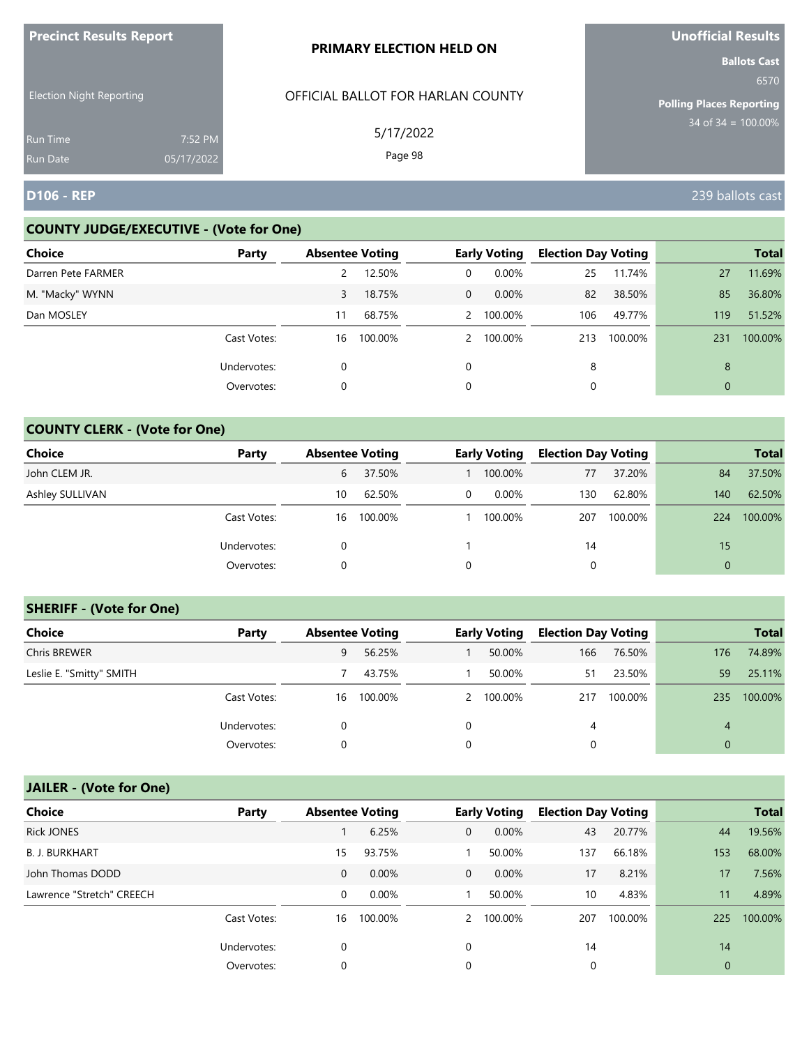| <b>FIGUILLE RESULTS REPUIL</b>     |                       | <b>PRIMARY ELECTION HELD ON</b>   | <b>VIIVIIILIAI NESUILS</b><br><b>Ballots Cast</b> |
|------------------------------------|-----------------------|-----------------------------------|---------------------------------------------------|
| <b>Election Night Reporting</b>    |                       | OFFICIAL BALLOT FOR HARLAN COUNTY | 6570<br><b>Polling Places Reporting</b>           |
| <b>Run Time</b><br><b>Run Date</b> | 7:52 PM<br>05/17/2022 | 5/17/2022<br>Page 98              | $34$ of 34 = $100.00\%$                           |
| <b>D106 - REP</b>                  |                       |                                   | 239 ballots cast                                  |

## **COUNTY JUDGE/EXECUTIVE - (Vote for One)**

**Precinct Results Report**

| <b>Choice</b>      | Party       | <b>Absentee Voting</b> |         |              | <b>Early Voting</b> | <b>Election Day Voting</b> |         |     | <b>Total</b> |
|--------------------|-------------|------------------------|---------|--------------|---------------------|----------------------------|---------|-----|--------------|
| Darren Pete FARMER |             | 2                      | 12.50%  | 0            | $0.00\%$            | 25                         | 11.74%  | 27  | 11.69%       |
| M. "Macky" WYNN    |             | 3                      | 18.75%  | $\mathbf{0}$ | $0.00\%$            | 82                         | 38.50%  | 85  | 36.80%       |
| Dan MOSLEY         |             | 11                     | 68.75%  |              | 2 100.00%           | 106                        | 49.77%  | 119 | 51.52%       |
|                    | Cast Votes: | 16                     | 100.00% |              | 2 100.00%           | 213                        | 100.00% | 231 | 100.00%      |
|                    | Undervotes: | 0                      |         | $\Omega$     |                     | 8                          |         | 8   |              |
|                    | Overvotes:  | 0                      |         | 0            |                     |                            |         | 0   |              |

# **COUNTY CLERK - (Vote for One)**

| Choice          | Party       | <b>Absentee Voting</b> |         |   | <b>Early Voting</b> | <b>Election Day Voting</b> |         |          | <b>Total</b> |
|-----------------|-------------|------------------------|---------|---|---------------------|----------------------------|---------|----------|--------------|
| John CLEM JR.   |             | 6                      | 37.50%  |   | 100.00%             | 77                         | 37.20%  | 84       | 37.50%       |
| Ashley SULLIVAN |             | 10                     | 62.50%  | 0 | $0.00\%$            | 130                        | 62.80%  | 140      | 62.50%       |
|                 | Cast Votes: | 16                     | 100.00% |   | 100.00%             | 207                        | 100.00% | 224      | 100.00%      |
|                 | Undervotes: |                        |         |   |                     | 14                         |         | 15       |              |
|                 | Overvotes:  | 0                      |         | 0 |                     | 0                          |         | $\Omega$ |              |

## **SHERIFF - (Vote for One)**

| <b>Choice</b>            | Party       | <b>Absentee Voting</b> |         |   | <b>Early Voting</b> | <b>Election Day Voting</b> |         |          | <b>Total</b> |
|--------------------------|-------------|------------------------|---------|---|---------------------|----------------------------|---------|----------|--------------|
| <b>Chris BREWER</b>      |             | 9                      | 56.25%  |   | 50.00%              | 166                        | 76.50%  | 176      | 74.89%       |
| Leslie E. "Smitty" SMITH |             |                        | 43.75%  |   | 50.00%              | 51                         | 23.50%  | 59       | 25.11%       |
|                          | Cast Votes: | 16                     | 100.00% |   | 2 100.00%           | 217                        | 100.00% | 235      | 100.00%      |
|                          | Undervotes: | 0                      |         | 0 |                     | 4                          |         | 4        |              |
|                          | Overvotes:  |                        |         |   |                     | 0                          |         | $\Omega$ |              |

| <b>Choice</b>             | Party       | <b>Absentee Voting</b> |          |               | <b>Early Voting</b> | <b>Election Day Voting</b> |         |             | <b>Total</b> |
|---------------------------|-------------|------------------------|----------|---------------|---------------------|----------------------------|---------|-------------|--------------|
| <b>Rick JONES</b>         |             |                        | 6.25%    | $\mathbf{0}$  | 0.00%               | 43                         | 20.77%  | 44          | 19.56%       |
| <b>B. J. BURKHART</b>     |             | 15                     | 93.75%   |               | 50.00%              | 137                        | 66.18%  | 153         | 68.00%       |
| John Thomas DODD          |             | $\mathbf 0$            | 0.00%    | $\mathbf{0}$  | $0.00\%$            | 17                         | 8.21%   | 17          | 7.56%        |
| Lawrence "Stretch" CREECH |             | 0                      | $0.00\%$ |               | 50.00%              | 10                         | 4.83%   | 11          | 4.89%        |
|                           | Cast Votes: | 16                     | 100.00%  | $\mathcal{P}$ | 100.00%             | 207                        | 100.00% | 225         | 100.00%      |
|                           | Undervotes: | 0                      |          | 0             |                     | 14                         |         | 14          |              |
|                           | Overvotes:  | 0                      |          | 0             |                     | 0                          |         | $\mathbf 0$ |              |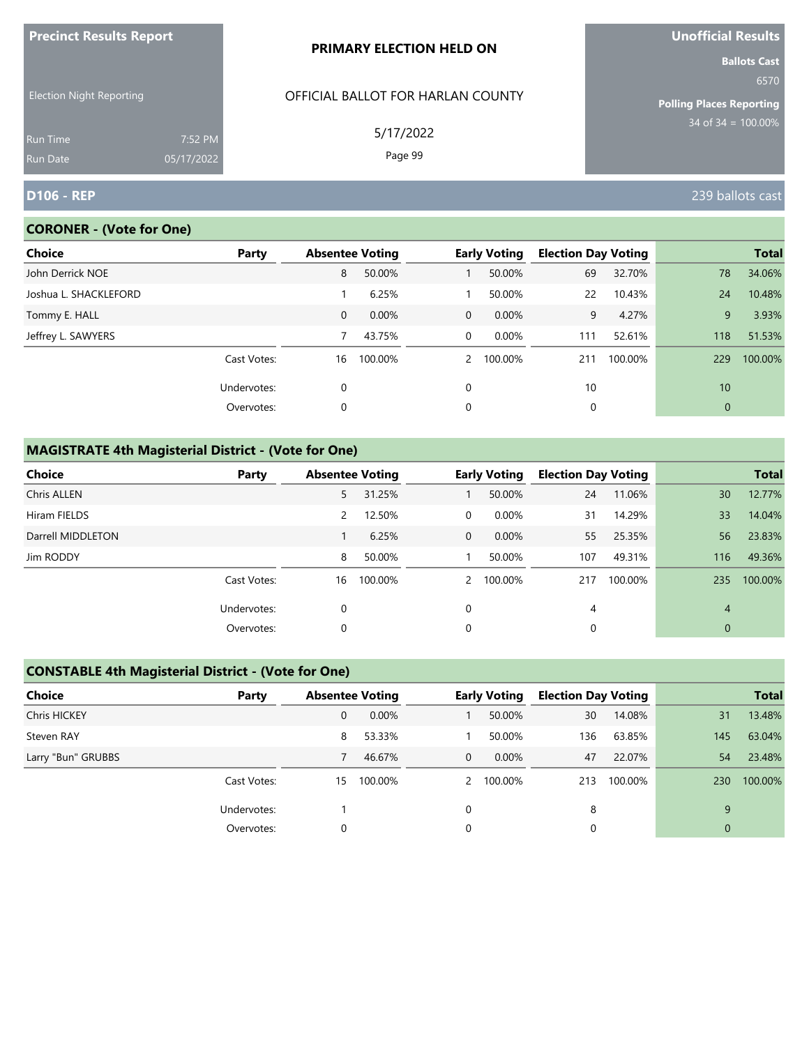| <u>FIECINCLAESURS REPORT</u>    |            | <b>PRIMARY ELECTION HELD ON</b>   | <b>UNUNICIAL NESULS</b>                 |
|---------------------------------|------------|-----------------------------------|-----------------------------------------|
|                                 |            |                                   | <b>Ballots Cast</b>                     |
| <b>Election Night Reporting</b> |            | OFFICIAL BALLOT FOR HARLAN COUNTY | 6570<br><b>Polling Places Reporting</b> |
|                                 |            |                                   | $34$ of 34 = 100.00%                    |
| <b>Run Time</b>                 | 7:52 PM    | 5/17/2022                         |                                         |
| <b>Run Date</b>                 | 05/17/2022 | Page 99                           |                                         |
| <b>D106 - REP</b>               |            |                                   | 239 ballots cast                        |

# **CORONER - (Vote for One)**

**Precinct Results Report**

| Choice                | Party       | <b>Absentee Voting</b> |         |                | <b>Early Voting</b> | <b>Election Day Voting</b> |         |          | <b>Total</b> |
|-----------------------|-------------|------------------------|---------|----------------|---------------------|----------------------------|---------|----------|--------------|
| John Derrick NOE      |             | 8                      | 50.00%  |                | 50.00%              | 69                         | 32.70%  | 78       | 34.06%       |
| Joshua L. SHACKLEFORD |             |                        | 6.25%   |                | 50.00%              | 22                         | 10.43%  | 24       | 10.48%       |
| Tommy E. HALL         |             | $\mathbf{0}$           | 0.00%   | $\Omega$       | 0.00%               | 9                          | 4.27%   | 9        | 3.93%        |
| Jeffrey L. SAWYERS    |             |                        | 43.75%  | $\overline{0}$ | 0.00%               | 111                        | 52.61%  | 118      | 51.53%       |
|                       | Cast Votes: | 16                     | 100.00% | $\mathcal{P}$  | 100.00%             | 211                        | 100.00% | 229      | 100.00%      |
|                       | Undervotes: | 0                      |         | $\Omega$       |                     | 10                         |         | 10       |              |
|                       | Overvotes:  | 0                      |         | 0              |                     | 0                          |         | $\theta$ |              |

# **MAGISTRATE 4th Magisterial District - (Vote for One)**

| <b>Choice</b>     | Party       |    | <b>Absentee Voting</b> |              | <b>Early Voting</b> | <b>Election Day Voting</b> |         |              | <b>Total</b> |
|-------------------|-------------|----|------------------------|--------------|---------------------|----------------------------|---------|--------------|--------------|
| Chris ALLEN       |             | 5  | 31.25%                 |              | 50.00%              | 24                         | 11.06%  | 30           | 12.77%       |
| Hiram FIELDS      |             | 2  | 12.50%                 | 0            | $0.00\%$            | 31                         | 14.29%  | 33           | 14.04%       |
| Darrell MIDDLETON |             |    | 6.25%                  | $\mathbf{0}$ | $0.00\%$            | 55                         | 25.35%  | 56           | 23.83%       |
| Jim RODDY         |             | 8  | 50.00%                 |              | 50.00%              | 107                        | 49.31%  | 116          | 49.36%       |
|                   | Cast Votes: | 16 | 100.00%                |              | 2 100.00%           | 217                        | 100.00% | 235          | 100.00%      |
|                   | Undervotes: | 0  |                        | $\mathbf 0$  |                     | 4                          |         | 4            |              |
|                   | Overvotes:  | 0  |                        | $\mathbf 0$  |                     |                            |         | $\mathbf{0}$ |              |

# **CONSTABLE 4th Magisterial District - (Vote for One)**

| Choice             | Party       | <b>Absentee Voting</b> |         |              | <b>Early Voting</b> | <b>Election Day Voting</b> |         |              | <b>Total</b> |
|--------------------|-------------|------------------------|---------|--------------|---------------------|----------------------------|---------|--------------|--------------|
| Chris HICKEY       |             | $\mathbf 0$            | 0.00%   |              | 50.00%              | 30                         | 14.08%  | 31           | 13.48%       |
| Steven RAY         |             | 8                      | 53.33%  |              | 50.00%              | 136                        | 63.85%  | 145          | 63.04%       |
| Larry "Bun" GRUBBS |             |                        | 46.67%  | $\mathbf{0}$ | $0.00\%$            | 47                         | 22.07%  | 54           | 23.48%       |
|                    | Cast Votes: | 15                     | 100.00% |              | 2 100.00%           | 213                        | 100.00% | 230          | 100.00%      |
|                    | Undervotes: |                        |         |              |                     | 8                          |         | 9            |              |
|                    | Overvotes:  |                        |         |              |                     | 0                          |         | $\mathbf{0}$ |              |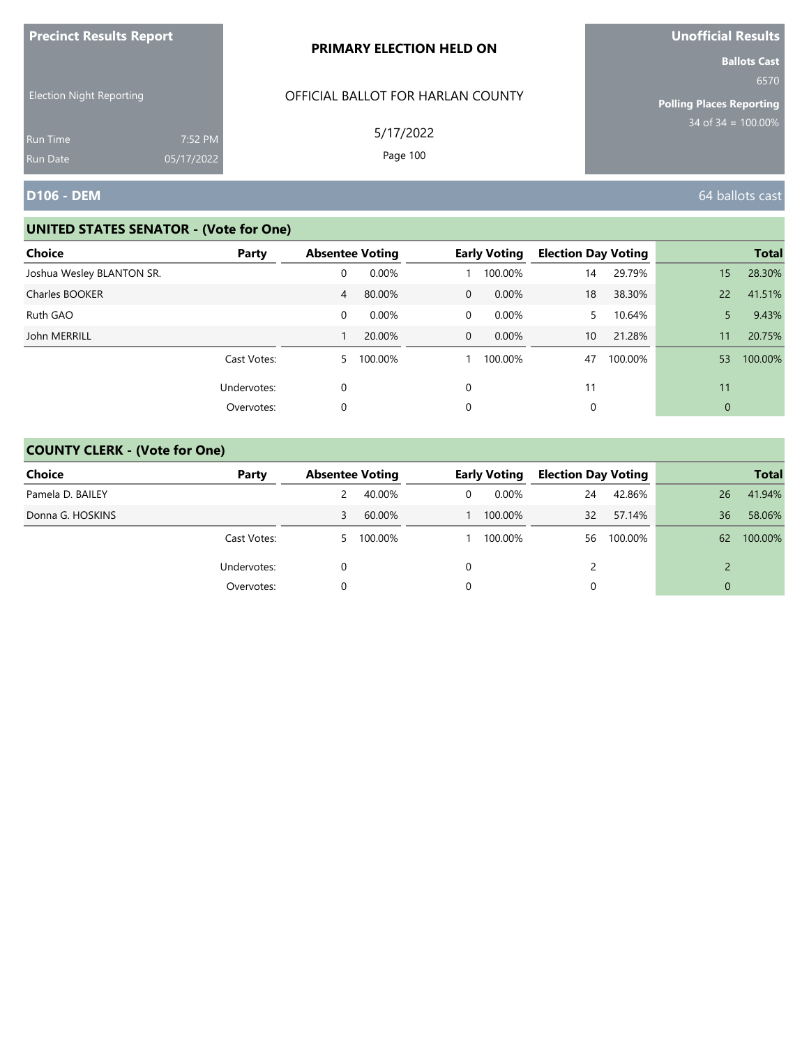| <b>Precinct Results Report</b>  |            | PRIMARY ELECTION HELD ON          | Unofficial Results                                             |
|---------------------------------|------------|-----------------------------------|----------------------------------------------------------------|
| <b>Election Night Reporting</b> |            | OFFICIAL BALLOT FOR HARLAN COUNTY | <b>Ballots Cast</b><br>6570<br><b>Polling Places Reporting</b> |
| <b>Run Time</b>                 | 7:52 PM    | 5/17/2022                         | $134$ of 34 = 100.00%                                          |
| <b>Run Date</b>                 | 05/17/2022 | Page 100                          |                                                                |
| <b>D106 - DEM</b>               |            |                                   | 64 ballots cast                                                |

| Choice                    | Party       | <b>Absentee Voting</b> |           |                | <b>Early Voting</b> | <b>Election Day Voting</b> |         |              | <b>Total</b> |
|---------------------------|-------------|------------------------|-----------|----------------|---------------------|----------------------------|---------|--------------|--------------|
| Joshua Wesley BLANTON SR. |             | 0                      | 0.00%     |                | 100.00%             | 14                         | 29.79%  | 15           | 28.30%       |
| Charles BOOKER            |             | 4                      | 80.00%    | $\overline{0}$ | $0.00\%$            | 18                         | 38.30%  | 22           | 41.51%       |
| Ruth GAO                  |             | 0                      | 0.00%     | 0              | 0.00%               | 5.                         | 10.64%  |              | 9.43%        |
| John MERRILL              |             |                        | 20.00%    | $\overline{0}$ | $0.00\%$            | 10                         | 21.28%  | 11           | 20.75%       |
|                           | Cast Votes: |                        | 5 100.00% |                | 100.00%             | 47                         | 100.00% | 53           | 100.00%      |
|                           | Undervotes: | 0                      |           | $\Omega$       |                     | 11                         |         | 11           |              |
|                           | Overvotes:  | 0                      |           | 0              |                     | 0                          |         | $\mathbf{0}$ |              |

| <b>Choice</b>    | Party       | <b>Absentee Voting</b> |         |   | <b>Early Voting</b> | <b>Election Day Voting</b> |         |          | <b>Total</b> |
|------------------|-------------|------------------------|---------|---|---------------------|----------------------------|---------|----------|--------------|
| Pamela D. BAILEY |             |                        | 40.00%  | 0 | 0.00%               | 24                         | 42.86%  | 26       | 41.94%       |
| Donna G. HOSKINS |             |                        | 60.00%  |   | 100.00%             | 32                         | 57.14%  | 36       | 58.06%       |
|                  | Cast Votes: | 5                      | 100.00% |   | 100.00%             | 56                         | 100.00% | 62       | 100.00%      |
|                  | Undervotes: |                        |         | 0 |                     |                            |         |          |              |
|                  | Overvotes:  |                        |         | 0 |                     |                            |         | $\Omega$ |              |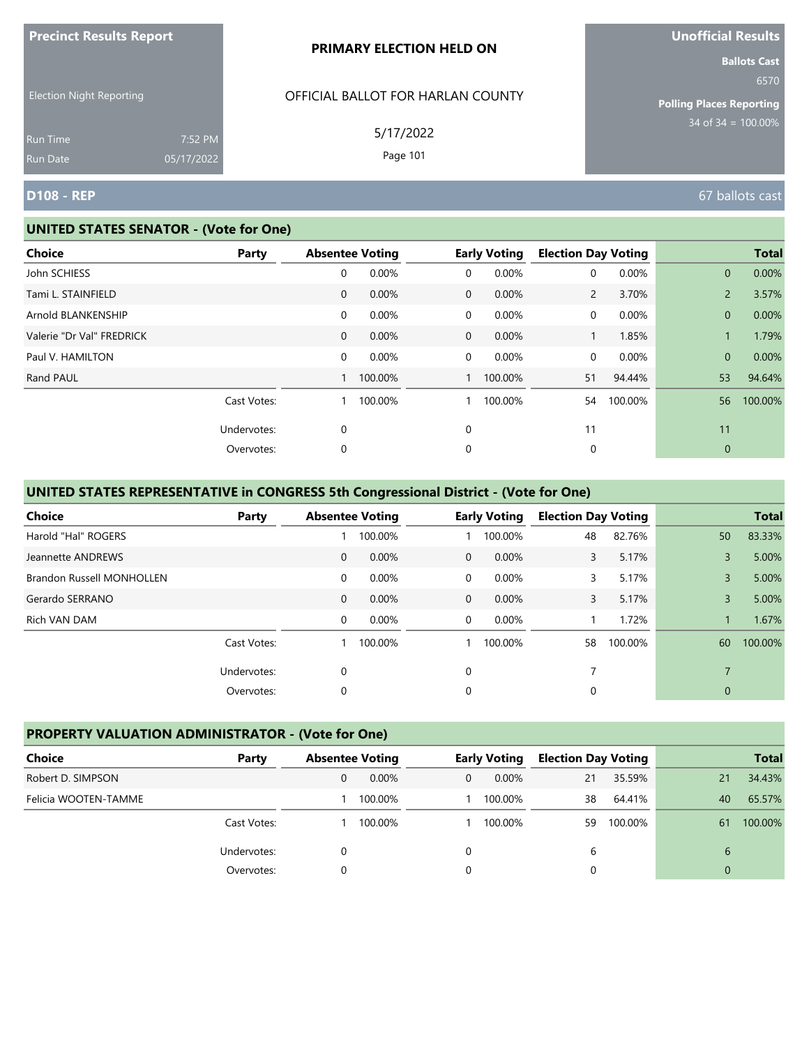| <b>Precinct Results Report</b> |  |  |
|--------------------------------|--|--|
|                                |  |  |

#### **PRIMARY ELECTION HELD ON**

OFFICIAL BALLOT FOR HARLAN COUNTY

5/17/2022 Page 101

Election Night Reporting

Run Time Run Date 05/17/2022

#### **UNITED STATES SENATOR - (Vote for One)**

7:52 PM

**Ballots Cast** 6570

**Polling Places Reporting** 34 of 34 = 100.00%

## **D108 - REP** 67 ballots cast

| <b>Choice</b>             | Party       | <b>Absentee Voting</b> |         |                | <b>Early Voting</b> | <b>Election Day Voting</b> |         |                | <b>Total</b> |
|---------------------------|-------------|------------------------|---------|----------------|---------------------|----------------------------|---------|----------------|--------------|
| John SCHIESS              |             | 0                      | 0.00%   | 0              | 0.00%               | 0                          | 0.00%   | $\mathbf{0}$   | 0.00%        |
| Tami L. STAINFIELD        |             | $\mathbf 0$            | 0.00%   | $\mathbf 0$    | 0.00%               | $\overline{2}$             | 3.70%   | $\overline{2}$ | 3.57%        |
| Arnold BLANKENSHIP        |             | 0                      | 0.00%   | 0              | 0.00%               | 0                          | 0.00%   | $\mathbf{0}$   | 0.00%        |
| Valerie "Dr Val" FREDRICK |             | $\mathbf{0}$           | 0.00%   | $\overline{0}$ | 0.00%               | 1                          | 1.85%   | 1              | 1.79%        |
| Paul V. HAMILTON          |             | 0                      | 0.00%   | $\mathbf 0$    | 0.00%               | 0                          | 0.00%   | $\overline{0}$ | 0.00%        |
| Rand PAUL                 |             |                        | 100.00% |                | 100.00%             | 51                         | 94.44%  | 53             | 94.64%       |
|                           | Cast Votes: |                        | 100.00% |                | 100.00%             | 54                         | 100.00% | 56             | 100.00%      |
|                           | Undervotes: | 0                      |         | $\mathbf 0$    |                     | 11                         |         | 11             |              |
|                           | Overvotes:  | 0                      |         | 0              |                     | 0                          |         | $\mathbf{0}$   |              |
|                           |             |                        |         |                |                     |                            |         |                |              |

## **UNITED STATES REPRESENTATIVE in CONGRESS 5th Congressional District - (Vote for One)**

| <b>Choice</b>                    | Party       |              | <b>Absentee Voting</b> |                | <b>Early Voting</b> | <b>Election Day Voting</b> |         |              | <b>Total</b> |
|----------------------------------|-------------|--------------|------------------------|----------------|---------------------|----------------------------|---------|--------------|--------------|
| Harold "Hal" ROGERS              |             |              | 100.00%                |                | 100.00%             | 48                         | 82.76%  | 50           | 83.33%       |
| Jeannette ANDREWS                |             | $\mathbf{0}$ | 0.00%                  | $\Omega$       | $0.00\%$            | 3                          | 5.17%   | 3            | 5.00%        |
| <b>Brandon Russell MONHOLLEN</b> |             | 0            | 0.00%                  | $\Omega$       | 0.00%               | 3                          | 5.17%   | 3            | 5.00%        |
| Gerardo SERRANO                  |             | $\mathbf{0}$ | 0.00%                  | $\overline{0}$ | 0.00%               | 3                          | 5.17%   | 3            | 5.00%        |
| Rich VAN DAM                     |             | 0            | 0.00%                  | $\Omega$       | 0.00%               |                            | 1.72%   |              | 1.67%        |
|                                  | Cast Votes: |              | 100.00%                |                | 100.00%             | 58                         | 100.00% | 60           | 100.00%      |
|                                  | Undervotes: | 0            |                        | 0              |                     | 7                          |         |              |              |
|                                  | Overvotes:  | 0            |                        | 0              |                     | 0                          |         | $\mathbf{0}$ |              |

## **PROPERTY VALUATION ADMINISTRATOR - (Vote for One)**

| Choice               | Party       | <b>Absentee Voting</b> |         |          | <b>Early Voting</b> | <b>Election Day Voting</b> |         |          | <b>Total</b> |
|----------------------|-------------|------------------------|---------|----------|---------------------|----------------------------|---------|----------|--------------|
| Robert D. SIMPSON    |             |                        | 0.00%   | $\Omega$ | $0.00\%$            | 21                         | 35.59%  | 21       | 34.43%       |
| Felicia WOOTEN-TAMME |             |                        | 100.00% |          | 100.00%             | 38                         | 64.41%  | 40       | 65.57%       |
|                      | Cast Votes: |                        | 100.00% |          | 100.00%             | 59                         | 100.00% | 61       | 100.00%      |
|                      | Undervotes: |                        |         | 0        |                     | 6                          |         | 6        |              |
|                      | Overvotes:  |                        |         | 0        |                     |                            |         | $\Omega$ |              |

**Unofficial Results**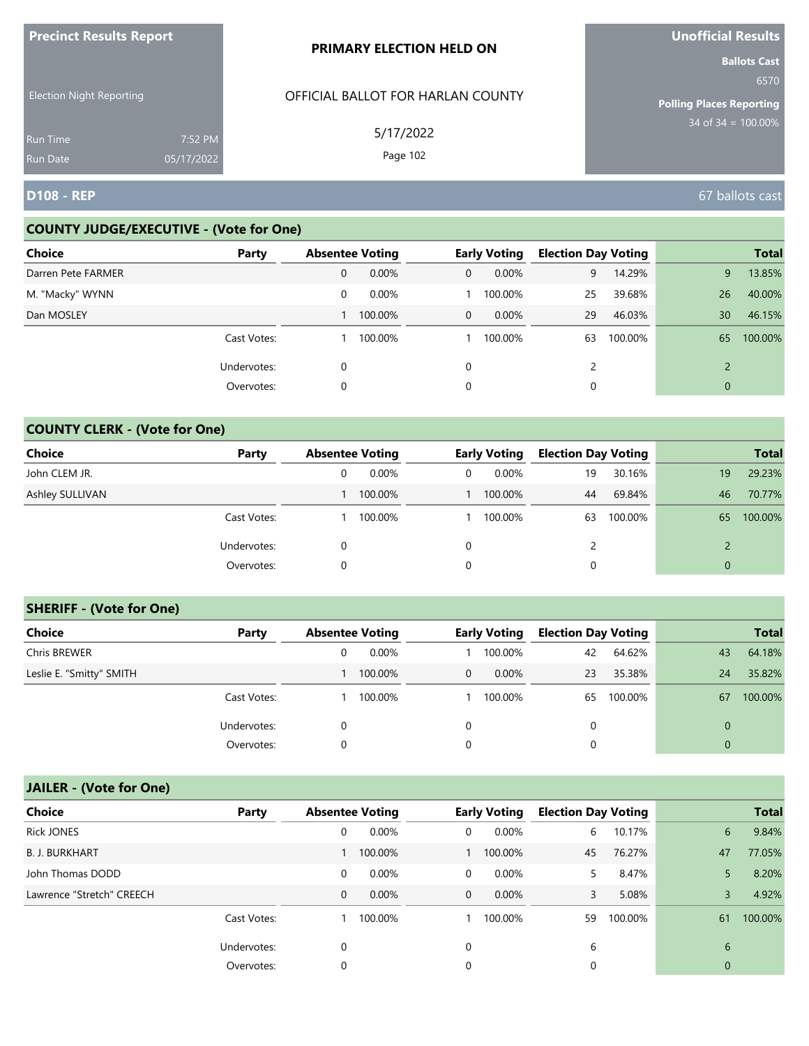| <b>ILLEGATION DESCRIPS DEMAND</b>  |                       | <b>PRIMARY ELECTION HELD ON</b>   | <b>UIIUIIILIAI NESUILS</b><br><b>Ballots Cast</b> |
|------------------------------------|-----------------------|-----------------------------------|---------------------------------------------------|
| <b>Election Night Reporting</b>    |                       | OFFICIAL BALLOT FOR HARLAN COUNTY | 6570<br><b>Polling Places Reporting</b>           |
| <b>Run Time</b><br><b>Run Date</b> | 7:52 PM<br>05/17/2022 | 5/17/2022<br>Page 102             | $34 \text{ of } 34 = 100.00\%$                    |
| <b>D108 - REP</b>                  |                       |                                   | 67 ballots cast                                   |

## **COUNTY JUDGE/EXECUTIVE - (Vote for One)**

**Precinct Results Report**

| <b>Choice</b>      | Party       | <b>Absentee Voting</b> |         |             | <b>Early Voting</b> | <b>Election Day Voting</b> |         |    | <b>Total</b> |
|--------------------|-------------|------------------------|---------|-------------|---------------------|----------------------------|---------|----|--------------|
| Darren Pete FARMER |             | 0                      | 0.00%   | 0           | $0.00\%$            | 9                          | 14.29%  | 9  | 13.85%       |
| M. "Macky" WYNN    |             | 0                      | 0.00%   |             | 100.00%             | 25                         | 39.68%  | 26 | 40.00%       |
| Dan MOSLEY         |             |                        | 100.00% | $\mathbf 0$ | $0.00\%$            | 29                         | 46.03%  | 30 | 46.15%       |
|                    | Cast Votes: |                        | 100.00% |             | 100.00%             | 63                         | 100.00% | 65 | 100.00%      |
|                    | Undervotes: | 0                      |         | $\Omega$    |                     |                            |         |    |              |
|                    | Overvotes:  | 0                      |         | 0           |                     |                            |         | 0  |              |

# **COUNTY CLERK - (Vote for One)**

| Choice          | Party       | <b>Absentee Voting</b> |         |   | <b>Early Voting</b> | <b>Election Day Voting</b> |         |              | <b>Total</b> |
|-----------------|-------------|------------------------|---------|---|---------------------|----------------------------|---------|--------------|--------------|
| John CLEM JR.   |             | 0                      | 0.00%   | 0 | $0.00\%$            | 19                         | 30.16%  | 19           | 29.23%       |
| Ashley SULLIVAN |             |                        | 100.00% |   | 100.00%             | 44                         | 69.84%  | 46           | 70.77%       |
|                 | Cast Votes: |                        | 100.00% |   | 100.00%             | 63                         | 100.00% | 65           | 100.00%      |
|                 | Undervotes: | 0                      |         | 0 |                     | 2                          |         |              |              |
|                 | Overvotes:  | 0                      |         | 0 |                     | 0                          |         | $\mathbf{0}$ |              |

## **SHERIFF - (Vote for One)**

| <b>Choice</b>            | Party       | <b>Absentee Voting</b> |          |              | <b>Early Voting</b> | <b>Election Day Voting</b> |         |              | <b>Total</b> |
|--------------------------|-------------|------------------------|----------|--------------|---------------------|----------------------------|---------|--------------|--------------|
| Chris BREWER             |             | 0                      | $0.00\%$ |              | 100.00%             | 42                         | 64.62%  | 43           | 64.18%       |
| Leslie E. "Smitty" SMITH |             |                        | 100.00%  | $\mathbf{0}$ | $0.00\%$            | 23                         | 35.38%  | 24           | 35.82%       |
|                          | Cast Votes: |                        | 100.00%  |              | 100.00%             | 65                         | 100.00% | 67           | 100.00%      |
|                          | Undervotes: | 0                      |          | $\Omega$     |                     | 0                          |         | $\mathbf{0}$ |              |
|                          | Overvotes:  | 0                      |          |              |                     | 0                          |         | $\mathbf{0}$ |              |

| <b>Choice</b>             | Party       | <b>Absentee Voting</b> |          |          | <b>Early Voting</b> | <b>Election Day Voting</b> |         |              | <b>Total</b> |
|---------------------------|-------------|------------------------|----------|----------|---------------------|----------------------------|---------|--------------|--------------|
| <b>Rick JONES</b>         |             | 0                      | 0.00%    | 0        | 0.00%               | 6                          | 10.17%  | 6            | 9.84%        |
| <b>B. J. BURKHART</b>     |             |                        | 100.00%  |          | 100.00%             | 45                         | 76.27%  | 47           | 77.05%       |
| John Thomas DODD          |             | 0                      | $0.00\%$ | $\Omega$ | 0.00%               | 5.                         | 8.47%   | 5            | 8.20%        |
| Lawrence "Stretch" CREECH |             | 0                      | $0.00\%$ | $\Omega$ | $0.00\%$            | 3                          | 5.08%   | 3            | 4.92%        |
|                           | Cast Votes: |                        | 100.00%  |          | 100.00%             | 59                         | 100.00% | 61           | 100.00%      |
|                           | Undervotes: | 0                      |          | $\Omega$ |                     | 6                          |         | 6            |              |
|                           | Overvotes:  | 0                      |          | $\Omega$ |                     | 0                          |         | $\mathbf{0}$ |              |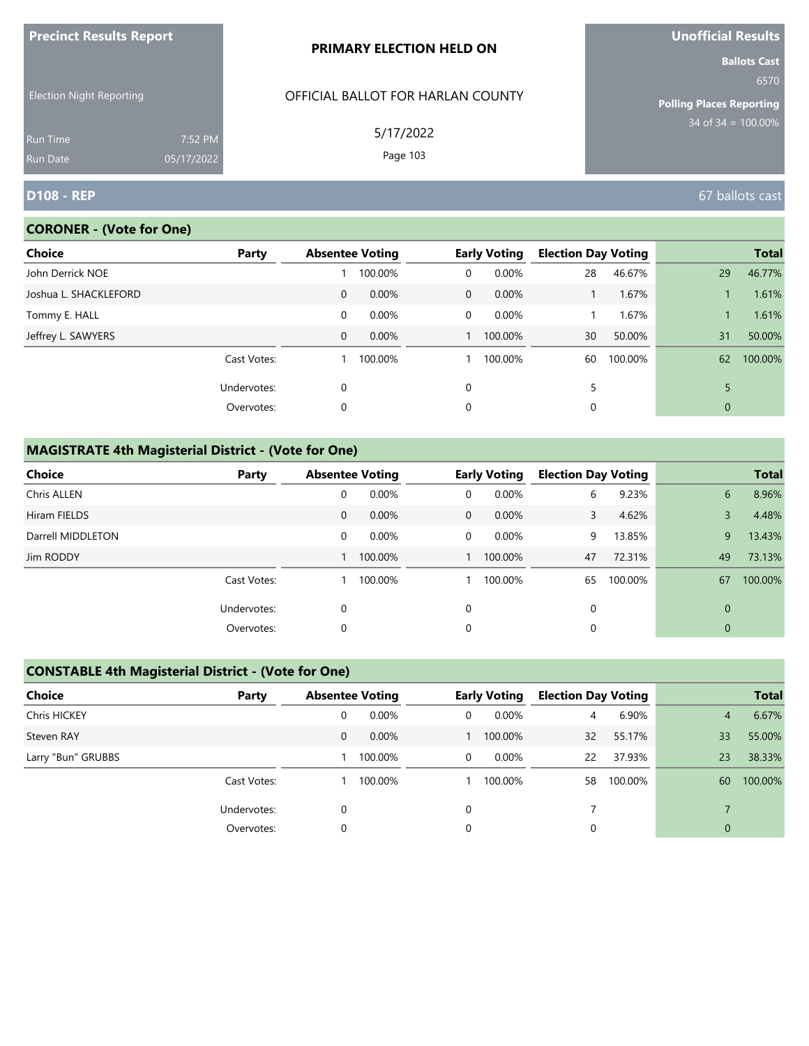| <b>Precinct Results Report</b>  |            | PRIMARY ELECTION HELD ON          | Unofficial Results                                                                        |
|---------------------------------|------------|-----------------------------------|-------------------------------------------------------------------------------------------|
| <b>Election Night Reporting</b> |            | OFFICIAL BALLOT FOR HARLAN COUNTY | <b>Ballots Cast</b><br>6570<br><b>Polling Places Reporting</b><br>$34$ of 34 = $100.00\%$ |
| <b>Run Time</b>                 | 7:52 PM    | 5/17/2022                         |                                                                                           |
| <b>Run Date</b>                 | 05/17/2022 | Page 103                          |                                                                                           |
| <b>D108 - REP</b>               |            |                                   | 67 ballots cast                                                                           |

# **CORONER - (Vote for One)**

| Choice                | Party       |              | <b>Absentee Voting</b> |                | <b>Early Voting</b> | <b>Election Day Voting</b> |         |              | <b>Total</b> |
|-----------------------|-------------|--------------|------------------------|----------------|---------------------|----------------------------|---------|--------------|--------------|
| John Derrick NOE      |             |              | 100.00%                | 0              | 0.00%               | 28                         | 46.67%  | 29           | 46.77%       |
| Joshua L. SHACKLEFORD |             | $\mathbf{0}$ | 0.00%                  | $\overline{0}$ | 0.00%               |                            | 1.67%   |              | 1.61%        |
| Tommy E. HALL         |             | 0            | 0.00%                  | $\Omega$       | 0.00%               |                            | 1.67%   |              | 1.61%        |
| Jeffrey L. SAWYERS    |             | $\mathbf 0$  | 0.00%                  |                | 100.00%             | 30                         | 50.00%  | 31           | 50.00%       |
|                       | Cast Votes: |              | 100.00%                |                | 100.00%             | 60                         | 100.00% | 62           | 100.00%      |
|                       | Undervotes: | 0            |                        | $\Omega$       |                     | 5                          |         |              |              |
|                       | Overvotes:  | 0            |                        | 0              |                     | 0                          |         | $\mathbf{0}$ |              |

# **MAGISTRATE 4th Magisterial District - (Vote for One)**

| <b>Choice</b>     | Party       | <b>Absentee Voting</b> |         |             | <b>Early Voting</b> | <b>Election Day Voting</b> |         |    | <b>Total</b> |
|-------------------|-------------|------------------------|---------|-------------|---------------------|----------------------------|---------|----|--------------|
| Chris ALLEN       |             | 0                      | 0.00%   | $\mathbf 0$ | 0.00%               | 6                          | 9.23%   | 6  | 8.96%        |
| Hiram FIELDS      |             | $\mathbf 0$            | 0.00%   | $\mathbf 0$ | $0.00\%$            | 3                          | 4.62%   | 3  | 4.48%        |
| Darrell MIDDLETON |             | 0                      | 0.00%   | $\Omega$    | $0.00\%$            | 9                          | 13.85%  | 9  | 13.43%       |
| Jim RODDY         |             |                        | 100.00% |             | 100.00%             | 47                         | 72.31%  | 49 | 73.13%       |
|                   | Cast Votes: |                        | 100.00% |             | 100.00%             | 65                         | 100.00% | 67 | 100.00%      |
|                   | Undervotes: | 0                      |         | 0           |                     | 0                          |         | 0  |              |
|                   | Overvotes:  | 0                      |         | 0           |                     | 0                          |         | 0  |              |

# **CONSTABLE 4th Magisterial District - (Vote for One)**

| <b>Choice</b>       | Party       | <b>Absentee Voting</b> |          |          | <b>Early Voting</b> | <b>Election Day Voting</b> |         |                | <b>Total</b> |
|---------------------|-------------|------------------------|----------|----------|---------------------|----------------------------|---------|----------------|--------------|
| <b>Chris HICKEY</b> |             | 0                      | 0.00%    | 0        | $0.00\%$            | 4                          | 6.90%   | $\overline{4}$ | 6.67%        |
| Steven RAY          |             | 0                      | $0.00\%$ |          | 100.00%             | 32                         | 55.17%  | 33             | 55.00%       |
| Larry "Bun" GRUBBS  |             |                        | 100.00%  | 0        | 0.00%               | 22                         | 37.93%  | 23             | 38.33%       |
|                     | Cast Votes: |                        | 100.00%  |          | 100.00%             | 58                         | 100.00% | 60             | 100.00%      |
|                     | Undervotes: | 0                      |          | $\Omega$ |                     |                            |         |                |              |
|                     | Overvotes:  | 0                      |          | 0        |                     |                            |         | $\mathbf{0}$   |              |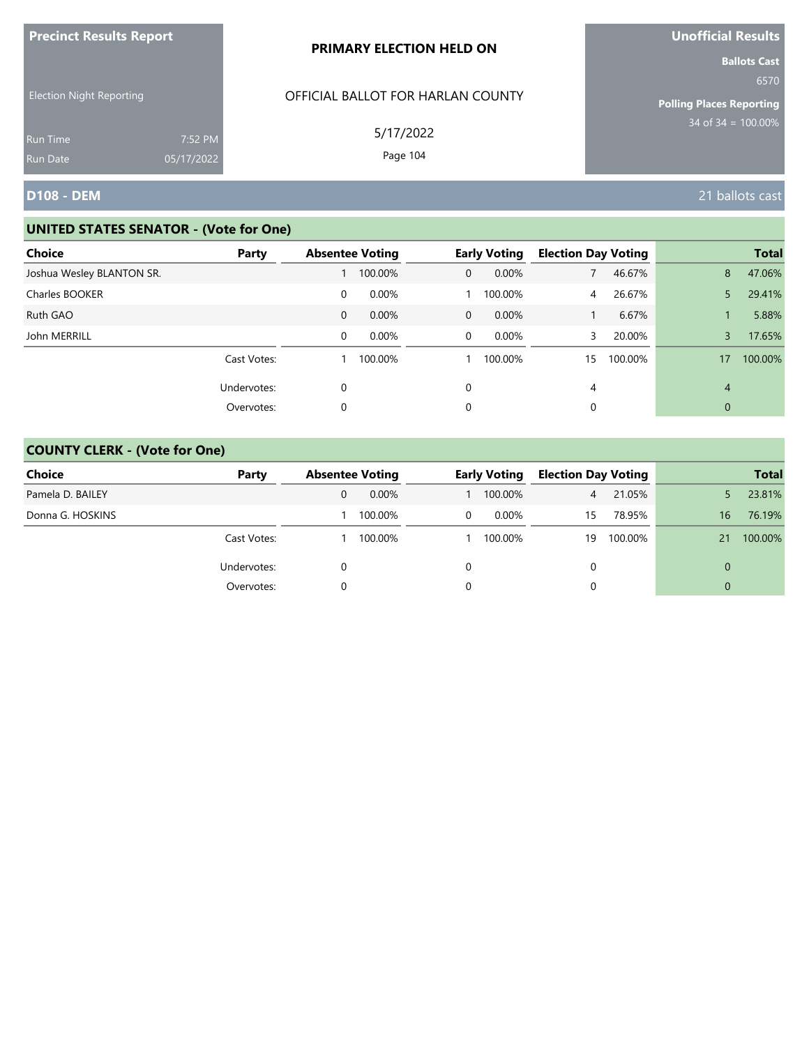| <b>Precinct Results Report</b>  |            | PRIMARY ELECTION HELD ON          | <b>Unofficial Results</b>                                                              |
|---------------------------------|------------|-----------------------------------|----------------------------------------------------------------------------------------|
| <b>Election Night Reporting</b> |            | OFFICIAL BALLOT FOR HARLAN COUNTY | <b>Ballots Cast</b><br>6570<br><b>Polling Places Reporting</b><br>$34$ of 34 = 100.00% |
| <b>Run Time</b>                 | 7:52 PM    | 5/17/2022                         |                                                                                        |
| <b>Run Date</b>                 | 05/17/2022 | Page 104                          |                                                                                        |
| <b>D108 - DEM</b>               |            |                                   | 21 ballots cast                                                                        |

| <b>Choice</b>             | Party       |             | <b>Absentee Voting</b> |                | <b>Early Voting</b> | <b>Election Day Voting</b> |         |    | <b>Total</b> |
|---------------------------|-------------|-------------|------------------------|----------------|---------------------|----------------------------|---------|----|--------------|
| Joshua Wesley BLANTON SR. |             |             | 100.00%                | $\overline{0}$ | $0.00\%$            |                            | 46.67%  | 8  | 47.06%       |
| Charles BOOKER            |             | 0           | 0.00%                  |                | 100.00%             | 4                          | 26.67%  | 5. | 29.41%       |
| Ruth GAO                  |             | $\mathbf 0$ | 0.00%                  | $\mathbf{0}$   | $0.00\%$            |                            | 6.67%   |    | 5.88%        |
| John MERRILL              |             | 0           | 0.00%                  | 0              | 0.00%               |                            | 20.00%  | 3  | 17.65%       |
|                           | Cast Votes: |             | 100.00%                |                | 100.00%             | 15                         | 100.00% | 17 | 100.00%      |
|                           | Undervotes: | 0           |                        | 0              |                     | 4                          |         | 4  |              |
|                           | Overvotes:  | 0           |                        | $\Omega$       |                     |                            |         | 0  |              |

| <b>Choice</b>    | Party       | <b>Absentee Voting</b> |          |   | <b>Early Voting</b> | <b>Election Day Voting</b> |         |    | <b>Total</b> |
|------------------|-------------|------------------------|----------|---|---------------------|----------------------------|---------|----|--------------|
| Pamela D. BAILEY |             | 0                      | $0.00\%$ |   | 100.00%             | $\overline{4}$             | 21.05%  |    | 23.81%       |
| Donna G. HOSKINS |             |                        | 100.00%  | 0 | $0.00\%$            | 15                         | 78.95%  | 16 | 76.19%       |
|                  | Cast Votes: |                        | 100.00%  |   | 100.00%             | 19                         | 100.00% | 21 | 100.00%      |
|                  | Undervotes: |                        |          | 0 |                     | $\Omega$                   |         | 0  |              |
|                  | Overvotes:  |                        |          | 0 |                     |                            |         | 0  |              |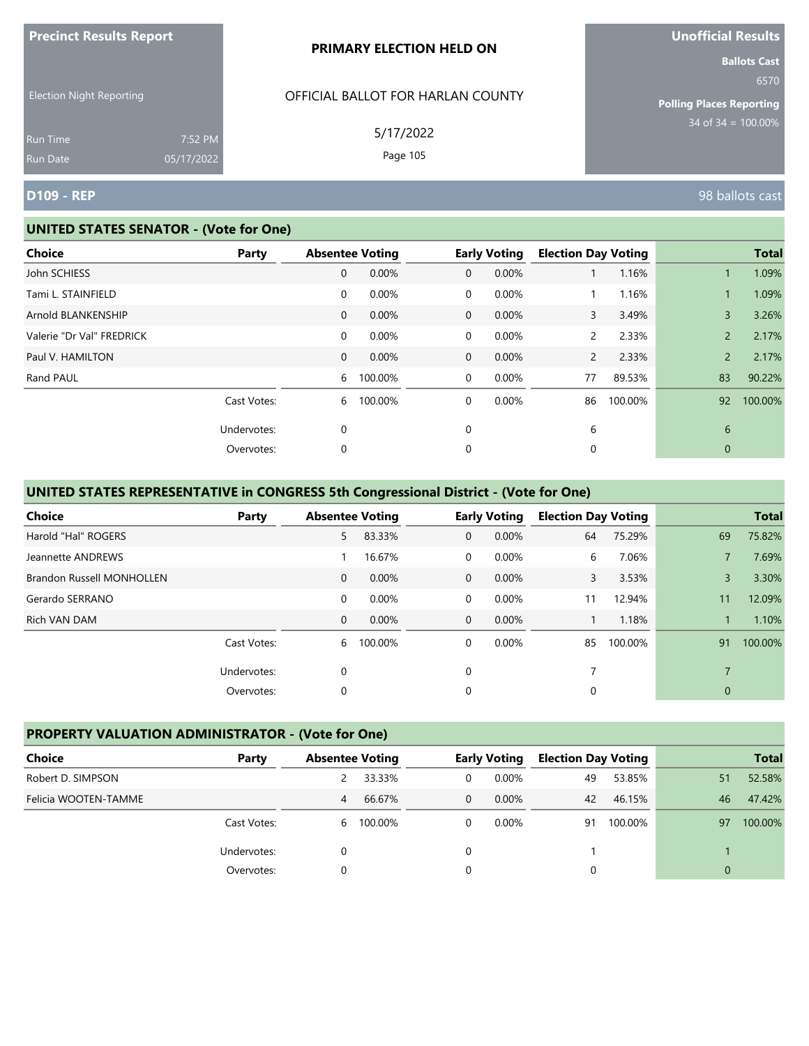|  |  | <b>Precinct Results Report</b> |  |
|--|--|--------------------------------|--|
|--|--|--------------------------------|--|

#### **PRIMARY ELECTION HELD ON**

OFFICIAL BALLOT FOR HARLAN COUNTY

5/17/2022 Page 105

Election Night Reporting

Run Time Run Date 05/17/2022

#### **UNITED STATES SENATOR - (Vote for One)**

7:52 PM

| Choice                    | Party       |                | <b>Absentee Voting</b> |              | <b>Early Voting</b> | <b>Election Day Voting</b> |         |                | <b>Total</b> |
|---------------------------|-------------|----------------|------------------------|--------------|---------------------|----------------------------|---------|----------------|--------------|
| John SCHIESS              |             | 0              | 0.00%                  | $\mathbf{0}$ | 0.00%               |                            | 1.16%   |                | 1.09%        |
| Tami L. STAINFIELD        |             | $\mathbf 0$    | 0.00%                  | 0            | 0.00%               |                            | 1.16%   |                | 1.09%        |
| Arnold BLANKENSHIP        |             | $\mathbf{0}$   | 0.00%                  | $\mathbf{0}$ | 0.00%               | 3                          | 3.49%   | 3              | 3.26%        |
| Valerie "Dr Val" FREDRICK |             | $\overline{0}$ | 0.00%                  | 0            | 0.00%               | $\mathbf{2}$               | 2.33%   | $\overline{2}$ | 2.17%        |
| Paul V. HAMILTON          |             | $\mathbf{0}$   | 0.00%                  | $\mathbf{0}$ | 0.00%               | 2                          | 2.33%   | $\overline{2}$ | 2.17%        |
| Rand PAUL                 |             | 6              | 100.00%                | 0            | $0.00\%$            | 77                         | 89.53%  | 83             | 90.22%       |
|                           | Cast Votes: | 6              | 100.00%                | 0            | 0.00%               | 86                         | 100.00% | 92             | 100.00%      |
|                           | Undervotes: | $\mathbf 0$    |                        | 0            |                     | 6                          |         | 6              |              |
|                           | Overvotes:  | 0              |                        | 0            |                     | 0                          |         | 0              |              |

#### **UNITED STATES REPRESENTATIVE in CONGRESS 5th Congressional District - (Vote for One)**

| <b>Choice</b>                    | Party       | <b>Absentee Voting</b> |          |              | <b>Early Voting</b> | <b>Election Day Voting</b> |         |              | <b>Total</b> |
|----------------------------------|-------------|------------------------|----------|--------------|---------------------|----------------------------|---------|--------------|--------------|
| Harold "Hal" ROGERS              |             | 5                      | 83.33%   | $\mathbf{0}$ | 0.00%               | 64                         | 75.29%  | 69           | 75.82%       |
| Jeannette ANDREWS                |             |                        | 16.67%   | $\Omega$     | 0.00%               | 6                          | 7.06%   |              | 7.69%        |
| <b>Brandon Russell MONHOLLEN</b> |             | $\mathbf{0}$           | $0.00\%$ | $\mathbf{0}$ | 0.00%               | 3                          | 3.53%   | 3            | 3.30%        |
| Gerardo SERRANO                  |             | $\mathbf 0$            | $0.00\%$ | $\Omega$     | 0.00%               | 11                         | 12.94%  | 11           | 12.09%       |
| Rich VAN DAM                     |             | $\mathbf{0}$           | 0.00%    | $\Omega$     | 0.00%               |                            | 1.18%   |              | 1.10%        |
|                                  | Cast Votes: | 6                      | 100.00%  | 0            | $0.00\%$            | 85                         | 100.00% | 91           | 100.00%      |
|                                  | Undervotes: | 0                      |          | $\Omega$     |                     | 7                          |         |              |              |
|                                  | Overvotes:  | 0                      |          | 0            |                     | 0                          |         | $\mathbf{0}$ |              |

#### **PROPERTY VALUATION ADMINISTRATOR - (Vote for One)**

| <b>Choice</b>        | Party       | <b>Absentee Voting</b> |         |   | <b>Early Voting</b> | <b>Election Day Voting</b> |         |    | <b>Total</b> |
|----------------------|-------------|------------------------|---------|---|---------------------|----------------------------|---------|----|--------------|
| Robert D. SIMPSON    |             |                        | 33.33%  |   | $0.00\%$            | 49                         | 53.85%  | 51 | 52.58%       |
| Felicia WOOTEN-TAMME |             | 4                      | 66.67%  | 0 | $0.00\%$            | 42                         | 46.15%  | 46 | 47.42%       |
|                      | Cast Votes: | 6                      | 100.00% |   | $0.00\%$            | 91                         | 100.00% | 97 | 100.00%      |
|                      | Undervotes: |                        |         |   |                     |                            |         |    |              |
|                      | Overvotes:  |                        |         |   |                     |                            |         |    |              |

**Unofficial Results**

**Ballots Cast** 6570

**Polling Places Reporting** 34 of 34 = 100.00%

## **D109 - REP** 98 ballots cast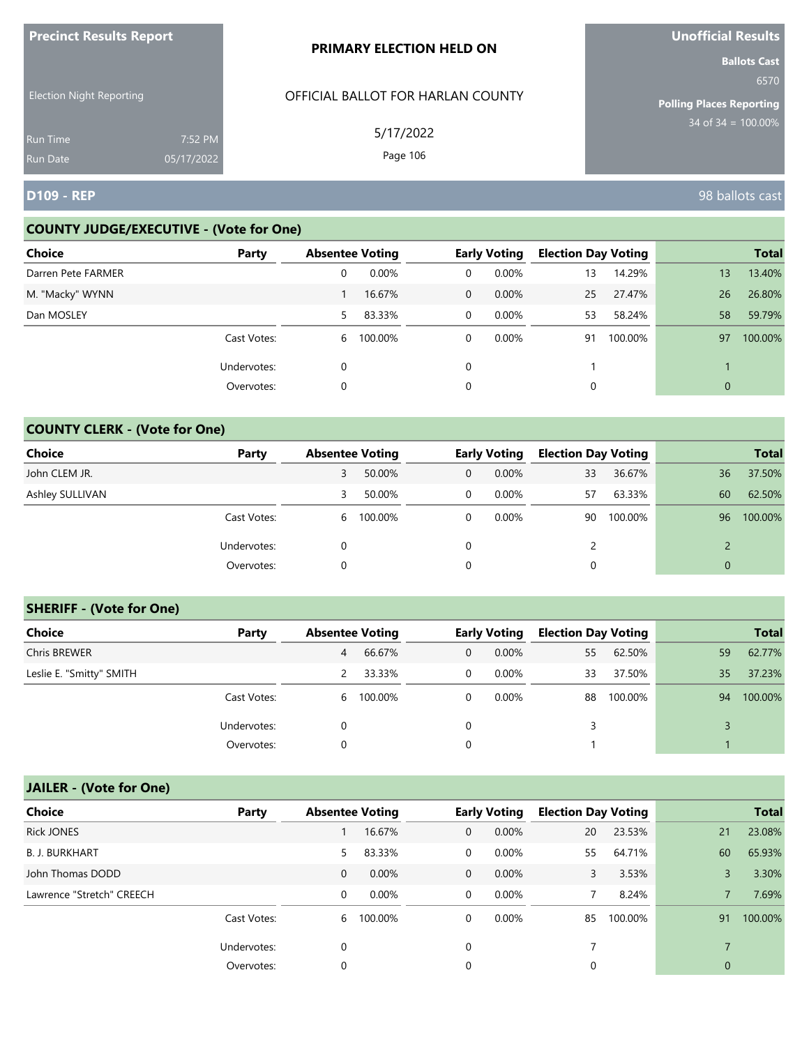| <b>ILLEGATION INCONTRATION INCORPORATION</b> |                       | <b>PRIMARY ELECTION HELD ON</b>   | <b>UNUNITED IN STREET</b><br><b>Ballots Cast</b> |
|----------------------------------------------|-----------------------|-----------------------------------|--------------------------------------------------|
| <b>Election Night Reporting</b>              |                       | OFFICIAL BALLOT FOR HARLAN COUNTY | 6570<br><b>Polling Places Reporting</b>          |
| <b>Run Time</b><br><b>Run Date</b>           | 7:52 PM<br>05/17/2022 | 5/17/2022<br>Page 106             | $34$ of 34 = $100.00\%$                          |
| <b>D109 - REP</b>                            |                       |                                   | 98 ballots cast                                  |

# **COUNTY JUDGE/EXECUTIVE - (Vote for One)**

**Precinct Results Report**

| <b>Choice</b>      | Party       | <b>Absentee Voting</b> |         |                | <b>Early Voting</b> | <b>Election Day Voting</b> |         |    | <b>Total</b> |
|--------------------|-------------|------------------------|---------|----------------|---------------------|----------------------------|---------|----|--------------|
| Darren Pete FARMER |             | 0                      | 0.00%   | 0              | $0.00\%$            | 13                         | 14.29%  | 13 | 13.40%       |
| M. "Macky" WYNN    |             |                        | 16.67%  | $\overline{0}$ | $0.00\%$            | 25                         | 27.47%  | 26 | 26.80%       |
| Dan MOSLEY         |             | 5                      | 83.33%  | $\overline{0}$ | $0.00\%$            | 53                         | 58.24%  | 58 | 59.79%       |
|                    | Cast Votes: | 6                      | 100.00% | $\mathbf{0}$   | $0.00\%$            | 91                         | 100.00% | 97 | 100.00%      |
|                    | Undervotes: | 0                      |         | 0              |                     |                            |         |    |              |
|                    | Overvotes:  | 0                      |         | 0              |                     |                            |         | 0  |              |

# **COUNTY CLERK - (Vote for One)**

| Choice          | Party       | <b>Absentee Voting</b> |           |                | <b>Early Voting</b> | <b>Election Day Voting</b> |         |          | <b>Total</b> |
|-----------------|-------------|------------------------|-----------|----------------|---------------------|----------------------------|---------|----------|--------------|
| John CLEM JR.   |             |                        | 50.00%    | $\overline{0}$ | $0.00\%$            | 33                         | 36.67%  | 36       | 37.50%       |
| Ashley SULLIVAN |             | 3                      | 50.00%    | 0              | $0.00\%$            | 57                         | 63.33%  | 60       | 62.50%       |
|                 | Cast Votes: |                        | 6 100.00% | 0              | 0.00%               | 90                         | 100.00% | 96       | 100.00%      |
|                 | Undervotes: |                        |           | 0              |                     | $\overline{2}$             |         |          |              |
|                 | Overvotes:  | 0                      |           | 0              |                     |                            |         | $\Omega$ |              |

## **SHERIFF - (Vote for One)**

| Choice                   | Party       | <b>Absentee Voting</b> |           |              | <b>Early Voting</b> | <b>Election Day Voting</b> |         |    | <b>Total</b> |
|--------------------------|-------------|------------------------|-----------|--------------|---------------------|----------------------------|---------|----|--------------|
| <b>Chris BREWER</b>      |             | 4                      | 66.67%    | $\mathbf{0}$ | $0.00\%$            | 55                         | 62.50%  | 59 | 62.77%       |
| Leslie E. "Smitty" SMITH |             |                        | 33.33%    | 0            | $0.00\%$            | 33                         | 37.50%  | 35 | 37.23%       |
|                          | Cast Votes: |                        | 6 100.00% | $\mathbf{0}$ | $0.00\%$            | 88                         | 100.00% | 94 | 100.00%      |
|                          | Undervotes: | 0                      |           | 0            |                     | 3                          |         |    |              |
|                          | Overvotes:  | 0                      |           |              |                     |                            |         |    |              |

| <b>Choice</b>             | Party       |              | <b>Absentee Voting</b> |                | <b>Early Voting</b> |    | <b>Election Day Voting</b> |              | <b>Total</b> |
|---------------------------|-------------|--------------|------------------------|----------------|---------------------|----|----------------------------|--------------|--------------|
| <b>Rick JONES</b>         |             |              | 16.67%                 | $\mathbf{0}$   | 0.00%               | 20 | 23.53%                     | 21           | 23.08%       |
| <b>B. J. BURKHART</b>     |             | 5            | 83.33%                 | $\overline{0}$ | $0.00\%$            | 55 | 64.71%                     | 60           | 65.93%       |
| John Thomas DODD          |             | $\mathbf{0}$ | 0.00%                  | $\overline{0}$ | $0.00\%$            | 3  | 3.53%                      | 3            | 3.30%        |
| Lawrence "Stretch" CREECH |             | 0            | 0.00%                  | $\overline{0}$ | $0.00\%$            |    | 8.24%                      |              | 7.69%        |
|                           | Cast Votes: | 6            | 100.00%                | 0              | 0.00%               | 85 | 100.00%                    | 91           | 100.00%      |
|                           | Undervotes: | 0            |                        | 0              |                     |    |                            |              |              |
|                           | Overvotes:  | 0            |                        | 0              |                     | 0  |                            | $\mathbf{0}$ |              |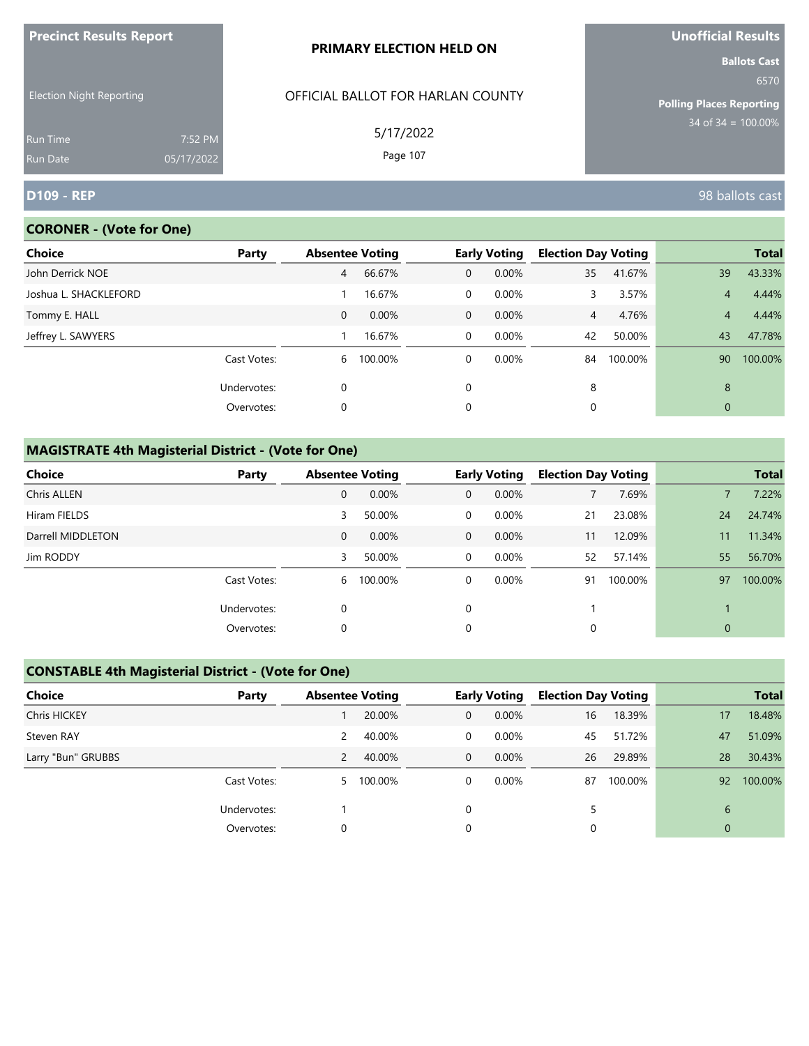| <b>Precinct Results Report</b>                     |            | <b>PRIMARY ELECTION HELD ON</b>                | Unofficial Results                                                                        |  |  |
|----------------------------------------------------|------------|------------------------------------------------|-------------------------------------------------------------------------------------------|--|--|
| <b>Election Night Reporting</b><br><b>Run Time</b> | 7:52 PM    | OFFICIAL BALLOT FOR HARLAN COUNTY<br>5/17/2022 | <b>Ballots Cast</b><br>6570<br><b>Polling Places Reporting</b><br>$34$ of 34 = $100.00\%$ |  |  |
|                                                    |            |                                                |                                                                                           |  |  |
| <b>Run Date</b>                                    | 05/17/2022 | Page 107                                       |                                                                                           |  |  |
| <b>D109 - REP</b>                                  |            |                                                | 98 ballots cast                                                                           |  |  |

# **CORONER - (Vote for One)**

| Choice                | Party       | <b>Absentee Voting</b> |           |              | <b>Early Voting</b> | <b>Election Day Voting</b> |         |              | <b>Total</b> |
|-----------------------|-------------|------------------------|-----------|--------------|---------------------|----------------------------|---------|--------------|--------------|
| John Derrick NOE      |             | 4                      | 66.67%    | $\mathbf{0}$ | 0.00%               | 35                         | 41.67%  | 39           | 43.33%       |
| Joshua L. SHACKLEFORD |             |                        | 16.67%    | 0            | 0.00%               | 3.                         | 3.57%   | 4            | 4.44%        |
| Tommy E. HALL         |             | $\mathbf{0}$           | 0.00%     | $\mathbf 0$  | $0.00\%$            | $\overline{4}$             | 4.76%   | 4            | 4.44%        |
| Jeffrey L. SAWYERS    |             |                        | 16.67%    | $\mathbf 0$  | 0.00%               | 42                         | 50.00%  | 43           | 47.78%       |
|                       | Cast Votes: |                        | 6 100.00% | 0            | $0.00\%$            | 84                         | 100.00% | 90           | 100.00%      |
|                       | Undervotes: | 0                      |           | $\Omega$     |                     | 8                          |         | 8            |              |
|                       | Overvotes:  | 0                      |           | 0            |                     | 0                          |         | $\mathbf{0}$ |              |

# **MAGISTRATE 4th Magisterial District - (Vote for One)**

| <b>Choice</b>      | Party       |             | <b>Absentee Voting</b> |              | <b>Early Voting</b> |             | <b>Election Day Voting</b> |              | <b>Total</b> |
|--------------------|-------------|-------------|------------------------|--------------|---------------------|-------------|----------------------------|--------------|--------------|
| <b>Chris ALLEN</b> |             | 0           | 0.00%                  | $\mathbf{0}$ | 0.00%               |             | 7.69%                      |              | 7.22%        |
| Hiram FIELDS       |             | 3           | 50.00%                 | 0            | $0.00\%$            | 21          | 23.08%                     | 24           | 24.74%       |
| Darrell MIDDLETON  |             | $\mathbf 0$ | 0.00%                  | $\mathbf{0}$ | $0.00\%$            | 11          | 12.09%                     | 11           | 11.34%       |
| Jim RODDY          |             | 3           | 50.00%                 | $\mathbf 0$  | 0.00%               | 52          | 57.14%                     | 55           | 56.70%       |
|                    | Cast Votes: | 6           | 100.00%                | 0            | $0.00\%$            | 91          | 100.00%                    | 97           | 100.00%      |
|                    | Undervotes: | 0           |                        | $\mathbf 0$  |                     |             |                            |              |              |
|                    | Overvotes:  | 0           |                        | $\mathbf 0$  |                     | $\mathbf 0$ |                            | $\mathbf{0}$ |              |

# **CONSTABLE 4th Magisterial District - (Vote for One)**

| Choice             | Party       | <b>Absentee Voting</b> |           |              | <b>Early Voting</b> | <b>Election Day Voting</b> |         |              | <b>Total</b> |
|--------------------|-------------|------------------------|-----------|--------------|---------------------|----------------------------|---------|--------------|--------------|
| Chris HICKEY       |             |                        | 20.00%    | 0            | $0.00\%$            | 16                         | 18.39%  | 17           | 18.48%       |
| Steven RAY         |             | 2                      | 40.00%    | 0            | $0.00\%$            | 45                         | 51.72%  | 47           | 51.09%       |
| Larry "Bun" GRUBBS |             | 2                      | 40.00%    | $\mathbf{0}$ | $0.00\%$            | 26                         | 29.89%  | 28           | 30.43%       |
|                    | Cast Votes: |                        | 5 100.00% | 0            | $0.00\%$            | 87                         | 100.00% | 92           | 100.00%      |
|                    | Undervotes: |                        |           | $\Omega$     |                     | 5                          |         | 6            |              |
|                    | Overvotes:  | 0                      |           | 0            |                     |                            |         | $\mathbf{0}$ |              |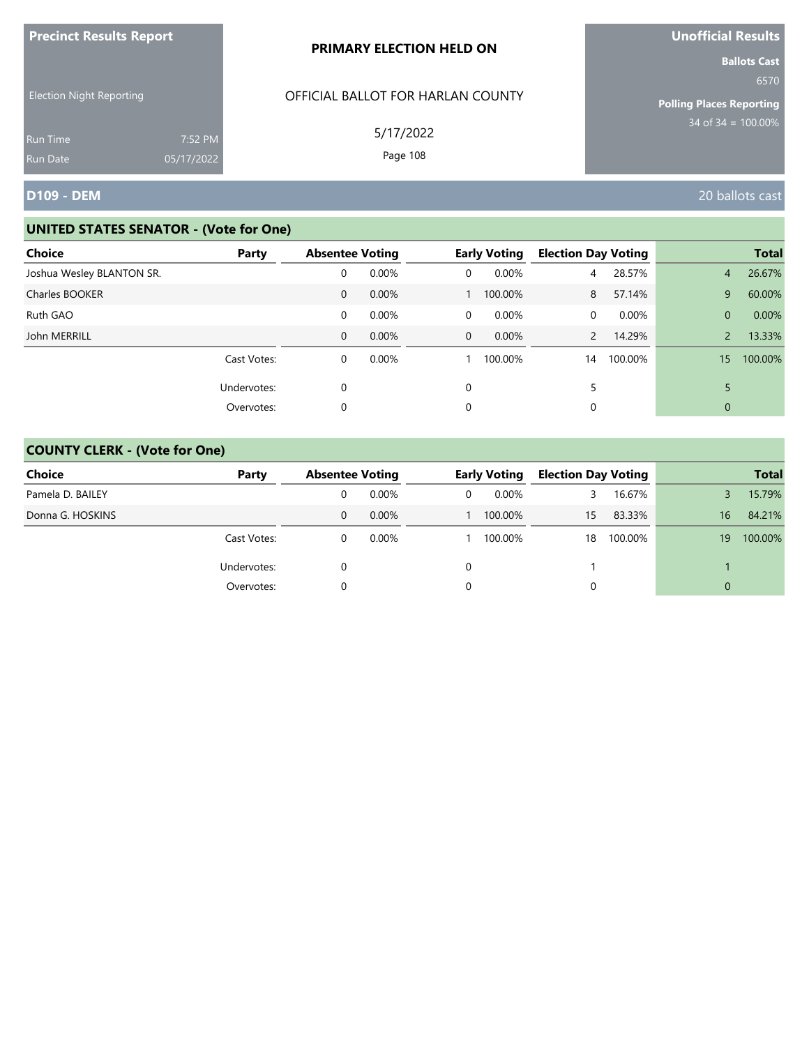| <b>Precinct Results Report</b>  |            | PRIMARY ELECTION HELD ON                       | Unofficial Results                                                                        |  |  |
|---------------------------------|------------|------------------------------------------------|-------------------------------------------------------------------------------------------|--|--|
| <b>Election Night Reporting</b> |            | OFFICIAL BALLOT FOR HARLAN COUNTY<br>5/17/2022 | <b>Ballots Cast</b><br>6570<br><b>Polling Places Reporting</b><br>$34$ of $34 = 100.00\%$ |  |  |
| <b>Run Time</b>                 | 7:52 PM    |                                                |                                                                                           |  |  |
| <b>Run Date</b>                 | 05/17/2022 | Page 108                                       |                                                                                           |  |  |
| <b>D109 - DEM</b>               |            |                                                | 20 ballots cast                                                                           |  |  |

| Choice                    | Party       | <b>Absentee Voting</b> |          |              | <b>Early Voting</b> | <b>Election Day Voting</b> |          |                | <b>Total</b> |
|---------------------------|-------------|------------------------|----------|--------------|---------------------|----------------------------|----------|----------------|--------------|
| Joshua Wesley BLANTON SR. |             | 0                      | 0.00%    | 0            | 0.00%               | 4                          | 28.57%   | $\overline{4}$ | 26.67%       |
| Charles BOOKER            |             | 0                      | 0.00%    |              | 100.00%             | 8                          | 57.14%   | 9              | 60.00%       |
| Ruth GAO                  |             | 0                      | 0.00%    | 0            | 0.00%               | $\Omega$                   | $0.00\%$ | $\Omega$       | 0.00%        |
| John MERRILL              |             | 0                      | $0.00\%$ | $\mathbf{0}$ | $0.00\%$            | $\overline{2}$             | 14.29%   |                | 13.33%       |
|                           | Cast Votes: | 0                      | 0.00%    |              | 100.00%             | 14                         | 100.00%  | 15             | 100.00%      |
|                           | Undervotes: | 0                      |          | $\Omega$     |                     |                            |          |                |              |
|                           | Overvotes:  | 0                      |          | 0            |                     | 0                          |          | 0              |              |

| <b>Choice</b>    | Party       | <b>Absentee Voting</b> |          | <b>Early Voting</b> |         | <b>Election Day Voting</b> |         |          | <b>Total</b> |
|------------------|-------------|------------------------|----------|---------------------|---------|----------------------------|---------|----------|--------------|
| Pamela D. BAILEY |             | 0                      | $0.00\%$ | 0                   | 0.00%   | 3                          | 16.67%  |          | 15.79%       |
| Donna G. HOSKINS |             | 0                      | $0.00\%$ |                     | 100.00% | 15                         | 83.33%  | 16       | 84.21%       |
|                  | Cast Votes: |                        | $0.00\%$ |                     | 100.00% | 18                         | 100.00% | 19       | 100.00%      |
|                  | Undervotes: |                        |          | 0                   |         |                            |         |          |              |
|                  | Overvotes:  |                        |          | 0                   |         |                            |         | $\Omega$ |              |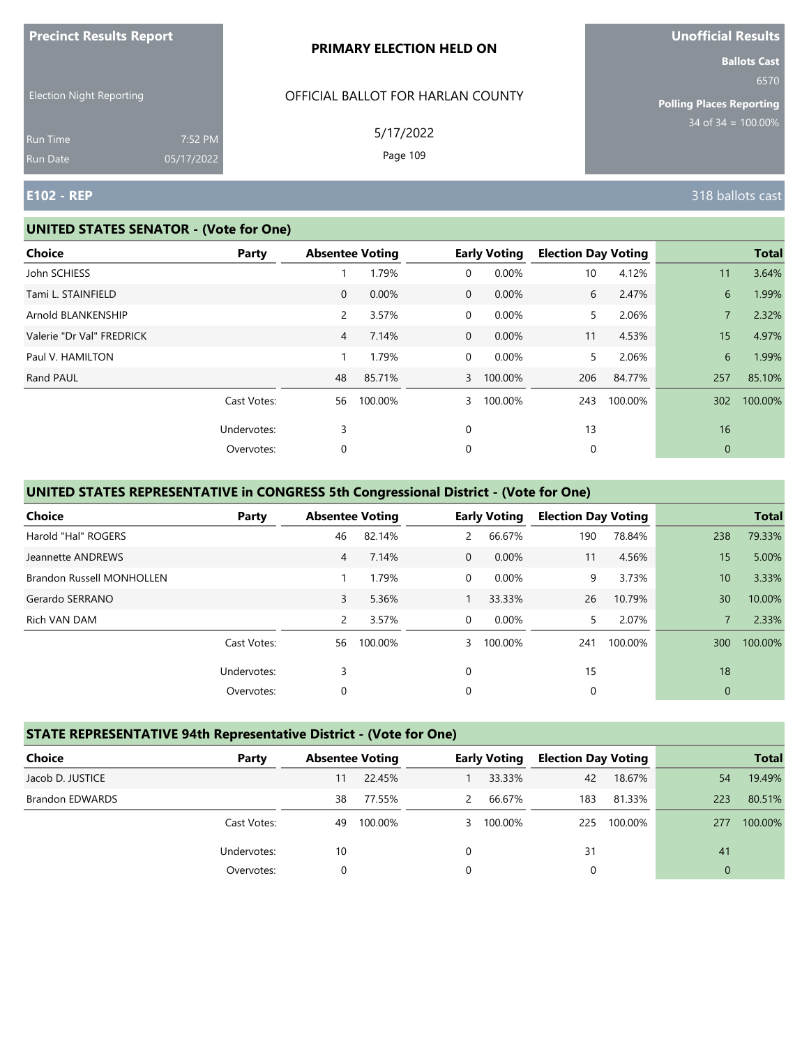| <b>THE RESOLUTION IS A POINT OF A SET OF A PARTIES</b> |                       | <b>PRIMARY ELECTION HELD ON</b>   | <u>UNUMERICITIO</u><br><b>Ballots Cast</b> |
|--------------------------------------------------------|-----------------------|-----------------------------------|--------------------------------------------|
| <b>Election Night Reporting</b>                        |                       | OFFICIAL BALLOT FOR HARLAN COUNTY | 6570<br><b>Polling Places Reporting</b>    |
| <b>Run Time</b><br>Run Date                            | 7:52 PM<br>05/17/2022 | 5/17/2022<br>Page 109             | $34$ of $34 = 100.00\%$                    |
| <b>E102 - REP</b>                                      |                       |                                   | 318 ballots cast                           |

#### **UNITED STATES SENATOR - (Vote for One)**

**Precinct Results Report**

| <b>Choice</b>             | Party       |                | <b>Absentee Voting</b> |   | <b>Early Voting</b> | <b>Election Day Voting</b> |         |              | <b>Total</b> |
|---------------------------|-------------|----------------|------------------------|---|---------------------|----------------------------|---------|--------------|--------------|
| John SCHIESS              |             |                | 1.79%                  | 0 | 0.00%               | 10                         | 4.12%   | 11           | 3.64%        |
| Tami L. STAINFIELD        |             | $\overline{0}$ | 0.00%                  | 0 | 0.00%               | 6                          | 2.47%   | 6            | 1.99%        |
| Arnold BLANKENSHIP        |             | $\overline{2}$ | 3.57%                  | 0 | $0.00\%$            | 5                          | 2.06%   |              | 2.32%        |
| Valerie "Dr Val" FREDRICK |             | $\overline{4}$ | 7.14%                  | 0 | 0.00%               | 11                         | 4.53%   | 15           | 4.97%        |
| Paul V. HAMILTON          |             |                | 1.79%                  | 0 | 0.00%               | 5                          | 2.06%   | 6            | 1.99%        |
| Rand PAUL                 |             | 48             | 85.71%                 | 3 | 100.00%             | 206                        | 84.77%  | 257          | 85.10%       |
|                           | Cast Votes: | 56             | 100.00%                | 3 | 100.00%             | 243                        | 100.00% | 302          | 100.00%      |
|                           | Undervotes: | 3              |                        | 0 |                     | 13                         |         | 16           |              |
|                           | Overvotes:  | 0              |                        | 0 |                     | 0                          |         | $\mathbf{0}$ |              |
|                           |             |                |                        |   |                     |                            |         |              |              |

## **UNITED STATES REPRESENTATIVE in CONGRESS 5th Congressional District - (Vote for One)**

| <b>Choice</b>             | Party       | <b>Absentee Voting</b> |         |                | <b>Early Voting</b> | <b>Election Day Voting</b> |         |              | <b>Total</b> |
|---------------------------|-------------|------------------------|---------|----------------|---------------------|----------------------------|---------|--------------|--------------|
| Harold "Hal" ROGERS       |             | 46                     | 82.14%  | $\overline{2}$ | 66.67%              | 190                        | 78.84%  | 238          | 79.33%       |
| Jeannette ANDREWS         |             | 4                      | 7.14%   | $\Omega$       | 0.00%               | 11                         | 4.56%   | 15           | 5.00%        |
| Brandon Russell MONHOLLEN |             |                        | 1.79%   | $\Omega$       | 0.00%               | 9                          | 3.73%   | 10           | 3.33%        |
| Gerardo SERRANO           |             | 3                      | 5.36%   |                | 33.33%              | 26                         | 10.79%  | 30           | 10.00%       |
| Rich VAN DAM              |             | 2                      | 3.57%   | $\Omega$       | 0.00%               | 5.                         | 2.07%   | 7            | 2.33%        |
|                           | Cast Votes: | 56                     | 100.00% | 3              | 100.00%             | 241                        | 100.00% | 300          | 100.00%      |
|                           | Undervotes: | 3                      |         | $\Omega$       |                     | 15                         |         | 18           |              |
|                           | Overvotes:  | 0                      |         | 0              |                     | 0                          |         | $\mathbf{0}$ |              |

## **STATE REPRESENTATIVE 94th Representative District - (Vote for One)**

| Choice                 | Party       | <b>Absentee Voting</b> |         |   | <b>Early Voting</b> | <b>Election Day Voting</b> |         |                | <b>Total</b> |
|------------------------|-------------|------------------------|---------|---|---------------------|----------------------------|---------|----------------|--------------|
| Jacob D. JUSTICE       |             | 11                     | 22.45%  |   | 33.33%              | 42                         | 18.67%  | 54             | 19.49%       |
| <b>Brandon EDWARDS</b> |             | 38                     | 77.55%  | 2 | 66.67%              | 183                        | 81.33%  | 223            | 80.51%       |
|                        | Cast Votes: | 49                     | 100.00% |   | 3 100.00%           | 225                        | 100.00% | 277            | 100.00%      |
|                        | Undervotes: | 10                     |         | 0 |                     | 31                         |         | 41             |              |
|                        | Overvotes:  | 0                      |         | 0 |                     |                            |         | $\overline{0}$ |              |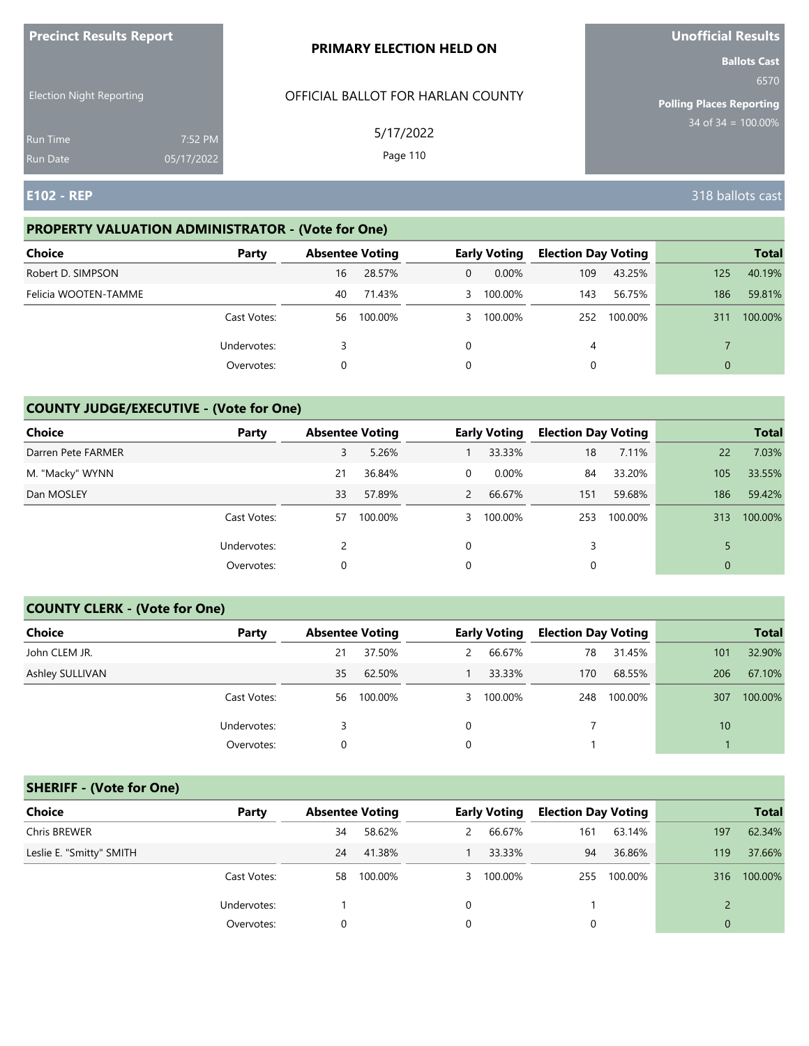| <b>Precinct Results Report</b>     |                       | <b>PRIMARY ELECTION HELD ON</b>   | <b>Unofficial Results</b>                                      |
|------------------------------------|-----------------------|-----------------------------------|----------------------------------------------------------------|
| <b>Election Night Reporting</b>    |                       | OFFICIAL BALLOT FOR HARLAN COUNTY | <b>Ballots Cast</b><br>6570<br><b>Polling Places Reporting</b> |
| <b>Run Time</b><br><b>Run Date</b> | 7:52 PM<br>05/17/2022 | 5/17/2022<br>Page 110             | $34$ of $34 = 100.00\%$                                        |
| <b>E102 - REP</b>                  |                       |                                   | 318 ballots cast                                               |

## **PROPERTY VALUATION ADMINISTRATOR - (Vote for One)**

| <b>Choice</b>        | Party       | <b>Absentee Voting</b> |         |          | <b>Early Voting</b> | <b>Election Day Voting</b> |         |     | <b>Total</b> |
|----------------------|-------------|------------------------|---------|----------|---------------------|----------------------------|---------|-----|--------------|
| Robert D. SIMPSON    |             | 16                     | 28.57%  | 0        | $0.00\%$            | 109                        | 43.25%  | 125 | 40.19%       |
| Felicia WOOTEN-TAMME |             | 40                     | 71.43%  |          | 3 100.00%           | 143                        | 56.75%  | 186 | 59.81%       |
|                      | Cast Votes: | 56                     | 100.00% |          | 3 100.00%           | 252                        | 100.00% | 311 | 100.00%      |
|                      | Undervotes: |                        |         | $\Omega$ |                     | 4                          |         |     |              |
|                      | Overvotes:  | 0                      |         | 0        |                     |                            |         | 0   |              |

## **COUNTY JUDGE/EXECUTIVE - (Vote for One)**

| Choice             | Party       | <b>Absentee Voting</b> |         |                | <b>Early Voting</b> | <b>Election Day Voting</b> |         |                | <b>Total</b> |
|--------------------|-------------|------------------------|---------|----------------|---------------------|----------------------------|---------|----------------|--------------|
| Darren Pete FARMER |             | 3                      | 5.26%   |                | 33.33%              | 18                         | 7.11%   | 22             | 7.03%        |
| M. "Macky" WYNN    |             | 21                     | 36.84%  | 0              | $0.00\%$            | 84                         | 33.20%  | 105            | 33.55%       |
| Dan MOSLEY         |             | 33                     | 57.89%  | $\overline{2}$ | 66.67%              | 151                        | 59.68%  | 186            | 59.42%       |
|                    | Cast Votes: | 57                     | 100.00% |                | 3 100.00%           | 253                        | 100.00% | 313            | 100.00%      |
|                    | Undervotes: |                        |         | $\Omega$       |                     |                            |         |                |              |
|                    | Overvotes:  | 0                      |         | 0              |                     |                            |         | $\overline{0}$ |              |

#### **COUNTY CLERK - (Vote for One)**

| Choice          | Party       | <b>Absentee Voting</b> |         |   | <b>Early Voting</b> | <b>Election Day Voting</b> |         |     | <b>Total</b> |
|-----------------|-------------|------------------------|---------|---|---------------------|----------------------------|---------|-----|--------------|
| John CLEM JR.   |             | 21                     | 37.50%  | 2 | 66.67%              | 78                         | 31.45%  | 101 | 32.90%       |
| Ashley SULLIVAN |             | 35                     | 62.50%  |   | 33.33%              | 170                        | 68.55%  | 206 | 67.10%       |
|                 | Cast Votes: | 56                     | 100.00% |   | 3 100.00%           | 248                        | 100.00% | 307 | 100.00%      |
|                 | Undervotes: |                        |         | 0 |                     |                            |         | 10  |              |
|                 | Overvotes:  | 0                      |         | 0 |                     |                            |         |     |              |

## **SHERIFF - (Vote for One)**

| <b>Choice</b>            | Party       | <b>Absentee Voting</b> |         |   | <b>Early Voting</b> | <b>Election Day Voting</b> |         |              | <b>Total</b> |
|--------------------------|-------------|------------------------|---------|---|---------------------|----------------------------|---------|--------------|--------------|
| Chris BREWER             |             | 34                     | 58.62%  | 2 | 66.67%              | 161                        | 63.14%  | 197          | 62.34%       |
| Leslie E. "Smitty" SMITH |             | 24                     | 41.38%  |   | 33.33%              | 94                         | 36.86%  | 119          | 37.66%       |
|                          | Cast Votes: | 58                     | 100.00% |   | 3 100.00%           | 255                        | 100.00% | 316          | 100.00%      |
|                          | Undervotes: |                        |         | 0 |                     |                            |         |              |              |
|                          | Overvotes:  |                        |         |   |                     | 0                          |         | $\mathbf{0}$ |              |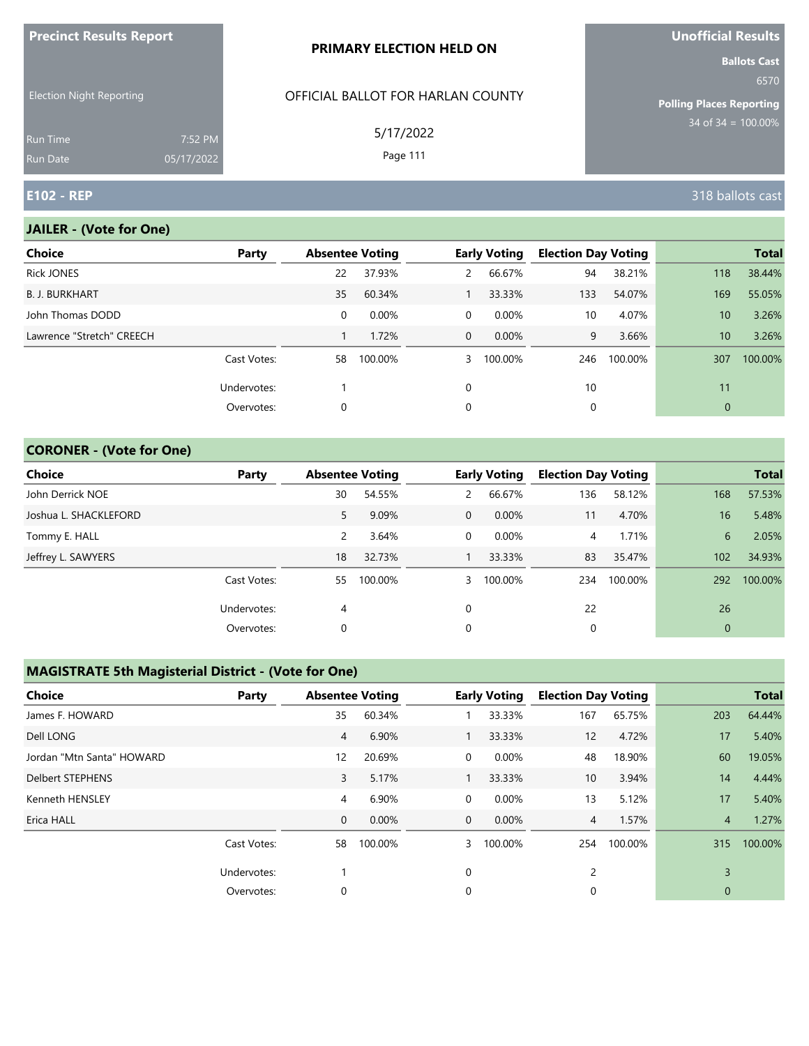| <b>THE CHILL RESULTS REPORT</b> |                       | <b>PRIMARY ELECTION HELD ON</b>   | <u>Chemisian Nedale</u><br><b>Ballots Cast</b> |
|---------------------------------|-----------------------|-----------------------------------|------------------------------------------------|
| Election Night Reporting        |                       | OFFICIAL BALLOT FOR HARLAN COUNTY | 6570<br>Polling Places Reporting               |
| Run Time<br>Run Date            | 7:52 PM<br>05/17/2022 | 5/17/2022<br>Page 111             | 34 of $34 = 100.00\%$                          |
| <b>E102 - REP</b>               |                       |                                   | 318 ballots cast                               |

#### **JAILER - (Vote for One)**

**Precinct Results Report**

| Choice                    | Party       |    | <b>Absentee Voting</b> |          | <b>Early Voting</b> | <b>Election Day Voting</b> |         |              | <b>Total</b> |
|---------------------------|-------------|----|------------------------|----------|---------------------|----------------------------|---------|--------------|--------------|
| <b>Rick JONES</b>         |             | 22 | 37.93%                 | 2        | 66.67%              | 94                         | 38.21%  | 118          | 38.44%       |
| <b>B. J. BURKHART</b>     |             | 35 | 60.34%                 |          | 33.33%              | 133                        | 54.07%  | 169          | 55.05%       |
| John Thomas DODD          |             | 0  | 0.00%                  | $\Omega$ | 0.00%               | 10                         | 4.07%   | 10           | 3.26%        |
| Lawrence "Stretch" CREECH |             |    | 1.72%                  | $\Omega$ | 0.00%               | 9                          | 3.66%   | 10           | 3.26%        |
|                           | Cast Votes: | 58 | 100.00%                | 3        | 100.00%             | 246                        | 100.00% | 307          | 100.00%      |
|                           | Undervotes: |    |                        | $\Omega$ |                     | 10                         |         | 11           |              |
|                           | Overvotes:  | 0  |                        | 0        |                     | 0                          |         | $\mathbf{0}$ |              |
|                           |             |    |                        |          |                     |                            |         |              |              |

## **CORONER - (Vote for One)**

| Choice                | Party       | <b>Absentee Voting</b> |         |                | <b>Early Voting</b> | <b>Election Day Voting</b> |         |                | <b>Total</b> |
|-----------------------|-------------|------------------------|---------|----------------|---------------------|----------------------------|---------|----------------|--------------|
| John Derrick NOE      |             | 30                     | 54.55%  | $\overline{2}$ | 66.67%              | 136                        | 58.12%  | 168            | 57.53%       |
| Joshua L. SHACKLEFORD |             | 5                      | 9.09%   | $\mathbf 0$    | $0.00\%$            | 11                         | 4.70%   | 16             | 5.48%        |
| Tommy E. HALL         |             | 2                      | 3.64%   | 0              | $0.00\%$            | 4                          | 1.71%   | 6              | 2.05%        |
| Jeffrey L. SAWYERS    |             | 18                     | 32.73%  |                | 33.33%              | 83                         | 35.47%  | 102            | 34.93%       |
|                       | Cast Votes: | 55                     | 100.00% | 3              | 100.00%             | 234                        | 100.00% | 292            | 100.00%      |
|                       | Undervotes: | 4                      |         | $\Omega$       |                     | 22                         |         | 26             |              |
|                       | Overvotes:  | 0                      |         | 0              |                     | 0                          |         | $\overline{0}$ |              |

| <b>Choice</b>             | Party       | <b>Absentee Voting</b> |         |             | <b>Early Voting</b> | <b>Election Day Voting</b> |         |                | <b>Total</b> |
|---------------------------|-------------|------------------------|---------|-------------|---------------------|----------------------------|---------|----------------|--------------|
| James F. HOWARD           |             | 35                     | 60.34%  |             | 33.33%              | 167                        | 65.75%  | 203            | 64.44%       |
| Dell LONG                 |             | 4                      | 6.90%   | 1           | 33.33%              | 12                         | 4.72%   | 17             | 5.40%        |
| Jordan "Mtn Santa" HOWARD |             | $12 \overline{ }$      | 20.69%  | 0           | 0.00%               | 48                         | 18.90%  | 60             | 19.05%       |
| <b>Delbert STEPHENS</b>   |             | 3                      | 5.17%   | 1           | 33.33%              | 10                         | 3.94%   | 14             | 4.44%        |
| Kenneth HENSLEY           |             | 4                      | 6.90%   | 0           | 0.00%               | 13                         | 5.12%   | 17             | 5.40%        |
| Erica HALL                |             | $\mathbf{0}$           | 0.00%   | $\mathbf 0$ | 0.00%               | $\overline{4}$             | 1.57%   | $\overline{4}$ | 1.27%        |
|                           | Cast Votes: | 58                     | 100.00% | 3           | 100.00%             | 254                        | 100.00% | 315            | 100.00%      |
|                           | Undervotes: |                        |         | 0           |                     | 2                          |         | 3              |              |
|                           | Overvotes:  | 0                      |         | 0           |                     | $\Omega$                   |         | $\Omega$       |              |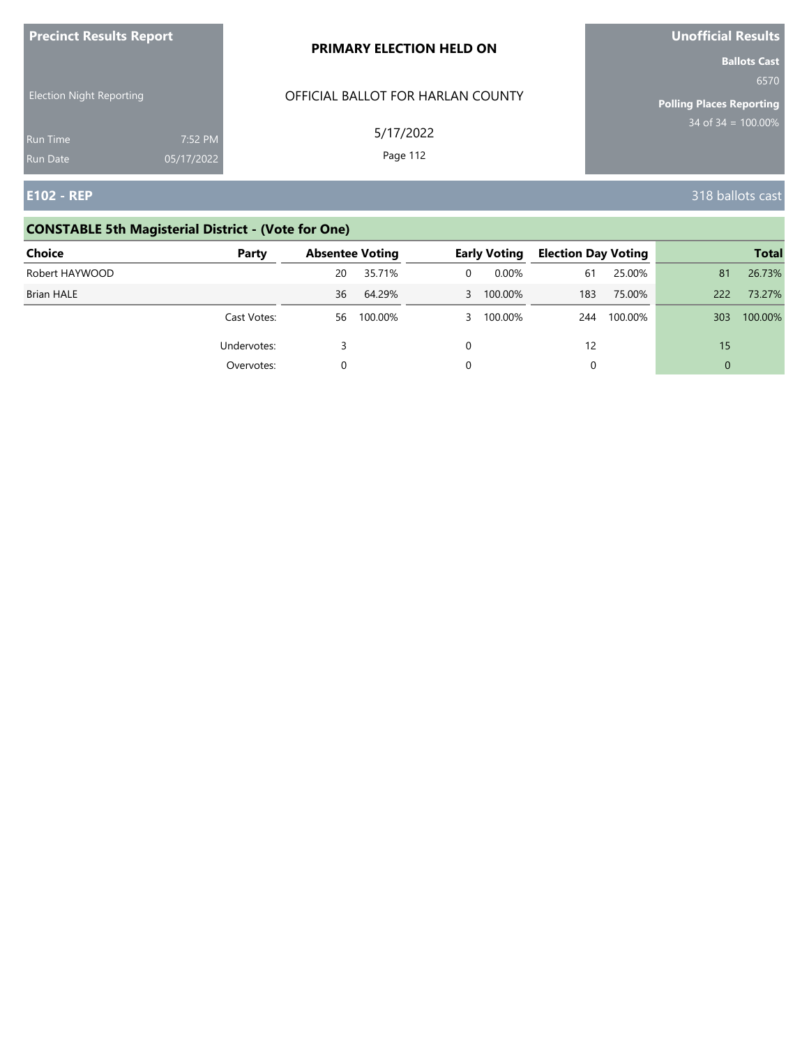| <b>Precinct Results Report</b>     |                       | PRIMARY ELECTION HELD ON          | Unofficial Results                                             |
|------------------------------------|-----------------------|-----------------------------------|----------------------------------------------------------------|
| <b>Election Night Reporting</b>    |                       | OFFICIAL BALLOT FOR HARLAN COUNTY | <b>Ballots Cast</b><br>6570<br><b>Polling Places Reporting</b> |
| <b>Run Time</b><br><b>Run Date</b> | 7:52 PM<br>05/17/2022 | 5/17/2022<br>Page 112             | $34$ of 34 = 100.00%                                           |
| <b>E102 - REP</b>                  |                       |                                   | 318 ballots cast                                               |

# **CONSTABLE 5th Magisterial District - (Vote for One)**

| Choice            | Party       | <b>Absentee Voting</b> |         |   | <b>Early Voting</b> | <b>Election Day Voting</b> |         |          | <b>Total</b> |
|-------------------|-------------|------------------------|---------|---|---------------------|----------------------------|---------|----------|--------------|
| Robert HAYWOOD    |             | 20                     | 35.71%  | 0 | $0.00\%$            | 61                         | 25.00%  | 81       | 26.73%       |
| <b>Brian HALE</b> |             | 36                     | 64.29%  |   | 3 100.00%           | 183                        | 75.00%  | 222      | 73.27%       |
|                   | Cast Votes: | 56                     | 100.00% |   | 3 100.00%           | 244                        | 100.00% | 303      | 100.00%      |
|                   | Undervotes: |                        |         |   |                     | 12                         |         | 15       |              |
|                   | Overvotes:  |                        |         |   |                     |                            |         | $\Omega$ |              |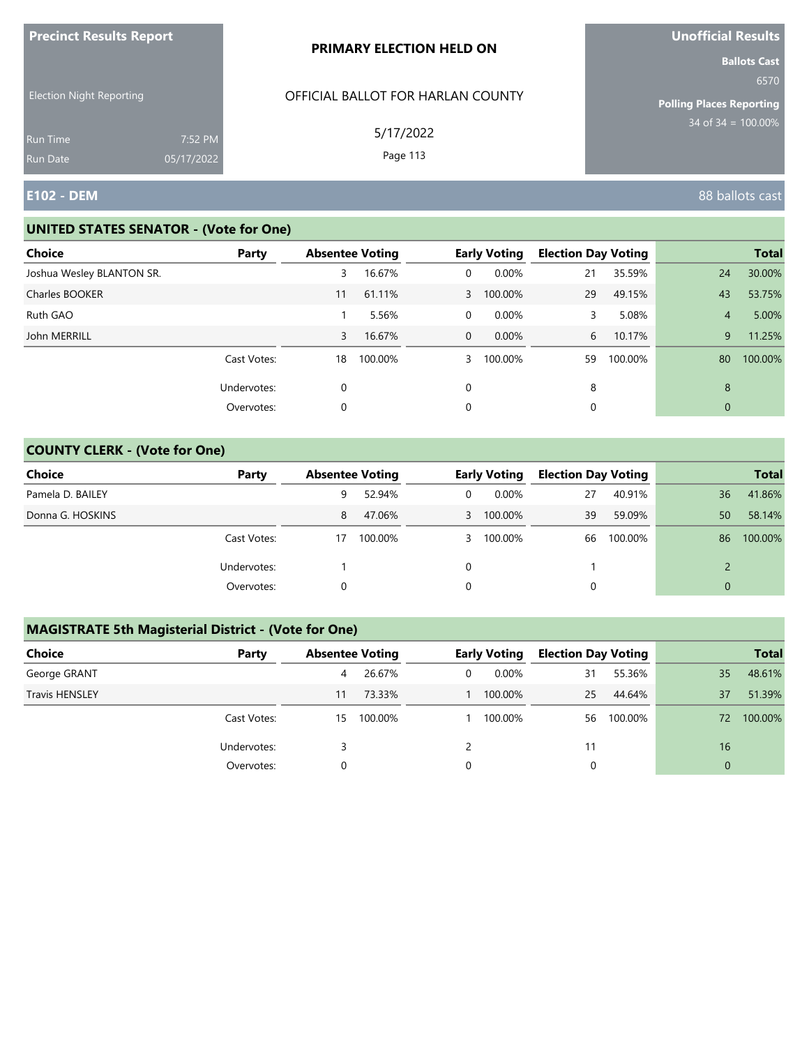| <b>Precinct Results Report</b>       |            | PRIMARY ELECTION HELD ON                       | Unofficial Results                                                                        |
|--------------------------------------|------------|------------------------------------------------|-------------------------------------------------------------------------------------------|
| <b>Election Night Reporting</b>      |            | OFFICIAL BALLOT FOR HARLAN COUNTY<br>5/17/2022 | <b>Ballots Cast</b><br>6570<br><b>Polling Places Reporting</b><br>$34$ of $34 = 100.00\%$ |
| <b>Run Time</b>                      | 7:52 PM    | Page 113                                       |                                                                                           |
| <b>Run Date</b><br><b>E102 - DEM</b> | 05/17/2022 |                                                | 88 ballots cast                                                                           |

## **UNITED STATES SENATOR - (Vote for One)**

| Choice                    | Party       | <b>Absentee Voting</b> |         |                | <b>Early Voting</b> | <b>Election Day Voting</b> |         |                | <b>Total</b> |
|---------------------------|-------------|------------------------|---------|----------------|---------------------|----------------------------|---------|----------------|--------------|
| Joshua Wesley BLANTON SR. |             | 3                      | 16.67%  | $\overline{0}$ | 0.00%               | 21                         | 35.59%  | 24             | 30.00%       |
| Charles BOOKER            |             | 11                     | 61.11%  | $\mathbf{3}$   | 100.00%             | 29                         | 49.15%  | 43             | 53.75%       |
| Ruth GAO                  |             |                        | 5.56%   | $\overline{0}$ | 0.00%               | 3                          | 5.08%   | $\overline{4}$ | 5.00%        |
| John MERRILL              |             | 3                      | 16.67%  | $\overline{0}$ | $0.00\%$            | 6                          | 10.17%  | 9              | 11.25%       |
|                           | Cast Votes: | 18                     | 100.00% | 3              | 100.00%             | 59                         | 100.00% | 80             | 100.00%      |
|                           | Undervotes: | 0                      |         | $\Omega$       |                     | 8                          |         | 8              |              |
|                           | Overvotes:  | 0                      |         | 0              |                     | 0                          |         | $\mathbf{0}$   |              |

## **COUNTY CLERK - (Vote for One)**

| Choice           | Party       | <b>Absentee Voting</b> |         |    | <b>Early Voting</b> | <b>Election Day Voting</b> |         |          | <b>Total</b> |
|------------------|-------------|------------------------|---------|----|---------------------|----------------------------|---------|----------|--------------|
| Pamela D. BAILEY |             | 9                      | 52.94%  |    | $0.00\%$            | 27                         | 40.91%  | 36       | 41.86%       |
| Donna G. HOSKINS |             | 8                      | 47.06%  | 3  | 100.00%             | 39                         | 59.09%  | 50       | 58.14%       |
|                  | Cast Votes: | 17                     | 100.00% | 3. | 100.00%             | 66                         | 100.00% | 86       | 100.00%      |
|                  | Undervotes: |                        |         |    |                     |                            |         |          |              |
|                  | Overvotes:  |                        |         |    |                     | 0                          |         | $\Omega$ |              |

| <b>Choice</b>         | Party       | <b>Absentee Voting</b> |         |   | <b>Early Voting</b> | <b>Election Day Voting</b> |         |          | <b>Total</b> |
|-----------------------|-------------|------------------------|---------|---|---------------------|----------------------------|---------|----------|--------------|
| George GRANT          |             | 4                      | 26.67%  | 0 | $0.00\%$            | 31                         | 55.36%  | 35       | 48.61%       |
| <b>Travis HENSLEY</b> |             | 11                     | 73.33%  |   | 100.00%             | 25                         | 44.64%  | 37       | 51.39%       |
|                       | Cast Votes: | 15                     | 100.00% |   | 100.00%             | 56                         | 100.00% | 72       | 100.00%      |
|                       | Undervotes: |                        |         |   |                     |                            |         | 16       |              |
|                       | Overvotes:  | 0                      |         | 0 |                     |                            |         | $\Omega$ |              |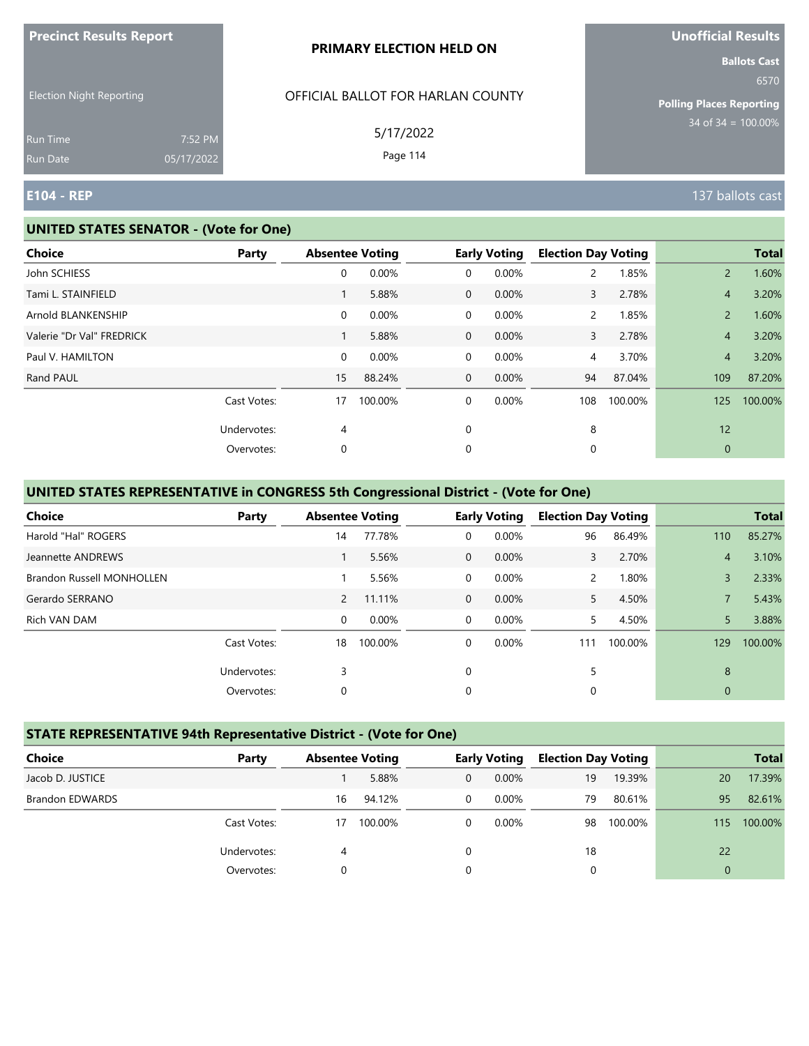| <b>THE RESOLUTION IS A POINT OF A SET OF A PARTIES</b> |                       | PRIMARY ELECTION HELD ON          | <u>UNUMERICITIO</u><br><b>Ballots Cast</b> |
|--------------------------------------------------------|-----------------------|-----------------------------------|--------------------------------------------|
| <b>Election Night Reporting</b>                        |                       | OFFICIAL BALLOT FOR HARLAN COUNTY | 6570<br><b>Polling Places Reporting</b>    |
| <b>Run Time</b><br>Run Date                            | 7:52 PM<br>05/17/2022 | 5/17/2022<br>Page 114             | $34$ of $34 = 100.00\%$                    |
| <b>E104 - REP</b>                                      |                       |                                   | 137 ballots cast                           |

#### **UNITED STATES SENATOR - (Vote for One)**

**Precinct Results Report**

| <b>Choice</b>             | <b>Party</b> | <b>Absentee Voting</b> |         |                | <b>Early Voting</b> | <b>Election Day Voting</b> |         |                | <b>Total</b> |
|---------------------------|--------------|------------------------|---------|----------------|---------------------|----------------------------|---------|----------------|--------------|
| John SCHIESS              |              | 0                      | 0.00%   | 0              | 0.00%               | 2                          | 1.85%   | $\overline{2}$ | 1.60%        |
| Tami L. STAINFIELD        |              | 1                      | 5.88%   | $\overline{0}$ | 0.00%               | 3                          | 2.78%   | $\overline{4}$ | 3.20%        |
| Arnold BLANKENSHIP        |              | $\mathbf 0$            | 0.00%   | 0              | $0.00\%$            | $\mathsf{2}^{\mathsf{1}}$  | 1.85%   | $\overline{2}$ | 1.60%        |
| Valerie "Dr Val" FREDRICK |              |                        | 5.88%   | $\mathbf{0}$   | 0.00%               | 3                          | 2.78%   | $\overline{4}$ | 3.20%        |
| Paul V. HAMILTON          |              | $\mathbf 0$            | 0.00%   | 0              | $0.00\%$            | 4                          | 3.70%   | $\overline{4}$ | 3.20%        |
| Rand PAUL                 |              | 15                     | 88.24%  | $\mathbf{0}$   | 0.00%               | 94                         | 87.04%  | 109            | 87.20%       |
|                           | Cast Votes:  | 17                     | 100.00% | 0              | 0.00%               | 108                        | 100.00% | 125            | 100.00%      |
|                           | Undervotes:  | $\overline{4}$         |         | 0              |                     | 8                          |         | 12             |              |
|                           | Overvotes:   | 0                      |         | 0              |                     | 0                          |         | $\mathbf{0}$   |              |
|                           |              |                        |         |                |                     |                            |         |                |              |

## **UNITED STATES REPRESENTATIVE in CONGRESS 5th Congressional District - (Vote for One)**

| <b>Choice</b>                    | Party       |                | <b>Absentee Voting</b> |                | <b>Early Voting</b> | <b>Election Day Voting</b> |         |                | <b>Total</b> |
|----------------------------------|-------------|----------------|------------------------|----------------|---------------------|----------------------------|---------|----------------|--------------|
| Harold "Hal" ROGERS              |             | 14             | 77.78%                 | 0              | 0.00%               | 96                         | 86.49%  | 110            | 85.27%       |
| Jeannette ANDREWS                |             |                | 5.56%                  | $\Omega$       | 0.00%               | 3                          | 2.70%   | $\overline{4}$ | 3.10%        |
| <b>Brandon Russell MONHOLLEN</b> |             |                | 5.56%                  | $\overline{0}$ | 0.00%               | $\overline{2}$             | 1.80%   | 3              | 2.33%        |
| Gerardo SERRANO                  |             | $\overline{2}$ | 11.11%                 | $\overline{0}$ | 0.00%               | 5.                         | 4.50%   |                | 5.43%        |
| Rich VAN DAM                     |             | 0              | 0.00%                  | $\Omega$       | 0.00%               | 5.                         | 4.50%   | 5              | 3.88%        |
|                                  | Cast Votes: | 18             | 100.00%                | 0              | 0.00%               | 111                        | 100.00% | 129            | 100.00%      |
|                                  | Undervotes: | 3              |                        | $\Omega$       |                     | 5                          |         | 8              |              |
|                                  | Overvotes:  | 0              |                        | 0              |                     | 0                          |         | $\mathbf{0}$   |              |

## **STATE REPRESENTATIVE 94th Representative District - (Vote for One)**

| Choice                 | Party       | <b>Absentee Voting</b> |         |              | <b>Early Voting</b> | <b>Election Day Voting</b> |         |                | <b>Total</b> |
|------------------------|-------------|------------------------|---------|--------------|---------------------|----------------------------|---------|----------------|--------------|
| Jacob D. JUSTICE       |             |                        | 5.88%   | 0            | $0.00\%$            | 19                         | 19.39%  | 20             | 17.39%       |
| <b>Brandon EDWARDS</b> |             | 16                     | 94.12%  | $\mathbf{0}$ | $0.00\%$            | 79                         | 80.61%  | 95             | 82.61%       |
|                        | Cast Votes: | 17                     | 100.00% | 0            | 0.00%               | 98                         | 100.00% | 115            | 100.00%      |
|                        | Undervotes: | 4                      |         | 0            |                     | 18                         |         | 22             |              |
|                        | Overvotes:  |                        |         | 0            |                     | 0                          |         | $\overline{0}$ |              |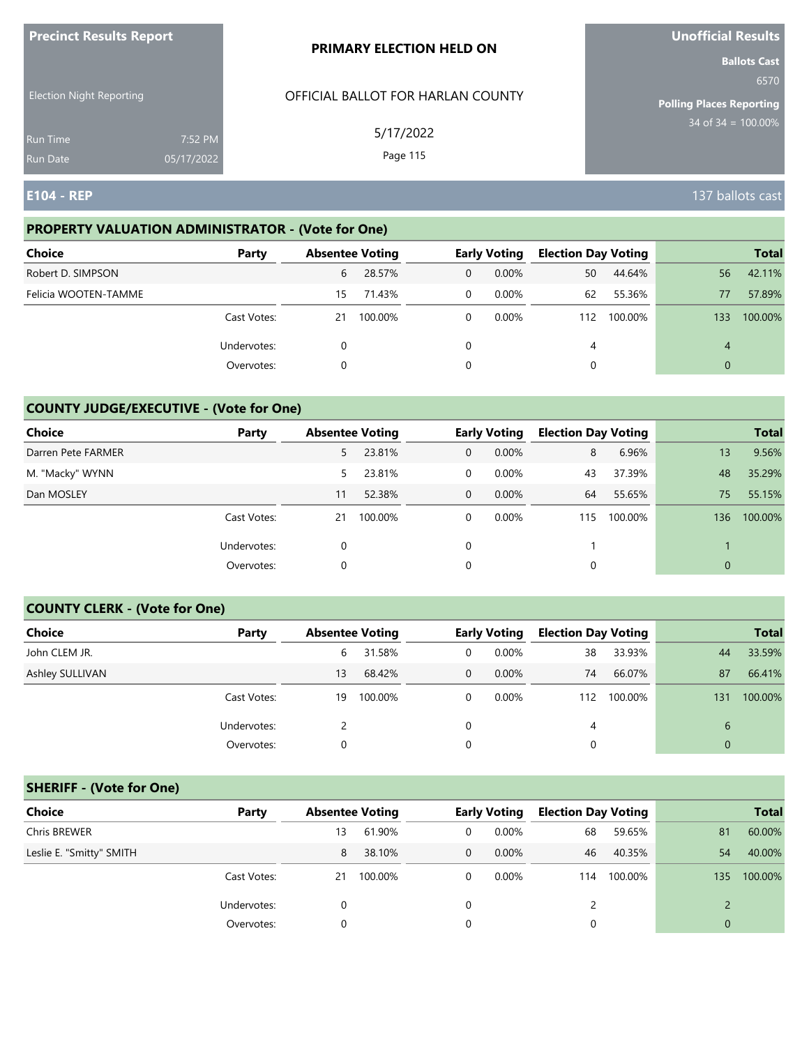| <b>Precinct Results Report</b>     |                       | <b>PRIMARY ELECTION HELD ON</b>   | <b>Unofficial Results</b>       |
|------------------------------------|-----------------------|-----------------------------------|---------------------------------|
|                                    |                       |                                   | <b>Ballots Cast</b><br>6570     |
| <b>Election Night Reporting</b>    |                       | OFFICIAL BALLOT FOR HARLAN COUNTY | <b>Polling Places Reporting</b> |
| <b>Run Time</b><br><b>Run Date</b> | 7:52 PM<br>05/17/2022 | 5/17/2022<br>Page 115             | $34$ of $34 = 100.00\%$         |
| <b>E104 - REP</b>                  |                       |                                   | 137 ballots cast                |

## **PROPERTY VALUATION ADMINISTRATOR - (Vote for One)**

| <b>Choice</b>        | Party       | <b>Absentee Voting</b> |         |              | <b>Early Voting</b> | <b>Election Day Voting</b> |         |          | <b>Total</b> |
|----------------------|-------------|------------------------|---------|--------------|---------------------|----------------------------|---------|----------|--------------|
| Robert D. SIMPSON    |             | 6                      | 28.57%  | $\mathbf{0}$ | $0.00\%$            | 50                         | 44.64%  | 56       | 42.11%       |
| Felicia WOOTEN-TAMME |             | 15                     | 71.43%  | 0            | $0.00\%$            | 62                         | 55.36%  | 77       | 57.89%       |
|                      | Cast Votes: | 21                     | 100.00% | $\Omega$     | $0.00\%$            | 112                        | 100.00% | 133      | 100.00%      |
|                      | Undervotes: |                        |         |              |                     | 4                          |         | 4        |              |
|                      | Overvotes:  | 0                      |         | 0            |                     |                            |         | $\Omega$ |              |

## **COUNTY JUDGE/EXECUTIVE - (Vote for One)**

| Choice             | Party       |    | <b>Absentee Voting</b> |             | <b>Early Voting</b> | <b>Election Day Voting</b> |         |                | <b>Total</b> |
|--------------------|-------------|----|------------------------|-------------|---------------------|----------------------------|---------|----------------|--------------|
| Darren Pete FARMER |             | 5  | 23.81%                 | 0           | 0.00%               | 8                          | 6.96%   | 13             | 9.56%        |
| M. "Macky" WYNN    |             | 5. | 23.81%                 | 0           | $0.00\%$            | 43                         | 37.39%  | 48             | 35.29%       |
| Dan MOSLEY         |             | 11 | 52.38%                 | $\mathbf 0$ | $0.00\%$            | 64                         | 55.65%  | 75             | 55.15%       |
|                    | Cast Votes: | 21 | 100.00%                | 0           | $0.00\%$            | 115                        | 100.00% | 136            | 100.00%      |
|                    | Undervotes: |    |                        | $\Omega$    |                     |                            |         |                |              |
|                    | Overvotes:  |    |                        | $\mathbf 0$ |                     |                            |         | $\overline{0}$ |              |

#### **COUNTY CLERK - (Vote for One)**

| Choice          | Party       |    | <b>Absentee Voting</b> |                | <b>Early Voting</b> | <b>Election Day Voting</b> |         |              | <b>Total</b> |
|-----------------|-------------|----|------------------------|----------------|---------------------|----------------------------|---------|--------------|--------------|
| John CLEM JR.   |             | 6  | 31.58%                 | 0              | 0.00%               | 38                         | 33.93%  | 44           | 33.59%       |
| Ashley SULLIVAN |             | 13 | 68.42%                 | $\overline{0}$ | 0.00%               | 74                         | 66.07%  | 87           | 66.41%       |
|                 | Cast Votes: | 19 | 100.00%                | $\Omega$       | 0.00%               | 112                        | 100.00% | 131          | 100.00%      |
|                 | Undervotes: |    |                        |                |                     | 4                          |         | 6            |              |
|                 | Overvotes:  | 0  |                        |                |                     | 0                          |         | $\mathbf{0}$ |              |

## **SHERIFF - (Vote for One)**

| <b>Choice</b>            | Party       | <b>Absentee Voting</b> |         |          | <b>Early Voting</b> | <b>Election Day Voting</b> |         |              | <b>Total</b> |
|--------------------------|-------------|------------------------|---------|----------|---------------------|----------------------------|---------|--------------|--------------|
| <b>Chris BREWER</b>      |             | 13                     | 61.90%  | 0        | $0.00\%$            | 68                         | 59.65%  | 81           | 60.00%       |
| Leslie E. "Smitty" SMITH |             | 8                      | 38.10%  | $\Omega$ | $0.00\%$            | 46                         | 40.35%  | 54           | 40.00%       |
|                          | Cast Votes: | 21                     | 100.00% | $\Omega$ | $0.00\%$            | 114                        | 100.00% | 135          | 100.00%      |
|                          | Undervotes: | 0                      |         | 0        |                     |                            |         |              |              |
|                          | Overvotes:  |                        |         |          |                     | 0                          |         | $\mathbf{0}$ |              |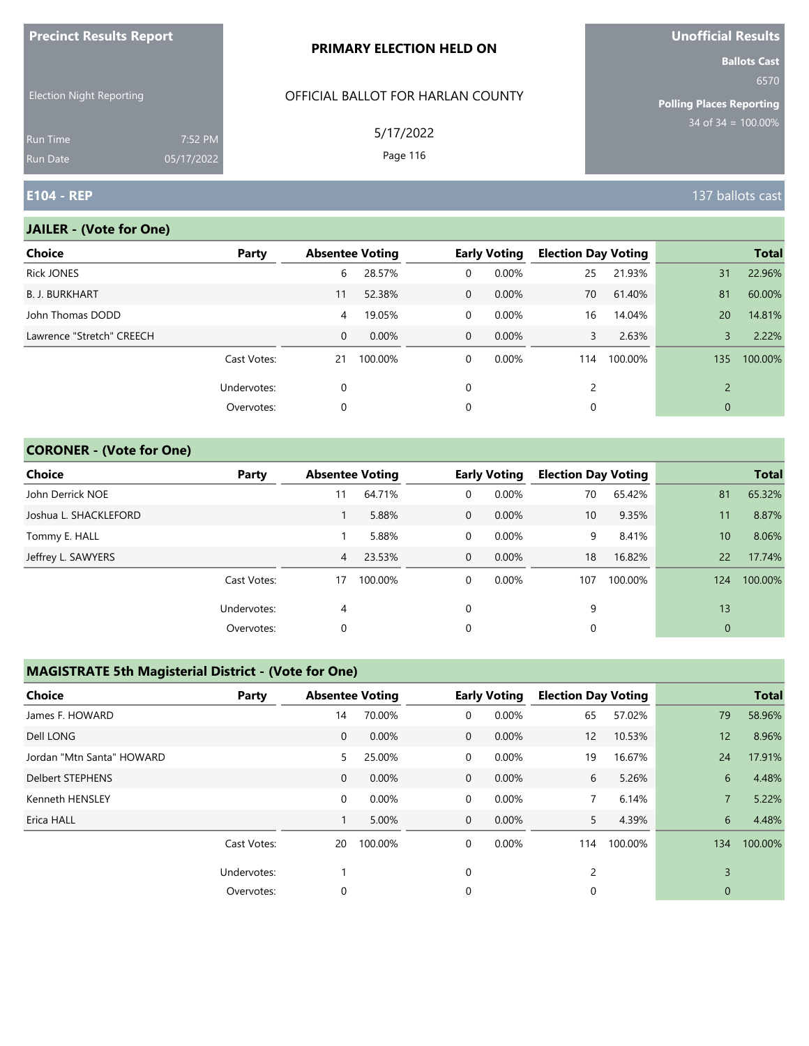| <b>Precinct Results Report</b>  |                       | PRIMARY ELECTION HELD ON          | Unofficial Results                                                |
|---------------------------------|-----------------------|-----------------------------------|-------------------------------------------------------------------|
| <b>Election Night Reporting</b> |                       | OFFICIAL BALLOT FOR HARLAN COUNTY | <b>Ballots Cast</b><br>6570                                       |
| Run Time<br>Run Date            | 7:52 PM<br>05/17/2022 | 5/17/2022<br>Page 116             | <b>Polling Places Reporting</b><br>$34 \text{ of } 34 = 100.00\%$ |
| $E104 - REP$                    |                       |                                   | 137 ballots cast                                                  |

#### **JAILER - (Vote for One)**

| <b>Choice</b>             | Party       |              | <b>Absentee Voting</b> |              | <b>Early Voting</b> | <b>Election Day Voting</b> |         |                | <b>Total</b> |
|---------------------------|-------------|--------------|------------------------|--------------|---------------------|----------------------------|---------|----------------|--------------|
| <b>Rick JONES</b>         |             | 6            | 28.57%                 | 0            | 0.00%               | 25                         | 21.93%  | 31             | 22.96%       |
| <b>B. J. BURKHART</b>     |             | 11           | 52.38%                 | $\mathbf{0}$ | 0.00%               | 70                         | 61.40%  | 81             | 60.00%       |
| John Thomas DODD          |             | 4            | 19.05%                 | $\Omega$     | 0.00%               | 16                         | 14.04%  | 20             | 14.81%       |
| Lawrence "Stretch" CREECH |             | $\mathbf{0}$ | $0.00\%$               | $\Omega$     | $0.00\%$            | 3                          | 2.63%   | 3              | 2.22%        |
|                           | Cast Votes: | 21           | 100.00%                | 0            | 0.00%               | 114                        | 100.00% | 135            | 100.00%      |
|                           | Undervotes: | $\Omega$     |                        | $\Omega$     |                     | 2                          |         | $\overline{2}$ |              |
|                           | Overvotes:  | 0            |                        | 0            |                     | 0                          |         | $\mathbf{0}$   |              |
|                           |             |              |                        |              |                     |                            |         |                |              |

## **CORONER - (Vote for One)**

| Choice                | Party       |    | <b>Absentee Voting</b> |              | <b>Early Voting</b> | <b>Election Day Voting</b> |         |                | <b>Total</b> |
|-----------------------|-------------|----|------------------------|--------------|---------------------|----------------------------|---------|----------------|--------------|
| John Derrick NOE      |             | 11 | 64.71%                 | 0            | 0.00%               | 70                         | 65.42%  | 81             | 65.32%       |
| Joshua L. SHACKLEFORD |             |    | 5.88%                  | $\mathbf{0}$ | $0.00\%$            | 10                         | 9.35%   | 11             | 8.87%        |
| Tommy E. HALL         |             |    | 5.88%                  | 0            | 0.00%               | 9                          | 8.41%   | 10             | 8.06%        |
| Jeffrey L. SAWYERS    |             | 4  | 23.53%                 | $\mathbf{0}$ | $0.00\%$            | 18                         | 16.82%  | 22             | 17.74%       |
|                       | Cast Votes: | 17 | 100.00%                | 0            | $0.00\%$            | 107                        | 100.00% | 124            | 100.00%      |
|                       | Undervotes: | 4  |                        | $\Omega$     |                     | 9                          |         | 13             |              |
|                       | Overvotes:  | 0  |                        | 0            |                     | 0                          |         | $\overline{0}$ |              |

| <b>Choice</b>             | Party       | <b>Absentee Voting</b> |         |              | <b>Early Voting</b> | <b>Election Day Voting</b> |         |          | <b>Total</b> |
|---------------------------|-------------|------------------------|---------|--------------|---------------------|----------------------------|---------|----------|--------------|
| James F. HOWARD           |             | 14                     | 70.00%  | 0            | 0.00%               | 65                         | 57.02%  | 79       | 58.96%       |
| Dell LONG                 |             | $\mathbf{0}$           | 0.00%   | $\mathbf 0$  | 0.00%               | 12                         | 10.53%  | 12       | 8.96%        |
| Jordan "Mtn Santa" HOWARD |             | 5.                     | 25.00%  | 0            | 0.00%               | 19                         | 16.67%  | 24       | 17.91%       |
| <b>Delbert STEPHENS</b>   |             | $\mathbf{0}$           | 0.00%   | $\mathbf 0$  | 0.00%               | 6                          | 5.26%   | 6        | 4.48%        |
| Kenneth HENSLEY           |             | 0                      | 0.00%   | 0            | 0.00%               | 7                          | 6.14%   | 7        | 5.22%        |
| Erica HALL                |             |                        | 5.00%   | $\mathbf{0}$ | 0.00%               | 5                          | 4.39%   | 6        | 4.48%        |
|                           | Cast Votes: | 20                     | 100.00% | 0            | 0.00%               | 114                        | 100.00% | 134      | 100.00%      |
|                           | Undervotes: |                        |         | 0            |                     | 2                          |         | 3        |              |
|                           | Overvotes:  | 0                      |         | 0            |                     | $\Omega$                   |         | $\Omega$ |              |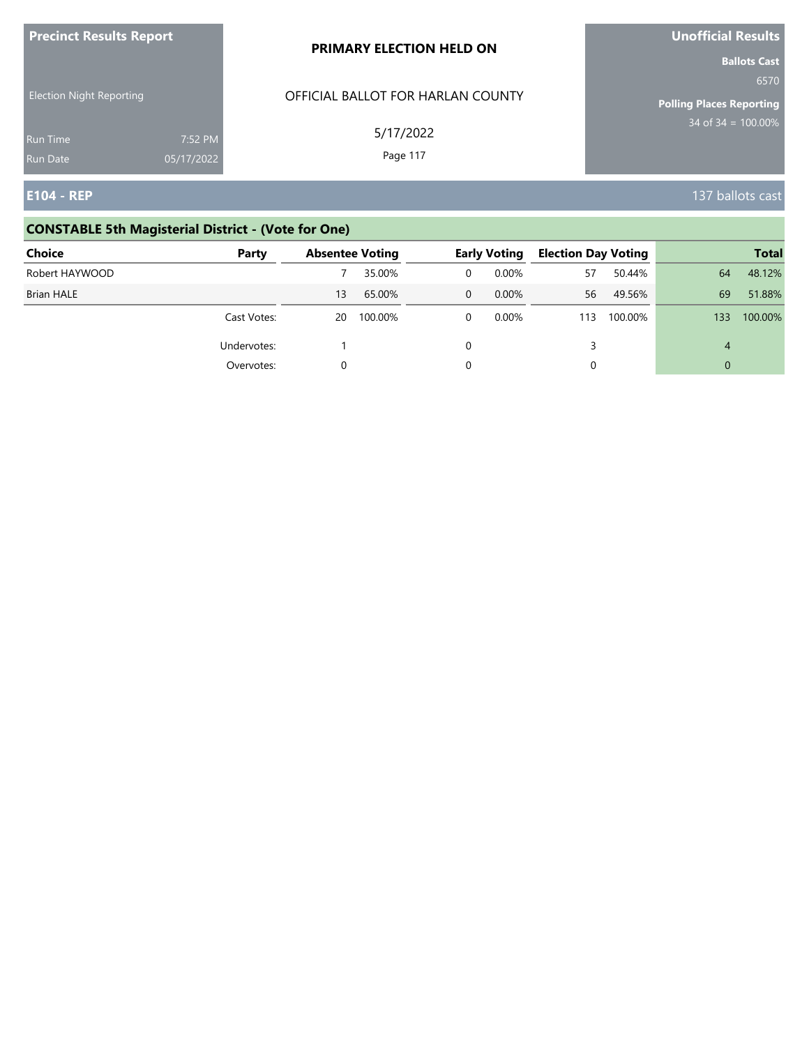| <b>Precinct Results Report</b>  |                       | PRIMARY ELECTION HELD ON          | Unofficial Results                                             |
|---------------------------------|-----------------------|-----------------------------------|----------------------------------------------------------------|
| <b>Election Night Reporting</b> |                       | OFFICIAL BALLOT FOR HARLAN COUNTY | <b>Ballots Cast</b><br>6570<br><b>Polling Places Reporting</b> |
| Run Time<br><b>Run Date</b>     | 7:52 PM<br>05/17/2022 | 5/17/2022<br>Page 117             | $34$ of 34 = $\overline{100.00\%}$                             |
| <b>E104 - REP</b>               |                       |                                   | 137 ballots cast                                               |

# **CONSTABLE 5th Magisterial District - (Vote for One)**

| Choice            | Party       | <b>Absentee Voting</b> |         | <b>Early Voting</b> | <b>Election Day Voting</b> |         |                | <b>Total</b> |
|-------------------|-------------|------------------------|---------|---------------------|----------------------------|---------|----------------|--------------|
| Robert HAYWOOD    |             |                        | 35.00%  | 0.00%               | 57                         | 50.44%  | 64             | 48.12%       |
| <b>Brian HALE</b> |             | 13                     | 65.00%  | $0.00\%$            | 56                         | 49.56%  | 69             | 51.88%       |
|                   | Cast Votes: | 20                     | 100.00% | 0.00%               | 113                        | 100.00% | 133            | 100.00%      |
|                   | Undervotes: |                        |         |                     |                            |         | $\overline{4}$ |              |
|                   | Overvotes:  |                        |         |                     |                            |         | $\Omega$       |              |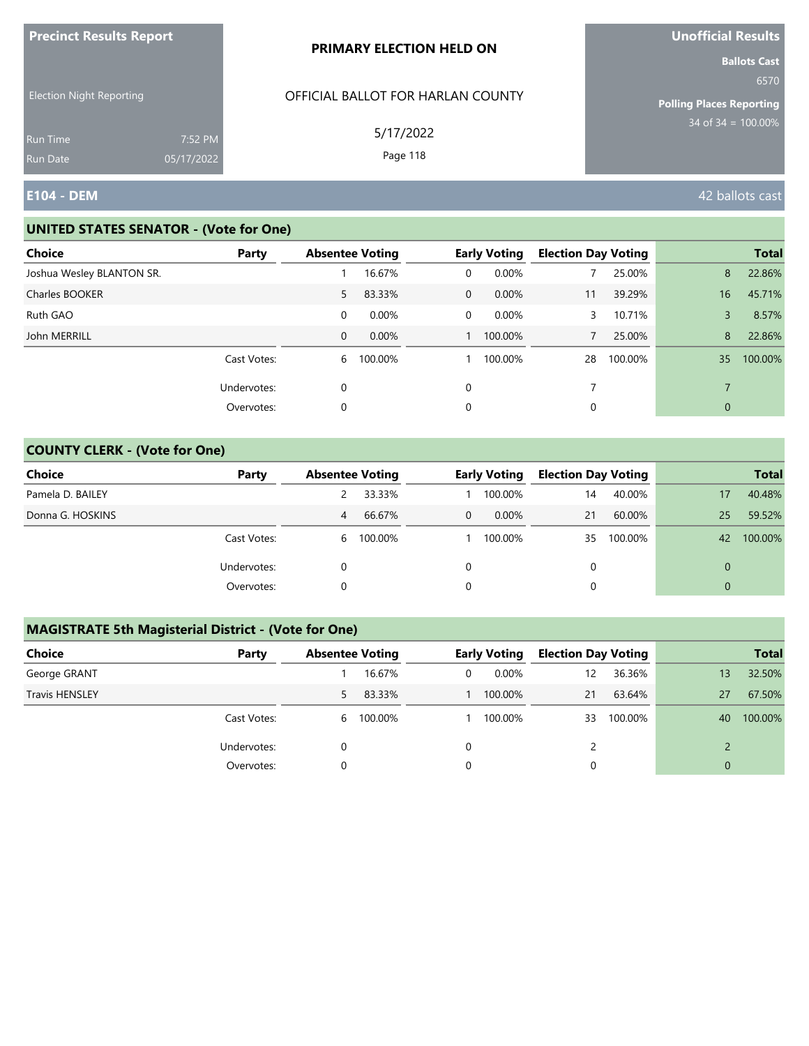|                                 |                       | PRIMARY ELECTION HELD ON          | <b>Ballots Cast</b>                     |
|---------------------------------|-----------------------|-----------------------------------|-----------------------------------------|
| <b>Election Night Reporting</b> |                       | OFFICIAL BALLOT FOR HARLAN COUNTY | 6570<br><b>Polling Places Reporting</b> |
| Run Time<br><b>Run Date</b>     | 7:52 PM<br>05/17/2022 | 5/17/2022<br>Page 118             | $34$ of 34 = $100.00\%$                 |
| <b>E104 - DEM</b>               |                       |                                   | 42 ballots cast                         |

#### **UNITED STATES SENATOR - (Vote for One)**

**Precinct Results Report**

| <b>Choice</b>             | Party       | <b>Absentee Voting</b> |         |              | <b>Early Voting</b> | <b>Election Day Voting</b> |         |                          | <b>Total</b> |
|---------------------------|-------------|------------------------|---------|--------------|---------------------|----------------------------|---------|--------------------------|--------------|
| Joshua Wesley BLANTON SR. |             |                        | 16.67%  | 0            | 0.00%               |                            | 25.00%  | 8                        | 22.86%       |
| Charles BOOKER            |             | 5                      | 83.33%  | $\mathbf{0}$ | $0.00\%$            | 11                         | 39.29%  | 16                       | 45.71%       |
| Ruth GAO                  |             | 0                      | 0.00%   | 0            | 0.00%               | 3                          | 10.71%  | 3                        | 8.57%        |
| John MERRILL              |             | 0                      | 0.00%   |              | 100.00%             |                            | 25.00%  | 8                        | 22.86%       |
|                           | Cast Votes: | 6                      | 100.00% |              | 100.00%             | 28                         | 100.00% | 35                       | 100.00%      |
|                           | Undervotes: | 0                      |         | 0            |                     | 7                          |         | $\overline{\phantom{a}}$ |              |
|                           | Overvotes:  | 0                      |         | 0            |                     | 0                          |         | 0                        |              |

## **COUNTY CLERK - (Vote for One)**

| Choice           | Party       | <b>Absentee Voting</b> |         |          | <b>Early Voting</b> | <b>Election Day Voting</b> |         |          | <b>Total</b> |
|------------------|-------------|------------------------|---------|----------|---------------------|----------------------------|---------|----------|--------------|
| Pamela D. BAILEY |             |                        | 33.33%  |          | 100.00%             | 14                         | 40.00%  | 17       | 40.48%       |
| Donna G. HOSKINS |             | 4                      | 66.67%  | $\Omega$ | $0.00\%$            | 21                         | 60.00%  | 25       | 59.52%       |
|                  | Cast Votes: | 6                      | 100.00% |          | 100.00%             | 35                         | 100.00% | 42       | 100.00%      |
|                  | Undervotes: |                        |         |          |                     | $\Omega$                   |         | $\Omega$ |              |
|                  | Overvotes:  |                        |         |          |                     | 0                          |         | $\Omega$ |              |

| <b>Choice</b>         | Party       | <b>Absentee Voting</b> |           |   | <b>Early Voting</b> | <b>Election Day Voting</b> |         |                | <b>Total</b> |
|-----------------------|-------------|------------------------|-----------|---|---------------------|----------------------------|---------|----------------|--------------|
| George GRANT          |             |                        | 16.67%    | 0 | $0.00\%$            | 12                         | 36.36%  | 13             | 32.50%       |
| <b>Travis HENSLEY</b> |             | 5                      | 83.33%    |   | 100.00%             | 21                         | 63.64%  | 27             | 67.50%       |
|                       | Cast Votes: |                        | 6 100.00% |   | 100.00%             | 33                         | 100.00% | 40             | 100.00%      |
|                       | Undervotes: |                        |           | 0 |                     |                            |         |                |              |
|                       | Overvotes:  | 0                      |           | 0 |                     |                            |         | $\overline{0}$ |              |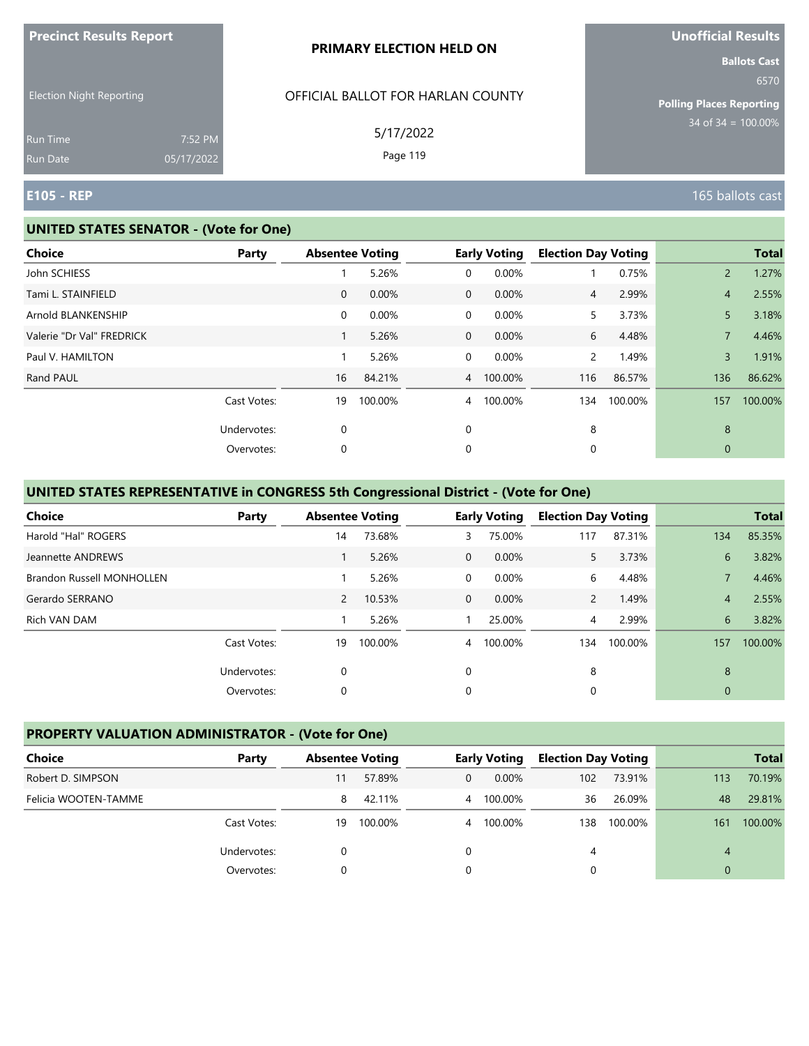|                                 |                       | PRIMARY ELECTION HELD ON          | <b>Ballots Cast</b>                     |
|---------------------------------|-----------------------|-----------------------------------|-----------------------------------------|
| <b>Election Night Reporting</b> |                       | OFFICIAL BALLOT FOR HARLAN COUNTY | 6570<br><b>Polling Places Reporting</b> |
| Run Time<br>Run Date            | 7:52 PM<br>05/17/2022 | 5/17/2022<br>Page 119             | $34$ of $34 = 100.00\%$                 |
| <b>E105 - REP</b>               |                       |                                   | 165 ballots cast                        |

### **UNITED STATES SENATOR - (Vote for One)**

**Precinct Results Report**

| <b>Choice</b>             | Party       | <b>Absentee Voting</b> |         |                | <b>Early Voting</b> | <b>Election Day Voting</b> |         |                | <b>Total</b> |
|---------------------------|-------------|------------------------|---------|----------------|---------------------|----------------------------|---------|----------------|--------------|
| John SCHIESS              |             |                        | 5.26%   | 0              | 0.00%               |                            | 0.75%   | $\overline{2}$ | 1.27%        |
| Tami L. STAINFIELD        |             | $\overline{0}$         | 0.00%   | $\overline{0}$ | 0.00%               | $\overline{4}$             | 2.99%   | $\overline{4}$ | 2.55%        |
| Arnold BLANKENSHIP        |             | $\mathbf 0$            | 0.00%   | 0              | 0.00%               | 5                          | 3.73%   | 5              | 3.18%        |
| Valerie "Dr Val" FREDRICK |             |                        | 5.26%   | $\mathbf{0}$   | 0.00%               | 6                          | 4.48%   | $\overline{7}$ | 4.46%        |
| Paul V. HAMILTON          |             |                        | 5.26%   | 0              | 0.00%               | $\overline{2}$             | 1.49%   | $\overline{3}$ | 1.91%        |
| Rand PAUL                 |             | 16                     | 84.21%  | $\overline{4}$ | 100.00%             | 116                        | 86.57%  | 136            | 86.62%       |
|                           | Cast Votes: | 19                     | 100.00% | $\overline{4}$ | 100.00%             | 134                        | 100.00% | 157            | 100.00%      |
|                           | Undervotes: | $\mathbf 0$            |         | 0              |                     | 8                          |         | 8              |              |
|                           | Overvotes:  | 0                      |         | 0              |                     | 0                          |         | $\mathbf{0}$   |              |
|                           |             |                        |         |                |                     |                            |         |                |              |

## **UNITED STATES REPRESENTATIVE in CONGRESS 5th Congressional District - (Vote for One)**

| Choice                           | Party       | <b>Absentee Voting</b> |         |                | <b>Early Voting</b> | <b>Election Day Voting</b> |         |                | <b>Total</b> |
|----------------------------------|-------------|------------------------|---------|----------------|---------------------|----------------------------|---------|----------------|--------------|
| Harold "Hal" ROGERS              |             | 14                     | 73.68%  | 3              | 75.00%              | 117                        | 87.31%  | 134            | 85.35%       |
| Jeannette ANDREWS                |             |                        | 5.26%   | $\Omega$       | 0.00%               | 5.                         | 3.73%   | 6              | 3.82%        |
| <b>Brandon Russell MONHOLLEN</b> |             |                        | 5.26%   | $\Omega$       | 0.00%               | 6                          | 4.48%   |                | 4.46%        |
| Gerardo SERRANO                  |             | $\overline{2}$         | 10.53%  | $\mathbf 0$    | 0.00%               | $\mathbf{2}$               | 1.49%   | $\overline{4}$ | 2.55%        |
| Rich VAN DAM                     |             |                        | 5.26%   |                | 25.00%              | $\overline{4}$             | 2.99%   | 6              | 3.82%        |
|                                  | Cast Votes: | 19                     | 100.00% | $\overline{4}$ | 100.00%             | 134                        | 100.00% | 157            | 100.00%      |
|                                  | Undervotes: | 0                      |         | $\Omega$       |                     | 8                          |         | 8              |              |
|                                  | Overvotes:  | 0                      |         | 0              |                     | 0                          |         | $\mathbf{0}$   |              |

## **PROPERTY VALUATION ADMINISTRATOR - (Vote for One)**

| Choice               | Party       | <b>Absentee Voting</b> |         |   | <b>Early Voting</b> | <b>Election Day Voting</b> |         |     | <b>Total</b> |
|----------------------|-------------|------------------------|---------|---|---------------------|----------------------------|---------|-----|--------------|
| Robert D. SIMPSON    |             | 11                     | 57.89%  | 0 | $0.00\%$            | 102                        | 73.91%  | 113 | 70.19%       |
| Felicia WOOTEN-TAMME |             | 8                      | 42.11%  | 4 | 100.00%             | 36                         | 26.09%  | 48  | 29.81%       |
|                      | Cast Votes: | 19                     | 100.00% | 4 | 100.00%             | 138.                       | 100.00% | 161 | 100.00%      |
|                      | Undervotes: |                        |         |   |                     | 4                          |         | 4   |              |
|                      | Overvotes:  |                        |         |   |                     |                            |         | 0   |              |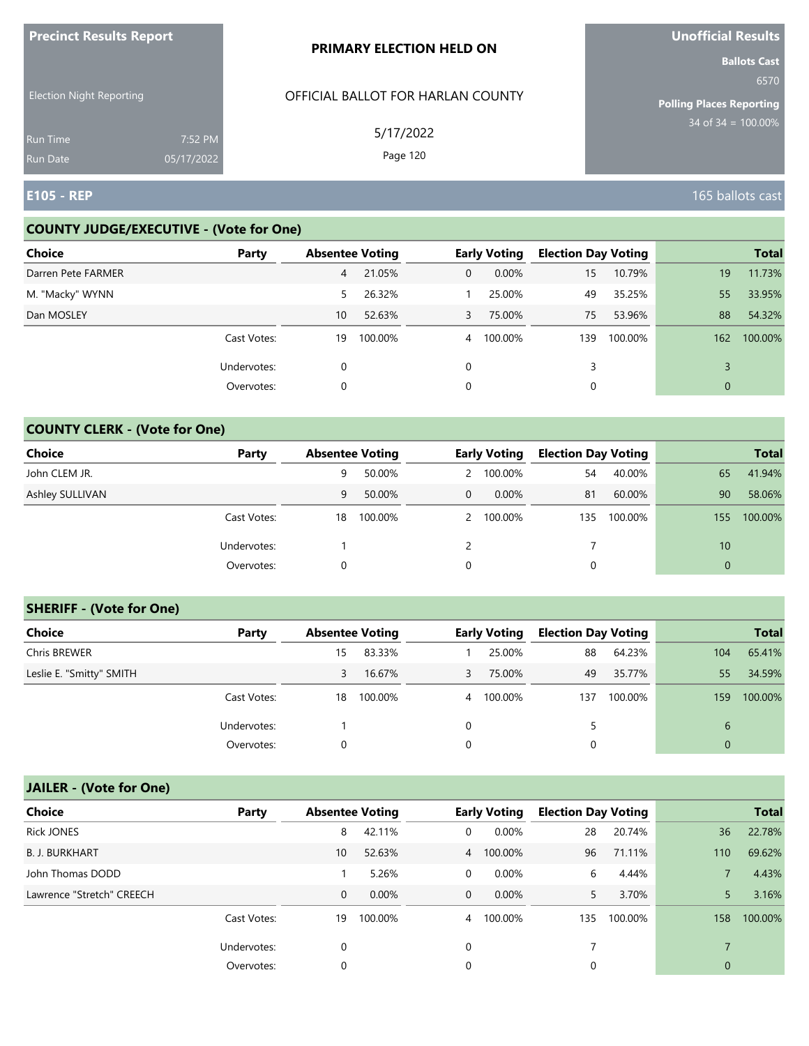| <b>THE RESPONSIVE PROPERTY</b>     |                       | <b>PRIMARY ELECTION HELD ON</b>   | <b>PHOTICIAL INCONITY</b><br><b>Ballots Cast</b> |
|------------------------------------|-----------------------|-----------------------------------|--------------------------------------------------|
| <b>Election Night Reporting</b>    |                       | OFFICIAL BALLOT FOR HARLAN COUNTY | 6570<br><b>Polling Places Reporting</b>          |
| <b>Run Time</b><br><b>Run Date</b> | 7:52 PM<br>05/17/2022 | 5/17/2022<br>Page 120             | $34$ of 34 = $\overline{100.00\%}$               |
| <b>E105 - REP</b>                  |                       |                                   | 165 ballots cast                                 |

#### **COUNTY JUDGE/EXECUTIVE - (Vote for One)**

**Precinct Results Report**

| Choice             | Party       | <b>Absentee Voting</b> |         |                | <b>Early Voting</b> | <b>Election Day Voting</b> |         |     | <b>Total</b> |
|--------------------|-------------|------------------------|---------|----------------|---------------------|----------------------------|---------|-----|--------------|
| Darren Pete FARMER |             | 4                      | 21.05%  | $\overline{0}$ | $0.00\%$            | 15                         | 10.79%  | 19  | 11.73%       |
| M. "Macky" WYNN    |             | 5.                     | 26.32%  |                | 25.00%              | 49                         | 35.25%  | 55  | 33.95%       |
| Dan MOSLEY         |             | 10                     | 52.63%  | 3              | 75.00%              | 75                         | 53.96%  | 88  | 54.32%       |
|                    | Cast Votes: | 19                     | 100.00% | $\overline{4}$ | 100.00%             | 139                        | 100.00% | 162 | 100.00%      |
|                    | Undervotes: | 0                      |         | $\Omega$       |                     | 3                          |         | 3   |              |
|                    | Overvotes:  | 0                      |         | 0              |                     | 0                          |         | 0   |              |

## **COUNTY CLERK - (Vote for One)**

| Choice          | Party       | <b>Absentee Voting</b> |         |             | <b>Early Voting</b> | <b>Election Day Voting</b> |         |          | <b>Total</b> |
|-----------------|-------------|------------------------|---------|-------------|---------------------|----------------------------|---------|----------|--------------|
| John CLEM JR.   |             | 9                      | 50.00%  | 2           | 100.00%             | 54                         | 40.00%  | 65       | 41.94%       |
| Ashley SULLIVAN |             | 9                      | 50.00%  | $\mathbf 0$ | $0.00\%$            | 81                         | 60.00%  | 90       | 58.06%       |
|                 | Cast Votes: | 18                     | 100.00% |             | 2 100.00%           | 135                        | 100.00% | 155      | 100.00%      |
|                 | Undervotes: |                        |         |             |                     |                            |         | 10       |              |
|                 | Overvotes:  | 0                      |         | 0           |                     | 0                          |         | $\Omega$ |              |

#### **SHERIFF - (Vote for One)**

| <b>Choice</b>            | Party       | <b>Absentee Voting</b> |         |                | <b>Early Voting</b> | <b>Election Day Voting</b> |         |             | <b>Total</b> |
|--------------------------|-------------|------------------------|---------|----------------|---------------------|----------------------------|---------|-------------|--------------|
| Chris BREWER             |             | 15                     | 83.33%  |                | 25.00%              | 88                         | 64.23%  | 104         | 65.41%       |
| Leslie E. "Smitty" SMITH |             | 3                      | 16.67%  | 3              | 75.00%              | 49                         | 35.77%  | 55          | 34.59%       |
|                          | Cast Votes: | 18                     | 100.00% | $\overline{4}$ | 100.00%             | 137                        | 100.00% | 159         | 100.00%      |
|                          | Undervotes: |                        |         | 0              |                     | 5.                         |         | 6           |              |
|                          | Overvotes:  | 0                      |         | 0              |                     | 0                          |         | $\mathbf 0$ |              |

# **JAILER - (Vote for One)**

| <b>Choice</b>             | Party       | <b>Absentee Voting</b> |          |                | <b>Early Voting</b> | <b>Election Day Voting</b> |         |             | <b>Total</b> |
|---------------------------|-------------|------------------------|----------|----------------|---------------------|----------------------------|---------|-------------|--------------|
| <b>Rick JONES</b>         |             | 8                      | 42.11%   | 0              | 0.00%               | 28                         | 20.74%  | 36          | 22.78%       |
| <b>B. J. BURKHART</b>     |             | 10                     | 52.63%   |                | 4 100.00%           | 96                         | 71.11%  | 110         | 69.62%       |
| John Thomas DODD          |             |                        | 5.26%    | 0              | 0.00%               | 6                          | 4.44%   |             | 4.43%        |
| Lawrence "Stretch" CREECH |             | $\mathbf 0$            | $0.00\%$ | $\mathbf{0}$   | $0.00\%$            | 5.                         | 3.70%   |             | 3.16%        |
|                           | Cast Votes: | 19                     | 100.00%  | $\overline{4}$ | 100.00%             | 135                        | 100.00% | 158         | 100.00%      |
|                           | Undervotes: | 0                      |          | 0              |                     |                            |         |             |              |
|                           | Overvotes:  | 0                      |          | 0              |                     | 0                          |         | $\mathbf 0$ |              |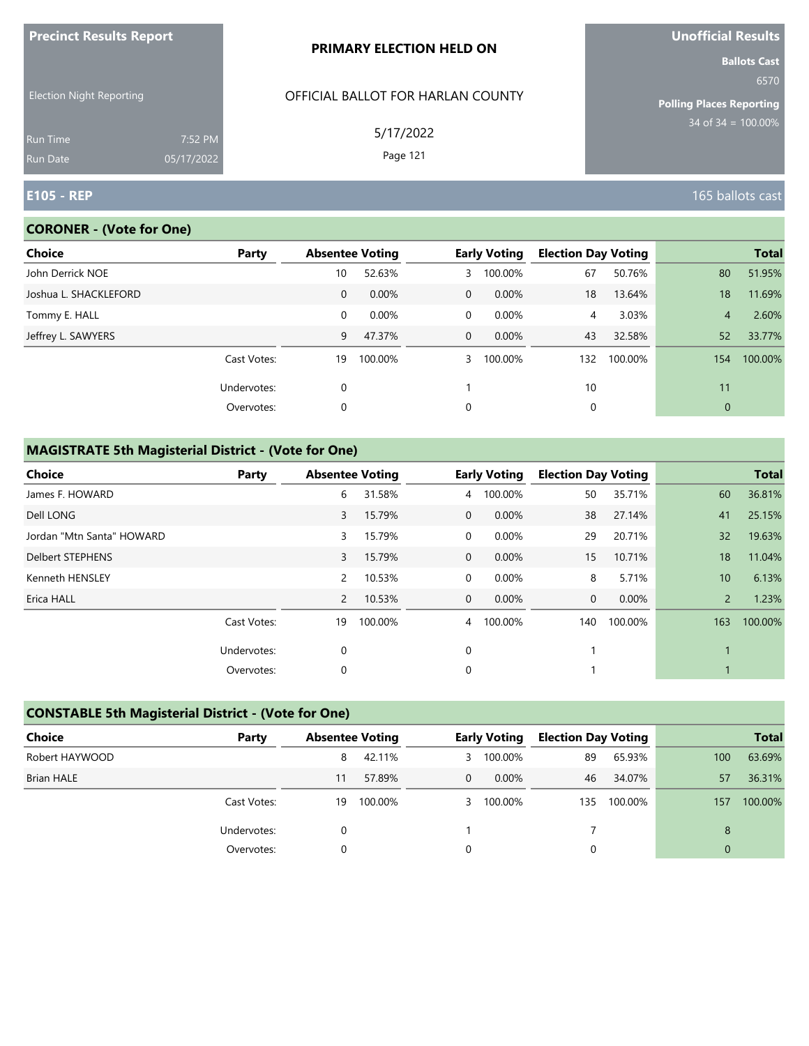| <b>Precinct Results Report</b>                     |            | PRIMARY ELECTION HELD ON                       | Unofficial Results                                                                      |
|----------------------------------------------------|------------|------------------------------------------------|-----------------------------------------------------------------------------------------|
| <b>Election Night Reporting</b><br><b>Run Time</b> | 7:52 PM    | OFFICIAL BALLOT FOR HARLAN COUNTY<br>5/17/2022 | <b>Ballots Cast</b><br>6570<br><b>Polling Places Reporting</b><br>$134$ of 34 = 100.00% |
| <b>Run Date</b>                                    | 05/17/2022 | Page 121                                       |                                                                                         |
| <b>E105 - REP</b>                                  |            |                                                | 165 ballots cast                                                                        |

## **CORONER - (Vote for One)**

| <b>Choice</b>         | Party       |    | <b>Absentee Voting</b> |                | <b>Early Voting</b> | <b>Election Day Voting</b> |         |                | <b>Total</b> |
|-----------------------|-------------|----|------------------------|----------------|---------------------|----------------------------|---------|----------------|--------------|
| John Derrick NOE      |             | 10 | 52.63%                 | 3              | 100.00%             | 67                         | 50.76%  | 80             | 51.95%       |
| Joshua L. SHACKLEFORD |             | 0  | 0.00%                  | $\overline{0}$ | 0.00%               | 18                         | 13.64%  | 18             | 11.69%       |
| Tommy E. HALL         |             | 0  | 0.00%                  | $\overline{0}$ | 0.00%               | 4                          | 3.03%   | $\overline{4}$ | 2.60%        |
| Jeffrey L. SAWYERS    |             | 9  | 47.37%                 | $\overline{0}$ | $0.00\%$            | 43                         | 32.58%  | 52             | 33.77%       |
|                       | Cast Votes: | 19 | 100.00%                | $\mathbf{3}$   | 100.00%             | 132                        | 100.00% | 154            | 100.00%      |
|                       | Undervotes: | 0  |                        |                |                     | 10                         |         | 11             |              |
|                       | Overvotes:  | 0  |                        | 0              |                     | 0                          |         | $\theta$       |              |
|                       |             |    |                        |                |                     |                            |         |                |              |

| <b>Choice</b>             | Party       | <b>Absentee Voting</b> |         |                | <b>Early Voting</b> | <b>Election Day Voting</b> |         |                 | <b>Total</b> |
|---------------------------|-------------|------------------------|---------|----------------|---------------------|----------------------------|---------|-----------------|--------------|
| James F. HOWARD           |             | 6                      | 31.58%  | $\overline{4}$ | 100.00%             | 50                         | 35.71%  | 60              | 36.81%       |
| Dell LONG                 |             | 3                      | 15.79%  | $\overline{0}$ | 0.00%               | 38                         | 27.14%  | 41              | 25.15%       |
| Jordan "Mtn Santa" HOWARD |             | 3                      | 15.79%  | 0              | $0.00\%$            | 29                         | 20.71%  | 32              | 19.63%       |
| Delbert STEPHENS          |             | 3                      | 15.79%  | $\mathbf{0}$   | 0.00%               | 15                         | 10.71%  | 18              | 11.04%       |
| Kenneth HENSLEY           |             | $\overline{2}$         | 10.53%  | 0              | 0.00%               | 8                          | 5.71%   | 10 <sup>°</sup> | 6.13%        |
| Erica HALL                |             | $\overline{2}$         | 10.53%  | $\overline{0}$ | $0.00\%$            | 0                          | 0.00%   | $\overline{2}$  | 1.23%        |
|                           | Cast Votes: | 19                     | 100.00% | $\overline{4}$ | 100.00%             | 140                        | 100.00% | 163             | 100.00%      |
|                           | Undervotes: | 0                      |         | 0              |                     |                            |         |                 |              |
|                           | Overvotes:  | 0                      |         | 0              |                     |                            |         |                 |              |

| <b>CONSTABLE 5th Magisterial District - (Vote for One)</b> |             |                        |         |          |                     |                            |         |              |              |  |
|------------------------------------------------------------|-------------|------------------------|---------|----------|---------------------|----------------------------|---------|--------------|--------------|--|
| <b>Choice</b>                                              | Party       | <b>Absentee Voting</b> |         |          | <b>Early Voting</b> | <b>Election Day Voting</b> |         |              | <b>Total</b> |  |
| Robert HAYWOOD                                             |             | 8                      | 42.11%  | 3        | 100.00%             | 89                         | 65.93%  | 100          | 63.69%       |  |
| <b>Brian HALE</b>                                          |             | 11                     | 57.89%  | 0        | $0.00\%$            | 46                         | 34.07%  | 57           | 36.31%       |  |
|                                                            | Cast Votes: | 19                     | 100.00% | 3        | 100.00%             | 135                        | 100.00% | 157          | 100.00%      |  |
|                                                            | Undervotes: | 0                      |         |          |                     |                            |         | 8            |              |  |
|                                                            | Overvotes:  | $\Omega$               |         | $\Omega$ |                     | 0                          |         | $\mathbf{0}$ |              |  |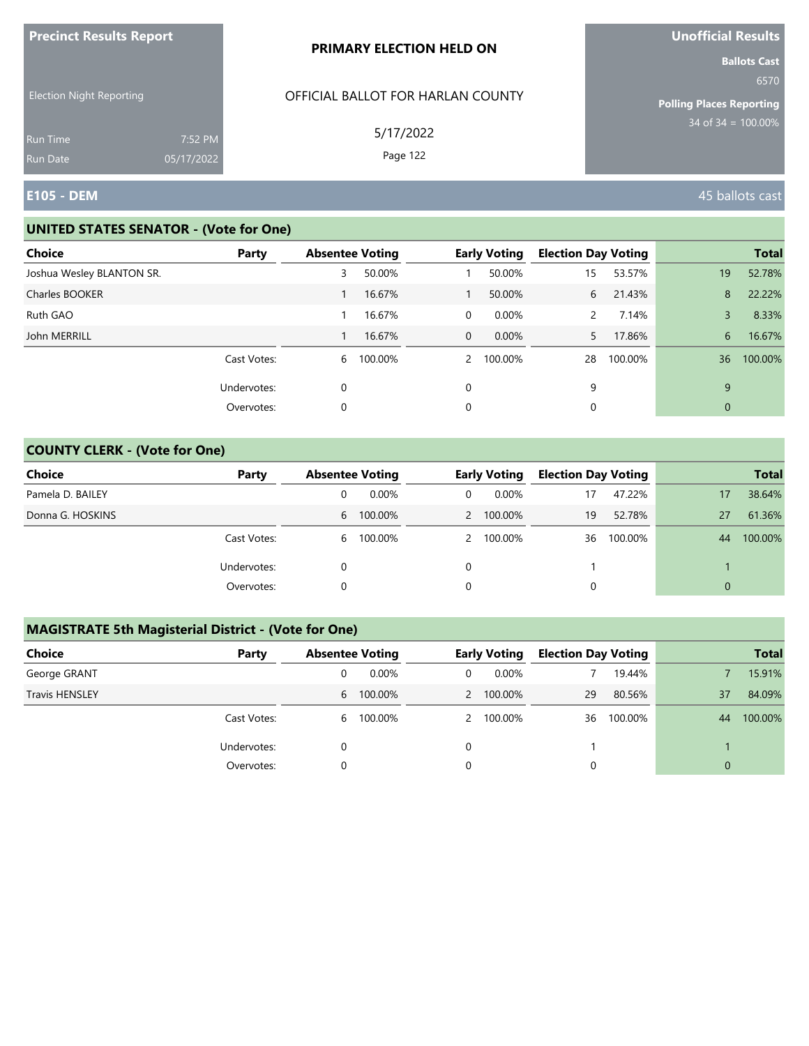|                                      |            | PRIMARY ELECTION HELD ON          | <b>Ballots Cast</b>                     |
|--------------------------------------|------------|-----------------------------------|-----------------------------------------|
| <b>Election Night Reporting</b>      |            | OFFICIAL BALLOT FOR HARLAN COUNTY | 6570<br><b>Polling Places Reporting</b> |
| <b>Run Time</b>                      | 7:52 PM    | 5/17/2022<br>Page 122             | $34$ of 34 = $\overline{100.00\%}$      |
| <b>Run Date</b><br><b>E105 - DEM</b> | 05/17/2022 |                                   | 45 ballots cast                         |

### **UNITED STATES SENATOR - (Vote for One)**

**Precinct Results Report**

| Choice                    | Party       | <b>Absentee Voting</b> |         |                | <b>Early Voting</b> | <b>Election Day Voting</b> |         |              | <b>Total</b> |
|---------------------------|-------------|------------------------|---------|----------------|---------------------|----------------------------|---------|--------------|--------------|
| Joshua Wesley BLANTON SR. |             | 3                      | 50.00%  |                | 50.00%              | 15                         | 53.57%  | 19           | 52.78%       |
| Charles BOOKER            |             |                        | 16.67%  |                | 50.00%              | 6                          | 21.43%  | 8            | 22.22%       |
| Ruth GAO                  |             |                        | 16.67%  | $\mathbf 0$    | $0.00\%$            | $\overline{2}$             | 7.14%   | 3            | 8.33%        |
| John MERRILL              |             |                        | 16.67%  | $\overline{0}$ | $0.00\%$            | 5                          | 17.86%  | 6            | 16.67%       |
|                           | Cast Votes: | 6                      | 100.00% |                | 2 100.00%           | 28                         | 100.00% | 36           | 100.00%      |
|                           | Undervotes: | 0                      |         | $\Omega$       |                     | 9                          |         | 9            |              |
|                           | Overvotes:  | 0                      |         | 0              |                     | 0                          |         | $\mathbf{0}$ |              |

## **COUNTY CLERK - (Vote for One)**

| <b>Choice</b>    | Party       | <b>Absentee Voting</b> |           |   | <b>Early Voting</b> | <b>Election Day Voting</b> |         |    | <b>Total</b> |
|------------------|-------------|------------------------|-----------|---|---------------------|----------------------------|---------|----|--------------|
| Pamela D. BAILEY |             |                        | 0.00%     | 0 | 0.00%               | 17                         | 47.22%  | 17 | 38.64%       |
| Donna G. HOSKINS |             |                        | 6 100.00% |   | 2 100.00%           | 19                         | 52.78%  | 27 | 61.36%       |
|                  | Cast Votes: | 6                      | 100.00%   |   | 2 100.00%           | 36                         | 100.00% | 44 | 100.00%      |
|                  | Undervotes: |                        |           |   |                     |                            |         |    |              |
|                  | Overvotes:  |                        |           |   |                     | 0                          |         | 0  |              |

| <b>Choice</b>         | Party       | <b>Absentee Voting</b> |          |   | <b>Early Voting</b> | <b>Election Day Voting</b> |         |                | <b>Total</b> |
|-----------------------|-------------|------------------------|----------|---|---------------------|----------------------------|---------|----------------|--------------|
| George GRANT          |             | 0                      | $0.00\%$ | 0 | $0.00\%$            |                            | 19.44%  |                | 15.91%       |
| <b>Travis HENSLEY</b> |             | 6                      | 100.00%  |   | 2 100.00%           | 29                         | 80.56%  | 37             | 84.09%       |
|                       | Cast Votes: | 6                      | 100.00%  |   | 2 100.00%           | 36                         | 100.00% | 44             | 100.00%      |
|                       | Undervotes: | 0                      |          | 0 |                     |                            |         |                |              |
|                       | Overvotes:  | 0                      |          | 0 |                     |                            |         | $\overline{0}$ |              |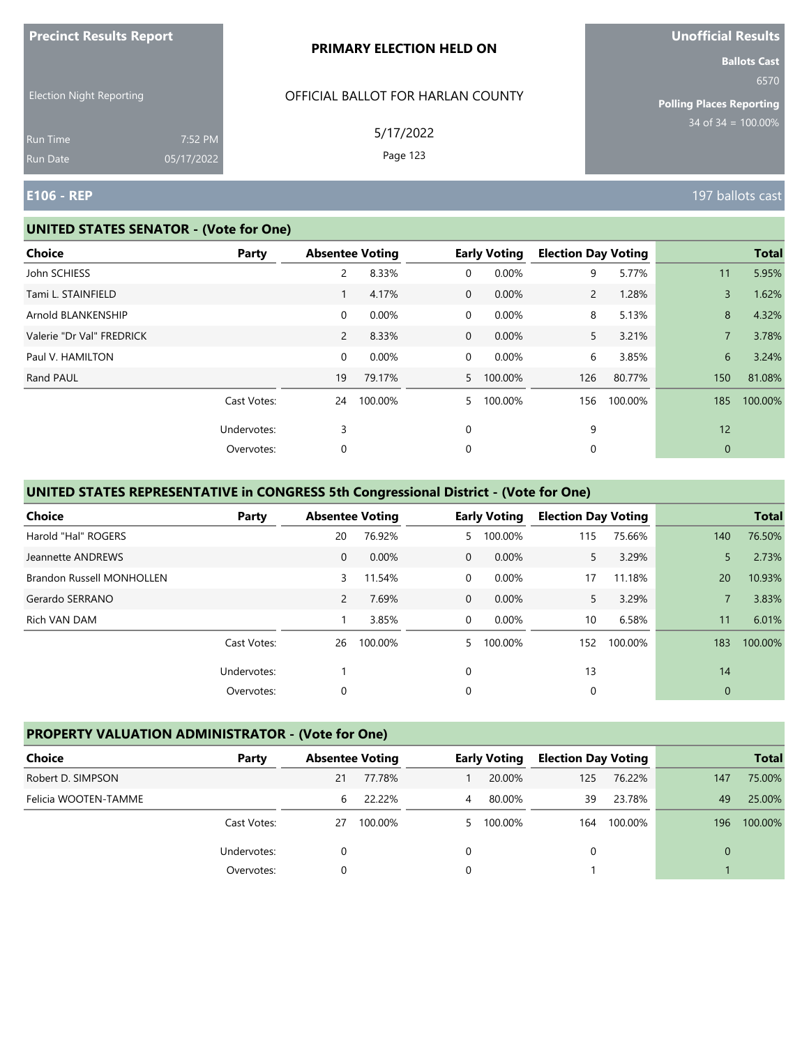|                                                                |                       | PRIMARY ELECTION HELD ON                                   | <b>Ballots Cast</b>                                                |
|----------------------------------------------------------------|-----------------------|------------------------------------------------------------|--------------------------------------------------------------------|
| <b>Election Night Reporting</b><br><b>Run Time</b><br>Run Date | 7:52 PM<br>05/17/2022 | OFFICIAL BALLOT FOR HARLAN COUNTY<br>5/17/2022<br>Page 123 | 6570<br><b>Polling Places Reporting</b><br>$34$ of $34 = 100.00\%$ |
| <b>E106 - REP</b>                                              |                       |                                                            | 197 ballots cast                                                   |

#### **UNITED STATES SENATOR - (Vote for One)**

**Precinct Results Report**

| <b>Choice</b>             | <b>Party</b> | <b>Absentee Voting</b> |         |                | <b>Early Voting</b> | <b>Election Day Voting</b> |         |                | <b>Total</b> |
|---------------------------|--------------|------------------------|---------|----------------|---------------------|----------------------------|---------|----------------|--------------|
| John SCHIESS              |              | 2                      | 8.33%   | 0              | 0.00%               | 9                          | 5.77%   | 11             | 5.95%        |
| Tami L. STAINFIELD        |              |                        | 4.17%   | $\overline{0}$ | 0.00%               | $\overline{2}$             | 1.28%   | $\overline{3}$ | 1.62%        |
| Arnold BLANKENSHIP        |              | 0                      | 0.00%   | 0              | 0.00%               | 8                          | 5.13%   | 8              | 4.32%        |
| Valerie "Dr Val" FREDRICK |              | $\overline{2}$         | 8.33%   | $\overline{0}$ | 0.00%               | 5                          | 3.21%   | $\overline{7}$ | 3.78%        |
| Paul V. HAMILTON          |              | 0                      | 0.00%   | 0              | 0.00%               | 6                          | 3.85%   | 6              | 3.24%        |
| Rand PAUL                 |              | 19                     | 79.17%  |                | 5 100.00%           | 126                        | 80.77%  | 150            | 81.08%       |
|                           | Cast Votes:  | 24                     | 100.00% | 5              | 100.00%             | 156                        | 100.00% | 185            | 100.00%      |
|                           | Undervotes:  | 3                      |         | 0              |                     | 9                          |         | 12             |              |
|                           | Overvotes:   | 0                      |         | 0              |                     | 0                          |         | $\mathbf{0}$   |              |
|                           |              |                        |         |                |                     |                            |         |                |              |

## **UNITED STATES REPRESENTATIVE in CONGRESS 5th Congressional District - (Vote for One)**

| <b>Choice</b>             | Party       |                | <b>Absentee Voting</b> |                | <b>Early Voting</b> | <b>Election Day Voting</b> |         |              | <b>Total</b> |
|---------------------------|-------------|----------------|------------------------|----------------|---------------------|----------------------------|---------|--------------|--------------|
| Harold "Hal" ROGERS       |             | 20             | 76.92%                 | 5.             | 100.00%             | 115                        | 75.66%  | 140          | 76.50%       |
| Jeannette ANDREWS         |             | $\mathbf{0}$   | 0.00%                  | $\Omega$       | 0.00%               | 5.                         | 3.29%   | 5            | 2.73%        |
| Brandon Russell MONHOLLEN |             | 3              | 11.54%                 | $\Omega$       | 0.00%               | 17                         | 11.18%  | 20           | 10.93%       |
| Gerardo SERRANO           |             | $\overline{2}$ | 7.69%                  | $\overline{0}$ | 0.00%               | 5.                         | 3.29%   |              | 3.83%        |
| Rich VAN DAM              |             |                | 3.85%                  | $\Omega$       | $0.00\%$            | 10                         | 6.58%   | 11           | 6.01%        |
|                           | Cast Votes: | 26             | 100.00%                | 5.             | 100.00%             | 152                        | 100.00% | 183          | 100.00%      |
|                           | Undervotes: |                |                        | $\Omega$       |                     | 13                         |         | 14           |              |
|                           | Overvotes:  | 0              |                        | 0              |                     | 0                          |         | $\mathbf{0}$ |              |

### **PROPERTY VALUATION ADMINISTRATOR - (Vote for One)**

| Choice               | Party       | <b>Absentee Voting</b> |         |   | <b>Early Voting</b> | <b>Election Day Voting</b> |         |     | <b>Total</b> |
|----------------------|-------------|------------------------|---------|---|---------------------|----------------------------|---------|-----|--------------|
| Robert D. SIMPSON    |             | 21                     | 77.78%  |   | 20.00%              | 125                        | 76.22%  | 147 | 75.00%       |
| Felicia WOOTEN-TAMME |             | 6                      | 22.22%  | 4 | 80.00%              | 39                         | 23.78%  | 49  | 25.00%       |
|                      | Cast Votes: | 27                     | 100.00% |   | 5 100.00%           | 164                        | 100.00% | 196 | 100.00%      |
|                      | Undervotes: |                        |         |   |                     |                            |         | 0   |              |
|                      | Overvotes:  |                        |         |   |                     |                            |         |     |              |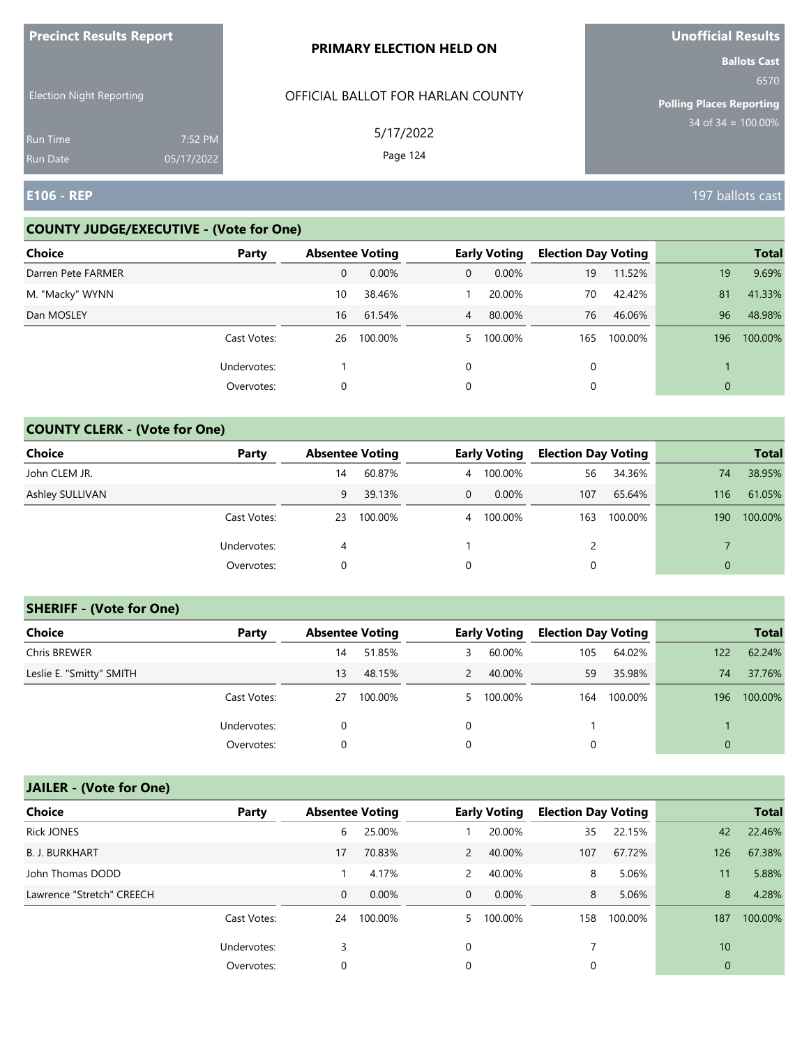| <b>Precinct Results Report</b>     |                       | <b>PRIMARY ELECTION HELD ON</b>   | Unofficial Results                                             |
|------------------------------------|-----------------------|-----------------------------------|----------------------------------------------------------------|
| <b>Election Night Reporting</b>    |                       | OFFICIAL BALLOT FOR HARLAN COUNTY | <b>Ballots Cast</b><br>6570<br><b>Polling Places Reporting</b> |
| <b>Run Time</b><br><b>Run Date</b> | 7:52 PM<br>05/17/2022 | 5/17/2022<br>Page 124             | $34$ of $34 = 100.00\%$                                        |
| <b>E106 - REP</b>                  |                       |                                   | 197 ballots cast                                               |

## **COUNTY JUDGE/EXECUTIVE - (Vote for One)**

| <b>Choice</b>      | Party       | <b>Absentee Voting</b> |         |              | <b>Early Voting</b> | <b>Election Day Voting</b> |         |     | <b>Total</b> |
|--------------------|-------------|------------------------|---------|--------------|---------------------|----------------------------|---------|-----|--------------|
| Darren Pete FARMER |             | $\mathbf{0}$           | 0.00%   | $\mathbf{0}$ | $0.00\%$            | 19                         | 11.52%  | 19  | 9.69%        |
| M. "Macky" WYNN    |             | 10                     | 38.46%  |              | 20.00%              | 70                         | 42.42%  | 81  | 41.33%       |
| Dan MOSLEY         |             | 16                     | 61.54%  | 4            | 80.00%              | 76                         | 46.06%  | 96  | 48.98%       |
|                    | Cast Votes: | 26                     | 100.00% |              | 5 100.00%           | 165                        | 100.00% | 196 | 100.00%      |
|                    | Undervotes: |                        |         | $\Omega$     |                     | 0                          |         |     |              |
|                    | Overvotes:  | 0                      |         | 0            |                     |                            |         | 0   |              |

## **COUNTY CLERK - (Vote for One)**

| Choice          | Party       | <b>Absentee Voting</b> |         |          | <b>Early Voting</b> | <b>Election Day Voting</b> |         |                | <b>Total</b> |
|-----------------|-------------|------------------------|---------|----------|---------------------|----------------------------|---------|----------------|--------------|
| John CLEM JR.   |             | 14                     | 60.87%  | 4        | 100.00%             | 56                         | 34.36%  | 74             | 38.95%       |
| Ashley SULLIVAN |             | 9                      | 39.13%  | $\Omega$ | $0.00\%$            | 107                        | 65.64%  | 116            | 61.05%       |
|                 | Cast Votes: | 23                     | 100.00% | 4        | 100.00%             | 163                        | 100.00% | 190            | 100.00%      |
|                 | Undervotes: | 4                      |         |          |                     | 2                          |         |                |              |
|                 | Overvotes:  | 0                      |         | 0        |                     | 0                          |         | $\overline{0}$ |              |

## **SHERIFF - (Vote for One)**

| <b>Choice</b>            | Party       | <b>Absentee Voting</b> |         |               | <b>Early Voting</b> | <b>Election Day Voting</b> |         |              | <b>Total</b> |
|--------------------------|-------------|------------------------|---------|---------------|---------------------|----------------------------|---------|--------------|--------------|
| Chris BREWER             |             | 14                     | 51.85%  | 3             | 60.00%              | 105                        | 64.02%  | 122          | 62.24%       |
| Leslie E. "Smitty" SMITH |             | 13                     | 48.15%  | $\mathcal{P}$ | 40.00%              | 59                         | 35.98%  | 74           | 37.76%       |
|                          | Cast Votes: | 27                     | 100.00% |               | 5 100.00%           | 164                        | 100.00% | 196          | 100.00%      |
|                          | Undervotes: | 0                      |         | $\Omega$      |                     |                            |         |              |              |
|                          | Overvotes:  | 0                      |         |               |                     | 0                          |         | $\mathbf{0}$ |              |

# **JAILER - (Vote for One)**

| <b>Choice</b>             | Party       | <b>Absentee Voting</b> |          |          | <b>Early Voting</b> | <b>Election Day Voting</b> |         |                | <b>Total</b> |
|---------------------------|-------------|------------------------|----------|----------|---------------------|----------------------------|---------|----------------|--------------|
| <b>Rick JONES</b>         |             | 6                      | 25.00%   |          | 20.00%              | 35                         | 22.15%  | 42             | 22.46%       |
| <b>B. J. BURKHART</b>     |             | 17                     | 70.83%   | 2        | 40.00%              | 107                        | 67.72%  | 126            | 67.38%       |
| John Thomas DODD          |             |                        | 4.17%    | 2        | 40.00%              | 8                          | 5.06%   | 11             | 5.88%        |
| Lawrence "Stretch" CREECH |             | 0                      | $0.00\%$ | $\Omega$ | $0.00\%$            | 8                          | 5.06%   | 8              | 4.28%        |
|                           | Cast Votes: | 24                     | 100.00%  | 5.       | 100.00%             | 158                        | 100.00% | 187            | 100.00%      |
|                           | Undervotes: | 3                      |          | $\Omega$ |                     |                            |         | 10             |              |
|                           | Overvotes:  | 0                      |          | 0        |                     | 0                          |         | $\overline{0}$ |              |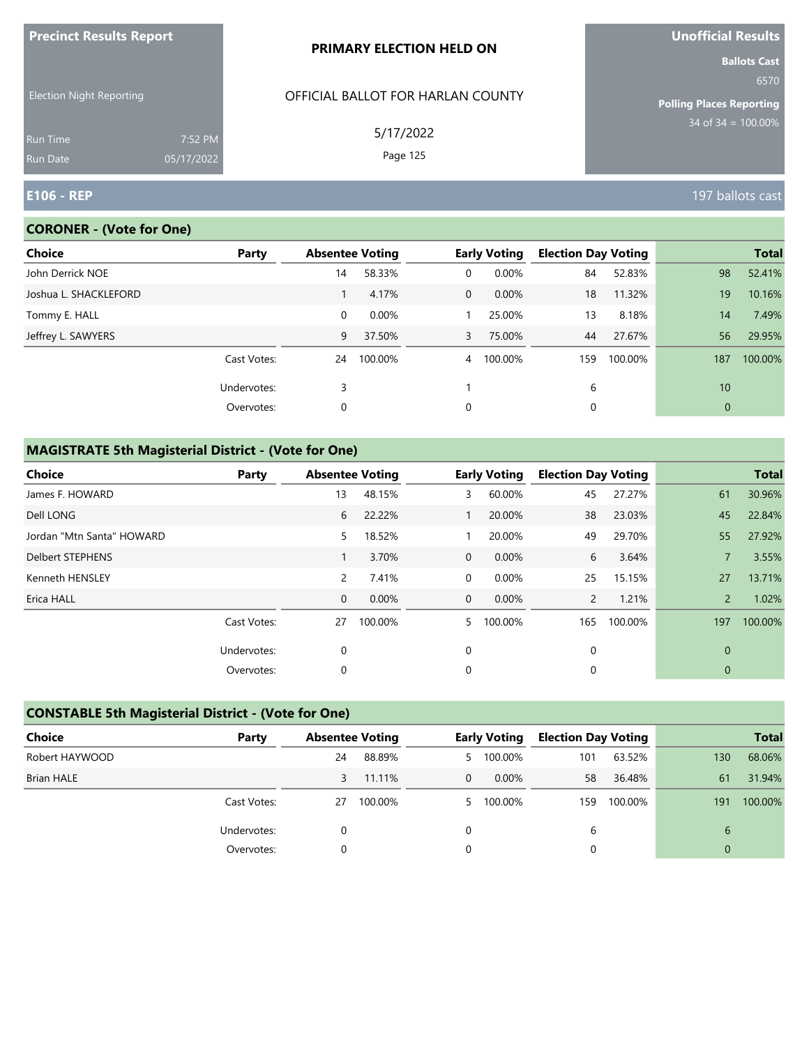| <b>Precinct Results Report</b>  |            | PRIMARY ELECTION HELD ON          | <b>Unofficial Results</b>       |
|---------------------------------|------------|-----------------------------------|---------------------------------|
|                                 |            |                                   | <b>Ballots Cast</b><br>6570     |
| <b>Election Night Reporting</b> |            | OFFICIAL BALLOT FOR HARLAN COUNTY | <b>Polling Places Reporting</b> |
| Run Time                        | 7:52 PM    | 5/17/2022                         | $34$ of 34 = 100.00%            |
| Run Date                        | 05/17/2022 | Page 125                          |                                 |
| $E106 - REP$                    |            |                                   | 197 ballots cast                |

## **CORONER - (Vote for One)**

| <b>Choice</b>         | Party       | <b>Absentee Voting</b> |         |                | <b>Early Voting</b> | <b>Election Day Voting</b> |         |              | <b>Total</b> |
|-----------------------|-------------|------------------------|---------|----------------|---------------------|----------------------------|---------|--------------|--------------|
| John Derrick NOE      |             | 14                     | 58.33%  | 0              | 0.00%               | 84                         | 52.83%  | 98           | 52.41%       |
| Joshua L. SHACKLEFORD |             |                        | 4.17%   | $\overline{0}$ | 0.00%               | 18                         | 11.32%  | 19           | 10.16%       |
| Tommy E. HALL         |             | 0                      | 0.00%   |                | 25.00%              | 13                         | 8.18%   | 14           | 7.49%        |
| Jeffrey L. SAWYERS    |             | 9                      | 37.50%  | $\mathbf{3}$   | 75.00%              | 44                         | 27.67%  | 56           | 29.95%       |
|                       | Cast Votes: | 24                     | 100.00% | $\overline{4}$ | 100.00%             | 159                        | 100.00% | 187          | 100.00%      |
|                       | Undervotes: | 3                      |         |                |                     | 6                          |         | 10           |              |
|                       | Overvotes:  | 0                      |         | 0              |                     | 0                          |         | $\mathbf{0}$ |              |
|                       |             |                        |         |                |                     |                            |         |              |              |

| Choice                    | Party       | <b>Absentee Voting</b> |         |              | <b>Early Voting</b> | <b>Election Day Voting</b> |         |               | <b>Total</b> |
|---------------------------|-------------|------------------------|---------|--------------|---------------------|----------------------------|---------|---------------|--------------|
| James F. HOWARD           |             | 13                     | 48.15%  | 3            | 60.00%              | 45                         | 27.27%  | 61            | 30.96%       |
| Dell LONG                 |             | 6                      | 22.22%  |              | 20.00%              | 38                         | 23.03%  | 45            | 22.84%       |
| Jordan "Mtn Santa" HOWARD |             | 5                      | 18.52%  |              | 20.00%              | 49                         | 29.70%  | 55            | 27.92%       |
| <b>Delbert STEPHENS</b>   |             |                        | 3.70%   | $\mathbf 0$  | 0.00%               | 6                          | 3.64%   |               | 3.55%        |
| Kenneth HENSLEY           |             | 2                      | 7.41%   | 0            | 0.00%               | 25                         | 15.15%  | 27            | 13.71%       |
| Erica HALL                |             | $\mathbf 0$            | 0.00%   | $\mathbf{0}$ | $0.00\%$            | $\mathcal{P}$              | 1.21%   | $\mathcal{P}$ | 1.02%        |
|                           | Cast Votes: | 27                     | 100.00% | 5.           | 100.00%             | 165                        | 100.00% | 197           | 100.00%      |
|                           | Undervotes: | 0                      |         | 0            |                     | 0                          |         | 0             |              |
|                           | Overvotes:  | 0                      |         | 0            |                     | 0                          |         | 0             |              |

| <b>CONSTABLE 5th Magisterial District - (Vote for One)</b> |             |    |                        |          |                     |                            |         |     |              |  |
|------------------------------------------------------------|-------------|----|------------------------|----------|---------------------|----------------------------|---------|-----|--------------|--|
| <b>Choice</b>                                              | Party       |    | <b>Absentee Voting</b> |          | <b>Early Voting</b> | <b>Election Day Voting</b> |         |     | <b>Total</b> |  |
| Robert HAYWOOD                                             |             | 24 | 88.89%                 | 5        | 100.00%             | 101                        | 63.52%  | 130 | 68.06%       |  |
| <b>Brian HALE</b>                                          |             | 3  | 11.11%                 | $\Omega$ | $0.00\%$            | 58                         | 36.48%  | 61  | 31.94%       |  |
|                                                            | Cast Votes: | 27 | 100.00%                | 5.       | 100.00%             | 159                        | 100.00% | 191 | 100.00%      |  |
|                                                            | Undervotes: | 0  |                        | 0        |                     | 6                          |         | 6   |              |  |
|                                                            | Overvotes:  | 0  |                        | 0        |                     | 0                          |         | 0   |              |  |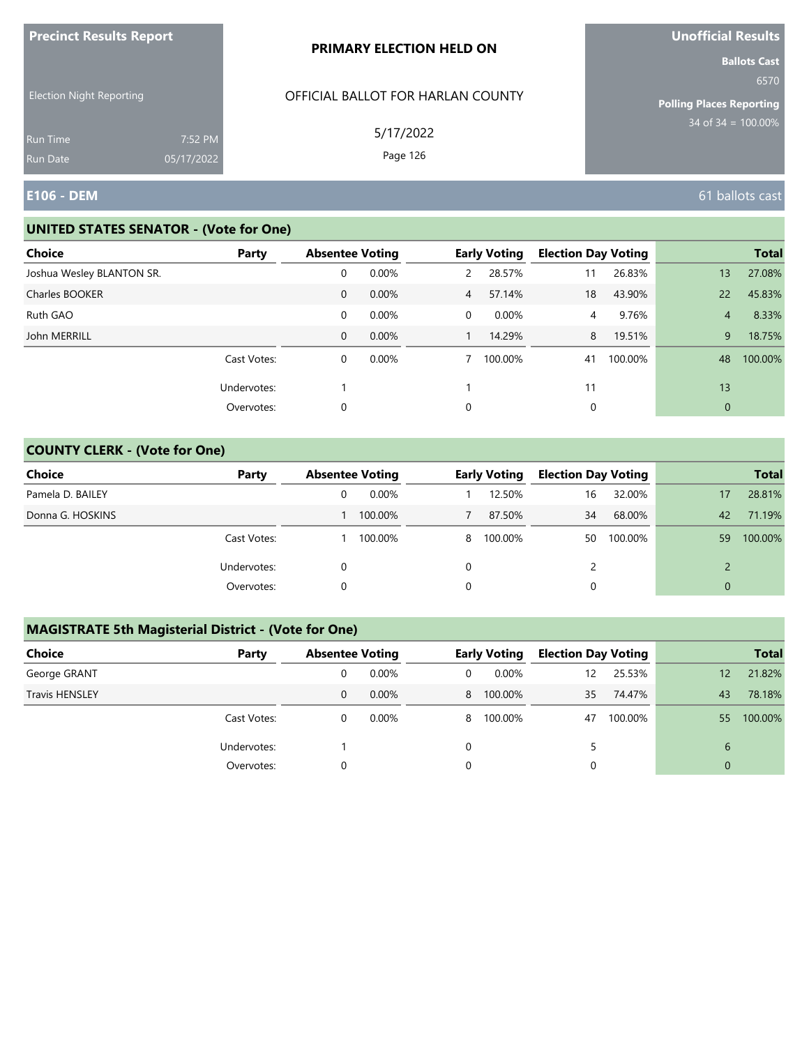|                                 |                       | PRIMARY ELECTION HELD ON          | <b>Ballots Cast</b>                     |
|---------------------------------|-----------------------|-----------------------------------|-----------------------------------------|
| <b>Election Night Reporting</b> |                       | OFFICIAL BALLOT FOR HARLAN COUNTY | 6570<br><b>Polling Places Reporting</b> |
| Run Time<br>Run Date            | 7:52 PM<br>05/17/2022 | 5/17/2022<br>Page 126             | $34$ of $34 = 100.00\%$                 |
| <b>E106 - DEM</b>               |                       |                                   | 61 ballots cast                         |

#### **UNITED STATES SENATOR - (Vote for One)**

**Precinct Results Report**

| Choice                    | Party       | <b>Absentee Voting</b> |       |                | <b>Early Voting</b> | <b>Election Day Voting</b> |         |                | <b>Total</b> |
|---------------------------|-------------|------------------------|-------|----------------|---------------------|----------------------------|---------|----------------|--------------|
| Joshua Wesley BLANTON SR. |             | 0                      | 0.00% | $\mathbf{2}$   | 28.57%              | 11                         | 26.83%  | 13             | 27.08%       |
| Charles BOOKER            |             | $\mathbf{0}$           | 0.00% | $\overline{4}$ | 57.14%              | 18                         | 43.90%  | 22             | 45.83%       |
| Ruth GAO                  |             | 0                      | 0.00% | 0              | 0.00%               | 4                          | 9.76%   | $\overline{4}$ | 8.33%        |
| John MERRILL              |             | $\mathbf{0}$           | 0.00% |                | 14.29%              | 8                          | 19.51%  | 9              | 18.75%       |
|                           | Cast Votes: | 0                      | 0.00% |                | 100.00%             | 41                         | 100.00% | 48             | 100.00%      |
|                           | Undervotes: |                        |       |                |                     | 11                         |         | 13             |              |
|                           | Overvotes:  | 0                      |       | 0              |                     | 0                          |         | 0              |              |

## **COUNTY CLERK - (Vote for One)**

| Choice           | Party       | <b>Absentee Voting</b> |         |   | <b>Early Voting</b> | <b>Election Day Voting</b> |         |          | <b>Total</b> |
|------------------|-------------|------------------------|---------|---|---------------------|----------------------------|---------|----------|--------------|
| Pamela D. BAILEY |             |                        | 0.00%   |   | 12.50%              | 16                         | 32.00%  | 17       | 28.81%       |
| Donna G. HOSKINS |             |                        | 100.00% |   | 87.50%              | 34                         | 68.00%  | 42       | 71.19%       |
|                  | Cast Votes: |                        | 100.00% | 8 | 100.00%             | 50                         | 100.00% | 59       | 100.00%      |
|                  | Undervotes: |                        |         |   |                     | $\mathcal{P}$              |         | າ        |              |
|                  | Overvotes:  |                        |         |   |                     | 0                          |         | $\Omega$ |              |

| <b>Choice</b>         | Party       | <b>Absentee Voting</b> |          |   | <b>Early Voting</b> | <b>Election Day Voting</b> |         |                | <b>Total</b> |
|-----------------------|-------------|------------------------|----------|---|---------------------|----------------------------|---------|----------------|--------------|
| George GRANT          |             | 0                      | $0.00\%$ | 0 | $0.00\%$            | 12                         | 25.53%  | 12             | 21.82%       |
| <b>Travis HENSLEY</b> |             | 0                      | 0.00%    |   | 8 100.00%           | 35                         | 74.47%  | 43             | 78.18%       |
|                       | Cast Votes: | 0                      | $0.00\%$ |   | 8 100.00%           | 47                         | 100.00% | 55             | 100.00%      |
|                       | Undervotes: |                        |          | 0 |                     |                            |         | 6              |              |
|                       | Overvotes:  | 0                      |          | 0 |                     |                            |         | $\overline{0}$ |              |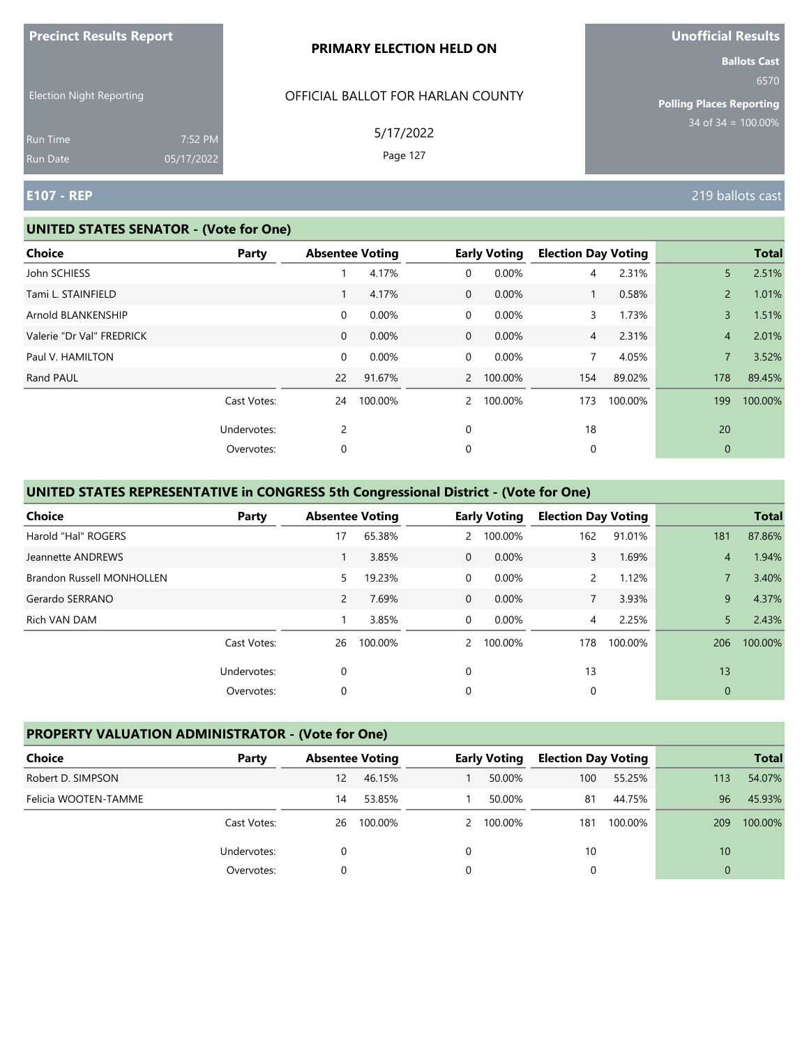|                                                                |                       | PRIMARY ELECTION HELD ON                                   | <b>Ballots Cast</b>                                         |
|----------------------------------------------------------------|-----------------------|------------------------------------------------------------|-------------------------------------------------------------|
| <b>Election Night Reporting</b><br><b>Run Time</b><br>Run Date | 7:52 PM<br>05/17/2022 | OFFICIAL BALLOT FOR HARLAN COUNTY<br>5/17/2022<br>Page 127 | 6570<br>Polling Places Reporting<br>$34$ of 34 = $100.00\%$ |
| <b>E107 - REP</b>                                              |                       |                                                            | 219 ballots cast                                            |

#### **UNITED STATES SENATOR - (Vote for One)**

**Precinct Results Report**

| <b>Choice</b>             | <b>Party</b> | <b>Absentee Voting</b> |         |                | <b>Early Voting</b> | <b>Election Day Voting</b> |         |                | <b>Total</b> |
|---------------------------|--------------|------------------------|---------|----------------|---------------------|----------------------------|---------|----------------|--------------|
| John SCHIESS              |              |                        | 4.17%   | 0              | 0.00%               | 4                          | 2.31%   | 5              | 2.51%        |
| Tami L. STAINFIELD        |              |                        | 4.17%   | $\overline{0}$ | 0.00%               | $\mathbf{1}$               | 0.58%   | $\overline{2}$ | 1.01%        |
| Arnold BLANKENSHIP        |              | 0                      | 0.00%   | 0              | 0.00%               | 3                          | 1.73%   | 3              | 1.51%        |
| Valerie "Dr Val" FREDRICK |              | $\mathbf{0}$           | 0.00%   | $\mathbf 0$    | 0.00%               | $\overline{4}$             | 2.31%   | $\overline{4}$ | 2.01%        |
| Paul V. HAMILTON          |              | 0                      | 0.00%   | 0              | 0.00%               | 7                          | 4.05%   | 7              | 3.52%        |
| Rand PAUL                 |              | 22                     | 91.67%  |                | 2 100.00%           | 154                        | 89.02%  | 178            | 89.45%       |
|                           | Cast Votes:  | 24                     | 100.00% | $\mathcal{P}$  | 100.00%             | 173                        | 100.00% | 199            | 100.00%      |
|                           | Undervotes:  | $\overline{2}$         |         | 0              |                     | 18                         |         | 20             |              |
|                           | Overvotes:   | 0                      |         | 0              |                     | 0                          |         | $\mathbf{0}$   |              |
|                           |              |                        |         |                |                     |                            |         |                |              |

## **UNITED STATES REPRESENTATIVE in CONGRESS 5th Congressional District - (Vote for One)**

| <b>Choice</b>                    | Party       | <b>Absentee Voting</b> |         |              | <b>Early Voting</b> | <b>Election Day Voting</b> |         |                | <b>Total</b> |
|----------------------------------|-------------|------------------------|---------|--------------|---------------------|----------------------------|---------|----------------|--------------|
| Harold "Hal" ROGERS              |             | 17                     | 65.38%  | $\mathbf{2}$ | 100.00%             | 162                        | 91.01%  | 181            | 87.86%       |
| Jeannette ANDREWS                |             |                        | 3.85%   | $\Omega$     | $0.00\%$            | 3                          | 1.69%   | $\overline{4}$ | 1.94%        |
| <b>Brandon Russell MONHOLLEN</b> |             | 5.                     | 19.23%  | $\Omega$     | 0.00%               | 2                          | 1.12%   |                | 3.40%        |
| Gerardo SERRANO                  |             | $\overline{2}$         | 7.69%   | $\mathbf 0$  | 0.00%               | $\overline{7}$             | 3.93%   | 9              | 4.37%        |
| Rich VAN DAM                     |             |                        | 3.85%   | $\Omega$     | 0.00%               | 4                          | 2.25%   | 5              | 2.43%        |
|                                  | Cast Votes: | 26                     | 100.00% |              | 2 100.00%           | 178                        | 100.00% | 206            | 100.00%      |
|                                  | Undervotes: | 0                      |         | $\Omega$     |                     | 13                         |         | 13             |              |
|                                  | Overvotes:  | 0                      |         | 0            |                     | 0                          |         | $\mathbf 0$    |              |

## **PROPERTY VALUATION ADMINISTRATOR - (Vote for One)**

| <b>Choice</b>        | Party       |    | <b>Absentee Voting</b> | <b>Early Voting</b> | <b>Election Day Voting</b> |         |          | <b>Total</b> |
|----------------------|-------------|----|------------------------|---------------------|----------------------------|---------|----------|--------------|
| Robert D. SIMPSON    |             | 12 | 46.15%                 | 50.00%              | 100                        | 55.25%  | 113      | 54.07%       |
| Felicia WOOTEN-TAMME |             | 14 | 53.85%                 | 50.00%              | 81                         | 44.75%  | 96       | 45.93%       |
|                      | Cast Votes: | 26 | 100.00%                | 2 100.00%           | 181                        | 100.00% | 209      | 100.00%      |
|                      | Undervotes: |    |                        |                     | 10                         |         | 10       |              |
|                      | Overvotes:  |    |                        |                     |                            |         | $\Omega$ |              |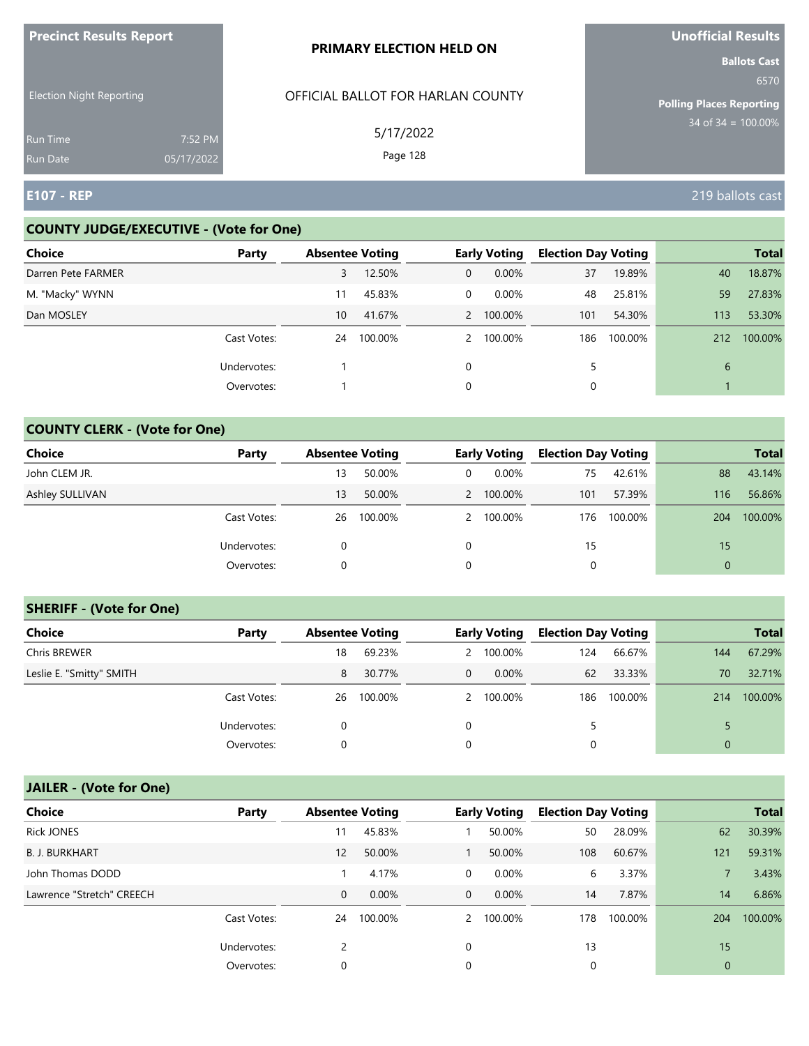| <b>FIGURATION RESULTS</b>          |                       | <b>PRIMARY ELECTION HELD ON</b>   | <b>UIIUIIILIAI NESUILS</b><br><b>Ballots Cast</b> |
|------------------------------------|-----------------------|-----------------------------------|---------------------------------------------------|
| <b>Election Night Reporting</b>    |                       | OFFICIAL BALLOT FOR HARLAN COUNTY | 6570<br><b>Polling Places Reporting</b>           |
| <b>Run Time</b><br><b>Run Date</b> | 7:52 PM<br>05/17/2022 | 5/17/2022<br>Page 128             | $34$ of 34 = $\overline{100.00\%}$                |
| <b>IE107 - REP</b>                 |                       |                                   | 219 ballots cast                                  |

#### **COUNTY JUDGE/EXECUTIVE - (Vote for One)**

**Precinct Results Report**

| <b>Choice</b>      | Party       | <b>Absentee Voting</b> |         |   | <b>Early Voting</b> | <b>Election Day Voting</b> |         |     | <b>Total</b> |
|--------------------|-------------|------------------------|---------|---|---------------------|----------------------------|---------|-----|--------------|
| Darren Pete FARMER |             | 3                      | 12.50%  | 0 | 0.00%               | 37                         | 19.89%  | 40  | 18.87%       |
| M. "Macky" WYNN    |             | 11                     | 45.83%  | 0 | 0.00%               | 48                         | 25.81%  | 59  | 27.83%       |
| Dan MOSLEY         |             | 10 <sup>1</sup>        | 41.67%  |   | 2 100.00%           | 101                        | 54.30%  | 113 | 53.30%       |
|                    | Cast Votes: | 24                     | 100.00% |   | 2 100.00%           | 186                        | 100.00% | 212 | 100.00%      |
|                    | Undervotes: |                        |         | 0 |                     | 5                          |         | 6   |              |
|                    | Overvotes:  |                        |         | 0 |                     |                            |         |     |              |

## **COUNTY CLERK - (Vote for One)**

| Choice          | Party       | <b>Absentee Voting</b> |         |   | <b>Early Voting</b> | <b>Election Day Voting</b> |         |          | <b>Total</b> |
|-----------------|-------------|------------------------|---------|---|---------------------|----------------------------|---------|----------|--------------|
| John CLEM JR.   |             | 13                     | 50.00%  | 0 | $0.00\%$            | 75                         | 42.61%  | 88       | 43.14%       |
| Ashley SULLIVAN |             | 13                     | 50.00%  |   | 2 100.00%           | 101                        | 57.39%  | 116      | 56.86%       |
|                 | Cast Votes: | 26                     | 100.00% |   | 2 100.00%           | 176                        | 100.00% | 204      | 100.00%      |
|                 | Undervotes: | $\Omega$               |         | 0 |                     | 15                         |         | 15       |              |
|                 | Overvotes:  | 0                      |         | 0 |                     | 0                          |         | $\Omega$ |              |

### **SHERIFF - (Vote for One)**

| <b>Choice</b>            | Party       | <b>Absentee Voting</b> |         |   | <b>Early Voting</b> | <b>Election Day Voting</b> |         |     | <b>Total</b> |
|--------------------------|-------------|------------------------|---------|---|---------------------|----------------------------|---------|-----|--------------|
| Chris BREWER             |             | 18                     | 69.23%  |   | 2 100.00%           | 124                        | 66.67%  | 144 | 67.29%       |
| Leslie E. "Smitty" SMITH |             | 8                      | 30.77%  | 0 | $0.00\%$            | 62                         | 33.33%  | 70  | 32.71%       |
|                          | Cast Votes: | 26                     | 100.00% |   | 2 100.00%           | 186                        | 100.00% | 214 | 100.00%      |
|                          | Undervotes: | 0                      |         | 0 |                     | 5.                         |         |     |              |
|                          | Overvotes:  | 0                      |         | 0 |                     | 0                          |         |     |              |

# **JAILER - (Vote for One)**

| <b>Choice</b>             | Party       | <b>Absentee Voting</b> |          |              | <b>Early Voting</b> | <b>Election Day Voting</b> |         |             | <b>Total</b> |
|---------------------------|-------------|------------------------|----------|--------------|---------------------|----------------------------|---------|-------------|--------------|
| <b>Rick JONES</b>         |             | 11                     | 45.83%   |              | 50.00%              | 50                         | 28.09%  | 62          | 30.39%       |
| <b>B. J. BURKHART</b>     |             | 12                     | 50.00%   |              | 50.00%              | 108                        | 60.67%  | 121         | 59.31%       |
| John Thomas DODD          |             |                        | 4.17%    | 0            | 0.00%               | 6                          | 3.37%   |             | 3.43%        |
| Lawrence "Stretch" CREECH |             | $\mathbf 0$            | $0.00\%$ | $\mathbf{0}$ | $0.00\%$            | 14                         | 7.87%   | 14          | 6.86%        |
|                           | Cast Votes: | 24                     | 100.00%  |              | 2 100.00%           | 178                        | 100.00% | 204         | 100.00%      |
|                           | Undervotes: |                        |          | 0            |                     | 13                         |         | 15          |              |
|                           | Overvotes:  | 0                      |          | 0            |                     | 0                          |         | $\mathbf 0$ |              |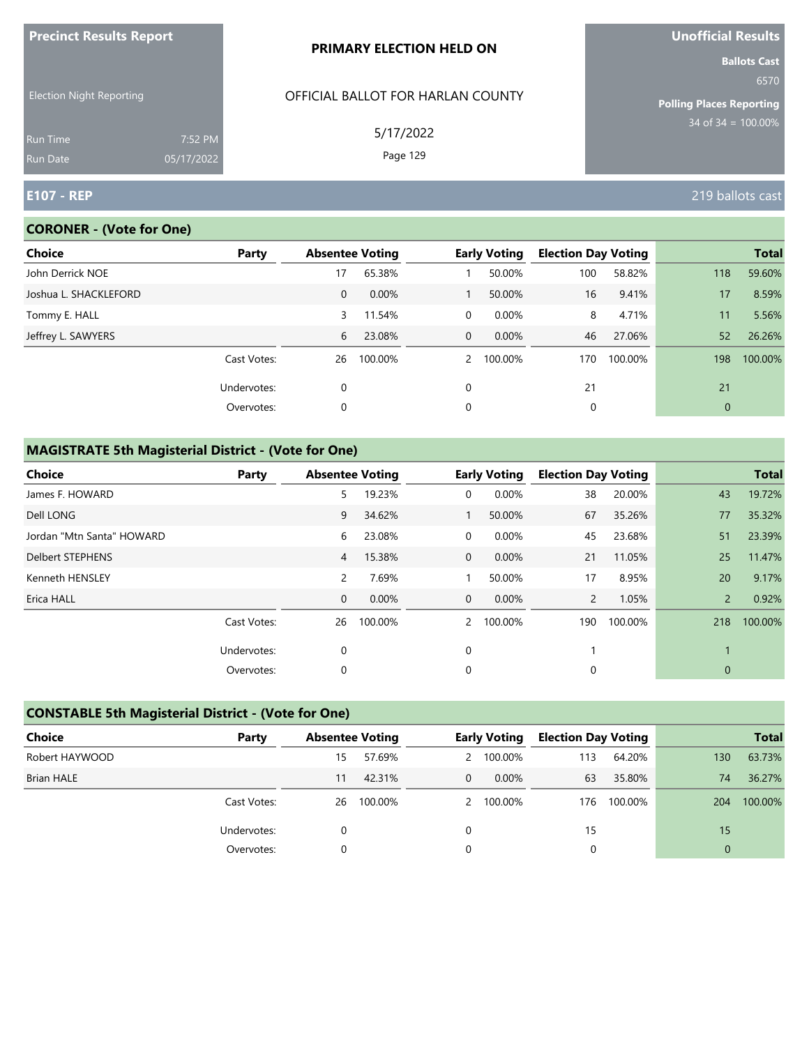| <b>Precinct Results Report</b>  |                       | PRIMARY ELECTION HELD ON          | Unofficial Results                                      |
|---------------------------------|-----------------------|-----------------------------------|---------------------------------------------------------|
| <b>Election Night Reporting</b> |                       | OFFICIAL BALLOT FOR HARLAN COUNTY | <b>Ballots Cast</b><br>6570                             |
| Run Time<br><b>Run Date</b>     | 7:52 PM<br>05/17/2022 | 5/17/2022<br>Page 129             | <b>Polling Places Reporting</b><br>$34$ of 34 = 100.00% |
| <b>E107 - REP</b>               |                       |                                   | 219 ballots cast                                        |

## **CORONER - (Vote for One)**

| Choice                | Party       |              | <b>Absentee Voting</b> |             | <b>Early Voting</b> | <b>Election Day Voting</b> |         |              | <b>Total</b> |
|-----------------------|-------------|--------------|------------------------|-------------|---------------------|----------------------------|---------|--------------|--------------|
| John Derrick NOE      |             | 17           | 65.38%                 |             | 50.00%              | 100                        | 58.82%  | 118          | 59.60%       |
| Joshua L. SHACKLEFORD |             | $\mathbf{0}$ | 0.00%                  |             | 50.00%              | 16                         | 9.41%   | 17           | 8.59%        |
| Tommy E. HALL         |             | 3            | 11.54%                 | 0           | 0.00%               | 8                          | 4.71%   | 11           | 5.56%        |
| Jeffrey L. SAWYERS    |             | 6            | 23.08%                 | $\mathbf 0$ | 0.00%               | 46                         | 27.06%  | 52           | 26.26%       |
|                       | Cast Votes: | 26           | 100.00%                | $2^{\circ}$ | 100.00%             | 170                        | 100.00% | 198          | 100.00%      |
|                       | Undervotes: | 0            |                        | $\Omega$    |                     | 21                         |         | 21           |              |
|                       | Overvotes:  | 0            |                        | $\mathbf 0$ |                     | 0                          |         | $\mathbf{0}$ |              |
|                       |             |              |                        |             |                     |                            |         |              |              |

| <b>Choice</b>             | Party       | <b>Absentee Voting</b> |         |                | <b>Early Voting</b> | <b>Election Day Voting</b> |         |               | <b>Total</b> |
|---------------------------|-------------|------------------------|---------|----------------|---------------------|----------------------------|---------|---------------|--------------|
| James F. HOWARD           |             | 5                      | 19.23%  | 0              | 0.00%               | 38                         | 20.00%  | 43            | 19.72%       |
| Dell LONG                 |             | 9                      | 34.62%  |                | 50.00%              | 67                         | 35.26%  | 77            | 35.32%       |
| Jordan "Mtn Santa" HOWARD |             | 6                      | 23.08%  | 0              | 0.00%               | 45                         | 23.68%  | 51            | 23.39%       |
| <b>Delbert STEPHENS</b>   |             | $\overline{4}$         | 15.38%  | $\mathbf{0}$   | 0.00%               | 21                         | 11.05%  | 25            | 11.47%       |
| Kenneth HENSLEY           |             | 2                      | 7.69%   |                | 50.00%              | 17                         | 8.95%   | 20            | 9.17%        |
| Erica HALL                |             | $\mathbf 0$            | 0.00%   | $\overline{0}$ | $0.00\%$            | $\mathbf{2}$               | 1.05%   | $\mathcal{P}$ | 0.92%        |
|                           | Cast Votes: | 26                     | 100.00% | $2^{\circ}$    | 100.00%             | 190                        | 100.00% | 218           | 100.00%      |
|                           | Undervotes: | 0                      |         | 0              |                     |                            |         |               |              |
|                           | Overvotes:  | $\mathbf 0$            |         | 0              |                     | 0                          |         | 0             |              |

| <b>CONSTABLE 5th Magisterial District - (Vote for One)</b> |             |    |                        |          |                     |                            |         |             |              |
|------------------------------------------------------------|-------------|----|------------------------|----------|---------------------|----------------------------|---------|-------------|--------------|
| Choice                                                     | Party       |    | <b>Absentee Voting</b> |          | <b>Early Voting</b> | <b>Election Day Voting</b> |         |             | <b>Total</b> |
| Robert HAYWOOD                                             |             | 15 | 57.69%                 |          | 2 100.00%           | 113                        | 64.20%  | 130         | 63.73%       |
| <b>Brian HALE</b>                                          |             | 11 | 42.31%                 | $\Omega$ | $0.00\%$            | 63                         | 35.80%  | 74          | 36.27%       |
|                                                            | Cast Votes: | 26 | 100.00%                |          | 2 100.00%           | 176                        | 100.00% | 204         | 100.00%      |
|                                                            | Undervotes: | 0  |                        | 0        |                     | 15                         |         | 15          |              |
|                                                            | Overvotes:  | 0  |                        | 0        |                     | 0                          |         | $\mathbf 0$ |              |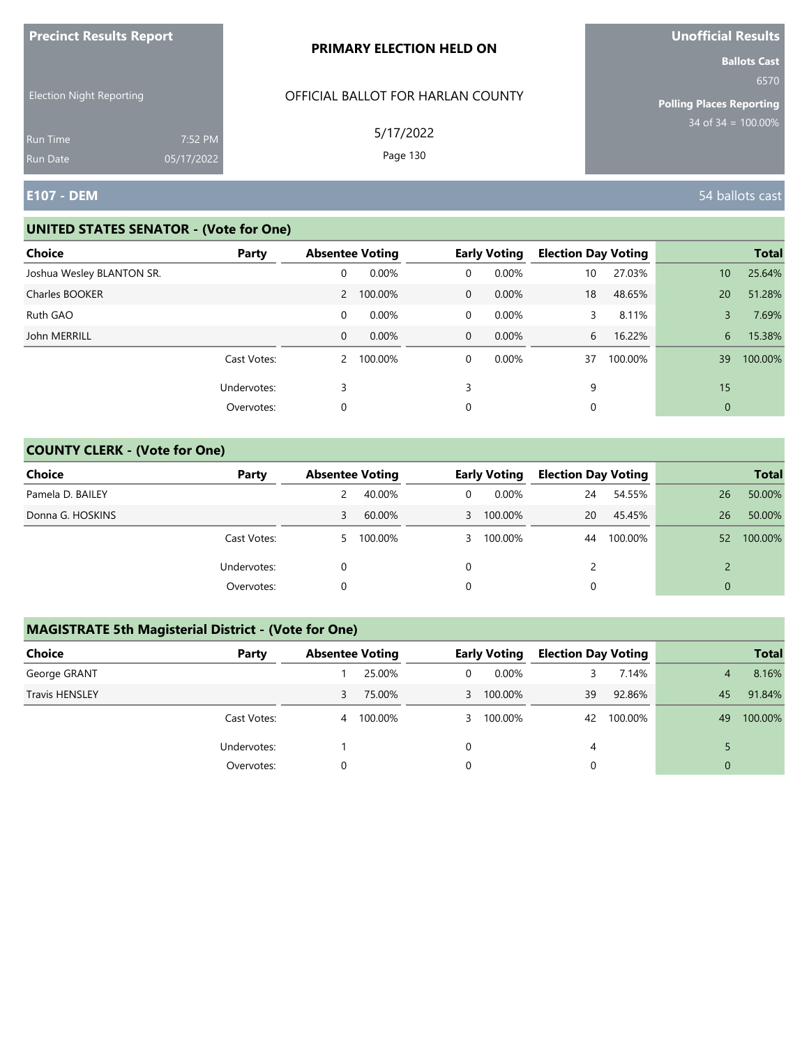|                                    |                       | PRIMARY ELECTION HELD ON          | <b>Ballots Cast</b>                     |
|------------------------------------|-----------------------|-----------------------------------|-----------------------------------------|
| <b>Election Night Reporting</b>    |                       | OFFICIAL BALLOT FOR HARLAN COUNTY | 6570<br><b>Polling Places Reporting</b> |
| <b>Run Time</b><br><b>Run Date</b> | 7:52 PM<br>05/17/2022 | 5/17/2022<br>Page 130             | $34$ of $34 = 100.00\%$                 |
| <b>E107 - DEM</b>                  |                       |                                   | 54 ballots cast                         |

## **UNITED STATES SENATOR - (Vote for One)**

**Precinct Results Report**

| <b>Choice</b>             | Party       | <b>Absentee Voting</b> |           |              | <b>Early Voting</b> | <b>Election Day Voting</b> |         |    | <b>Total</b> |
|---------------------------|-------------|------------------------|-----------|--------------|---------------------|----------------------------|---------|----|--------------|
| Joshua Wesley BLANTON SR. |             | 0                      | 0.00%     | 0            | $0.00\%$            | 10 <sup>°</sup>            | 27.03%  | 10 | 25.64%       |
| Charles BOOKER            |             |                        | 2 100.00% | $\mathbf{0}$ | $0.00\%$            | 18                         | 48.65%  | 20 | 51.28%       |
| Ruth GAO                  |             | 0                      | $0.00\%$  | 0            | 0.00%               | 3                          | 8.11%   | 3  | 7.69%        |
| John MERRILL              |             | 0                      | 0.00%     | $\mathbf 0$  | $0.00\%$            | 6                          | 16.22%  | 6  | 15.38%       |
|                           | Cast Votes: | 2                      | 100.00%   | 0            | $0.00\%$            | 37                         | 100.00% | 39 | 100.00%      |
|                           | Undervotes: | 3                      |           | 3            |                     | 9                          |         | 15 |              |
|                           | Overvotes:  | 0                      |           | 0            |                     |                            |         | 0  |              |

## **COUNTY CLERK - (Vote for One)**

| <b>Choice</b>    | Party       | <b>Absentee Voting</b> |         |          | <b>Early Voting</b> | <b>Election Day Voting</b> |         |          | <b>Total</b> |
|------------------|-------------|------------------------|---------|----------|---------------------|----------------------------|---------|----------|--------------|
| Pamela D. BAILEY |             |                        | 40.00%  | 0        | $0.00\%$            | 24                         | 54.55%  | 26       | 50.00%       |
| Donna G. HOSKINS |             | 3                      | 60.00%  | 3        | 100.00%             | 20                         | 45.45%  | 26       | 50.00%       |
|                  | Cast Votes: | 5.                     | 100.00% | 3        | 100.00%             | 44                         | 100.00% | 52       | 100.00%      |
|                  | Undervotes: | 0                      |         | $\Omega$ |                     | $\mathcal{P}$              |         |          |              |
|                  | Overvotes:  |                        |         | 0        |                     |                            |         | $\Omega$ |              |

| <b>Choice</b>         | Party       | <b>Absentee Voting</b> |         |              | <b>Early Voting</b> | <b>Election Day Voting</b> |         |                | <b>Total</b> |
|-----------------------|-------------|------------------------|---------|--------------|---------------------|----------------------------|---------|----------------|--------------|
| George GRANT          |             |                        | 25.00%  | 0            | $0.00\%$            | 3.                         | 7.14%   | 4              | 8.16%        |
| <b>Travis HENSLEY</b> |             | 3                      | 75.00%  | $\mathbf{3}$ | 100.00%             | 39                         | 92.86%  | 45             | 91.84%       |
|                       | Cast Votes: | 4                      | 100.00% |              | 3 100.00%           | 42                         | 100.00% | 49             | 100.00%      |
|                       | Undervotes: |                        |         | 0            |                     | 4                          |         |                |              |
|                       | Overvotes:  | 0                      |         | 0            |                     |                            |         | $\overline{0}$ |              |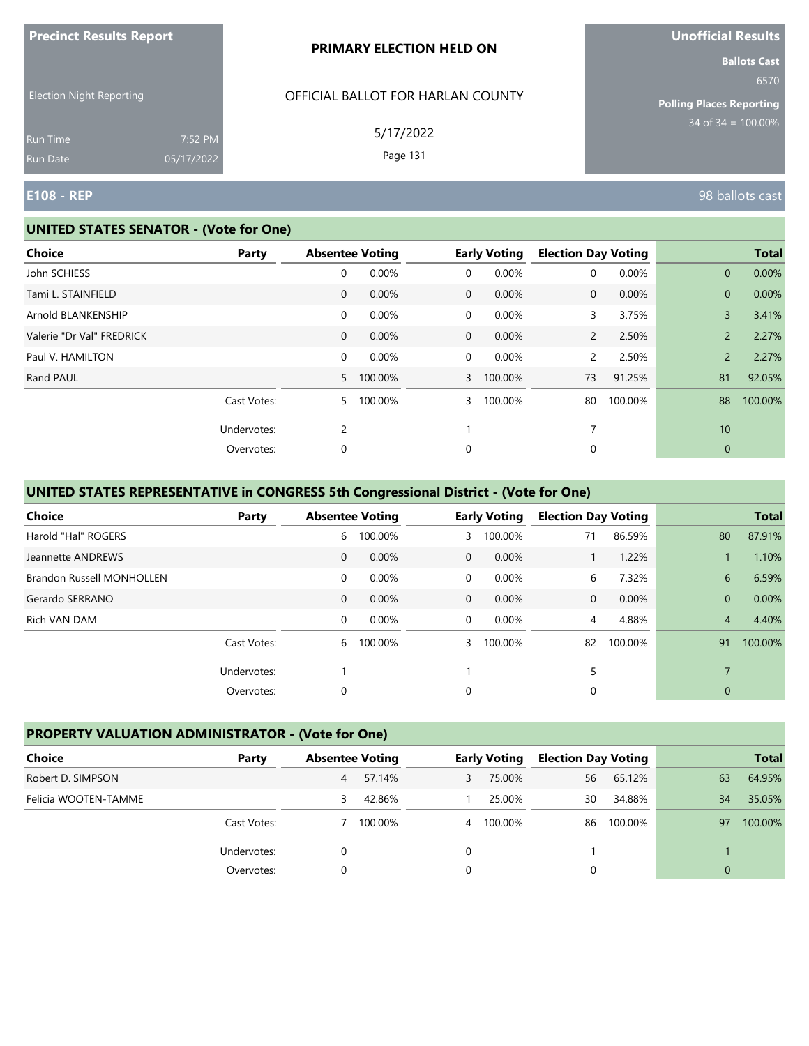|                                             |            | PRIMARY ELECTION HELD ON                                   | <b>Ballots Cast</b>                                                |
|---------------------------------------------|------------|------------------------------------------------------------|--------------------------------------------------------------------|
| <b>Election Night Reporting</b><br>Run Time | 7:52 PM    | OFFICIAL BALLOT FOR HARLAN COUNTY<br>5/17/2022<br>Page 131 | 6570<br><b>Polling Places Reporting</b><br>$34$ of $34 = 100.00\%$ |
| Run Date<br><b>E108 - REP</b>               | 05/17/2022 |                                                            | 98 ballots cast                                                    |

#### **UNITED STATES SENATOR - (Vote for One)**

**Precinct Results Report**

| <b>Choice</b>             | <b>Party</b> | <b>Absentee Voting</b> |         |                | <b>Early Voting</b> | <b>Election Day Voting</b> |         |                | <b>Total</b> |
|---------------------------|--------------|------------------------|---------|----------------|---------------------|----------------------------|---------|----------------|--------------|
| John SCHIESS              |              | 0                      | 0.00%   | $\mathbf 0$    | 0.00%               | 0                          | 0.00%   | $\mathbf{0}$   | 0.00%        |
| Tami L. STAINFIELD        |              | $\mathbf{0}$           | 0.00%   | $\overline{0}$ | 0.00%               | 0                          | 0.00%   | $\mathbf{0}$   | 0.00%        |
| Arnold BLANKENSHIP        |              | 0                      | 0.00%   | $\mathbf 0$    | 0.00%               | 3                          | 3.75%   | $\overline{3}$ | 3.41%        |
| Valerie "Dr Val" FREDRICK |              | $\mathbf{0}$           | 0.00%   | $\overline{0}$ | 0.00%               | $\mathbf{2}$               | 2.50%   | $\overline{2}$ | 2.27%        |
| Paul V. HAMILTON          |              | 0                      | 0.00%   | $\mathbf 0$    | 0.00%               | $\mathsf{2}$               | 2.50%   | $\overline{2}$ | 2.27%        |
| Rand PAUL                 |              | 5.                     | 100.00% | $\mathbf{3}$   | 100.00%             | 73                         | 91.25%  | 81             | 92.05%       |
|                           | Cast Votes:  | 5.                     | 100.00% | $\mathbf{3}$   | 100.00%             | 80                         | 100.00% | 88             | 100.00%      |
|                           | Undervotes:  | $\overline{2}$         |         |                |                     | 7                          |         | 10             |              |
|                           | Overvotes:   | 0                      |         | 0              |                     | 0                          |         | $\mathbf 0$    |              |

## **UNITED STATES REPRESENTATIVE in CONGRESS 5th Congressional District - (Vote for One)**

| <b>Choice</b>                    | Party       |              | <b>Absentee Voting</b> |                | <b>Early Voting</b> | <b>Election Day Voting</b> |         |                | <b>Total</b> |
|----------------------------------|-------------|--------------|------------------------|----------------|---------------------|----------------------------|---------|----------------|--------------|
| Harold "Hal" ROGERS              |             | 6            | 100.00%                | 3              | 100.00%             | 71                         | 86.59%  | 80             | 87.91%       |
| Jeannette ANDREWS                |             | $\mathbf{0}$ | 0.00%                  | $\mathbf{0}$   | 0.00%               |                            | 1.22%   |                | 1.10%        |
| <b>Brandon Russell MONHOLLEN</b> |             | $\mathbf 0$  | 0.00%                  | $\overline{0}$ | 0.00%               | 6                          | 7.32%   | 6              | 6.59%        |
| Gerardo SERRANO                  |             | $\mathbf{0}$ | 0.00%                  | $\overline{0}$ | $0.00\%$            | $\mathbf{0}$               | 0.00%   | $\overline{0}$ | 0.00%        |
| Rich VAN DAM                     |             | $\mathbf 0$  | 0.00%                  | $\Omega$       | 0.00%               | 4                          | 4.88%   | $\overline{4}$ | 4.40%        |
|                                  | Cast Votes: | 6            | 100.00%                | 3              | 100.00%             | 82                         | 100.00% | 91             | 100.00%      |
|                                  | Undervotes: |              |                        |                |                     | 5                          |         | $\overline{7}$ |              |
|                                  | Overvotes:  | 0            |                        | 0              |                     | 0                          |         | $\mathbf{0}$   |              |

### **PROPERTY VALUATION ADMINISTRATOR - (Vote for One)**

| Choice               | Party       | <b>Absentee Voting</b> |         |   | <b>Early Voting</b> | <b>Election Day Voting</b> |         |          | <b>Total</b> |
|----------------------|-------------|------------------------|---------|---|---------------------|----------------------------|---------|----------|--------------|
| Robert D. SIMPSON    |             | 4                      | 57.14%  | 3 | 75.00%              | 56                         | 65.12%  | 63       | 64.95%       |
| Felicia WOOTEN-TAMME |             | 3                      | 42.86%  |   | 25.00%              | 30                         | 34.88%  | 34       | 35.05%       |
|                      | Cast Votes: |                        | 100.00% |   | 4 100.00%           | 86                         | 100.00% | 97       | 100.00%      |
|                      | Undervotes: |                        |         | 0 |                     |                            |         |          |              |
|                      | Overvotes:  | 0                      |         | 0 |                     |                            |         | $\Omega$ |              |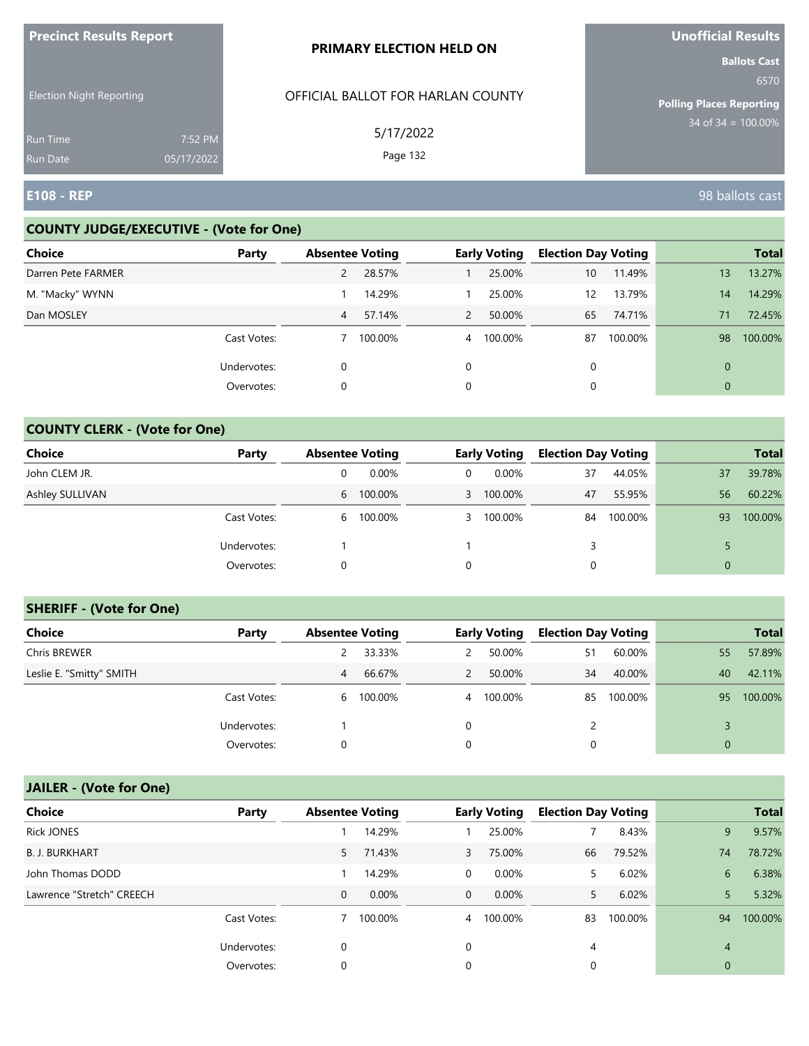| <b>FIGUILLE RESULTS REPUIL</b>     |                       | <b>PRIMARY ELECTION HELD ON</b>   | <b>VIIVIIILIAI NESUILS</b><br><b>Ballots Cast</b> |
|------------------------------------|-----------------------|-----------------------------------|---------------------------------------------------|
| <b>Election Night Reporting</b>    |                       | OFFICIAL BALLOT FOR HARLAN COUNTY | 6570<br><b>Polling Places Reporting</b>           |
| <b>Run Time</b><br><b>Run Date</b> | 7:52 PM<br>05/17/2022 | 5/17/2022<br>Page 132             | $34$ of $34 = 100.00\%$                           |
| <b>E108 - REP</b>                  |                       |                                   | 98 ballots cast                                   |

n.

#### **COUNTY JUDGE/EXECUTIVE - (Vote for One)**

**Precinct Results Report**

| Choice             | Party       | <b>Absentee Voting</b> |         |                | <b>Early Voting</b> | <b>Election Day Voting</b> |         |              | <b>Total</b> |
|--------------------|-------------|------------------------|---------|----------------|---------------------|----------------------------|---------|--------------|--------------|
| Darren Pete FARMER |             |                        | 28.57%  |                | 25.00%              | 10                         | 11.49%  | 13           | 13.27%       |
| M. "Macky" WYNN    |             |                        | 14.29%  |                | 25.00%              | 12                         | 13.79%  | 14           | 14.29%       |
| Dan MOSLEY         |             | $\overline{4}$         | 57.14%  | $\overline{2}$ | 50.00%              | 65                         | 74.71%  | 71           | 72.45%       |
|                    | Cast Votes: |                        | 100.00% | $\overline{4}$ | 100.00%             | 87                         | 100.00% | 98           | 100.00%      |
|                    | Undervotes: | 0                      |         | $\Omega$       |                     | 0                          |         | $\Omega$     |              |
|                    | Overvotes:  | 0                      |         | 0              |                     | 0                          |         | $\mathbf{0}$ |              |

## **COUNTY CLERK - (Vote for One)**

| Choice          | Party       | <b>Absentee Voting</b> |           |   | <b>Early Voting</b> | <b>Election Day Voting</b> |         |                | <b>Total</b> |
|-----------------|-------------|------------------------|-----------|---|---------------------|----------------------------|---------|----------------|--------------|
| John CLEM JR.   |             | 0                      | $0.00\%$  | 0 | 0.00%               | 37                         | 44.05%  | 37             | 39.78%       |
| Ashley SULLIVAN |             |                        | 6 100.00% |   | 3 100.00%           | 47                         | 55.95%  | 56             | 60.22%       |
|                 | Cast Votes: |                        | 6 100.00% | 3 | 100.00%             | 84                         | 100.00% | 93             | 100.00%      |
|                 | Undervotes: |                        |           |   |                     | 3                          |         |                |              |
|                 | Overvotes:  | 0                      |           | 0 |                     | 0                          |         | $\overline{0}$ |              |

#### **SHERIFF - (Vote for One)**

| <b>Choice</b>            | Party       | <b>Absentee Voting</b> |           |   | <b>Early Voting</b> | <b>Election Day Voting</b> |         |          | <b>Total</b> |
|--------------------------|-------------|------------------------|-----------|---|---------------------|----------------------------|---------|----------|--------------|
| Chris BREWER             |             |                        | 33.33%    | 2 | 50.00%              | 51                         | 60.00%  | 55       | 57.89%       |
| Leslie E. "Smitty" SMITH |             | 4                      | 66.67%    | 2 | 50.00%              | 34                         | 40.00%  | 40       | 42.11%       |
|                          | Cast Votes: |                        | 6 100.00% |   | 4 100.00%           | 85                         | 100.00% | 95       | 100.00%      |
|                          | Undervotes: |                        |           | 0 |                     |                            |         |          |              |
|                          | Overvotes:  | 0                      |           | 0 |                     | 0                          |         | $\Omega$ |              |

# **JAILER - (Vote for One)**

| <b>Choice</b>             | Party       | <b>Absentee Voting</b> |          |                | <b>Early Voting</b> | <b>Election Day Voting</b> |         |                | <b>Total</b> |
|---------------------------|-------------|------------------------|----------|----------------|---------------------|----------------------------|---------|----------------|--------------|
| <b>Rick JONES</b>         |             |                        | 14.29%   |                | 25.00%              |                            | 8.43%   | 9              | 9.57%        |
| <b>B. J. BURKHART</b>     |             | 5                      | 71.43%   | $\mathbf{3}$   | 75.00%              | 66                         | 79.52%  | 74             | 78.72%       |
| John Thomas DODD          |             |                        | 14.29%   | 0              | 0.00%               | 5.                         | 6.02%   | 6              | 6.38%        |
| Lawrence "Stretch" CREECH |             | $\mathbf{0}$           | $0.00\%$ | $\Omega$       | $0.00\%$            | 5.                         | 6.02%   | 5              | 5.32%        |
|                           | Cast Votes: |                        | 100.00%  | $\overline{4}$ | 100.00%             | 83                         | 100.00% | 94             | 100.00%      |
|                           | Undervotes: | 0                      |          | 0              |                     | 4                          |         | $\overline{4}$ |              |
|                           | Overvotes:  | 0                      |          | 0              |                     | 0                          |         | $\mathbf{0}$   |              |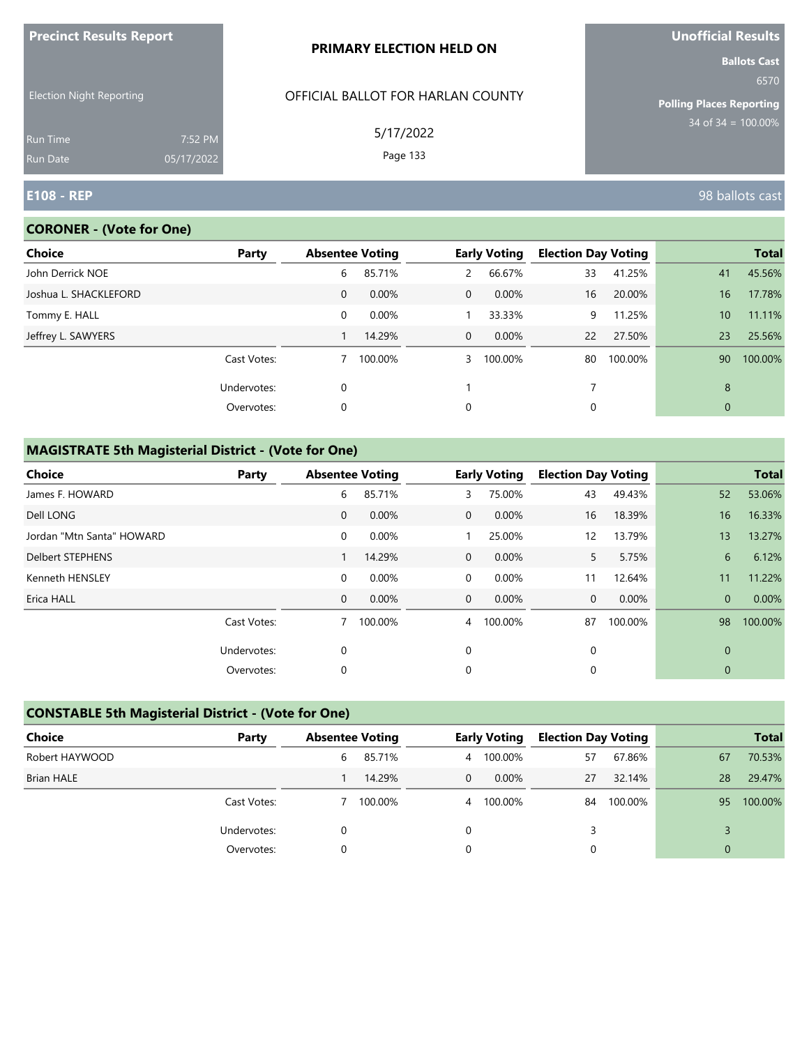| <b>Precinct Results Report</b>  |                       | <b>PRIMARY ELECTION HELD ON</b>   | Unofficial Results                                             |  |  |
|---------------------------------|-----------------------|-----------------------------------|----------------------------------------------------------------|--|--|
| <b>Election Night Reporting</b> |                       | OFFICIAL BALLOT FOR HARLAN COUNTY | <b>Ballots Cast</b><br>6570<br><b>Polling Places Reporting</b> |  |  |
| <b>Run Time</b><br>Run Date     | 7:52 PM<br>05/17/2022 | 5/17/2022<br>Page 133             | $34$ of $34 = 100.00\%$                                        |  |  |
| <b>E108 - REP</b>               |                       |                                   | 98 ballots cast                                                |  |  |

## **CORONER - (Vote for One)**

| Choice                | Party       | <b>Absentee Voting</b> |          |              | <b>Early Voting</b> | <b>Election Day Voting</b> |         |                 | <b>Total</b> |
|-----------------------|-------------|------------------------|----------|--------------|---------------------|----------------------------|---------|-----------------|--------------|
| John Derrick NOE      |             | 6                      | 85.71%   | 2            | 66.67%              | 33                         | 41.25%  | 41              | 45.56%       |
| Joshua L. SHACKLEFORD |             | $\mathbf{0}$           | 0.00%    | $\mathbf{0}$ | $0.00\%$            | 16                         | 20.00%  | 16              | 17.78%       |
| Tommy E. HALL         |             | 0                      | $0.00\%$ |              | 33.33%              | 9                          | 11.25%  | 10 <sup>°</sup> | 11.11%       |
| Jeffrey L. SAWYERS    |             |                        | 14.29%   | $\mathbf{0}$ | $0.00\%$            | 22                         | 27.50%  | 23              | 25.56%       |
|                       | Cast Votes: |                        | 100.00%  | 3            | 100.00%             | 80                         | 100.00% | 90              | 100.00%      |
|                       | Undervotes: | $\mathbf 0$            |          |              |                     |                            |         | 8               |              |
|                       | Overvotes:  | 0                      |          | 0            |                     | 0                          |         | $\mathbf 0$     |              |
|                       |             |                        |          |              |                     |                            |         |                 |              |

| <b>Choice</b>             | Party       | <b>Absentee Voting</b> |         |                | <b>Early Voting</b> | <b>Election Day Voting</b> |         |                | <b>Total</b> |
|---------------------------|-------------|------------------------|---------|----------------|---------------------|----------------------------|---------|----------------|--------------|
| James F. HOWARD           |             | 6                      | 85.71%  | 3              | 75.00%              | 43                         | 49.43%  | 52             | 53.06%       |
| Dell LONG                 |             | $\mathbf{0}$           | 0.00%   | $\overline{0}$ | 0.00%               | 16                         | 18.39%  | 16             | 16.33%       |
| Jordan "Mtn Santa" HOWARD |             | 0                      | 0.00%   |                | 25.00%              | 12                         | 13.79%  | 13             | 13.27%       |
| <b>Delbert STEPHENS</b>   |             |                        | 14.29%  | $\overline{0}$ | 0.00%               | 5.                         | 5.75%   | 6              | 6.12%        |
| Kenneth HENSLEY           |             | 0                      | 0.00%   | $\overline{0}$ | 0.00%               | 11                         | 12.64%  | 11             | 11.22%       |
| Erica HALL                |             | $\mathbf{0}$           | 0.00%   | $\overline{0}$ | $0.00\%$            | $\mathbf{0}$               | 0.00%   | $\overline{0}$ | 0.00%        |
|                           | Cast Votes: |                        | 100.00% | $\overline{4}$ | 100.00%             | 87                         | 100.00% | 98             | 100.00%      |
|                           | Undervotes: | 0                      |         | $\mathbf 0$    |                     | $\mathbf 0$                |         | $\mathbf{0}$   |              |
|                           | Overvotes:  | 0                      |         | 0              |                     | 0                          |         | 0              |              |

| <b>CONSTABLE 5th Magisterial District - (Vote for One)</b> |             |          |                                               |                |                            |    |         |              |         |  |
|------------------------------------------------------------|-------------|----------|-----------------------------------------------|----------------|----------------------------|----|---------|--------------|---------|--|
| Choice                                                     | Party       |          | <b>Absentee Voting</b><br><b>Early Voting</b> |                | <b>Election Day Voting</b> |    |         | <b>Total</b> |         |  |
| Robert HAYWOOD                                             |             | 6        | 85.71%                                        | $\overline{4}$ | 100.00%                    | 57 | 67.86%  | 67           | 70.53%  |  |
| <b>Brian HALE</b>                                          |             |          | 14.29%                                        | $\Omega$       | $0.00\%$                   | 27 | 32.14%  | 28           | 29.47%  |  |
|                                                            | Cast Votes: |          | 100.00%                                       | 4              | 100.00%                    | 84 | 100.00% | 95           | 100.00% |  |
|                                                            | Undervotes: | $\Omega$ |                                               | 0              |                            | 3  |         |              |         |  |
|                                                            | Overvotes:  | $\Omega$ |                                               | 0              |                            | 0  |         | $\mathbf{0}$ |         |  |